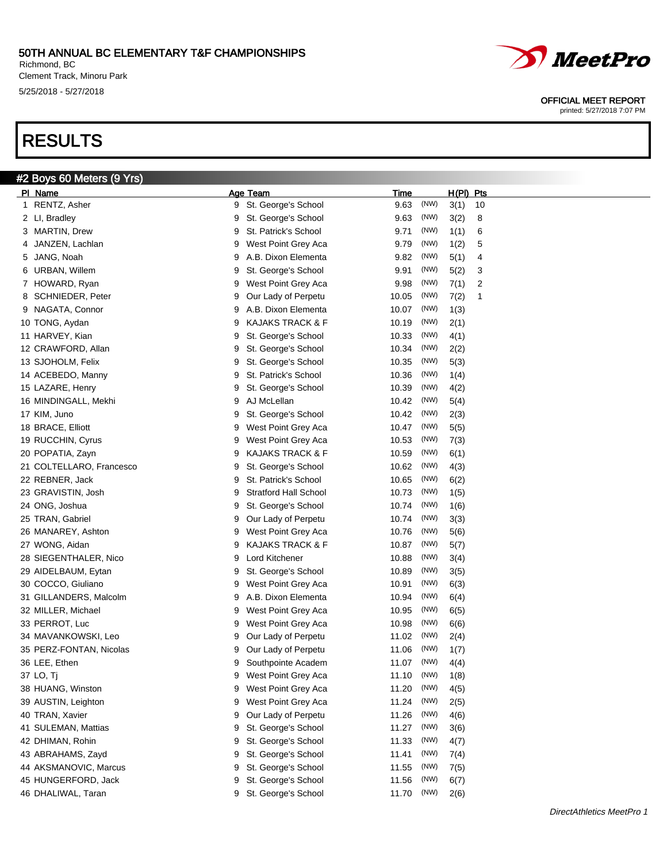Richmond, BC Clement Track, Minoru Park 5/25/2018 - 5/27/2018

# RESULTS

#2 Boys 60 Meters (9 Yrs)



#### OFFICIAL MEET REPORT

|    | PI Name                  |   | Age Team                     | Time       |      | H(PI) Pts |                         |
|----|--------------------------|---|------------------------------|------------|------|-----------|-------------------------|
| 1. | RENTZ, Asher             | 9 | St. George's School          | 9.63       | (NW) | 3(1)      | 10                      |
|    | 2 LI, Bradley            | 9 | St. George's School          | 9.63       | (NW) | 3(2)      | 8                       |
|    | 3 MARTIN, Drew           | 9 | St. Patrick's School         | 9.71       | (NW) | 1(1)      | 6                       |
| 4  | JANZEN, Lachlan          | 9 | West Point Grey Aca          | 9.79       | (NW) | 1(2)      | 5                       |
| 5  | JANG, Noah               | 9 | A.B. Dixon Elementa          | 9.82       | (NW) | 5(1)      | 4                       |
| 6  | URBAN, Willem            | 9 | St. George's School          | 9.91       | (NW) | 5(2)      | 3                       |
| 7  | HOWARD, Ryan             | 9 | West Point Grey Aca          | 9.98       | (NW) | 7(1)      | $\overline{\mathbf{c}}$ |
| 8  | SCHNIEDER, Peter         | 9 | Our Lady of Perpetu          | 10.05      | (NW) | 7(2)      | $\mathbf 1$             |
| 9  | NAGATA, Connor           | 9 | A.B. Dixon Elementa          | 10.07      | (NW) | 1(3)      |                         |
|    | 10 TONG, Aydan           | 9 | <b>KAJAKS TRACK &amp; F</b>  | 10.19      | (NW) | 2(1)      |                         |
|    | 11 HARVEY, Kian          | 9 | St. George's School          | 10.33      | (NW) | 4(1)      |                         |
|    | 12 CRAWFORD, Allan       | 9 | St. George's School          | 10.34      | (NW) | 2(2)      |                         |
|    | 13 SJOHOLM, Felix        | 9 | St. George's School          | 10.35      | (NW) | 5(3)      |                         |
|    | 14 ACEBEDO, Manny        | 9 | St. Patrick's School         | 10.36      | (NW) | 1(4)      |                         |
|    | 15 LAZARE, Henry         | 9 | St. George's School          | 10.39      | (NW) | 4(2)      |                         |
|    | 16 MINDINGALL, Mekhi     | 9 | AJ McLellan                  | 10.42      | (NW) | 5(4)      |                         |
|    | 17 KIM, Juno             | 9 | St. George's School          | 10.42      | (NW) | 2(3)      |                         |
|    | 18 BRACE, Elliott        | 9 | West Point Grey Aca          | 10.47      | (NW) | 5(5)      |                         |
|    | 19 RUCCHIN, Cyrus        | 9 | West Point Grey Aca          | 10.53      | (NW) | 7(3)      |                         |
|    | 20 POPATIA, Zayn         | 9 | <b>KAJAKS TRACK &amp; F</b>  | 10.59      | (NW) | 6(1)      |                         |
|    | 21 COLTELLARO, Francesco | 9 | St. George's School          | 10.62      | (NW) | 4(3)      |                         |
|    | 22 REBNER, Jack          | 9 | St. Patrick's School         | 10.65      | (NW) | 6(2)      |                         |
|    | 23 GRAVISTIN, Josh       | 9 | <b>Stratford Hall School</b> | 10.73      | (NW) | 1(5)      |                         |
|    | 24 ONG, Joshua           | 9 | St. George's School          | 10.74      | (NW) | 1(6)      |                         |
|    | 25 TRAN, Gabriel         | 9 | Our Lady of Perpetu          | 10.74      | (NW) | 3(3)      |                         |
|    | 26 MANAREY, Ashton       | 9 | West Point Grey Aca          | 10.76      | (NW) | 5(6)      |                         |
|    | 27 WONG, Aidan           | 9 | KAJAKS TRACK & F             | 10.87      | (NW) | 5(7)      |                         |
|    | 28 SIEGENTHALER, Nico    | 9 | Lord Kitchener               | 10.88      | (NW) | 3(4)      |                         |
|    | 29 AIDELBAUM, Eytan      | 9 | St. George's School          | 10.89      | (NW) | 3(5)      |                         |
|    | 30 COCCO, Giuliano       | 9 | West Point Grey Aca          | 10.91      | (NW) | 6(3)      |                         |
|    | 31 GILLANDERS, Malcolm   | 9 | A.B. Dixon Elementa          | 10.94      | (NW) | 6(4)      |                         |
|    | 32 MILLER, Michael       | 9 | West Point Grey Aca          | 10.95      | (NW) | 6(5)      |                         |
|    | 33 PERROT, Luc           | 9 | West Point Grey Aca          | 10.98      | (NW) | 6(6)      |                         |
|    | 34 MAVANKOWSKI, Leo      | 9 | Our Lady of Perpetu          | 11.02      | (NW) | 2(4)      |                         |
|    | 35 PERZ-FONTAN, Nicolas  | 9 | Our Lady of Perpetu          | 11.06      | (NW) | 1(7)      |                         |
|    | 36 LEE, Ethen            | 9 | Southpointe Academ           | 11.07      | (NW) | 4(4)      |                         |
|    | 37 LO, Tj                |   | 9 West Point Grey Aca        | 11.10 (NW) |      | 1(8)      |                         |
|    | 38 HUANG, Winston        | 9 | West Point Grey Aca          | 11.20      | (NW) | 4(5)      |                         |
|    | 39 AUSTIN, Leighton      | 9 | West Point Grey Aca          | 11.24      | (NW) | 2(5)      |                         |
|    | 40 TRAN, Xavier          | 9 | Our Lady of Perpetu          | 11.26      | (NW) | 4(6)      |                         |
|    | 41 SULEMAN, Mattias      | 9 | St. George's School          | 11.27      | (NW) | 3(6)      |                         |
|    | 42 DHIMAN, Rohin         | 9 | St. George's School          | 11.33      | (NW) | 4(7)      |                         |
|    | 43 ABRAHAMS, Zayd        | 9 | St. George's School          | 11.41      | (NW) | 7(4)      |                         |
|    | 44 AKSMANOVIC, Marcus    | 9 | St. George's School          | 11.55      | (NW) | 7(5)      |                         |
|    | 45 HUNGERFORD, Jack      | 9 | St. George's School          | 11.56      | (NW) | 6(7)      |                         |
|    | 46 DHALIWAL, Taran       | 9 | St. George's School          | 11.70      | (NW) | 2(6)      |                         |
|    |                          |   |                              |            |      |           |                         |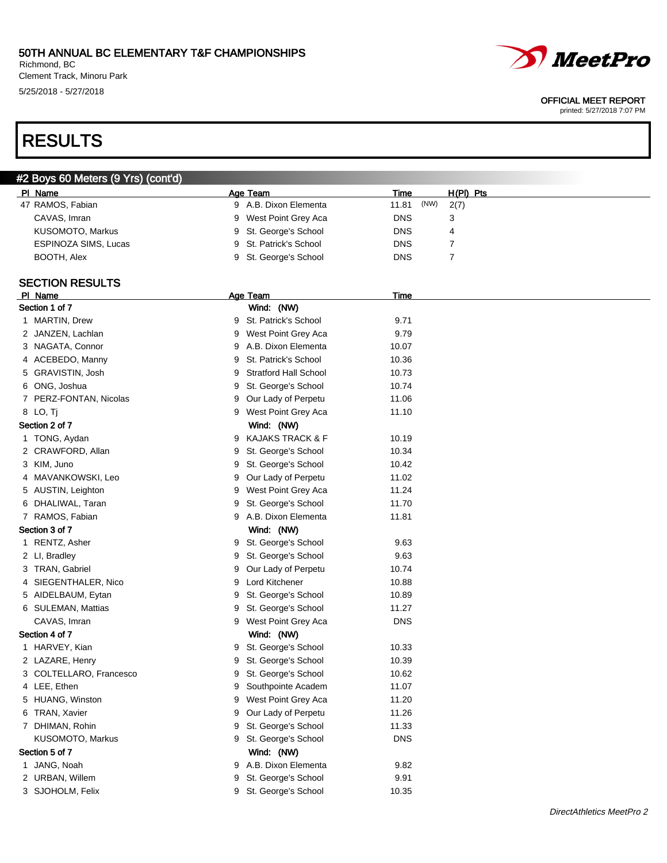Richmond, BC Clement Track, Minoru Park 5/25/2018 - 5/27/2018

# RESULTS

| #2 Boys 60 Meters (9 Yrs) (cont'd) |   |                              |             |      |                |  |
|------------------------------------|---|------------------------------|-------------|------|----------------|--|
| PI Name                            |   | Age Team                     | Time        |      | H(PI) Pts      |  |
| 47 RAMOS, Fabian                   |   | 9 A.B. Dixon Elementa        | 11.81       | (NW) | 2(7)           |  |
| CAVAS, Imran                       | 9 | West Point Grey Aca          | <b>DNS</b>  |      | 3              |  |
| KUSOMOTO, Markus                   | 9 | St. George's School          | <b>DNS</b>  |      | 4              |  |
| ESPINOZA SIMS, Lucas               | 9 | St. Patrick's School         | <b>DNS</b>  |      | 7              |  |
| BOOTH, Alex                        | 9 | St. George's School          | <b>DNS</b>  |      | $\overline{7}$ |  |
| <b>SECTION RESULTS</b>             |   |                              |             |      |                |  |
| PI Name                            |   | Age Team                     | <b>Time</b> |      |                |  |
| Section 1 of 7                     |   | Wind: (NW)                   |             |      |                |  |
| 1 MARTIN, Drew                     | 9 | St. Patrick's School         | 9.71        |      |                |  |
| 2 JANZEN, Lachlan                  | 9 | West Point Grey Aca          | 9.79        |      |                |  |
| 3 NAGATA, Connor                   | 9 | A.B. Dixon Elementa          | 10.07       |      |                |  |
| 4 ACEBEDO, Manny                   | 9 | St. Patrick's School         | 10.36       |      |                |  |
| 5 GRAVISTIN, Josh                  | 9 | <b>Stratford Hall School</b> | 10.73       |      |                |  |
| 6 ONG, Joshua                      | 9 | St. George's School          | 10.74       |      |                |  |
| 7 PERZ-FONTAN, Nicolas             | 9 | Our Lady of Perpetu          | 11.06       |      |                |  |
| 8 LO, Tj                           | 9 | West Point Grey Aca          | 11.10       |      |                |  |
| Section 2 of 7                     |   | Wind: (NW)                   |             |      |                |  |
| 1 TONG, Aydan                      | 9 | <b>KAJAKS TRACK &amp; F</b>  | 10.19       |      |                |  |
| 2 CRAWFORD, Allan                  | 9 | St. George's School          | 10.34       |      |                |  |
| 3 KIM, Juno                        | 9 | St. George's School          | 10.42       |      |                |  |
| 4 MAVANKOWSKI, Leo                 | 9 | Our Lady of Perpetu          | 11.02       |      |                |  |
| 5 AUSTIN, Leighton                 | 9 | West Point Grey Aca          | 11.24       |      |                |  |
| 6 DHALIWAL, Taran                  | 9 | St. George's School          | 11.70       |      |                |  |
| 7 RAMOS, Fabian                    | 9 | A.B. Dixon Elementa          | 11.81       |      |                |  |
| Section 3 of 7                     |   | Wind: (NW)                   |             |      |                |  |
| 1 RENTZ, Asher                     | 9 | St. George's School          | 9.63        |      |                |  |
| 2 LI, Bradley                      | 9 | St. George's School          | 9.63        |      |                |  |
| 3 TRAN, Gabriel                    | 9 | Our Lady of Perpetu          | 10.74       |      |                |  |
| 4 SIEGENTHALER, Nico               | 9 | Lord Kitchener               | 10.88       |      |                |  |
| 5 AIDELBAUM, Eytan                 | 9 | St. George's School          | 10.89       |      |                |  |
| 6 SULEMAN, Mattias                 | 9 | St. George's School          | 11.27       |      |                |  |
| CAVAS, Imran                       | 9 | West Point Grey Aca          | <b>DNS</b>  |      |                |  |
| Section 4 of 7                     |   | Wind: (NW)                   |             |      |                |  |
| 1 HARVEY, Kian                     |   | 9 St. George's School        | 10.33       |      |                |  |
| 2 LAZARE, Henry                    |   | 9 St. George's School        | 10.39       |      |                |  |
| 3 COLTELLARO, Francesco            | 9 | St. George's School          | 10.62       |      |                |  |
| 4 LEE, Ethen                       | 9 | Southpointe Academ           | 11.07       |      |                |  |
| 5 HUANG, Winston                   | 9 | West Point Grey Aca          | 11.20       |      |                |  |
| 6 TRAN, Xavier                     | 9 | Our Lady of Perpetu          | 11.26       |      |                |  |
| 7 DHIMAN, Rohin                    | 9 | St. George's School          | 11.33       |      |                |  |
| KUSOMOTO, Markus                   | 9 | St. George's School          | <b>DNS</b>  |      |                |  |
| Section 5 of 7                     |   | Wind: (NW)                   |             |      |                |  |
| 1 JANG, Noah                       | 9 | A.B. Dixon Elementa          | 9.82        |      |                |  |
| 2 URBAN, Willem                    | 9 | St. George's School          | 9.91        |      |                |  |
| 3 SJOHOLM, Felix                   | 9 | St. George's School          | 10.35       |      |                |  |
|                                    |   |                              |             |      |                |  |

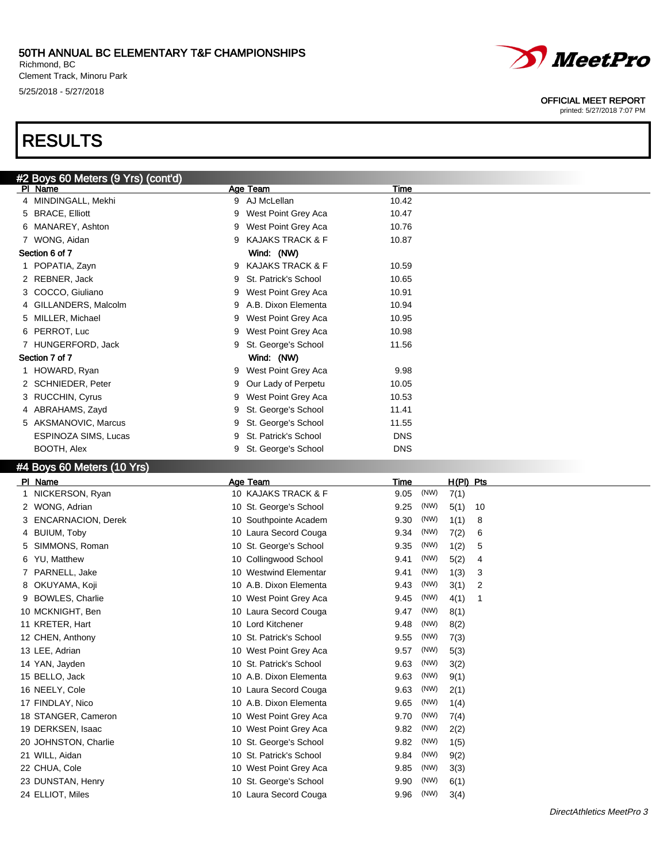#### 50TH ANNUAL BC ELEMENTARY T&F CHAMPIONSHIPS Richmond, BC

Clement Track, Minoru Park 5/25/2018 - 5/27/2018

# RESULTS



#### OFFICIAL MEET REPORT

printed: 5/27/2018 7:07 PM

|    | #2 Boys 60 Meters (9 Yrs) (cont'd) |   |                             |            |      |           |    |  |
|----|------------------------------------|---|-----------------------------|------------|------|-----------|----|--|
|    | PI Name                            |   | Age Team                    | Time       |      |           |    |  |
|    | 4 MINDINGALL, Mekhi                | 9 | AJ McLellan                 | 10.42      |      |           |    |  |
|    | 5 BRACE, Elliott                   | 9 | West Point Grey Aca         | 10.47      |      |           |    |  |
|    | 6 MANAREY, Ashton                  | 9 | West Point Grey Aca         | 10.76      |      |           |    |  |
|    | 7 WONG, Aidan                      | 9 | <b>KAJAKS TRACK &amp; F</b> | 10.87      |      |           |    |  |
|    | Section 6 of 7                     |   | Wind: (NW)                  |            |      |           |    |  |
|    | 1 POPATIA, Zayn                    | 9 | <b>KAJAKS TRACK &amp; F</b> | 10.59      |      |           |    |  |
|    | 2 REBNER, Jack                     | 9 | St. Patrick's School        | 10.65      |      |           |    |  |
|    | 3 COCCO, Giuliano                  | 9 | West Point Grey Aca         | 10.91      |      |           |    |  |
|    | 4 GILLANDERS, Malcolm              | 9 | A.B. Dixon Elementa         | 10.94      |      |           |    |  |
|    | 5 MILLER, Michael                  | 9 | West Point Grey Aca         | 10.95      |      |           |    |  |
|    | 6 PERROT, Luc                      | 9 | West Point Grey Aca         | 10.98      |      |           |    |  |
|    | 7 HUNGERFORD, Jack                 | 9 | St. George's School         | 11.56      |      |           |    |  |
|    | Section 7 of 7                     |   | Wind: (NW)                  |            |      |           |    |  |
|    | 1 HOWARD, Ryan                     | 9 | West Point Grey Aca         | 9.98       |      |           |    |  |
|    | 2 SCHNIEDER, Peter                 | 9 | Our Lady of Perpetu         | 10.05      |      |           |    |  |
|    | 3 RUCCHIN, Cyrus                   | 9 | West Point Grey Aca         | 10.53      |      |           |    |  |
|    | 4 ABRAHAMS, Zayd                   | 9 | St. George's School         | 11.41      |      |           |    |  |
|    | 5 AKSMANOVIC, Marcus               | 9 | St. George's School         | 11.55      |      |           |    |  |
|    | <b>ESPINOZA SIMS, Lucas</b>        | 9 | St. Patrick's School        | <b>DNS</b> |      |           |    |  |
|    | BOOTH, Alex                        | 9 | St. George's School         | <b>DNS</b> |      |           |    |  |
|    | #4 Boys 60 Meters (10 Yrs)         |   |                             |            |      |           |    |  |
|    | PI Name                            |   | Age Team                    | Time       |      | H(PI) Pts |    |  |
|    | 1 NICKERSON, Ryan                  |   | 10 KAJAKS TRACK & F         | 9.05       | (NW) | 7(1)      |    |  |
|    | 2 WONG, Adrian                     |   | 10 St. George's School      | 9.25       | (NW) | 5(1)      | 10 |  |
|    | 3 ENCARNACION, Derek               |   | 10 Southpointe Academ       | 9.30       | (NW) | 1(1)      | 8  |  |
|    | 4 BUIUM, Toby                      |   | 10 Laura Secord Couga       | 9.34       | (NW) | 7(2)      | 6  |  |
| 5. | SIMMONS, Roman                     |   | 10 St. George's School      | 9.35       | (NW) | 1(2)      | 5  |  |

10 Collingwood School 9.41 (NW) 5(2) 4 10 Westwind Elementar 9.41 (NW) 1(3) 3

| 3 SIMMUNS. ROM  |
|-----------------|
| 6 YU. Matthew   |
| 7 PARNELL, Jake |

8 OKUYAMA, Koji 10 A.B. Dixon Elementa 10 A.B. Dixon Elementa 9.43 (NW) 3(1) 2 9 BOWLES, Charlie 10 West Point Grey Aca 39.45 (NW) 4(1) 1

- 10 MCKNIGHT, Ben 10 Laura Secord Couga 9.47 (NW) 8(1)
- 11 KRETER, Hart 10 Lord Kitchener 9.48 (NW) 8(2)
- 12 CHEN, Anthony 10 St. Patrick's School 9.55 (NW) 7(3)
- 13 LEE, Adrian 10 West Point Grey Aca 10 West Point Grey Aca 3.57 (NW) 5(3)
- 14 YAN, Jayden 10 St. Patrick's School 9.63 (NW) 3(2)
- 15 BELLO, Jack 10 A.B. Dixon Elementa 9.63 (NW) 9(1)
- 16 NEELY, Cole **10 Laura Secord Couga** 9.63 (NW) 2(1)
- 17 FINDLAY, Nico 10 A.B. Dixon Elementa 9.65 (NW) 1(4)
- 18 STANGER, Cameron 10 West Point Grey Aca 3.70 (NW) 7(4)
- 19 DERKSEN, Isaac 10 West Point Grey Aca 3.82 (NW) 2(2)
- 20 JOHNSTON, Charlie 10 St. George's School 9.82 (NW) 1(5)
- 21 WILL, Aidan 10 St. Patrick's School 9.84 (NW) 9(2)
- 22 CHUA, Cole 10 West Point Grey Aca 3.85 (NW) 3(3)
- 23 DUNSTAN, Henry 10 St. George's School 9.90 (NW) 6(1)
- 24 ELLIOT, Miles 10 Laura Secord Couga 59.96 (NW) 3(4)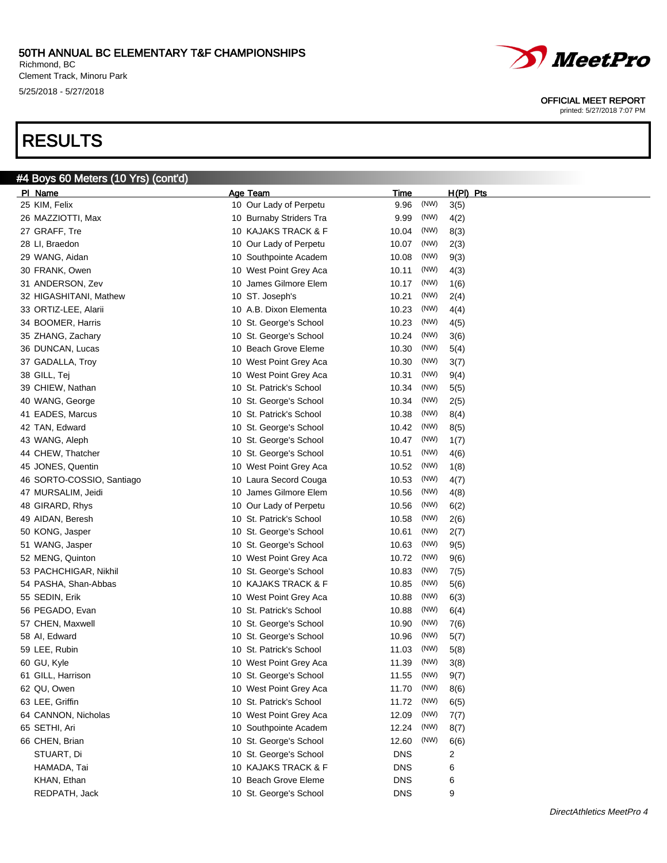Richmond, BC Clement Track, Minoru Park 5/25/2018 - 5/27/2018

# RESULTS



| 45 JONES, Quentin         | 10 West Point Grey Aca  | 10.52      | (NW) | 1(8)           |
|---------------------------|-------------------------|------------|------|----------------|
| 46 SORTO-COSSIO, Santiago | 10 Laura Secord Couga   | 10.53      | (NW) | 4(7)           |
| 47 MURSALIM, Jeidi        | 10 James Gilmore Elem   | 10.56      | (NW) | 4(8)           |
| 48 GIRARD, Rhys           | 10 Our Lady of Perpetu  | 10.56      | (NW) | 6(2)           |
| 49 AIDAN, Beresh          | 10 St. Patrick's School | 10.58      | (NW) | 2(6)           |
| 50 KONG, Jasper           | 10 St. George's School  | 10.61      | (NW) | 2(7)           |
| 51 WANG, Jasper           | 10 St. George's School  | 10.63      | (NW) | 9(5)           |
| 52 MENG, Quinton          | 10 West Point Grey Aca  | 10.72      | (NW) | 9(6)           |
| 53 PACHCHIGAR, Nikhil     | 10 St. George's School  | 10.83      | (NW) | 7(5)           |
| 54 PASHA, Shan-Abbas      | 10 KAJAKS TRACK & F     | 10.85      | (NW) | 5(6)           |
| 55 SEDIN, Erik            | 10 West Point Grey Aca  | 10.88      | (NW) | 6(3)           |
| 56 PEGADO, Evan           | 10 St. Patrick's School | 10.88      | (NW) | 6(4)           |
| 57 CHEN, Maxwell          | 10 St. George's School  | 10.90      | (NW) | 7(6)           |
| 58 AI, Edward             | 10 St. George's School  | 10.96      | (NW) | 5(7)           |
| 59 LEE, Rubin             | 10 St. Patrick's School | 11.03      | (NW) | 5(8)           |
| 60 GU, Kyle               | 10 West Point Grey Aca  | 11.39      | (NW) | 3(8)           |
| 61 GILL, Harrison         | 10 St. George's School  | 11.55      | (NW) | 9(7)           |
| 62 QU, Owen               | 10 West Point Grey Aca  | 11.70      | (NW) | 8(6)           |
| 63 LEE, Griffin           | 10 St. Patrick's School | 11.72      | (NW) | 6(5)           |
| 64 CANNON, Nicholas       | 10 West Point Grey Aca  | 12.09      | (NW) | 7(7)           |
| 65 SETHI, Ari             | 10 Southpointe Academ   | 12.24      | (NW) | 8(7)           |
| 66 CHEN, Brian            | 10 St. George's School  | 12.60      | (NW) | 6(6)           |
| STUART, Di                | 10 St. George's School  | <b>DNS</b> |      | $\overline{2}$ |
| HAMADA, Tai               | 10 KAJAKS TRACK & F     | <b>DNS</b> |      | 6              |
| KHAN, Ethan               | 10 Beach Grove Eleme    | <b>DNS</b> |      | 6              |
| REDPATH, Jack             | 10 St. George's School  | <b>DNS</b> |      | 9              |
|                           |                         |            |      |                |



OFFICIAL MEET REPORT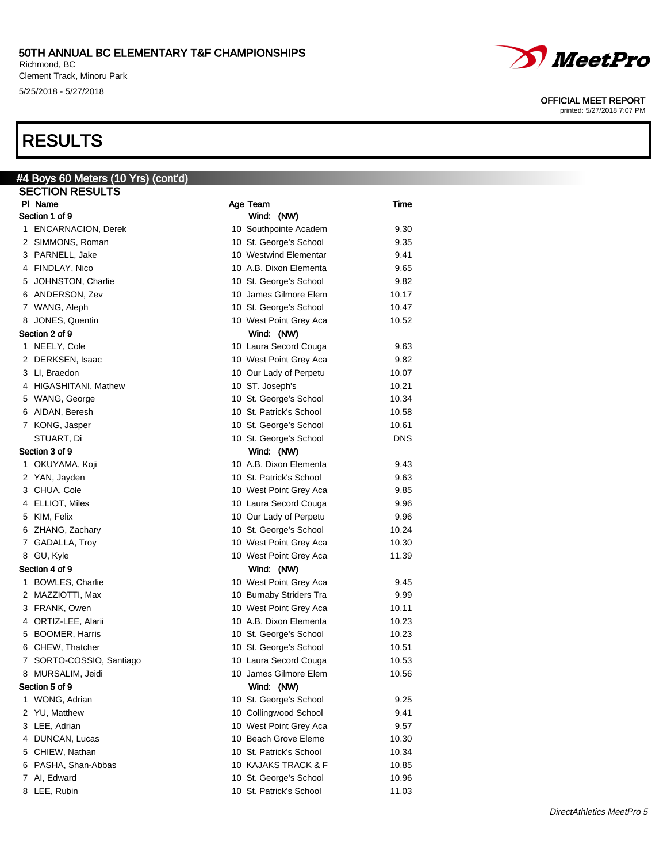Richmond, BC Clement Track, Minoru Park 5/25/2018 - 5/27/2018

# RESULTS

#### OFFICIAL MEET REPORT

| #4 Boys 60 Meters (10 Yrs) (cont'd) |                         |             |  |
|-------------------------------------|-------------------------|-------------|--|
| <b>SECTION RESULTS</b>              |                         |             |  |
| PI Name                             | Age Team                | <u>Time</u> |  |
| Section 1 of 9                      | Wind: (NW)              |             |  |
| 1 ENCARNACION, Derek                | 10 Southpointe Academ   | 9.30        |  |
| 2 SIMMONS, Roman                    | 10 St. George's School  | 9.35        |  |
| 3 PARNELL, Jake                     | 10 Westwind Elementar   | 9.41        |  |
| 4 FINDLAY, Nico                     | 10 A.B. Dixon Elementa  | 9.65        |  |
| 5 JOHNSTON, Charlie                 | 10 St. George's School  | 9.82        |  |
| 6 ANDERSON, Zev                     | 10 James Gilmore Elem   | 10.17       |  |
| 7 WANG, Aleph                       | 10 St. George's School  | 10.47       |  |
| 8 JONES, Quentin                    | 10 West Point Grey Aca  | 10.52       |  |
| Section 2 of 9                      | Wind: (NW)              |             |  |
| 1 NEELY, Cole                       | 10 Laura Secord Couga   | 9.63        |  |
| 2 DERKSEN, Isaac                    | 10 West Point Grey Aca  | 9.82        |  |
| 3 LI, Braedon                       | 10 Our Lady of Perpetu  | 10.07       |  |
| 4 HIGASHITANI, Mathew               | 10 ST. Joseph's         | 10.21       |  |
| 5 WANG, George                      | 10 St. George's School  | 10.34       |  |
| 6 AIDAN, Beresh                     | 10 St. Patrick's School | 10.58       |  |
| 7 KONG, Jasper                      | 10 St. George's School  | 10.61       |  |
| STUART, Di                          | 10 St. George's School  | <b>DNS</b>  |  |
| Section 3 of 9                      | Wind: (NW)              |             |  |
| 1 OKUYAMA, Koji                     | 10 A.B. Dixon Elementa  | 9.43        |  |
| 2 YAN, Jayden                       | 10 St. Patrick's School | 9.63        |  |
| 3 CHUA, Cole                        | 10 West Point Grey Aca  | 9.85        |  |
| 4 ELLIOT, Miles                     | 10 Laura Secord Couga   | 9.96        |  |
| 5 KIM, Felix                        | 10 Our Lady of Perpetu  | 9.96        |  |
| 6 ZHANG, Zachary                    | 10 St. George's School  | 10.24       |  |
| 7 GADALLA, Troy                     | 10 West Point Grey Aca  | 10.30       |  |
| 8 GU, Kyle                          | 10 West Point Grey Aca  | 11.39       |  |
| Section 4 of 9                      | Wind: (NW)              |             |  |
| 1 BOWLES, Charlie                   | 10 West Point Grey Aca  | 9.45        |  |
| 2 MAZZIOTTI, Max                    | 10 Burnaby Striders Tra | 9.99        |  |
| 3 FRANK, Owen                       | 10 West Point Grey Aca  | 10.11       |  |
| 4 ORTIZ-LEE, Alarii                 | 10 A.B. Dixon Elementa  | 10.23       |  |
| 5 BOOMER, Harris                    | 10 St. George's School  | 10.23       |  |
| 6 CHEW, Thatcher                    | 10 St. George's School  | 10.51       |  |
| 7 SORTO-COSSIO, Santiago            | 10 Laura Secord Couga   | 10.53       |  |
| 8 MURSALIM, Jeidi                   | 10 James Gilmore Elem   | 10.56       |  |
| Section 5 of 9                      | Wind: (NW)              |             |  |
| 1 WONG, Adrian                      | 10 St. George's School  | 9.25        |  |
| 2 YU, Matthew                       | 10 Collingwood School   | 9.41        |  |
| 3 LEE, Adrian                       | 10 West Point Grey Aca  | 9.57        |  |
| 4 DUNCAN, Lucas                     | 10 Beach Grove Eleme    | 10.30       |  |
| 5 CHIEW, Nathan                     | 10 St. Patrick's School | 10.34       |  |
| 6 PASHA, Shan-Abbas                 | 10 KAJAKS TRACK & F     | 10.85       |  |
| 7 Al, Edward                        | 10 St. George's School  | 10.96       |  |
| 8 LEE, Rubin                        | 10 St. Patrick's School | 11.03       |  |
|                                     |                         |             |  |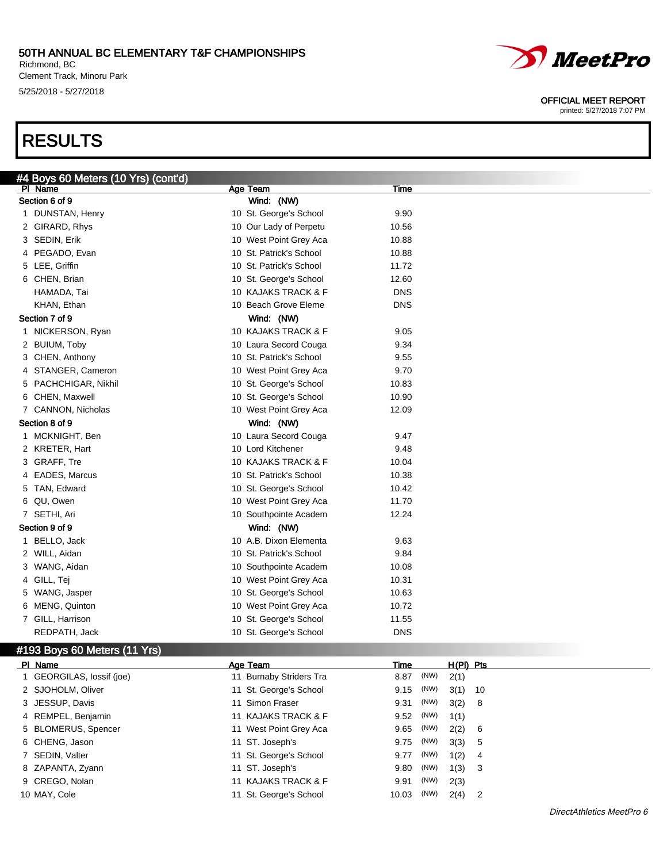Richmond, BC Clement Track, Minoru Park 5/25/2018 - 5/27/2018

# RESULTS



#### OFFICIAL MEET REPORT

| #4 Boys 60 Meters (10 Yrs) (cont'd) |                                           |            |                      |  |
|-------------------------------------|-------------------------------------------|------------|----------------------|--|
| PI Name                             | Age Team                                  | Time       |                      |  |
| Section 6 of 9                      | Wind: (NW)                                |            |                      |  |
| 1 DUNSTAN, Henry                    | 10 St. George's School                    | 9.90       |                      |  |
| 2 GIRARD, Rhys                      | 10 Our Lady of Perpetu                    | 10.56      |                      |  |
| 3 SEDIN, Erik                       | 10 West Point Grey Aca                    | 10.88      |                      |  |
| 4 PEGADO, Evan                      | 10 St. Patrick's School                   | 10.88      |                      |  |
| 5 LEE, Griffin                      | 10 St. Patrick's School                   | 11.72      |                      |  |
| 6 CHEN, Brian                       | 10 St. George's School                    | 12.60      |                      |  |
| HAMADA, Tai                         | 10 KAJAKS TRACK & F                       | <b>DNS</b> |                      |  |
| KHAN, Ethan                         | 10 Beach Grove Eleme                      | <b>DNS</b> |                      |  |
| Section 7 of 9                      | Wind: (NW)                                |            |                      |  |
| 1 NICKERSON, Ryan                   | 10 KAJAKS TRACK & F                       | 9.05       |                      |  |
| 2 BUIUM, Toby                       | 10 Laura Secord Couga                     | 9.34       |                      |  |
| 3 CHEN, Anthony                     | 10 St. Patrick's School                   | 9.55       |                      |  |
| 4 STANGER, Cameron                  | 10 West Point Grey Aca                    | 9.70       |                      |  |
| 5 PACHCHIGAR, Nikhil                | 10 St. George's School                    | 10.83      |                      |  |
| 6 CHEN, Maxwell                     | 10 St. George's School                    | 10.90      |                      |  |
| 7 CANNON, Nicholas                  | 10 West Point Grey Aca                    | 12.09      |                      |  |
| Section 8 of 9                      | Wind: (NW)                                |            |                      |  |
| 1 MCKNIGHT, Ben                     | 10 Laura Secord Couga                     | 9.47       |                      |  |
| 2 KRETER, Hart                      | 10 Lord Kitchener                         | 9.48       |                      |  |
| 3 GRAFF, Tre                        | 10 KAJAKS TRACK & F                       | 10.04      |                      |  |
| 4 EADES, Marcus                     | 10 St. Patrick's School                   | 10.38      |                      |  |
| 5 TAN, Edward                       | 10 St. George's School                    | 10.42      |                      |  |
| 6 QU, Owen                          | 10 West Point Grey Aca                    | 11.70      |                      |  |
| 7 SETHI, Ari                        | 10 Southpointe Academ                     | 12.24      |                      |  |
| Section 9 of 9                      | Wind: (NW)                                |            |                      |  |
| 1 BELLO, Jack                       | 10 A.B. Dixon Elementa                    | 9.63       |                      |  |
| 2 WILL, Aidan                       | 10 St. Patrick's School                   | 9.84       |                      |  |
| 3 WANG, Aidan                       | 10 Southpointe Academ                     | 10.08      |                      |  |
| 4 GILL, Tej                         | 10 West Point Grey Aca                    | 10.31      |                      |  |
| 5 WANG, Jasper                      | 10 St. George's School                    | 10.63      |                      |  |
| 6 MENG, Quinton                     | 10 West Point Grey Aca                    | 10.72      |                      |  |
| 7 GILL, Harrison                    | 10 St. George's School                    | 11.55      |                      |  |
| REDPATH, Jack                       | 10 St. George's School                    | <b>DNS</b> |                      |  |
| #193 Boys 60 Meters (11 Yrs)        |                                           |            |                      |  |
| PI Name                             | Age Team                                  | Time       | $H(PI)$ Pts          |  |
| 1 GEORGILAS, lossif (joe)           | 11 Burnaby Striders Tra                   | 8.87 (NW)  | 2(1)                 |  |
|                                     | $\sim$ $\sim$ $\sim$ $\sim$ $\sim$ $\sim$ | (1.11.1)   | $\sim$ $\sim$ $\sim$ |  |

|                           |                         | .     |      |           |   |
|---------------------------|-------------------------|-------|------|-----------|---|
| 1 GEORGILAS, lossif (joe) | 11 Burnaby Striders Tra | 8.87  | (NW) | 2(1)      |   |
| 2 SJOHOLM, Oliver         | 11 St. George's School  | 9.15  | (NW) | $3(1)$ 10 |   |
| 3 JESSUP, Davis           | 11 Simon Fraser         | 9.31  | (NW) | 3(2) 8    |   |
| 4 REMPEL, Benjamin        | 11 KAJAKS TRACK & F     | 9.52  | (NW) | 1(1)      |   |
| 5 BLOMERUS, Spencer       | 11 West Point Grey Aca  | 9.65  | (NW) | 2(2) 6    |   |
| 6 CHENG, Jason            | 11 ST. Joseph's         | 9.75  | (NW) | 3(3) 5    |   |
| 7 SEDIN, Valter           | 11 St. George's School  | 9.77  | (NW) | 1(2)      | 4 |
| 8 ZAPANTA, Zyann          | 11 ST. Joseph's         | 9.80  | (NW) | 1(3) 3    |   |
| 9 CREGO, Nolan            | 11 KAJAKS TRACK & F     | 9.91  | (NW) | 2(3)      |   |
| 10 MAY, Cole              | 11 St. George's School  | 10.03 | (NW) | $2(4)$ 2  |   |
|                           |                         |       |      |           |   |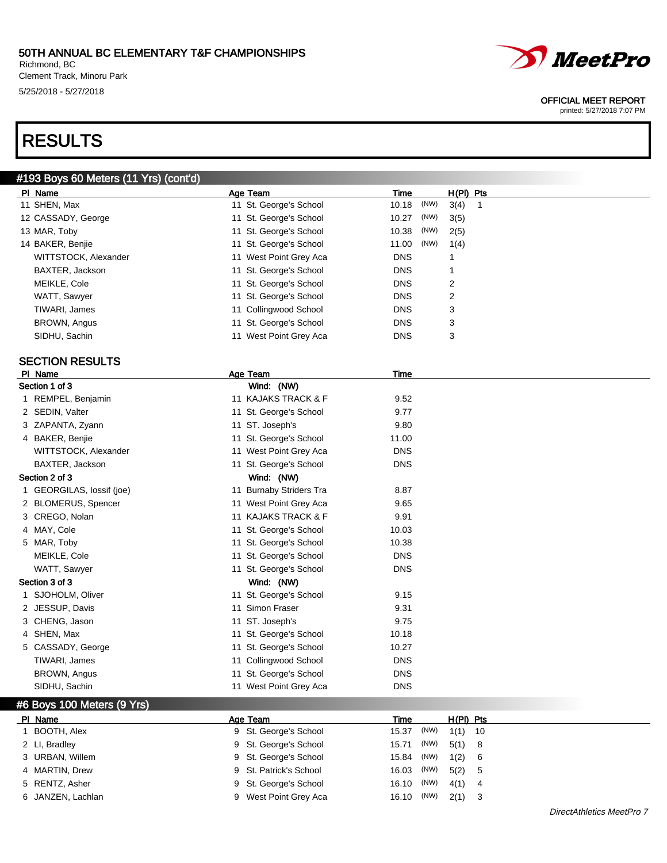Richmond, BC Clement Track, Minoru Park 5/25/2018 - 5/27/2018

# RESULTS



#### OFFICIAL MEET REPORT

|    | #193 Boys 60 Meters (11 Yrs) (cont'd) |   |                         |            |      |             |    |
|----|---------------------------------------|---|-------------------------|------------|------|-------------|----|
|    | PI Name                               |   | <b>Age Team</b>         | Time       |      | $H(PI)$ Pts |    |
|    | 11 SHEN, Max                          |   | 11 St. George's School  | 10.18      | (NW) | 3(4)        | 1  |
|    | 12 CASSADY, George                    |   | 11 St. George's School  | 10.27      | (NW) | 3(5)        |    |
|    | 13 MAR, Toby                          |   | 11 St. George's School  | 10.38      | (NW) | 2(5)        |    |
|    | 14 BAKER, Benjie                      |   | 11 St. George's School  | 11.00      | (NW) | 1(4)        |    |
|    | WITTSTOCK, Alexander                  |   | 11 West Point Grey Aca  | <b>DNS</b> |      | 1           |    |
|    | BAXTER, Jackson                       |   | 11 St. George's School  | <b>DNS</b> |      | 1           |    |
|    | MEIKLE, Cole                          |   | 11 St. George's School  | <b>DNS</b> |      | 2           |    |
|    | WATT, Sawyer                          |   | 11 St. George's School  | <b>DNS</b> |      | 2           |    |
|    | TIWARI, James                         |   | 11 Collingwood School   | <b>DNS</b> |      | 3           |    |
|    | BROWN, Angus                          |   | 11 St. George's School  | <b>DNS</b> |      | 3           |    |
|    | SIDHU, Sachin                         |   | 11 West Point Grey Aca  | <b>DNS</b> |      | 3           |    |
|    |                                       |   |                         |            |      |             |    |
|    | <b>SECTION RESULTS</b>                |   |                         |            |      |             |    |
|    | PI Name                               |   | Age Team                | Time       |      |             |    |
|    | Section 1 of 3                        |   | Wind: (NW)              |            |      |             |    |
|    | 1 REMPEL, Benjamin                    |   | 11 KAJAKS TRACK & F     | 9.52       |      |             |    |
|    | 2 SEDIN, Valter                       |   | 11 St. George's School  | 9.77       |      |             |    |
|    | 3 ZAPANTA, Zyann                      |   | 11 ST. Joseph's         | 9.80       |      |             |    |
|    | 4 BAKER, Benjie                       |   | 11 St. George's School  | 11.00      |      |             |    |
|    | WITTSTOCK, Alexander                  |   | 11 West Point Grey Aca  | <b>DNS</b> |      |             |    |
|    | BAXTER, Jackson                       |   | 11 St. George's School  | <b>DNS</b> |      |             |    |
|    | Section 2 of 3                        |   | Wind: (NW)              |            |      |             |    |
|    | 1 GEORGILAS, lossif (joe)             |   | 11 Burnaby Striders Tra | 8.87       |      |             |    |
|    | 2 BLOMERUS, Spencer                   |   | 11 West Point Grey Aca  | 9.65       |      |             |    |
|    | 3 CREGO, Nolan                        |   | 11 KAJAKS TRACK & F     | 9.91       |      |             |    |
|    | 4 MAY, Cole                           |   | 11 St. George's School  | 10.03      |      |             |    |
|    | 5 MAR, Toby                           |   | 11 St. George's School  | 10.38      |      |             |    |
|    | MEIKLE, Cole                          |   | 11 St. George's School  | <b>DNS</b> |      |             |    |
|    | WATT, Sawyer                          |   | 11 St. George's School  | <b>DNS</b> |      |             |    |
|    | Section 3 of 3                        |   | Wind: (NW)              |            |      |             |    |
|    | 1 SJOHOLM, Oliver                     |   | 11 St. George's School  | 9.15       |      |             |    |
|    | 2 JESSUP, Davis                       |   | 11 Simon Fraser         | 9.31       |      |             |    |
|    | 3 CHENG, Jason                        |   | 11 ST. Joseph's         | 9.75       |      |             |    |
|    | 4 SHEN, Max                           |   | 11 St. George's School  | 10.18      |      |             |    |
|    | 5 CASSADY, George                     |   | 11 St. George's School  | 10.27      |      |             |    |
|    | TIWARI, James                         |   | 11 Collingwood School   | <b>DNS</b> |      |             |    |
|    | BROWN, Angus                          |   | 11 St. George's School  | DNS        |      |             |    |
|    | SIDHU, Sachin                         |   | 11 West Point Grey Aca  | <b>DNS</b> |      |             |    |
|    | #6 Boys 100 Meters (9 Yrs)            |   |                         |            |      |             |    |
|    | PI Name                               |   | Age Team                | Time       |      | H(PI) Pts   |    |
| 1. | BOOTH, Alex                           |   | 9 St. George's School   | 15.37      | (NW) | 1(1)        | 10 |
|    | 2 LI, Bradley                         |   | 9 St. George's School   | 15.71      | (NW) | 5(1)        | 8  |
|    | 3 URBAN, Willem                       | 9 | St. George's School     | 15.84      | (NW) | 1(2)        | 6  |
| 4  | MARTIN, Drew                          | 9 | St. Patrick's School    | 16.03      | (NW) | 5(2)        | 5  |
| 5  | RENTZ, Asher                          | 9 | St. George's School     | 16.10      | (NW) | 4(1)        | 4  |
|    | 6 JANZEN, Lachlan                     |   | 9 West Point Grey Aca   | 16.10      | (NW) | 2(1)        | 3  |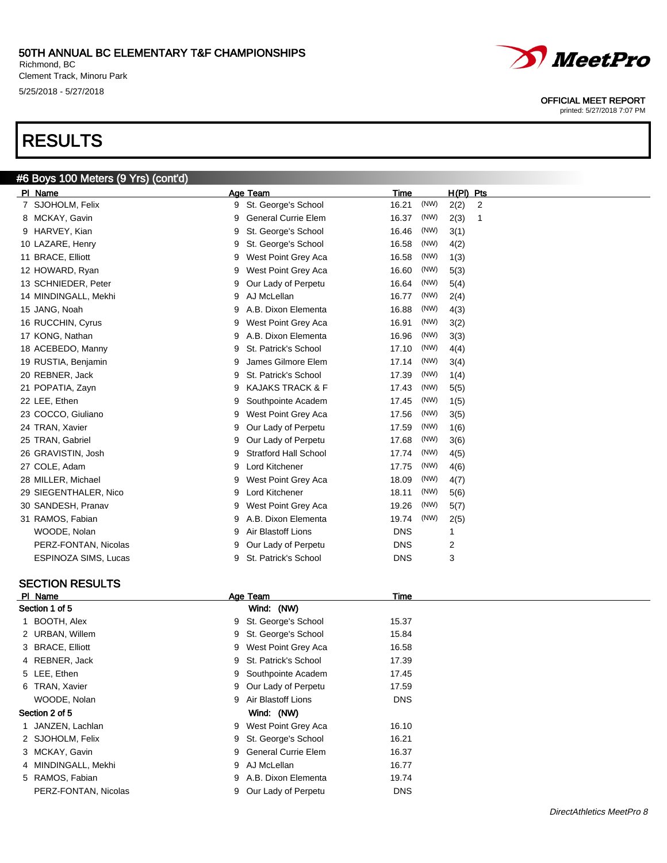Richmond, BC Clement Track, Minoru Park 5/25/2018 - 5/27/2018

#6 Boys 100 Meters (9 Yrs) (cont'd)

# RESULTS



OFFICIAL MEET REPORT

printed: 5/27/2018 7:07 PM

| PI Name                     | Age Team                          | Time<br>H(PI)<br>Pts                 |
|-----------------------------|-----------------------------------|--------------------------------------|
| 7 SJOHOLM, Felix            | St. George's School<br>9          | 16.21<br>(NW)<br>2(2)<br>2           |
| MCKAY, Gavin<br>8           | <b>General Currie Elem</b><br>9   | 16.37<br>(NW)<br>2(3)<br>$\mathbf 1$ |
| HARVEY, Kian<br>9           | St. George's School<br>9          | 16.46<br>(NW)<br>3(1)                |
| 10 LAZARE, Henry            | St. George's School<br>9          | (NW)<br>16.58<br>4(2)                |
| 11 BRACE, Elliott           | West Point Grey Aca<br>9          | (NW)<br>16.58<br>1(3)                |
| 12 HOWARD, Ryan             | West Point Grey Aca<br>9          | 16.60<br>(NW)<br>5(3)                |
| 13 SCHNIEDER, Peter         | Our Lady of Perpetu<br>9          | (NW)<br>16.64<br>5(4)                |
| 14 MINDINGALL, Mekhi        | AJ McLellan<br>9                  | (NW)<br>16.77<br>2(4)                |
| 15 JANG, Noah               | A.B. Dixon Elementa<br>9          | 16.88<br>(NW)<br>4(3)                |
| 16 RUCCHIN, Cyrus           | West Point Grey Aca<br>9          | (NW)<br>16.91<br>3(2)                |
| 17 KONG, Nathan             | A.B. Dixon Elementa<br>9          | (NW)<br>16.96<br>3(3)                |
| 18 ACEBEDO, Manny           | St. Patrick's School<br>9         | (NW)<br>17.10<br>4(4)                |
| 19 RUSTIA, Benjamin         | James Gilmore Elem<br>9           | 17.14<br>(NW)<br>3(4)                |
| 20 REBNER, Jack             | St. Patrick's School<br>9         | 17.39<br>(NW)<br>1(4)                |
| 21 POPATIA, Zayn            | <b>KAJAKS TRACK &amp; F</b><br>9  | 17.43<br>(NW)<br>5(5)                |
| 22 LEE, Ethen               | Southpointe Academ<br>9           | (NW)<br>17.45<br>1(5)                |
| 23 COCCO, Giuliano          | West Point Grey Aca<br>9          | (NW)<br>17.56<br>3(5)                |
| 24 TRAN, Xavier             | Our Lady of Perpetu<br>9          | (NW)<br>17.59<br>1(6)                |
| 25 TRAN, Gabriel            | Our Lady of Perpetu<br>9          | 17.68<br>(NW)<br>3(6)                |
| 26 GRAVISTIN, Josh          | <b>Stratford Hall School</b><br>9 | 17.74<br>(NW)<br>4(5)                |
| 27 COLE, Adam               | Lord Kitchener<br>9               | (NW)<br>17.75<br>4(6)                |
| 28 MILLER, Michael          | West Point Grey Aca<br>9          | (NW)<br>18.09<br>4(7)                |
| 29 SIEGENTHALER, Nico       | Lord Kitchener<br>9               | (NW)<br>18.11<br>5(6)                |
| 30 SANDESH, Pranav          | West Point Grey Aca<br>9          | (NW)<br>19.26<br>5(7)                |
| 31 RAMOS, Fabian            | A.B. Dixon Elementa<br>9          | (NW)<br>19.74<br>2(5)                |
| WOODE, Nolan                | Air Blastoff Lions<br>9           | <b>DNS</b><br>1                      |
| PERZ-FONTAN, Nicolas        | Our Lady of Perpetu<br>9          | 2<br><b>DNS</b>                      |
| <b>ESPINOZA SIMS, Lucas</b> | St. Patrick's School<br>9         | 3<br><b>DNS</b>                      |

### SECTION RESULTS

| PI Name              | Age Team               | Time       |  |
|----------------------|------------------------|------------|--|
| Section 1 of 5       | Wind: (NW)             |            |  |
| 1 BOOTH, Alex        | 9 St. George's School  | 15.37      |  |
| 2 URBAN, Willem      | 9 St. George's School  | 15.84      |  |
| 3 BRACE, Elliott     | 9 West Point Grey Aca  | 16.58      |  |
| 4 REBNER, Jack       | 9 St. Patrick's School | 17.39      |  |
| 5 LEE, Ethen         | 9 Southpointe Academ   | 17.45      |  |
| 6 TRAN, Xavier       | 9 Our Lady of Perpetu  | 17.59      |  |
| WOODE, Nolan         | 9 Air Blastoff Lions   | <b>DNS</b> |  |
| Section 2 of 5       | Wind: (NW)             |            |  |
| JANZEN, Lachlan      | 9 West Point Grey Aca  | 16.10      |  |
| 2 SJOHOLM, Felix     | 9 St. George's School  | 16.21      |  |
| 3 MCKAY, Gavin       | 9 General Currie Elem  | 16.37      |  |
| 4 MINDINGALL, Mekhi  | 9 AJ McLellan          | 16.77      |  |
| 5 RAMOS, Fabian      | 9 A.B. Dixon Elementa  | 19.74      |  |
| PERZ-FONTAN, Nicolas | 9 Our Lady of Perpetu  | <b>DNS</b> |  |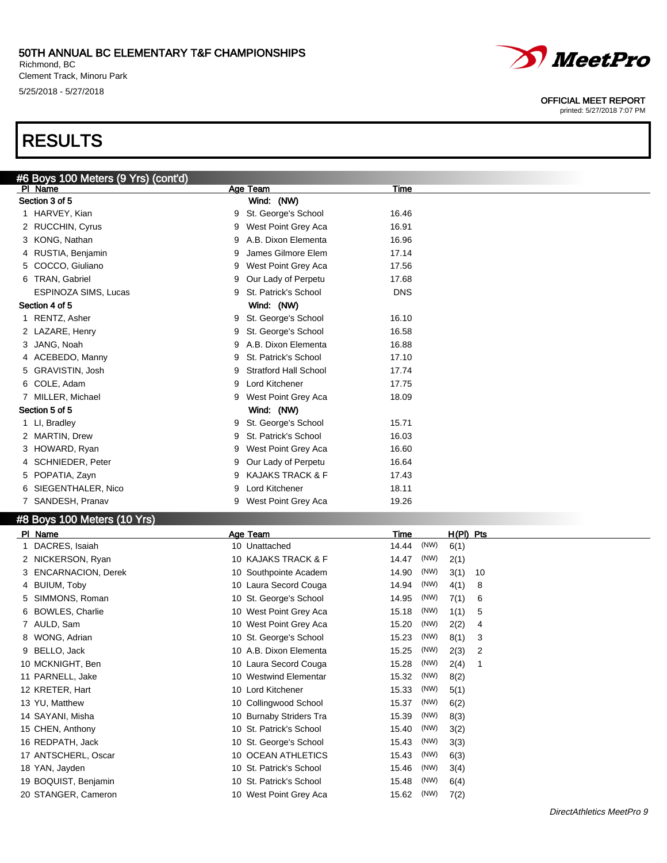Richmond, BC Clement Track, Minoru Park 5/25/2018 - 5/27/2018

# RESULTS



#### OFFICIAL MEET REPORT

|   | #6 Boys 100 Meters (9 Yrs) (cont'd)         |   |                                                   |                |              |              |              |  |
|---|---------------------------------------------|---|---------------------------------------------------|----------------|--------------|--------------|--------------|--|
|   | PI Name                                     |   | Age Team                                          | Time           |              |              |              |  |
|   | Section 3 of 5                              |   | Wind: (NW)                                        |                |              |              |              |  |
|   | 1 HARVEY, Kian                              | 9 | St. George's School                               | 16.46          |              |              |              |  |
|   | 2 RUCCHIN, Cyrus                            | 9 | West Point Grey Aca                               | 16.91          |              |              |              |  |
|   | 3 KONG, Nathan                              | 9 | A.B. Dixon Elementa                               | 16.96          |              |              |              |  |
|   | 4 RUSTIA, Benjamin                          | 9 | James Gilmore Elem                                | 17.14          |              |              |              |  |
|   | 5 COCCO, Giuliano                           | 9 | West Point Grey Aca                               | 17.56          |              |              |              |  |
|   | 6 TRAN, Gabriel                             | 9 | Our Lady of Perpetu                               | 17.68          |              |              |              |  |
|   | ESPINOZA SIMS, Lucas                        | 9 | St. Patrick's School                              | <b>DNS</b>     |              |              |              |  |
|   | Section 4 of 5                              |   | Wind: (NW)                                        |                |              |              |              |  |
|   | 1 RENTZ, Asher                              | 9 | St. George's School                               | 16.10          |              |              |              |  |
|   | 2 LAZARE, Henry                             | 9 | St. George's School                               | 16.58          |              |              |              |  |
|   | 3 JANG, Noah                                | 9 | A.B. Dixon Elementa                               | 16.88          |              |              |              |  |
|   | 4 ACEBEDO, Manny                            | 9 | St. Patrick's School                              | 17.10          |              |              |              |  |
|   | 5 GRAVISTIN, Josh                           | 9 | <b>Stratford Hall School</b>                      | 17.74          |              |              |              |  |
|   | 6 COLE, Adam                                | 9 | Lord Kitchener                                    | 17.75          |              |              |              |  |
|   | 7 MILLER, Michael                           | 9 | West Point Grey Aca                               | 18.09          |              |              |              |  |
|   | Section 5 of 5                              |   | Wind: (NW)                                        |                |              |              |              |  |
|   | 1 LI, Bradley                               | 9 | St. George's School                               | 15.71          |              |              |              |  |
|   | 2 MARTIN, Drew                              | 9 | St. Patrick's School                              | 16.03          |              |              |              |  |
|   | 3 HOWARD, Ryan                              | 9 | West Point Grey Aca                               | 16.60          |              |              |              |  |
|   | 4 SCHNIEDER, Peter                          | 9 | Our Lady of Perpetu                               | 16.64          |              |              |              |  |
|   | 5 POPATIA, Zayn                             | 9 | <b>KAJAKS TRACK &amp; F</b>                       | 17.43          |              |              |              |  |
|   | 6 SIEGENTHALER, Nico                        |   | Lord Kitchener                                    | 18.11          |              |              |              |  |
|   | 7 SANDESH, Pranav                           | 9 |                                                   | 19.26          |              |              |              |  |
|   |                                             | 9 | West Point Grey Aca                               |                |              |              |              |  |
|   | #8 Boys 100 Meters (10 Yrs)                 |   |                                                   |                |              |              |              |  |
|   | PI Name                                     |   | <b>Age Team</b>                                   | Time           |              | H(PI) Pts    |              |  |
| 1 | DACRES, Isaiah                              |   | 10 Unattached                                     | 14.44          | (NW)         | 6(1)         |              |  |
|   | 2 NICKERSON, Ryan                           |   | 10 KAJAKS TRACK & F                               | 14.47          | (NW)         | 2(1)         |              |  |
|   | 3 ENCARNACION, Derek                        |   | 10 Southpointe Academ                             | 14.90          | (NW)         | 3(1)         | 10           |  |
|   | 4 BUIUM, Toby                               |   | 10 Laura Secord Couga                             | 14.94          | (NW)         | 4(1)         | 8            |  |
|   | 5 SIMMONS, Roman                            |   | 10 St. George's School                            | 14.95          | (NW)         | 7(1)         | 6            |  |
|   | 6 BOWLES, Charlie                           |   | 10 West Point Grey Aca                            | 15.18          | (NW)         | 1(1)         | 5            |  |
|   | 7 AULD, Sam                                 |   | 10 West Point Grey Aca                            | 15.20          | (NW)         | 2(2)         | 4            |  |
|   | WONG, Adrian                                |   | 10 St. George's School                            | 15.23          | (NW)         | 8(1)         | 3            |  |
|   | 9 BELLO, Jack                               |   | 10 A.B. Dixon Elementa                            | 15.25          | (NW)         | 2(3)         | 2            |  |
|   | 10 MCKNIGHT, Ben                            |   | 10 Laura Secord Couga                             | 15.28          | (NW)         | 2(4)         | $\mathbf{1}$ |  |
|   | 11 PARNELL, Jake                            |   | 10 Westwind Elementar                             | 15.32          | (NW)         | 8(2)         |              |  |
|   | 12 KRETER, Hart                             |   | 10 Lord Kitchener                                 | 15.33          | (NW)         | 5(1)         |              |  |
|   | 13 YU, Matthew                              |   | 10 Collingwood School                             | 15.37          | (NW)         | 6(2)         |              |  |
|   | 14 SAYANI, Misha                            |   | 10 Burnaby Striders Tra                           | 15.39          | (NW)         | 8(3)         |              |  |
|   | 15 CHEN, Anthony                            |   | 10 St. Patrick's School                           | 15.40          | (NW)         | 3(2)         |              |  |
|   | 16 REDPATH, Jack                            |   | 10 St. George's School                            | 15.43          | (NW)         | 3(3)         |              |  |
|   | 17 ANTSCHERL, Oscar                         |   | 10 OCEAN ATHLETICS                                | 15.43          | (NW)         | 6(3)         |              |  |
|   |                                             |   |                                                   |                |              |              |              |  |
|   |                                             |   |                                                   |                |              |              |              |  |
|   | 18 YAN, Jayden                              |   | 10 St. Patrick's School                           | 15.46          | (NW)         | 3(4)         |              |  |
|   | 19 BOQUIST, Benjamin<br>20 STANGER, Cameron |   | 10 St. Patrick's School<br>10 West Point Grey Aca | 15.48<br>15.62 | (NW)<br>(NW) | 6(4)<br>7(2) |              |  |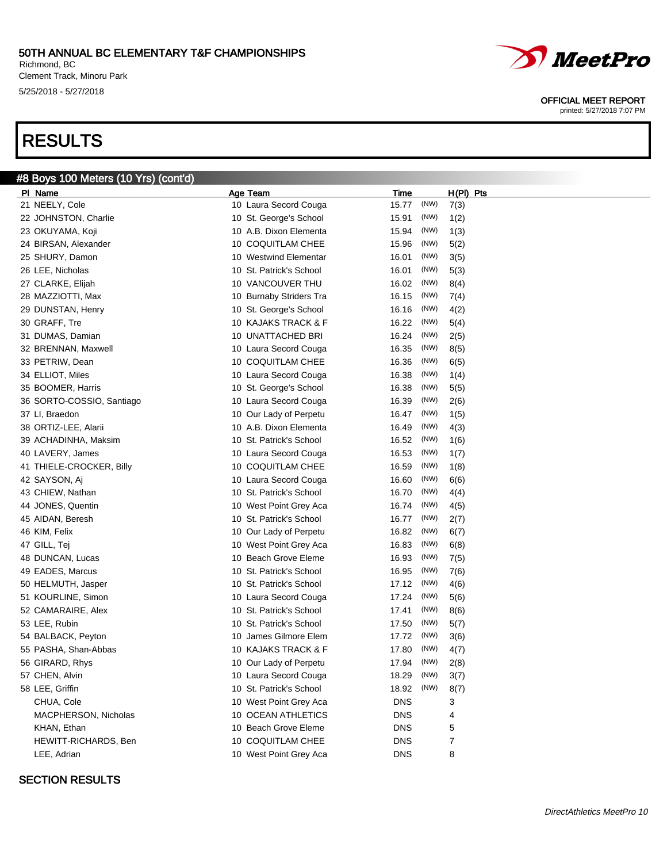Richmond, BC Clement Track, Minoru Park 5/25/2018 - 5/27/2018

# RESULTS



## SECTION RESULTS





OFFICIAL MEET REPORT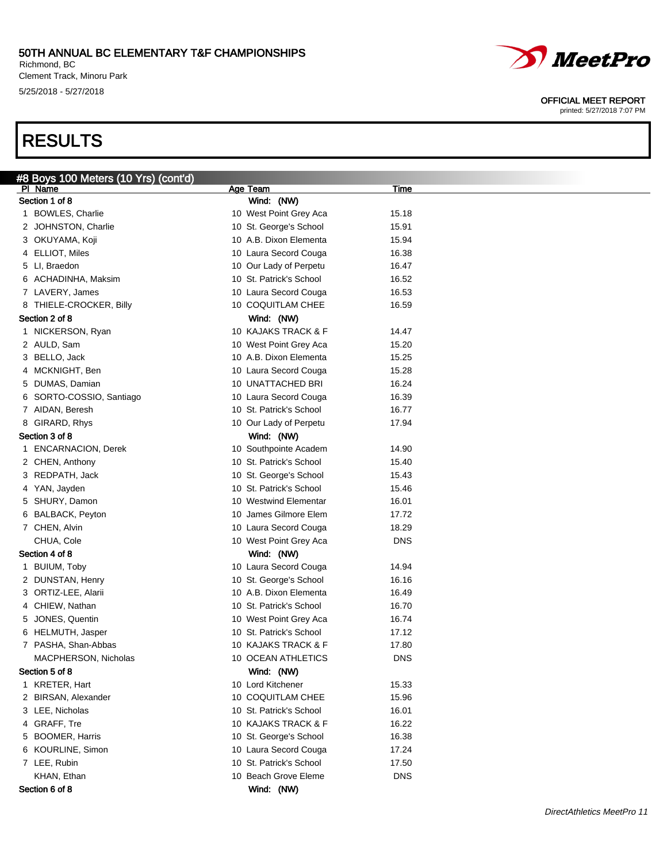Richmond, BC Clement Track, Minoru Park 5/25/2018 - 5/27/2018

# RESULTS



#### OFFICIAL MEET REPORT

| #8 Boys 100 Meters (10 Yrs) (cont'd) |                         |            |
|--------------------------------------|-------------------------|------------|
| PI Name                              | Age Team                | Time       |
| Section 1 of 8                       | Wind: (NW)              |            |
| 1 BOWLES, Charlie                    | 10 West Point Grey Aca  | 15.18      |
| 2 JOHNSTON, Charlie                  | 10 St. George's School  | 15.91      |
| 3 OKUYAMA, Koji                      | 10 A.B. Dixon Elementa  | 15.94      |
| 4 ELLIOT, Miles                      | 10 Laura Secord Couga   | 16.38      |
| 5 LI, Braedon                        | 10 Our Lady of Perpetu  | 16.47      |
| 6 ACHADINHA, Maksim                  | 10 St. Patrick's School | 16.52      |
| 7 LAVERY, James                      | 10 Laura Secord Couga   | 16.53      |
| 8 THIELE-CROCKER, Billy              | 10 COQUITLAM CHEE       | 16.59      |
| Section 2 of 8                       | Wind: (NW)              |            |
| 1 NICKERSON, Ryan                    | 10 KAJAKS TRACK & F     | 14.47      |
| 2 AULD, Sam                          | 10 West Point Grey Aca  | 15.20      |
| 3 BELLO, Jack                        | 10 A.B. Dixon Elementa  | 15.25      |
| 4 MCKNIGHT, Ben                      | 10 Laura Secord Couga   | 15.28      |
| 5 DUMAS, Damian                      | 10 UNATTACHED BRI       | 16.24      |
| 6 SORTO-COSSIO, Santiago             | 10 Laura Secord Couga   | 16.39      |
| 7 AIDAN, Beresh                      | 10 St. Patrick's School | 16.77      |
| 8 GIRARD, Rhys                       | 10 Our Lady of Perpetu  | 17.94      |
| Section 3 of 8                       | Wind: (NW)              |            |
| 1 ENCARNACION, Derek                 | 10 Southpointe Academ   | 14.90      |
| 2 CHEN, Anthony                      | 10 St. Patrick's School | 15.40      |
| 3 REDPATH, Jack                      | 10 St. George's School  | 15.43      |
| 4 YAN, Jayden                        | 10 St. Patrick's School | 15.46      |
| 5 SHURY, Damon                       | 10 Westwind Elementar   | 16.01      |
| 6 BALBACK, Peyton                    | 10 James Gilmore Elem   | 17.72      |
| 7 CHEN, Alvin                        | 10 Laura Secord Couga   | 18.29      |
| CHUA, Cole                           | 10 West Point Grey Aca  | <b>DNS</b> |
| Section 4 of 8                       | Wind: (NW)              |            |
| 1 BUIUM, Toby                        | 10 Laura Secord Couga   | 14.94      |
| 2 DUNSTAN, Henry                     | 10 St. George's School  | 16.16      |
| 3 ORTIZ-LEE, Alarii                  | 10 A.B. Dixon Elementa  | 16.49      |
| 4 CHIEW, Nathan                      | 10 St. Patrick's School | 16.70      |
| 5 JONES, Quentin                     | 10 West Point Grey Aca  | 16.74      |
| 6 HELMUTH, Jasper                    | 10 St. Patrick's School | 17.12      |
| 7 PASHA, Shan-Abbas                  | 10 KAJAKS TRACK & F     | 17.80      |
| MACPHERSON, Nicholas                 | 10 OCEAN ATHLETICS      | <b>DNS</b> |
| Section 5 of 8                       | Wind: (NW)              |            |
| 1 KRETER, Hart                       | 10 Lord Kitchener       | 15.33      |
| 2 BIRSAN, Alexander                  | 10 COQUITLAM CHEE       | 15.96      |
| 3 LEE, Nicholas                      | 10 St. Patrick's School | 16.01      |
| 4 GRAFF, Tre                         | 10 KAJAKS TRACK & F     | 16.22      |
| 5 BOOMER, Harris                     | 10 St. George's School  | 16.38      |
| 6 KOURLINE, Simon                    | 10 Laura Secord Couga   | 17.24      |
| 7 LEE, Rubin                         | 10 St. Patrick's School | 17.50      |
| KHAN, Ethan                          | 10 Beach Grove Eleme    | <b>DNS</b> |
| Section 6 of 8                       | Wind: (NW)              |            |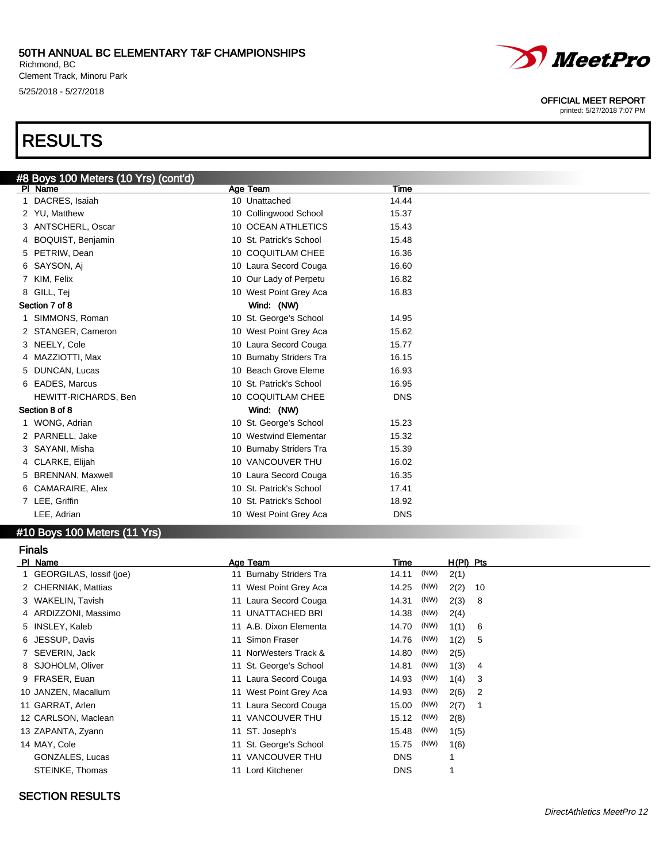Richmond, BC Clement Track, Minoru Park 5/25/2018 - 5/27/2018

# RESULTS

| #8 Boys 100 Meters (10 Yrs) (cont'd) |                         |            |
|--------------------------------------|-------------------------|------------|
| PI Name                              | Age Team                | Time       |
| 1 DACRES, Isaiah                     | 10 Unattached           | 14.44      |
| 2 YU, Matthew                        | 10 Collingwood School   | 15.37      |
| 3 ANTSCHERL, Oscar                   | 10 OCEAN ATHLETICS      | 15.43      |
| 4 BOQUIST, Benjamin                  | 10 St. Patrick's School | 15.48      |
| 5 PETRIW, Dean                       | 10 COQUITLAM CHEE       | 16.36      |
| 6 SAYSON, Ai                         | 10 Laura Secord Couga   | 16.60      |
| 7 KIM, Felix                         | 10 Our Lady of Perpetu  | 16.82      |
| 8 GILL, Tej                          | 10 West Point Grey Aca  | 16.83      |
| Section 7 of 8                       | Wind: (NW)              |            |
| 1 SIMMONS, Roman                     | 10 St. George's School  | 14.95      |
| 2 STANGER, Cameron                   | 10 West Point Grey Aca  | 15.62      |
| 3 NEELY, Cole                        | 10 Laura Secord Couga   | 15.77      |
| 4 MAZZIOTTI, Max                     | 10 Burnaby Striders Tra | 16.15      |
| 5 DUNCAN, Lucas                      | 10 Beach Grove Eleme    | 16.93      |
| 6 EADES, Marcus                      | 10 St. Patrick's School | 16.95      |
| HEWITT-RICHARDS, Ben                 | 10 COQUITLAM CHEE       | <b>DNS</b> |
| Section 8 of 8                       | Wind: (NW)              |            |
| 1 WONG, Adrian                       | 10 St. George's School  | 15.23      |
| 2 PARNELL, Jake                      | 10 Westwind Elementar   | 15.32      |
| 3 SAYANI, Misha                      | 10 Burnaby Striders Tra | 15.39      |
| 4 CLARKE, Elijah                     | 10 VANCOUVER THU        | 16.02      |
| 5 BRENNAN, Maxwell                   | 10 Laura Secord Couga   | 16.35      |
| 6 CAMARAIRE, Alex                    | 10 St. Patrick's School | 17.41      |
| 7 LEE, Griffin                       | 10 St. Patrick's School | 18.92      |
| LEE, Adrian                          | 10 West Point Grey Aca  | <b>DNS</b> |

### #10 Boys 100 Meters (11 Yrs)

Finals

### Pl Name Age Team Time H(Pl) Pts 1 GEORGILAS, Iossif (joe) 11 Burnaby Striders Tra 14.11 (NW) 2(1) 2 CHERNIAK, Mattias 11 West Point Grey Aca 14.25 (NW) 2(2) 10 3 WAKELIN, Tavish 11 Laura Secord Couga 14.31 (NW) 2(3) 8 4 ARDIZZONI, Massimo 11 UNATTACHED BRI 14.38 (NW) 2(4) 5 INSLEY, Kaleb 11 A.B. Dixon Elementa 14.70 (NW) 1(1) 6 6 JESSUP, Davis 11 Simon Fraser 14.76 (NW) 1(2) 5 7 SEVERIN, Jack 11 NorWesters Track & 14.80 (NW) 2(5) 8 SJOHOLM, Oliver 11 St. George's School 14.81 (NW) 1(3) 4 9 FRASER, Euan 11 Laura Secord Couga 14.93 (NW) 1(4) 3 10 JANZEN, Macallum 11 West Point Grey Aca 14.93 (NW) 2(6) 2 11 GARRAT, Arlen 11 Laura Secord Couga 15.00 (NW) 2(7) 1 12 CARLSON, Maclean 11 VANCOUVER THU 15.12 (NW) 2(8) 13 ZAPANTA, Zyann 15 11 ST. Joseph's 15.48 (NW) 1(5) 14 MAY, Cole 11 St. George's School 15.75 (NW) 1(6) GONZALES, Lucas 11 VANCOUVER THU DNS 1 STEINKE, Thomas 11 Lord Kitchener 11 Lord Kitchener 1

### SECTION RESULTS



#### OFFICIAL MEET REPORT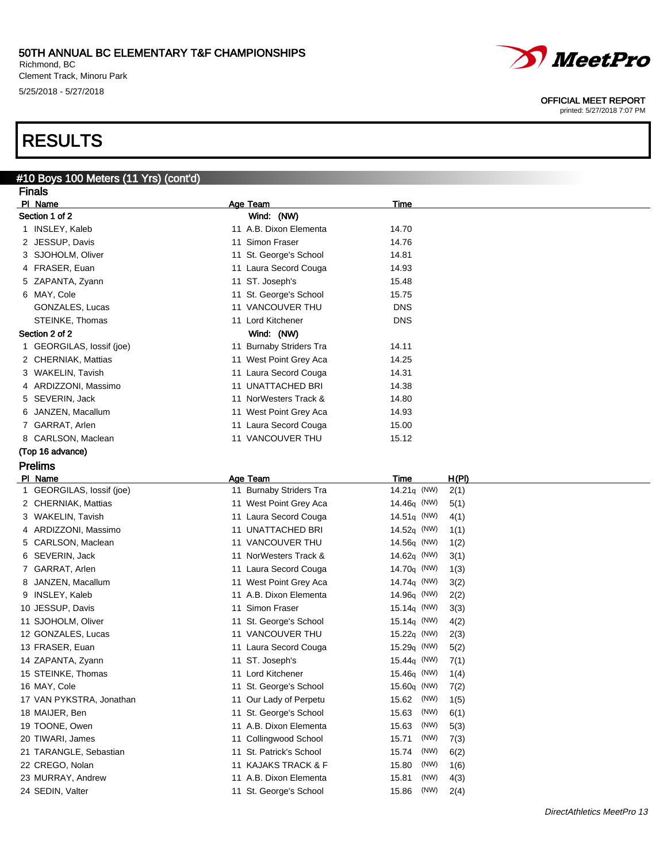Richmond, BC Clement Track, Minoru Park 5/25/2018 - 5/27/2018

# RESULTS

## #10 Boys 100 Meters (11 Yrs) (cont'd)

| <b>Finals</b>             |  |                         |                     |      |       |
|---------------------------|--|-------------------------|---------------------|------|-------|
| PI Name                   |  | Age Team                | <b>Time</b>         |      |       |
| Section 1 of 2            |  | Wind: (NW)              |                     |      |       |
| 1 INSLEY, Kaleb           |  | 11 A.B. Dixon Elementa  | 14.70               |      |       |
| 2 JESSUP, Davis           |  | 11 Simon Fraser         | 14.76               |      |       |
| 3 SJOHOLM, Oliver         |  | 11 St. George's School  | 14.81               |      |       |
| 4 FRASER, Euan            |  | 11 Laura Secord Couga   | 14.93               |      |       |
| 5 ZAPANTA, Zyann          |  | 11 ST. Joseph's         | 15.48               |      |       |
| 6 MAY, Cole               |  | 11 St. George's School  | 15.75               |      |       |
| GONZALES, Lucas           |  | 11 VANCOUVER THU        | <b>DNS</b>          |      |       |
| STEINKE, Thomas           |  | 11 Lord Kitchener       | <b>DNS</b>          |      |       |
| Section 2 of 2            |  | Wind: (NW)              |                     |      |       |
| 1 GEORGILAS, lossif (joe) |  | 11 Burnaby Striders Tra | 14.11               |      |       |
| 2 CHERNIAK, Mattias       |  | 11 West Point Grey Aca  | 14.25               |      |       |
| 3 WAKELIN, Tavish         |  | 11 Laura Secord Couga   | 14.31               |      |       |
| 4 ARDIZZONI, Massimo      |  | 11 UNATTACHED BRI       | 14.38               |      |       |
| 5 SEVERIN, Jack           |  | 11 NorWesters Track &   | 14.80               |      |       |
| 6 JANZEN, Macallum        |  | 11 West Point Grey Aca  | 14.93               |      |       |
| 7 GARRAT, Arlen           |  | 11 Laura Secord Couga   | 15.00               |      |       |
| 8 CARLSON, Maclean        |  | 11 VANCOUVER THU        | 15.12               |      |       |
| (Top 16 advance)          |  |                         |                     |      |       |
| <b>Prelims</b>            |  |                         |                     |      |       |
| PI Name                   |  | Age Team                | Time                |      | H(PI) |
| 1 GEORGILAS, lossif (joe) |  | 11 Burnaby Striders Tra | $14.21q$ (NW)       |      | 2(1)  |
| 2 CHERNIAK, Mattias       |  | 11 West Point Grey Aca  | 14.46q (NW)         |      | 5(1)  |
| 3 WAKELIN, Tavish         |  | 11 Laura Secord Couga   | 14.51 $q$ (NW)      |      | 4(1)  |
| 4 ARDIZZONI, Massimo      |  | 11 UNATTACHED BRI       | 14.52 $q$ (NW)      |      | 1(1)  |
| 5 CARLSON, Maclean        |  | 11 VANCOUVER THU        | $14.56q$ (NW)       |      | 1(2)  |
| 6 SEVERIN, Jack           |  | 11 NorWesters Track &   | 14.62 $q$ (NW)      |      | 3(1)  |
| 7 GARRAT, Arlen           |  | 11 Laura Secord Couga   | 14.70 $q$ (NW)      |      | 1(3)  |
| 8 JANZEN, Macallum        |  | 11 West Point Grey Aca  | 14.74 $q$ (NW)      |      | 3(2)  |
| 9 INSLEY, Kaleb           |  | 11 A.B. Dixon Elementa  | 14.96 $q$ (NW)      |      | 2(2)  |
| 10 JESSUP, Davis          |  | 11 Simon Fraser         | 15.14 $q$ (NW)      |      | 3(3)  |
| 11 SJOHOLM, Oliver        |  | 11 St. George's School  | 15.14 $q$ (NW)      |      | 4(2)  |
| 12 GONZALES, Lucas        |  | 11 VANCOUVER THU        | 15.22q (NW)         |      | 2(3)  |
| 13 FRASER, Euan           |  | 11 Laura Secord Couga   | $15.29q$ (NW)       |      | 5(2)  |
| 14 ZAPANTA, Zyann         |  | 11 ST. Joseph's         | 15.44 $\sigma$ (NW) |      | 7(1)  |
| 15 STEINKE, Thomas        |  | 11 Lord Kitchener       | 15.46q (NW)         |      | 1(4)  |
| 16 MAY, Cole              |  | 11 St. George's School  | 15.60 $q$ (NW)      |      | 7(2)  |
| 17 VAN PYKSTRA, Jonathan  |  | 11 Our Lady of Perpetu  | 15.62               | (NW) | 1(5)  |
| 18 MAIJER, Ben            |  | 11 St. George's School  | 15.63               | (NW) | 6(1)  |
| 19 TOONE, Owen            |  | 11 A.B. Dixon Elementa  | 15.63               | (NW) | 5(3)  |
| 20 TIWARI, James          |  | 11 Collingwood School   | 15.71               | (NW) | 7(3)  |
| 21 TARANGLE, Sebastian    |  | 11 St. Patrick's School | 15.74               | (NW) | 6(2)  |
| 22 CREGO, Nolan           |  | 11 KAJAKS TRACK & F     | 15.80               | (NW) | 1(6)  |
| 23 MURRAY, Andrew         |  | 11 A.B. Dixon Elementa  | 15.81               | (NW) | 4(3)  |
| 24 SEDIN, Valter          |  | 11 St. George's School  | 15.86               | (NW) | 2(4)  |

*MeetPro* 

OFFICIAL MEET REPORT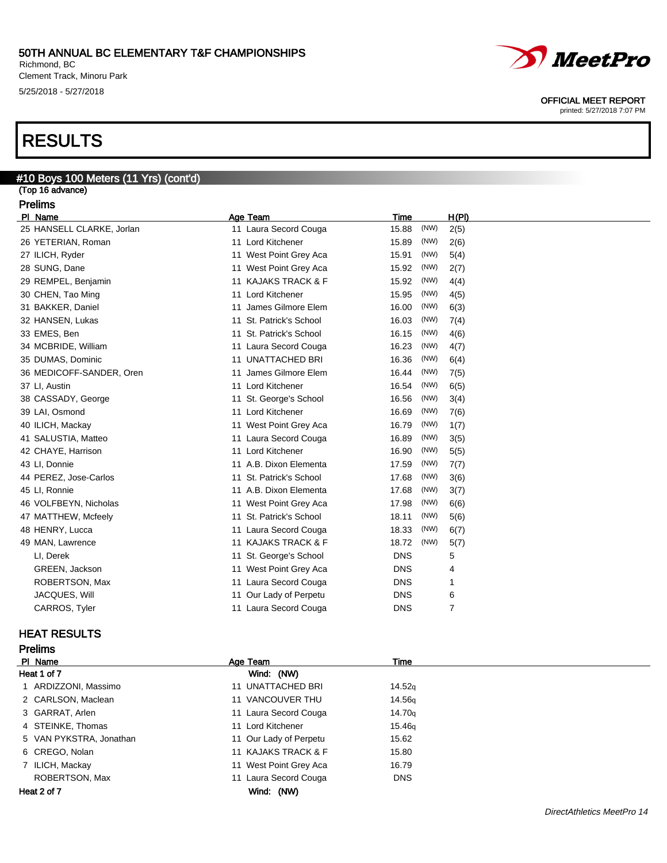Richmond, BC Clement Track, Minoru Park 5/25/2018 - 5/27/2018

# RESULTS

### #10 Boys 100 Meters (11 Yrs) (cont'd) (Top 16 advance) Prelims PI Name **Age Team** Age Team Time H(PI) 25 HANSELL CLARKE, Jorlan 11 Laura Secord Couga 15.88 (NW) 2(5) 26 YETERIAN, Roman 11 Lord Kitchener 15.89 (NW) 2(6) 27 ILICH, Ryder 15.91 CMP 11 West Point Grey Aca 15.91 (NW) 5(4) 28 SUNG, Dane 11 West Point Grey Aca 15.92 (NW) 2(7) 29 REMPEL, Benjamin 11 KAJAKS TRACK & F 15.92 (NW) 4(4) 30 CHEN, Tao Ming 15.95 (NW) 1(5) 11 Lord Kitchener 15.95 (NW) 1(5) 31 BAKKER, Daniel 11 James Gilmore Elem 16.00 (NW) 6(3) 32 HANSEN, Lukas 11 St. Patrick's School 16.03 (NW) 7(4) 33 EMES, Ben 11 St. Patrick's School 16.15 (NW) 4(6) 34 MCBRIDE, William 11 Laura Secord Couga 16.23 (NW) 4(7) 35 DUMAS, Dominic 11 UNATTACHED BRI 16.36 (NW) 6(4) 36 MEDICOFF-SANDER, Oren 11 James Gilmore Elem 16.44 (NW) 7(5) 37 LI, Austin 11 Lord Kitchener 16.54 (NW) 6(5) 38 CASSADY, George 11 St. George's School 16.56 (NW) 3(4) 39 LAI, Osmond 11 Lord Kitchener 16.69 (NW) 7(6) 40 ILICH, Mackay 16.79 (NW) 1(7) 11 West Point Grey Aca 16.79 (NW) 1(7) 41 SALUSTIA, Matteo 11 Laura Secord Couga 16.89 (NW) 3(5) 42 CHAYE, Harrison 11 Lord Kitchener 16.90 (NW) 5(5) 43 LI, Donnie 11 A.B. Dixon Elementa 17.59 (NW) 7(7) 44 PEREZ, Jose-Carlos 11 St. Patrick's School 17.68 (NW) 3(6) 45 LI, Ronnie 11 A.B. Dixon Elementa 17.68 (NW) 3(7) 46 VOLFBEYN, Nicholas 11 West Point Grey Aca 17.98 (NW) 6(6) 47 MATTHEW, Mcfeely 11 St. Patrick's School 18.11 (NW) 5(6) 48 HENRY, Lucca **11 Laura Secord Couga** 18.33 (NW) 6(7) 49 MAN, Lawrence **11 KAJAKS TRACK & F** 18.72 (NW) 5(7) LI, Derek 11 St. George's School DNS 5 GREEN, Jackson 11 West Point Grey Aca DNS 4 ROBERTSON, Max 11 Laura Secord Couga 11 David DNS 1 JACQUES, Will **11 Our Lady of Perpetu** DNS 6

### HEAT RESULTS

Prelims

| .                       |                        |                    |  |
|-------------------------|------------------------|--------------------|--|
| PI Name                 | Age Team               | <b>Time</b>        |  |
| Heat 1 of 7             | Wind: (NW)             |                    |  |
| 1 ARDIZZONI, Massimo    | 11 UNATTACHED BRI      | 14.52 <sub>g</sub> |  |
| 2 CARLSON, Maclean      | 11 VANCOUVER THU       | 14.56g             |  |
| 3 GARRAT, Arlen         | 11 Laura Secord Couga  | 14.70 <sub>g</sub> |  |
| 4 STEINKE, Thomas       | 11 Lord Kitchener      | 15.46g             |  |
| 5 VAN PYKSTRA, Jonathan | 11 Our Lady of Perpetu | 15.62              |  |
| 6 CREGO, Nolan          | 11 KAJAKS TRACK & F    | 15.80              |  |
| 7 ILICH, Mackay         | 11 West Point Grey Aca | 16.79              |  |
| ROBERTSON, Max          | 11 Laura Secord Couga  | <b>DNS</b>         |  |
| Heat 2 of 7             | (NW)<br>Wind:          |                    |  |

CARROS, Tyler **11 Laura Secord Couga** DNS 7

*MeetPro* 

OFFICIAL MEET REPORT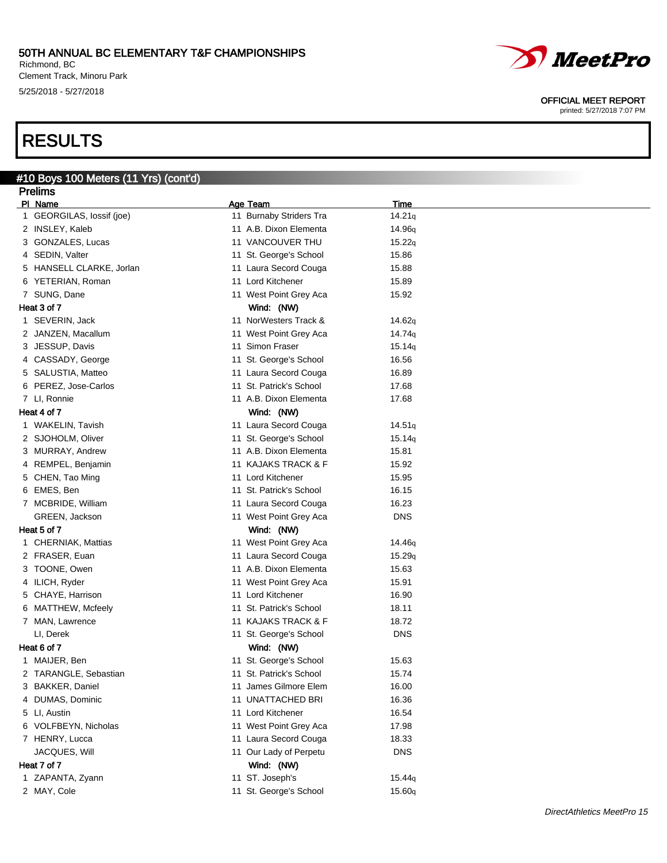Richmond, BC Clement Track, Minoru Park 5/25/2018 - 5/27/2018

# RESULTS

# #10 Boys 100 Meters (11 Yrs) (cont'd)

| <b>Prelims</b>            |                         |                            |
|---------------------------|-------------------------|----------------------------|
| PI Name                   | Age Team                | <u>Time</u>                |
| 1 GEORGILAS, lossif (joe) | 11 Burnaby Striders Tra | 14.21q                     |
| 2 INSLEY, Kaleb           | 11 A.B. Dixon Elementa  | 14.96q                     |
| 3 GONZALES, Lucas         | 11 VANCOUVER THU        | 15.22q                     |
| 4 SEDIN, Valter           | 11 St. George's School  | 15.86                      |
| 5 HANSELL CLARKE, Jorlan  | 11 Laura Secord Couga   | 15.88                      |
| 6 YETERIAN, Roman         | 11 Lord Kitchener       | 15.89                      |
| 7 SUNG, Dane              | 11 West Point Grey Aca  | 15.92                      |
| Heat 3 of 7               | Wind: (NW)              |                            |
| 1 SEVERIN, Jack           | 11 NorWesters Track &   | 14.62q                     |
| 2 JANZEN, Macallum        | 11 West Point Grey Aca  | 14.74 <sub>q</sub>         |
| 3 JESSUP, Davis           | 11 Simon Fraser         | 15.14q                     |
| 4 CASSADY, George         | 11 St. George's School  | 16.56                      |
| 5 SALUSTIA, Matteo        | 11 Laura Secord Couga   | 16.89                      |
| 6 PEREZ, Jose-Carlos      | 11 St. Patrick's School | 17.68                      |
| 7 LI, Ronnie              | 11 A.B. Dixon Elementa  | 17.68                      |
| Heat 4 of 7               | Wind: (NW)              |                            |
| 1 WAKELIN, Tavish         | 11 Laura Secord Couga   | 14.51q                     |
| 2 SJOHOLM, Oliver         | 11 St. George's School  | 15.14q                     |
| 3 MURRAY, Andrew          | 11 A.B. Dixon Elementa  | 15.81                      |
| 4 REMPEL, Benjamin        | 11 KAJAKS TRACK & F     | 15.92                      |
| 5 CHEN, Tao Ming          | 11 Lord Kitchener       | 15.95                      |
| 6 EMES, Ben               | 11 St. Patrick's School | 16.15                      |
| 7 MCBRIDE, William        | 11 Laura Secord Couga   | 16.23                      |
| GREEN, Jackson            | 11 West Point Grey Aca  | <b>DNS</b>                 |
| Heat 5 of 7               | Wind: (NW)              |                            |
| 1 CHERNIAK, Mattias       | 11 West Point Grey Aca  | 14.46q                     |
| 2 FRASER, Euan            | 11 Laura Secord Couga   | 15.29q                     |
| 3 TOONE, Owen             | 11 A.B. Dixon Elementa  | 15.63                      |
| 4 ILICH, Ryder            | 11 West Point Grey Aca  | 15.91                      |
| 5 CHAYE, Harrison         | 11 Lord Kitchener       | 16.90                      |
| 6 MATTHEW, Mcfeely        | 11 St. Patrick's School | 18.11                      |
| 7 MAN, Lawrence           | 11 KAJAKS TRACK & F     | 18.72                      |
| LI, Derek                 | 11 St. George's School  | <b>DNS</b>                 |
| Heat 6 of 7               | Wind: (NW)              |                            |
| 1 MAIJER, Ben             | 11 St. George's School  | 15.63                      |
| 2 TARANGLE, Sebastian     | 11 St. Patrick's School | 15.74                      |
| 3 BAKKER, Daniel          | 11 James Gilmore Elem   | 16.00                      |
| 4 DUMAS, Dominic          | 11 UNATTACHED BRI       | 16.36                      |
| 5 LI, Austin              | 11 Lord Kitchener       | 16.54                      |
| 6 VOLFBEYN, Nicholas      | 11 West Point Grey Aca  | 17.98                      |
| 7 HENRY, Lucca            | 11 Laura Secord Couga   | 18.33                      |
| JACQUES, Will             | 11 Our Lady of Perpetu  | <b>DNS</b>                 |
| Heat 7 of 7               | Wind: (NW)              |                            |
| 1 ZAPANTA, Zyann          | 11 ST. Joseph's         | 15.44 <sub>q</sub>         |
| 2 MAY, Cole               | 11 St. George's School  | 15.60q                     |
|                           |                         |                            |
|                           |                         | DirectAthletics MeetPro 15 |



OFFICIAL MEET REPORT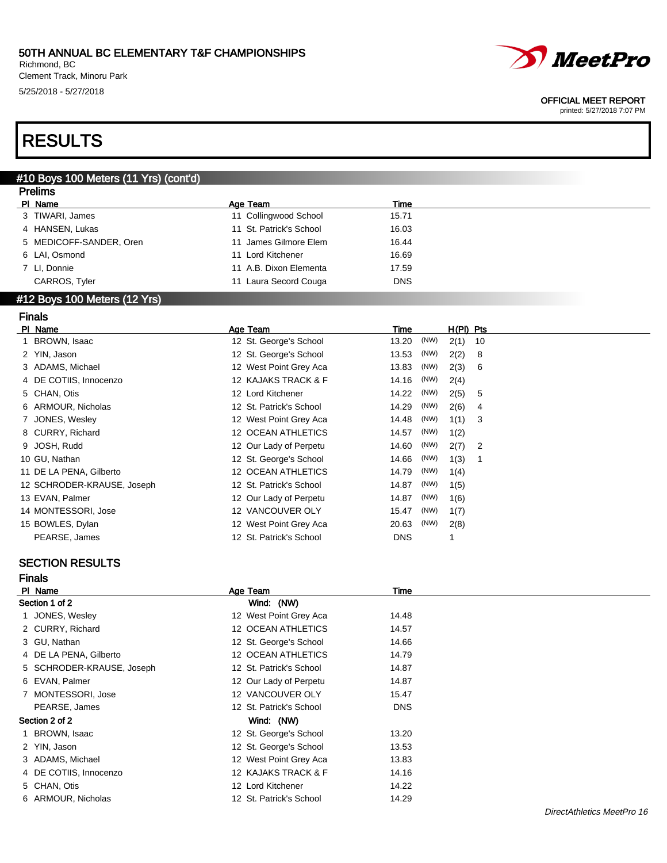Richmond, BC Clement Track, Minoru Park 5/25/2018 - 5/27/2018



#### OFFICIAL MEET REPORT

printed: 5/27/2018 7:07 PM

# RESULTS

#### #10 Boys 100 Meters (11 Yrs) (cont'd) Prelims

| <b>Prelims</b>          |                         |            |  |
|-------------------------|-------------------------|------------|--|
| PI Name                 | Age Team                | Time       |  |
| 3 TIWARI, James         | 11 Collingwood School   | 15.71      |  |
| 4 HANSEN, Lukas         | 11 St. Patrick's School | 16.03      |  |
| 5 MEDICOFF-SANDER, Oren | 11 James Gilmore Elem   | 16.44      |  |
| 6 LAI, Osmond           | 11 Lord Kitchener       | 16.69      |  |
| 7 LI, Donnie            | 11 A.B. Dixon Elementa  | 17.59      |  |
| CARROS, Tyler           | 11 Laura Secord Couga   | <b>DNS</b> |  |
|                         |                         |            |  |

### #12 Boys 100 Meters (12 Yrs)

Finals

| PI Name                    | Age Team                  | Time          | $H(PI)$ Pts |                |
|----------------------------|---------------------------|---------------|-------------|----------------|
| 1 BROWN, Isaac             | 12 St. George's School    | (NW)<br>13.20 | 2(1)        | 10             |
| 2 YIN, Jason               | 12 St. George's School    | (NW)<br>13.53 | 2(2)        | -8             |
| 3 ADAMS, Michael           | 12 West Point Grey Aca    | (NW)<br>13.83 | 2(3)        | -6             |
| 4 DE COTIIS, Innocenzo     | 12 KAJAKS TRACK & F       | (NW)<br>14.16 | 2(4)        |                |
| 5 CHAN, Otis               | 12 Lord Kitchener         | (NW)<br>14.22 | 2(5)        | 5              |
| 6 ARMOUR, Nicholas         | 12 St. Patrick's School   | (NW)<br>14.29 | 2(6)        | 4              |
| 7 JONES, Wesley            | 12 West Point Grey Aca    | (NW)<br>14.48 | 1(1)        | 3              |
| 8 CURRY, Richard           | 12 OCEAN ATHLETICS        | (NW)<br>14.57 | 1(2)        |                |
| 9 JOSH, Rudd               | 12 Our Lady of Perpetu    | (NW)<br>14.60 | 2(7)        | $\overline{2}$ |
| 10 GU, Nathan              | 12 St. George's School    | (NW)<br>14.66 | 1(3)        | -1             |
| 11 DE LA PENA, Gilberto    | <b>12 OCEAN ATHLETICS</b> | (NW)<br>14.79 | 1(4)        |                |
| 12 SCHRODER-KRAUSE, Joseph | 12 St. Patrick's School   | (NW)<br>14.87 | 1(5)        |                |
| 13 EVAN, Palmer            | 12 Our Lady of Perpetu    | (NW)<br>14.87 | 1(6)        |                |
| 14 MONTESSORI, Jose        | 12 VANCOUVER OLY          | (NW)<br>15.47 | 1(7)        |                |
| 15 BOWLES, Dylan           | 12 West Point Grey Aca    | (NW)<br>20.63 | 2(8)        |                |
| PEARSE, James              | 12 St. Patrick's School   | <b>DNS</b>    |             |                |

### SECTION RESULTS

Finals

| PI Name                   | Age Team                | Time       |  |
|---------------------------|-------------------------|------------|--|
| Section 1 of 2            | Wind: (NW)              |            |  |
| JONES, Wesley             | 12 West Point Grey Aca  | 14.48      |  |
| 2 CURRY, Richard          | 12 OCEAN ATHLETICS      | 14.57      |  |
| 3 GU, Nathan              | 12 St. George's School  | 14.66      |  |
| 4 DE LA PENA, Gilberto    | 12 OCEAN ATHLETICS      | 14.79      |  |
| 5 SCHRODER-KRAUSE, Joseph | 12 St. Patrick's School | 14.87      |  |
| 6 EVAN, Palmer            | 12 Our Lady of Perpetu  | 14.87      |  |
| 7 MONTESSORI, Jose        | 12 VANCOUVER OLY        | 15.47      |  |
| PEARSE, James             | 12 St. Patrick's School | <b>DNS</b> |  |
| Section 2 of 2            | Wind: (NW)              |            |  |
| 1 BROWN, Isaac            | 12 St. George's School  | 13.20      |  |
| 2 YIN, Jason              | 12 St. George's School  | 13.53      |  |
| 3 ADAMS, Michael          | 12 West Point Grey Aca  | 13.83      |  |
| 4 DE COTIIS, Innocenzo    | 12 KAJAKS TRACK & F     | 14.16      |  |
| 5 CHAN, Otis              | 12 Lord Kitchener       | 14.22      |  |
| 6 ARMOUR, Nicholas        | 12 St. Patrick's School | 14.29      |  |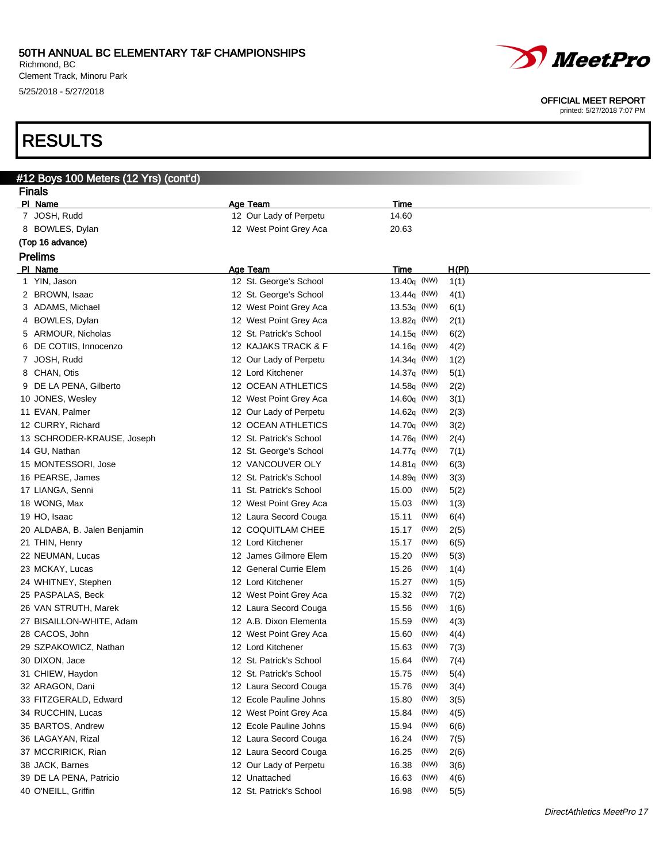Richmond, BC Clement Track, Minoru Park 5/25/2018 - 5/27/2018

# RESULTS

| #12 Boys 100 Meters (12 Yrs) (cont'd) |                         |                             |  |  |  |
|---------------------------------------|-------------------------|-----------------------------|--|--|--|
| <b>Finals</b>                         |                         |                             |  |  |  |
| PI Name                               | <b>Age Team</b>         | <b>Time</b>                 |  |  |  |
| 7 JOSH, Rudd                          | 12 Our Lady of Perpetu  | 14.60                       |  |  |  |
| 8 BOWLES, Dylan                       | 12 West Point Grey Aca  | 20.63                       |  |  |  |
| (Top 16 advance)                      |                         |                             |  |  |  |
| <b>Prelims</b>                        |                         |                             |  |  |  |
| PI Name                               | <b>Age Team</b>         | H(PI)<br>Time               |  |  |  |
| 1 YIN, Jason                          | 12 St. George's School  | 13.40q (NW)<br>1(1)         |  |  |  |
| 2 BROWN, Isaac                        | 12 St. George's School  | 13.44 $\sigma$ (NW)<br>4(1) |  |  |  |
| 3 ADAMS, Michael                      | 12 West Point Grey Aca  | $13.53q$ (NW)<br>6(1)       |  |  |  |
| 4 BOWLES, Dylan                       | 12 West Point Grey Aca  | $13.82q$ (NW)<br>2(1)       |  |  |  |
| 5 ARMOUR, Nicholas                    | 12 St. Patrick's School | 14.15 $q$ (NW)<br>6(2)      |  |  |  |
| 6 DE COTIIS, Innocenzo                | 12 KAJAKS TRACK & F     | 4(2)<br>14.16 $q$ (NW)      |  |  |  |
| 7 JOSH, Rudd                          | 12 Our Lady of Perpetu  | 14.34 $\sigma$ (NW)<br>1(2) |  |  |  |
| 8 CHAN, Otis                          | 12 Lord Kitchener       | 14.37 $q$ (NW)<br>5(1)      |  |  |  |
| 9 DE LA PENA, Gilberto                | 12 OCEAN ATHLETICS      | 14.58 $q$ (NW)<br>2(2)      |  |  |  |
| 10 JONES, Wesley                      | 12 West Point Grey Aca  | 14.60 $q$ (NW)<br>3(1)      |  |  |  |
| 11 EVAN, Palmer                       | 12 Our Lady of Perpetu  | 14.62 $q$ (NW)<br>2(3)      |  |  |  |
| 12 CURRY, Richard                     | 12 OCEAN ATHLETICS      | $14.70q$ (NW)<br>3(2)       |  |  |  |
| 13 SCHRODER-KRAUSE, Joseph            | 12 St. Patrick's School | 14.76g (NW)<br>2(4)         |  |  |  |
| 14 GU, Nathan                         | 12 St. George's School  | $14.77q$ (NW)<br>7(1)       |  |  |  |
| 15 MONTESSORI, Jose                   | 12 VANCOUVER OLY        | 14.81 $q$ (NW)<br>6(3)      |  |  |  |
| 16 PEARSE, James                      | 12 St. Patrick's School | 14.89q (NW)<br>3(3)         |  |  |  |
| 17 LIANGA, Senni                      | 11 St. Patrick's School | (NW)<br>5(2)<br>15.00       |  |  |  |
| 18 WONG, Max                          | 12 West Point Grey Aca  | (NW)<br>15.03<br>1(3)       |  |  |  |
| 19 HO, Isaac                          | 12 Laura Secord Couga   | (NW)<br>15.11<br>6(4)       |  |  |  |
| 20 ALDABA, B. Jalen Benjamin          | 12 COQUITLAM CHEE       | (NW)<br>15.17<br>2(5)       |  |  |  |
| 21 THIN, Henry                        | 12 Lord Kitchener       | (NW)<br>15.17<br>6(5)       |  |  |  |
| 22 NEUMAN, Lucas                      | 12 James Gilmore Elem   | (NW)<br>5(3)<br>15.20       |  |  |  |
| 23 MCKAY, Lucas                       | 12 General Currie Elem  | (NW)<br>15.26<br>1(4)       |  |  |  |
| 24 WHITNEY, Stephen                   | 12 Lord Kitchener       | (NW)<br>15.27<br>1(5)       |  |  |  |
| 25 PASPALAS, Beck                     | 12 West Point Grey Aca  | (NW)<br>15.32<br>7(2)       |  |  |  |
| 26 VAN STRUTH, Marek                  | 12 Laura Secord Couga   | (NW)<br>15.56<br>1(6)       |  |  |  |
| 27 BISAILLON-WHITE, Adam              | 12 A.B. Dixon Elementa  | (NW)<br>15.59<br>4(3)       |  |  |  |
| 28 CACOS, John                        | 12 West Point Grey Aca  | (NW)<br>15.60<br>4(4)       |  |  |  |
| 29 SZPAKOWICZ, Nathan                 | 12 Lord Kitchener       | (NW)<br>15.63<br>7(3)       |  |  |  |
| 30 DIXON, Jace                        | 12 St. Patrick's School | 15.64 (NW)<br>7(4)          |  |  |  |
| 31 CHIEW, Haydon                      | 12 St. Patrick's School | (NW)<br>15.75<br>5(4)       |  |  |  |
| 32 ARAGON, Dani                       | 12 Laura Secord Couga   | (NW)<br>3(4)<br>15.76       |  |  |  |
| 33 FITZGERALD, Edward                 | 12 Ecole Pauline Johns  | (NW)<br>3(5)<br>15.80       |  |  |  |
| 34 RUCCHIN, Lucas                     | 12 West Point Grey Aca  | (NW)<br>4(5)<br>15.84       |  |  |  |
| 35 BARTOS, Andrew                     | 12 Ecole Pauline Johns  | (NW)<br>15.94<br>6(6)       |  |  |  |
| 36 LAGAYAN, Rizal                     | 12 Laura Secord Couga   | (NW)<br>16.24<br>7(5)       |  |  |  |
| 37 MCCRIRICK, Rian                    | 12 Laura Secord Couga   | (NW)<br>2(6)<br>16.25       |  |  |  |
| 38 JACK, Barnes                       | 12 Our Lady of Perpetu  | (NW)<br>16.38<br>3(6)       |  |  |  |
| 39 DE LA PENA, Patricio               | 12 Unattached           | (NW)<br>16.63<br>4(6)       |  |  |  |
| 40 O'NEILL, Griffin                   | 12 St. Patrick's School | (NW)<br>16.98<br>5(5)       |  |  |  |



#### OFFICIAL MEET REPORT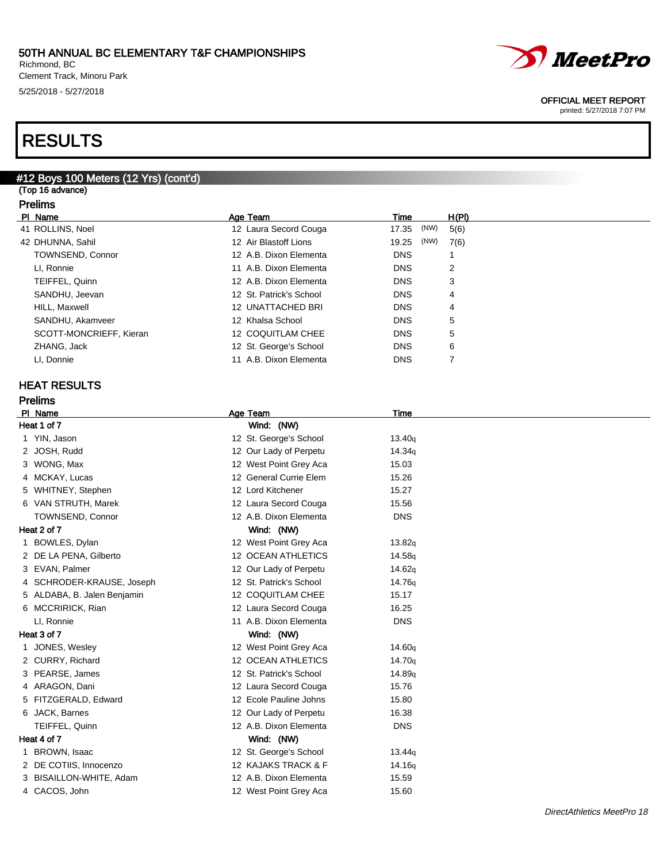Richmond, BC Clement Track, Minoru Park 5/25/2018 - 5/27/2018

# RESULTS

## #12 Boys 100 Meters (12 Yrs) (cont'd)

(Top 16 advance) Prelims

|    |  | гіешіз      |  |
|----|--|-------------|--|
| ים |  | <b>Nama</b> |  |

| PI Name                 | Age Team                | Time          | H(PI) |
|-------------------------|-------------------------|---------------|-------|
| 41 ROLLINS, Noel        | 12 Laura Secord Couga   | (NW)<br>17.35 | 5(6)  |
| 42 DHUNNA, Sahil        | 12 Air Blastoff Lions   | (NW)<br>19.25 | 7(6)  |
| <b>TOWNSEND, Connor</b> | 12 A.B. Dixon Elementa  | <b>DNS</b>    |       |
| LI, Ronnie              | 11 A.B. Dixon Elementa  | <b>DNS</b>    | 2     |
| TEIFFEL, Quinn          | 12 A.B. Dixon Elementa  | <b>DNS</b>    | 3     |
| SANDHU, Jeevan          | 12 St. Patrick's School | <b>DNS</b>    | 4     |
| HILL, Maxwell           | 12 UNATTACHED BRI       | <b>DNS</b>    | 4     |
| SANDHU, Akamveer        | 12 Khalsa School        | <b>DNS</b>    | 5     |
| SCOTT-MONCRIEFF, Kieran | 12 COQUITLAM CHEE       | <b>DNS</b>    | 5     |
| ZHANG, Jack             | 12 St. George's School  | <b>DNS</b>    | 6     |
| LI, Donnie              | 11 A.B. Dixon Elementa  | <b>DNS</b>    |       |
|                         |                         |               |       |

## HEAT RESULTS

| PI Name                     | Age Team                | <b>Time</b>        |
|-----------------------------|-------------------------|--------------------|
| Heat 1 of 7                 | Wind: (NW)              |                    |
| 1 YIN, Jason                | 12 St. George's School  | 13.40q             |
| 2 JOSH, Rudd                | 12 Our Lady of Perpetu  | 14.34g             |
| 3 WONG, Max                 | 12 West Point Grey Aca  | 15.03              |
| 4 MCKAY, Lucas              | 12 General Currie Elem  | 15.26              |
| 5 WHITNEY, Stephen          | 12 Lord Kitchener       | 15.27              |
| 6 VAN STRUTH, Marek         | 12 Laura Secord Couga   | 15.56              |
| TOWNSEND, Connor            | 12 A.B. Dixon Elementa  | <b>DNS</b>         |
| Heat 2 of 7                 | Wind: (NW)              |                    |
| 1 BOWLES, Dylan             | 12 West Point Grey Aca  | 13.82q             |
| 2 DE LA PENA, Gilberto      | 12 OCEAN ATHLETICS      | 14.58g             |
| 3 EVAN, Palmer              | 12 Our Lady of Perpetu  | 14.62g             |
| 4 SCHRODER-KRAUSE, Joseph   | 12 St. Patrick's School | 14.76g             |
| 5 ALDABA, B. Jalen Benjamin | 12 COQUITLAM CHEE       | 15.17              |
| 6 MCCRIRICK, Rian           | 12 Laura Secord Couga   | 16.25              |
| LI, Ronnie                  | 11 A.B. Dixon Elementa  | <b>DNS</b>         |
| Heat 3 of 7                 | Wind: (NW)              |                    |
| 1 JONES, Wesley             | 12 West Point Grey Aca  | 14.60g             |
| 2 CURRY, Richard            | 12 OCEAN ATHLETICS      | 14.70g             |
| 3 PEARSE, James             | 12 St. Patrick's School | 14.89 <sub>q</sub> |
| 4 ARAGON, Dani              | 12 Laura Secord Couga   | 15.76              |
| 5 FITZGERALD, Edward        | 12 Ecole Pauline Johns  | 15.80              |
| 6 JACK, Barnes              | 12 Our Lady of Perpetu  | 16.38              |
| TEIFFEL, Quinn              | 12 A.B. Dixon Elementa  | <b>DNS</b>         |
| Heat 4 of 7                 | Wind: (NW)              |                    |
| BROWN, Isaac                | 12 St. George's School  | 13.44q             |
| 2 DE COTIIS, Innocenzo      | 12 KAJAKS TRACK & F     | 14.16g             |
| 3 BISAILLON-WHITE, Adam     | 12 A.B. Dixon Elementa  | 15.59              |
| 4 CACOS, John               | 12 West Point Grey Aca  | 15.60              |
|                             |                         |                    |



### OFFICIAL MEET REPORT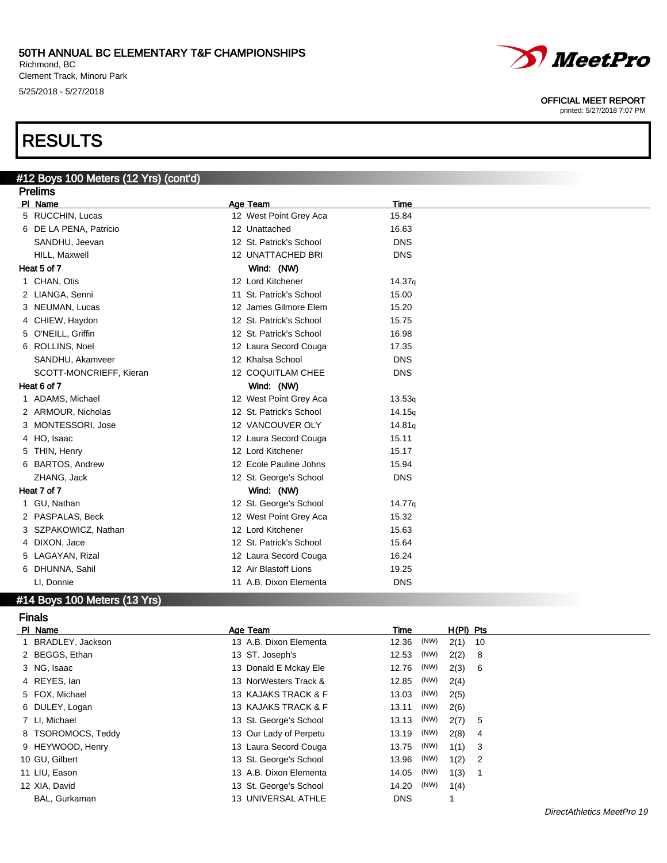Richmond, BC Clement Track, Minoru Park 5/25/2018 - 5/27/2018

# RESULTS

### #12 Boys 100 Meters (12 Yrs) (cont'd) **Prelims**

| гісшір                  |                                                                                                                                                                                                                                                                                                                                                                                                                                                              |                    |  |
|-------------------------|--------------------------------------------------------------------------------------------------------------------------------------------------------------------------------------------------------------------------------------------------------------------------------------------------------------------------------------------------------------------------------------------------------------------------------------------------------------|--------------------|--|
|                         | Age Team                                                                                                                                                                                                                                                                                                                                                                                                                                                     | <b>Time</b>        |  |
|                         | 12 West Point Grey Aca                                                                                                                                                                                                                                                                                                                                                                                                                                       | 15.84              |  |
|                         | 12 Unattached                                                                                                                                                                                                                                                                                                                                                                                                                                                | 16.63              |  |
| SANDHU, Jeevan          | 12 St. Patrick's School                                                                                                                                                                                                                                                                                                                                                                                                                                      | <b>DNS</b>         |  |
| HILL, Maxwell           | 12 UNATTACHED BRI                                                                                                                                                                                                                                                                                                                                                                                                                                            | <b>DNS</b>         |  |
|                         | Wind: (NW)                                                                                                                                                                                                                                                                                                                                                                                                                                                   |                    |  |
|                         | 12 Lord Kitchener                                                                                                                                                                                                                                                                                                                                                                                                                                            | 14.37q             |  |
|                         | 11 St. Patrick's School                                                                                                                                                                                                                                                                                                                                                                                                                                      | 15.00              |  |
|                         | 12 James Gilmore Elem                                                                                                                                                                                                                                                                                                                                                                                                                                        | 15.20              |  |
|                         | 12 St. Patrick's School                                                                                                                                                                                                                                                                                                                                                                                                                                      | 15.75              |  |
|                         | 12 St. Patrick's School                                                                                                                                                                                                                                                                                                                                                                                                                                      | 16.98              |  |
|                         | 12 Laura Secord Couga                                                                                                                                                                                                                                                                                                                                                                                                                                        | 17.35              |  |
| SANDHU, Akamveer        | 12 Khalsa School                                                                                                                                                                                                                                                                                                                                                                                                                                             | <b>DNS</b>         |  |
| SCOTT-MONCRIEFF, Kieran | 12 COQUITLAM CHEE                                                                                                                                                                                                                                                                                                                                                                                                                                            | <b>DNS</b>         |  |
|                         | Wind: (NW)                                                                                                                                                                                                                                                                                                                                                                                                                                                   |                    |  |
|                         | 12 West Point Grey Aca                                                                                                                                                                                                                                                                                                                                                                                                                                       | 13.53q             |  |
|                         | 12 St. Patrick's School                                                                                                                                                                                                                                                                                                                                                                                                                                      | 14.15q             |  |
|                         | 12 VANCOUVER OLY                                                                                                                                                                                                                                                                                                                                                                                                                                             | 14.81q             |  |
|                         | 12 Laura Secord Couga                                                                                                                                                                                                                                                                                                                                                                                                                                        | 15.11              |  |
|                         | 12 Lord Kitchener                                                                                                                                                                                                                                                                                                                                                                                                                                            | 15.17              |  |
|                         | 12 Ecole Pauline Johns                                                                                                                                                                                                                                                                                                                                                                                                                                       | 15.94              |  |
| ZHANG, Jack             | 12 St. George's School                                                                                                                                                                                                                                                                                                                                                                                                                                       | <b>DNS</b>         |  |
|                         | Wind: (NW)                                                                                                                                                                                                                                                                                                                                                                                                                                                   |                    |  |
|                         | 12 St. George's School                                                                                                                                                                                                                                                                                                                                                                                                                                       | 14.77 <sub>q</sub> |  |
|                         | 12 West Point Grey Aca                                                                                                                                                                                                                                                                                                                                                                                                                                       | 15.32              |  |
|                         | 12 Lord Kitchener                                                                                                                                                                                                                                                                                                                                                                                                                                            | 15.63              |  |
|                         | 12 St. Patrick's School                                                                                                                                                                                                                                                                                                                                                                                                                                      | 15.64              |  |
|                         | 12 Laura Secord Couga                                                                                                                                                                                                                                                                                                                                                                                                                                        | 16.24              |  |
|                         | 12 Air Blastoff Lions                                                                                                                                                                                                                                                                                                                                                                                                                                        | 19.25              |  |
| LI, Donnie              | 11 A.B. Dixon Elementa                                                                                                                                                                                                                                                                                                                                                                                                                                       | <b>DNS</b>         |  |
|                         | PI Name<br>5 RUCCHIN, Lucas<br>6 DE LA PENA, Patricio<br>Heat 5 of 7<br>1 CHAN, Otis<br>2 LIANGA, Senni<br>3 NEUMAN, Lucas<br>4 CHIEW, Haydon<br>5 O'NEILL, Griffin<br>6 ROLLINS, Noel<br>Heat 6 of 7<br>1 ADAMS, Michael<br>2 ARMOUR, Nicholas<br>3 MONTESSORI, Jose<br>4 HO, Isaac<br>5 THIN, Henry<br>6 BARTOS, Andrew<br>Heat 7 of 7<br>1 GU, Nathan<br>2 PASPALAS, Beck<br>3 SZPAKOWICZ, Nathan<br>4 DIXON, Jace<br>5 LAGAYAN, Rizal<br>6 DHUNNA, Sahil |                    |  |

## #14 Boys 100 Meters (13 Yrs)

### Finals

| PI Name            | Age Team               | Time          | $H(PI)$ Pts                        |  |
|--------------------|------------------------|---------------|------------------------------------|--|
| 1 BRADLEY, Jackson | 13 A.B. Dixon Elementa | (NW)<br>12.36 | $2(1)$ 10                          |  |
| 2 BEGGS, Ethan     | 13 ST. Joseph's        | (NW)<br>12.53 | 2(2)<br>- 8                        |  |
| 3 NG, Isaac        | 13 Donald E Mckay Ele  | (NW)<br>12.76 | 2(3)<br>- 6                        |  |
| 4 REYES, lan       | 13 NorWesters Track &  | (NW)<br>12.85 | 2(4)                               |  |
| 5 FOX, Michael     | 13 KAJAKS TRACK & F    | (NW)<br>13.03 | 2(5)                               |  |
| 6 DULEY, Logan     | 13 KAJAKS TRACK & F    | (NW)<br>13.11 | 2(6)                               |  |
| 7 LI, Michael      | 13 St. George's School | (NW)<br>13.13 | 2(7)<br>- 5                        |  |
| 8 TSOROMOCS, Teddy | 13 Our Lady of Perpetu | 13.19 (NW)    | 2(8)<br>- 4                        |  |
| 9 HEYWOOD, Henry   | 13 Laura Secord Couga  | (NW)<br>13.75 | 1(1)<br>- 3                        |  |
| 10 GU, Gilbert     | 13 St. George's School | (NW)<br>13.96 | 1(2)<br>$\overline{\phantom{a}}^2$ |  |
| 11 LIU, Eason      | 13 A.B. Dixon Elementa | (NW)<br>14.05 | 1(3)<br>- 1                        |  |
| 12 XIA, David      | 13 St. George's School | (NW)<br>14.20 | 1(4)                               |  |
| BAL, Gurkaman      | 13 UNIVERSAL ATHLE     | <b>DNS</b>    |                                    |  |

DirectAthletics MeetPro 19



### OFFICIAL MEET REPORT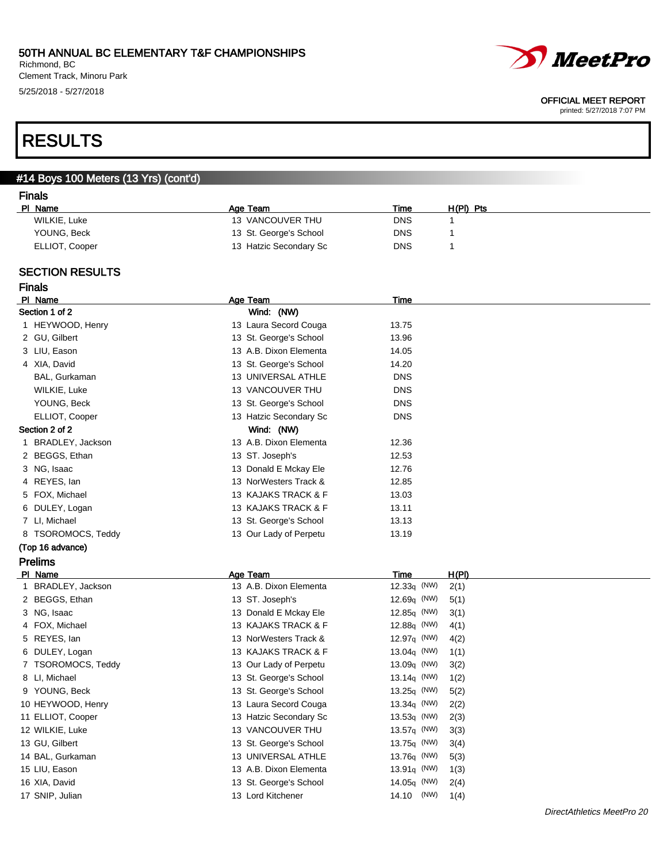Richmond, BC Clement Track, Minoru Park 5/25/2018 - 5/27/2018

# RESULTS

## #14 Boys 100 Meters (13 Yrs) (cont'd)

### Finals

| PI Name        | Age Team               | Time | $H(PI)$ Pts |
|----------------|------------------------|------|-------------|
| WILKIE, Luke   | 13 VANCOUVER THU       | DNS  |             |
| YOUNG, Beck    | 13 St. George's School | DNS  |             |
| ELLIOT, Cooper | 13 Hatzic Secondary Sc | DNS  |             |

### SECTION RESULTS

| <b>Finals</b>      |                        |                        |                            |
|--------------------|------------------------|------------------------|----------------------------|
| PI Name            | Age Team               | Time                   |                            |
| Section 1 of 2     | Wind: (NW)             |                        |                            |
| 1 HEYWOOD, Henry   | 13 Laura Secord Couga  | 13.75                  |                            |
| 2 GU, Gilbert      | 13 St. George's School | 13.96                  |                            |
| 3 LIU, Eason       | 13 A.B. Dixon Elementa | 14.05                  |                            |
| 4 XIA, David       | 13 St. George's School | 14.20                  |                            |
| BAL, Gurkaman      | 13 UNIVERSAL ATHLE     | <b>DNS</b>             |                            |
| WILKIE, Luke       | 13 VANCOUVER THU       | <b>DNS</b>             |                            |
| YOUNG, Beck        | 13 St. George's School | <b>DNS</b>             |                            |
| ELLIOT, Cooper     | 13 Hatzic Secondary Sc | <b>DNS</b>             |                            |
| Section 2 of 2     | Wind: (NW)             |                        |                            |
| 1 BRADLEY, Jackson | 13 A.B. Dixon Elementa | 12.36                  |                            |
| 2 BEGGS, Ethan     | 13 ST. Joseph's        | 12.53                  |                            |
| 3 NG, Isaac        | 13 Donald E Mckay Ele  | 12.76                  |                            |
| 4 REYES, lan       | 13 NorWesters Track &  | 12.85                  |                            |
| 5 FOX, Michael     | 13 KAJAKS TRACK & F    | 13.03                  |                            |
| 6 DULEY, Logan     | 13 KAJAKS TRACK & F    | 13.11                  |                            |
| 7 LI, Michael      | 13 St. George's School | 13.13                  |                            |
| 8 TSOROMOCS, Teddy | 13 Our Lady of Perpetu | 13.19                  |                            |
| (Top 16 advance)   |                        |                        |                            |
| <b>Prelims</b>     |                        |                        |                            |
| PI Name            | Age Team               | H(PI)<br>Time          |                            |
| 1 BRADLEY, Jackson | 13 A.B. Dixon Elementa | $12.33q$ (NW)<br>2(1)  |                            |
| 2 BEGGS, Ethan     | 13 ST. Joseph's        | 12.69q (NW)<br>5(1)    |                            |
| 3 NG, Isaac        | 13 Donald E Mckay Ele  | 12.85q (NW)<br>3(1)    |                            |
| 4 FOX, Michael     | 13 KAJAKS TRACK & F    | 12.88q (NW)<br>4(1)    |                            |
| 5 REYES, lan       | 13 NorWesters Track &  | 12.97 $q$ (NW)<br>4(2) |                            |
| 6 DULEY, Logan     | 13 KAJAKS TRACK & F    | 13.04 $q$ (NW)<br>1(1) |                            |
| 7 TSOROMOCS, Teddy | 13 Our Lady of Perpetu | 13.09q (NW)<br>3(2)    |                            |
| 8 LI, Michael      | 13 St. George's School | 13.14 $q$ (NW)<br>1(2) |                            |
| 9 YOUNG, Beck      | 13 St. George's School | 13.25q (NW)<br>5(2)    |                            |
| 10 HEYWOOD, Henry  | 13 Laura Secord Couga  | 13.34 $q$ (NW)<br>2(2) |                            |
| 11 ELLIOT, Cooper  | 13 Hatzic Secondary Sc | $13.53q$ (NW)<br>2(3)  |                            |
| 12 WILKIE, Luke    | 13 VANCOUVER THU       | 13.57 $q$ (NW)<br>3(3) |                            |
| 13 GU, Gilbert     | 13 St. George's School | 13.75q (NW)<br>3(4)    |                            |
| 14 BAL, Gurkaman   | 13 UNIVERSAL ATHLE     | 13.76 $q$ (NW)<br>5(3) |                            |
| 15 LIU, Eason      | 13 A.B. Dixon Elementa | 13.91 $q$ (NW)<br>1(3) |                            |
| 16 XIA, David      | 13 St. George's School | 14.05q (NW)<br>2(4)    |                            |
| 17 SNIP, Julian    | 13 Lord Kitchener      | (NW)<br>14.10<br>1(4)  |                            |
|                    |                        |                        | DirectAthletics MeetPro 20 |



#### OFFICIAL MEET REPORT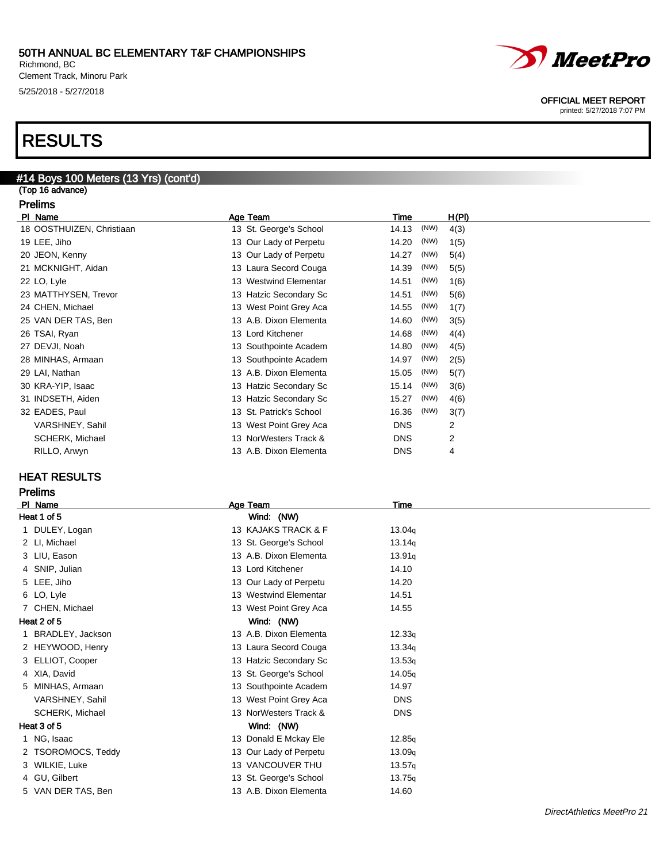Richmond, BC Clement Track, Minoru Park 5/25/2018 - 5/27/2018

# RESULTS

### #14 Boys 100 Meters (13 Yrs) (cont'd)

(Top 16 advance) Prelims

| PI Name                   | Age Team                | <b>Time</b>   | H(PI) |
|---------------------------|-------------------------|---------------|-------|
| 18 OOSTHUIZEN, Christiaan | 13 St. George's School  | (NW)<br>14.13 | 4(3)  |
| 19 LEE, Jiho              | 13 Our Lady of Perpetu  | (NW)<br>14.20 | 1(5)  |
| 20 JEON, Kenny            | 13 Our Lady of Perpetu  | (NW)<br>14.27 | 5(4)  |
| 21 MCKNIGHT, Aidan        | 13 Laura Secord Couga   | (NW)<br>14.39 | 5(5)  |
| 22 LO, Lyle               | 13 Westwind Elementar   | (NW)<br>14.51 | 1(6)  |
| 23 MATTHYSEN, Trevor      | 13 Hatzic Secondary Sc  | (NW)<br>14.51 | 5(6)  |
| 24 CHEN, Michael          | 13 West Point Grey Aca  | (NW)<br>14.55 | 1(7)  |
| 25 VAN DER TAS, Ben       | 13 A.B. Dixon Elementa  | (NW)<br>14.60 | 3(5)  |
| 26 TSAI, Ryan             | 13 Lord Kitchener       | (NW)<br>14.68 | 4(4)  |
| 27 DEVJI, Noah            | 13 Southpointe Academ   | (NW)<br>14.80 | 4(5)  |
| 28 MINHAS, Armaan         | 13 Southpointe Academ   | (NW)<br>14.97 | 2(5)  |
| 29 LAI, Nathan            | 13 A.B. Dixon Elementa  | (NW)<br>15.05 | 5(7)  |
| 30 KRA-YIP, Isaac         | 13 Hatzic Secondary Sc  | (NW)<br>15.14 | 3(6)  |
| 31 INDSETH, Aiden         | 13 Hatzic Secondary Sc  | (NW)<br>15.27 | 4(6)  |
| 32 EADES, Paul            | 13 St. Patrick's School | (NW)<br>16.36 | 3(7)  |
| VARSHNEY, Sahil           | 13 West Point Grey Aca  | <b>DNS</b>    | 2     |
| SCHERK, Michael           | 13 NorWesters Track &   | <b>DNS</b>    | 2     |
| RILLO, Arwyn              | 13 A.B. Dixon Elementa  | <b>DNS</b>    | 4     |

## HEAT RESULTS

## Prelims

| PI_Name            | Age Team               | Time       |  |
|--------------------|------------------------|------------|--|
| Heat 1 of 5        | Wind: (NW)             |            |  |
| 1 DULEY, Logan     | 13 KAJAKS TRACK & F    | 13.04q     |  |
| 2 LI, Michael      | 13 St. George's School | 13.14q     |  |
| 3 LIU, Eason       | 13 A.B. Dixon Elementa | 13.91q     |  |
| 4 SNIP, Julian     | 13 Lord Kitchener      | 14.10      |  |
| 5 LEE, Jiho        | 13 Our Lady of Perpetu | 14.20      |  |
| 6 LO, Lyle         | 13 Westwind Elementar  | 14.51      |  |
| 7 CHEN, Michael    | 13 West Point Grey Aca | 14.55      |  |
| Heat 2 of 5        | Wind: (NW)             |            |  |
| 1 BRADLEY, Jackson | 13 A.B. Dixon Elementa | 12.33q     |  |
| 2 HEYWOOD, Henry   | 13 Laura Secord Couga  | 13.34q     |  |
| 3 ELLIOT, Cooper   | 13 Hatzic Secondary Sc | 13.53q     |  |
| 4 XIA, David       | 13 St. George's School | 14.05q     |  |
| 5 MINHAS, Armaan   | 13 Southpointe Academ  | 14.97      |  |
| VARSHNEY, Sahil    | 13 West Point Grey Aca | <b>DNS</b> |  |
| SCHERK, Michael    | 13 NorWesters Track &  | <b>DNS</b> |  |
| Heat 3 of 5        | Wind: (NW)             |            |  |
| 1 NG, Isaac        | 13 Donald E Mckay Ele  | 12.85q     |  |
| 2 TSOROMOCS, Teddy | 13 Our Lady of Perpetu | 13.09q     |  |
| 3 WILKIE, Luke     | 13 VANCOUVER THU       | 13.57q     |  |
| 4 GU, Gilbert      | 13 St. George's School | 13.75q     |  |
| 5 VAN DER TAS, Ben | 13 A.B. Dixon Elementa | 14.60      |  |
|                    |                        |            |  |

### OFFICIAL MEET REPORT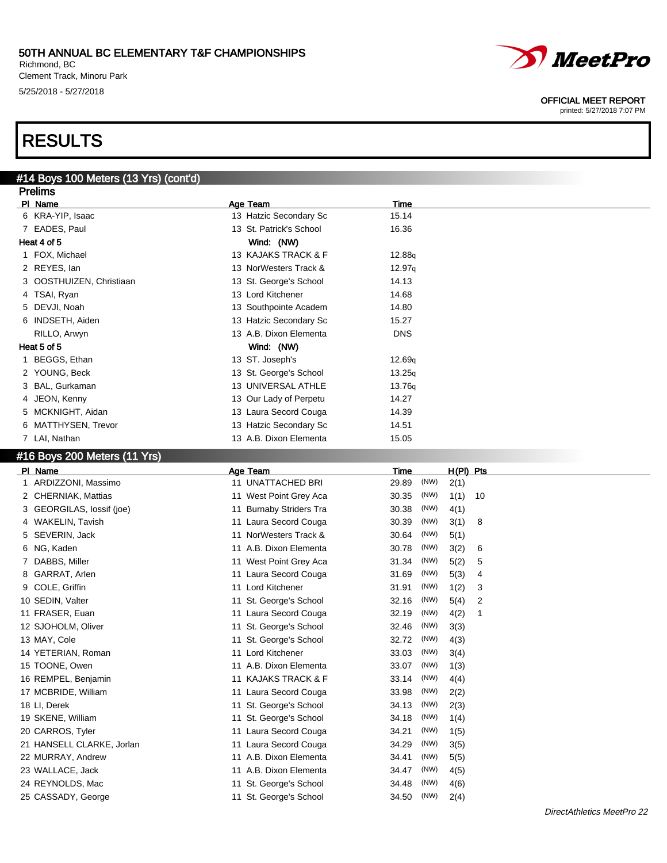Richmond, BC Clement Track, Minoru Park 5/25/2018 - 5/27/2018

# *MeetPro*

OFFICIAL MEET REPORT

printed: 5/27/2018 7:07 PM

# RESULTS

### #14 Boys 100 Meters (13 Yrs) (cont'd) **Prelims**

| гтыштэ                   |  |                         |             |  |  |
|--------------------------|--|-------------------------|-------------|--|--|
| PI Name                  |  | Age Team                | <b>Time</b> |  |  |
| 6 KRA-YIP, Isaac         |  | 13 Hatzic Secondary Sc  | 15.14       |  |  |
| 7 EADES, Paul            |  | 13 St. Patrick's School | 16.36       |  |  |
| Heat 4 of 5              |  | Wind: (NW)              |             |  |  |
| 1 FOX, Michael           |  | 13 KAJAKS TRACK & F     | 12.88q      |  |  |
| 2 REYES, lan             |  | 13 NorWesters Track &   | 12.97q      |  |  |
| 3 OOSTHUIZEN, Christiaan |  | 13 St. George's School  | 14.13       |  |  |
| 4 TSAI, Ryan             |  | 13 Lord Kitchener       | 14.68       |  |  |
| 5 DEVJI, Noah            |  | 13 Southpointe Academ   | 14.80       |  |  |
| 6 INDSETH, Aiden         |  | 13 Hatzic Secondary Sc  | 15.27       |  |  |
| RILLO, Arwyn             |  | 13 A.B. Dixon Elementa  | <b>DNS</b>  |  |  |
| Heat 5 of 5              |  | Wind: (NW)              |             |  |  |
| BEGGS, Ethan             |  | 13 ST. Joseph's         | 12.69q      |  |  |
| 2 YOUNG, Beck            |  | 13 St. George's School  | 13.25q      |  |  |
| 3 BAL, Gurkaman          |  | 13 UNIVERSAL ATHLE      | 13.76q      |  |  |
| 4 JEON, Kenny            |  | 13 Our Lady of Perpetu  | 14.27       |  |  |
| 5 MCKNIGHT, Aidan        |  | 13 Laura Secord Couga   | 14.39       |  |  |
| 6 MATTHYSEN, Trevor      |  | 13 Hatzic Secondary Sc  | 14.51       |  |  |
| 7 LAI, Nathan            |  | 13 A.B. Dixon Elementa  | 15.05       |  |  |

## #16 Boys 200 Meters (11 Yrs)

| Name<br>PL                | Age Team                | Time          | H(PI) Pts  |
|---------------------------|-------------------------|---------------|------------|
| 1 ARDIZZONI, Massimo      | 11 UNATTACHED BRI       | (NW)<br>29.89 | 2(1)       |
| 2 CHERNIAK, Mattias       | 11 West Point Grey Aca  | (NW)<br>30.35 | 1(1)<br>10 |
| 3 GEORGILAS, lossif (joe) | 11 Burnaby Striders Tra | (NW)<br>30.38 | 4(1)       |
| 4 WAKELIN, Tavish         | 11 Laura Secord Couga   | (NW)<br>30.39 | 3(1)<br>8  |
| SEVERIN, Jack<br>5.       | 11 NorWesters Track &   | (NW)<br>30.64 | 5(1)       |
| NG, Kaden<br>6.           | 11 A.B. Dixon Elementa  | (NW)<br>30.78 | 3(2)<br>6  |
| DABBS, Miller             | 11 West Point Grey Aca  | (NW)<br>31.34 | 5(2)<br>5  |
| GARRAT, Arlen<br>8.       | 11 Laura Secord Couga   | (NW)<br>31.69 | 5(3)<br>4  |
| COLE, Griffin<br>9        | 11 Lord Kitchener       | (NW)<br>31.91 | 1(2)<br>3  |
| 10 SEDIN, Valter          | 11 St. George's School  | (NW)<br>32.16 | 5(4)<br>2  |
| 11 FRASER, Euan           | 11 Laura Secord Couga   | (NW)<br>32.19 | 4(2)<br>1  |
| 12 SJOHOLM, Oliver        | 11 St. George's School  | (NW)<br>32.46 | 3(3)       |
| 13 MAY, Cole              | 11 St. George's School  | (NW)<br>32.72 | 4(3)       |
| 14 YETERIAN, Roman        | 11 Lord Kitchener       | (NW)<br>33.03 | 3(4)       |
| 15 TOONE, Owen            | 11 A.B. Dixon Elementa  | (NW)<br>33.07 | 1(3)       |
| 16 REMPEL, Benjamin       | 11 KAJAKS TRACK & F     | (NW)<br>33.14 | 4(4)       |
| 17 MCBRIDE, William       | 11 Laura Secord Couga   | (NW)<br>33.98 | 2(2)       |
| 18 LI, Derek              | 11 St. George's School  | (NW)<br>34.13 | 2(3)       |
| 19 SKENE, William         | 11 St. George's School  | (NW)<br>34.18 | 1(4)       |
| 20 CARROS, Tyler          | 11 Laura Secord Couga   | (NW)<br>34.21 | 1(5)       |
| 21 HANSELL CLARKE, Jorlan | 11 Laura Secord Couga   | (NW)<br>34.29 | 3(5)       |
| 22 MURRAY, Andrew         | 11 A.B. Dixon Elementa  | (NW)<br>34.41 | 5(5)       |
| 23 WALLACE, Jack          | 11 A.B. Dixon Elementa  | (NW)<br>34.47 | 4(5)       |
| 24 REYNOLDS, Mac          | 11 St. George's School  | (NW)<br>34.48 | 4(6)       |
| 25 CASSADY, George        | 11 St. George's School  | (NW)<br>34.50 | 2(4)       |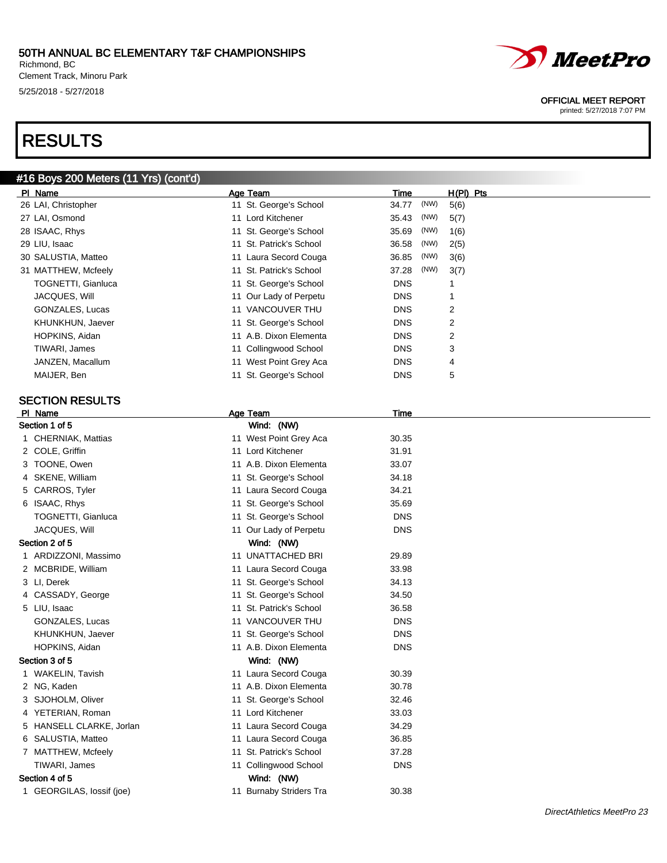Richmond, BC Clement Track, Minoru Park 5/25/2018 - 5/27/2018

# RESULTS

## #16 Boys 200 Meters (11 Yrs) (cont'd)

| PI Name                   | Age Team                | Time          | $H(PI)$ Pts |
|---------------------------|-------------------------|---------------|-------------|
| 26 LAI, Christopher       | 11 St. George's School  | (NW)<br>34.77 | 5(6)        |
| 27 LAI, Osmond            | 11 Lord Kitchener       | (NW)<br>35.43 | 5(7)        |
| 28 ISAAC, Rhys            | 11 St. George's School  | (NW)<br>35.69 | 1(6)        |
| 29 LIU, Isaac             | 11 St. Patrick's School | (NW)<br>36.58 | 2(5)        |
| 30 SALUSTIA, Matteo       | 11 Laura Secord Couga   | (NW)<br>36.85 | 3(6)        |
| 31 MATTHEW, Mcfeely       | 11 St. Patrick's School | (NW)<br>37.28 | 3(7)        |
| <b>TOGNETTI, Gianluca</b> | 11 St. George's School  | <b>DNS</b>    |             |
| JACQUES, Will             | 11 Our Lady of Perpetu  | <b>DNS</b>    |             |
| GONZALES, Lucas           | 11 VANCOUVER THU        | <b>DNS</b>    | 2           |
| KHUNKHUN, Jaever          | 11 St. George's School  | <b>DNS</b>    | 2           |
| HOPKINS, Aidan            | 11 A.B. Dixon Elementa  | <b>DNS</b>    | 2           |
| TIWARI, James             | 11 Collingwood School   | <b>DNS</b>    | 3           |
| JANZEN, Macallum          | 11 West Point Grey Aca  | <b>DNS</b>    | 4           |
| MAIJER, Ben               | 11 St. George's School  | <b>DNS</b>    | 5           |

### SECTION RESULTS

| PI Name                   |    | Age Team                | <b>Time</b> |  |
|---------------------------|----|-------------------------|-------------|--|
| Section 1 of 5            |    | Wind: (NW)              |             |  |
| 1 CHERNIAK, Mattias       |    | 11 West Point Grey Aca  | 30.35       |  |
| 2 COLE, Griffin           |    | 11 Lord Kitchener       | 31.91       |  |
| 3 TOONE, Owen             |    | 11 A.B. Dixon Elementa  | 33.07       |  |
| 4 SKENE, William          | 11 | St. George's School     | 34.18       |  |
| 5 CARROS, Tyler           |    | 11 Laura Secord Couga   | 34.21       |  |
| 6 ISAAC, Rhys             |    | 11 St. George's School  | 35.69       |  |
| <b>TOGNETTI, Gianluca</b> | 11 | St. George's School     | <b>DNS</b>  |  |
| JACQUES, Will             |    | 11 Our Lady of Perpetu  | <b>DNS</b>  |  |
| Section 2 of 5            |    | Wind: (NW)              |             |  |
| 1 ARDIZZONI, Massimo      |    | 11 UNATTACHED BRI       | 29.89       |  |
| 2 MCBRIDE, William        |    | 11 Laura Secord Couga   | 33.98       |  |
| 3 LI, Derek               |    | 11 St. George's School  | 34.13       |  |
| 4 CASSADY, George         | 11 | St. George's School     | 34.50       |  |
| 5 LIU, Isaac              | 11 | St. Patrick's School    | 36.58       |  |
| GONZALES, Lucas           |    | 11 VANCOUVER THU        | <b>DNS</b>  |  |
| KHUNKHUN, Jaever          | 11 | St. George's School     | <b>DNS</b>  |  |
| HOPKINS, Aidan            |    | 11 A.B. Dixon Elementa  | <b>DNS</b>  |  |
| Section 3 of 5            |    | Wind: (NW)              |             |  |
| 1 WAKELIN, Tavish         |    | 11 Laura Secord Couga   | 30.39       |  |
| 2 NG, Kaden               |    | 11 A.B. Dixon Elementa  | 30.78       |  |
| 3 SJOHOLM, Oliver         | 11 | St. George's School     | 32.46       |  |
| 4 YETERIAN, Roman         |    | 11 Lord Kitchener       | 33.03       |  |
| 5 HANSELL CLARKE, Jorlan  |    | 11 Laura Secord Couga   | 34.29       |  |
| 6 SALUSTIA, Matteo        |    | 11 Laura Secord Couga   | 36.85       |  |
| 7 MATTHEW, Mcfeely        | 11 | St. Patrick's School    | 37.28       |  |
| TIWARI, James             |    | 11 Collingwood School   | <b>DNS</b>  |  |
| Section 4 of 5            |    | Wind: (NW)              |             |  |
| 1 GEORGILAS, lossif (joe) |    | 11 Burnaby Striders Tra | 30.38       |  |
|                           |    |                         |             |  |



### OFFICIAL MEET REPORT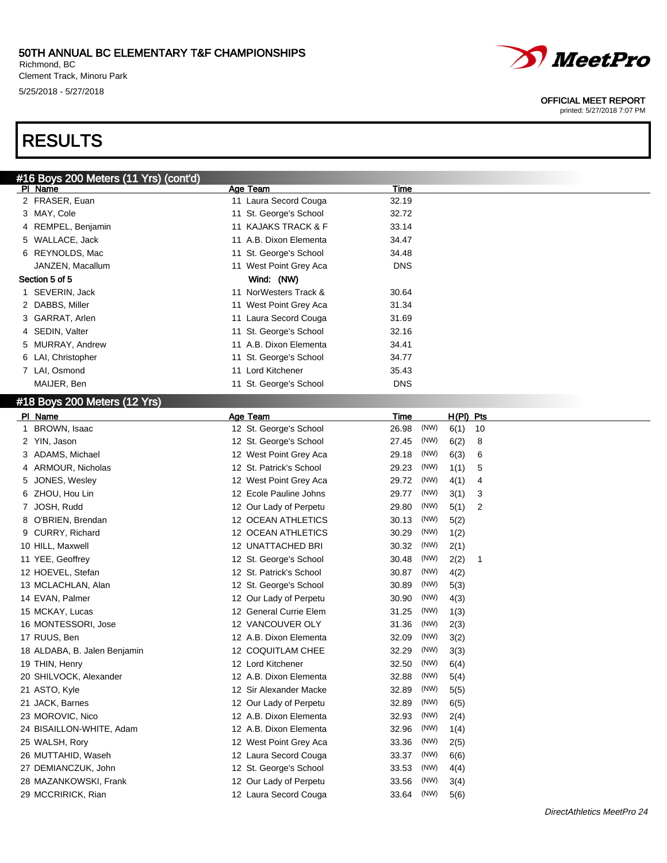Richmond, BC Clement Track, Minoru Park 5/25/2018 - 5/27/2018

# RESULTS

| #16 Boys 200 Meters (11 Yrs) (cont'd) |    |                        |            |  |
|---------------------------------------|----|------------------------|------------|--|
| PI Name                               |    | Age Team               | Time       |  |
| 2 FRASER, Euan                        |    | 11 Laura Secord Couga  | 32.19      |  |
| 3 MAY, Cole                           |    | 11 St. George's School | 32.72      |  |
| 4 REMPEL, Benjamin                    |    | 11 KAJAKS TRACK & F    | 33.14      |  |
| 5 WALLACE, Jack                       |    | 11 A.B. Dixon Elementa | 34.47      |  |
| 6 REYNOLDS, Mac                       |    | 11 St. George's School | 34.48      |  |
| JANZEN, Macallum                      |    | 11 West Point Grey Aca | <b>DNS</b> |  |
| Section 5 of 5                        |    | Wind: (NW)             |            |  |
| 1 SEVERIN, Jack                       | 11 | NorWesters Track &     | 30.64      |  |
| 2 DABBS, Miller                       |    | 11 West Point Grey Aca | 31.34      |  |
| 3 GARRAT, Arlen                       |    | 11 Laura Secord Couga  | 31.69      |  |
| 4 SEDIN, Valter                       |    | 11 St. George's School | 32.16      |  |
| 5 MURRAY, Andrew                      |    | 11 A.B. Dixon Elementa | 34.41      |  |
| 6 LAI, Christopher                    |    | 11 St. George's School | 34.77      |  |
| 7 LAI, Osmond                         | 11 | Lord Kitchener         | 35.43      |  |
| MAIJER, Ben                           |    | 11 St. George's School | <b>DNS</b> |  |

### #18 Boys 200 Meters (12 Yrs)

| PI Name                      | Age Team                  | Time          | H(PI) Pts  |
|------------------------------|---------------------------|---------------|------------|
| <b>BROWN, Isaac</b><br>1     | 12 St. George's School    | (NW)<br>26.98 | 6(1)<br>10 |
| 2 YIN, Jason                 | 12 St. George's School    | 27.45<br>(NW) | 6(2)<br>8  |
| ADAMS, Michael               | 12 West Point Grey Aca    | (NW)<br>29.18 | 6(3)<br>6  |
| ARMOUR, Nicholas<br>4        | 12 St. Patrick's School   | 29.23<br>(NW) | 1(1)<br>5  |
| JONES, Wesley<br>5           | 12 West Point Grey Aca    | (NW)<br>29.72 | 4(1)<br>4  |
| ZHOU, Hou Lin<br>6           | 12 Ecole Pauline Johns    | (NW)<br>29.77 | 3(1)<br>3  |
| JOSH, Rudd<br>7              | 12 Our Lady of Perpetu    | (NW)<br>29.80 | 5(1)<br>2  |
| O'BRIEN, Brendan<br>8        | <b>12 OCEAN ATHLETICS</b> | (NW)<br>30.13 | 5(2)       |
| CURRY, Richard<br>9          | 12 OCEAN ATHLETICS        | (NW)<br>30.29 | 1(2)       |
| 10 HILL, Maxwell             | 12 UNATTACHED BRI         | (NW)<br>30.32 | 2(1)       |
| 11 YEE, Geoffrey             | 12 St. George's School    | (NW)<br>30.48 | 2(2)<br>1  |
| 12 HOEVEL, Stefan            | 12 St. Patrick's School   | (NW)<br>30.87 | 4(2)       |
| 13 MCLACHLAN, Alan           | 12 St. George's School    | (NW)<br>30.89 | 5(3)       |
| 14 EVAN, Palmer              | 12 Our Lady of Perpetu    | (NW)<br>30.90 | 4(3)       |
| 15 MCKAY, Lucas              | 12 General Currie Elem    | (NW)<br>31.25 | 1(3)       |
| 16 MONTESSORI, Jose          | 12 VANCOUVER OLY          | (NW)<br>31.36 | 2(3)       |
| 17 RUUS, Ben                 | 12 A.B. Dixon Elementa    | (NW)<br>32.09 | 3(2)       |
| 18 ALDABA, B. Jalen Benjamin | 12 COQUITLAM CHEE         | (NW)<br>32.29 | 3(3)       |
| 19 THIN, Henry               | 12 Lord Kitchener         | (NW)<br>32.50 | 6(4)       |
| 20 SHILVOCK, Alexander       | 12 A.B. Dixon Elementa    | (NW)<br>32.88 | 5(4)       |
| 21 ASTO, Kyle                | 12 Sir Alexander Macke    | (NW)<br>32.89 | 5(5)       |
| 21 JACK, Barnes              | 12 Our Lady of Perpetu    | (NW)<br>32.89 | 6(5)       |
| 23 MOROVIC, Nico             | 12 A.B. Dixon Elementa    | (NW)<br>32.93 | 2(4)       |
| 24 BISAILLON-WHITE, Adam     | 12 A.B. Dixon Elementa    | 32.96<br>(NW) | 1(4)       |
| 25 WALSH, Rory               | 12 West Point Grey Aca    | (NW)<br>33.36 | 2(5)       |
| 26 MUTTAHID, Waseh           | 12 Laura Secord Couga     | (NW)<br>33.37 | 6(6)       |
| 27 DEMIANCZUK, John          | 12 St. George's School    | (NW)<br>33.53 | 4(4)       |
| 28 MAZANKOWSKI, Frank        | 12 Our Lady of Perpetu    | (NW)<br>33.56 | 3(4)       |
| 29 MCCRIRICK, Rian           | 12 Laura Secord Couga     | (NW)<br>33.64 | 5(6)       |



#### OFFICIAL MEET REPORT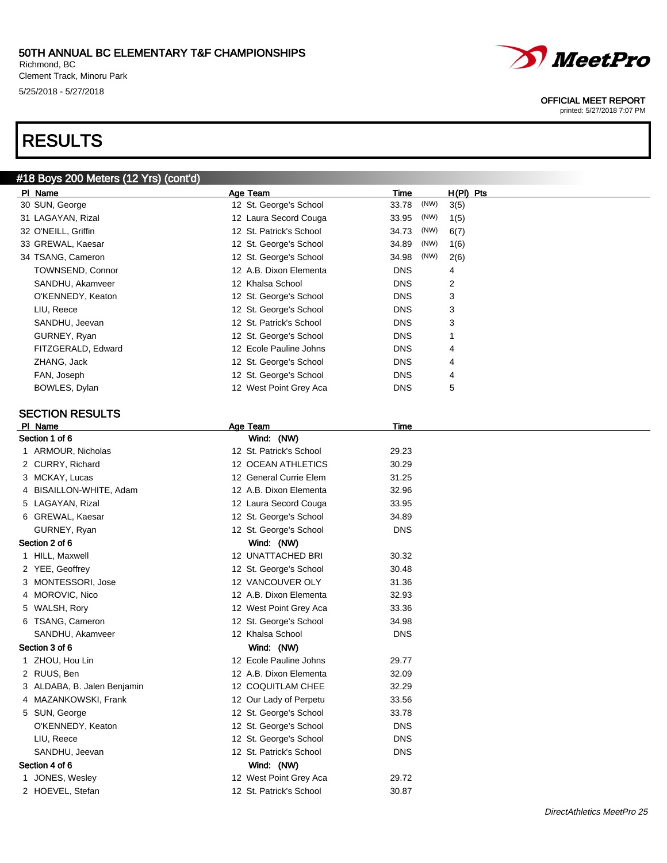Richmond, BC Clement Track, Minoru Park 5/25/2018 - 5/27/2018

# RESULTS

# #18 Boys 200 Meters (12 Yrs) (cont'd)

| PI Name                |                    | Age Team                | Time          | $H(PI)$ Pts |
|------------------------|--------------------|-------------------------|---------------|-------------|
| 30 SUN, George         |                    | 12 St. George's School  | (NW)<br>33.78 | 3(5)        |
| 31 LAGAYAN, Rizal      |                    | 12 Laura Secord Couga   | (NW)<br>33.95 | 1(5)        |
| 32 O'NEILL, Griffin    |                    | 12 St. Patrick's School | (NW)<br>34.73 | 6(7)        |
| 33 GREWAL, Kaesar      |                    | 12 St. George's School  | 34.89<br>(NW) | 1(6)        |
| 34 TSANG, Cameron      |                    | 12 St. George's School  | (NW)<br>34.98 | 2(6)        |
|                        | TOWNSEND, Connor   | 12 A.B. Dixon Elementa  | <b>DNS</b>    | 4           |
|                        | SANDHU, Akamveer   | 12 Khalsa School        | <b>DNS</b>    | 2           |
|                        | O'KENNEDY, Keaton  | 12 St. George's School  | <b>DNS</b>    | 3           |
| LIU, Reece             |                    | 12 St. George's School  | <b>DNS</b>    | 3           |
| SANDHU, Jeevan         |                    | 12 St. Patrick's School | <b>DNS</b>    | 3           |
| GURNEY, Ryan           |                    | 12 St. George's School  | <b>DNS</b>    |             |
|                        | FITZGERALD, Edward | 12 Ecole Pauline Johns  | <b>DNS</b>    | 4           |
| ZHANG, Jack            |                    | 12 St. George's School  | <b>DNS</b>    | 4           |
| FAN, Joseph            |                    | 12 St. George's School  | <b>DNS</b>    | 4           |
| BOWLES, Dylan          |                    | 12 West Point Grey Aca  | <b>DNS</b>    | 5           |
| <b>SECTION RESULTS</b> |                    |                         |               |             |
|                        |                    |                         |               |             |

### SECTION RESULTS

| PI Name                     | Age Team                | Time       |
|-----------------------------|-------------------------|------------|
| Section 1 of 6              | Wind: (NW)              |            |
| 1 ARMOUR, Nicholas          | 12 St. Patrick's School | 29.23      |
| 2 CURRY, Richard            | 12 OCEAN ATHLETICS      | 30.29      |
| 3 MCKAY, Lucas              | 12 General Currie Elem  | 31.25      |
| 4 BISAILLON-WHITE, Adam     | 12 A.B. Dixon Elementa  | 32.96      |
| 5 LAGAYAN, Rizal            | 12 Laura Secord Couga   | 33.95      |
| 6 GREWAL, Kaesar            | 12 St. George's School  | 34.89      |
| GURNEY, Ryan                | 12 St. George's School  | <b>DNS</b> |
| Section 2 of 6              | Wind: (NW)              |            |
| 1 HILL, Maxwell             | 12 UNATTACHED BRI       | 30.32      |
| 2 YEE, Geoffrey             | 12 St. George's School  | 30.48      |
| 3 MONTESSORI, Jose          | 12 VANCOUVER OLY        | 31.36      |
| 4 MOROVIC, Nico             | 12 A.B. Dixon Elementa  | 32.93      |
| 5 WALSH, Rory               | 12 West Point Grey Aca  | 33.36      |
| 6 TSANG, Cameron            | 12 St. George's School  | 34.98      |
| SANDHU, Akamveer            | 12 Khalsa School        | <b>DNS</b> |
| Section 3 of 6              | Wind: (NW)              |            |
| 1 ZHOU, Hou Lin             | 12 Ecole Pauline Johns  | 29.77      |
| 2 RUUS, Ben                 | 12 A.B. Dixon Elementa  | 32.09      |
| 3 ALDABA, B. Jalen Benjamin | 12 COQUITLAM CHEE       | 32.29      |
| 4 MAZANKOWSKI, Frank        | 12 Our Lady of Perpetu  | 33.56      |
| 5 SUN, George               | 12 St. George's School  | 33.78      |
| O'KENNEDY, Keaton           | 12 St. George's School  | <b>DNS</b> |
| LIU, Reece                  | 12 St. George's School  | <b>DNS</b> |
| SANDHU, Jeevan              | 12 St. Patrick's School | <b>DNS</b> |
| Section 4 of 6              | Wind: (NW)              |            |
| 1 JONES, Wesley             | 12 West Point Grey Aca  | 29.72      |
| 2 HOEVEL, Stefan            | 12 St. Patrick's School | 30.87      |



### OFFICIAL MEET REPORT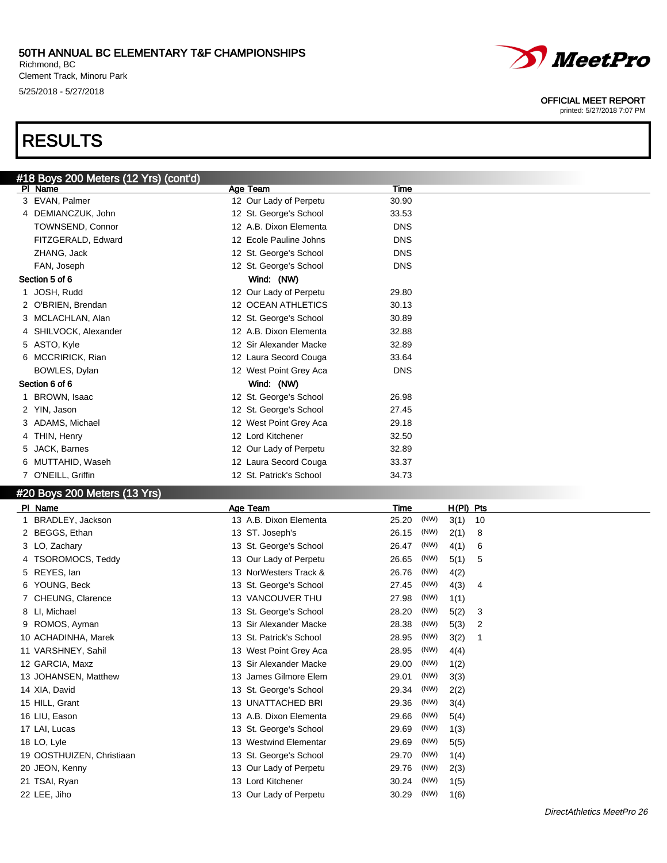### 50TH ANNUAL BC ELEMENTARY T&F CHAMPIONSHIPS Richmond, BC

Clement Track, Minoru Park 5/25/2018 - 5/27/2018

# RESULTS

|    | <u>#18 Boys</u> 200 Meters (12 Yrs) (cont'd) |                           |            |
|----|----------------------------------------------|---------------------------|------------|
|    | PI Name                                      | Age Team                  | Time       |
| 3  | EVAN, Palmer                                 | 12 Our Lady of Perpetu    | 30.90      |
|    | 4 DEMIANCZUK, John                           | 12 St. George's School    | 33.53      |
|    | <b>TOWNSEND, Connor</b>                      | 12 A.B. Dixon Elementa    | <b>DNS</b> |
|    | FITZGERALD, Edward                           | 12 Ecole Pauline Johns    | <b>DNS</b> |
|    | ZHANG, Jack                                  | 12 St. George's School    | <b>DNS</b> |
|    | FAN, Joseph                                  | 12 St. George's School    | <b>DNS</b> |
|    | Section 5 of 6                               | Wind: (NW)                |            |
| 1. | JOSH, Rudd                                   | 12 Our Lady of Perpetu    | 29.80      |
|    | O'BRIEN, Brendan                             | <b>12 OCEAN ATHLETICS</b> | 30.13      |
| 3  | MCLACHLAN, Alan                              | 12 St. George's School    | 30.89      |
| 4  | SHILVOCK, Alexander                          | 12 A.B. Dixon Elementa    | 32.88      |
| 5  | ASTO, Kyle                                   | 12 Sir Alexander Macke    | 32.89      |
| 6  | <b>MCCRIRICK, Rian</b>                       | 12 Laura Secord Couga     | 33.64      |
|    | BOWLES, Dylan                                | 12 West Point Grey Aca    | <b>DNS</b> |
|    | Section 6 of 6                               | Wind: (NW)                |            |
|    | BROWN, Isaac                                 | 12 St. George's School    | 26.98      |
| 2  | YIN, Jason                                   | 12 St. George's School    | 27.45      |
|    | ADAMS, Michael                               | 12 West Point Grey Aca    | 29.18      |
| 4  | THIN, Henry                                  | 12 Lord Kitchener         | 32.50      |
| 5  | JACK, Barnes                                 | 12 Our Lady of Perpetu    | 32.89      |
| 6  | MUTTAHID, Waseh                              | 12 Laura Secord Couga     | 33.37      |
| 7  | O'NEILL, Griffin                             | 12 St. Patrick's School   | 34.73      |

### #20 Boys 200 Meters (13 Yrs)

| Age Team                 | Time          | H(PI) Pts  |
|--------------------------|---------------|------------|
| 13 A.B. Dixon Elementa   | (NW)<br>25.20 | 3(1)<br>10 |
| 13 ST. Joseph's          | (NW)<br>26.15 | 2(1)<br>8  |
| 13 St. George's School   | (NW)<br>26.47 | 4(1)<br>6  |
| 13 Our Lady of Perpetu   | (NW)<br>26.65 | 5(1)<br>5  |
| 13 NorWesters Track &    | (NW)<br>26.76 | 4(2)       |
| 13 St. George's School   | (NW)<br>27.45 | 4(3)<br>4  |
| 13 VANCOUVER THU         | (NW)<br>27.98 | 1(1)       |
| 13 St. George's School   | (NW)<br>28.20 | 5(2)<br>3  |
| 13 Sir Alexander Macke   | (NW)<br>28.38 | 5(3)<br>2  |
| 13 St. Patrick's School  | (NW)<br>28.95 | 3(2)<br>1  |
| 13 West Point Grey Aca   | (NW)<br>28.95 | 4(4)       |
| 13 Sir Alexander Macke   | (NW)<br>29.00 | 1(2)       |
| 13 James Gilmore Elem    | (NW)<br>29.01 | 3(3)       |
| 13 St. George's School   | (NW)<br>29.34 | 2(2)       |
| <b>13 UNATTACHED BRI</b> | (NW)<br>29.36 | 3(4)       |
| 13 A.B. Dixon Elementa   | (NW)<br>29.66 | 5(4)       |
| 13 St. George's School   | (NW)<br>29.69 | 1(3)       |
| 13 Westwind Elementar    | (NW)<br>29.69 | 5(5)       |
| 13 St. George's School   | (NW)<br>29.70 | 1(4)       |
| 13 Our Lady of Perpetu   | (NW)<br>29.76 | 2(3)       |
| 13 Lord Kitchener        | (NW)<br>30.24 | 1(5)       |
| 13 Our Lady of Perpetu   | (NW)<br>30.29 | 1(6)       |
|                          |               |            |



### OFFICIAL MEET REPORT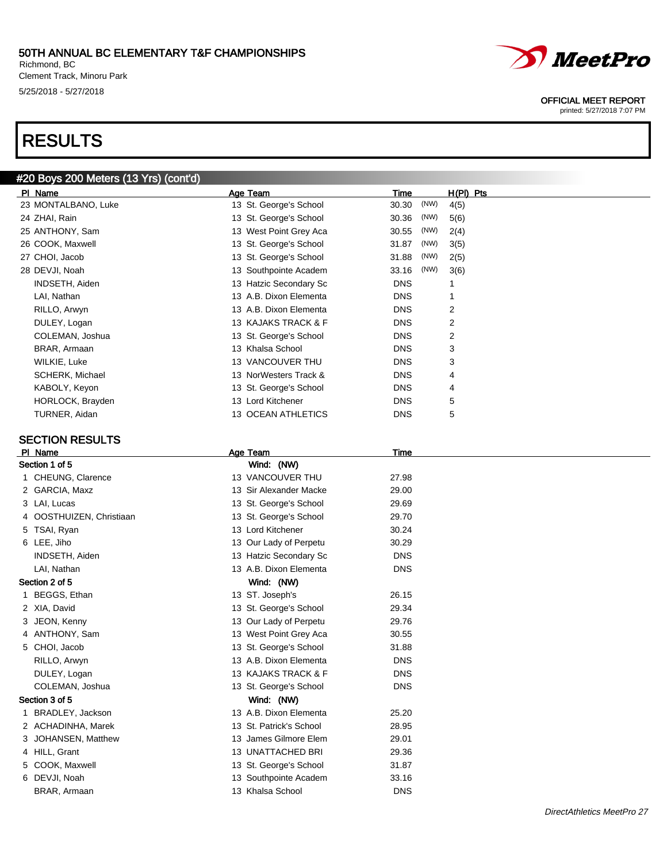Richmond, BC Clement Track, Minoru Park 5/25/2018 - 5/27/2018

# RESULTS

## #20 Boys 200 Meters (13 Yrs) (cont'd)

| PI Name             | Age Team               | Time          | $H(PI)$ Pts |
|---------------------|------------------------|---------------|-------------|
| 23 MONTALBANO, Luke | 13 St. George's School | (NW)<br>30.30 | 4(5)        |
| 24 ZHAI, Rain       | 13 St. George's School | (NW)<br>30.36 | 5(6)        |
| 25 ANTHONY, Sam     | 13 West Point Grey Aca | (NW)<br>30.55 | 2(4)        |
| 26 COOK, Maxwell    | 13 St. George's School | (NW)<br>31.87 | 3(5)        |
| 27 CHOI, Jacob      | 13 St. George's School | (NW)<br>31.88 | 2(5)        |
| 28 DEVJI, Noah      | 13 Southpointe Academ  | (NW)<br>33.16 | 3(6)        |
| INDSETH, Aiden      | 13 Hatzic Secondary Sc | <b>DNS</b>    |             |
| LAI, Nathan         | 13 A.B. Dixon Elementa | <b>DNS</b>    |             |
| RILLO, Arwyn        | 13 A.B. Dixon Elementa | <b>DNS</b>    | 2           |
| DULEY, Logan        | 13 KAJAKS TRACK & F    | <b>DNS</b>    | 2           |
| COLEMAN, Joshua     | 13 St. George's School | <b>DNS</b>    | 2           |
| BRAR, Armaan        | 13 Khalsa School       | <b>DNS</b>    | 3           |
| WILKIE, Luke        | 13 VANCOUVER THU       | <b>DNS</b>    | 3           |
| SCHERK, Michael     | 13 NorWesters Track &  | <b>DNS</b>    | 4           |
| KABOLY, Keyon       | 13 St. George's School | <b>DNS</b>    | 4           |
| HORLOCK, Brayden    | 13 Lord Kitchener      | <b>DNS</b>    | 5           |
| TURNER, Aidan       | 13 OCEAN ATHLETICS     | <b>DNS</b>    | 5           |

### SECTION RESULTS

| PI Name                  | Age Team                | <b>Time</b> |  |
|--------------------------|-------------------------|-------------|--|
| Section 1 of 5           | Wind: (NW)              |             |  |
| 1 CHEUNG, Clarence       | 13 VANCOUVER THU        | 27.98       |  |
| 2 GARCIA, Maxz           | 13 Sir Alexander Macke  | 29.00       |  |
| 3 LAI, Lucas             | 13 St. George's School  | 29.69       |  |
| 4 OOSTHUIZEN, Christiaan | 13 St. George's School  | 29.70       |  |
| 5 TSAI, Ryan             | 13 Lord Kitchener       | 30.24       |  |
| 6 LEE, Jiho              | 13 Our Lady of Perpetu  | 30.29       |  |
| INDSETH, Aiden           | 13 Hatzic Secondary Sc  | <b>DNS</b>  |  |
| LAI, Nathan              | 13 A.B. Dixon Elementa  | <b>DNS</b>  |  |
| Section 2 of 5           | Wind: (NW)              |             |  |
| 1 BEGGS, Ethan           | 13 ST. Joseph's         | 26.15       |  |
| 2 XIA, David             | 13 St. George's School  | 29.34       |  |
| 3 JEON, Kenny            | 13 Our Lady of Perpetu  | 29.76       |  |
| 4 ANTHONY, Sam           | 13 West Point Grey Aca  | 30.55       |  |
| 5 CHOI, Jacob            | 13 St. George's School  | 31.88       |  |
| RILLO, Arwyn             | 13 A.B. Dixon Elementa  | <b>DNS</b>  |  |
| DULEY, Logan             | 13 KAJAKS TRACK & F     | <b>DNS</b>  |  |
| COLEMAN, Joshua          | 13 St. George's School  | <b>DNS</b>  |  |
| Section 3 of 5           | Wind: (NW)              |             |  |
| BRADLEY, Jackson<br>1.   | 13 A.B. Dixon Elementa  | 25.20       |  |
| 2 ACHADINHA, Marek       | 13 St. Patrick's School | 28.95       |  |
| JOHANSEN, Matthew<br>3.  | 13 James Gilmore Elem   | 29.01       |  |
| 4 HILL, Grant            | 13 UNATTACHED BRI       | 29.36       |  |
| 5 COOK, Maxwell          | 13 St. George's School  | 31.87       |  |
| 6 DEVJI, Noah            | 13 Southpointe Academ   | 33.16       |  |
| BRAR, Armaan             | 13 Khalsa School        | <b>DNS</b>  |  |
|                          |                         |             |  |

OFFICIAL MEET REPORT printed: 5/27/2018 7:07 PM

*MeetPro* 

## DirectAthletics MeetPro 27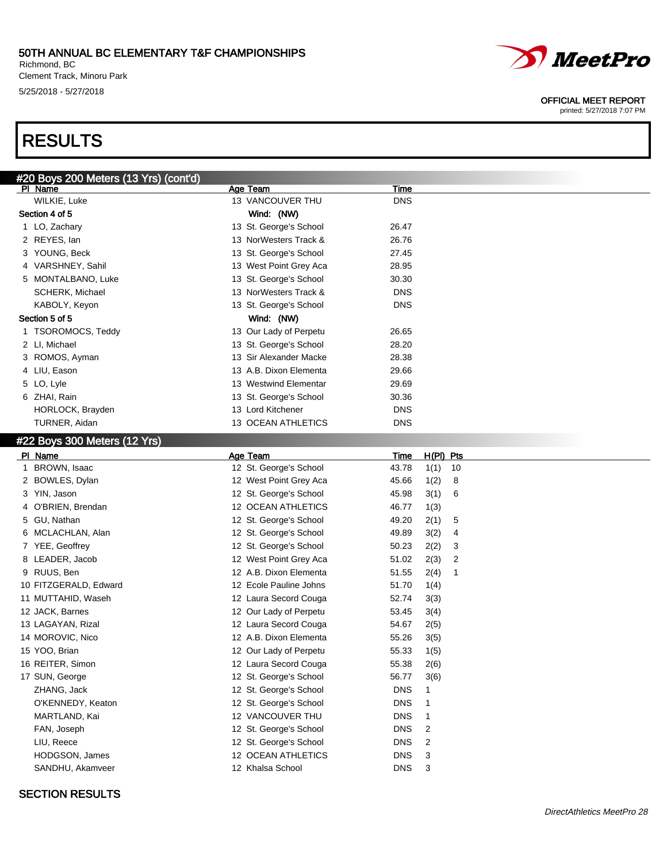Richmond, BC Clement Track, Minoru Park 5/25/2018 - 5/27/2018

# RESULTS



OFFICIAL MEET REPORT

printed: 5/27/2018 7:07 PM

| #20 Boys 200 Meters (13 Yrs) (cont'd) |                        |            |  |
|---------------------------------------|------------------------|------------|--|
| PI Name                               | Age Team               | Time       |  |
| <b>WILKIE, Luke</b>                   | 13 VANCOUVER THU       | <b>DNS</b> |  |
| Section 4 of 5                        | Wind: (NW)             |            |  |
| 1 LO, Zachary                         | 13 St. George's School | 26.47      |  |
| 2 REYES, lan                          | 13 NorWesters Track &  | 26.76      |  |
| 3 YOUNG, Beck                         | 13 St. George's School | 27.45      |  |
| 4 VARSHNEY, Sahil                     | 13 West Point Grey Aca | 28.95      |  |
| 5 MONTALBANO, Luke                    | 13 St. George's School | 30.30      |  |
| <b>SCHERK, Michael</b>                | 13 NorWesters Track &  | <b>DNS</b> |  |
| KABOLY, Keyon                         | 13 St. George's School | <b>DNS</b> |  |
| Section 5 of 5                        | Wind: (NW)             |            |  |
| 1 TSOROMOCS, Teddy                    | 13 Our Lady of Perpetu | 26.65      |  |
| 2 LI, Michael                         | 13 St. George's School | 28.20      |  |
| 3 ROMOS, Ayman                        | 13 Sir Alexander Macke | 28.38      |  |
| 4 LIU, Eason                          | 13 A.B. Dixon Elementa | 29.66      |  |
| 5 LO, Lyle                            | 13 Westwind Elementar  | 29.69      |  |
| 6 ZHAI, Rain                          | 13 St. George's School | 30.36      |  |
| HORLOCK, Brayden                      | 13 Lord Kitchener      | <b>DNS</b> |  |
| TURNER, Aidan                         | 13 OCEAN ATHLETICS     | <b>DNS</b> |  |

### #22 Boys 300 Meters (12 Yrs)

| PI Name               | Age Team                  | Time       | $H(PI)$ Pts |    |
|-----------------------|---------------------------|------------|-------------|----|
| BROWN, Isaac          | 12 St. George's School    | 43.78      | 1(1)        | 10 |
| 2 BOWLES, Dylan       | 12 West Point Grey Aca    | 45.66      | 1(2)        | 8  |
| 3 YIN, Jason          | 12 St. George's School    | 45.98      | 3(1)        | 6  |
| 4 O'BRIEN, Brendan    | <b>12 OCEAN ATHLETICS</b> | 46.77      | 1(3)        |    |
| 5 GU, Nathan          | 12 St. George's School    | 49.20      | 2(1)        | 5  |
| 6 MCLACHLAN, Alan     | 12 St. George's School    | 49.89      | 3(2)        | 4  |
| 7 YEE, Geoffrey       | 12 St. George's School    | 50.23      | 2(2)        | 3  |
| 8 LEADER, Jacob       | 12 West Point Grey Aca    | 51.02      | 2(3)        | 2  |
| 9 RUUS, Ben           | 12 A.B. Dixon Elementa    | 51.55      | 2(4)        | 1  |
| 10 FITZGERALD, Edward | 12 Ecole Pauline Johns    | 51.70      | 1(4)        |    |
| 11 MUTTAHID, Waseh    | 12 Laura Secord Couga     | 52.74      | 3(3)        |    |
| 12 JACK, Barnes       | 12 Our Lady of Perpetu    | 53.45      | 3(4)        |    |
| 13 LAGAYAN, Rizal     | 12 Laura Secord Couga     | 54.67      | 2(5)        |    |
| 14 MOROVIC, Nico      | 12 A.B. Dixon Elementa    | 55.26      | 3(5)        |    |
| 15 YOO, Brian         | 12 Our Lady of Perpetu    | 55.33      | 1(5)        |    |
| 16 REITER, Simon      | 12 Laura Secord Couga     | 55.38      | 2(6)        |    |
| 17 SUN, George        | 12 St. George's School    | 56.77      | 3(6)        |    |
| ZHANG, Jack           | 12 St. George's School    | <b>DNS</b> | 1           |    |
| O'KENNEDY, Keaton     | 12 St. George's School    | <b>DNS</b> | 1           |    |
| MARTLAND, Kai         | 12 VANCOUVER THU          | <b>DNS</b> | 1           |    |
| FAN, Joseph           | 12 St. George's School    | <b>DNS</b> | 2           |    |
| LIU, Reece            | 12 St. George's School    | <b>DNS</b> | 2           |    |
| HODGSON, James        | <b>12 OCEAN ATHLETICS</b> | <b>DNS</b> | 3           |    |
| SANDHU, Akamveer      | 12 Khalsa School          | <b>DNS</b> | 3           |    |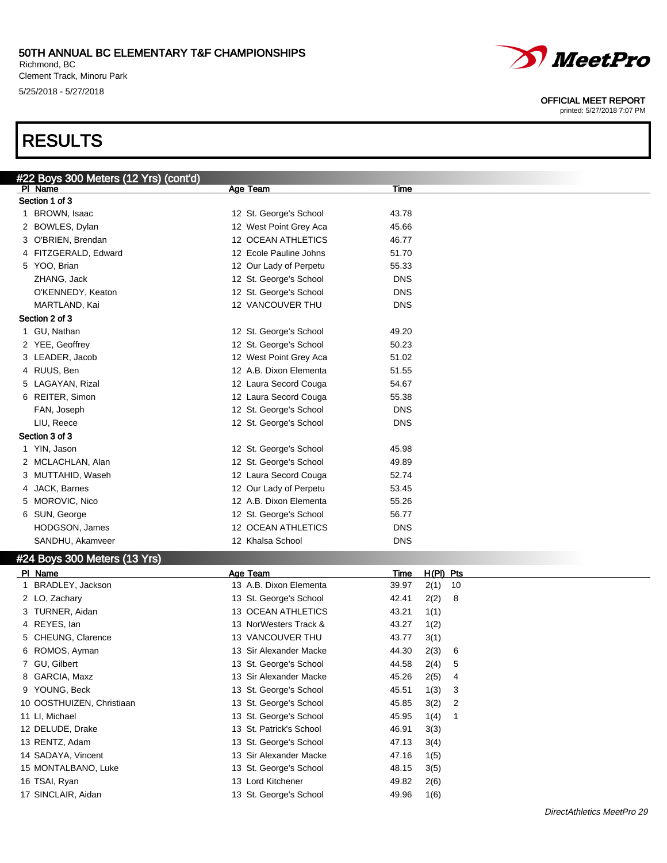### 50TH ANNUAL BC ELEMENTARY T&F CHAMPIONSHIPS Richmond, BC

Clement Track, Minoru Park 5/25/2018 - 5/27/2018

#22 Boys 300 Meters (12 Yrs) (cont'd)<br>| PL Name

# RESULTS

| Section 1 of 3               |                         |            |             |    |  |
|------------------------------|-------------------------|------------|-------------|----|--|
| 1 BROWN, Isaac               | 12 St. George's School  | 43.78      |             |    |  |
| 2 BOWLES, Dylan              | 12 West Point Grey Aca  | 45.66      |             |    |  |
| 3 O'BRIEN, Brendan           | 12 OCEAN ATHLETICS      | 46.77      |             |    |  |
| 4 FITZGERALD, Edward         | 12 Ecole Pauline Johns  | 51.70      |             |    |  |
| 5 YOO, Brian                 | 12 Our Lady of Perpetu  | 55.33      |             |    |  |
| ZHANG, Jack                  | 12 St. George's School  | <b>DNS</b> |             |    |  |
| O'KENNEDY, Keaton            | 12 St. George's School  | <b>DNS</b> |             |    |  |
| MARTLAND, Kai                | 12 VANCOUVER THU        | <b>DNS</b> |             |    |  |
| Section 2 of 3               |                         |            |             |    |  |
| 1 GU, Nathan                 | 12 St. George's School  | 49.20      |             |    |  |
| 2 YEE, Geoffrey              | 12 St. George's School  | 50.23      |             |    |  |
| 3 LEADER, Jacob              | 12 West Point Grey Aca  | 51.02      |             |    |  |
| 4 RUUS, Ben                  | 12 A.B. Dixon Elementa  | 51.55      |             |    |  |
| 5 LAGAYAN, Rizal             | 12 Laura Secord Couga   | 54.67      |             |    |  |
| 6 REITER, Simon              | 12 Laura Secord Couga   | 55.38      |             |    |  |
| FAN, Joseph                  | 12 St. George's School  | <b>DNS</b> |             |    |  |
| LIU, Reece                   | 12 St. George's School  | <b>DNS</b> |             |    |  |
| Section 3 of 3               |                         |            |             |    |  |
| 1 YIN, Jason                 | 12 St. George's School  | 45.98      |             |    |  |
| 2 MCLACHLAN, Alan            | 12 St. George's School  | 49.89      |             |    |  |
| 3 MUTTAHID, Waseh            | 12 Laura Secord Couga   | 52.74      |             |    |  |
| 4 JACK, Barnes               | 12 Our Lady of Perpetu  | 53.45      |             |    |  |
| 5 MOROVIC, Nico              | 12 A.B. Dixon Elementa  | 55.26      |             |    |  |
| 6 SUN, George                | 12 St. George's School  | 56.77      |             |    |  |
| HODGSON, James               | 12 OCEAN ATHLETICS      | <b>DNS</b> |             |    |  |
| SANDHU, Akamveer             | 12 Khalsa School        | <b>DNS</b> |             |    |  |
| #24 Boys 300 Meters (13 Yrs) |                         |            |             |    |  |
| PI Name                      | Age Team                | Time       | $H(PI)$ Pts |    |  |
| 1 BRADLEY, Jackson           | 13 A.B. Dixon Elementa  | 39.97      | 2(1)        | 10 |  |
| 2 LO, Zachary                | 13 St. George's School  | 42.41      | 2(2)        | 8  |  |
| 3 TURNER, Aidan              | 13 OCEAN ATHLETICS      | 43.21      | 1(1)        |    |  |
| 4 REYES, lan                 | 13 NorWesters Track &   | 43.27      | 1(2)        |    |  |
| 5 CHEUNG, Clarence           | 13 VANCOUVER THU        | 43.77      | 3(1)        |    |  |
| 6 ROMOS, Ayman               | 13 Sir Alexander Macke  | 44.30      | 2(3)        | 6  |  |
| 7 GU, Gilbert                | 13 St. George's School  | 44.58      | 2(4)        | 5  |  |
| 8 GARCIA, Maxz               | 13 Sir Alexander Macke  | 45.26      | 2(5)        | 4  |  |
| 9 YOUNG, Beck                | 13 St. George's School  | 45.51      | 1(3)        | 3  |  |
| 10 OOSTHUIZEN, Christiaan    | 13 St. George's School  | 45.85      | 3(2)        | 2  |  |
| 11 LI, Michael               | 13 St. George's School  | 45.95      | 1(4)        | 1  |  |
| 12 DELUDE, Drake             | 13 St. Patrick's School | 46.91      | 3(3)        |    |  |
| 13 RENTZ, Adam               | 13 St. George's School  | 47.13      | 3(4)        |    |  |
| 14 SADAYA, Vincent           | 13 Sir Alexander Macke  | 47.16      | 1(5)        |    |  |
| 15 MONTALBANO, Luke          | 13 St. George's School  | 48.15      | 3(5)        |    |  |
| 16 TSAI, Ryan                | 13 Lord Kitchener       | 49.82      | 2(6)        |    |  |

Age Team Time



OFFICIAL MEET REPORT

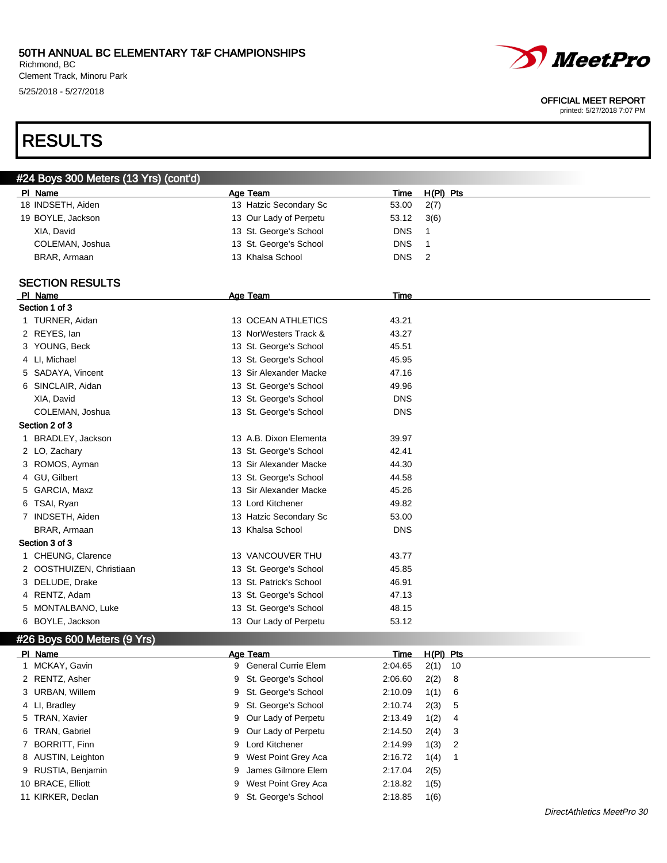$\mathbb{Z}$   $(42 \text{ Vso})$  (cont'd)

Richmond, BC Clement Track, Minoru Park 5/25/2018 - 5/27/2018

# RESULTS

| #24 DOYS JUU MEIERS (15 TTS) (CONTO) |   |                         |             |                |   |
|--------------------------------------|---|-------------------------|-------------|----------------|---|
| PI Name                              |   | Age Team                | Time        | H(PI) Pts      |   |
| 18 INDSETH, Aiden                    |   | 13 Hatzic Secondary Sc  | 53.00       | 2(7)           |   |
| 19 BOYLE, Jackson                    |   | 13 Our Lady of Perpetu  | 53.12       | 3(6)           |   |
| XIA, David                           |   | 13 St. George's School  | <b>DNS</b>  | 1              |   |
| COLEMAN, Joshua                      |   | 13 St. George's School  | <b>DNS</b>  | 1              |   |
| BRAR, Armaan                         |   | 13 Khalsa School        | <b>DNS</b>  | $\overline{2}$ |   |
|                                      |   |                         |             |                |   |
| <b>SECTION RESULTS</b>               |   |                         |             |                |   |
| PI Name                              |   | Age Team                | <u>Time</u> |                |   |
| Section 1 of 3                       |   |                         |             |                |   |
| 1 TURNER, Aidan                      |   | 13 OCEAN ATHLETICS      | 43.21       |                |   |
| 2 REYES, lan                         |   | 13 NorWesters Track &   | 43.27       |                |   |
| 3 YOUNG, Beck                        |   | 13 St. George's School  | 45.51       |                |   |
| 4 LI, Michael                        |   | 13 St. George's School  | 45.95       |                |   |
| 5 SADAYA, Vincent                    |   | 13 Sir Alexander Macke  | 47.16       |                |   |
| 6 SINCLAIR, Aidan                    |   | 13 St. George's School  | 49.96       |                |   |
| XIA, David                           |   | 13 St. George's School  | <b>DNS</b>  |                |   |
| COLEMAN, Joshua                      |   | 13 St. George's School  | <b>DNS</b>  |                |   |
| Section 2 of 3                       |   |                         |             |                |   |
| 1 BRADLEY, Jackson                   |   | 13 A.B. Dixon Elementa  | 39.97       |                |   |
| 2 LO, Zachary                        |   | 13 St. George's School  | 42.41       |                |   |
| 3 ROMOS, Ayman                       |   | 13 Sir Alexander Macke  | 44.30       |                |   |
| 4 GU, Gilbert                        |   | 13 St. George's School  | 44.58       |                |   |
| 5 GARCIA, Maxz                       |   | 13 Sir Alexander Macke  | 45.26       |                |   |
| 6 TSAI, Ryan                         |   | 13 Lord Kitchener       | 49.82       |                |   |
| 7 INDSETH, Aiden                     |   | 13 Hatzic Secondary Sc  | 53.00       |                |   |
| BRAR, Armaan                         |   | 13 Khalsa School        | <b>DNS</b>  |                |   |
| Section 3 of 3                       |   |                         |             |                |   |
| 1 CHEUNG, Clarence                   |   | 13 VANCOUVER THU        | 43.77       |                |   |
| 2 OOSTHUIZEN, Christiaan             |   | 13 St. George's School  | 45.85       |                |   |
| 3 DELUDE, Drake                      |   | 13 St. Patrick's School | 46.91       |                |   |
| 4 RENTZ, Adam                        |   | 13 St. George's School  | 47.13       |                |   |
| 5 MONTALBANO, Luke                   |   | 13 St. George's School  | 48.15       |                |   |
| 6 BOYLE, Jackson                     |   | 13 Our Lady of Perpetu  | 53.12       |                |   |
| #26 Boys 600 Meters (9 Yrs)          |   |                         |             |                |   |
| PI Name                              |   | Age Team                | Time        | $H(PI)$ Pts    |   |
| 1 MCKAY, Gavin                       |   | 9 General Currie Elem   | 2:04.65     | $2(1)$ 10      |   |
| 2 RENTZ, Asher                       | 9 | St. George's School     | 2:06.60     | 2(2)           | 8 |
| 3 URBAN, Willem                      | 9 | St. George's School     | 2:10.09     | 1(1)           | 6 |
| 4 LI, Bradley                        | 9 | St. George's School     | 2:10.74     | 2(3)           | 5 |
| 5 TRAN, Xavier                       | 9 | Our Lady of Perpetu     | 2:13.49     | 1(2)           | 4 |
| 6 TRAN, Gabriel                      | 9 | Our Lady of Perpetu     | 2:14.50     | 2(4)           | 3 |
| 7 BORRITT, Finn                      | 9 | Lord Kitchener          | 2:14.99     | 1(3)           | 2 |
| 8 AUSTIN, Leighton                   | 9 | West Point Grey Aca     | 2:16.72     | 1(4)           | 1 |
| 9 RUSTIA, Benjamin                   | 9 | James Gilmore Elem      | 2:17.04     | 2(5)           |   |
|                                      |   |                         |             |                |   |

10 BRACE, Elliott 9 West Point Grey Aca 2:18.82 1(5) 11 KIRKER, Declan 9 St. George's School 2:18.85 1(6)



#### OFFICIAL MEET REPORT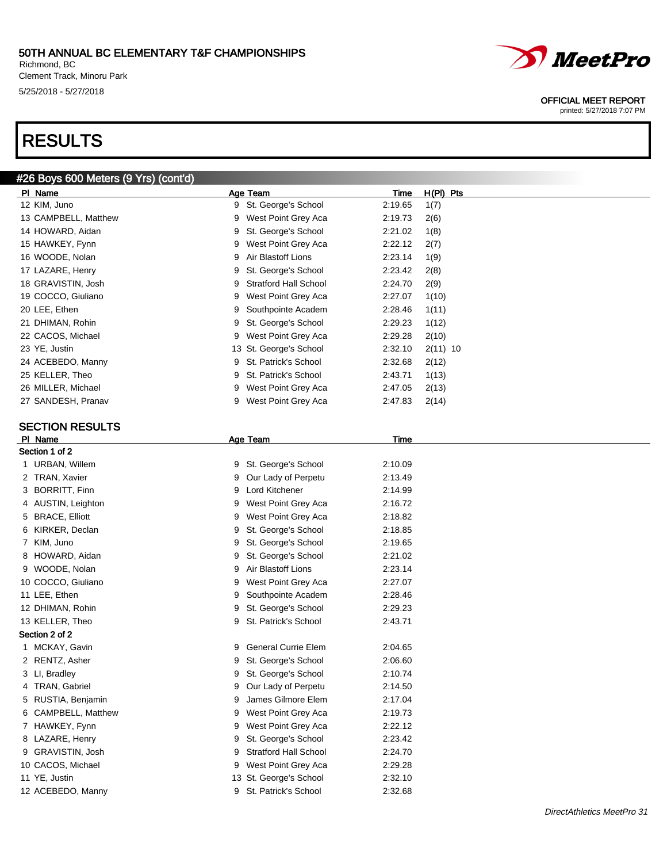Richmond, BC Clement Track, Minoru Park 5/25/2018 - 5/27/2018

# RESULTS

## #26 Boys 600 Meters (9 Yrs) (cont'd)

| PI Name                | Age Team                          | Time        | H(PI) Pts  |
|------------------------|-----------------------------------|-------------|------------|
| 12 KIM, Juno           | 9 St. George's School             | 2:19.65     | 1(7)       |
| 13 CAMPBELL, Matthew   | 9 West Point Grey Aca             | 2:19.73     | 2(6)       |
| 14 HOWARD, Aidan       | St. George's School<br>9          | 2:21.02     | 1(8)       |
| 15 HAWKEY, Fynn        | West Point Grey Aca<br>9          | 2:22.12     | 2(7)       |
| 16 WOODE, Nolan        | Air Blastoff Lions<br>9           | 2:23.14     | 1(9)       |
| 17 LAZARE, Henry       | St. George's School<br>9          | 2:23.42     | 2(8)       |
| 18 GRAVISTIN, Josh     | <b>Stratford Hall School</b><br>9 | 2:24.70     | 2(9)       |
| 19 COCCO, Giuliano     | West Point Grey Aca<br>9          | 2:27.07     | 1(10)      |
| 20 LEE, Ethen          | Southpointe Academ<br>9           | 2:28.46     | 1(11)      |
| 21 DHIMAN, Rohin       | St. George's School<br>9          | 2:29.23     | 1(12)      |
| 22 CACOS, Michael      | West Point Grey Aca<br>9          | 2:29.28     | 2(10)      |
| 23 YE, Justin          | 13 St. George's School            | 2:32.10     | $2(11)$ 10 |
| 24 ACEBEDO, Manny      | St. Patrick's School<br>9         | 2:32.68     | 2(12)      |
| 25 KELLER, Theo        | St. Patrick's School<br>9         | 2:43.71     | 1(13)      |
| 26 MILLER, Michael     | West Point Grey Aca<br>9          | 2:47.05     | 2(13)      |
| 27 SANDESH, Pranav     | 9 West Point Grey Aca             | 2:47.83     | 2(14)      |
|                        |                                   |             |            |
| <b>SECTION RESULTS</b> |                                   |             |            |
| PI Name                | <b>Age Team</b>                   | <u>Time</u> |            |
| Section 1 of 2         |                                   |             |            |
| 1 URBAN, Willem        | 9 St. George's School             | 2:10.09     |            |
| 2 TRAN, Xavier         | Our Lady of Perpetu<br>9          | 2:13.49     |            |
| 3 BORRITT, Finn        | <b>Lord Kitchener</b><br>9        | 2:14.99     |            |
| 4 AUSTIN, Leighton     | West Point Grey Aca<br>9          | 2:16.72     |            |
| 5 BRACE, Elliott       | West Point Grey Aca<br>9          | 2:18.82     |            |
| KIRKER, Declan         | St. George's School<br>9          | 2:18.85     |            |
| 7 KIM, Juno            | St. George's School<br>9          | 2:19.65     |            |
| 8 HOWARD, Aidan        | St. George's School<br>9          | 2:21.02     |            |
| 9 WOODE, Nolan         | Air Blastoff Lions<br>9           | 2:23.14     |            |
| 10 COCCO, Giuliano     | West Point Grey Aca<br>9          | 2:27.07     |            |
| 11 LEE, Ethen          | Southpointe Academ<br>9           | 2:28.46     |            |
| 12 DHIMAN, Rohin       | St. George's School<br>9          | 2:29.23     |            |
| 13 KELLER, Theo        | St. Patrick's School<br>9         | 2:43.71     |            |
| Section 2 of 2         |                                   |             |            |
| 1 MCKAY, Gavin         | <b>General Currie Elem</b><br>9   | 2:04.65     |            |
| 2 RENTZ, Asher         | 9 St. George's School             | 2:06.60     |            |
| LI, Bradley<br>3       | St. George's School<br>9          | 2:10.74     |            |
| 4 TRAN, Gabriel        | Our Lady of Perpetu<br>9          | 2:14.50     |            |
| 5 RUSTIA, Benjamin     | James Gilmore Elem<br>9           | 2:17.04     |            |
| CAMPBELL, Matthew<br>6 | West Point Grey Aca<br>9          | 2:19.73     |            |
| 7 HAWKEY, Fynn         | West Point Grey Aca<br>9          | 2:22.12     |            |
| 8 LAZARE, Henry        | St. George's School<br>9          | 2:23.42     |            |
| 9 GRAVISTIN, Josh      | <b>Stratford Hall School</b><br>9 | 2:24.70     |            |
| 10 CACOS, Michael      | West Point Grey Aca<br>9          | 2:29.28     |            |
| 11 YE, Justin          | 13 St. George's School            | 2:32.10     |            |
| 12 ACEBEDO, Manny      | 9 St. Patrick's School            | 2:32.68     |            |



OFFICIAL MEET REPORT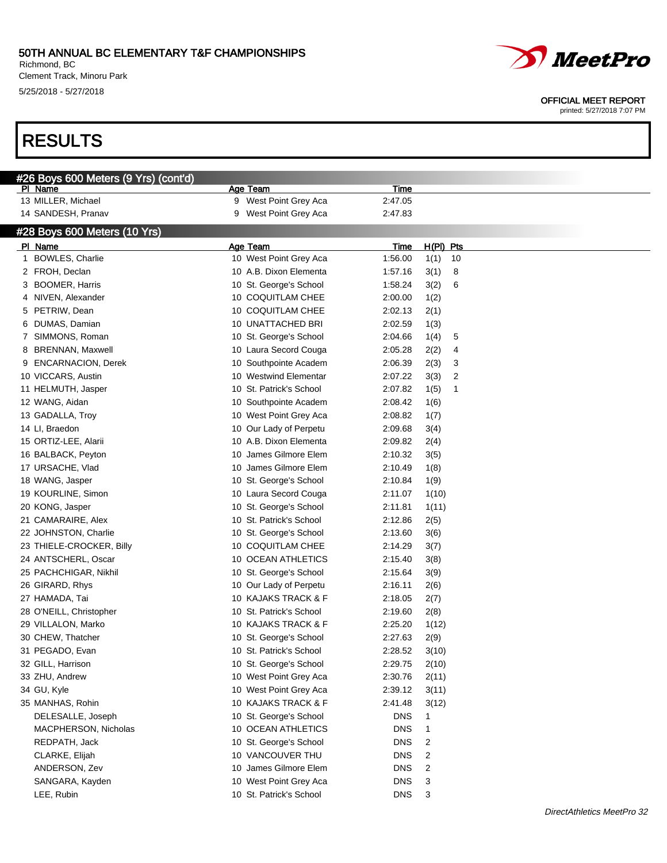### 50TH ANNUAL BC ELEMENTARY T&F CHAMPIONSHIPS Richmond, BC

Clement Track, Minoru Park 5/25/2018 - 5/27/2018

# RESULTS



#### OFFICIAL MEET REPORT

|   | #26 Boys 600 Meters (9 Yrs) (cont'd) |                          |             |            |
|---|--------------------------------------|--------------------------|-------------|------------|
|   | PI Name                              | Age Team                 | Time        |            |
|   | 13 MILLER, Michael                   | West Point Grey Aca<br>9 | 2:47.05     |            |
|   | 14 SANDESH, Pranav                   | West Point Grey Aca<br>9 | 2:47.83     |            |
|   | #28 Boys 600 Meters (10 Yrs)         |                          |             |            |
|   | PI Name                              | Age Team                 | <u>Time</u> | H(PI) Pts  |
| 1 | <b>BOWLES, Charlie</b>               | 10 West Point Grey Aca   | 1:56.00     | 1(1)<br>10 |
|   | 2 FROH, Declan                       | 10 A.B. Dixon Elementa   | 1:57.16     | 3(1)<br>8  |
| 3 | <b>BOOMER, Harris</b>                | 10 St. George's School   | 1:58.24     | 3(2)<br>6  |
| 4 | NIVEN, Alexander                     | 10 COQUITLAM CHEE        | 2:00.00     | 1(2)       |
| 5 | PETRIW, Dean                         | 10 COQUITLAM CHEE        | 2:02.13     | 2(1)       |
| 6 | DUMAS, Damian                        | 10 UNATTACHED BRI        | 2:02.59     | 1(3)       |
| 7 | SIMMONS, Roman                       | 10 St. George's School   | 2:04.66     | 1(4)<br>5  |
| 8 | <b>BRENNAN, Maxwell</b>              | 10 Laura Secord Couga    | 2:05.28     | 2(2)<br>4  |
| 9 | <b>ENCARNACION, Derek</b>            | 10 Southpointe Academ    | 2:06.39     | 2(3)<br>3  |
|   | 10 VICCARS, Austin                   | 10 Westwind Elementar    | 2:07.22     | 3(3)<br>2  |
|   | 11 HELMUTH, Jasper                   | 10 St. Patrick's School  | 2:07.82     | 1(5)<br>1  |
|   | 12 WANG, Aidan                       | 10 Southpointe Academ    | 2:08.42     | 1(6)       |
|   | 13 GADALLA, Troy                     | 10 West Point Grey Aca   | 2:08.82     | 1(7)       |
|   | 14 LI, Braedon                       | 10 Our Lady of Perpetu   | 2:09.68     | 3(4)       |
|   | 15 ORTIZ-LEE, Alarii                 | 10 A.B. Dixon Elementa   | 2:09.82     | 2(4)       |
|   | 16 BALBACK, Peyton                   | 10 James Gilmore Elem    | 2:10.32     | 3(5)       |
|   | 17 URSACHE, Vlad                     | 10 James Gilmore Elem    | 2:10.49     | 1(8)       |
|   | 18 WANG, Jasper                      | 10 St. George's School   | 2:10.84     | 1(9)       |
|   | 19 KOURLINE, Simon                   | 10 Laura Secord Couga    | 2:11.07     | 1(10)      |
|   | 20 KONG, Jasper                      | 10 St. George's School   | 2:11.81     | 1(11)      |
|   | 21 CAMARAIRE, Alex                   | 10 St. Patrick's School  | 2:12.86     | 2(5)       |
|   | 22 JOHNSTON, Charlie                 | 10 St. George's School   | 2:13.60     | 3(6)       |
|   | 23 THIELE-CROCKER, Billy             | 10 COQUITLAM CHEE        | 2:14.29     | 3(7)       |
|   | 24 ANTSCHERL, Oscar                  | 10 OCEAN ATHLETICS       | 2:15.40     | 3(8)       |
|   | 25 PACHCHIGAR, Nikhil                | 10 St. George's School   | 2:15.64     | 3(9)       |
|   | 26 GIRARD, Rhys                      | 10 Our Lady of Perpetu   | 2:16.11     | 2(6)       |
|   | 27 HAMADA, Tai                       | 10 KAJAKS TRACK & F      | 2:18.05     | 2(7)       |
|   | 28 O'NEILL, Christopher              | 10 St. Patrick's School  | 2:19.60     | 2(8)       |
|   | 29 VILLALON, Marko                   | 10 KAJAKS TRACK & F      | 2:25.20     | 1(12)      |
|   | 30 CHEW, Thatcher                    | 10 St. George's School   | 2:27.63     | 2(9)       |
|   | 31 PEGADO, Evan                      | 10 St. Patrick's School  | 2:28.52     | 3(10)      |
|   | 32 GILL, Harrison                    | 10 St. George's School   | 2:29.75     | 2(10)      |
|   | 33 ZHU, Andrew                       | 10 West Point Grey Aca   | 2:30.76     | 2(11)      |
|   | 34 GU, Kyle                          | 10 West Point Grey Aca   | 2:39.12     | 3(11)      |
|   | 35 MANHAS, Rohin                     | 10 KAJAKS TRACK & F      | 2:41.48     | 3(12)      |
|   | DELESALLE, Joseph                    | 10 St. George's School   | <b>DNS</b>  | 1          |
|   | MACPHERSON, Nicholas                 | 10 OCEAN ATHLETICS       | <b>DNS</b>  | 1          |
|   | REDPATH, Jack                        | 10 St. George's School   | <b>DNS</b>  | 2          |
|   | CLARKE, Elijah                       | 10 VANCOUVER THU         | <b>DNS</b>  | 2          |
|   | ANDERSON, Zev                        | 10 James Gilmore Elem    | <b>DNS</b>  | 2          |
|   | SANGARA, Kayden                      | 10 West Point Grey Aca   | <b>DNS</b>  | 3          |
|   | LEE, Rubin                           | 10 St. Patrick's School  | <b>DNS</b>  | 3          |
|   |                                      |                          |             |            |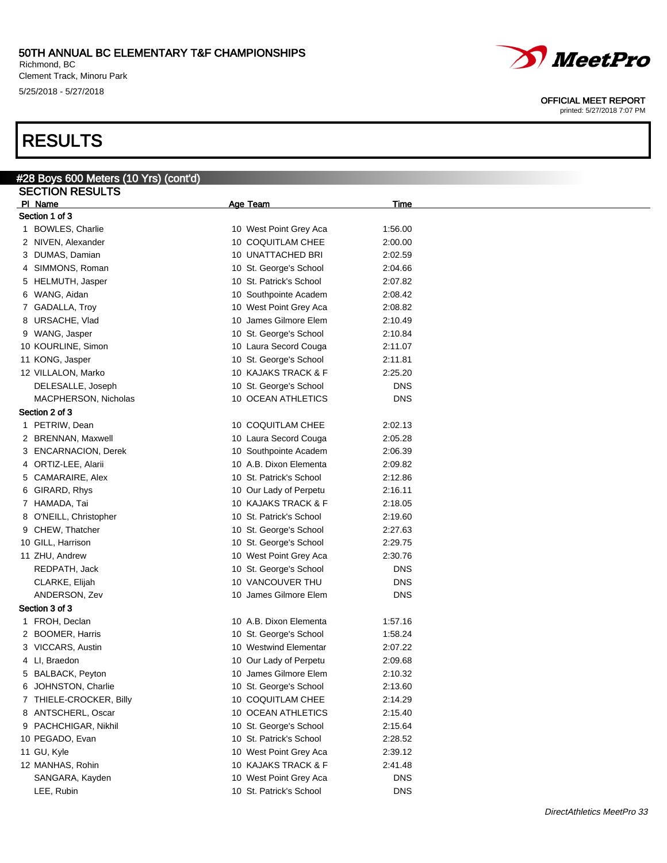Richmond, BC Clement Track, Minoru Park 5/25/2018 - 5/27/2018

# RESULTS

| <u>#28 Boys</u> 600 Meters (10 Yrs) (cont'd) |                         |            |
|----------------------------------------------|-------------------------|------------|
| <b>SECTION RESULTS</b>                       |                         |            |
| PI Name                                      | Age Team                | Time       |
| Section 1 of 3                               |                         |            |
| 1 BOWLES, Charlie                            | 10 West Point Grey Aca  | 1:56.00    |
| 2 NIVEN, Alexander                           | 10 COQUITLAM CHEE       | 2:00.00    |
| 3 DUMAS, Damian                              | 10 UNATTACHED BRI       | 2:02.59    |
| 4 SIMMONS, Roman                             | 10 St. George's School  | 2:04.66    |
| 5 HELMUTH, Jasper                            | 10 St. Patrick's School | 2:07.82    |
| 6 WANG, Aidan                                | 10 Southpointe Academ   | 2:08.42    |
| 7 GADALLA, Troy                              | 10 West Point Grey Aca  | 2:08.82    |
| 8 URSACHE, Vlad                              | 10 James Gilmore Elem   | 2:10.49    |
|                                              |                         |            |
| 9 WANG, Jasper                               | 10 St. George's School  | 2:10.84    |
| 10 KOURLINE, Simon                           | 10 Laura Secord Couga   | 2:11.07    |
| 11 KONG, Jasper                              | 10 St. George's School  | 2:11.81    |
| 12 VILLALON, Marko                           | 10 KAJAKS TRACK & F     | 2:25.20    |
| DELESALLE, Joseph                            | 10 St. George's School  | <b>DNS</b> |
| MACPHERSON, Nicholas                         | 10 OCEAN ATHLETICS      | DNS        |
| Section 2 of 3                               |                         |            |
| 1 PETRIW, Dean                               | 10 COQUITLAM CHEE       | 2:02.13    |
| 2 BRENNAN, Maxwell                           | 10 Laura Secord Couga   | 2:05.28    |
| 3 ENCARNACION, Derek                         | 10 Southpointe Academ   | 2:06.39    |
| 4 ORTIZ-LEE, Alarii                          | 10 A.B. Dixon Elementa  | 2:09.82    |
| 5 CAMARAIRE, Alex                            | 10 St. Patrick's School | 2:12.86    |
|                                              |                         |            |
| 6 GIRARD, Rhys                               | 10 Our Lady of Perpetu  | 2:16.11    |
| 7 HAMADA, Tai                                | 10 KAJAKS TRACK & F     | 2:18.05    |
| 8 O'NEILL, Christopher                       | 10 St. Patrick's School | 2:19.60    |
| 9 CHEW, Thatcher                             | 10 St. George's School  | 2:27.63    |
| 10 GILL, Harrison                            | 10 St. George's School  | 2:29.75    |
| 11 ZHU, Andrew                               | 10 West Point Grey Aca  | 2:30.76    |
| REDPATH, Jack                                | 10 St. George's School  | <b>DNS</b> |
| CLARKE, Elijah                               | 10 VANCOUVER THU        | <b>DNS</b> |
| ANDERSON, Zev                                | 10 James Gilmore Elem   | DNS        |
| Section 3 of 3                               |                         |            |
| 1 FROH, Declan                               | 10 A.B. Dixon Elementa  | 1:57.16    |
| 2 BOOMER, Harris                             | 10 St. George's School  | 1:58.24    |
| 3 VICCARS, Austin                            | 10 Westwind Elementar   | 2:07.22    |
|                                              |                         |            |
| 4 Ll. Braedon                                | 10 Our Lady of Perpetu  | 2:09.68    |
| 5 BALBACK, Peyton                            | 10 James Gilmore Elem   | 2:10.32    |
| 6 JOHNSTON, Charlie                          | 10 St. George's School  | 2:13.60    |
| 7 THIELE-CROCKER, Billy                      | 10 COQUITLAM CHEE       | 2:14.29    |
| 8 ANTSCHERL, Oscar                           | 10 OCEAN ATHLETICS      | 2:15.40    |
| 9 PACHCHIGAR, Nikhil                         | 10 St. George's School  | 2:15.64    |
| 10 PEGADO, Evan                              | 10 St. Patrick's School | 2:28.52    |
| 11 GU, Kyle                                  | 10 West Point Grey Aca  | 2:39.12    |
| 12 MANHAS, Rohin                             | 10 KAJAKS TRACK & F     | 2:41.48    |
| SANGARA, Kayden                              | 10 West Point Grey Aca  | DNS        |
| LEE, Rubin                                   | 10 St. Patrick's School | <b>DNS</b> |
|                                              |                         |            |

*MeetPro* 

OFFICIAL MEET REPORT printed: 5/27/2018 7:07 PM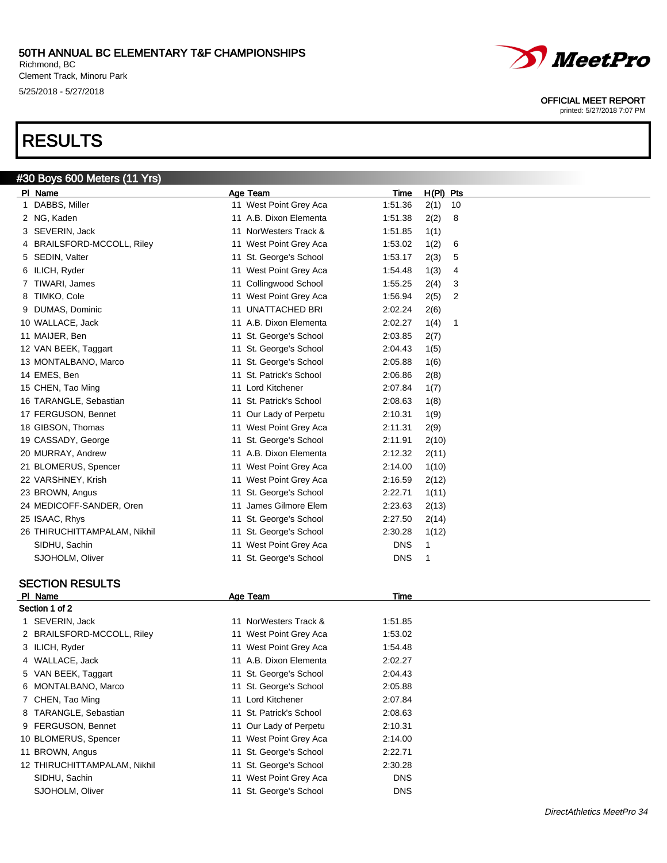Richmond, BC Clement Track, Minoru Park 5/25/2018 - 5/27/2018

#30 Boys 600 Meters (11 Yrs)

# RESULTS

| PI Name                              | Age Team                | $H(PI)$ Pts<br>Time   |
|--------------------------------------|-------------------------|-----------------------|
| DABBS, Miller                        | 11 West Point Grey Aca  | 1:51.36<br>2(1)<br>10 |
| 2 NG, Kaden                          | 11 A.B. Dixon Elementa  | 1:51.38<br>2(2)<br>8  |
| SEVERIN, Jack<br>3.                  | 11 NorWesters Track &   | 1:51.85<br>1(1)       |
| <b>BRAILSFORD-MCCOLL, Riley</b><br>4 | 11 West Point Grey Aca  | 1:53.02<br>1(2)<br>6  |
| SEDIN, Valter<br>5                   | 11 St. George's School  | 1:53.17<br>2(3)<br>5  |
| ILICH, Ryder<br>6.                   | 11 West Point Grey Aca  | 1:54.48<br>1(3)<br>4  |
| TIWARI, James                        | 11 Collingwood School   | 1:55.25<br>2(4)<br>3  |
| TIMKO, Cole<br>8                     | 11 West Point Grey Aca  | 1:56.94<br>2(5)<br>2  |
| <b>DUMAS, Dominic</b><br>9           | 11 UNATTACHED BRI       | 2:02.24<br>2(6)       |
| 10 WALLACE, Jack                     | 11 A.B. Dixon Elementa  | 2:02.27<br>1(4)<br>1  |
| 11 MAIJER, Ben                       | 11 St. George's School  | 2:03.85<br>2(7)       |
| 12 VAN BEEK, Taggart                 | 11 St. George's School  | 1(5)<br>2:04.43       |
| 13 MONTALBANO, Marco                 | 11 St. George's School  | 2:05.88<br>1(6)       |
| 14 EMES, Ben                         | 11 St. Patrick's School | 2:06.86<br>2(8)       |
| 15 CHEN, Tao Ming                    | 11 Lord Kitchener       | 2:07.84<br>1(7)       |
| 16 TARANGLE, Sebastian               | 11 St. Patrick's School | 2:08.63<br>1(8)       |
| 17 FERGUSON, Bennet                  | 11 Our Lady of Perpetu  | 2:10.31<br>1(9)       |
| 18 GIBSON, Thomas                    | 11 West Point Grey Aca  | 2:11.31<br>2(9)       |
| 19 CASSADY, George                   | 11 St. George's School  | 2:11.91<br>2(10)      |
| 20 MURRAY, Andrew                    | 11 A.B. Dixon Elementa  | 2:12.32<br>2(11)      |
| 21 BLOMERUS, Spencer                 | 11 West Point Grey Aca  | 2:14.00<br>1(10)      |
| 22 VARSHNEY, Krish                   | 11 West Point Grey Aca  | 2:16.59<br>2(12)      |
| 23 BROWN, Angus                      | 11 St. George's School  | 2:22.71<br>1(11)      |
| 24 MEDICOFF-SANDER, Oren             | 11 James Gilmore Elem   | 2:23.63<br>2(13)      |
| 25 ISAAC, Rhys                       | 11 St. George's School  | 2:27.50<br>2(14)      |
| 26 THIRUCHITTAMPALAM, Nikhil         | 11 St. George's School  | 1(12)<br>2:30.28      |
| SIDHU, Sachin                        | 11 West Point Grey Aca  | <b>DNS</b><br>1       |
| SJOHOLM, Oliver                      | 11 St. George's School  | <b>DNS</b><br>1       |

# SECTION RESULTS

| PI Name                      | Age Team                | Time       |  |
|------------------------------|-------------------------|------------|--|
| Section 1 of 2               |                         |            |  |
| 1 SEVERIN, Jack              | 11 NorWesters Track &   | 1:51.85    |  |
| 2 BRAILSFORD-MCCOLL, Riley   | 11 West Point Grey Aca  | 1:53.02    |  |
| 3 ILICH, Ryder               | 11 West Point Grey Aca  | 1:54.48    |  |
| 4 WALLACE, Jack              | 11 A.B. Dixon Elementa  | 2:02.27    |  |
| 5 VAN BEEK, Taggart          | 11 St. George's School  | 2:04.43    |  |
| 6 MONTALBANO, Marco          | 11 St. George's School  | 2:05.88    |  |
| 7 CHEN, Tao Ming             | 11 Lord Kitchener       | 2:07.84    |  |
| 8 TARANGLE, Sebastian        | 11 St. Patrick's School | 2:08.63    |  |
| 9 FERGUSON, Bennet           | 11 Our Lady of Perpetu  | 2:10.31    |  |
| 10 BLOMERUS, Spencer         | 11 West Point Grey Aca  | 2:14.00    |  |
| 11 BROWN, Angus              | 11 St. George's School  | 2:22.71    |  |
| 12 THIRUCHITTAMPALAM, Nikhil | 11 St. George's School  | 2:30.28    |  |
| SIDHU, Sachin                | 11 West Point Grey Aca  | <b>DNS</b> |  |
| SJOHOLM, Oliver              | 11 St. George's School  | <b>DNS</b> |  |

*MeetPro* 

#### OFFICIAL MEET REPORT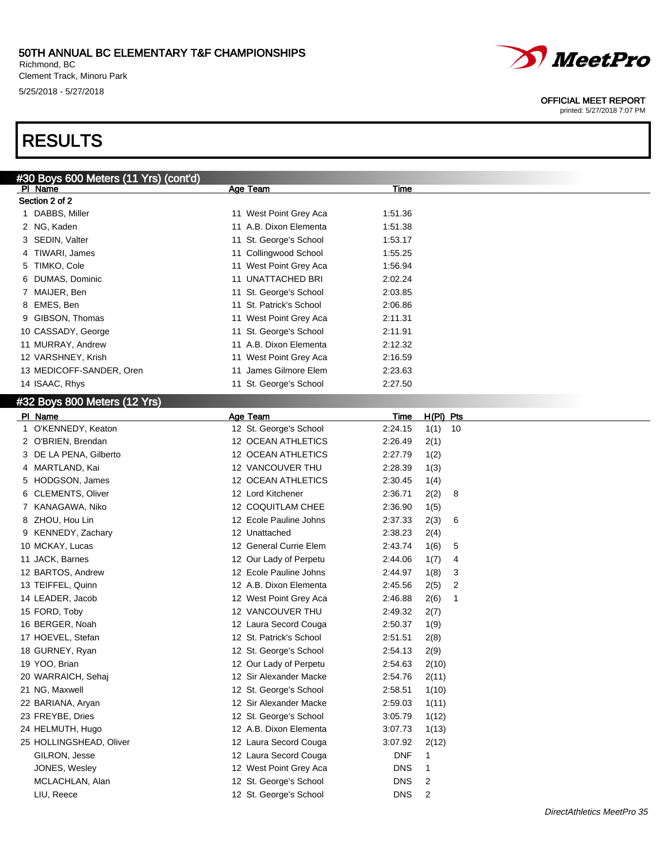### 50TH ANNUAL BC ELEMENTARY T&F CHAMPIONSHIPS Richmond, BC

PI Name **Age Team Age Team Time** Time Time Age Team Age Team Age Team Time

Clement Track, Minoru Park 5/25/2018 - 5/27/2018

#30 Boys 600 Meters (11 Yrs) (cont'd)

# RESULTS

Section 2 of 2

| 1 | DABBS, Miller                | 11 West Point Grey Aca  | 1:51.36    |             |                         |
|---|------------------------------|-------------------------|------------|-------------|-------------------------|
|   | 2 NG, Kaden                  | 11 A.B. Dixon Elementa  | 1:51.38    |             |                         |
|   | 3 SEDIN, Valter              | 11 St. George's School  | 1:53.17    |             |                         |
| 4 | TIWARI, James                | 11 Collingwood School   | 1:55.25    |             |                         |
| 5 | TIMKO, Cole                  | 11 West Point Grey Aca  | 1:56.94    |             |                         |
| 6 | DUMAS, Dominic               | 11 UNATTACHED BRI       | 2:02.24    |             |                         |
|   | 7 MAIJER, Ben                | 11 St. George's School  | 2:03.85    |             |                         |
|   | 8 EMES, Ben                  | 11 St. Patrick's School | 2:06.86    |             |                         |
| 9 | GIBSON, Thomas               | 11 West Point Grey Aca  | 2:11.31    |             |                         |
|   | 10 CASSADY, George           | 11 St. George's School  | 2:11.91    |             |                         |
|   | 11 MURRAY, Andrew            | 11 A.B. Dixon Elementa  | 2:12.32    |             |                         |
|   | 12 VARSHNEY, Krish           | 11 West Point Grey Aca  | 2:16.59    |             |                         |
|   | 13 MEDICOFF-SANDER, Oren     | 11 James Gilmore Elem   | 2:23.63    |             |                         |
|   | 14 ISAAC, Rhys               | 11 St. George's School  | 2:27.50    |             |                         |
|   | #32 Boys 800 Meters (12 Yrs) |                         |            |             |                         |
|   | PI Name                      | Age Team                | Time       | $H(PI)$ Pts |                         |
|   | 1 O'KENNEDY, Keaton          | 12 St. George's School  | 2:24.15    | 1(1)<br>10  |                         |
|   | 2 O'BRIEN, Brendan           | 12 OCEAN ATHLETICS      | 2:26.49    | 2(1)        |                         |
|   | 3 DE LA PENA, Gilberto       | 12 OCEAN ATHLETICS      | 2:27.79    | 1(2)        |                         |
|   | 4 MARTLAND, Kai              | 12 VANCOUVER THU        | 2:28.39    | 1(3)        |                         |
|   | 5 HODGSON, James             | 12 OCEAN ATHLETICS      | 2:30.45    | 1(4)        |                         |
|   | 6 CLEMENTS, Oliver           | 12 Lord Kitchener       | 2:36.71    | 2(2)<br>8   |                         |
|   | 7 KANAGAWA, Niko             | 12 COQUITLAM CHEE       | 2:36.90    | 1(5)        |                         |
|   | 8 ZHOU, Hou Lin              | 12 Ecole Pauline Johns  | 2:37.33    | 2(3)<br>6   |                         |
|   | 9 KENNEDY, Zachary           | 12 Unattached           | 2:38.23    | 2(4)        |                         |
|   | 10 MCKAY, Lucas              | 12 General Currie Elem  | 2:43.74    | 1(6)<br>5   |                         |
|   | 11 JACK, Barnes              | 12 Our Lady of Perpetu  | 2:44.06    | 1(7)<br>4   |                         |
|   | 12 BARTOS, Andrew            | 12 Ecole Pauline Johns  | 2:44.97    | 1(8)<br>3   |                         |
|   | 13 TEIFFEL, Quinn            | 12 A.B. Dixon Elementa  | 2:45.56    | 2(5)<br>2   |                         |
|   | 14 LEADER, Jacob             | 12 West Point Grey Aca  | 2:46.88    | 2(6)<br>1   |                         |
|   | 15 FORD, Toby                | 12 VANCOUVER THU        | 2:49.32    | 2(7)        |                         |
|   | 16 BERGER, Noah              | 12 Laura Secord Couga   | 2:50.37    | 1(9)        |                         |
|   | 17 HOEVEL, Stefan            | 12 St. Patrick's School | 2:51.51    | 2(8)        |                         |
|   | 18 GURNEY, Ryan              | 12 St. George's School  | 2:54.13    | 2(9)        |                         |
|   | 19 YOO, Brian                | 12 Our Lady of Perpetu  | 2:54.63    | 2(10)       |                         |
|   | 20 WARRAICH, Sehaj           | 12 Sir Alexander Macke  | 2:54.76    | 2(11)       |                         |
|   | 21 NG, Maxwell               | 12 St. George's School  | 2:58.51    | 1(10)       |                         |
|   | 22 BARIANA, Aryan            | 12 Sir Alexander Macke  | 2:59.03    | 1(11)       |                         |
|   | 23 FREYBE, Dries             | 12 St. George's School  | 3:05.79    | 1(12)       |                         |
|   | 24 HELMUTH, Hugo             | 12 A.B. Dixon Elementa  | 3:07.73    | 1(13)       |                         |
|   | 25 HOLLINGSHEAD, Oliver      | 12 Laura Secord Couga   | 3:07.92    | 2(12)       |                         |
|   | GILRON, Jesse                | 12 Laura Secord Couga   | <b>DNF</b> | 1           |                         |
|   | JONES, Wesley                | 12 West Point Grey Aca  | <b>DNS</b> | 1           |                         |
|   | MCLACHLAN, Alan              | 12 St. George's School  | <b>DNS</b> | 2           |                         |
|   | LIU, Reece                   | 12 St. George's School  | <b>DNS</b> | 2           |                         |
|   |                              |                         |            |             | $DirachAthhtico A1hach$ |



#### OFFICIAL MEET REPORT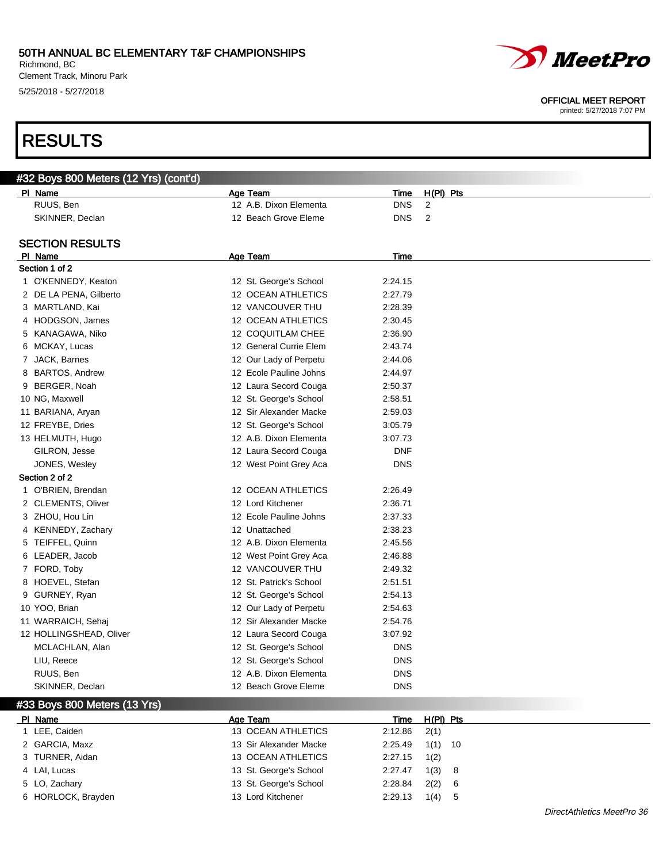Richmond, BC Clement Track, Minoru Park 5/25/2018 - 5/27/2018

# RESULTS

#### OFFICIAL MEET REPORT

printed: 5/27/2018 7:07 PM

| #32 Boys 800 Meters (12 Yrs) (cont'd) |                           |            |             |
|---------------------------------------|---------------------------|------------|-------------|
| PI Name                               | Age Team                  | Time       | H(PI) Pts   |
| RUUS, Ben                             | 12 A.B. Dixon Elementa    | <b>DNS</b> | 2           |
| SKINNER, Declan                       | 12 Beach Grove Eleme      | <b>DNS</b> | 2           |
| <b>SECTION RESULTS</b>                |                           |            |             |
| PI Name                               | Age Team                  | Time       |             |
| Section 1 of 2                        |                           |            |             |
| 1 O'KENNEDY, Keaton                   | 12 St. George's School    | 2:24.15    |             |
| 2 DE LA PENA, Gilberto                | 12 OCEAN ATHLETICS        | 2:27.79    |             |
| 3 MARTLAND, Kai                       | 12 VANCOUVER THU          | 2:28.39    |             |
| 4 HODGSON, James                      | <b>12 OCEAN ATHLETICS</b> | 2:30.45    |             |
| 5 KANAGAWA, Niko                      | 12 COQUITLAM CHEE         | 2:36.90    |             |
| 6 MCKAY, Lucas                        | 12 General Currie Elem    | 2:43.74    |             |
| 7 JACK, Barnes                        | 12 Our Lady of Perpetu    | 2:44.06    |             |
| 8 BARTOS, Andrew                      | 12 Ecole Pauline Johns    | 2:44.97    |             |
| 9 BERGER, Noah                        | 12 Laura Secord Couga     | 2:50.37    |             |
| 10 NG, Maxwell                        | 12 St. George's School    | 2:58.51    |             |
| 11 BARIANA, Aryan                     | 12 Sir Alexander Macke    | 2:59.03    |             |
| 12 FREYBE, Dries                      | 12 St. George's School    | 3:05.79    |             |
| 13 HELMUTH, Hugo                      | 12 A.B. Dixon Elementa    | 3:07.73    |             |
| GILRON, Jesse                         | 12 Laura Secord Couga     | <b>DNF</b> |             |
| JONES, Wesley                         | 12 West Point Grey Aca    | <b>DNS</b> |             |
| Section 2 of 2                        |                           |            |             |
| 1 O'BRIEN, Brendan                    | 12 OCEAN ATHLETICS        | 2:26.49    |             |
| 2 CLEMENTS, Oliver                    | 12 Lord Kitchener         | 2:36.71    |             |
| 3 ZHOU, Hou Lin                       | 12 Ecole Pauline Johns    | 2:37.33    |             |
| 4 KENNEDY, Zachary                    | 12 Unattached             | 2:38.23    |             |
| 5 TEIFFEL, Quinn                      | 12 A.B. Dixon Elementa    | 2:45.56    |             |
| 6 LEADER, Jacob                       | 12 West Point Grey Aca    | 2:46.88    |             |
| 7 FORD, Toby                          | 12 VANCOUVER THU          | 2:49.32    |             |
| 8 HOEVEL, Stefan                      | 12 St. Patrick's School   | 2:51.51    |             |
| 9 GURNEY, Ryan                        | 12 St. George's School    | 2:54.13    |             |
| 10 YOO, Brian                         | 12 Our Lady of Perpetu    | 2:54.63    |             |
| 11 WARRAICH, Sehaj                    | 12 Sir Alexander Macke    | 2:54.76    |             |
| 12 HOLLINGSHEAD, Oliver               | 12 Laura Secord Couga     | 3:07.92    |             |
| MCLACHLAN, Alan                       | 12 St. George's School    | <b>DNS</b> |             |
| LIU, Reece                            | 12 St. George's School    | <b>DNS</b> |             |
| RUUS, Ben                             | 12 A.B. Dixon Elementa    | <b>DNS</b> |             |
| SKINNER, Declan                       | 12 Beach Grove Eleme      | <b>DNS</b> |             |
| #33 Boys 800 Meters (13 Yrs)          |                           |            |             |
| PI Name                               | Age Team                  | Time       | $H(PI)$ Pts |
| 1 LEE, Caiden                         | 13 OCEAN ATHLETICS        | 2:12.86    | 2(1)        |
| 2 GARCIA, Maxz                        | 13 Sir Alexander Macke    | 2:25.49    | 1(1)<br>10  |
| 3 TURNER, Aidan                       | 13 OCEAN ATHLETICS        | 2:27.15    | 1(2)        |
| 4 LAI, Lucas                          | 13 St. George's School    | 2:27.47    | 1(3) 8      |

6 HORLOCK, Brayden 13 Lord Kitchener 2:29.13 1(4) 5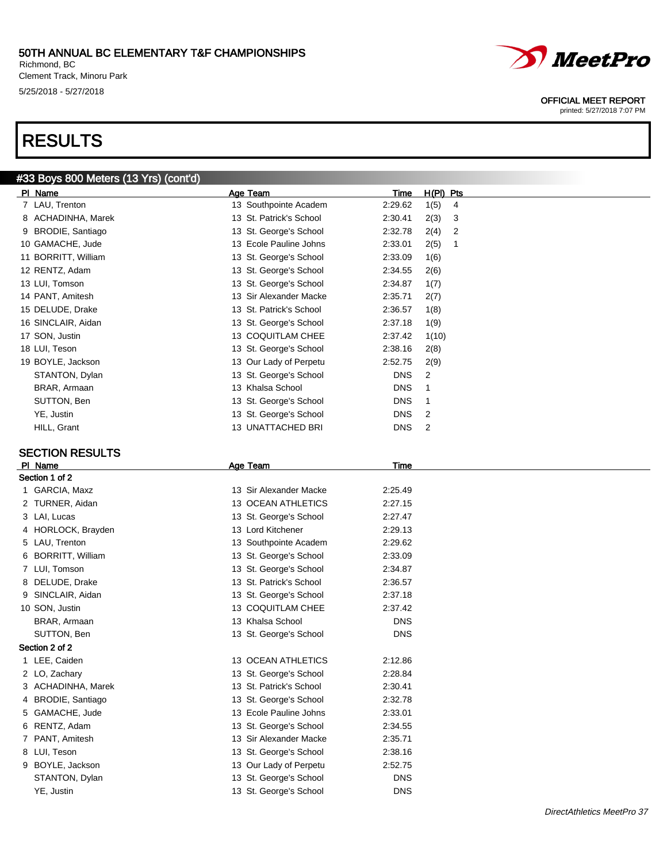Richmond, BC Clement Track, Minoru Park 5/25/2018 - 5/27/2018

## RESULTS

## #33 Boys 800 Meters (13 Yrs) (cont'd)

| PI Name                       | Age Team                | Time                     | $H(PI)$ Pts |   |   |
|-------------------------------|-------------------------|--------------------------|-------------|---|---|
| 7 LAU, Trenton                | 13 Southpointe Academ   | 2:29.62                  | 1(5)        | 4 |   |
| 8 ACHADINHA, Marek            | 13 St. Patrick's School | 2:30.41                  | 2(3)        |   | 3 |
| 9 BRODIE, Santiago            | 13 St. George's School  | 2:32.78                  | 2(4)        |   | 2 |
| 10 GAMACHE, Jude              | 13 Ecole Pauline Johns  | 2:33.01                  | 2(5)        | 1 |   |
| 11 BORRITT, William           | 13 St. George's School  | 2:33.09                  | 1(6)        |   |   |
| 12 RENTZ, Adam                | 13 St. George's School  | 2:34.55                  | 2(6)        |   |   |
| 13 LUI, Tomson                | 13 St. George's School  | 2:34.87                  | 1(7)        |   |   |
| 14 PANT, Amitesh              | 13 Sir Alexander Macke  | 2:35.71                  | 2(7)        |   |   |
| 15 DELUDE, Drake              | 13 St. Patrick's School | 2:36.57                  | 1(8)        |   |   |
| 16 SINCLAIR, Aidan            | 13 St. George's School  | 2:37.18                  | 1(9)        |   |   |
| 17 SON, Justin                | 13 COQUITLAM CHEE       | 2:37.42                  | 1(10)       |   |   |
| 18 LUI, Teson                 | 13 St. George's School  | 2:38.16                  | 2(8)        |   |   |
| 19 BOYLE, Jackson             | 13 Our Lady of Perpetu  | 2:52.75                  | 2(9)        |   |   |
| STANTON, Dylan                | 13 St. George's School  | <b>DNS</b>               | 2           |   |   |
| BRAR, Armaan                  | 13 Khalsa School        | <b>DNS</b>               | 1           |   |   |
| SUTTON, Ben                   | 13 St. George's School  | <b>DNS</b>               | 1           |   |   |
| YE, Justin                    | 13 St. George's School  | <b>DNS</b>               | 2           |   |   |
| HILL, Grant                   | 13 UNATTACHED BRI       | <b>DNS</b>               | 2           |   |   |
|                               |                         |                          |             |   |   |
| <b>SECTION RESULTS</b>        |                         |                          |             |   |   |
| PI Name                       | Age Team                | <b>Time</b>              |             |   |   |
| Section 1 of 2                |                         |                          |             |   |   |
| 1 GARCIA, Maxz                | 13 Sir Alexander Macke  | 2:25.49                  |             |   |   |
| 2 TURNER, Aidan               | 13 OCEAN ATHLETICS      | 2:27.15                  |             |   |   |
| 3 LAI, Lucas                  | 13 St. George's School  | 2:27.47                  |             |   |   |
| 4 HORLOCK, Brayden            | 13 Lord Kitchener       | 2:29.13                  |             |   |   |
| 5 LAU, Trenton                | 13 Southpointe Academ   | 2:29.62                  |             |   |   |
| 6 BORRITT, William            | 13 St. George's School  | 2:33.09                  |             |   |   |
| 7 LUI, Tomson                 | 13 St. George's School  | 2:34.87                  |             |   |   |
| 8 DELUDE, Drake               | 13 St. Patrick's School | 2:36.57                  |             |   |   |
| 9 SINCLAIR, Aidan             | 13 St. George's School  | 2:37.18                  |             |   |   |
| 10 SON, Justin                | 13 COQUITLAM CHEE       | 2:37.42                  |             |   |   |
| BRAR, Armaan                  | 13 Khalsa School        | <b>DNS</b><br><b>DNS</b> |             |   |   |
| SUTTON, Ben<br>Section 2 of 2 | 13 St. George's School  |                          |             |   |   |
| 1 LEE, Caiden                 | 13 OCEAN ATHLETICS      | 2:12.86                  |             |   |   |
| 2 LO, Zachary                 | 13 St. George's School  | 2:28.84                  |             |   |   |
| 3 ACHADINHA, Marek            | 13 St. Patrick's School | 2:30.41                  |             |   |   |
| 4 BRODIE, Santiago            | 13 St. George's School  | 2:32.78                  |             |   |   |
| 5 GAMACHE, Jude               | 13 Ecole Pauline Johns  | 2:33.01                  |             |   |   |
| 6 RENTZ, Adam                 | 13 St. George's School  | 2:34.55                  |             |   |   |
| 7 PANT, Amitesh               | 13 Sir Alexander Macke  | 2:35.71                  |             |   |   |
| 8 LUI, Teson                  | 13 St. George's School  | 2:38.16                  |             |   |   |
| 9 BOYLE, Jackson              | 13 Our Lady of Perpetu  | 2:52.75                  |             |   |   |
| STANTON, Dylan                | 13 St. George's School  | <b>DNS</b>               |             |   |   |
| YE, Justin                    | 13 St. George's School  | <b>DNS</b>               |             |   |   |
|                               |                         |                          |             |   |   |



#### OFFICIAL MEET REPORT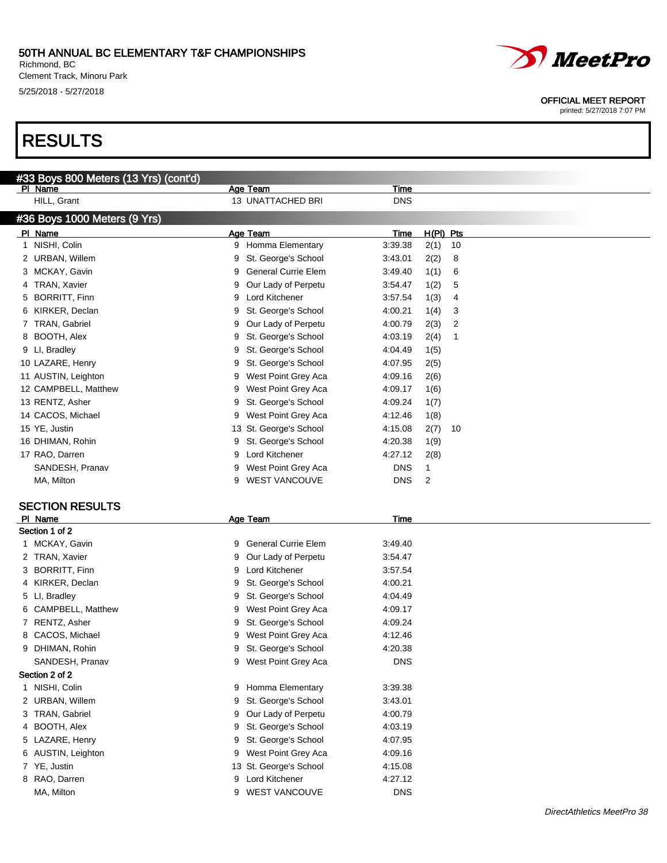#### 50TH ANNUAL BC ELEMENTARY T&F CHAMPIONSHIPS Richmond, BC

Clement Track, Minoru Park 5/25/2018 - 5/27/2018



OFFICIAL MEET REPORT

printed: 5/27/2018 7:07 PM

## RESULTS

|   | #33 Boys 800 Meters (13 Yrs) (cont'd) |   |                            |             |              |    |
|---|---------------------------------------|---|----------------------------|-------------|--------------|----|
|   | PI Name                               |   | <b>Age Team</b>            | <b>Time</b> |              |    |
|   | HILL, Grant                           |   | 13 UNATTACHED BRI          | <b>DNS</b>  |              |    |
|   | #36 Boys 1000 Meters (9 Yrs)          |   |                            |             |              |    |
|   | PI Name                               |   | Age Team                   | <b>Time</b> | H(PI) Pts    |    |
|   | 1 NISHI, Colin                        |   | 9 Homma Elementary         | 3:39.38     | 2(1)         | 10 |
|   | 2 URBAN, Willem                       | 9 | St. George's School        | 3:43.01     | 2(2)         | 8  |
|   | 3 MCKAY, Gavin                        | 9 | <b>General Currie Elem</b> | 3:49.40     | 1(1)         | 6  |
|   | 4 TRAN, Xavier                        | 9 | Our Lady of Perpetu        | 3:54.47     | 1(2)         | 5  |
|   | 5 BORRITT, Finn                       | 9 | Lord Kitchener             | 3:57.54     | 1(3)         | 4  |
| 6 | KIRKER, Declan                        | 9 | St. George's School        | 4:00.21     | 1(4)         | 3  |
|   | 7 TRAN, Gabriel                       | 9 | Our Lady of Perpetu        | 4:00.79     | 2(3)         | 2  |
|   | 8 BOOTH, Alex                         | 9 | St. George's School        | 4:03.19     | 2(4)         | 1  |
|   | 9 LI, Bradley                         | 9 | St. George's School        | 4:04.49     | 1(5)         |    |
|   | 10 LAZARE, Henry                      | 9 | St. George's School        | 4:07.95     | 2(5)         |    |
|   | 11 AUSTIN, Leighton                   | 9 | West Point Grey Aca        | 4:09.16     | 2(6)         |    |
|   | 12 CAMPBELL, Matthew                  | 9 | West Point Grey Aca        | 4:09.17     | 1(6)         |    |
|   | 13 RENTZ, Asher                       | 9 | St. George's School        | 4:09.24     | 1(7)         |    |
|   | 14 CACOS, Michael                     | 9 | West Point Grey Aca        | 4:12.46     | 1(8)         |    |
|   | 15 YE, Justin                         |   | 13 St. George's School     | 4:15.08     | 2(7)         | 10 |
|   | 16 DHIMAN, Rohin                      | 9 | St. George's School        | 4:20.38     | 1(9)         |    |
|   | 17 RAO, Darren                        | 9 | Lord Kitchener             | 4:27.12     | 2(8)         |    |
|   | SANDESH, Pranav                       | 9 | West Point Grey Aca        | <b>DNS</b>  | $\mathbf{1}$ |    |
|   | MA, Milton                            | 9 | <b>WEST VANCOUVE</b>       | <b>DNS</b>  | 2            |    |
|   |                                       |   |                            |             |              |    |
|   | <b>SECTION RESULTS</b>                |   |                            |             |              |    |
|   | PI Name                               |   | Age Team                   | Time        |              |    |
|   | Section 1 of 2                        |   |                            |             |              |    |
|   | 1 MCKAY, Gavin                        | 9 | <b>General Currie Elem</b> | 3:49.40     |              |    |
|   | 2 TRAN, Xavier                        | 9 | Our Lady of Perpetu        | 3:54.47     |              |    |
|   | 3 BORRITT, Finn                       | 9 | Lord Kitchener             | 3:57.54     |              |    |
|   | 4 KIRKER, Declan                      | 9 | St. George's School        | 4:00.21     |              |    |
|   | 5 LI, Bradley                         | 9 | St. George's School        | 4:04.49     |              |    |
|   | 6 CAMPBELL, Matthew                   | 9 | West Point Grey Aca        | 4:09.17     |              |    |
|   | 7 RENTZ, Asher                        | 9 | St. George's School        | 4:09.24     |              |    |
|   | CACOS, Michael                        | 9 | West Point Grey Aca        | 4:12.46     |              |    |
|   | 9 DHIMAN, Rohin                       |   | 9 St. George's School      | 4:20.38     |              |    |
|   | SANDESH, Pranav                       | 9 | West Point Grey Aca        | <b>DNS</b>  |              |    |
|   | Section 2 of 2                        |   |                            |             |              |    |
|   | 1 NISHI, Colin                        |   | 9 Homma Elementary         | 3:39.38     |              |    |
|   | 2 URBAN, Willem                       | 9 | St. George's School        | 3:43.01     |              |    |
|   | 3 TRAN, Gabriel                       | 9 | Our Lady of Perpetu        | 4:00.79     |              |    |
| 4 | BOOTH, Alex                           | 9 | St. George's School        | 4:03.19     |              |    |
|   | 5 LAZARE, Henry                       | 9 | St. George's School        | 4:07.95     |              |    |
|   | 6 AUSTIN, Leighton                    |   | 9 West Point Grey Aca      | 4:09.16     |              |    |
|   | 7 YE, Justin                          |   | 13 St. George's School     | 4:15.08     |              |    |
|   | 8 RAO, Darren                         | 9 | Lord Kitchener             | 4:27.12     |              |    |
|   | MA, Milton                            | 9 | <b>WEST VANCOUVE</b>       | <b>DNS</b>  |              |    |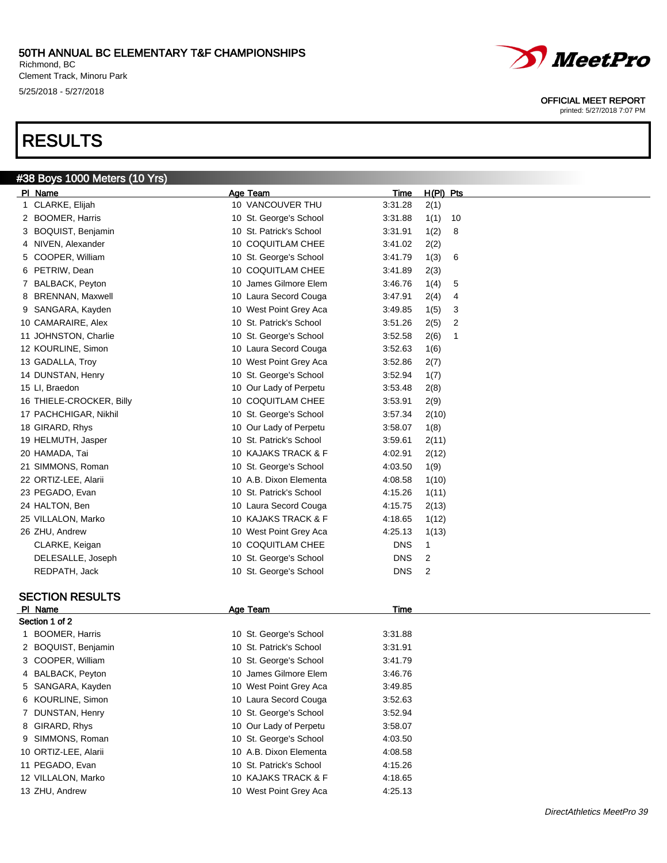Richmond, BC Clement Track, Minoru Park 5/25/2018 - 5/27/2018

## RESULTS



#### OFFICIAL MEET REPORT

| #38 Boys 1000 Meters (10 Yrs) |                         |             |             |    |  |
|-------------------------------|-------------------------|-------------|-------------|----|--|
| PI Name                       | Age Team                | Time        | $H(PI)$ Pts |    |  |
| 1 CLARKE, Elijah              | 10 VANCOUVER THU        | 3:31.28     | 2(1)        |    |  |
| 2 BOOMER, Harris              | 10 St. George's School  | 3:31.88     | 1(1)        | 10 |  |
| 3 BOQUIST, Benjamin           | 10 St. Patrick's School | 3:31.91     | 1(2)        | 8  |  |
| 4 NIVEN, Alexander            | 10 COQUITLAM CHEE       | 3:41.02     | 2(2)        |    |  |
| 5 COOPER, William             | 10 St. George's School  | 3:41.79     | 1(3)        | 6  |  |
| 6 PETRIW, Dean                | 10 COQUITLAM CHEE       | 3:41.89     | 2(3)        |    |  |
| 7 BALBACK, Peyton             | 10 James Gilmore Elem   | 3:46.76     | 1(4)        | 5  |  |
| 8 BRENNAN, Maxwell            | 10 Laura Secord Couga   | 3:47.91     | 2(4)        | 4  |  |
| 9 SANGARA, Kayden             | 10 West Point Grey Aca  | 3:49.85     | 1(5)        | 3  |  |
| 10 CAMARAIRE, Alex            | 10 St. Patrick's School | 3:51.26     | 2(5)        | 2  |  |
| 11 JOHNSTON, Charlie          | 10 St. George's School  | 3:52.58     | 2(6)        | 1  |  |
| 12 KOURLINE, Simon            | 10 Laura Secord Couga   | 3:52.63     | 1(6)        |    |  |
| 13 GADALLA, Troy              | 10 West Point Grey Aca  | 3:52.86     | 2(7)        |    |  |
| 14 DUNSTAN, Henry             | 10 St. George's School  | 3:52.94     | 1(7)        |    |  |
| 15 LI, Braedon                | 10 Our Lady of Perpetu  | 3:53.48     | 2(8)        |    |  |
| 16 THIELE-CROCKER, Billy      | 10 COQUITLAM CHEE       | 3:53.91     | 2(9)        |    |  |
| 17 PACHCHIGAR, Nikhil         | 10 St. George's School  | 3:57.34     | 2(10)       |    |  |
| 18 GIRARD, Rhys               | 10 Our Lady of Perpetu  | 3:58.07     |             |    |  |
| 19 HELMUTH, Jasper            | 10 St. Patrick's School | 3:59.61     | 1(8)        |    |  |
|                               | 10 KAJAKS TRACK & F     |             | 2(11)       |    |  |
| 20 HAMADA, Tai                |                         | 4:02.91     | 2(12)       |    |  |
| 21 SIMMONS, Roman             | 10 St. George's School  | 4:03.50     | 1(9)        |    |  |
| 22 ORTIZ-LEE, Alarii          | 10 A.B. Dixon Elementa  | 4:08.58     | 1(10)       |    |  |
| 23 PEGADO, Evan               | 10 St. Patrick's School | 4:15.26     | 1(11)       |    |  |
| 24 HALTON, Ben                | 10 Laura Secord Couga   | 4:15.75     | 2(13)       |    |  |
| 25 VILLALON, Marko            | 10 KAJAKS TRACK & F     | 4:18.65     | 1(12)       |    |  |
| 26 ZHU, Andrew                | 10 West Point Grey Aca  | 4:25.13     | 1(13)       |    |  |
| CLARKE, Keigan                | 10 COQUITLAM CHEE       | <b>DNS</b>  | 1           |    |  |
| DELESALLE, Joseph             | 10 St. George's School  | <b>DNS</b>  | 2           |    |  |
| REDPATH, Jack                 | 10 St. George's School  | <b>DNS</b>  | 2           |    |  |
| <b>SECTION RESULTS</b>        |                         |             |             |    |  |
| PI Name                       | <b>Age Team</b>         | <b>Time</b> |             |    |  |
| Section 1 of 2                |                         |             |             |    |  |
| 1 BOOMER, Harris              | 10 St. George's School  | 3:31.88     |             |    |  |
| 2 BOQUIST, Benjamin           | 10 St. Patrick's School | 3:31.91     |             |    |  |
| 3 COOPER, William             | 10 St. George's School  | 3:41.79     |             |    |  |
| 4 BALBACK, Peyton             | 10 James Gilmore Elem   | 3:46.76     |             |    |  |
| 5 SANGARA, Kayden             | 10 West Point Grey Aca  | 3:49.85     |             |    |  |
| 6 KOURLINE, Simon             | 10 Laura Secord Couga   | 3:52.63     |             |    |  |
| 7 DUNSTAN, Henry              | 10 St. George's School  | 3:52.94     |             |    |  |
| 8 GIRARD, Rhys                | 10 Our Lady of Perpetu  | 3:58.07     |             |    |  |
| 9 SIMMONS, Roman              | 10 St. George's School  | 4:03.50     |             |    |  |
| 10 ORTIZ-LEE, Alarii          | 10 A.B. Dixon Elementa  | 4:08.58     |             |    |  |
| 11 PEGADO, Evan               | 10 St. Patrick's School | 4:15.26     |             |    |  |
| 12 VILLALON, Marko            | 10 KAJAKS TRACK & F     | 4:18.65     |             |    |  |
| 13 ZHU, Andrew                | 10 West Point Grey Aca  | 4:25.13     |             |    |  |
|                               |                         |             |             |    |  |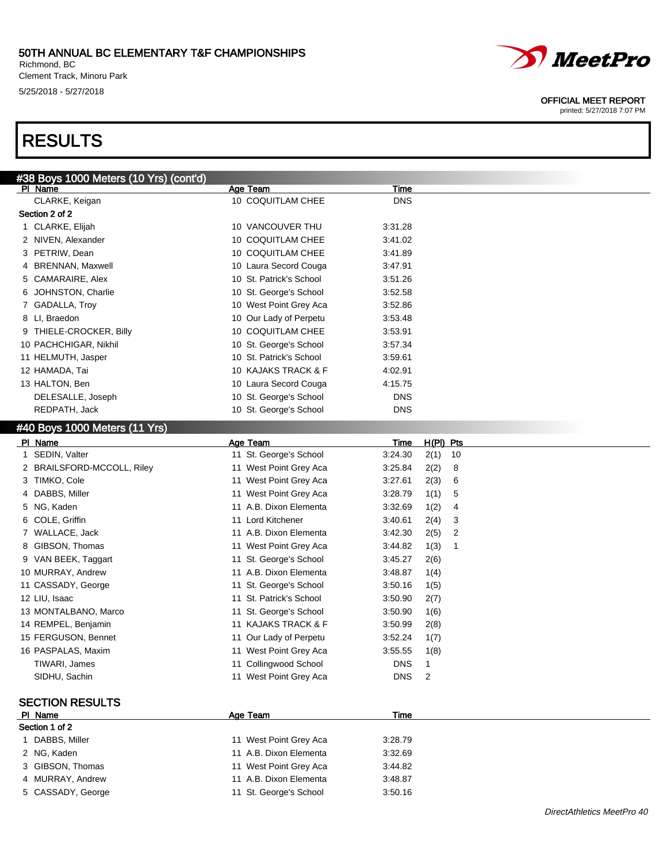#### 50TH ANNUAL BC ELEMENTARY T&F CHAMPIONSHIPS Richmond, BC

Clement Track, Minoru Park 5/25/2018 - 5/27/2018

## RESULTS

| #38 Boys 1000 Meters (10 Yrs) (cont'd)<br>Age Team<br>Time<br>PI Name<br>10 COQUITLAM CHEE<br><b>DNS</b><br>CLARKE, Keigan |
|----------------------------------------------------------------------------------------------------------------------------|
|                                                                                                                            |
|                                                                                                                            |
| Section 2 of 2                                                                                                             |
| 1 CLARKE, Elijah<br>10 VANCOUVER THU<br>3:31.28                                                                            |
| 10 COQUITLAM CHEE<br>2 NIVEN, Alexander<br>3:41.02                                                                         |
| 3 PETRIW, Dean<br>10 COQUITLAM CHEE<br>3:41.89                                                                             |
| 4 BRENNAN, Maxwell<br>10 Laura Secord Couga<br>3:47.91                                                                     |
| 10 St. Patrick's School<br>5 CAMARAIRE, Alex<br>3:51.26                                                                    |
| 6 JOHNSTON, Charlie<br>10 St. George's School<br>3:52.58                                                                   |
| 7 GADALLA, Troy<br>10 West Point Grey Aca<br>3:52.86                                                                       |
| 8 LI, Braedon<br>10 Our Lady of Perpetu<br>3:53.48                                                                         |
| 9 THIELE-CROCKER, Billy<br>10 COQUITLAM CHEE<br>3:53.91                                                                    |
| 10 PACHCHIGAR, Nikhil<br>10 St. George's School<br>3:57.34                                                                 |
| 10 St. Patrick's School<br>11 HELMUTH, Jasper<br>3:59.61                                                                   |
| 12 HAMADA, Tai<br>10 KAJAKS TRACK & F<br>4:02.91                                                                           |
| 13 HALTON, Ben<br>10 Laura Secord Couga<br>4:15.75                                                                         |
| <b>DNS</b><br>DELESALLE, Joseph<br>10 St. George's School                                                                  |
| <b>DNS</b><br>REDPATH, Jack<br>10 St. George's School                                                                      |
| #40 Boys 1000 Meters (11 Yrs)                                                                                              |

| PI Name                              | Age Team                | Time       | $H(PI)$ Pts |
|--------------------------------------|-------------------------|------------|-------------|
| SEDIN, Valter                        | 11 St. George's School  | 3:24.30    | 2(1)<br>10  |
| <b>BRAILSFORD-MCCOLL, Riley</b><br>2 | 11 West Point Grey Aca  | 3:25.84    | 2(2)<br>8   |
| TIMKO, Cole<br>3                     | 11 West Point Grey Aca  | 3:27.61    | 2(3)<br>6   |
| DABBS, Miller                        | 11 West Point Grey Aca  | 3:28.79    | 1(1)<br>5   |
| NG, Kaden<br>5                       | 11 A.B. Dixon Elementa  | 3:32.69    | 1(2)<br>4   |
| COLE, Griffin<br>6                   | 11 Lord Kitchener       | 3:40.61    | 2(4)<br>3   |
| WALLACE, Jack                        | 11 A.B. Dixon Elementa  | 3:42.30    | 2(5)<br>2   |
| GIBSON, Thomas                       | 11 West Point Grey Aca  | 3:44.82    | 1(3)<br>-1  |
| VAN BEEK, Taggart<br>9               | 11 St. George's School  | 3:45.27    | 2(6)        |
| 10 MURRAY, Andrew                    | 11 A.B. Dixon Elementa  | 3:48.87    | 1(4)        |
| 11 CASSADY, George                   | 11 St. George's School  | 3:50.16    | 1(5)        |
| 12 LIU, Isaac                        | 11 St. Patrick's School | 3:50.90    | 2(7)        |
| 13 MONTALBANO, Marco                 | 11 St. George's School  | 3:50.90    | 1(6)        |
| 14 REMPEL, Benjamin                  | 11 KAJAKS TRACK & F     | 3:50.99    | 2(8)        |
| 15 FERGUSON, Bennet                  | 11 Our Lady of Perpetu  | 3:52.24    | 1(7)        |
| 16 PASPALAS, Maxim                   | 11 West Point Grey Aca  | 3:55.55    | 1(8)        |
| TIWARI, James                        | 11 Collingwood School   | <b>DNS</b> | 1           |
| SIDHU, Sachin                        | 11 West Point Grey Aca  | <b>DNS</b> | 2           |
|                                      |                         |            |             |
| <b>SECTION RESULTS</b>               |                         |            |             |
| PI Name                              | Age Team                | Time       |             |
| Section 1 of 2                       |                         |            |             |
| 1 DABBS, Miller                      | 11 West Point Grey Aca  | 3:28.79    |             |
| 2 NG, Kaden                          | 11 A.B. Dixon Elementa  | 3:32.69    |             |
| GIBSON, Thomas                       | 11 West Point Grey Aca  | 3:44.82    |             |
| MURRAY, Andrew                       | 11 A.B. Dixon Elementa  | 3:48.87    |             |
| CASSADY, George<br>5.                | 11 St. George's School  | 3:50.16    |             |



OFFICIAL MEET REPORT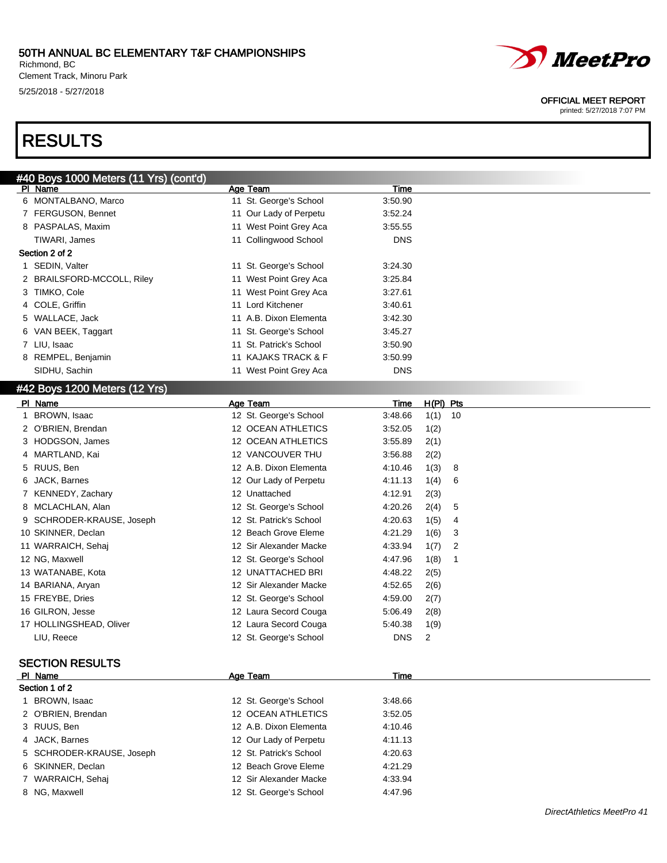#### 50TH ANNUAL BC ELEMENTARY T&F CHAMPIONSHIPS Richmond, BC

Clement Track, Minoru Park 5/25/2018 - 5/27/2018



#### OFFICIAL MEET REPORT

printed: 5/27/2018 7:07 PM

## RESULTS

| Age Team<br>11 St. George's School | Time       |  |
|------------------------------------|------------|--|
|                                    |            |  |
|                                    | 3:50.90    |  |
| 11 Our Lady of Perpetu             | 3:52.24    |  |
| 11 West Point Grey Aca             | 3:55.55    |  |
| 11 Collingwood School              | <b>DNS</b> |  |
|                                    |            |  |
| 11 St. George's School             | 3:24.30    |  |
| 11 West Point Grey Aca             | 3:25.84    |  |
| 11 West Point Grey Aca             | 3:27.61    |  |
| 11 Lord Kitchener                  | 3:40.61    |  |
| 11 A.B. Dixon Elementa             | 3:42.30    |  |
| 11 St. George's School             | 3:45.27    |  |
| 11 St. Patrick's School            | 3:50.90    |  |
| 11 KAJAKS TRACK & F                | 3:50.99    |  |
| 11 West Point Grey Aca             | <b>DNS</b> |  |
|                                    |            |  |

| PI Name |                           | Age Team                | Time       | $H(PI)$ Pts |     |
|---------|---------------------------|-------------------------|------------|-------------|-----|
|         | 1 BROWN, Isaac            | 12 St. George's School  | 3:48.66    | 1(1)        | -10 |
|         | 2 O'BRIEN, Brendan        | 12 OCEAN ATHLETICS      | 3:52.05    | 1(2)        |     |
|         | 3 HODGSON, James          | 12 OCEAN ATHLETICS      | 3:55.89    | 2(1)        |     |
|         | 4 MARTLAND, Kai           | 12 VANCOUVER THU        | 3:56.88    | 2(2)        |     |
|         | 5 RUUS, Ben               | 12 A.B. Dixon Elementa  | 4:10.46    | 1(3)        | 8   |
|         | 6 JACK, Barnes            | 12 Our Lady of Perpetu  | 4:11.13    | 1(4)        | 6   |
|         | 7 KENNEDY, Zachary        | 12 Unattached           | 4:12.91    | 2(3)        |     |
|         | 8 MCLACHLAN, Alan         | 12 St. George's School  | 4:20.26    | 2(4)        | 5   |
|         | 9 SCHRODER-KRAUSE, Joseph | 12 St. Patrick's School | 4:20.63    | 1(5)        | 4   |
|         | 10 SKINNER, Declan        | 12 Beach Grove Eleme    | 4:21.29    | 1(6)        | 3   |
|         | 11 WARRAICH, Sehaj        | 12 Sir Alexander Macke  | 4:33.94    | 1(7)        | 2   |
|         | 12 NG, Maxwell            | 12 St. George's School  | 4:47.96    | 1(8)        | 1   |
|         | 13 WATANABE, Kota         | 12 UNATTACHED BRI       | 4:48.22    | 2(5)        |     |
|         | 14 BARIANA, Aryan         | 12 Sir Alexander Macke  | 4:52.65    | 2(6)        |     |
|         | 15 FREYBE, Dries          | 12 St. George's School  | 4:59.00    | 2(7)        |     |
|         | 16 GILRON, Jesse          | 12 Laura Secord Couga   | 5:06.49    | 2(8)        |     |
|         | 17 HOLLINGSHEAD, Oliver   | 12 Laura Secord Couga   | 5:40.38    | 1(9)        |     |
|         | LIU, Reece                | 12 St. George's School  | <b>DNS</b> | 2           |     |

### SECTION RESULTS

| PI Name                   | Age Team                | Time    |  |
|---------------------------|-------------------------|---------|--|
| Section 1 of 2            |                         |         |  |
| BROWN, Isaac              | 12 St. George's School  | 3:48.66 |  |
| 2 O'BRIEN, Brendan        | 12 OCEAN ATHLETICS      | 3:52.05 |  |
| 3 RUUS, Ben               | 12 A.B. Dixon Elementa  | 4:10.46 |  |
| 4 JACK, Barnes            | 12 Our Lady of Perpetu  | 4:11.13 |  |
| 5 SCHRODER-KRAUSE, Joseph | 12 St. Patrick's School | 4.20.63 |  |
| 6 SKINNER, Declan         | 12 Beach Grove Eleme    | 4:21.29 |  |
| 7 WARRAICH, Sehaj         | 12 Sir Alexander Macke  | 4:33.94 |  |
| 8 NG, Maxwell             | 12 St. George's School  | 4:47.96 |  |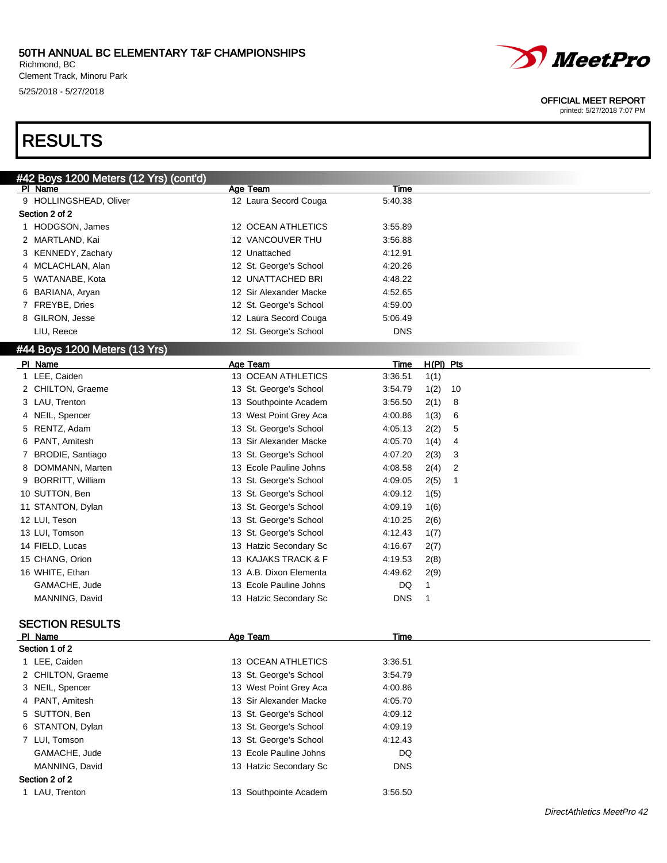Richmond, BC Clement Track, Minoru Park 5/25/2018 - 5/27/2018



#### OFFICIAL MEET REPORT

printed: 5/27/2018 7:07 PM

## RESULTS

| #42 Boys 1200 Meters (12 Yrs) (cont'd) |                        |                                   |  |
|----------------------------------------|------------------------|-----------------------------------|--|
| PI Name                                | Age Team               | Time                              |  |
| 9 HOLLINGSHEAD, Oliver                 | 12 Laura Secord Couga  | 5:40.38                           |  |
| Section 2 of 2                         |                        |                                   |  |
| 1 HODGSON, James                       | 12 OCEAN ATHLETICS     | 3:55.89                           |  |
| 2 MARTLAND, Kai                        | 12 VANCOUVER THU       | 3:56.88                           |  |
| 3 KENNEDY, Zachary                     | 12 Unattached          | 4:12.91                           |  |
| 4 MCLACHLAN, Alan                      | 12 St. George's School | 4:20.26                           |  |
| 5 WATANABE, Kota                       | 12 UNATTACHED BRI      | 4:48.22                           |  |
| BARIANA, Aryan<br>6                    | 12 Sir Alexander Macke | 4:52.65                           |  |
| 7 FREYBE, Dries                        | 12 St. George's School | 4:59.00                           |  |
| 8 GILRON, Jesse                        | 12 Laura Secord Couga  | 5:06.49                           |  |
| LIU, Reece                             | 12 St. George's School | <b>DNS</b>                        |  |
| #44 Boys 1200 Meters (13 Yrs)          |                        |                                   |  |
| PI Name                                | Age Team               | H(PI) Pts<br>Time                 |  |
| 1 LEE, Caiden                          | 13 OCEAN ATHLETICS     | 3:36.51<br>1(1)                   |  |
| 2 CHILTON, Graeme                      | 13 St. George's School | 3:54.79<br>1(2)<br>10             |  |
| 3 LAU, Trenton                         | 13 Southpointe Academ  | 3:56.50<br>8<br>2(1)              |  |
| NEIL, Spencer<br>4                     | 13 West Point Grey Aca | 4:00.86<br>1(3)<br>6              |  |
| RENTZ, Adam<br>5                       | 13 St. George's School | 4:05.13<br>5<br>2(2)              |  |
| PANT, Amitesh<br>6                     | 13 Sir Alexander Macke | 4:05.70<br>1(4)<br>4              |  |
| BRODIE, Santiago<br>7                  | 13 St. George's School | 3<br>4:07.20<br>2(3)              |  |
| DOMMANN, Marten<br>8                   | 13 Ecole Pauline Johns | $\overline{2}$<br>4:08.58<br>2(4) |  |
| 9 BORRITT, William                     | 13 St. George's School | 2(5)<br>4:09.05<br>$\mathbf{1}$   |  |
| 10 SUTTON, Ben                         | 13 St. George's School | 4:09.12<br>1(5)                   |  |
| 11 STANTON, Dylan                      | 13 St. George's School | 4:09.19<br>1(6)                   |  |
| 12 LUI, Teson                          | 13 St. George's School | 4:10.25<br>2(6)                   |  |
| 13 LUI, Tomson                         | 13 St. George's School | 4:12.43<br>1(7)                   |  |
| 14 FIELD, Lucas                        | 13 Hatzic Secondary Sc | 4:16.67<br>2(7)                   |  |
| 15 CHANG, Orion                        | 13 KAJAKS TRACK & F    | 4:19.53<br>2(8)                   |  |
| 16 WHITE, Ethan                        | 13 A.B. Dixon Elementa | 4:49.62<br>2(9)                   |  |
| GAMACHE, Jude                          | 13 Ecole Pauline Johns | DQ<br>$\mathbf{1}$                |  |
| MANNING, David                         | 13 Hatzic Secondary Sc | <b>DNS</b><br>$\mathbf{1}$        |  |
|                                        |                        |                                   |  |
| <b>SECTION RESULTS</b>                 |                        |                                   |  |
| PI Name                                | Age Team               | Time                              |  |
| Section 1 of 2                         |                        |                                   |  |
| 1 LEE, Caiden                          | 13 OCEAN ATHLETICS     | 3:36.51                           |  |
| 2 CHILTON, Graeme                      | 13 St. George's School | 3:54.79                           |  |
| 3 NEIL, Spencer                        | 13 West Point Grey Aca | 4:00.86                           |  |
| PANT, Amitesh<br>4                     | 13 Sir Alexander Macke | 4:05.70                           |  |
| SUTTON, Ben<br>5                       | 13 St. George's School | 4:09.12                           |  |
| STANTON, Dylan<br>6                    | 13 St. George's School | 4:09.19                           |  |
| 7 LUI, Tomson                          | 13 St. George's School | 4:12.43                           |  |
| GAMACHE, Jude                          | 13 Ecole Pauline Johns | DQ                                |  |
| MANNING, David                         | 13 Hatzic Secondary Sc | <b>DNS</b>                        |  |
| Section 2 of 2                         |                        |                                   |  |
| 1 LAU, Trenton                         | 13 Southpointe Academ  | 3:56.50                           |  |
|                                        |                        |                                   |  |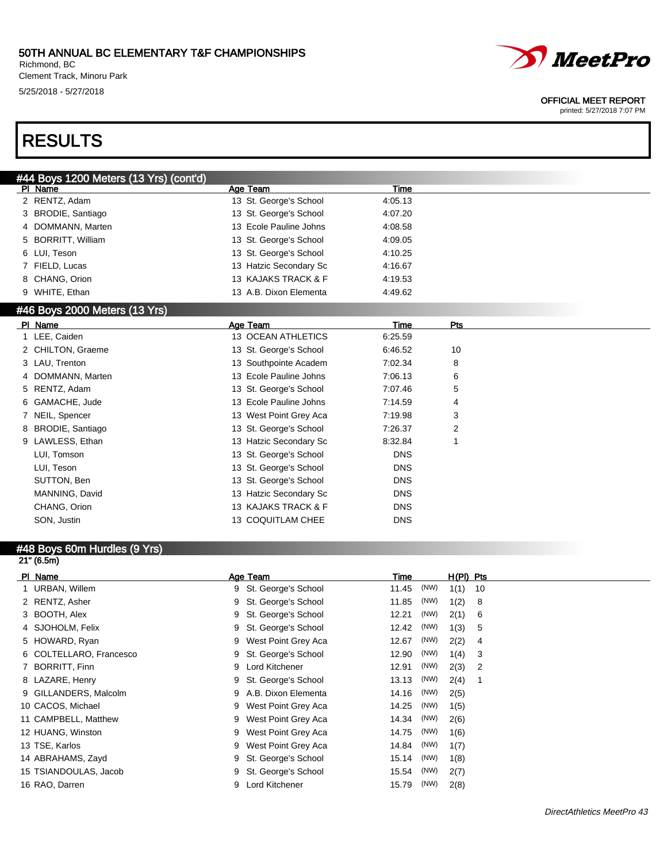Richmond, BC Clement Track, Minoru Park 5/25/2018 - 5/27/2018



#### OFFICIAL MEET REPORT

printed: 5/27/2018 7:07 PM

## RESULTS

### $(42 \text{ Vra})$  (contain)

| <del>#44</del> DUYS TZUU MELEIS (TJ TIS) (CUILLU) |                        |             |                |  |
|---------------------------------------------------|------------------------|-------------|----------------|--|
| PI Name                                           | Age Team               | Time        |                |  |
| 2 RENTZ, Adam                                     | 13 St. George's School | 4:05.13     |                |  |
| 3 BRODIE, Santiago                                | 13 St. George's School | 4:07.20     |                |  |
| 4 DOMMANN, Marten                                 | 13 Ecole Pauline Johns | 4:08.58     |                |  |
| 5 BORRITT, William                                | 13 St. George's School | 4:09.05     |                |  |
| 6 LUI, Teson                                      | 13 St. George's School | 4:10.25     |                |  |
| 7 FIELD, Lucas                                    | 13 Hatzic Secondary Sc | 4:16.67     |                |  |
| 8 CHANG, Orion                                    | 13 KAJAKS TRACK & F    | 4:19.53     |                |  |
| 9 WHITE, Ethan                                    | 13 A.B. Dixon Elementa | 4:49.62     |                |  |
| #46 Boys 2000 Meters (13 Yrs)                     |                        |             |                |  |
| PI Name                                           | Age Team               | <b>Time</b> | <b>Pts</b>     |  |
| 1 LEE, Caiden                                     | 13 OCEAN ATHLETICS     | 6:25.59     |                |  |
| 2 CHILTON, Graeme                                 | 13 St. George's School | 6:46.52     | 10             |  |
| 3 LAU, Trenton                                    | 13 Southpointe Academ  | 7:02.34     | 8              |  |
| 4 DOMMANN, Marten                                 | 13 Ecole Pauline Johns | 7:06.13     | 6              |  |
| 5 RENTZ, Adam                                     | 13 St. George's School | 7:07.46     | 5              |  |
| 6 GAMACHE, Jude                                   | 13 Ecole Pauline Johns | 7:14.59     | 4              |  |
| 7 NEIL, Spencer                                   | 13 West Point Grey Aca | 7:19.98     | 3              |  |
| 8 BRODIE, Santiago                                | 13 St. George's School | 7:26.37     | $\overline{2}$ |  |
| 9 LAWLESS, Ethan                                  | 13 Hatzic Secondary Sc | 8:32.84     | 1              |  |
| LUI, Tomson                                       | 13 St. George's School | <b>DNS</b>  |                |  |
| LUI, Teson                                        | 13 St. George's School | <b>DNS</b>  |                |  |
| SUTTON, Ben                                       | 13 St. George's School | <b>DNS</b>  |                |  |
| MANNING, David                                    | 13 Hatzic Secondary Sc | <b>DNS</b>  |                |  |
| CHANG, Orion                                      | 13 KAJAKS TRACK & F    | <b>DNS</b>  |                |  |
| SON, Justin                                       | 13 COQUITLAM CHEE      | <b>DNS</b>  |                |  |

### #48 Boys 60m Hurdles (9 Yrs)

| PI Name                 | Age Team                 | Time  |      | $H(PI)$ Pts |    |
|-------------------------|--------------------------|-------|------|-------------|----|
| URBAN, Willem           | St. George's School<br>9 | 11.45 | (NW) | 1(1)        | 10 |
| 2 RENTZ, Asher          | St. George's School<br>9 | 11.85 | (NW) | 1(2)        | 8  |
| 3 BOOTH, Alex           | St. George's School<br>9 | 12.21 | (NW) | 2(1)        | 6  |
| 4 SJOHOLM, Felix        | St. George's School<br>9 | 12.42 | (NW) | 1(3)        | 5  |
| 5 HOWARD, Ryan          | West Point Grey Aca<br>9 | 12.67 | (NW) | 2(2)        | 4  |
| 6 COLTELLARO, Francesco | St. George's School<br>9 | 12.90 | (NW) | 1(4)        | 3  |
| <b>BORRITT, Finn</b>    | Lord Kitchener<br>9      | 12.91 | (NW) | 2(3)        | 2  |
| 8 LAZARE, Henry         | St. George's School<br>9 | 13.13 | (NW) | 2(4)        | 1  |
| 9 GILLANDERS, Malcolm   | A.B. Dixon Elementa<br>9 | 14.16 | (NW) | 2(5)        |    |
| 10 CACOS, Michael       | West Point Grey Aca<br>9 | 14.25 | (NW) | 1(5)        |    |
| 11 CAMPBELL, Matthew    | West Point Grey Aca<br>9 | 14.34 | (NW) | 2(6)        |    |
| 12 HUANG, Winston       | West Point Grey Aca<br>9 | 14.75 | (NW) | 1(6)        |    |
| 13 TSE, Karlos          | West Point Grey Aca<br>9 | 14.84 | (NW) | 1(7)        |    |
| 14 ABRAHAMS, Zayd       | St. George's School<br>9 | 15.14 | (NW) | 1(8)        |    |
| 15 TSIANDOULAS, Jacob   | St. George's School      | 15.54 | (NW) | 2(7)        |    |
| 16 RAO, Darren          | Lord Kitchener<br>9      | 15.79 | (NW) | 2(8)        |    |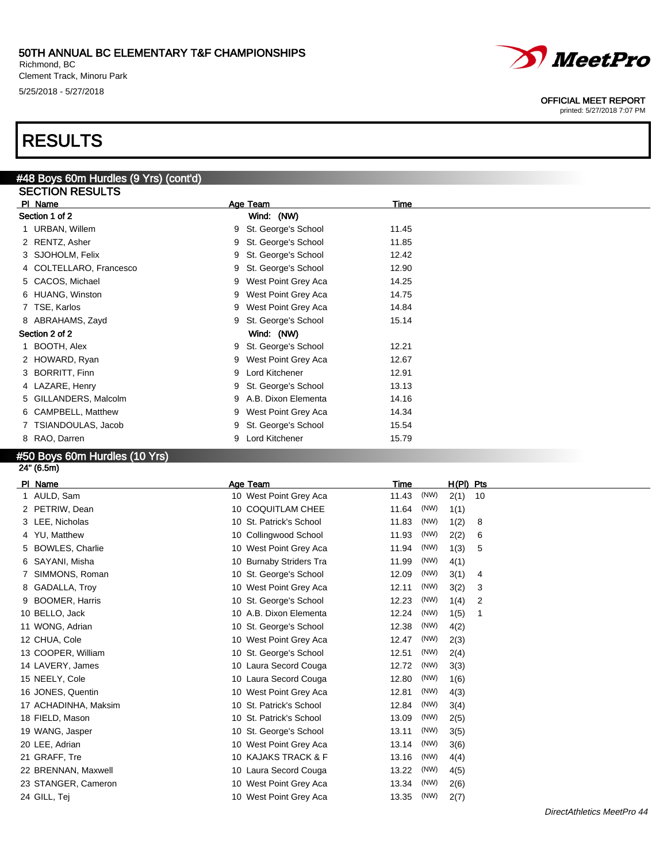Richmond, BC Clement Track, Minoru Park 5/25/2018 - 5/27/2018

#48 Boys 60m Hurdles (9 Yrs) (cont'd)

## RESULTS

| <b>SECTION RESULTS</b>  |                          |       |  |
|-------------------------|--------------------------|-------|--|
| PI Name                 | Age Team                 | Time  |  |
| Section 1 of 2          | Wind: (NW)               |       |  |
| 1 URBAN, Willem         | St. George's School<br>9 | 11.45 |  |
| 2 RENTZ, Asher          | St. George's School<br>9 | 11.85 |  |
| 3 SJOHOLM, Felix        | St. George's School<br>9 | 12.42 |  |
| 4 COLTELLARO, Francesco | St. George's School<br>9 | 12.90 |  |
| 5 CACOS, Michael        | West Point Grey Aca<br>9 | 14.25 |  |
| 6 HUANG, Winston        | West Point Grey Aca<br>9 | 14.75 |  |
| 7 TSE, Karlos           | West Point Grey Aca<br>9 | 14.84 |  |
| 8 ABRAHAMS, Zayd        | St. George's School<br>9 | 15.14 |  |
| Section 2 of 2          | Wind: (NW)               |       |  |
| 1 BOOTH, Alex           | St. George's School<br>9 | 12.21 |  |
| 2 HOWARD, Ryan          | West Point Grey Aca<br>9 | 12.67 |  |
| 3 BORRITT, Finn         | Lord Kitchener<br>9      | 12.91 |  |
| 4 LAZARE, Henry         | St. George's School<br>9 | 13.13 |  |
| 5 GILLANDERS, Malcolm   | 9 A.B. Dixon Elementa    | 14.16 |  |
| 6 CAMPBELL, Matthew     | West Point Grey Aca<br>9 | 14.34 |  |
| 7 TSIANDOULAS, Jacob    | St. George's School<br>9 | 15.54 |  |
| 8 RAO, Darren           | Lord Kitchener<br>9      | 15.79 |  |

## #50 Boys 60m Hurdles (10 Yrs)

 $24" (6.5m)$ 

| PI Name              | Age Team                | Time  |      | $H(PI)$ Pts |    |
|----------------------|-------------------------|-------|------|-------------|----|
| 1 AULD, Sam          | 10 West Point Grey Aca  | 11.43 | (NW) | 2(1)        | 10 |
| 2 PETRIW, Dean       | 10 COQUITLAM CHEE       | 11.64 | (NW) | 1(1)        |    |
| 3 LEE, Nicholas      | 10 St. Patrick's School | 11.83 | (NW) | 1(2)        | 8  |
| 4 YU, Matthew        | 10 Collingwood School   | 11.93 | (NW) | 2(2)        | 6  |
| 5 BOWLES, Charlie    | 10 West Point Grey Aca  | 11.94 | (NW) | 1(3)        | 5  |
| 6 SAYANI, Misha      | 10 Burnaby Striders Tra | 11.99 | (NW) | 4(1)        |    |
| 7 SIMMONS, Roman     | 10 St. George's School  | 12.09 | (NW) | 3(1)        | 4  |
| 8 GADALLA, Troy      | 10 West Point Grey Aca  | 12.11 | (NW) | 3(2)        | 3  |
| 9 BOOMER, Harris     | 10 St. George's School  | 12.23 | (NW) | 1(4)        | 2  |
| 10 BELLO, Jack       | 10 A.B. Dixon Elementa  | 12.24 | (NW) | 1(5)        | 1  |
| 11 WONG, Adrian      | 10 St. George's School  | 12.38 | (NW) | 4(2)        |    |
| 12 CHUA, Cole        | 10 West Point Grey Aca  | 12.47 | (NW) | 2(3)        |    |
| 13 COOPER, William   | 10 St. George's School  | 12.51 | (NW) | 2(4)        |    |
| 14 LAVERY, James     | 10 Laura Secord Couga   | 12.72 | (NW) | 3(3)        |    |
| 15 NEELY, Cole       | 10 Laura Secord Couga   | 12.80 | (NW) | 1(6)        |    |
| 16 JONES, Quentin    | 10 West Point Grey Aca  | 12.81 | (NW) | 4(3)        |    |
| 17 ACHADINHA, Maksim | 10 St. Patrick's School | 12.84 | (NW) | 3(4)        |    |
| 18 FIELD, Mason      | 10 St. Patrick's School | 13.09 | (NW) | 2(5)        |    |
| 19 WANG, Jasper      | 10 St. George's School  | 13.11 | (NW) | 3(5)        |    |
| 20 LEE, Adrian       | 10 West Point Grey Aca  | 13.14 | (NW) | 3(6)        |    |
| 21 GRAFF, Tre        | 10 KAJAKS TRACK & F     | 13.16 | (NW) | 4(4)        |    |
| 22 BRENNAN, Maxwell  | 10 Laura Secord Couga   | 13.22 | (NW) | 4(5)        |    |
| 23 STANGER, Cameron  | 10 West Point Grey Aca  | 13.34 | (NW) | 2(6)        |    |
| 24 GILL, Tej         | 10 West Point Grey Aca  | 13.35 | (NW) | 2(7)        |    |
|                      |                         |       |      |             |    |



OFFICIAL MEET REPORT

*MeetPro*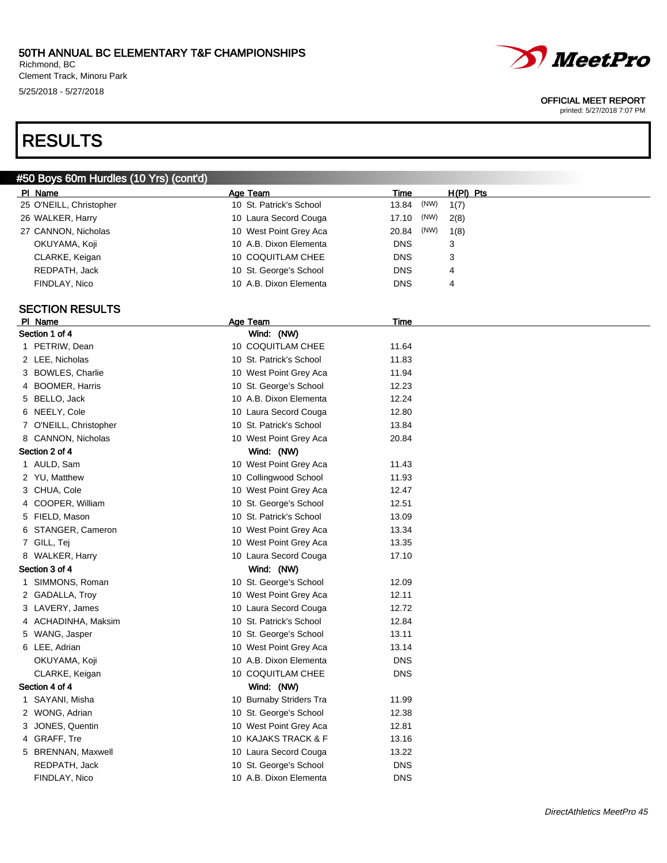Richmond, BC Clement Track, Minoru Park 5/25/2018 - 5/27/2018

# *MeetPro*

#### OFFICIAL MEET REPORT

printed: 5/27/2018 7:07 PM

## RESULTS

### #50 Boys 60m Hurdles (10 Yrs) (cont'd) Pl Name Age Team Time H(Pl) Pts 25 O'NEILL, Christopher 10 St. Patrick's School 13.84 (NW) 1(7) 26 WALKER, Harry **10 Laura Secord Couga** 17.10 (NW) 2(8) 27 CANNON, Nicholas 20.84 (NW) 1(8) OKUYAMA, Koji **10 A.B. Dixon Elementa** DNS 3 CLARKE, Keigan 10 COQUITLAM CHEE DNS 3 REDPATH, Jack 10 St. George's School DNS 4 FINDLAY, Nico **10 A.B. Dixon Elementa** DNS 4 SECTION RESULTS Pl Name **Age Team** Age Team Time Section 1 of 4 Wind: (NW) 1 PETRIW, Dean 10 COQUITLAM CHEE 11.64 2 LEE, Nicholas 10 St. Patrick's School 11.83 3 BOWLES, Charlie 10 West Point Grey Aca 11.94 4 BOOMER, Harris 10 St. George's School 12.23 5 BELLO, Jack 10 A.B. Dixon Elementa 12.24 6 NEELY, Cole 10 Laura Secord Couga 12.80 7 O'NEILL, Christopher 10 St. Patrick's School 13.84 8 CANNON, Nicholas 10 West Point Grey Aca 20.84 Section 2 of 4 Wind: (NW) 1 AULD, Sam 11.43 2 YU, Matthew 10 Collingwood School 11.93 3 CHUA, Cole 12.47 and 10 West Point Grey Aca 12.47 4 COOPER, William 10 St. George's School 12.51 5 FIELD, Mason 10 St. Patrick's School 13.09 6 STANGER, Cameron 10 West Point Grey Aca 13.34 7 GILL, Tej 13.35 8 WALKER, Harry 10 Laura Secord Couga 17.10 Section 3 of 4 Wind: (NW) 1 SIMMONS, Roman 10 St. George's School 12.09 2 GADALLA, Troy 10 West Point Grey Aca 12.11 3 LAVERY, James 20 20 20 20 20 30 20 30 20 30 20 30 30 30 30 30 31 32.72 4 ACHADINHA, Maksim 10 St. Patrick's School 12.84 5 WANG, Jasper 10 St. George's School 13.11 6 LEE, Adrian 10 West Point Grey Aca 13.14 OKUYAMA, Koji 10 A.B. Dixon Elementa DNS CLARKE, Keigan 10 COQUITLAM CHEE DNS Section 4 of 4 Wind: (NW) 1 SAYANI, Misha 10 Burnaby Striders Tra 11.99 2 WONG, Adrian 10 St. George's School 12.38 3 JONES, Quentin 10 West Point Grey Aca 12.81 4 GRAFF, Tre 10 KAJAKS TRACK & F 13.16 5 BRENNAN, Maxwell 10 Laura Secord Couga 13.22 REDPATH, Jack **10 St. George's School** DNS

FINDLAY, Nico **10 A.B. Dixon Elementa** DNS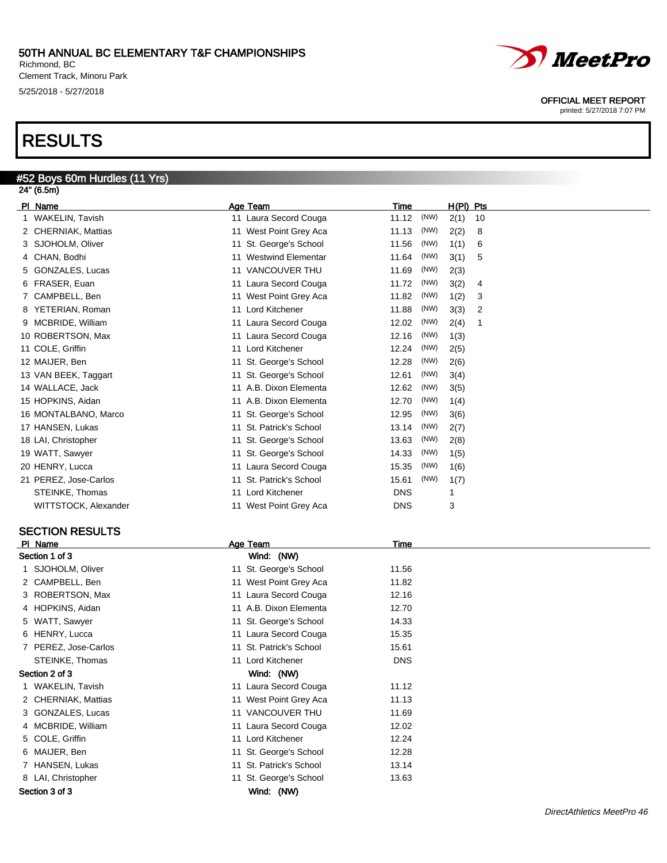Richmond, BC Clement Track, Minoru Park 5/25/2018 - 5/27/2018

## RESULTS

#### #52 Boys 60m Hurdles (11 Yrs) 24" (6.5m)

| PI Name               | Age Team                | Time       |      | H(PI) Pts |    |
|-----------------------|-------------------------|------------|------|-----------|----|
| 1 WAKELIN, Tavish     | 11 Laura Secord Couga   | 11.12      | (NW) | 2(1)      | 10 |
| 2 CHERNIAK, Mattias   | 11 West Point Grey Aca  | 11.13      | (NW) | 2(2)      | 8  |
| 3 SJOHOLM, Oliver     | 11 St. George's School  | 11.56      | (NW) | 1(1)      | 6  |
| 4 CHAN, Bodhi         | Westwind Elementar      | 11.64      | (NW) | 3(1)      | 5  |
| 5 GONZALES, Lucas     | 11 VANCOUVER THU        | 11.69      | (NW) | 2(3)      |    |
| 6 FRASER, Euan        | 11 Laura Secord Couga   | 11.72      | (NW) | 3(2)      | 4  |
| 7 CAMPBELL, Ben       | 11 West Point Grey Aca  | 11.82      | (NW) | 1(2)      | 3  |
| 8 YETERIAN, Roman     | 11 Lord Kitchener       | 11.88      | (NW) | 3(3)      | 2  |
| 9 MCBRIDE, William    | 11 Laura Secord Couga   | 12.02      | (NW) | 2(4)      |    |
| 10 ROBERTSON, Max     | 11 Laura Secord Couga   | 12.16      | (NW) | 1(3)      |    |
| 11 COLE, Griffin      | 11 Lord Kitchener       | 12.24      | (NW) | 2(5)      |    |
| 12 MAIJER, Ben        | 11 St. George's School  | 12.28      | (NW) | 2(6)      |    |
| 13 VAN BEEK, Taggart  | 11 St. George's School  | 12.61      | (NW) | 3(4)      |    |
| 14 WALLACE, Jack      | 11 A.B. Dixon Elementa  | 12.62      | (NW) | 3(5)      |    |
| 15 HOPKINS, Aidan     | 11 A.B. Dixon Elementa  | 12.70      | (NW) | 1(4)      |    |
| 16 MONTALBANO, Marco  | 11 St. George's School  | 12.95      | (NW) | 3(6)      |    |
| 17 HANSEN, Lukas      | 11 St. Patrick's School | 13.14      | (NW) | 2(7)      |    |
| 18 LAI, Christopher   | 11 St. George's School  | 13.63      | (NW) | 2(8)      |    |
| 19 WATT, Sawyer       | 11 St. George's School  | 14.33      | (NW) | 1(5)      |    |
| 20 HENRY, Lucca       | 11 Laura Secord Couga   | 15.35      | (NW) | 1(6)      |    |
| 21 PEREZ, Jose-Carlos | 11 St. Patrick's School | 15.61      | (NW) | 1(7)      |    |
| STEINKE, Thomas       | 11 Lord Kitchener       | <b>DNS</b> |      |           |    |
| WITTSTOCK, Alexander  | 11 West Point Grey Aca  | <b>DNS</b> |      | 3         |    |
|                       |                         |            |      |           |    |

### SECTION RESULTS

| PI Name              | Age Team                | Time       |
|----------------------|-------------------------|------------|
| Section 1 of 3       | Wind: (NW)              |            |
| 1 SJOHOLM, Oliver    | 11 St. George's School  | 11.56      |
| 2 CAMPBELL, Ben      | 11 West Point Grey Aca  | 11.82      |
| 3 ROBERTSON, Max     | 11 Laura Secord Couga   | 12.16      |
| 4 HOPKINS, Aidan     | 11 A.B. Dixon Elementa  | 12.70      |
| 5 WATT, Sawyer       | 11 St. George's School  | 14.33      |
| 6 HENRY, Lucca       | 11 Laura Secord Couga   | 15.35      |
| 7 PEREZ, Jose-Carlos | 11 St. Patrick's School | 15.61      |
| STEINKE, Thomas      | 11 Lord Kitchener       | <b>DNS</b> |
| Section 2 of 3       | Wind: (NW)              |            |
| 1 WAKELIN, Tavish    | 11 Laura Secord Couga   | 11.12      |
| 2 CHERNIAK, Mattias  | 11 West Point Grey Aca  | 11.13      |
| 3 GONZALES, Lucas    | 11 VANCOUVER THU        | 11.69      |
| 4 MCBRIDE, William   | 11 Laura Secord Couga   | 12.02      |
| 5 COLE, Griffin      | 11 Lord Kitchener       | 12.24      |
| 6 MAIJER, Ben        | 11 St. George's School  | 12.28      |
| 7 HANSEN, Lukas      | 11 St. Patrick's School | 13.14      |
| 8 LAI, Christopher   | 11 St. George's School  | 13.63      |
| Section 3 of 3       | Wind: (NW)              |            |
|                      |                         |            |



#### OFFICIAL MEET REPORT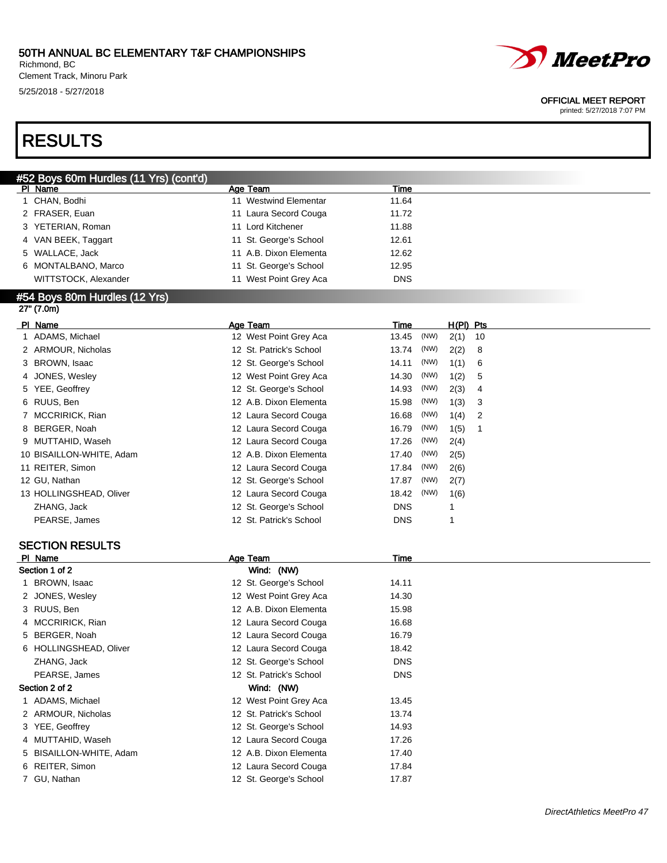Richmond, BC Clement Track, Minoru Park 5/25/2018 - 5/27/2018



#### OFFICIAL MEET REPORT

printed: 5/27/2018 7:07 PM

## RESULTS

| #52 Boys 60m Hurdles (11 Yrs) (cont'd) |                        |            |  |  |  |
|----------------------------------------|------------------------|------------|--|--|--|
| PI Name                                | Age Team               | Time       |  |  |  |
| CHAN, Bodhi                            | Westwind Elementar     | 11.64      |  |  |  |
| 2 FRASER, Euan                         | 11 Laura Secord Couga  | 11.72      |  |  |  |
| 3 YETERIAN, Roman                      | 11 Lord Kitchener      | 11.88      |  |  |  |
| 4 VAN BEEK, Taggart                    | 11 St. George's School | 12.61      |  |  |  |
| 5 WALLACE, Jack                        | 11 A.B. Dixon Elementa | 12.62      |  |  |  |
| 6 MONTALBANO, Marco                    | 11 St. George's School | 12.95      |  |  |  |
| WITTSTOCK, Alexander                   | 11 West Point Grey Aca | <b>DNS</b> |  |  |  |
| #54 Boys 80m Hurdles (12 Yrs)          |                        |            |  |  |  |

## 27" (7.0m)

| PI Name                  | Age Team                | Time       |      | $H(PI)$ Pts |    |
|--------------------------|-------------------------|------------|------|-------------|----|
| 1 ADAMS, Michael         | 12 West Point Grey Aca  | 13.45      | (NW) | 2(1)        | 10 |
| 2 ARMOUR, Nicholas       | 12 St. Patrick's School | 13.74      | (NW) | 2(2)        | 8  |
| 3 BROWN, Isaac           | 12 St. George's School  | 14.11      | (NW) | 1(1)        | 6  |
| 4 JONES, Wesley          | 12 West Point Grey Aca  | 14.30      | (NW) | 1(2)        | 5  |
| 5 YEE, Geoffrey          | 12 St. George's School  | 14.93      | (NW) | 2(3)        | 4  |
| 6 RUUS, Ben              | 12 A.B. Dixon Elementa  | 15.98      | (NW) | 1(3)        | 3  |
| 7 MCCRIRICK, Rian        | 12 Laura Secord Couga   | 16.68      | (NW) | 1(4)        | 2  |
| 8 BERGER, Noah           | 12 Laura Secord Couga   | 16.79      | (NW) | 1(5)        |    |
| 9 MUTTAHID, Waseh        | 12 Laura Secord Couga   | 17.26      | (NW) | 2(4)        |    |
| 10 BISAILLON-WHITE, Adam | 12 A.B. Dixon Elementa  | 17.40      | (NW) | 2(5)        |    |
| 11 REITER, Simon         | 12 Laura Secord Couga   | 17.84      | (NW) | 2(6)        |    |
| 12 GU, Nathan            | 12 St. George's School  | 17.87      | (NW) | 2(7)        |    |
| 13 HOLLINGSHEAD, Oliver  | 12 Laura Secord Couga   | 18.42      | (NW) | 1(6)        |    |
| ZHANG, Jack              | 12 St. George's School  | <b>DNS</b> |      |             |    |
| PEARSE, James            | 12 St. Patrick's School | <b>DNS</b> |      |             |    |

#### SECTION RESULTS

| PI Name                 | Age Team                | Time       |
|-------------------------|-------------------------|------------|
| Section 1 of 2          | Wind: (NW)              |            |
| 1 BROWN, Isaac          | 12 St. George's School  | 14.11      |
| 2 JONES, Wesley         | 12 West Point Grey Aca  | 14.30      |
| 3 RUUS, Ben             | 12 A.B. Dixon Elementa  | 15.98      |
| 4 MCCRIRICK, Rian       | 12 Laura Secord Couga   | 16.68      |
| 5 BERGER, Noah          | 12 Laura Secord Couga   | 16.79      |
| 6 HOLLINGSHEAD, Oliver  | 12 Laura Secord Couga   | 18.42      |
| ZHANG, Jack             | 12 St. George's School  | <b>DNS</b> |
| PEARSE, James           | 12 St. Patrick's School | <b>DNS</b> |
| Section 2 of 2          | Wind: (NW)              |            |
| 1 ADAMS, Michael        | 12 West Point Grey Aca  | 13.45      |
| 2 ARMOUR, Nicholas      | 12 St. Patrick's School | 13.74      |
| 3 YEE, Geoffrey         | 12 St. George's School  | 14.93      |
| 4 MUTTAHID, Waseh       | 12 Laura Secord Couga   | 17.26      |
| 5 BISAILLON-WHITE, Adam | 12 A.B. Dixon Elementa  | 17.40      |
| 6 REITER, Simon         | 12 Laura Secord Couga   | 17.84      |
| 7 GU, Nathan            | 12 St. George's School  | 17.87      |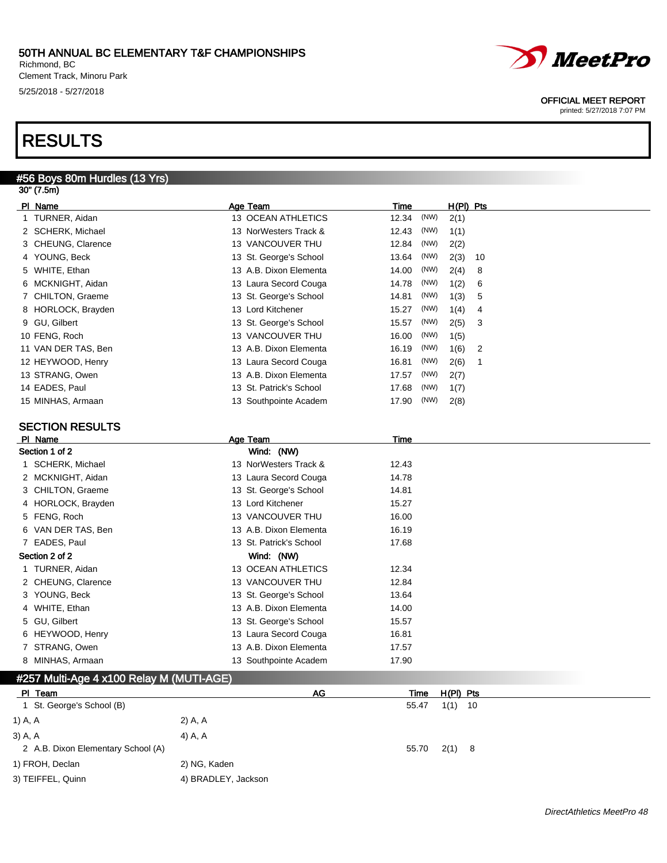Richmond, BC Clement Track, Minoru Park 5/25/2018 - 5/27/2018

## RESULTS

### #56 Boys 80m Hurdles (13 Yrs)

| 30" (7.5m)             |                           |                             |  |
|------------------------|---------------------------|-----------------------------|--|
| PI Name                | Age Team                  | Time<br>$H(PI)$ Pts         |  |
| 1 TURNER, Aidan        | <b>13 OCEAN ATHLETICS</b> | (NW)<br>12.34<br>2(1)       |  |
| 2 SCHERK, Michael      | 13 NorWesters Track &     | (NW)<br>1(1)<br>12.43       |  |
| 3 CHEUNG, Clarence     | 13 VANCOUVER THU          | (NW)<br>12.84<br>2(2)       |  |
| 4 YOUNG, Beck          | 13 St. George's School    | (NW)<br>2(3)<br>13.64<br>10 |  |
| 5 WHITE, Ethan         | 13 A.B. Dixon Elementa    | (NW)<br>14.00<br>2(4)<br>8  |  |
| 6 MCKNIGHT, Aidan      | 13 Laura Secord Couga     | (NW)<br>14.78<br>1(2)<br>6  |  |
| 7 CHILTON, Graeme      | 13 St. George's School    | (NW)<br>1(3)<br>14.81<br>5  |  |
| 8 HORLOCK, Brayden     | 13 Lord Kitchener         | 15.27<br>(NW)<br>1(4)<br>4  |  |
| 9 GU, Gilbert          | 13 St. George's School    | 15.57<br>(NW)<br>2(5)<br>3  |  |
| 10 FENG, Roch          | 13 VANCOUVER THU          | (NW)<br>16.00<br>1(5)       |  |
| 11 VAN DER TAS, Ben    | 13 A.B. Dixon Elementa    | (NW)<br>1(6)<br>16.19<br>2  |  |
| 12 HEYWOOD, Henry      | 13 Laura Secord Couga     | 16.81<br>(NW)<br>2(6)<br>1  |  |
| 13 STRANG, Owen        | 13 A.B. Dixon Elementa    | 17.57<br>(NW)<br>2(7)       |  |
| 14 EADES, Paul         | 13 St. Patrick's School   | (NW)<br>17.68<br>1(7)       |  |
| 15 MINHAS, Armaan      | 13 Southpointe Academ     | 17.90<br>(NW)<br>2(8)       |  |
|                        |                           |                             |  |
| <b>SECTION RESULTS</b> |                           |                             |  |
| PI Name                | Age Team                  | <b>Time</b>                 |  |
| Section 1 of 2         | Wind: (NW)                |                             |  |
| 1 SCHERK, Michael      | 13 NorWesters Track &     | 12.43                       |  |
| 2 MCKNIGHT, Aidan      | 13 Laura Secord Couga     | 14.78                       |  |
| 3 CHILTON, Graeme      | 13 St. George's School    | 14.81                       |  |
| 4 HORLOCK, Brayden     | 13 Lord Kitchener         | 15.27                       |  |
| 5 FENG, Roch           | 13 VANCOUVER THU          | 16.00                       |  |
| 6 VAN DER TAS, Ben     | 13 A.B. Dixon Elementa    | 16.19                       |  |
| 7 EADES, Paul          | 13 St. Patrick's School   | 17.68                       |  |
| Section 2 of 2         | Wind: (NW)                |                             |  |
| 1 TURNER, Aidan        | 13 OCEAN ATHLETICS        | 12.34                       |  |
| 2 CHEUNG, Clarence     | 13 VANCOUVER THU          | 12.84                       |  |
| 3 YOUNG, Beck          | 13 St. George's School    | 13.64                       |  |
| 4 WHITE, Ethan         | 13 A.B. Dixon Elementa    | 14.00                       |  |
| 5 GU, Gilbert          | 13 St. George's School    | 15.57                       |  |
| 6 HEYWOOD, Henry       | 13 Laura Secord Couga     | 16.81                       |  |
| 7 STRANG, Owen         | 13 A.B. Dixon Elementa    | 17.57                       |  |
| MINHAS, Armaan<br>8    | 13 Southpointe Academ     | 17.90                       |  |

#### #257 Multi-Age 4 x100 Relay M (MUTI-AGE)

|           | PI Team                            | AG                  |       | Time  | H(PI) Pts |  |
|-----------|------------------------------------|---------------------|-------|-------|-----------|--|
|           | 1 St. George's School (B)          |                     | 55.47 |       | $1(1)$ 10 |  |
| 1) A, A   |                                    | 2) A, A             |       |       |           |  |
| $3)$ A, A |                                    | 4) A, A             |       |       |           |  |
|           | 2 A.B. Dixon Elementary School (A) |                     |       | 55.70 | $2(1)$ 8  |  |
|           | 1) FROH, Declan                    | 2) NG, Kaden        |       |       |           |  |
|           | 3) TEIFFEL, Quinn                  | 4) BRADLEY, Jackson |       |       |           |  |



OFFICIAL MEET REPORT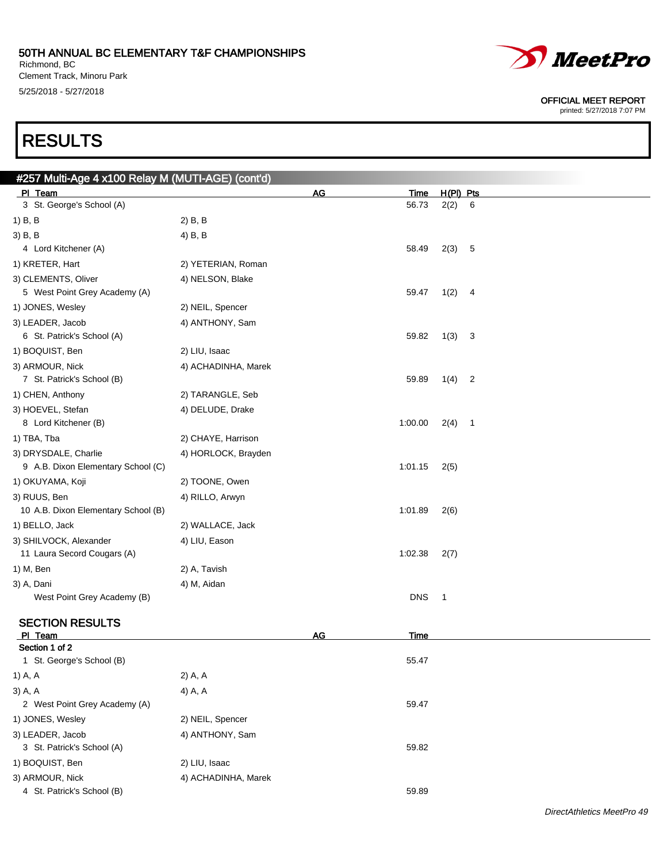Richmond, BC Clement Track, Minoru Park 5/25/2018 - 5/27/2018

# *MeetPro*

OFFICIAL MEET REPORT

printed: 5/27/2018 7:07 PM

## RESULTS

| #257 Multi-Age 4 x100 Relay M (MUTI-AGE) (cont'd) |                     |           |             |                          |   |  |
|---------------------------------------------------|---------------------|-----------|-------------|--------------------------|---|--|
| PI Team                                           |                     | <u>AG</u> | <u>Time</u> | H(PI) Pts                |   |  |
| 3 St. George's School (A)                         |                     |           | 56.73       | 2(2)                     | 6 |  |
| 1) B, B                                           | 2) B, B             |           |             |                          |   |  |
| $3)$ B, B                                         | 4) B, B             |           |             |                          |   |  |
| 4 Lord Kitchener (A)                              |                     |           | 58.49       | 2(3)                     | 5 |  |
| 1) KRETER, Hart                                   | 2) YETERIAN, Roman  |           |             |                          |   |  |
| 3) CLEMENTS, Oliver                               | 4) NELSON, Blake    |           |             |                          |   |  |
| 5 West Point Grey Academy (A)                     |                     |           | 59.47       | 1(2)                     | 4 |  |
| 1) JONES, Wesley                                  | 2) NEIL, Spencer    |           |             |                          |   |  |
| 3) LEADER, Jacob                                  | 4) ANTHONY, Sam     |           |             |                          |   |  |
| 6 St. Patrick's School (A)                        |                     |           | 59.82       | 1(3)                     | 3 |  |
| 1) BOQUIST, Ben                                   | 2) LIU, Isaac       |           |             |                          |   |  |
| 3) ARMOUR, Nick                                   | 4) ACHADINHA, Marek |           |             |                          |   |  |
| 7 St. Patrick's School (B)                        |                     |           | 59.89       | 1(4)                     | 2 |  |
| 1) CHEN, Anthony                                  | 2) TARANGLE, Seb    |           |             |                          |   |  |
| 3) HOEVEL, Stefan                                 | 4) DELUDE, Drake    |           |             |                          |   |  |
| 8 Lord Kitchener (B)                              |                     |           | 1:00.00     | 2(4)                     | 1 |  |
| 1) TBA, Tba                                       | 2) CHAYE, Harrison  |           |             |                          |   |  |
| 3) DRYSDALE, Charlie                              | 4) HORLOCK, Brayden |           |             |                          |   |  |
| 9 A.B. Dixon Elementary School (C)                |                     |           | 1:01.15     | 2(5)                     |   |  |
| 1) OKUYAMA, Koji                                  | 2) TOONE, Owen      |           |             |                          |   |  |
| 3) RUUS, Ben                                      | 4) RILLO, Arwyn     |           |             |                          |   |  |
| 10 A.B. Dixon Elementary School (B)               |                     |           | 1:01.89     | 2(6)                     |   |  |
| 1) BELLO, Jack                                    | 2) WALLACE, Jack    |           |             |                          |   |  |
| 3) SHILVOCK, Alexander                            | 4) LIU, Eason       |           |             |                          |   |  |
| 11 Laura Secord Cougars (A)                       |                     |           | 1:02.38     | 2(7)                     |   |  |
| 1) M, Ben                                         | 2) A, Tavish        |           |             |                          |   |  |
| 3) A, Dani                                        | 4) M, Aidan         |           |             |                          |   |  |
| West Point Grey Academy (B)                       |                     |           | <b>DNS</b>  | $\overline{\phantom{0}}$ |   |  |
| <b>SECTION RESULTS</b>                            |                     |           |             |                          |   |  |
| PI_Team                                           |                     | <b>AG</b> | Time        |                          |   |  |
| Section 1 of 2                                    |                     |           |             |                          |   |  |
| 1 St. George's School (B)                         |                     |           | 55.47       |                          |   |  |
| 1) A, A                                           | 2) A, A             |           |             |                          |   |  |
| 3) A, A                                           | 4) A, A             |           |             |                          |   |  |
| 2 West Point Grey Academy (A)                     |                     |           | 59.47       |                          |   |  |
| 1) JONES, Wesley                                  | 2) NEIL, Spencer    |           |             |                          |   |  |
| 3) LEADER, Jacob                                  | 4) ANTHONY, Sam     |           |             |                          |   |  |
| 3 St. Patrick's School (A)                        |                     |           | 59.82       |                          |   |  |
| 1) BOQUIST, Ben                                   | 2) LIU, Isaac       |           |             |                          |   |  |
| 3) ARMOUR, Nick                                   | 4) ACHADINHA, Marek |           |             |                          |   |  |
| 4 St. Patrick's School (B)                        |                     |           | 59.89       |                          |   |  |
|                                                   |                     |           |             |                          |   |  |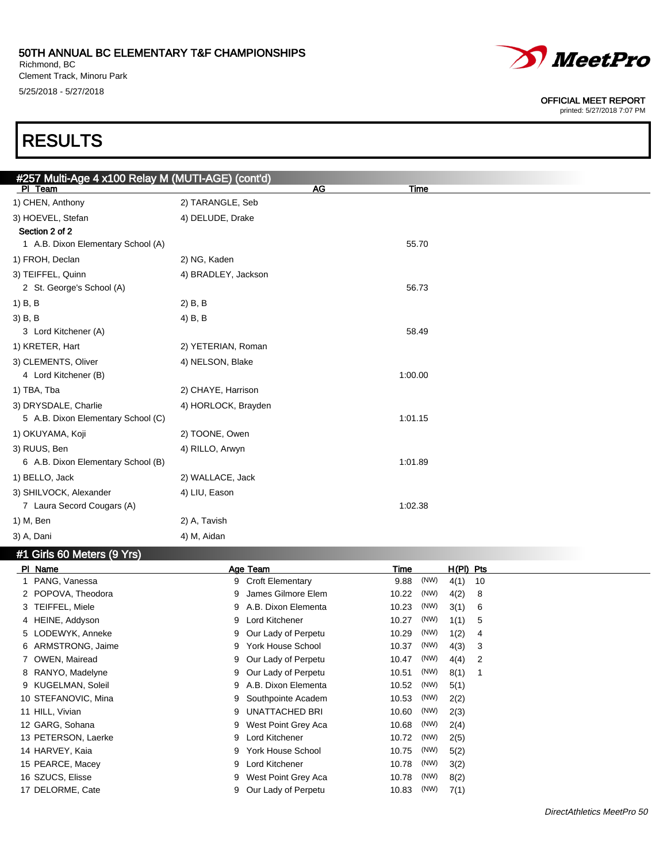Richmond, BC Clement Track, Minoru Park 5/25/2018 - 5/27/2018



#### OFFICIAL MEET REPORT

printed: 5/27/2018 7:07 PM

## RESULTS

| #257 Multi-Age 4 x100 Relay M (MUTI-AGE) (cont'd) |                     |    |             |  |
|---------------------------------------------------|---------------------|----|-------------|--|
| PI Team                                           |                     | AG | <b>Time</b> |  |
| 1) CHEN, Anthony                                  | 2) TARANGLE, Seb    |    |             |  |
| 3) HOEVEL, Stefan                                 | 4) DELUDE, Drake    |    |             |  |
| Section 2 of 2                                    |                     |    |             |  |
| 1 A.B. Dixon Elementary School (A)                |                     |    | 55.70       |  |
| 1) FROH, Declan                                   | 2) NG, Kaden        |    |             |  |
| 3) TEIFFEL, Quinn                                 | 4) BRADLEY, Jackson |    |             |  |
| 2 St. George's School (A)                         |                     |    | 56.73       |  |
| 1) B, B                                           | $2)$ B, B           |    |             |  |
| 3) B, B                                           | 4) B, B             |    |             |  |
| 3 Lord Kitchener (A)                              |                     |    | 58.49       |  |
| 1) KRETER, Hart                                   | 2) YETERIAN, Roman  |    |             |  |
| 3) CLEMENTS, Oliver                               | 4) NELSON, Blake    |    |             |  |
| 4 Lord Kitchener (B)                              |                     |    | 1:00.00     |  |
| 1) TBA, Tba                                       | 2) CHAYE, Harrison  |    |             |  |
| 3) DRYSDALE, Charlie                              | 4) HORLOCK, Brayden |    |             |  |
| 5 A.B. Dixon Elementary School (C)                |                     |    | 1:01.15     |  |
| 1) OKUYAMA, Koji                                  | 2) TOONE, Owen      |    |             |  |
| 3) RUUS, Ben                                      | 4) RILLO, Arwyn     |    |             |  |
| 6 A.B. Dixon Elementary School (B)                |                     |    | 1:01.89     |  |
| 1) BELLO, Jack                                    | 2) WALLACE, Jack    |    |             |  |
| 3) SHILVOCK, Alexander                            | 4) LIU, Eason       |    |             |  |
| 7 Laura Secord Cougars (A)                        |                     |    | 1:02.38     |  |
| 1) M, Ben                                         | 2) A, Tavish        |    |             |  |
| 3) A, Dani                                        | 4) M, Aidan         |    |             |  |
|                                                   |                     |    |             |  |

### #1 Girls 60 Meters (9 Yrs)

| PI_Name             | Age Team                      | $H(PI)$ Pts<br>Time        |
|---------------------|-------------------------------|----------------------------|
| PANG, Vanessa       | <b>Croft Elementary</b><br>9  | (NW)<br>4(1)<br>9.88<br>10 |
| 2 POPOVA, Theodora  | James Gilmore Elem<br>9       | (NW)<br>4(2)<br>10.22<br>8 |
| 3 TEIFFEL, Miele    | A.B. Dixon Elementa<br>9      | (NW)<br>10.23<br>3(1)<br>6 |
| 4 HEINE, Addyson    | Lord Kitchener<br>9           | (NW)<br>1(1)<br>10.27<br>5 |
| 5 LODEWYK, Anneke   | Our Lady of Perpetu<br>9      | (NW)<br>1(2)<br>10.29<br>4 |
| 6 ARMSTRONG, Jaime  | York House School<br>9        | (NW)<br>4(3)<br>10.37<br>3 |
| 7 OWEN, Mairead     | Our Lady of Perpetu<br>9      | (NW)<br>10.47<br>4(4)<br>2 |
| 8 RANYO, Madelyne   | Our Lady of Perpetu<br>9      | (NW)<br>8(1)<br>10.51      |
| 9 KUGELMAN, Soleil  | A.B. Dixon Elementa<br>9      | (NW)<br>10.52<br>5(1)      |
| 10 STEFANOVIC, Mina | Southpointe Academ<br>9       | (NW)<br>10.53<br>2(2)      |
| 11 HILL, Vivian     | <b>UNATTACHED BRI</b><br>9    | (NW)<br>2(3)<br>10.60      |
| 12 GARG, Sohana     | West Point Grey Aca<br>9      | (NW)<br>10.68<br>2(4)      |
| 13 PETERSON, Laerke | Lord Kitchener<br>9           | (NW)<br>10.72<br>2(5)      |
| 14 HARVEY, Kaia     | <b>York House School</b><br>9 | (NW)<br>10.75<br>5(2)      |
| 15 PEARCE, Macey    | Lord Kitchener<br>9           | (NW)<br>10.78<br>3(2)      |
| 16 SZUCS, Elisse    | West Point Grey Aca<br>9      | (NW)<br>10.78<br>8(2)      |
| 17 DELORME, Cate    | Our Lady of Perpetu           | (NW)<br>10.83<br>7(1)      |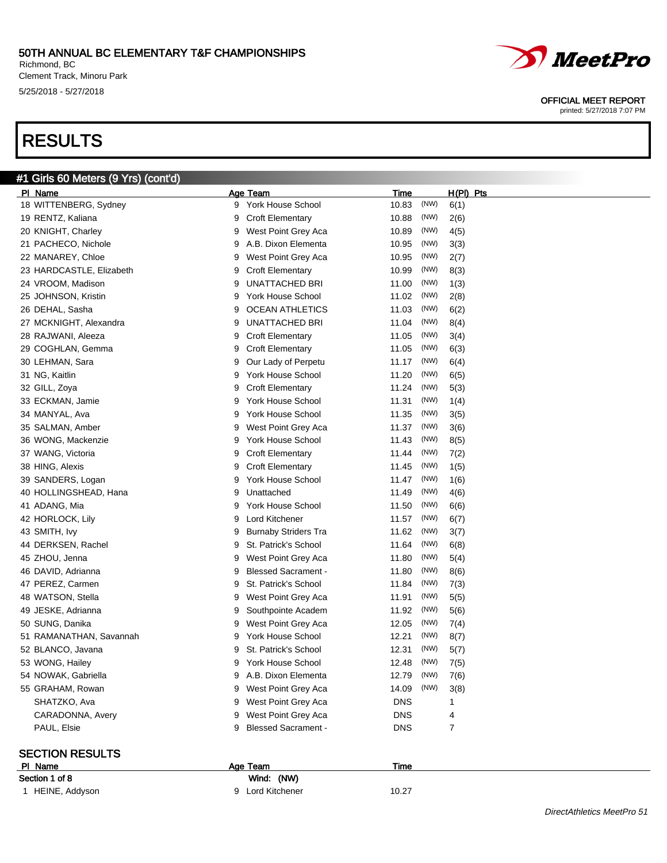Richmond, BC Clement Track, Minoru Park 5/25/2018 - 5/27/2018

## RESULTS

### #1 Girls 60 Meters (9 Yrs) (cont'd) Pl Name Age Team Time H(Pl) Pts 18 WITTENBERG, Sydney 10.83 (NW) 6(1) 9 York House School 10.83 (NW) 6(1) 19 RENTZ, Kaliana **10.88 (NW)** 2(6) 9 Croft Elementary 10.88 (NW) 2(6) 20 KNIGHT, Charley **10.89** Charles **9** West Point Grey Aca 10.89 (NW) 4(5) 21 PACHECO, Nichole 9 A.B. Dixon Elementa 10.95 (NW) 3(3) 22 MANAREY, Chloe 9 West Point Grey Aca 10.95 (NW) 2(7) 23 HARDCASTLE, Elizabeth 9 Croft Elementary 10.99 (NW) 8(3) 24 VROOM, Madison **11.00** CMW 9 UNATTACHED BRI 11.00 (NW) 1(3) 25 JOHNSON, Kristin 9 York House School 11.02 (NW) 2(8) 26 DEHAL, Sasha 9 OCEAN ATHLETICS 11.03 (NW) 6(2) 27 MCKNIGHT, Alexandra 11.04 (NW) 8(4) 28 RAJWANI, Aleeza 11.05 (NW) 3(4) 29 COGHLAN, Gemma 9 Croft Elementary 11.05 (NW) 6(3) 30 LEHMAN, Sara **11.17** (NW) 6(4) 9 Our Lady of Perpetu 11.17 (NW) 6(4) 31 NG, Kaitlin 11.20 (NW) 6(5) 32 GILL, Zoya **11.24** (NW) 5(3) 9 Croft Elementary 11.24 (NW) 5(3) 33 ECKMAN, Jamie 11.31 (NW) 1(4) 34 MANYAL, Ava 9 York House School 11.35 (NW) 3(5) 35 SALMAN, Amber 3(6) 9 West Point Grey Aca 311.37 (NW) 3(6) 36 WONG, Mackenzie 9 York House School 11.43 (NW) 8(5) 37 WANG, Victoria **11.44 (NW)** 7(2) 9 Croft Elementary 11.44 (NW) 7(2) 38 HING, Alexis **11.45 (NW)** 1(5) 9 Croft Elementary 11.45 (NW) 1(5) 39 SANDERS, Logan 11.47 (NW) 1(6) 9 York House School 11.47 (NW) 1(6) 40 HOLLINGSHEAD, Hana 16 | 11.49 (NW)  $4(6)$ 41 ADANG, Mia **11.50 (NW)** 6(6) 9 York House School 11.50 (NW) 6(6) 42 HORLOCK, Lily 6(7) 88 and 11.57 (NW) 9 Lord Kitchener 11.57 (NW) 6(7) 43 SMITH, Ivy **11.62** (NW) 3(7) 9 Burnaby Striders Tra 11.62 (NW) 3(7) 44 DERKSEN, Rachel 9 St. Patrick's School 11.64 (NW) 6(8) 45 ZHOU, Jenna **11.80** (NW) 5(4) 9 West Point Grey Aca 11.80 (NW) 5(4) 46 DAVID, Adrianna 19 Blessed Sacrament - 11.80 (NW) 8(6) 47 PEREZ, Carmen 20 11.84 (NW) 7(3) 48 WATSON, Stella **11.91** West Point Grey Aca **11.91** (NW) 5(5) 49 JESKE, Adrianna 11.92 (NW) 5(6) 50 SUNG, Danika **9 West Point Grey Aca** 12.05 (NW) 7(4) 51 RAMANATHAN, Savannah 19 York House School 12.21 (NW) 8(7) 52 BLANCO, Javana 12.31 (NW) 5(7) 9 St. Patrick's School 12.31 (NW) 5(7) 53 WONG, Hailey **12.48** (NW) 7(5) 9 York House School 12.48 (NW) 7(5) 54 NOWAK, Gabriella 9 A.B. Dixon Elementa 12.79 (NW) 7(6) 55 GRAHAM, Rowan 14.09 (NW) 3(8) 9 West Point Grey Aca 14.09 (NW) 3(8) SHATZKO, Ava 9 West Point Grey Aca DNS 1 CARADONNA, Avery **19 West Point Grey Aca DNS** 4 PAUL, Elsie **19 Blessed Sacrament - PAUL, Elsie** 7

#### SECTION RESULTS

Section 1

| PI Name          | Age Team         | Time  |
|------------------|------------------|-------|
| Section 1 of 8   | Wind: (NW)       |       |
| 1 HEINE, Addyson | 9 Lord Kitchener | 10.27 |



#### OFFICIAL MEET REPORT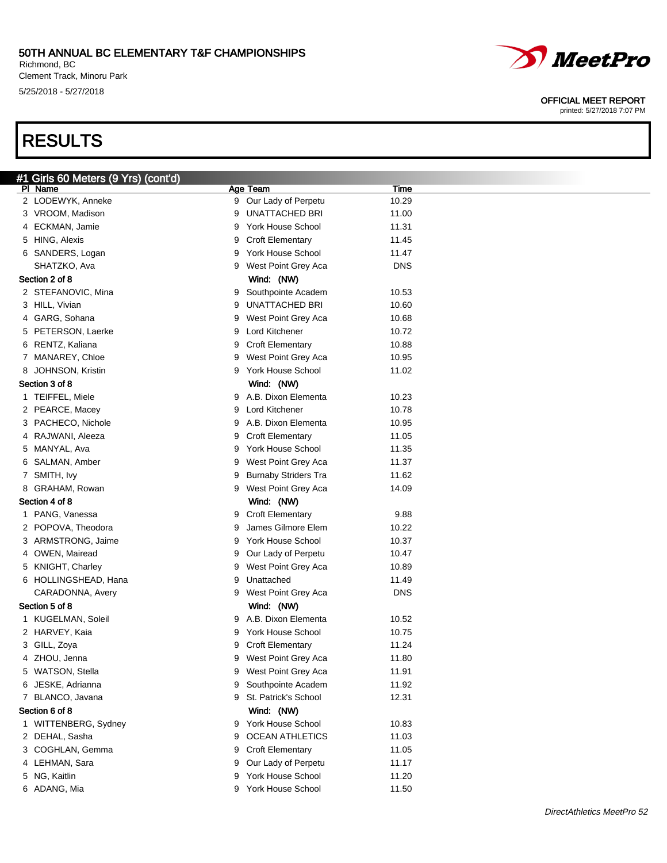Richmond, BC Clement Track, Minoru Park 5/25/2018 - 5/27/2018

## RESULTS

### OFFICIAL MEET REPORT

| #1 Girls 60 Meters (9 Yrs) (cont'd)    |        |                                             |                |
|----------------------------------------|--------|---------------------------------------------|----------------|
| PI Name                                |        | Age Team                                    | <u>Time</u>    |
| 2 LODEWYK, Anneke                      |        | 9 Our Lady of Perpetu                       | 10.29          |
| 3 VROOM, Madison                       | 9      | <b>UNATTACHED BRI</b>                       | 11.00          |
| 4 ECKMAN, Jamie                        | 9      | York House School                           | 11.31          |
| 5 HING, Alexis                         | 9      | <b>Croft Elementary</b>                     | 11.45          |
| 6 SANDERS, Logan                       | 9      | York House School                           | 11.47          |
| SHATZKO, Ava                           | 9      | West Point Grey Aca                         | <b>DNS</b>     |
| Section 2 of 8                         |        | Wind: (NW)                                  |                |
| 2 STEFANOVIC, Mina                     | 9      | Southpointe Academ<br><b>UNATTACHED BRI</b> | 10.53          |
| 3 HILL, Vivian<br>4 GARG, Sohana       | 9      |                                             | 10.60          |
|                                        | 9<br>9 | West Point Grey Aca<br>Lord Kitchener       | 10.68<br>10.72 |
| 5 PETERSON, Laerke<br>6 RENTZ, Kaliana | 9      | <b>Croft Elementary</b>                     | 10.88          |
| 7 MANAREY, Chloe                       | 9      | West Point Grey Aca                         | 10.95          |
| 8 JOHNSON, Kristin                     | 9      | York House School                           | 11.02          |
| Section 3 of 8                         |        | Wind: (NW)                                  |                |
| 1 TEIFFEL, Miele                       | 9      | A.B. Dixon Elementa                         | 10.23          |
| 2 PEARCE, Macey                        | 9      | Lord Kitchener                              | 10.78          |
| 3 PACHECO, Nichole                     | 9      | A.B. Dixon Elementa                         | 10.95          |
| 4 RAJWANI, Aleeza                      | 9      | <b>Croft Elementary</b>                     | 11.05          |
| 5 MANYAL, Ava                          | 9      | York House School                           | 11.35          |
| 6 SALMAN, Amber                        | 9      | West Point Grey Aca                         | 11.37          |
| 7 SMITH, Ivy                           | 9      | <b>Burnaby Striders Tra</b>                 | 11.62          |
| 8 GRAHAM, Rowan                        | 9      | West Point Grey Aca                         | 14.09          |
| Section 4 of 8                         |        | Wind: (NW)                                  |                |
| 1 PANG, Vanessa                        | 9      | <b>Croft Elementary</b>                     | 9.88           |
| 2 POPOVA, Theodora                     | 9      | James Gilmore Elem                          | 10.22          |
| 3 ARMSTRONG, Jaime                     | 9      | York House School                           | 10.37          |
| 4 OWEN, Mairead                        | 9      | Our Lady of Perpetu                         | 10.47          |
| 5 KNIGHT, Charley                      | 9      | West Point Grey Aca                         | 10.89          |
| 6 HOLLINGSHEAD, Hana                   | 9      | Unattached                                  | 11.49          |
| CARADONNA, Avery                       | 9      | West Point Grey Aca                         | <b>DNS</b>     |
| Section 5 of 8                         |        | Wind: (NW)                                  |                |
| 1 KUGELMAN, Soleil                     | 9      | A.B. Dixon Elementa                         | 10.52          |
| 2 HARVEY, Kaia                         | 9      | York House School                           | 10.75          |
| 3 GILL, Zoya                           | 9      | <b>Croft Elementary</b>                     | 11.24          |
| 4 ZHOU, Jenna                          | 9      | West Point Grey Aca                         | 11.80          |
| 5 WATSON, Stella                       | 9      | West Point Grey Aca                         | 11.91          |
| 6 JESKE, Adrianna                      | 9      | Southpointe Academ                          | 11.92          |
| 7 BLANCO, Javana                       | 9      | St. Patrick's School                        | 12.31          |
| Section 6 of 8                         |        | Wind: (NW)                                  |                |
| 1 WITTENBERG, Sydney                   | 9      | York House School                           | 10.83          |
| 2 DEHAL, Sasha                         | 9      | <b>OCEAN ATHLETICS</b>                      | 11.03          |
| 3 COGHLAN, Gemma                       | 9      | <b>Croft Elementary</b>                     | 11.05          |
| 4 LEHMAN, Sara                         | 9      | Our Lady of Perpetu                         | 11.17          |
| 5 NG, Kaitlin                          | 9      | York House School                           | 11.20          |
| 6 ADANG, Mia                           | 9      | York House School                           | 11.50          |
|                                        |        |                                             |                |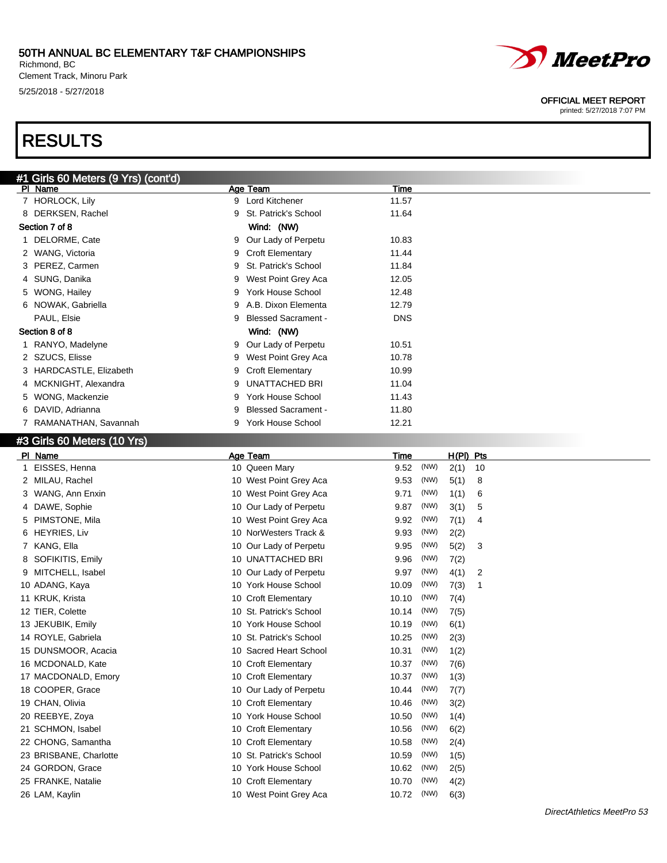#### 50TH ANNUAL BC ELEMENTARY T&F CHAMPIONSHIPS Richmond, BC

Clement Track, Minoru Park 5/25/2018 - 5/27/2018

## RESULTS



#### OFFICIAL MEET REPORT

printed: 5/27/2018 7:07 PM

| #1 Girls 60 Meters (9 Yrs) (cont'd) |                         |   |                            |            |  |
|-------------------------------------|-------------------------|---|----------------------------|------------|--|
|                                     | PI Name                 |   | Age Team                   | Time       |  |
|                                     | 7 HORLOCK, Lily         | 9 | Lord Kitchener             | 11.57      |  |
|                                     | 8 DERKSEN, Rachel       | 9 | St. Patrick's School       | 11.64      |  |
|                                     | Section 7 of 8          |   | Wind: (NW)                 |            |  |
|                                     | 1 DELORME, Cate         | 9 | Our Lady of Perpetu        | 10.83      |  |
|                                     | 2 WANG, Victoria        | 9 | <b>Croft Elementary</b>    | 11.44      |  |
|                                     | 3 PEREZ, Carmen         | 9 | St. Patrick's School       | 11.84      |  |
|                                     | 4 SUNG, Danika          | 9 | West Point Grey Aca        | 12.05      |  |
|                                     | 5 WONG, Hailey          | 9 | York House School          | 12.48      |  |
|                                     | 6 NOWAK, Gabriella      |   | 9 A.B. Dixon Elementa      | 12.79      |  |
|                                     | PAUL, Elsie             | 9 | <b>Blessed Sacrament -</b> | <b>DNS</b> |  |
|                                     | Section 8 of 8          |   | Wind: (NW)                 |            |  |
|                                     | 1 RANYO, Madelyne       | 9 | Our Lady of Perpetu        | 10.51      |  |
|                                     | 2 SZUCS, Elisse         | 9 | West Point Grey Aca        | 10.78      |  |
|                                     | 3 HARDCASTLE, Elizabeth | 9 | <b>Croft Elementary</b>    | 10.99      |  |
|                                     | 4 MCKNIGHT, Alexandra   | 9 | UNATTACHED BRI             | 11.04      |  |
|                                     | 5 WONG, Mackenzie       | 9 | York House School          | 11.43      |  |
|                                     | 6 DAVID, Adrianna       | 9 | <b>Blessed Sacrament -</b> | 11.80      |  |
|                                     | 7 RAMANATHAN, Savannah  | 9 | <b>York House School</b>   | 12.21      |  |

## #3 Girls 60 Meters (10 Yrs)

|   | PI Name                | Age Team                | Time  |      | H(PI) Pts |    |
|---|------------------------|-------------------------|-------|------|-----------|----|
|   | EISSES, Henna          | 10 Queen Mary           | 9.52  | (NW) | 2(1)      | 10 |
| 2 | MILAU, Rachel          | 10 West Point Grey Aca  | 9.53  | (NW) | 5(1)      | 8  |
| 3 | WANG, Ann Enxin        | 10 West Point Grey Aca  | 9.71  | (NW) | 1(1)      | 6  |
| 4 | DAWE, Sophie           | 10 Our Lady of Perpetu  | 9.87  | (NW) | 3(1)      | 5  |
| 5 | PIMSTONE, Mila         | 10 West Point Grey Aca  | 9.92  | (NW) | 7(1)      | 4  |
| 6 | <b>HEYRIES, Liv</b>    | 10 NorWesters Track &   | 9.93  | (NW) | 2(2)      |    |
|   | KANG, Ella             | 10 Our Lady of Perpetu  | 9.95  | (NW) | 5(2)      | 3  |
|   | SOFIKITIS, Emily       | 10 UNATTACHED BRI       | 9.96  | (NW) | 7(2)      |    |
|   | MITCHELL, Isabel       | 10 Our Lady of Perpetu  | 9.97  | (NW) | 4(1)      | 2  |
|   | 10 ADANG, Kaya         | 10 York House School    | 10.09 | (NW) | 7(3)      | 1  |
|   | 11 KRUK, Krista        | 10 Croft Elementary     | 10.10 | (NW) | 7(4)      |    |
|   | 12 TIER, Colette       | 10 St. Patrick's School | 10.14 | (NW) | 7(5)      |    |
|   | 13 JEKUBIK, Emily      | 10 York House School    | 10.19 | (NW) | 6(1)      |    |
|   | 14 ROYLE, Gabriela     | 10 St. Patrick's School | 10.25 | (NW) | 2(3)      |    |
|   | 15 DUNSMOOR, Acacia    | 10 Sacred Heart School  | 10.31 | (NW) | 1(2)      |    |
|   | 16 MCDONALD, Kate      | 10 Croft Elementary     | 10.37 | (NW) | 7(6)      |    |
|   | 17 MACDONALD, Emory    | 10 Croft Elementary     | 10.37 | (NW) | 1(3)      |    |
|   | 18 COOPER, Grace       | 10 Our Lady of Perpetu  | 10.44 | (NW) | 7(7)      |    |
|   | 19 CHAN, Olivia        | 10 Croft Elementary     | 10.46 | (NW) | 3(2)      |    |
|   | 20 REEBYE, Zoya        | 10 York House School    | 10.50 | (NW) | 1(4)      |    |
|   | 21 SCHMON, Isabel      | 10 Croft Elementary     | 10.56 | (NW) | 6(2)      |    |
|   | 22 CHONG, Samantha     | 10 Croft Elementary     | 10.58 | (NW) | 2(4)      |    |
|   | 23 BRISBANE, Charlotte | 10 St. Patrick's School | 10.59 | (NW) | 1(5)      |    |
|   | 24 GORDON, Grace       | 10 York House School    | 10.62 | (NW) | 2(5)      |    |
|   | 25 FRANKE, Natalie     | 10 Croft Elementary     | 10.70 | (NW) | 4(2)      |    |
|   | 26 LAM, Kaylin         | 10 West Point Grey Aca  | 10.72 | (NW) | 6(3)      |    |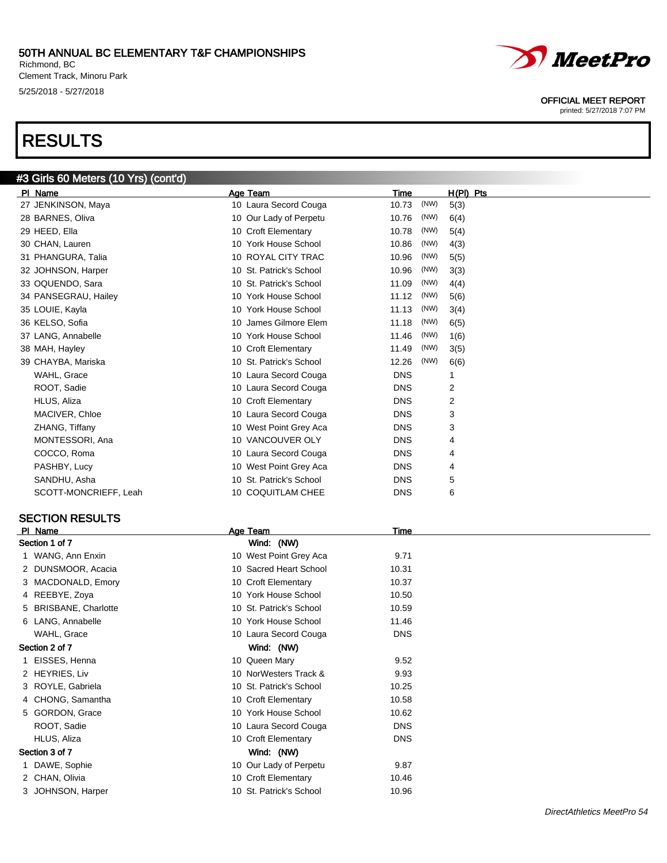Richmond, BC Clement Track, Minoru Park 5/25/2018 - 5/27/2018

#3 Girls 60 Meters (10 Yrs) (cont'd)

## RESULTS



#### OFFICIAL MEET REPORT

printed: 5/27/2018 7:07 PM

| Name                  | Age Team                | Time          | $H(PI)$ Pts |
|-----------------------|-------------------------|---------------|-------------|
| 27 JENKINSON, Maya    | 10 Laura Secord Couga   | (NW)<br>10.73 | 5(3)        |
| 28 BARNES, Oliva      | 10 Our Lady of Perpetu  | (NW)<br>10.76 | 6(4)        |
| 29 HEED, Ella         | 10 Croft Elementary     | (NW)<br>10.78 | 5(4)        |
| 30 CHAN, Lauren       | 10 York House School    | (NW)<br>10.86 | 4(3)        |
| 31 PHANGURA, Talia    | 10 ROYAL CITY TRAC      | (NW)<br>10.96 | 5(5)        |
| 32 JOHNSON, Harper    | 10 St. Patrick's School | (NW)<br>10.96 | 3(3)        |
| 33 OQUENDO, Sara      | 10 St. Patrick's School | (NW)<br>11.09 | 4(4)        |
| 34 PANSEGRAU, Hailey  | 10 York House School    | (NW)<br>11.12 | 5(6)        |
| 35 LOUIE, Kayla       | 10 York House School    | (NW)<br>11.13 | 3(4)        |
| 36 KELSO, Sofia       | 10 James Gilmore Elem   | (NW)<br>11.18 | 6(5)        |
| 37 LANG, Annabelle    | 10 York House School    | (NW)<br>11.46 | 1(6)        |
| 38 MAH, Hayley        | 10 Croft Elementary     | (NW)<br>11.49 | 3(5)        |
| 39 CHAYBA, Mariska    | 10 St. Patrick's School | (NW)<br>12.26 | 6(6)        |
| WAHL, Grace           | 10 Laura Secord Couga   | <b>DNS</b>    |             |
| ROOT, Sadie           | 10 Laura Secord Couga   | <b>DNS</b>    | 2           |
| HLUS, Aliza           | 10 Croft Elementary     | <b>DNS</b>    | 2           |
| MACIVER, Chloe        | 10 Laura Secord Couga   | <b>DNS</b>    | 3           |
| ZHANG, Tiffany        | 10 West Point Grey Aca  | <b>DNS</b>    | 3           |
| MONTESSORI, Ana       | 10 VANCOUVER OLY        | <b>DNS</b>    | 4           |
| COCCO, Roma           | 10 Laura Secord Couga   | <b>DNS</b>    | 4           |
| PASHBY, Lucy          | 10 West Point Grey Aca  | <b>DNS</b>    | 4           |
| SANDHU, Asha          | 10 St. Patrick's School | <b>DNS</b>    | 5           |
| SCOTT-MONCRIEFF, Leah | 10 COQUITLAM CHEE       | <b>DNS</b>    | 6           |

## SECTION RESULTS

| PI Name               | Age Team                | Time       |  |
|-----------------------|-------------------------|------------|--|
| Section 1 of 7        | Wind: (NW)              |            |  |
| 1 WANG, Ann Enxin     | 10 West Point Grey Aca  | 9.71       |  |
| 2 DUNSMOOR, Acacia    | 10 Sacred Heart School  | 10.31      |  |
| 3 MACDONALD, Emory    | 10 Croft Elementary     | 10.37      |  |
| 4 REEBYE, Zoya        | 10 York House School    | 10.50      |  |
| 5 BRISBANE, Charlotte | 10 St. Patrick's School | 10.59      |  |
| 6 LANG, Annabelle     | 10 York House School    | 11.46      |  |
| WAHL, Grace           | 10 Laura Secord Couga   | <b>DNS</b> |  |
| Section 2 of 7        | Wind: (NW)              |            |  |
| 1 EISSES, Henna       | 10 Queen Mary           | 9.52       |  |
| 2 HEYRIES, Liv        | 10 NorWesters Track &   | 9.93       |  |
| 3 ROYLE, Gabriela     | 10 St. Patrick's School | 10.25      |  |
| 4 CHONG, Samantha     | 10 Croft Elementary     | 10.58      |  |
| 5 GORDON, Grace       | 10 York House School    | 10.62      |  |
| ROOT, Sadie           | 10 Laura Secord Couga   | <b>DNS</b> |  |
| HLUS, Aliza           | 10 Croft Elementary     | <b>DNS</b> |  |
| Section 3 of 7        | Wind: (NW)              |            |  |
| 1 DAWE, Sophie        | 10 Our Lady of Perpetu  | 9.87       |  |
| 2 CHAN, Olivia        | 10 Croft Elementary     | 10.46      |  |
| 3 JOHNSON, Harper     | 10 St. Patrick's School | 10.96      |  |
|                       |                         |            |  |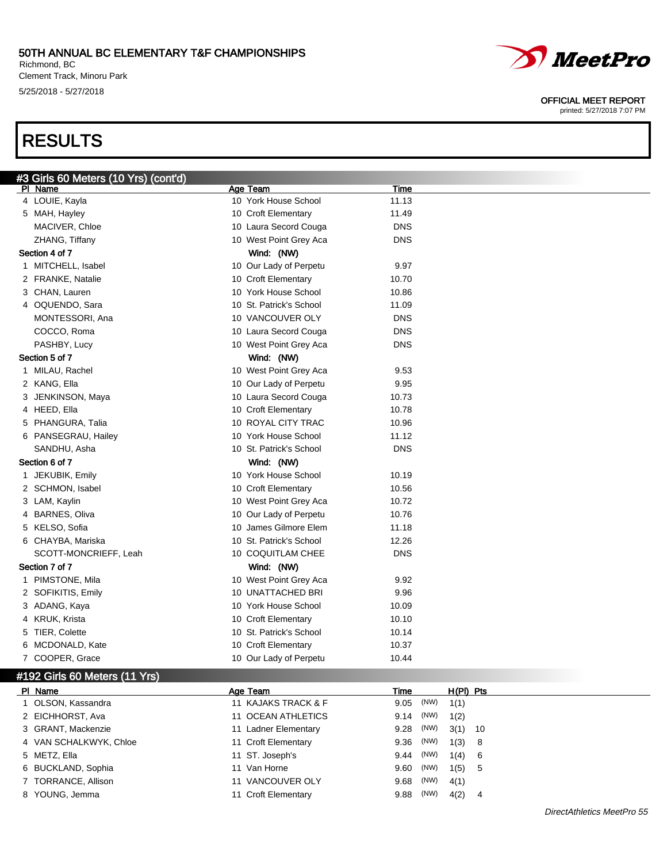Richmond, BC Clement Track, Minoru Park 5/25/2018 - 5/27/2018

## RESULTS



#### OFFICIAL MEET REPORT

| Age Team<br>PI Name<br>Time<br>10 York House School<br>4 LOUIE, Kayla<br>11.13<br>10 Croft Elementary<br>5 MAH, Hayley<br>11.49<br>MACIVER, Chloe<br>10 Laura Secord Couga<br><b>DNS</b><br>10 West Point Grey Aca<br><b>DNS</b><br>ZHANG, Tiffany<br>Section 4 of 7<br>Wind: (NW)<br>1 MITCHELL, Isabel<br>10 Our Lady of Perpetu<br>9.97<br>10 Croft Elementary<br>2 FRANKE, Natalie<br>10.70<br>3 CHAN, Lauren<br>10 York House School<br>10.86<br>10 St. Patrick's School<br>4 OQUENDO, Sara<br>11.09<br>MONTESSORI, Ana<br>10 VANCOUVER OLY<br><b>DNS</b><br>10 Laura Secord Couga<br><b>DNS</b><br>COCCO, Roma<br>10 West Point Grey Aca<br><b>DNS</b><br>PASHBY, Lucy<br>Section 5 of 7<br>Wind: (NW)<br>1 MILAU, Rachel<br>10 West Point Grey Aca<br>9.53 |
|-------------------------------------------------------------------------------------------------------------------------------------------------------------------------------------------------------------------------------------------------------------------------------------------------------------------------------------------------------------------------------------------------------------------------------------------------------------------------------------------------------------------------------------------------------------------------------------------------------------------------------------------------------------------------------------------------------------------------------------------------------------------|
|                                                                                                                                                                                                                                                                                                                                                                                                                                                                                                                                                                                                                                                                                                                                                                   |
|                                                                                                                                                                                                                                                                                                                                                                                                                                                                                                                                                                                                                                                                                                                                                                   |
|                                                                                                                                                                                                                                                                                                                                                                                                                                                                                                                                                                                                                                                                                                                                                                   |
|                                                                                                                                                                                                                                                                                                                                                                                                                                                                                                                                                                                                                                                                                                                                                                   |
|                                                                                                                                                                                                                                                                                                                                                                                                                                                                                                                                                                                                                                                                                                                                                                   |
|                                                                                                                                                                                                                                                                                                                                                                                                                                                                                                                                                                                                                                                                                                                                                                   |
|                                                                                                                                                                                                                                                                                                                                                                                                                                                                                                                                                                                                                                                                                                                                                                   |
|                                                                                                                                                                                                                                                                                                                                                                                                                                                                                                                                                                                                                                                                                                                                                                   |
|                                                                                                                                                                                                                                                                                                                                                                                                                                                                                                                                                                                                                                                                                                                                                                   |
|                                                                                                                                                                                                                                                                                                                                                                                                                                                                                                                                                                                                                                                                                                                                                                   |
|                                                                                                                                                                                                                                                                                                                                                                                                                                                                                                                                                                                                                                                                                                                                                                   |
|                                                                                                                                                                                                                                                                                                                                                                                                                                                                                                                                                                                                                                                                                                                                                                   |
|                                                                                                                                                                                                                                                                                                                                                                                                                                                                                                                                                                                                                                                                                                                                                                   |
|                                                                                                                                                                                                                                                                                                                                                                                                                                                                                                                                                                                                                                                                                                                                                                   |
|                                                                                                                                                                                                                                                                                                                                                                                                                                                                                                                                                                                                                                                                                                                                                                   |
| 2 KANG, Ella<br>10 Our Lady of Perpetu<br>9.95                                                                                                                                                                                                                                                                                                                                                                                                                                                                                                                                                                                                                                                                                                                    |
| 10 Laura Secord Couga<br>3 JENKINSON, Maya<br>10.73                                                                                                                                                                                                                                                                                                                                                                                                                                                                                                                                                                                                                                                                                                               |
| 4 HEED, Ella<br>10 Croft Elementary<br>10.78                                                                                                                                                                                                                                                                                                                                                                                                                                                                                                                                                                                                                                                                                                                      |
| 5 PHANGURA, Talia<br>10 ROYAL CITY TRAC<br>10.96                                                                                                                                                                                                                                                                                                                                                                                                                                                                                                                                                                                                                                                                                                                  |
| 6 PANSEGRAU, Hailey<br>10 York House School<br>11.12                                                                                                                                                                                                                                                                                                                                                                                                                                                                                                                                                                                                                                                                                                              |
| SANDHU, Asha<br>10 St. Patrick's School<br><b>DNS</b>                                                                                                                                                                                                                                                                                                                                                                                                                                                                                                                                                                                                                                                                                                             |
| Section 6 of 7<br>Wind: (NW)                                                                                                                                                                                                                                                                                                                                                                                                                                                                                                                                                                                                                                                                                                                                      |
| 10 York House School<br>1 JEKUBIK, Emily<br>10.19                                                                                                                                                                                                                                                                                                                                                                                                                                                                                                                                                                                                                                                                                                                 |
| 2 SCHMON, Isabel<br>10 Croft Elementary<br>10.56                                                                                                                                                                                                                                                                                                                                                                                                                                                                                                                                                                                                                                                                                                                  |
| 3 LAM, Kaylin<br>10 West Point Grey Aca<br>10.72                                                                                                                                                                                                                                                                                                                                                                                                                                                                                                                                                                                                                                                                                                                  |
| 4 BARNES, Oliva<br>10 Our Lady of Perpetu<br>10.76                                                                                                                                                                                                                                                                                                                                                                                                                                                                                                                                                                                                                                                                                                                |
| 10 James Gilmore Elem<br>5 KELSO, Sofia<br>11.18                                                                                                                                                                                                                                                                                                                                                                                                                                                                                                                                                                                                                                                                                                                  |
| 6 CHAYBA, Mariska<br>10 St. Patrick's School<br>12.26                                                                                                                                                                                                                                                                                                                                                                                                                                                                                                                                                                                                                                                                                                             |
| 10 COQUITLAM CHEE<br><b>DNS</b><br>SCOTT-MONCRIEFF, Leah                                                                                                                                                                                                                                                                                                                                                                                                                                                                                                                                                                                                                                                                                                          |
| Section 7 of 7<br>Wind: (NW)                                                                                                                                                                                                                                                                                                                                                                                                                                                                                                                                                                                                                                                                                                                                      |
| 1 PIMSTONE, Mila<br>10 West Point Grey Aca<br>9.92                                                                                                                                                                                                                                                                                                                                                                                                                                                                                                                                                                                                                                                                                                                |
| 10 UNATTACHED BRI<br>9.96<br>2 SOFIKITIS, Emily                                                                                                                                                                                                                                                                                                                                                                                                                                                                                                                                                                                                                                                                                                                   |
| 3 ADANG, Kaya<br>10 York House School<br>10.09                                                                                                                                                                                                                                                                                                                                                                                                                                                                                                                                                                                                                                                                                                                    |
| 10 Croft Elementary<br>4 KRUK, Krista<br>10.10                                                                                                                                                                                                                                                                                                                                                                                                                                                                                                                                                                                                                                                                                                                    |
| 5 TIER, Colette<br>10 St. Patrick's School<br>10.14                                                                                                                                                                                                                                                                                                                                                                                                                                                                                                                                                                                                                                                                                                               |
| 10 Croft Elementary<br>6 MCDONALD, Kate<br>10.37                                                                                                                                                                                                                                                                                                                                                                                                                                                                                                                                                                                                                                                                                                                  |
| 7 COOPER, Grace<br>10 Our Lady of Perpetu<br>10.44                                                                                                                                                                                                                                                                                                                                                                                                                                                                                                                                                                                                                                                                                                                |
| #192 Girls 60 Meters (11 Yrs)                                                                                                                                                                                                                                                                                                                                                                                                                                                                                                                                                                                                                                                                                                                                     |

| PI Name                | Age Team             | Time      |      | $H(PI)$ Pts |  |
|------------------------|----------------------|-----------|------|-------------|--|
| 1 OLSON, Kassandra     | 11 KAJAKS TRACK & F  | 9.05 (NW) |      | 1(1)        |  |
| 2 EICHHORST, Ava       | 11 OCEAN ATHLETICS   | 9.14 (NW) |      | 1(2)        |  |
| 3 GRANT, Mackenzie     | 11 Ladner Elementary | 9.28 (NW) |      | $3(1)$ 10   |  |
| 4 VAN SCHALKWYK, Chloe | 11 Croft Elementary  | 9.36      | (NW) | 1(3) 8      |  |
| 5 METZ, Ella           | 11 ST. Joseph's      | 9.44 (NW) |      | 1(4) 6      |  |
| 6 BUCKLAND, Sophia     | 11 Van Horne         | 9.60 (NW) |      | $1(5)$ 5    |  |
| 7 TORRANCE, Allison    | 11 VANCOUVER OLY     | 9.68      | (NW) | 4(1)        |  |
| 8 YOUNG, Jemma         | 11 Croft Elementary  | 9.88      | (NW) | $4(2)$ 4    |  |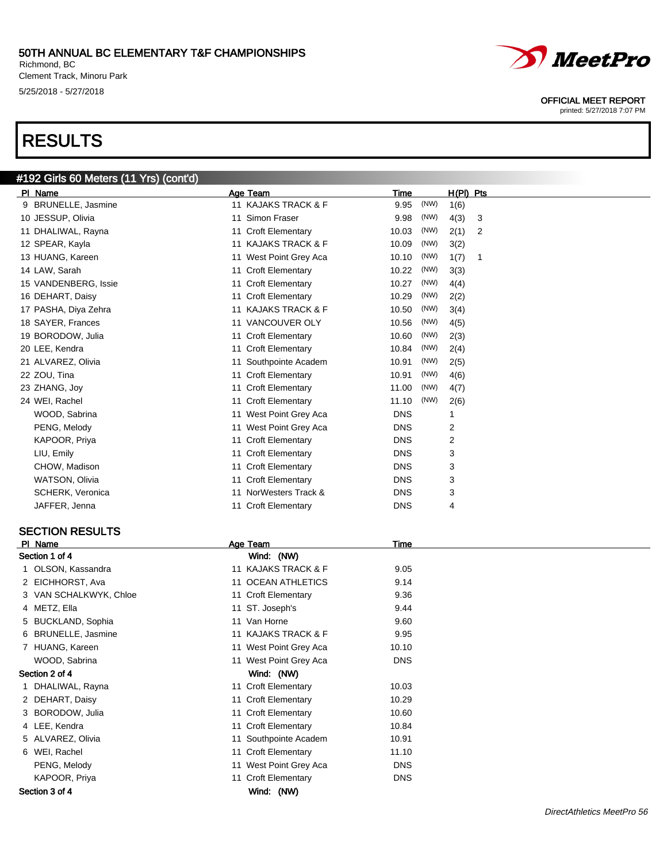Richmond, BC Clement Track, Minoru Park 5/25/2018 - 5/27/2018

#192 Girls 60 Meters (11 Yrs) (cont'd)

## RESULTS



#### OFFICIAL MEET REPORT

printed: 5/27/2018 7:07 PM

| PI_Name              | Age Team                          | Time          | $H(PI)$ Pts |
|----------------------|-----------------------------------|---------------|-------------|
| 9 BRUNELLE, Jasmine  | 11 KAJAKS TRACK & F               | (NW)<br>9.95  | 1(6)        |
| 10 JESSUP, Olivia    | Simon Fraser<br>11                | 9.98<br>(NW)  | 4(3)<br>3   |
| 11 DHALIWAL, Rayna   | <b>Croft Elementary</b><br>11     | (NW)<br>10.03 | 2(1)<br>2   |
| 12 SPEAR, Kayla      | <b>KAJAKS TRACK &amp; F</b><br>11 | (NW)<br>10.09 | 3(2)        |
| 13 HUANG, Kareen     | West Point Grey Aca<br>11         | (NW)<br>10.10 | 1(7)<br>-1  |
| 14 LAW, Sarah        | 11 Croft Elementary               | (NW)<br>10.22 | 3(3)        |
| 15 VANDENBERG, Issie | <b>Croft Elementary</b><br>11     | (NW)<br>10.27 | 4(4)        |
| 16 DEHART, Daisy     | <b>Croft Elementary</b><br>11     | (NW)<br>10.29 | 2(2)        |
| 17 PASHA, Diya Zehra | <b>KAJAKS TRACK &amp; F</b><br>11 | (NW)<br>10.50 | 3(4)        |
| 18 SAYER, Frances    | VANCOUVER OLY<br>11               | (NW)<br>10.56 | 4(5)        |
| 19 BORODOW, Julia    | <b>Croft Elementary</b><br>11     | (NW)<br>10.60 | 2(3)        |
| 20 LEE, Kendra       | 11 Croft Elementary               | (NW)<br>10.84 | 2(4)        |
| 21 ALVAREZ, Olivia   | Southpointe Academ<br>11          | (NW)<br>10.91 | 2(5)        |
| 22 ZOU, Tina         | 11 Croft Elementary               | (NW)<br>10.91 | 4(6)        |
| 23 ZHANG, Joy        | <b>Croft Elementary</b><br>11     | (NW)<br>11.00 | 4(7)        |
| 24 WEI, Rachel       | 11 Croft Elementary               | (NW)<br>11.10 | 2(6)        |
| WOOD, Sabrina        | West Point Grey Aca<br>11         | <b>DNS</b>    |             |
| PENG, Melody         | West Point Grey Aca<br>11         | <b>DNS</b>    | 2           |
| KAPOOR, Priya        | 11 Croft Elementary               | <b>DNS</b>    | 2           |
| LIU, Emily           | 11 Croft Elementary               | <b>DNS</b>    | 3           |
| CHOW, Madison        | <b>Croft Elementary</b><br>11     | <b>DNS</b>    | 3           |
| WATSON, Olivia       | <b>Croft Elementary</b><br>11     | <b>DNS</b>    | 3           |
| SCHERK, Veronica     | NorWesters Track &                | <b>DNS</b>    | 3           |
| JAFFER, Jenna        | 11 Croft Elementary               | <b>DNS</b>    | 4           |

#### SECTION RESULTS

| PI Name                | Age Team               | Time       |  |
|------------------------|------------------------|------------|--|
| Section 1 of 4         | Wind: (NW)             |            |  |
| 1 OLSON, Kassandra     | 11 KAJAKS TRACK & F    | 9.05       |  |
| 2 EICHHORST, Ava       | 11 OCEAN ATHLETICS     | 9.14       |  |
| 3 VAN SCHALKWYK, Chloe | 11 Croft Elementary    | 9.36       |  |
| 4 METZ, Ella           | 11 ST. Joseph's        | 9.44       |  |
| 5 BUCKLAND, Sophia     | 11 Van Horne           | 9.60       |  |
| 6 BRUNELLE, Jasmine    | 11 KAJAKS TRACK & F    | 9.95       |  |
| 7 HUANG, Kareen        | 11 West Point Grey Aca | 10.10      |  |
| WOOD, Sabrina          | 11 West Point Grey Aca | <b>DNS</b> |  |
| Section 2 of 4         | Wind: (NW)             |            |  |
| 1 DHALIWAL, Rayna      | 11 Croft Elementary    | 10.03      |  |
| 2 DEHART, Daisy        | 11 Croft Elementary    | 10.29      |  |
| 3 BORODOW, Julia       | 11 Croft Elementary    | 10.60      |  |
| 4 LEE, Kendra          | 11 Croft Elementary    | 10.84      |  |
| 5 ALVAREZ, Olivia      | 11 Southpointe Academ  | 10.91      |  |
| 6 WEI, Rachel          | 11 Croft Elementary    | 11.10      |  |
| PENG, Melody           | 11 West Point Grey Aca | <b>DNS</b> |  |
| KAPOOR, Priya          | 11 Croft Elementary    | <b>DNS</b> |  |
| Section 3 of 4         | Wind: (NW)             |            |  |
|                        |                        |            |  |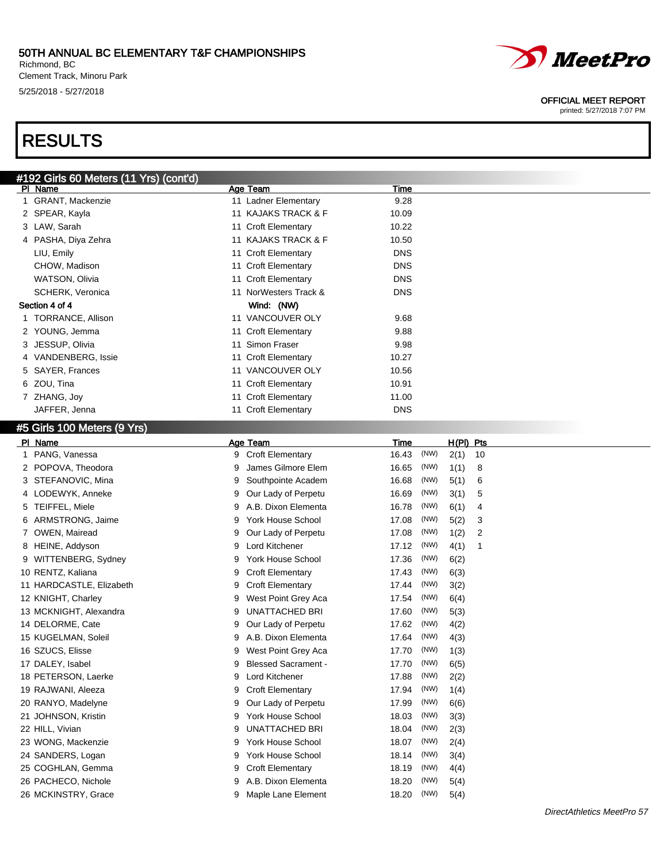Richmond, BC Clement Track, Minoru Park 5/25/2018 - 5/27/2018

## RESULTS

| #192 Girls 60 Meters (11 Yrs) (cont'd) |                          |            |  |  |  |  |
|----------------------------------------|--------------------------|------------|--|--|--|--|
| PI Name                                | Age Team                 | Time       |  |  |  |  |
| <b>GRANT, Mackenzie</b>                | 11 Ladner Elementary     | 9.28       |  |  |  |  |
| 2 SPEAR, Kayla                         | 11 KAJAKS TRACK & F      | 10.09      |  |  |  |  |
| 3 LAW, Sarah                           | 11 Croft Elementary      | 10.22      |  |  |  |  |
| 4 PASHA, Diya Zehra                    | 11 KAJAKS TRACK & F      | 10.50      |  |  |  |  |
| LIU, Emily                             | 11 Croft Elementary      | <b>DNS</b> |  |  |  |  |
| CHOW, Madison                          | 11 Croft Elementary      | <b>DNS</b> |  |  |  |  |
| WATSON, Olivia                         | 11 Croft Elementary      | <b>DNS</b> |  |  |  |  |
| SCHERK, Veronica                       | NorWesters Track &<br>11 | <b>DNS</b> |  |  |  |  |
| Section 4 of 4                         | Wind: (NW)               |            |  |  |  |  |
| TORRANCE, Allison                      | 11 VANCOUVER OLY         | 9.68       |  |  |  |  |
| 2 YOUNG, Jemma                         | 11 Croft Elementary      | 9.88       |  |  |  |  |
| JESSUP, Olivia<br>3                    | 11 Simon Fraser          | 9.98       |  |  |  |  |
| 4 VANDENBERG, Issie                    | 11 Croft Elementary      | 10.27      |  |  |  |  |
| <b>SAYER, Frances</b><br>5.            | 11 VANCOUVER OLY         | 10.56      |  |  |  |  |
| ZOU, Tina<br>6                         | 11 Croft Elementary      | 10.91      |  |  |  |  |
| ZHANG, Joy                             | 11 Croft Elementary      | 11.00      |  |  |  |  |
| JAFFER, Jenna                          | 11 Croft Elementary      | <b>DNS</b> |  |  |  |  |

## #5 Girls 100 Meters (9 Yrs)

| PI Name                  | Age Team                        | Time          | H(PI) Pts  |
|--------------------------|---------------------------------|---------------|------------|
| PANG, Vanessa            | 9 Croft Elementary              | (NW)<br>16.43 | 2(1)<br>10 |
| 2 POPOVA, Theodora       | James Gilmore Elem<br>9         | (NW)<br>16.65 | 1(1)<br>8  |
| STEFANOVIC, Mina         | Southpointe Academ<br>9         | 16.68<br>(NW) | 5(1)<br>6  |
| 4 LODEWYK, Anneke        | Our Lady of Perpetu<br>9        | 16.69<br>(NW) | 3(1)<br>5  |
| TEIFFEL, Miele<br>5      | A.B. Dixon Elementa<br>9        | (NW)<br>16.78 | 6(1)<br>4  |
| ARMSTRONG, Jaime<br>6    | York House School<br>9          | 17.08<br>(NW) | 5(2)<br>3  |
| OWEN, Mairead            | Our Lady of Perpetu<br>9        | 17.08<br>(NW) | 1(2)<br>2  |
| HEINE, Addyson<br>8      | Lord Kitchener<br>9             | (NW)<br>17.12 | 4(1)<br>1  |
| WITTENBERG, Sydney<br>9  | <b>York House School</b><br>9   | (NW)<br>17.36 | 6(2)       |
| 10 RENTZ, Kaliana        | <b>Croft Elementary</b><br>9    | (NW)<br>17.43 | 6(3)       |
| 11 HARDCASTLE, Elizabeth | <b>Croft Elementary</b><br>9    | (NW)<br>17.44 | 3(2)       |
| 12 KNIGHT, Charley       | West Point Grey Aca<br>9        | (NW)<br>17.54 | 6(4)       |
| 13 MCKNIGHT, Alexandra   | <b>UNATTACHED BRI</b><br>9      | (NW)<br>17.60 | 5(3)       |
| 14 DELORME, Cate         | Our Lady of Perpetu<br>9        | (NW)<br>17.62 | 4(2)       |
| 15 KUGELMAN, Soleil      | A.B. Dixon Elementa<br>9        | (NW)<br>17.64 | 4(3)       |
| 16 SZUCS, Elisse         | West Point Grey Aca<br>9        | (NW)<br>17.70 | 1(3)       |
| 17 DALEY, Isabel         | <b>Blessed Sacrament -</b><br>9 | 17.70<br>(NW) | 6(5)       |
| 18 PETERSON, Laerke      | Lord Kitchener<br>9             | (NW)<br>17.88 | 2(2)       |
| 19 RAJWANI, Aleeza       | <b>Croft Elementary</b><br>9    | (NW)<br>17.94 | 1(4)       |
| 20 RANYO, Madelyne       | Our Lady of Perpetu<br>9        | (NW)<br>17.99 | 6(6)       |
| 21 JOHNSON, Kristin      | York House School<br>9          | (NW)<br>18.03 | 3(3)       |
| 22 HILL, Vivian          | <b>UNATTACHED BRI</b><br>9      | (NW)<br>18.04 | 2(3)       |
| 23 WONG, Mackenzie       | York House School<br>9          | (NW)<br>18.07 | 2(4)       |
| 24 SANDERS, Logan        | York House School<br>9          | (NW)<br>18.14 | 3(4)       |
| 25 COGHLAN, Gemma        | <b>Croft Elementary</b><br>9    | (NW)<br>18.19 | 4(4)       |
| 26 PACHECO, Nichole      | A.B. Dixon Elementa<br>9        | 18.20<br>(NW) | 5(4)       |
| 26 MCKINSTRY, Grace      | Maple Lane Element<br>9         | (NW)<br>18.20 | 5(4)       |



#### OFFICIAL MEET REPORT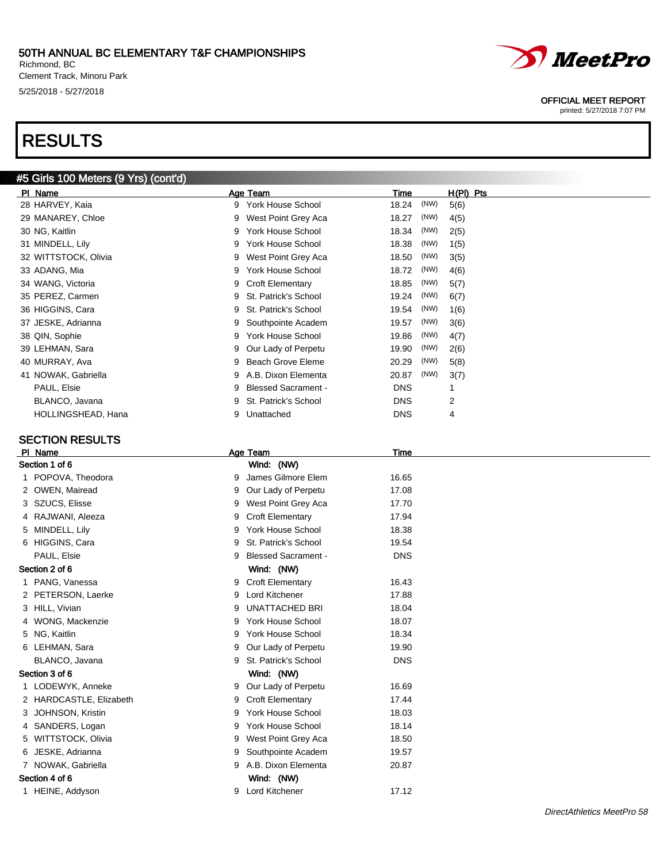Richmond, BC Clement Track, Minoru Park 5/25/2018 - 5/27/2018

## RESULTS

### #5 Girls 100 Meters (9 Yrs) (cont'd)

| PI Name              | Age Team           | Time                                     |      | H(PI) Pts |
|----------------------|--------------------|------------------------------------------|------|-----------|
| 28 HARVEY, Kaia      | 9                  | 18.24<br>York House School               | (NW) | 5(6)      |
| 29 MANAREY, Chloe    | 9                  | West Point Grey Aca<br>18.27             | (NW) | 4(5)      |
| 30 NG, Kaitlin       | 9                  | <b>York House School</b><br>18.34        | (NW) | 2(5)      |
| 31 MINDELL, Lily     | 9                  | <b>York House School</b><br>18.38        | (NW) | 1(5)      |
| 32 WITTSTOCK, Olivia |                    | West Point Grey Aca<br>18.50             | (NW) | 3(5)      |
| 33 ADANG, Mia        | 9                  | <b>York House School</b><br>18.72        | (NW) | 4(6)      |
| 34 WANG, Victoria    | 9 Croft Elementary | 18.85                                    | (NW) | 5(7)      |
| 35 PEREZ, Carmen     | 9                  | 19.24<br>St. Patrick's School            | (NW) | 6(7)      |
| 36 HIGGINS, Cara     | 9                  | St. Patrick's School<br>19.54            | (NW) | 1(6)      |
| 37 JESKE, Adrianna   |                    | 9 Southpointe Academ<br>19.57            | (NW) | 3(6)      |
| 38 QIN, Sophie       | 9                  | <b>York House School</b><br>19.86        | (NW) | 4(7)      |
| 39 LEHMAN, Sara      | 9                  | Our Lady of Perpetu<br>19.90             | (NW) | 2(6)      |
| 40 MURRAY, Ava       | 9.                 | Beach Grove Eleme<br>20.29               | (NW) | 5(8)      |
| 41 NOWAK, Gabriella  |                    | 20.87<br>9 A.B. Dixon Elementa           | (NW) | 3(7)      |
| PAUL, Elsie          | 9                  | <b>DNS</b><br><b>Blessed Sacrament -</b> |      |           |
| BLANCO, Javana       | 9                  | St. Patrick's School<br><b>DNS</b>       | 2    |           |
| HOLLINGSHEAD, Hana   | Unattached<br>9    | <b>DNS</b>                               | 4    |           |

#### SECTION RESULTS

#### PI Name Age Team Age Team Time Section 1 of 6 Wind: (NW) 1 POPOVA, Theodora 16.65 2 OWEN, Mairead 9 Our Lady of Perpetu 17.08 3 SZUCS, Elisse 9 West Point Grey Aca 17.70 4 RAJWANI, Aleeza 17.94 5 MINDELL, Lily 9 York House School 18.38 6 HIGGINS, Cara 9 St. Patrick's School 19.54 PAUL, Elsie **DNS PAUL, Elsie PAUL, Elsie PAUL, Elsie DNS** Section 2 of 6 Wind: (NW) 1 PANG, Vanessa **16.43** 9 Croft Elementary 16.43 2 PETERSON, Laerke 9 Lord Kitchener 17.88 3 HILL, Vivian 18.04 (18.04) 9 UNATTACHED BRI 18.04 4 WONG, Mackenzie 9 York House School 18.07 5 NG, Kaitlin 9 York House School 18.34 6 LEHMAN, Sara 9 Our Lady of Perpetu 19.90 BLANCO, Javana **DNS** 9 St. Patrick's School **DNS** Section 3 of 6 Wind: (NW) 1 LODEWYK, Anneke 9 Our Lady of Perpetu 16.69 2 HARDCASTLE, Elizabeth 9 Croft Elementary 17.44 3 JOHNSON, Kristin 9 York House School 18.03 4 SANDERS, Logan 18.14 **9 York House School** 18.14 5 WITTSTOCK, Olivia 9 West Point Grey Aca 18.50 6 JESKE, Adrianna 19.57 (1995) 9 Southpointe Academ 19.57 7 NOWAK, Gabriella 9 A.B. Dixon Elementa 20.87 Section 4 of 6 Wind: (NW) 1 HEINE, Addyson 17.12



### OFFICIAL MEET REPORT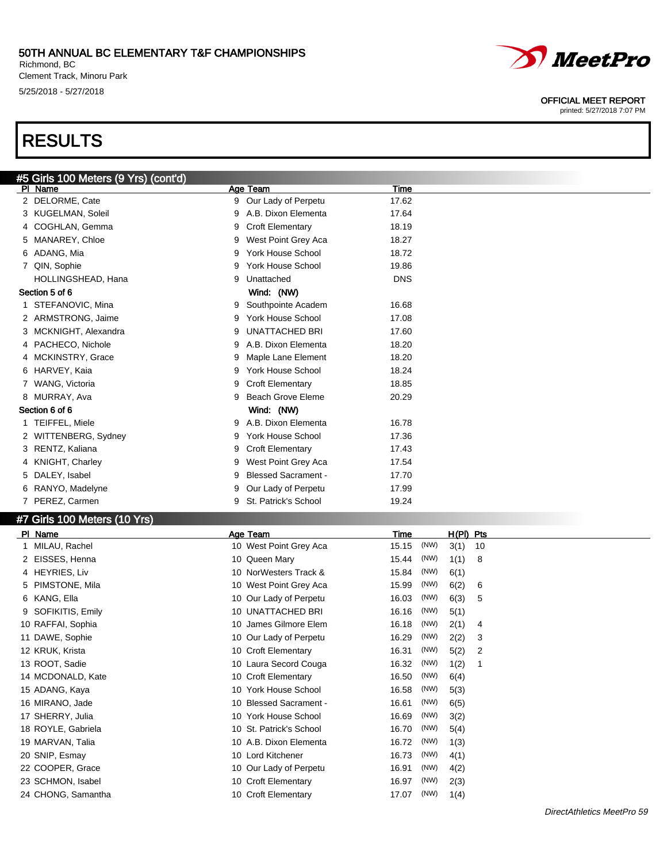Richmond, BC Clement Track, Minoru Park 5/25/2018 - 5/27/2018

## RESULTS



#### OFFICIAL MEET REPORT

|    | #5 Girls 100 Meters (9 Yrs) (cont'd) |   |                            |             |      |           |                |  |
|----|--------------------------------------|---|----------------------------|-------------|------|-----------|----------------|--|
|    | PI Name                              |   | Age Team                   | Time        |      |           |                |  |
|    | 2 DELORME, Cate                      |   | 9 Our Lady of Perpetu      | 17.62       |      |           |                |  |
|    | 3 KUGELMAN, Soleil                   | 9 | A.B. Dixon Elementa        | 17.64       |      |           |                |  |
|    | 4 COGHLAN, Gemma                     | 9 | <b>Croft Elementary</b>    | 18.19       |      |           |                |  |
| 5  | MANAREY, Chloe                       | 9 | West Point Grey Aca        | 18.27       |      |           |                |  |
| 6  | ADANG, Mia                           | 9 | <b>York House School</b>   | 18.72       |      |           |                |  |
|    | 7 QIN, Sophie                        | 9 | <b>York House School</b>   | 19.86       |      |           |                |  |
|    | HOLLINGSHEAD, Hana                   | 9 | Unattached                 | <b>DNS</b>  |      |           |                |  |
|    | Section 5 of 6                       |   | Wind: (NW)                 |             |      |           |                |  |
|    | 1 STEFANOVIC, Mina                   | 9 | Southpointe Academ         | 16.68       |      |           |                |  |
|    | 2 ARMSTRONG, Jaime                   | 9 | <b>York House School</b>   | 17.08       |      |           |                |  |
| 3  | MCKNIGHT, Alexandra                  | 9 | UNATTACHED BRI             | 17.60       |      |           |                |  |
|    | 4 PACHECO, Nichole                   | 9 | A.B. Dixon Elementa        | 18.20       |      |           |                |  |
|    | 4 MCKINSTRY, Grace                   | 9 | Maple Lane Element         | 18.20       |      |           |                |  |
|    | 6 HARVEY, Kaia                       | 9 | York House School          | 18.24       |      |           |                |  |
|    | 7 WANG, Victoria                     | 9 | <b>Croft Elementary</b>    | 18.85       |      |           |                |  |
|    | 8 MURRAY, Ava                        | 9 | <b>Beach Grove Eleme</b>   | 20.29       |      |           |                |  |
|    | Section 6 of 6                       |   | Wind: (NW)                 |             |      |           |                |  |
|    | 1 TEIFFEL, Miele                     | 9 | A.B. Dixon Elementa        | 16.78       |      |           |                |  |
|    | 2 WITTENBERG, Sydney                 | 9 | <b>York House School</b>   | 17.36       |      |           |                |  |
| 3. | RENTZ, Kaliana                       | 9 | <b>Croft Elementary</b>    | 17.43       |      |           |                |  |
|    | 4 KNIGHT, Charley                    | 9 | West Point Grey Aca        | 17.54       |      |           |                |  |
| 5  | DALEY, Isabel                        | 9 | <b>Blessed Sacrament -</b> | 17.70       |      |           |                |  |
| 6  | RANYO, Madelyne                      | 9 | Our Lady of Perpetu        | 17.99       |      |           |                |  |
|    | 7 PEREZ, Carmen                      | 9 | St. Patrick's School       | 19.24       |      |           |                |  |
|    |                                      |   |                            |             |      |           |                |  |
|    | #7 Girls 100 Meters (10 Yrs)         |   |                            |             |      |           |                |  |
|    | PI Name                              |   | Age Team                   | <b>Time</b> |      | H(PI) Pts |                |  |
|    | 1 MILAU, Rachel                      |   | 10 West Point Grey Aca     | 15.15       | (NW) | 3(1)      | 10             |  |
|    | 2 EISSES, Henna                      |   | 10 Queen Mary              | 15.44       | (NW) | 1(1)      | 8              |  |
|    | 4 HEYRIES, Liv                       |   | 10 NorWesters Track &      | 15.84       | (NW) | 6(1)      |                |  |
|    | 5 PIMSTONE, Mila                     |   | 10 West Point Grey Aca     | 15.99       | (NW) | 6(2)      | 6              |  |
|    | 6 KANG, Ella                         |   | 10 Our Lady of Perpetu     | 16.03       | (NW) | 6(3)      | 5              |  |
|    | 9 SOFIKITIS, Emily                   |   | 10 UNATTACHED BRI          | 16.16       | (NW) | 5(1)      |                |  |
|    | 10 RAFFAI, Sophia                    |   | 10 James Gilmore Elem      | 16.18       | (NW) | 2(1)      | 4              |  |
|    | 11 DAWE, Sophie                      |   | 10 Our Lady of Perpetu     | 16.29       | (NW) | 2(2)      | 3              |  |
|    | 12 KRUK, Krista                      |   | 10 Croft Elementary        | 16.31       | (NW) | 5(2)      | $\overline{c}$ |  |
|    | 13 ROOT, Sadie                       |   | 10 Laura Secord Couga      | 16.32       | (NW) | 1(2)      | $\overline{1}$ |  |
|    | 14 MCDONALD, Kate                    |   | 10 Croft Elementary        | 16.50       | (NW) | 6(4)      |                |  |
|    | 15 ADANG, Kaya                       |   | 10 York House School       | 16.58       | (NW) | 5(3)      |                |  |
|    | 16 MIRANO, Jade                      |   | 10 Blessed Sacrament -     | 16.61       | (NW) | 6(5)      |                |  |
|    | 17 SHERRY, Julia                     |   | 10 York House School       | 16.69       | (NW) | 3(2)      |                |  |
|    | 18 ROYLE, Gabriela                   |   | 10 St. Patrick's School    | 16.70       | (NW) | 5(4)      |                |  |
|    | 19 MARVAN, Talia                     |   | 10 A.B. Dixon Elementa     | 16.72       | (NW) | 1(3)      |                |  |
|    | 20 SNIP, Esmay                       |   | 10 Lord Kitchener          | 16.73       | (NW) | 4(1)      |                |  |
|    | 22 COOPER, Grace                     |   | 10 Our Lady of Perpetu     | 16.91       | (NW) | 4(2)      |                |  |
|    | 23 SCHMON, Isabel                    |   | 10 Croft Elementary        | 16.97       | (NW) | 2(3)      |                |  |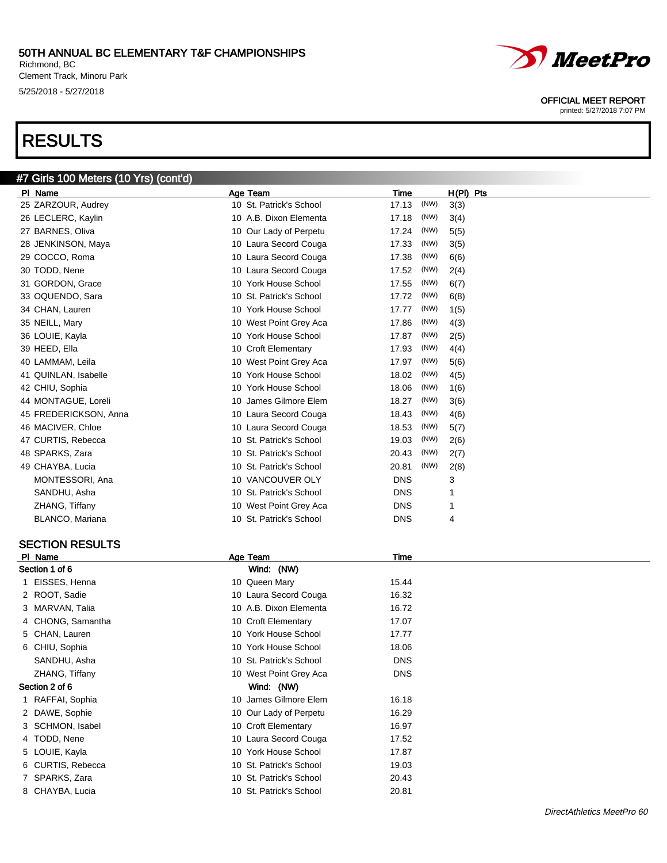Richmond, BC Clement Track, Minoru Park 5/25/2018 - 5/27/2018

#7 Girls 100 Meters (10 Yrs) (cont'd)

## RESULTS



OFFICIAL MEET REPORT

printed: 5/27/2018 7:07 PM

| PI Name               | Age Team                | Time          | $H(PI)$ Pts |
|-----------------------|-------------------------|---------------|-------------|
| 25 ZARZOUR, Audrey    | 10 St. Patrick's School | (NW)<br>17.13 | 3(3)        |
| 26 LECLERC, Kaylin    | 10 A.B. Dixon Elementa  | 17.18<br>(NW) | 3(4)        |
| 27 BARNES, Oliva      | 10 Our Lady of Perpetu  | (NW)<br>17.24 | 5(5)        |
| 28 JENKINSON, Maya    | 10 Laura Secord Couga   | (NW)<br>17.33 | 3(5)        |
| 29 COCCO, Roma        | 10 Laura Secord Couga   | (NW)<br>17.38 | 6(6)        |
| 30 TODD, Nene         | 10 Laura Secord Couga   | (NW)<br>17.52 | 2(4)        |
| 31 GORDON, Grace      | 10 York House School    | (NW)<br>17.55 | 6(7)        |
| 33 OQUENDO, Sara      | 10 St. Patrick's School | (NW)<br>17.72 | 6(8)        |
| 34 CHAN, Lauren       | 10 York House School    | (NW)<br>17.77 | 1(5)        |
| 35 NEILL, Mary        | 10 West Point Grey Aca  | (NW)<br>17.86 | 4(3)        |
| 36 LOUIE, Kayla       | 10 York House School    | (NW)<br>17.87 | 2(5)        |
| 39 HEED, Ella         | 10 Croft Elementary     | (NW)<br>17.93 | 4(4)        |
| 40 LAMMAM, Leila      | 10 West Point Grey Aca  | (NW)<br>17.97 | 5(6)        |
| 41 QUINLAN, Isabelle  | 10 York House School    | (NW)<br>18.02 | 4(5)        |
| 42 CHIU, Sophia       | 10 York House School    | (NW)<br>18.06 | 1(6)        |
| 44 MONTAGUE, Loreli   | 10 James Gilmore Elem   | (NW)<br>18.27 | 3(6)        |
| 45 FREDERICKSON, Anna | 10 Laura Secord Couga   | (NW)<br>18.43 | 4(6)        |
| 46 MACIVER, Chloe     | 10 Laura Secord Couga   | (NW)<br>18.53 | 5(7)        |
| 47 CURTIS, Rebecca    | 10 St. Patrick's School | (NW)<br>19.03 | 2(6)        |
| 48 SPARKS, Zara       | 10 St. Patrick's School | (NW)<br>20.43 | 2(7)        |
| 49 CHAYBA, Lucia      | 10 St. Patrick's School | (NW)<br>20.81 | 2(8)        |
| MONTESSORI, Ana       | 10 VANCOUVER OLY        | <b>DNS</b>    | 3           |
| SANDHU, Asha          | 10 St. Patrick's School | <b>DNS</b>    | 1           |
| ZHANG, Tiffany        | 10 West Point Grey Aca  | <b>DNS</b>    | 1           |
| BLANCO, Mariana       | 10 St. Patrick's School | <b>DNS</b>    | 4           |
|                       |                         |               |             |

#### SECTION RESULTS

| PI Name           | Age Team                | Time       |  |
|-------------------|-------------------------|------------|--|
| Section 1 of 6    | Wind: (NW)              |            |  |
| 1 EISSES, Henna   | 10 Queen Mary           | 15.44      |  |
| 2 ROOT, Sadie     | 10 Laura Secord Couga   | 16.32      |  |
| 3 MARVAN, Talia   | 10 A.B. Dixon Elementa  | 16.72      |  |
| 4 CHONG, Samantha | 10 Croft Elementary     | 17.07      |  |
| 5 CHAN, Lauren    | 10 York House School    | 17.77      |  |
| 6 CHIU, Sophia    | 10 York House School    | 18.06      |  |
| SANDHU, Asha      | 10 St. Patrick's School | <b>DNS</b> |  |
| ZHANG, Tiffany    | 10 West Point Grey Aca  | <b>DNS</b> |  |
| Section 2 of 6    | Wind: (NW)              |            |  |
| 1 RAFFAI, Sophia  | 10 James Gilmore Elem   | 16.18      |  |
| 2 DAWE, Sophie    | 10 Our Lady of Perpetu  | 16.29      |  |
| 3 SCHMON, Isabel  | 10 Croft Elementary     | 16.97      |  |
| 4 TODD, Nene      | 10 Laura Secord Couga   | 17.52      |  |
| 5 LOUIE, Kayla    | 10 York House School    | 17.87      |  |
| 6 CURTIS, Rebecca | 10 St. Patrick's School | 19.03      |  |
| 7 SPARKS, Zara    | 10 St. Patrick's School | 20.43      |  |
| 8 CHAYBA, Lucia   | 10 St. Patrick's School | 20.81      |  |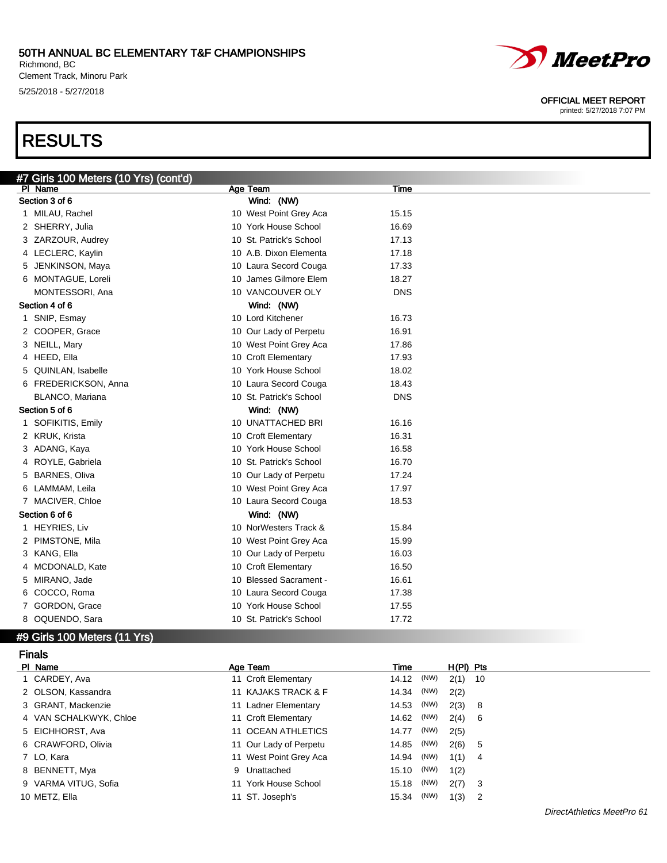Richmond, BC Clement Track, Minoru Park 5/25/2018 - 5/27/2018

## RESULTS



#### OFFICIAL MEET REPORT

printed: 5/27/2018 7:07 PM

| #7 Girls 100 Meters (10 Yrs) (cont'd) |                         |             |
|---------------------------------------|-------------------------|-------------|
| PI Name                               | Age Team                | <b>Time</b> |
| Section 3 of 6                        | Wind: (NW)              |             |
| 1 MILAU, Rachel                       | 10 West Point Grey Aca  | 15.15       |
| 2 SHERRY, Julia                       | 10 York House School    | 16.69       |
| 3 ZARZOUR, Audrey                     | 10 St. Patrick's School | 17.13       |
| 4 LECLERC, Kaylin                     | 10 A.B. Dixon Elementa  | 17.18       |
| 5 JENKINSON, Maya                     | 10 Laura Secord Couga   | 17.33       |
| 6 MONTAGUE, Loreli                    | 10 James Gilmore Elem   | 18.27       |
| MONTESSORI, Ana                       | 10 VANCOUVER OLY        | <b>DNS</b>  |
| Section 4 of 6                        | Wind: (NW)              |             |
| 1 SNIP, Esmay                         | 10 Lord Kitchener       | 16.73       |
| 2 COOPER, Grace                       | 10 Our Lady of Perpetu  | 16.91       |
| 3 NEILL, Mary                         | 10 West Point Grey Aca  | 17.86       |
| 4 HEED, Ella                          | 10 Croft Elementary     | 17.93       |
| 5 QUINLAN, Isabelle                   | 10 York House School    | 18.02       |
| 6 FREDERICKSON, Anna                  | 10 Laura Secord Couga   | 18.43       |
| BLANCO, Mariana                       | 10 St. Patrick's School | <b>DNS</b>  |
| Section 5 of 6                        | Wind: (NW)              |             |
| 1 SOFIKITIS, Emily                    | 10 UNATTACHED BRI       | 16.16       |
| 2 KRUK, Krista                        | 10 Croft Elementary     | 16.31       |
| 3 ADANG, Kaya                         | 10 York House School    | 16.58       |
| 4 ROYLE, Gabriela                     | 10 St. Patrick's School | 16.70       |
| 5 BARNES, Oliva                       | 10 Our Lady of Perpetu  | 17.24       |
| 6 LAMMAM, Leila                       | 10 West Point Grey Aca  | 17.97       |
| 7 MACIVER, Chloe                      | 10 Laura Secord Couga   | 18.53       |
| Section 6 of 6                        | Wind: (NW)              |             |
| 1 HEYRIES, Liv                        | 10 NorWesters Track &   | 15.84       |
| 2 PIMSTONE, Mila                      | 10 West Point Grey Aca  | 15.99       |
| 3 KANG, Ella                          | 10 Our Lady of Perpetu  | 16.03       |
| 4 MCDONALD, Kate                      | 10 Croft Elementary     | 16.50       |
| 5 MIRANO, Jade                        | 10 Blessed Sacrament -  | 16.61       |
| 6 COCCO, Roma                         | 10 Laura Secord Couga   | 17.38       |
| 7 GORDON, Grace                       | 10 York House School    | 17.55       |
| 8 OQUENDO, Sara                       | 10 St. Patrick's School | 17.72       |
|                                       |                         |             |

## #9 Girls 100 Meters (11 Yrs)

| <b>Finals</b>          |                        |                              |
|------------------------|------------------------|------------------------------|
| PI Name                | Age Team               | $H(PI)$ Pts<br>Time          |
| 1 CARDEY, Ava          | 11 Croft Elementary    | (NW)<br>$2(1)$ 10<br>14.12   |
| 2 OLSON, Kassandra     | 11 KAJAKS TRACK & F    | (NW)<br>14.34<br>2(2)        |
| 3 GRANT, Mackenzie     | 11 Ladner Elementary   | (NW)<br>2(3)<br>14.53<br>- 8 |
| 4 VAN SCHALKWYK, Chloe | 11 Croft Elementary    | (NW)<br>14.62<br>2(4)<br>- 6 |
| 5 EICHHORST, Ava       | 11 OCEAN ATHLETICS     | (NW)<br>2(5)<br>14.77        |
| 6 CRAWFORD, Olivia     | 11 Our Lady of Perpetu | (NW)<br>14.85<br>2(6)<br>-5  |
| 7 LO. Kara             | 11 West Point Grey Aca | (NW)<br>14.94<br>1(1)<br>4   |
| 8 BENNETT, Mya         | 9 Unattached           | (NW)<br>15.10<br>1(2)        |
| 9 VARMA VITUG, Sofia   | 11 York House School   | (NW)<br>15.18<br>2(7)<br>- 3 |
| 10 METZ, Ella          | 11 ST. Joseph's        | (NW)<br>15.34<br>1(3)<br>-2  |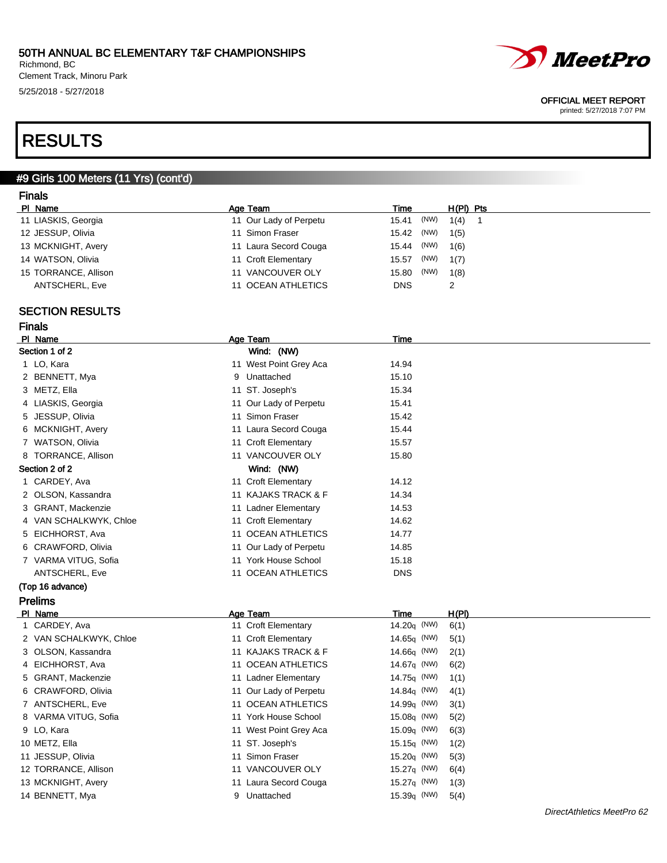Richmond, BC Clement Track, Minoru Park 5/25/2018 - 5/27/2018



#### OFFICIAL MEET REPORT

printed: 5/27/2018 7:07 PM

## RESULTS

### #9 Girls 100 Meters (11 Yrs) (cont'd)

### Finals

| PI Name              | Age Team               | Time          | $H(PI)$ Pts |  |
|----------------------|------------------------|---------------|-------------|--|
| 11 LIASKIS, Georgia  | 11 Our Lady of Perpetu | 15.41 (NW)    | 1(4)        |  |
| 12 JESSUP, Olivia    | 11 Simon Fraser        | (NW)<br>15.42 | 1(5)        |  |
| 13 MCKNIGHT, Avery   | 11 Laura Secord Couga  | (NW)<br>15.44 | 1(6)        |  |
| 14 WATSON, Olivia    | 11 Croft Elementary    | (NW)<br>15.57 | 1(7)        |  |
| 15 TORRANCE, Allison | 11 VANCOUVER OLY       | (NW)<br>15.80 | 1(8)        |  |
| ANTSCHERL, Eve       | 11 OCEAN ATHLETICS     | <b>DNS</b>    |             |  |

### SECTION RESULTS

| PI Name                                     | Age Team               | Time       |
|---------------------------------------------|------------------------|------------|
| Section 1 of 2                              | Wind: (NW)             |            |
| 1 LO, Kara                                  | 11 West Point Grey Aca | 14.94      |
| 2 BENNETT, Mya                              | 9 Unattached           | 15.10      |
| 3 METZ, Ella                                | 11 ST. Joseph's        | 15.34      |
| 4 LIASKIS, Georgia                          | 11 Our Lady of Perpetu | 15.41      |
| 5 JESSUP, Olivia                            | Simon Fraser<br>11     | 15.42      |
| 6 MCKNIGHT, Avery                           | 11 Laura Secord Couga  | 15.44      |
| 7 WATSON, Olivia                            | 11 Croft Elementary    | 15.57      |
| 8 TORRANCE, Allison                         | 11 VANCOUVER OLY       | 15.80      |
| Section 2 of 2                              | Wind: (NW)             |            |
| 1 CARDEY, Ava                               | 11 Croft Elementary    | 14.12      |
| 2 OLSON, Kassandra                          | 11 KAJAKS TRACK & F    | 14.34      |
| 3 GRANT, Mackenzie                          | 11 Ladner Elementary   | 14.53      |
| 4 VAN SCHALKWYK, Chloe                      | 11 Croft Elementary    | 14.62      |
| 5 EICHHORST, Ava                            | 11 OCEAN ATHLETICS     | 14.77      |
| 6 CRAWFORD, Olivia                          | 11 Our Lady of Perpetu | 14.85      |
| 7 VARMA VITUG, Sofia                        | 11 York House School   | 15.18      |
| <b>ANTSCHERL, Eve</b>                       | 11 OCEAN ATHLETICS     | <b>DNS</b> |
| $T_{\rm AB}$ 18 $\sim$ $\sim$ $\sim$ $\sim$ |                        |            |

#### (Top 16 advance) Prelims

| PI Name                | Age Team               | Time                  | H(PI) |
|------------------------|------------------------|-----------------------|-------|
| 1 CARDEY, Ava          | 11 Croft Elementary    | 14.20 $q$ (NW)        | 6(1)  |
| 2 VAN SCHALKWYK, Chloe | 11 Croft Elementary    | 14.65 $q$ (NW)        | 5(1)  |
| 3 OLSON, Kassandra     | 11 KAJAKS TRACK & F    | 14.66 $q$ (NW)        | 2(1)  |
| 4 EICHHORST, Ava       | 11 OCEAN ATHLETICS     | 14.67 $q$ (NW)        | 6(2)  |
| 5 GRANT, Mackenzie     | 11 Ladner Elementary   | 14.75 $q$ (NW)        | 1(1)  |
| 6 CRAWFORD, Olivia     | 11 Our Lady of Perpetu | 14.84 $_{\rm q}$ (NW) | 4(1)  |
| 7 ANTSCHERL, Eve       | 11 OCEAN ATHLETICS     | 14.99 $q$ (NW)        | 3(1)  |
| 8 VARMA VITUG, Sofia   | 11 York House School   | 15.08 $q$ (NW)        | 5(2)  |
| 9 LO, Kara             | 11 West Point Grey Aca | $15.09q$ (NW)         | 6(3)  |
| 10 METZ, Ella          | 11 ST. Joseph's        | 15.15 $\sigma$ (NW)   | 1(2)  |
| 11 JESSUP, Olivia      | 11 Simon Fraser        | 15.20 $q$ (NW)        | 5(3)  |
| 12 TORRANCE, Allison   | 11 VANCOUVER OLY       | 15.27 $q$ (NW)        | 6(4)  |
| 13 MCKNIGHT, Avery     | 11 Laura Secord Couga  | 15.27 $q$ (NW)        | 1(3)  |
| 14 BENNETT, Mya        | Unattached<br>9        | $15.39q$ (NW)         | 5(4)  |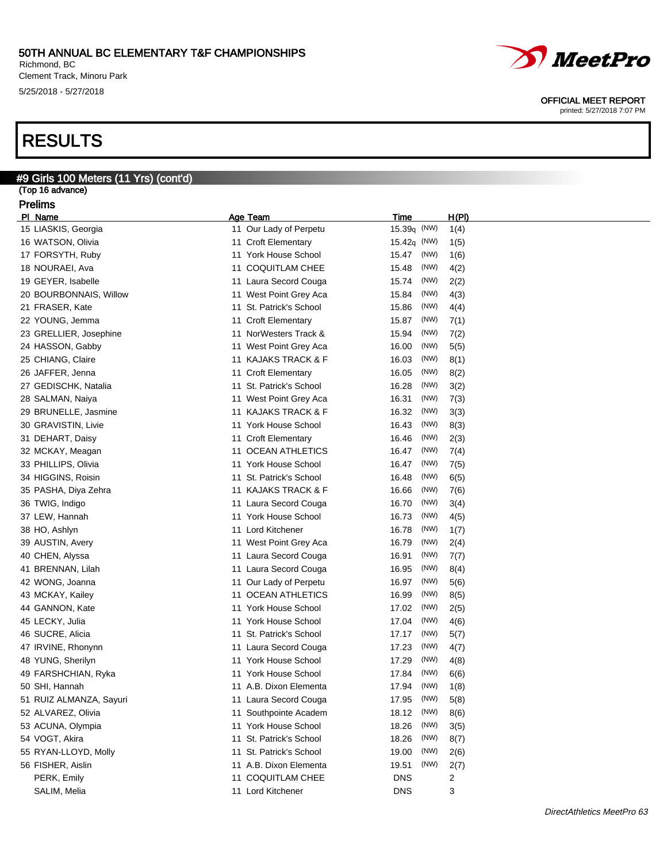Richmond, BC Clement Track, Minoru Park 5/25/2018 - 5/27/2018

#9 Girls 100 Meters (11 Yrs) (cont'd)

## RESULTS

| (Top 16 advance)        |                         |                |      |       |
|-------------------------|-------------------------|----------------|------|-------|
| <b>Prelims</b>          |                         |                |      |       |
| PI Name                 | Age Team                | <b>Time</b>    |      | H(PI) |
| 15 LIASKIS, Georgia     | 11 Our Lady of Perpetu  | 15.39q (NW)    |      | 1(4)  |
| 16 WATSON, Olivia       | 11 Croft Elementary     | 15.42 $q$ (NW) |      | 1(5)  |
| 17 FORSYTH, Ruby        | 11 York House School    | 15.47          | (NW) | 1(6)  |
| 18 NOURAEI, Ava         | 11 COQUITLAM CHEE       | 15.48          | (NW) | 4(2)  |
| 19 GEYER, Isabelle      | 11 Laura Secord Couga   | 15.74          | (NW) | 2(2)  |
| 20 BOURBONNAIS, Willow  | 11 West Point Grey Aca  | 15.84          | (NW) | 4(3)  |
| 21 FRASER, Kate         | 11 St. Patrick's School | 15.86          | (NW) | 4(4)  |
| 22 YOUNG, Jemma         | 11 Croft Elementary     | 15.87          | (NW) | 7(1)  |
| 23 GRELLIER, Josephine  | 11 NorWesters Track &   | 15.94          | (NW) | 7(2)  |
| 24 HASSON, Gabby        | 11 West Point Grey Aca  | 16.00          | (NW) | 5(5)  |
| 25 CHIANG, Claire       | 11 KAJAKS TRACK & F     | 16.03          | (NW) | 8(1)  |
| 26 JAFFER, Jenna        | 11 Croft Elementary     | 16.05          | (NW) | 8(2)  |
| 27 GEDISCHK, Natalia    | 11 St. Patrick's School | 16.28          | (NW) | 3(2)  |
| 28 SALMAN, Naiya        | 11 West Point Grey Aca  | 16.31          | (NW) | 7(3)  |
| 29 BRUNELLE, Jasmine    | 11 KAJAKS TRACK & F     | 16.32          | (NW) | 3(3)  |
| 30 GRAVISTIN, Livie     | 11 York House School    | 16.43          | (NW) | 8(3)  |
| 31 DEHART, Daisy        | 11 Croft Elementary     | 16.46          | (NW) | 2(3)  |
| 32 MCKAY, Meagan        | 11 OCEAN ATHLETICS      | 16.47          | (NW) | 7(4)  |
| 33 PHILLIPS, Olivia     | 11 York House School    | 16.47          | (NW) | 7(5)  |
| 34 HIGGINS, Roisin      | 11 St. Patrick's School | 16.48          | (NW) | 6(5)  |
| 35 PASHA, Diya Zehra    | 11 KAJAKS TRACK & F     | 16.66          | (NW) | 7(6)  |
| 36 TWIG, Indigo         | 11 Laura Secord Couga   | 16.70          | (NW) | 3(4)  |
| 37 LEW, Hannah          | 11 York House School    | 16.73          | (NW) | 4(5)  |
| 38 HO, Ashlyn           | 11 Lord Kitchener       | 16.78          | (NW) | 1(7)  |
| 39 AUSTIN, Avery        | 11 West Point Grey Aca  | 16.79          | (NW) | 2(4)  |
| 40 CHEN, Alyssa         | 11 Laura Secord Couga   | 16.91          | (NW) | 7(7)  |
| 41 BRENNAN, Lilah       | 11 Laura Secord Couga   | 16.95          | (NW) | 8(4)  |
| 42 WONG, Joanna         | 11 Our Lady of Perpetu  | 16.97          | (NW) | 5(6)  |
| 43 MCKAY, Kailey        | 11 OCEAN ATHLETICS      | 16.99          | (NW) | 8(5)  |
| 44 GANNON, Kate         | 11 York House School    | 17.02          | (NW) | 2(5)  |
| 45 LECKY, Julia         | 11 York House School    | 17.04          | (NW) | 4(6)  |
| 46 SUCRE, Alicia        | 11 St. Patrick's School | 17.17          | (NW) | 5(7)  |
| 47 IRVINE, Rhonynn      | 11 Laura Secord Couga   | 17.23          | (NW) | 4(7)  |
| 48 YUNG, Sherilyn       | 11 York House School    | 17.29          | (NW) | 4(8)  |
| 49 FARSHCHIAN, Ryka     | 11 York House School    | 17.84          | (NW) | 6(6)  |
| 50 SHI, Hannah          | 11 A.B. Dixon Elementa  | 17.94          | (NW) | 1(8)  |
| 51 RUIZ ALMANZA, Sayuri | 11 Laura Secord Couga   | 17.95          | (NW) | 5(8)  |
| 52 ALVAREZ, Olivia      | 11 Southpointe Academ   | 18.12          | (NW) | 8(6)  |
| 53 ACUNA, Olympia       | 11 York House School    | 18.26          | (NW) | 3(5)  |
| 54 VOGT, Akira          | 11 St. Patrick's School | 18.26          | (NW) | 8(7)  |
| 55 RYAN-LLOYD, Molly    | 11 St. Patrick's School | 19.00          | (NW) | 2(6)  |
| 56 FISHER, Aislin       | 11 A.B. Dixon Elementa  | 19.51          | (NW) | 2(7)  |
| PERK, Emily             | 11 COQUITLAM CHEE       | DNS            |      | 2     |
| SALIM, Melia            | 11 Lord Kitchener       | <b>DNS</b>     |      | 3     |



OFFICIAL MEET REPORT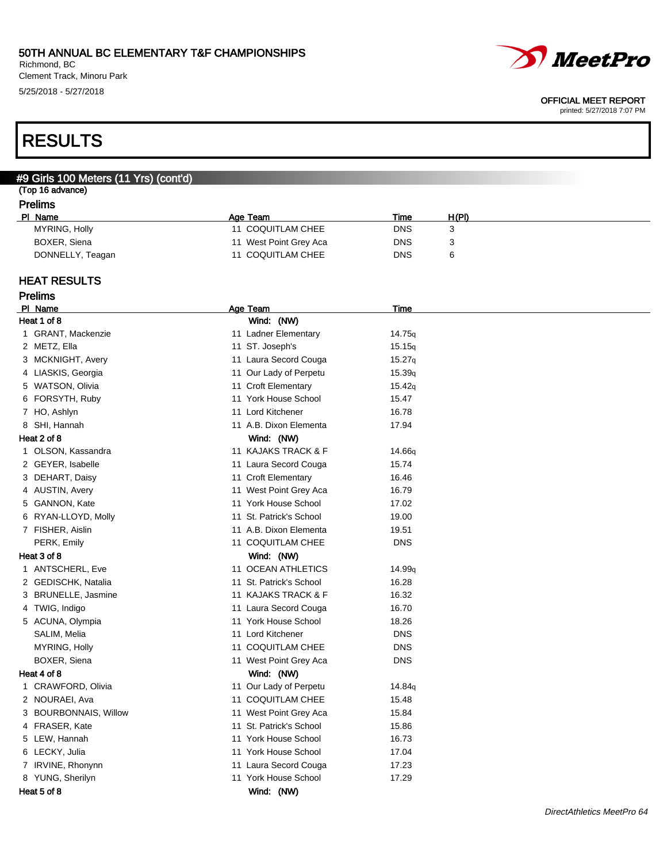Richmond, BC Clement Track, Minoru Park 5/25/2018 - 5/27/2018

# *MeetPro*

#### OFFICIAL MEET REPORT

printed: 5/27/2018 7:07 PM

RESULTS

### #9 Girls 100 Meters (11 Yrs) (cont'd)

## (Top 16 advance)

| Prelims |
|---------|
|---------|

| PI Name          | Age Team               | Time       | H(PI) |
|------------------|------------------------|------------|-------|
| MYRING, Holly    | 11 COQUITLAM CHEE      | <b>DNS</b> |       |
| BOXER, Siena     | 11 West Point Grey Aca | <b>DNS</b> |       |
| DONNELLY, Teagan | 11 COQUITLAM CHEE      | <b>DNS</b> |       |

### HEAT RESULTS

| relıms |  |
|--------|--|
|--------|--|

| PI Name               | Age Team                | Time               |
|-----------------------|-------------------------|--------------------|
| Heat 1 of 8           | Wind: (NW)              |                    |
| 1 GRANT, Mackenzie    | 11 Ladner Elementary    | 14.75 <sub>q</sub> |
| 2 METZ, Ella          | 11 ST. Joseph's         | 15.15q             |
| 3 MCKNIGHT, Avery     | 11 Laura Secord Couga   | 15.27q             |
| 4 LIASKIS, Georgia    | 11 Our Lady of Perpetu  | 15.39q             |
| 5 WATSON, Olivia      | 11 Croft Elementary     | 15.42q             |
| 6 FORSYTH, Ruby       | 11 York House School    | 15.47              |
| 7 HO, Ashlyn          | 11 Lord Kitchener       | 16.78              |
| 8 SHI, Hannah         | 11 A.B. Dixon Elementa  | 17.94              |
| Heat 2 of 8           | Wind: (NW)              |                    |
| 1 OLSON, Kassandra    | 11 KAJAKS TRACK & F     | 14.66q             |
| 2 GEYER, Isabelle     | 11 Laura Secord Couga   | 15.74              |
| 3 DEHART, Daisy       | 11 Croft Elementary     | 16.46              |
| 4 AUSTIN, Avery       | 11 West Point Grey Aca  | 16.79              |
| 5 GANNON, Kate        | 11 York House School    | 17.02              |
| 6 RYAN-LLOYD, Molly   | 11 St. Patrick's School | 19.00              |
| 7 FISHER, Aislin      | 11 A.B. Dixon Elementa  | 19.51              |
| PERK, Emily           | 11 COQUITLAM CHEE       | <b>DNS</b>         |
| Heat 3 of 8           | Wind: (NW)              |                    |
| 1 ANTSCHERL, Eve      | 11 OCEAN ATHLETICS      | 14.99 <sub>g</sub> |
| 2 GEDISCHK, Natalia   | 11 St. Patrick's School | 16.28              |
| 3 BRUNELLE, Jasmine   | 11 KAJAKS TRACK & F     | 16.32              |
| 4 TWIG, Indigo        | 11 Laura Secord Couga   | 16.70              |
| 5 ACUNA, Olympia      | 11 York House School    | 18.26              |
| SALIM, Melia          | 11 Lord Kitchener       | <b>DNS</b>         |
| MYRING, Holly         | 11 COQUITLAM CHEE       | <b>DNS</b>         |
| BOXER, Siena          | 11 West Point Grey Aca  | <b>DNS</b>         |
| Heat 4 of 8           | Wind: (NW)              |                    |
| 1 CRAWFORD, Olivia    | 11 Our Lady of Perpetu  | 14.84q             |
| 2 NOURAEI, Ava        | 11 COQUITLAM CHEE       | 15.48              |
| 3 BOURBONNAIS, Willow | 11 West Point Grey Aca  | 15.84              |
| 4 FRASER, Kate        | 11 St. Patrick's School | 15.86              |
| 5 LEW, Hannah         | 11 York House School    | 16.73              |
| 6 LECKY, Julia        | 11 York House School    | 17.04              |
| 7 IRVINE, Rhonynn     | 11 Laura Secord Couga   | 17.23              |
| 8 YUNG, Sherilyn      | 11 York House School    | 17.29              |
| Heat 5 of 8           | Wind: (NW)              |                    |
|                       |                         |                    |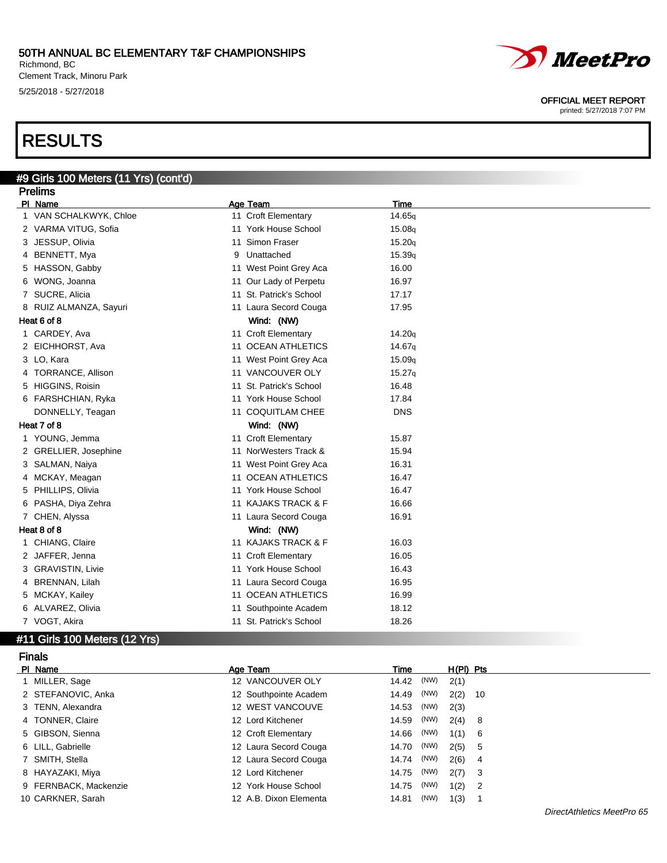Richmond, BC Clement Track, Minoru Park 5/25/2018 - 5/27/2018

# *MeetPro*

#### OFFICIAL MEET REPORT

printed: 5/27/2018 7:07 PM

## RESULTS

## #9 Girls 100 Meters (11 Yrs) (cont'd)

| PI Name<br>1 VAN SCHALKWYK, Chloe<br>2 VARMA VITUG, Sofia | Age Team<br>11 Croft Elementary | Time<br>14.65g                                                                                                                                                                                                                                                                                                                                                                                                                                                                                                                                                                                                           |
|-----------------------------------------------------------|---------------------------------|--------------------------------------------------------------------------------------------------------------------------------------------------------------------------------------------------------------------------------------------------------------------------------------------------------------------------------------------------------------------------------------------------------------------------------------------------------------------------------------------------------------------------------------------------------------------------------------------------------------------------|
|                                                           |                                 |                                                                                                                                                                                                                                                                                                                                                                                                                                                                                                                                                                                                                          |
|                                                           |                                 |                                                                                                                                                                                                                                                                                                                                                                                                                                                                                                                                                                                                                          |
|                                                           | 11 York House School            | 15.08g                                                                                                                                                                                                                                                                                                                                                                                                                                                                                                                                                                                                                   |
|                                                           | 11 Simon Fraser                 | 15.20q                                                                                                                                                                                                                                                                                                                                                                                                                                                                                                                                                                                                                   |
| 4 BENNETT, Mya                                            | Unattached<br>9                 | 15.39q                                                                                                                                                                                                                                                                                                                                                                                                                                                                                                                                                                                                                   |
| 5 HASSON, Gabby                                           |                                 | 16.00                                                                                                                                                                                                                                                                                                                                                                                                                                                                                                                                                                                                                    |
| 6 WONG, Joanna                                            |                                 | 16.97                                                                                                                                                                                                                                                                                                                                                                                                                                                                                                                                                                                                                    |
| 7 SUCRE, Alicia                                           |                                 | 17.17                                                                                                                                                                                                                                                                                                                                                                                                                                                                                                                                                                                                                    |
| 8 RUIZ ALMANZA, Sayuri                                    |                                 | 17.95                                                                                                                                                                                                                                                                                                                                                                                                                                                                                                                                                                                                                    |
| Heat 6 of 8                                               | Wind: (NW)                      |                                                                                                                                                                                                                                                                                                                                                                                                                                                                                                                                                                                                                          |
| 1 CARDEY, Ava                                             |                                 | 14.20q                                                                                                                                                                                                                                                                                                                                                                                                                                                                                                                                                                                                                   |
| 2 EICHHORST, Ava                                          |                                 | 14.67g                                                                                                                                                                                                                                                                                                                                                                                                                                                                                                                                                                                                                   |
| 3 LO, Kara                                                |                                 | 15.09q                                                                                                                                                                                                                                                                                                                                                                                                                                                                                                                                                                                                                   |
| 4 TORRANCE, Allison                                       |                                 | 15.27q                                                                                                                                                                                                                                                                                                                                                                                                                                                                                                                                                                                                                   |
| 5 HIGGINS, Roisin                                         |                                 | 16.48                                                                                                                                                                                                                                                                                                                                                                                                                                                                                                                                                                                                                    |
| 6 FARSHCHIAN, Ryka                                        |                                 | 17.84                                                                                                                                                                                                                                                                                                                                                                                                                                                                                                                                                                                                                    |
| DONNELLY, Teagan                                          |                                 | <b>DNS</b>                                                                                                                                                                                                                                                                                                                                                                                                                                                                                                                                                                                                               |
| Heat 7 of 8                                               | Wind: (NW)                      |                                                                                                                                                                                                                                                                                                                                                                                                                                                                                                                                                                                                                          |
| 1 YOUNG, Jemma                                            |                                 | 15.87                                                                                                                                                                                                                                                                                                                                                                                                                                                                                                                                                                                                                    |
| 2 GRELLIER, Josephine                                     |                                 | 15.94                                                                                                                                                                                                                                                                                                                                                                                                                                                                                                                                                                                                                    |
| 3 SALMAN, Naiya                                           |                                 | 16.31                                                                                                                                                                                                                                                                                                                                                                                                                                                                                                                                                                                                                    |
| 4 MCKAY, Meagan                                           |                                 | 16.47                                                                                                                                                                                                                                                                                                                                                                                                                                                                                                                                                                                                                    |
| 5 PHILLIPS, Olivia                                        |                                 | 16.47                                                                                                                                                                                                                                                                                                                                                                                                                                                                                                                                                                                                                    |
| 6 PASHA, Diya Zehra                                       |                                 | 16.66                                                                                                                                                                                                                                                                                                                                                                                                                                                                                                                                                                                                                    |
| 7 CHEN, Alyssa                                            |                                 | 16.91                                                                                                                                                                                                                                                                                                                                                                                                                                                                                                                                                                                                                    |
| Heat 8 of 8                                               | Wind: (NW)                      |                                                                                                                                                                                                                                                                                                                                                                                                                                                                                                                                                                                                                          |
| 1 CHIANG, Claire                                          |                                 | 16.03                                                                                                                                                                                                                                                                                                                                                                                                                                                                                                                                                                                                                    |
| 2 JAFFER, Jenna                                           |                                 | 16.05                                                                                                                                                                                                                                                                                                                                                                                                                                                                                                                                                                                                                    |
| 3 GRAVISTIN, Livie                                        |                                 | 16.43                                                                                                                                                                                                                                                                                                                                                                                                                                                                                                                                                                                                                    |
| 4 BRENNAN, Lilah                                          |                                 | 16.95                                                                                                                                                                                                                                                                                                                                                                                                                                                                                                                                                                                                                    |
| 5 MCKAY, Kailey                                           |                                 | 16.99                                                                                                                                                                                                                                                                                                                                                                                                                                                                                                                                                                                                                    |
| 6 ALVAREZ, Olivia                                         |                                 | 18.12                                                                                                                                                                                                                                                                                                                                                                                                                                                                                                                                                                                                                    |
| 7 VOGT, Akira                                             |                                 | 18.26                                                                                                                                                                                                                                                                                                                                                                                                                                                                                                                                                                                                                    |
|                                                           | 3 JESSUP, Olivia                | 11 West Point Grey Aca<br>11 Our Lady of Perpetu<br>11 St. Patrick's School<br>11 Laura Secord Couga<br>11 Croft Elementary<br>11 OCEAN ATHLETICS<br>11 West Point Grey Aca<br>11 VANCOUVER OLY<br>11 St. Patrick's School<br>11 York House School<br>11 COQUITLAM CHEE<br>11 Croft Elementary<br>11 NorWesters Track &<br>11 West Point Grey Aca<br>11 OCEAN ATHLETICS<br>11 York House School<br>11 KAJAKS TRACK & F<br>11 Laura Secord Couga<br>11 KAJAKS TRACK & F<br>11 Croft Elementary<br>11 York House School<br>11 Laura Secord Couga<br>11 OCEAN ATHLETICS<br>11 Southpointe Academ<br>11 St. Patrick's School |

## #11 Girls 100 Meters (12 Yrs)

| <b>Finals</b>         |                        |               |             |        |
|-----------------------|------------------------|---------------|-------------|--------|
| PI Name               | Age Team               | Time          | $H(PI)$ Pts |        |
| MILLER, Sage          | 12 VANCOUVER OLY       | (NW)<br>14.42 | 2(1)        |        |
| 2 STEFANOVIC, Anka    | 12 Southpointe Academ  | (NW)<br>14.49 | 2(2)        | - 10   |
| 3 TENN, Alexandra     | 12 WEST VANCOUVE       | (NW)<br>14.53 | 2(3)        |        |
| 4 TONNER, Claire      | 12 Lord Kitchener      | (NW)<br>14.59 | 2(4)        | - 8    |
| 5 GIBSON, Sienna      | 12 Croft Elementary    | (NW)<br>14.66 | 1(1)        | - 6    |
| 6 LILL, Gabrielle     | 12 Laura Secord Couga  | (NW)<br>14.70 | 2(5)        | - 5    |
| 7 SMITH, Stella       | 12 Laura Secord Couga  | (NW)<br>14.74 | 2(6)        | -4     |
| 8 HAYAZAKI, Miya      | 12 Lord Kitchener      | (NW)<br>14.75 | 2(7)        | $_{3}$ |
| 9 FERNBACK, Mackenzie | 12 York House School   | (NW)<br>14.75 | 1(2)        | - 2    |
| 10 CARKNER, Sarah     | 12 A.B. Dixon Elementa | (NW)<br>14.81 | 1(3)        |        |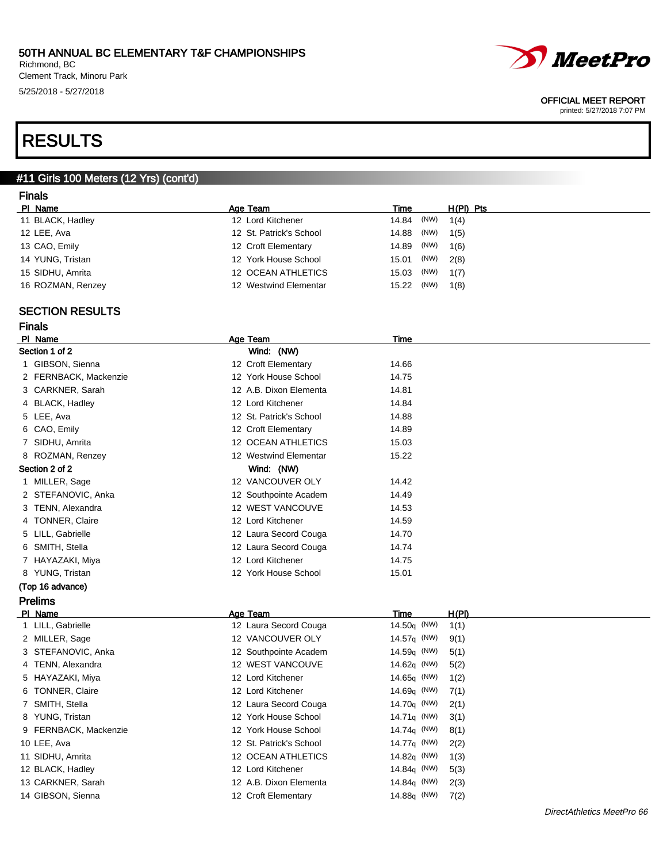Richmond, BC Clement Track, Minoru Park 5/25/2018 - 5/27/2018



#### OFFICIAL MEET REPORT

printed: 5/27/2018 7:07 PM

## RESULTS

### #11 Girls 100 Meters (12 Yrs) (cont'd)

### Finals

| PI Name           | Age Team                | Time<br>$H(PI)$ Pts   |
|-------------------|-------------------------|-----------------------|
| 11 BLACK, Hadley  | 12 Lord Kitchener       | 14.84 (NW)<br>1(4)    |
| 12 LEE, Ava       | 12 St. Patrick's School | (NW)<br>14.88<br>1(5) |
| 13 CAO, Emily     | 12 Croft Elementary     | (NW)<br>14.89<br>1(6) |
| 14 YUNG, Tristan  | 12 York House School    | (NW)<br>2(8)<br>15.01 |
| 15 SIDHU, Amrita  | 12 OCEAN ATHLETICS      | (NW)<br>15.03<br>1(7) |
| 16 ROZMAN, Renzey | 12 Westwind Elementar   | (NW)<br>15.22<br>1(8) |

### SECTION RESULTS

| w. |
|----|
|    |

| PI Name               | Age Team                | Time  |
|-----------------------|-------------------------|-------|
| Section 1 of 2        | Wind: (NW)              |       |
| 1 GIBSON, Sienna      | 12 Croft Elementary     | 14.66 |
| 2 FERNBACK, Mackenzie | 12 York House School    | 14.75 |
| 3 CARKNER, Sarah      | 12 A.B. Dixon Elementa  | 14.81 |
| 4 BLACK, Hadley       | 12 Lord Kitchener       | 14.84 |
| 5 LEE, Ava            | 12 St. Patrick's School | 14.88 |
| 6 CAO, Emily          | 12 Croft Elementary     | 14.89 |
| 7 SIDHU, Amrita       | 12 OCEAN ATHLETICS      | 15.03 |
| 8 ROZMAN, Renzey      | 12 Westwind Elementar   | 15.22 |
| Section 2 of 2        | Wind: (NW)              |       |
| 1 MILLER, Sage        | 12 VANCOUVER OLY        | 14.42 |
| 2 STEFANOVIC, Anka    | 12 Southpointe Academ   | 14.49 |
| 3 TENN, Alexandra     | 12 WEST VANCOUVE        | 14.53 |
| 4 TONNER, Claire      | 12 Lord Kitchener       | 14.59 |
| 5 LILL, Gabrielle     | 12 Laura Secord Couga   | 14.70 |
| 6 SMITH, Stella       | 12 Laura Secord Couga   | 14.74 |
| 7 HAYAZAKI, Miya      | 12 Lord Kitchener       | 14.75 |
| 8 YUNG, Tristan       | 12 York House School    | 15.01 |
| (Top 16 advance)      |                         |       |

## Prelims

| PI Name               | Age Team                | Time                    | H(PI) |
|-----------------------|-------------------------|-------------------------|-------|
| 1 LILL, Gabrielle     | 12 Laura Secord Couga   | 14.50 $\sigma$ (NW)     | 1(1)  |
| 2 MILLER, Sage        | 12 VANCOUVER OLY        | 14.57 $\sigma$ (NW)     | 9(1)  |
| 3 STEFANOVIC, Anka    | 12 Southpointe Academ   | $14.59q$ (NW)           | 5(1)  |
| 4 TENN, Alexandra     | 12 WEST VANCOUVE        | 14.62 $q$ (NW)          | 5(2)  |
| 5 HAYAZAKI, Miya      | 12 Lord Kitchener       | $14.65q$ (NW)           | 1(2)  |
| 6 TONNER, Claire      | 12 Lord Kitchener       | $14.69q$ (NW)           | 7(1)  |
| 7 SMITH, Stella       | 12 Laura Secord Couga   | 14.70 $q$ (NW)          | 2(1)  |
| 8 YUNG, Tristan       | 12 York House School    | 14.71 $\sigma$ (NW)     | 3(1)  |
| 9 FERNBACK, Mackenzie | 12 York House School    | 14.74 $\sigma$ (NW)     | 8(1)  |
| 10 LEE, Ava           | 12 St. Patrick's School | 14.77 <sub>q</sub> (NW) | 2(2)  |
| 11 SIDHU, Amrita      | 12 OCEAN ATHLETICS      | 14.82 $q$ (NW)          | 1(3)  |
| 12 BLACK, Hadley      | 12 Lord Kitchener       | 14.84 $\sigma$ (NW)     | 5(3)  |
| 13 CARKNER, Sarah     | 12 A.B. Dixon Elementa  | 14.84 $q$ (NW)          | 2(3)  |
| 14 GIBSON, Sienna     | 12 Croft Elementary     | 14.88q (NW)             | 7(2)  |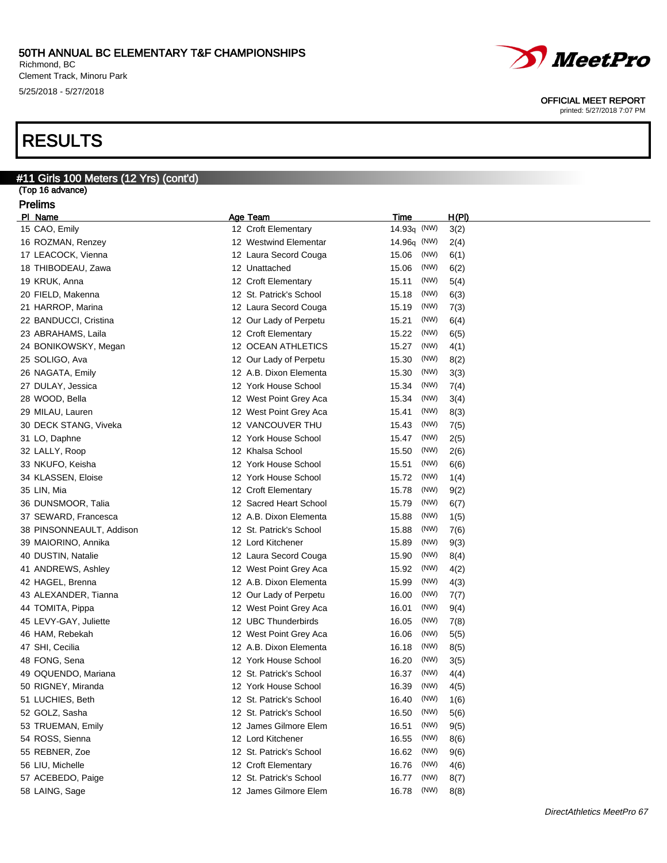Richmond, BC Clement Track, Minoru Park 5/25/2018 - 5/27/2018

## RESULTS

| #11 Girls 100 Meters (12 Yrs) (cont'd) |                         |                       |  |  |  |  |
|----------------------------------------|-------------------------|-----------------------|--|--|--|--|
| (Top 16 advance)                       |                         |                       |  |  |  |  |
| <b>Prelims</b>                         |                         |                       |  |  |  |  |
| PI Name                                | <b>Age Team</b>         | H(PI)<br>Time         |  |  |  |  |
| 15 CAO, Emily                          | 12 Croft Elementary     | 14.93q (NW)<br>3(2)   |  |  |  |  |
| 16 ROZMAN, Renzey                      | 12 Westwind Elementar   | 14.96q (NW)<br>2(4)   |  |  |  |  |
| 17 LEACOCK, Vienna                     | 12 Laura Secord Couga   | (NW)<br>15.06<br>6(1) |  |  |  |  |
| 18 THIBODEAU, Zawa                     | 12 Unattached           | (NW)<br>15.06<br>6(2) |  |  |  |  |
| 19 KRUK, Anna                          | 12 Croft Elementary     | (NW)<br>15.11<br>5(4) |  |  |  |  |
| 20 FIELD, Makenna                      | 12 St. Patrick's School | (NW)<br>15.18<br>6(3) |  |  |  |  |
| 21 HARROP, Marina                      | 12 Laura Secord Couga   | (NW)<br>15.19<br>7(3) |  |  |  |  |
| 22 BANDUCCI, Cristina                  | 12 Our Lady of Perpetu  | (NW)<br>15.21<br>6(4) |  |  |  |  |
| 23 ABRAHAMS, Laila                     | 12 Croft Elementary     | (NW)<br>15.22<br>6(5) |  |  |  |  |
| 24 BONIKOWSKY, Megan                   | 12 OCEAN ATHLETICS      | (NW)<br>15.27<br>4(1) |  |  |  |  |
| 25 SOLIGO, Ava                         | 12 Our Lady of Perpetu  | (NW)<br>15.30<br>8(2) |  |  |  |  |
| 26 NAGATA, Emily                       | 12 A.B. Dixon Elementa  | (NW)<br>3(3)<br>15.30 |  |  |  |  |
| 27 DULAY, Jessica                      | 12 York House School    | (NW)<br>15.34<br>7(4) |  |  |  |  |
| 28 WOOD, Bella                         | 12 West Point Grey Aca  | (NW)<br>15.34<br>3(4) |  |  |  |  |
| 29 MILAU, Lauren                       | 12 West Point Grey Aca  | (NW)<br>15.41<br>8(3) |  |  |  |  |
| 30 DECK STANG, Viveka                  | 12 VANCOUVER THU        | (NW)                  |  |  |  |  |
|                                        |                         | 15.43<br>7(5)<br>(NW) |  |  |  |  |
| 31 LO, Daphne                          | 12 York House School    | 15.47<br>2(5)         |  |  |  |  |
| 32 LALLY, Roop                         | 12 Khalsa School        | (NW)<br>15.50<br>2(6) |  |  |  |  |
| 33 NKUFO, Keisha                       | 12 York House School    | (NW)<br>15.51<br>6(6) |  |  |  |  |
| 34 KLASSEN, Eloise                     | 12 York House School    | (NW)<br>15.72<br>1(4) |  |  |  |  |
| 35 LIN, Mia                            | 12 Croft Elementary     | (NW)<br>9(2)<br>15.78 |  |  |  |  |
| 36 DUNSMOOR, Talia                     | 12 Sacred Heart School  | (NW)<br>15.79<br>6(7) |  |  |  |  |
| 37 SEWARD, Francesca                   | 12 A.B. Dixon Elementa  | (NW)<br>15.88<br>1(5) |  |  |  |  |
| 38 PINSONNEAULT, Addison               | 12 St. Patrick's School | (NW)<br>15.88<br>7(6) |  |  |  |  |
| 39 MAIORINO, Annika                    | 12 Lord Kitchener       | (NW)<br>9(3)<br>15.89 |  |  |  |  |
| 40 DUSTIN, Natalie                     | 12 Laura Secord Couga   | (NW)<br>15.90<br>8(4) |  |  |  |  |
| 41 ANDREWS, Ashley                     | 12 West Point Grey Aca  | (NW)<br>15.92<br>4(2) |  |  |  |  |
| 42 HAGEL, Brenna                       | 12 A.B. Dixon Elementa  | (NW)<br>15.99<br>4(3) |  |  |  |  |
| 43 ALEXANDER, Tianna                   | 12 Our Lady of Perpetu  | (NW)<br>16.00<br>7(7) |  |  |  |  |
| 44 TOMITA, Pippa                       | 12 West Point Grey Aca  | (NW)<br>16.01<br>9(4) |  |  |  |  |
| 45 LEVY-GAY, Juliette                  | 12 UBC Thunderbirds     | (NW)<br>16.05<br>7(8) |  |  |  |  |
| 46 HAM, Rebekah                        | 12 West Point Grey Aca  | (NW)<br>16.06<br>5(5) |  |  |  |  |
| 47 SHI, Cecilia                        | 12 A.B. Dixon Elementa  | (NW)<br>16.18<br>8(5) |  |  |  |  |
| 48 FONG, Sena                          | 12 York House School    | 16.20 (NW)<br>3(5)    |  |  |  |  |
| 49 OQUENDO, Mariana                    | 12 St. Patrick's School | (NW)<br>16.37<br>4(4) |  |  |  |  |
| 50 RIGNEY, Miranda                     | 12 York House School    | (NW)<br>16.39<br>4(5) |  |  |  |  |
| 51 LUCHIES, Beth                       | 12 St. Patrick's School | (NW)<br>16.40<br>1(6) |  |  |  |  |
| 52 GOLZ, Sasha                         | 12 St. Patrick's School | (NW)<br>16.50         |  |  |  |  |
|                                        | 12 James Gilmore Elem   | 5(6)<br>(NW)          |  |  |  |  |
| 53 TRUEMAN, Emily                      |                         | 16.51<br>9(5)         |  |  |  |  |
| 54 ROSS, Sienna                        | 12 Lord Kitchener       | (NW)<br>16.55<br>8(6) |  |  |  |  |
| 55 REBNER, Zoe                         | 12 St. Patrick's School | (NW)<br>16.62<br>9(6) |  |  |  |  |
| 56 LIU, Michelle                       | 12 Croft Elementary     | (NW)<br>16.76<br>4(6) |  |  |  |  |
| 57 ACEBEDO, Paige                      | 12 St. Patrick's School | (NW)<br>16.77<br>8(7) |  |  |  |  |
| 58 LAING, Sage                         | 12 James Gilmore Elem   | (NW)<br>16.78<br>8(8) |  |  |  |  |

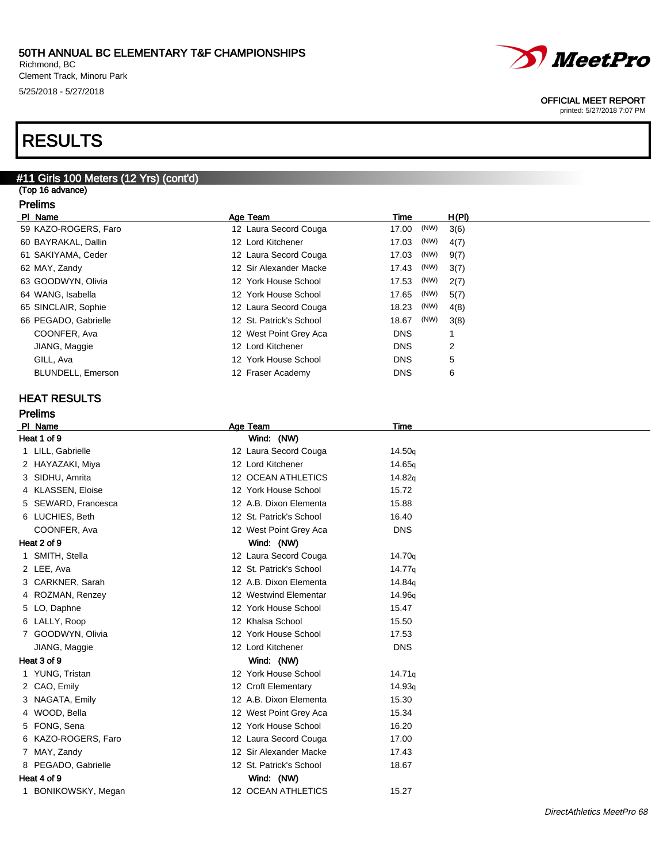Richmond, BC Clement Track, Minoru Park 5/25/2018 - 5/27/2018

## RESULTS

## #11 Girls 100 Meters (12 Yrs) (cont'd)

(Top 16 advance) Prelims

| PI Name                  | Age Team                | Time          | H(PI) |
|--------------------------|-------------------------|---------------|-------|
| 59 KAZO-ROGERS, Faro     | 12 Laura Secord Couga   | (NW)<br>17.00 | 3(6)  |
| 60 BAYRAKAL, Dallin      | 12 Lord Kitchener       | (NW)<br>17.03 | 4(7)  |
| 61 SAKIYAMA, Ceder       | 12 Laura Secord Couga   | (NW)<br>17.03 | 9(7)  |
| 62 MAY, Zandy            | 12 Sir Alexander Macke  | (NW)<br>17.43 | 3(7)  |
| 63 GOODWYN, Olivia       | 12 York House School    | (NW)<br>17.53 | 2(7)  |
| 64 WANG, Isabella        | 12 York House School    | (NW)<br>17.65 | 5(7)  |
| 65 SINCLAIR, Sophie      | 12 Laura Secord Couga   | (NW)<br>18.23 | 4(8)  |
| 66 PEGADO, Gabrielle     | 12 St. Patrick's School | (NW)<br>18.67 | 3(8)  |
| COONFER, Ava             | 12 West Point Grey Aca  | <b>DNS</b>    |       |
| JIANG, Maggie            | 12 Lord Kitchener       | <b>DNS</b>    | 2     |
| GILL, Ava                | 12 York House School    | <b>DNS</b>    | 5     |
| <b>BLUNDELL, Emerson</b> | 12 Fraser Academy       | <b>DNS</b>    | 6     |

### HEAT RESULTS

|                           | <b>Prelims</b>      |  |                           |                    |
|---------------------------|---------------------|--|---------------------------|--------------------|
|                           | PI Name             |  | Age Team                  | Time               |
|                           | Heat 1 of 9         |  | Wind: (NW)                |                    |
|                           | 1 LILL, Gabrielle   |  | 12 Laura Secord Couga     | 14.50q             |
|                           | 2 HAYAZAKI, Miya    |  | 12 Lord Kitchener         | 14.65g             |
|                           | 3 SIDHU, Amrita     |  | <b>12 OCEAN ATHLETICS</b> | 14.82g             |
|                           | 4 KLASSEN, Eloise   |  | 12 York House School      | 15.72              |
|                           | 5 SEWARD, Francesca |  | 12 A.B. Dixon Elementa    | 15.88              |
|                           | 6 LUCHIES, Beth     |  | 12 St. Patrick's School   | 16.40              |
|                           | COONFER, Ava        |  | 12 West Point Grey Aca    | <b>DNS</b>         |
|                           | Heat 2 of 9         |  | Wind: (NW)                |                    |
|                           | 1 SMITH, Stella     |  | 12 Laura Secord Couga     | 14.70g             |
|                           | 2 LEE, Ava          |  | 12 St. Patrick's School   | 14.77q             |
|                           | 3 CARKNER, Sarah    |  | 12 A.B. Dixon Elementa    | 14.84g             |
|                           | 4 ROZMAN, Renzey    |  | 12 Westwind Elementar     | 14.96 <sub>q</sub> |
|                           | 5 LO, Daphne        |  | 12 York House School      | 15.47              |
|                           | 6 LALLY, Roop       |  | 12 Khalsa School          | 15.50              |
|                           | 7 GOODWYN, Olivia   |  | 12 York House School      | 17.53              |
|                           | JIANG, Maggie       |  | 12 Lord Kitchener         | <b>DNS</b>         |
|                           | Heat 3 of 9         |  | Wind: (NW)                |                    |
|                           | 1 YUNG, Tristan     |  | 12 York House School      | 14.71q             |
|                           | 2 CAO, Emily        |  | 12 Croft Elementary       | 14.93q             |
|                           | 3 NAGATA, Emily     |  | 12 A.B. Dixon Elementa    | 15.30              |
|                           | 4 WOOD, Bella       |  | 12 West Point Grey Aca    | 15.34              |
|                           | 5 FONG, Sena        |  | 12 York House School      | 16.20              |
|                           | 6 KAZO-ROGERS, Faro |  | 12 Laura Secord Couga     | 17.00              |
|                           | 7 MAY, Zandy        |  | 12 Sir Alexander Macke    | 17.43              |
|                           | 8 PEGADO, Gabrielle |  | 12 St. Patrick's School   | 18.67              |
| Heat 4 of 9<br>Wind: (NW) |                     |  |                           |                    |
| 1                         | BONIKOWSKY, Megan   |  | 12 OCEAN ATHLETICS        | 15.27              |

*MeetPro* 

### OFFICIAL MEET REPORT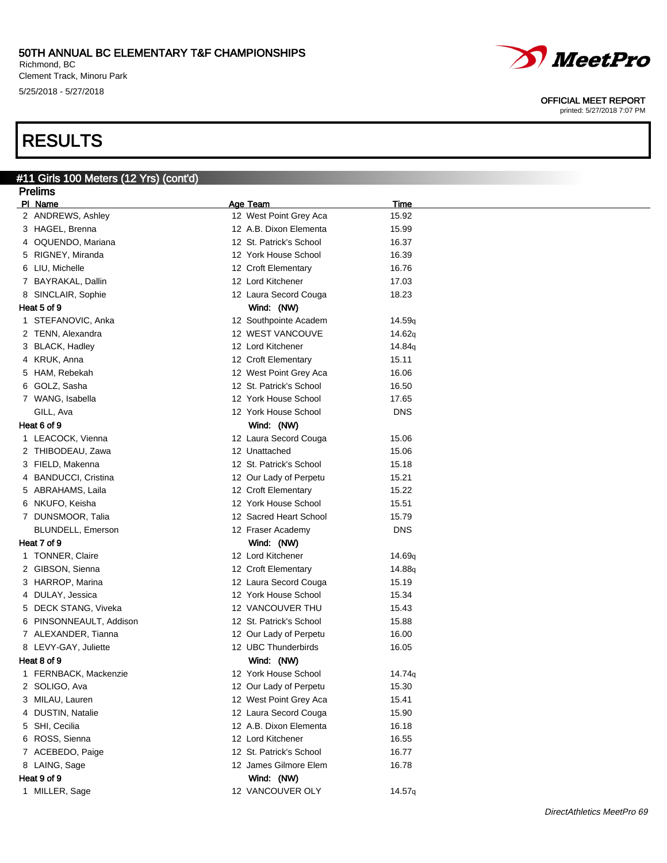Richmond, BC Clement Track, Minoru Park 5/25/2018 - 5/27/2018

## RESULTS

#### #11 Girls 100 Meters (12 Yrs) (cont'd) Prelims

|   | <u>Figilius</u>         |                         |                    |
|---|-------------------------|-------------------------|--------------------|
|   | PI Name                 | Age Team                | Time               |
|   | 2 ANDREWS, Ashley       | 12 West Point Grey Aca  | 15.92              |
|   | 3 HAGEL, Brenna         | 12 A.B. Dixon Elementa  | 15.99              |
|   | 4 OQUENDO, Mariana      | 12 St. Patrick's School | 16.37              |
|   | 5 RIGNEY, Miranda       | 12 York House School    | 16.39              |
|   | 6 LIU, Michelle         | 12 Croft Elementary     | 16.76              |
|   | 7 BAYRAKAL, Dallin      | 12 Lord Kitchener       | 17.03              |
|   | 8 SINCLAIR, Sophie      | 12 Laura Secord Couga   | 18.23              |
|   | Heat 5 of 9             | Wind: (NW)              |                    |
|   | 1 STEFANOVIC, Anka      | 12 Southpointe Academ   | 14.59q             |
|   | 2 TENN, Alexandra       | 12 WEST VANCOUVE        | 14.62q             |
|   | 3 BLACK, Hadley         | 12 Lord Kitchener       | 14.84g             |
|   | 4 KRUK, Anna            | 12 Croft Elementary     | 15.11              |
|   | 5 HAM, Rebekah          | 12 West Point Grey Aca  | 16.06              |
|   | 6 GOLZ, Sasha           | 12 St. Patrick's School | 16.50              |
|   | 7 WANG, Isabella        | 12 York House School    | 17.65              |
|   | GILL, Ava               | 12 York House School    | <b>DNS</b>         |
|   | Heat 6 of 9             | Wind: (NW)              |                    |
|   | 1 LEACOCK, Vienna       | 12 Laura Secord Couga   | 15.06              |
|   | 2 THIBODEAU, Zawa       | 12 Unattached           | 15.06              |
|   | 3 FIELD, Makenna        | 12 St. Patrick's School | 15.18              |
|   | 4 BANDUCCI, Cristina    | 12 Our Lady of Perpetu  | 15.21              |
|   | 5 ABRAHAMS, Laila       | 12 Croft Elementary     | 15.22              |
|   | 6 NKUFO, Keisha         | 12 York House School    | 15.51              |
|   | 7 DUNSMOOR, Talia       | 12 Sacred Heart School  | 15.79              |
|   | BLUNDELL, Emerson       | 12 Fraser Academy       | <b>DNS</b>         |
|   | Heat 7 of 9             | Wind: (NW)              |                    |
|   | 1 TONNER, Claire        | 12 Lord Kitchener       | 14.69 <sub>q</sub> |
|   | 2 GIBSON, Sienna        | 12 Croft Elementary     | 14.88 <sub>g</sub> |
|   | 3 HARROP, Marina        | 12 Laura Secord Couga   | 15.19              |
|   | 4 DULAY, Jessica        | 12 York House School    | 15.34              |
|   | 5 DECK STANG, Viveka    | 12 VANCOUVER THU        | 15.43              |
|   | 6 PINSONNEAULT, Addison | 12 St. Patrick's School | 15.88              |
|   | 7 ALEXANDER, Tianna     | 12 Our Lady of Perpetu  | 16.00              |
|   | 8 LEVY-GAY, Juliette    | 12 UBC Thunderbirds     | 16.05              |
|   | Heat 8 of 9             | Wind: (NW)              |                    |
|   | 1 FERNBACK, Mackenzie   | 12 York House School    | 14.74g             |
|   | 2 SOLIGO, Ava           | 12 Our Lady of Perpetu  | 15.30              |
|   | 3 MILAU, Lauren         | 12 West Point Grey Aca  | 15.41              |
| 4 | DUSTIN, Natalie         | 12 Laura Secord Couga   | 15.90              |
|   | 5 SHI, Cecilia          | 12 A.B. Dixon Elementa  | 16.18              |
|   | 6 ROSS, Sienna          | 12 Lord Kitchener       | 16.55              |
|   | 7 ACEBEDO, Paige        | 12 St. Patrick's School | 16.77              |
|   | 8 LAING, Sage           | 12 James Gilmore Elem   | 16.78              |
|   | Heat 9 of 9             | Wind: (NW)              |                    |
|   | 1 MILLER, Sage          | 12 VANCOUVER OLY        | 14.57q             |
|   |                         |                         |                    |



#### OFFICIAL MEET REPORT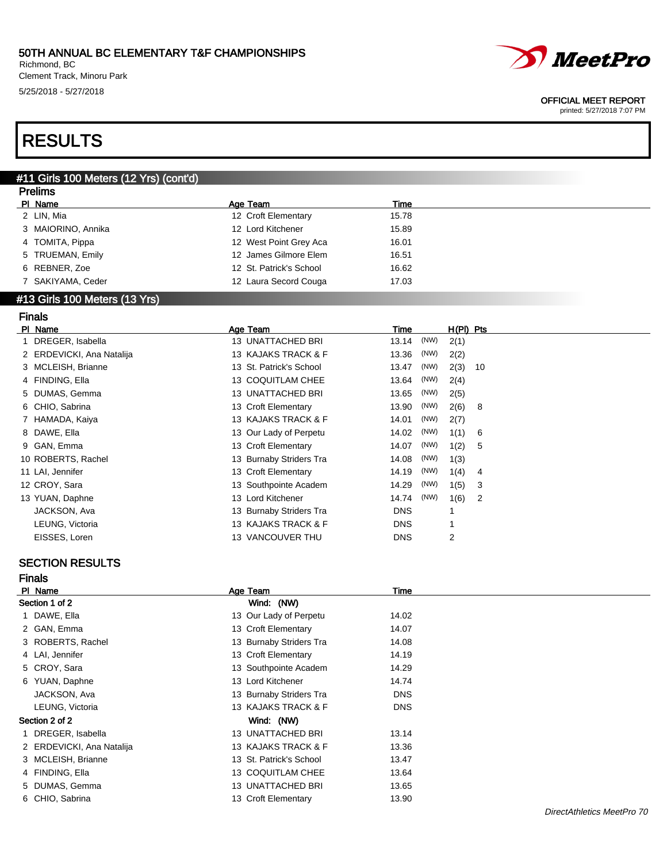Richmond, BC Clement Track, Minoru Park 5/25/2018 - 5/27/2018



#### OFFICIAL MEET REPORT

printed: 5/27/2018 7:07 PM

## RESULTS

#### #11 Girls 100 Meters (12 Yrs) (cont'd) Prelims

| гіешіз             |                         |       |  |  |
|--------------------|-------------------------|-------|--|--|
| PI Name            | Age Team                | Time  |  |  |
| 2 LIN, Mia         | 12 Croft Elementary     | 15.78 |  |  |
| 3 MAIORINO, Annika | 12 Lord Kitchener       | 15.89 |  |  |
| 4 TOMITA, Pippa    | 12 West Point Grey Aca  | 16.01 |  |  |
| 5 TRUEMAN, Emily   | 12 James Gilmore Elem   | 16.51 |  |  |
| 6 REBNER, Zoe      | 12 St. Patrick's School | 16.62 |  |  |
| 7 SAKIYAMA, Ceder  | 12 Laura Secord Couga   | 17.03 |  |  |
| ______             |                         |       |  |  |

#### #13 Girls 100 Meters (13 Yrs)

| <b>Finals</b>             |                         |               |             |  |
|---------------------------|-------------------------|---------------|-------------|--|
| PI Name                   | Age Team                | Time          | $H(PI)$ Pts |  |
| DREGER, Isabella          | 13 UNATTACHED BRI       | (NW)<br>13.14 | 2(1)        |  |
| 2 ERDEVICKI, Ana Natalija | 13 KAJAKS TRACK & F     | (NW)<br>13.36 | 2(2)        |  |
| 3 MCLEISH, Brianne        | 13 St. Patrick's School | (NW)<br>13.47 | 2(3)<br>10  |  |
| 4 FINDING, Ella           | 13 COQUITLAM CHEE       | (NW)<br>13.64 | 2(4)        |  |
| 5 DUMAS, Gemma            | 13 UNATTACHED BRI       | (NW)<br>13.65 | 2(5)        |  |
| 6 CHIO, Sabrina           | 13 Croft Elementary     | 13.90<br>(NW) | 2(6)<br>8   |  |
| 7 HAMADA, Kaiya           | 13 KAJAKS TRACK & F     | (NW)<br>14.01 | 2(7)        |  |
| 8 DAWE, Ella              | 13 Our Lady of Perpetu  | (NW)<br>14.02 | 1(1)<br>6   |  |
| 9 GAN, Emma               | 13 Croft Elementary     | (NW)<br>14.07 | 1(2)<br>5   |  |
| 10 ROBERTS, Rachel        | 13 Burnaby Striders Tra | (NW)<br>14.08 | 1(3)        |  |
| 11 LAI, Jennifer          | 13 Croft Elementary     | (NW)<br>14.19 | 1(4)<br>4   |  |
| 12 CROY, Sara             | 13 Southpointe Academ   | (NW)<br>14.29 | 1(5)<br>3   |  |
| 13 YUAN, Daphne           | 13 Lord Kitchener       | (NW)<br>14.74 | 1(6)<br>2   |  |
| JACKSON, Ava              | 13 Burnaby Striders Tra | <b>DNS</b>    | 1           |  |
| LEUNG, Victoria           | 13 KAJAKS TRACK & F     | <b>DNS</b>    | 1           |  |
| EISSES, Loren             | 13 VANCOUVER THU        | <b>DNS</b>    | 2           |  |
|                           |                         |               |             |  |

### SECTION RESULTS

| <b>Finals</b>             |                         |            |  |
|---------------------------|-------------------------|------------|--|
| PI Name                   | Age Team                | Time       |  |
| Section 1 of 2            | Wind: (NW)              |            |  |
| 1 DAWE, Ella              | 13 Our Lady of Perpetu  | 14.02      |  |
| 2 GAN, Emma               | 13 Croft Elementary     | 14.07      |  |
| 3 ROBERTS, Rachel         | 13 Burnaby Striders Tra | 14.08      |  |
| 4 LAI, Jennifer           | 13 Croft Elementary     | 14.19      |  |
| 5 CROY, Sara              | 13 Southpointe Academ   | 14.29      |  |
| 6 YUAN, Daphne            | 13 Lord Kitchener       | 14.74      |  |
| JACKSON, Ava              | 13 Burnaby Striders Tra | <b>DNS</b> |  |
| LEUNG, Victoria           | 13 KAJAKS TRACK & F     | <b>DNS</b> |  |
| Section 2 of 2            | Wind: (NW)              |            |  |
| 1 DREGER, Isabella        | 13 UNATTACHED BRI       | 13.14      |  |
| 2 ERDEVICKI, Ana Natalija | 13 KAJAKS TRACK & F     | 13.36      |  |
| 3 MCLEISH, Brianne        | 13 St. Patrick's School | 13.47      |  |
| 4 FINDING, Ella           | 13 COQUITLAM CHEE       | 13.64      |  |
| 5 DUMAS, Gemma            | 13 UNATTACHED BRI       | 13.65      |  |
| 6 CHIO, Sabrina           | 13 Croft Elementary     | 13.90      |  |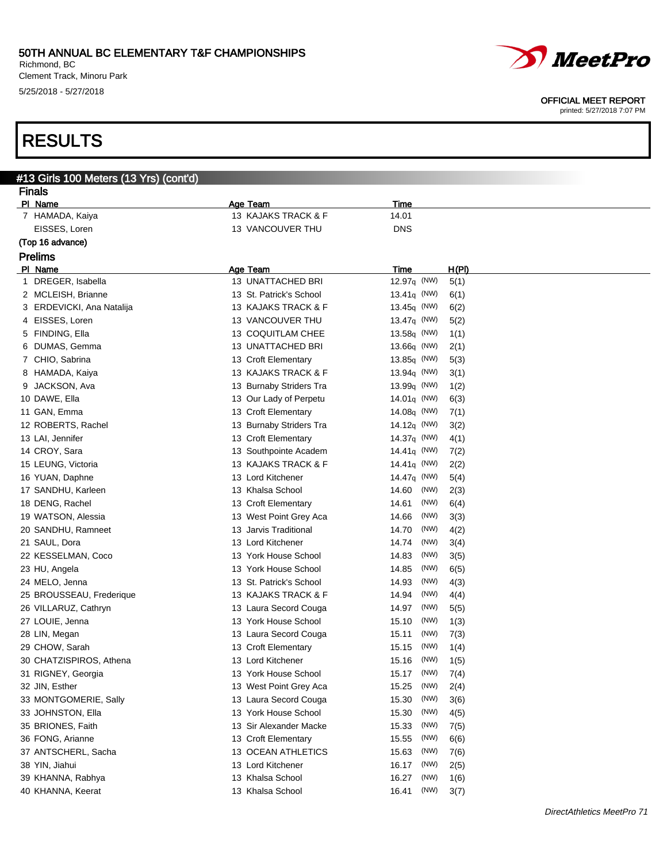Richmond, BC Clement Track, Minoru Park 5/25/2018 - 5/27/2018

# *MeetPro*

#### OFFICIAL MEET REPORT

printed: 5/27/2018 7:07 PM

## RESULTS

|   | #13 Girls 100 Meters (13 Yrs) (cont'd) |                                              |                     |       |  |  |
|---|----------------------------------------|----------------------------------------------|---------------------|-------|--|--|
|   | <b>Finals</b>                          |                                              |                     |       |  |  |
|   | PI Name                                | Age Team                                     | <b>Time</b>         |       |  |  |
|   | 7 HAMADA, Kaiya                        | 13 KAJAKS TRACK & F                          | 14.01               |       |  |  |
|   | EISSES, Loren                          | 13 VANCOUVER THU                             | <b>DNS</b>          |       |  |  |
|   | (Top 16 advance)                       |                                              |                     |       |  |  |
|   | <b>Prelims</b>                         |                                              |                     |       |  |  |
|   | PI Name                                | Age Team                                     | <b>Time</b>         | H(PI) |  |  |
| 1 | DREGER, Isabella                       | 13 UNATTACHED BRI                            | 12.97 $q$ (NW)      | 5(1)  |  |  |
|   | 2 MCLEISH, Brianne                     | 13 St. Patrick's School                      | 13.41 $\sigma$ (NW) | 6(1)  |  |  |
|   | 3 ERDEVICKI, Ana Natalija              | 13 KAJAKS TRACK & F                          | 13.45 $q$ (NW)      | 6(2)  |  |  |
|   | 4 EISSES, Loren                        | 13 VANCOUVER THU                             | 13.47 $q$ (NW)      | 5(2)  |  |  |
|   | 5 FINDING, Ella                        | 13 COQUITLAM CHEE                            | 13.58 $q$ (NW)      | 1(1)  |  |  |
|   | 6 DUMAS, Gemma                         | 13 UNATTACHED BRI                            | $13.66q$ (NW)       | 2(1)  |  |  |
|   | 7 CHIO, Sabrina                        | 13 Croft Elementary                          | 13.85 $q$ (NW)      | 5(3)  |  |  |
|   | 8 HAMADA, Kaiya                        | 13 KAJAKS TRACK & F                          | 13.94 $\sigma$ (NW) | 3(1)  |  |  |
|   | 9 JACKSON, Ava                         | 13 Burnaby Striders Tra                      | 13.99 $q$ (NW)      | 1(2)  |  |  |
|   | 10 DAWE, Ella                          | 13 Our Lady of Perpetu                       | 14.01 $\sigma$ (NW) | 6(3)  |  |  |
|   | 11 GAN, Emma                           | 13 Croft Elementary                          | 14.08 $q$ (NW)      | 7(1)  |  |  |
|   | 12 ROBERTS, Rachel                     | 13 Burnaby Striders Tra                      | 14.12 $q$ (NW)      | 3(2)  |  |  |
|   | 13 LAI, Jennifer                       | 13 Croft Elementary                          | 14.37 $q$ (NW)      | 4(1)  |  |  |
|   | 14 CROY, Sara                          | 13 Southpointe Academ                        | 14.41 $\sigma$ (NW) | 7(2)  |  |  |
|   | 15 LEUNG, Victoria                     | 13 KAJAKS TRACK & F                          | 14.41 $\sigma$ (NW) | 2(2)  |  |  |
|   | 16 YUAN, Daphne                        | 13 Lord Kitchener                            | 14.47 $\sigma$ (NW) | 5(4)  |  |  |
|   | 17 SANDHU, Karleen                     | 13 Khalsa School                             | (NW)<br>14.60       | 2(3)  |  |  |
|   | 18 DENG, Rachel                        | 13 Croft Elementary                          | (NW)<br>14.61       | 6(4)  |  |  |
|   | 19 WATSON, Alessia                     | 13 West Point Grey Aca                       | (NW)<br>14.66       | 3(3)  |  |  |
|   | 20 SANDHU, Ramneet                     | 13 Jarvis Traditional                        | (NW)<br>14.70       | 4(2)  |  |  |
|   | 21 SAUL, Dora                          | 13 Lord Kitchener                            | (NW)<br>14.74       | 3(4)  |  |  |
|   | 22 KESSELMAN, Coco                     | 13 York House School                         | (NW)<br>14.83       | 3(5)  |  |  |
|   |                                        | 13 York House School                         | (NW)<br>14.85       | 6(5)  |  |  |
|   | 23 HU, Angela                          | 13 St. Patrick's School                      | (NW)                |       |  |  |
|   | 24 MELO, Jenna                         |                                              | 14.93<br>(NW)       | 4(3)  |  |  |
|   | 25 BROUSSEAU, Frederique               | 13 KAJAKS TRACK & F<br>13 Laura Secord Couga | 14.94               | 4(4)  |  |  |
|   | 26 VILLARUZ, Cathryn                   | 13 York House School                         | (NW)<br>14.97       | 5(5)  |  |  |
|   | 27 LOUIE, Jenna                        |                                              | (NW)<br>15.10       | 1(3)  |  |  |
|   | 28 LIN, Megan                          | 13 Laura Secord Couga                        | (NW)<br>15.11       | 7(3)  |  |  |
|   | 29 CHOW, Sarah                         | 13 Croft Elementary                          | (NW)<br>15.15       | 1(4)  |  |  |
|   | 30 CHATZISPIROS, Athena                | 13 Lord Kitchener                            | 15.16<br>(NW)       | 1(5)  |  |  |
|   | 31 RIGNEY, Georgia                     | 13 York House School                         | (NW)<br>15.17       | 7(4)  |  |  |
|   | 32 JIN, Esther                         | 13 West Point Grey Aca                       | (NW)<br>15.25       | 2(4)  |  |  |
|   | 33 MONTGOMERIE, Sally                  | 13 Laura Secord Couga                        | (NW)<br>15.30       | 3(6)  |  |  |
|   | 33 JOHNSTON, Ella                      | 13 York House School                         | (NW)<br>15.30       | 4(5)  |  |  |
|   | 35 BRIONES, Faith                      | 13 Sir Alexander Macke                       | (NW)<br>15.33       | 7(5)  |  |  |
|   | 36 FONG, Arianne                       | 13 Croft Elementary                          | (NW)<br>15.55       | 6(6)  |  |  |
|   | 37 ANTSCHERL, Sacha                    | 13 OCEAN ATHLETICS                           | (NW)<br>15.63       | 7(6)  |  |  |
|   | 38 YIN, Jiahui                         | 13 Lord Kitchener                            | (NW)<br>16.17       | 2(5)  |  |  |
|   | 39 KHANNA, Rabhya                      | 13 Khalsa School                             | (NW)<br>16.27       | 1(6)  |  |  |
|   | 40 KHANNA, Keerat                      | 13 Khalsa School                             | (NW)<br>16.41       | 3(7)  |  |  |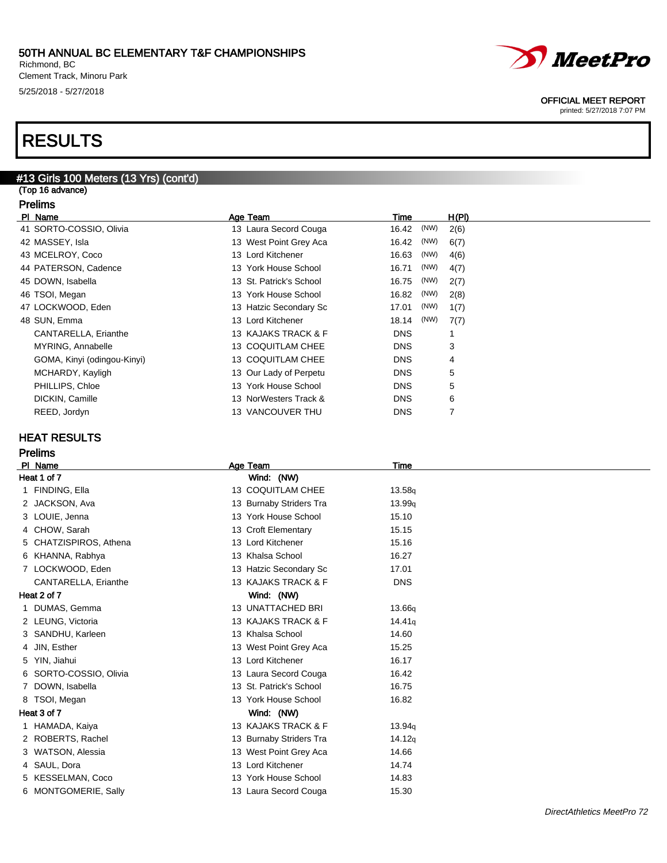Richmond, BC Clement Track, Minoru Park 5/25/2018 - 5/27/2018

## RESULTS

## #13 Girls 100 Meters (13 Yrs) (cont'd)

(Top 16 advance) Prelims

|    | гісшір |             |  |
|----|--------|-------------|--|
| ים |        | <b>Nama</b> |  |

| PI Name                     | Age Team                | Time       |      | H(PI) |
|-----------------------------|-------------------------|------------|------|-------|
| 41 SORTO-COSSIO, Olivia     | 13 Laura Secord Couga   | 16.42      | (NW) | 2(6)  |
| 42 MASSEY, Isla             | 13 West Point Grey Aca  | 16.42      | (NW) | 6(7)  |
| 43 MCELROY, Coco            | 13 Lord Kitchener       | 16.63      | (NW) | 4(6)  |
| 44 PATERSON, Cadence        | 13 York House School    | 16.71      | (NW) | 4(7)  |
| 45 DOWN, Isabella           | 13 St. Patrick's School | 16.75      | (NW) | 2(7)  |
| 46 TSOI, Megan              | 13 York House School    | 16.82      | (NW) | 2(8)  |
| 47 LOCKWOOD, Eden           | 13 Hatzic Secondary Sc  | 17.01      | (NW) | 1(7)  |
| 48 SUN, Emma                | 13 Lord Kitchener       | 18.14      | (NW) | 7(7)  |
| CANTARELLA, Erianthe        | 13 KAJAKS TRACK & F     | <b>DNS</b> |      |       |
| MYRING, Annabelle           | 13 COQUITLAM CHEE       | <b>DNS</b> |      | 3     |
| GOMA, Kinyi (odingou-Kinyi) | 13 COQUITLAM CHEE       | <b>DNS</b> |      | 4     |
| MCHARDY, Kayligh            | 13 Our Lady of Perpetu  | <b>DNS</b> |      | 5     |
| PHILLIPS, Chloe             | 13 York House School    | <b>DNS</b> |      | 5     |
| DICKIN, Camille             | 13 NorWesters Track &   | <b>DNS</b> |      | 6     |
| REED, Jordyn                | 13 VANCOUVER THU        | <b>DNS</b> |      | 7     |
|                             |                         |            |      |       |

### HEAT RESULTS

#### Prelims

| PI Name     |                           | Age Team                 | <b>Time</b>        |  |  |
|-------------|---------------------------|--------------------------|--------------------|--|--|
|             | Heat 1 of 7<br>Wind: (NW) |                          |                    |  |  |
| 1           | FINDING, Ella             | 13 COQUITLAM CHEE        | 13.58q             |  |  |
|             | 2 JACKSON, Ava            | 13 Burnaby Striders Tra  | 13.99q             |  |  |
|             | 3 LOUIE, Jenna            | 13 York House School     | 15.10              |  |  |
|             | 4 CHOW, Sarah             | 13 Croft Elementary      | 15.15              |  |  |
|             | 5 CHATZISPIROS, Athena    | 13 Lord Kitchener        | 15.16              |  |  |
|             | 6 KHANNA, Rabhya          | 13 Khalsa School         | 16.27              |  |  |
|             | 7 LOCKWOOD, Eden          | 13 Hatzic Secondary Sc   | 17.01              |  |  |
|             | CANTARELLA, Erianthe      | 13 KAJAKS TRACK & F      | <b>DNS</b>         |  |  |
| Heat 2 of 7 |                           | Wind: (NW)               |                    |  |  |
| $\mathbf 1$ | DUMAS, Gemma              | <b>13 UNATTACHED BRI</b> | 13.66q             |  |  |
|             | 2 LEUNG, Victoria         | 13 KAJAKS TRACK & F      | 14.41 <sub>g</sub> |  |  |
|             | 3 SANDHU, Karleen         | 13 Khalsa School         | 14.60              |  |  |
|             | 4 JIN, Esther             | 13 West Point Grey Aca   | 15.25              |  |  |
|             | 5 YIN, Jiahui             | 13 Lord Kitchener        | 16.17              |  |  |
| 6           | SORTO-COSSIO, Olivia      | 13 Laura Secord Couga    | 16.42              |  |  |
|             | 7 DOWN, Isabella          | 13 St. Patrick's School  | 16.75              |  |  |
|             | 8 TSOI, Megan             | 13 York House School     | 16.82              |  |  |
| Heat 3 of 7 |                           | Wind: (NW)               |                    |  |  |
| 1.          | HAMADA, Kaiya             | 13 KAJAKS TRACK & F      | 13.94q             |  |  |
|             | 2 ROBERTS, Rachel         | 13 Burnaby Striders Tra  | 14.12q             |  |  |
|             | 3 WATSON, Alessia         | 13 West Point Grey Aca   | 14.66              |  |  |
|             | 4 SAUL, Dora              | 13 Lord Kitchener        | 14.74              |  |  |
|             | 5 KESSELMAN, Coco         | 13 York House School     | 14.83              |  |  |
|             | 6 MONTGOMERIE, Sally      | 13 Laura Secord Couga    | 15.30              |  |  |
|             |                           |                          |                    |  |  |



#### OFFICIAL MEET REPORT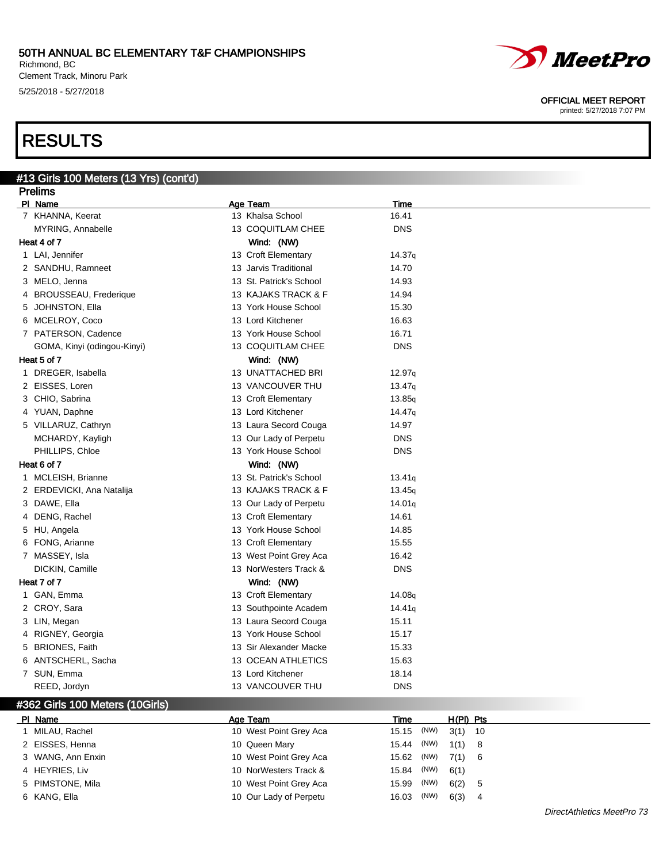Richmond, BC Clement Track, Minoru Park 5/25/2018 - 5/27/2018

#13 Girls 100 Meters (13 Yrs) (cont'd)

## RESULTS

#### Prelims **Pl Name Age Team Age Team Time** 7 KHANNA, Keerat 13 Khalsa School 16.41 MYRING, Annabelle 13 COQUITLAM CHEE DNS Heat 4 of 7 Wind: (NW) 1 LAI, Jennifer 14.37q **13 Croft Elementary** 14.37q 2 SANDHU, Ramneet 13 Jarvis Traditional 14.70 3 MELO, Jenna 13 St. Patrick's School 14.93 4 BROUSSEAU, Frederique 13 KAJAKS TRACK & F 14.94 5 JOHNSTON, Ella 13 York House School 15.30 6 MCELROY, Coco 13 Lord Kitchener 16.63 7 PATERSON, Cadence 13 York House School 16.71 GOMA, Kinyi (odingou-Kinyi) 13 COQUITLAM CHEE DNS Heat 5 of 7 Wind: (NW) 1 DREGER, Isabella 13 UNATTACHED BRI 12.97q 2 EISSES, Loren 13 VANCOUVER THU 13.47<sub>q</sub> 3 CHIO, Sabrina 13 Croft Elementary 13.85q 4 YUAN, Daphne 13 Lord Kitchener 14.47q 5 VILLARUZ, Cathryn 13 Laura Secord Couga 14.97 MCHARDY, Kayligh 13 Our Lady of Perpetu PHILLIPS, Chloe 13 York House School DNS Heat 6 of 7 Wind: (NW) 1 MCLEISH, Brianne 13 St. Patrick's School 13.41<sub>q</sub> 2 ERDEVICKI, Ana Natalija 13 KAJAKS TRACK & F 13.45q 3 DAWE, Ella 14.01q **13 Our Lady of Perpetu** 14.01q 4 DENG, Rachel 13 Croft Elementary 14.61 5 HU, Angela 13 York House School 14.85 6 FONG, Arianne 13 Croft Elementary 15.55 7 MASSEY, Isla 16.42 DICKIN, Camille 13 NorWesters Track & DNS Heat 7 of 7 Wind: (NW) 1 GAN, Emma 13 Croft Elementary 14.08q 2 CROY, Sara **14.41<sub>q</sub>** 2 CROY, Sara 3 LIN, Megan 15.11 and 13 Laura Secord Couga 15.11 4 RIGNEY, Georgia 13 York House School 15.17 5 BRIONES, Faith 13 Sir Alexander Macke 15.33 6 ANTSCHERL, Sacha 13 OCEAN ATHLETICS 15.63 7 SUN, Emma 13 Lord Kitchener 18.14 REED, Jordyn **DISCOUTER 13 VANCOUVER THU** DIS #362 Girls 100 Meters (10Girls) Pl Name Age Team Time H(Pl) Pts

| PI Name           | Age ream               | ı ıme         | H(PI) PIS  |
|-------------------|------------------------|---------------|------------|
| 1 MILAU, Rachel   | 10 West Point Grey Aca | 15.15 (NW)    | $3(1)$ 10  |
| 2 EISSES, Henna   | 10 Queen Mary          | 15.44 (NW)    | $1(1)$ 8   |
| 3 WANG, Ann Enxin | 10 West Point Grey Aca | 15.62 (NW)    | $7(1)$ 6   |
| 4 HEYRIES, Liv    | 10 NorWesters Track &  | 15.84 (NW)    | 6(1)       |
| 5 PIMSTONE, Mila  | 10 West Point Grey Aca | (NW)<br>15.99 | 6(2)<br>-5 |
| 6 KANG, Ella      | 10 Our Lady of Perpetu | (NW)<br>16.03 | 6(3)<br>4  |



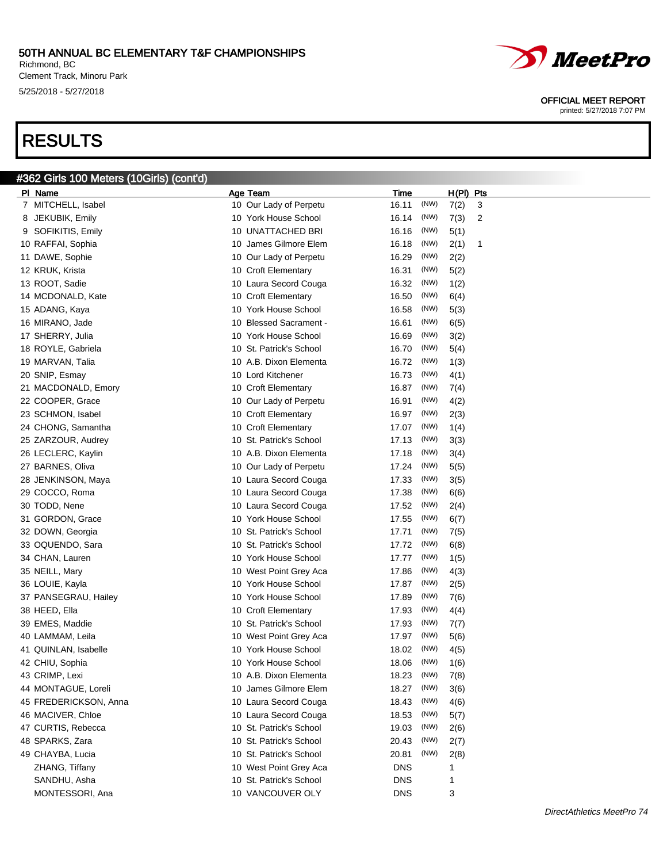Richmond, BC Clement Track, Minoru Park 5/25/2018 - 5/27/2018

#362 Girls 100 Meters (10Girls) (cont'd)

# RESULTS



OFFICIAL MEET REPORT

| PI Name               | Age Team                | Time          | <u>H(PI)</u><br><u>Pts</u> |
|-----------------------|-------------------------|---------------|----------------------------|
| 7 MITCHELL, Isabel    | 10 Our Lady of Perpetu  | (NW)<br>16.11 | 7(2)<br>3                  |
| 8 JEKUBIK, Emily      | 10 York House School    | (NW)<br>16.14 | 7(3)<br>2                  |
| 9 SOFIKITIS, Emily    | 10 UNATTACHED BRI       | (NW)<br>16.16 | 5(1)                       |
| 10 RAFFAI, Sophia     | 10 James Gilmore Elem   | (NW)<br>16.18 | 2(1)<br>1                  |
| 11 DAWE, Sophie       | 10 Our Lady of Perpetu  | (NW)<br>16.29 | 2(2)                       |
| 12 KRUK, Krista       | 10 Croft Elementary     | (NW)<br>16.31 | 5(2)                       |
| 13 ROOT, Sadie        | 10 Laura Secord Couga   | 16.32<br>(NW) | 1(2)                       |
| 14 MCDONALD, Kate     | 10 Croft Elementary     | (NW)<br>16.50 | 6(4)                       |
| 15 ADANG, Kaya        | 10 York House School    | (NW)<br>16.58 | 5(3)                       |
| 16 MIRANO, Jade       | 10 Blessed Sacrament -  | (NW)<br>16.61 | 6(5)                       |
| 17 SHERRY, Julia      | 10 York House School    | (NW)<br>16.69 | 3(2)                       |
| 18 ROYLE, Gabriela    | 10 St. Patrick's School | (NW)<br>16.70 | 5(4)                       |
| 19 MARVAN, Talia      | 10 A.B. Dixon Elementa  | 16.72<br>(NW) | 1(3)                       |
| 20 SNIP, Esmay        | 10 Lord Kitchener       | 16.73<br>(NW) | 4(1)                       |
| 21 MACDONALD, Emory   | 10 Croft Elementary     | (NW)<br>16.87 | 7(4)                       |
| 22 COOPER, Grace      | 10 Our Lady of Perpetu  | (NW)<br>16.91 | 4(2)                       |
| 23 SCHMON, Isabel     | 10 Croft Elementary     | (NW)<br>16.97 | 2(3)                       |
| 24 CHONG, Samantha    | 10 Croft Elementary     | (NW)<br>17.07 | 1(4)                       |
| 25 ZARZOUR, Audrey    | 10 St. Patrick's School | (NW)<br>17.13 | 3(3)                       |
| 26 LECLERC, Kaylin    | 10 A.B. Dixon Elementa  | (NW)<br>17.18 | 3(4)                       |
| 27 BARNES, Oliva      | 10 Our Lady of Perpetu  | (NW)<br>17.24 | 5(5)                       |
| 28 JENKINSON, Maya    | 10 Laura Secord Couga   | (NW)<br>17.33 | 3(5)                       |
| 29 COCCO, Roma        | 10 Laura Secord Couga   | 17.38<br>(NW) | 6(6)                       |
| 30 TODD, Nene         | 10 Laura Secord Couga   | 17.52<br>(NW) | 2(4)                       |
| 31 GORDON, Grace      | 10 York House School    | (NW)<br>17.55 | 6(7)                       |
| 32 DOWN, Georgia      | 10 St. Patrick's School | (NW)<br>17.71 | 7(5)                       |
| 33 OQUENDO, Sara      | 10 St. Patrick's School | (NW)<br>17.72 | 6(8)                       |
| 34 CHAN, Lauren       | 10 York House School    | (NW)<br>17.77 | 1(5)                       |
| 35 NEILL, Mary        | 10 West Point Grey Aca  | (NW)<br>17.86 | 4(3)                       |
| 36 LOUIE, Kayla       | 10 York House School    | (NW)<br>17.87 | 2(5)                       |
| 37 PANSEGRAU, Hailey  | 10 York House School    | (NW)<br>17.89 | 7(6)                       |
| 38 HEED, Ella         | 10 Croft Elementary     | (NW)<br>17.93 | 4(4)                       |
| 39 EMES, Maddie       | 10 St. Patrick's School | (NW)<br>17.93 | 7(7)                       |
| 40 LAMMAM, Leila      | 10 West Point Grey Aca  | (NW)<br>17.97 | 5(6)                       |
| 41 QUINLAN, Isabelle  | 10 York House School    | (NW)<br>18.02 | 4(5)                       |
| 42 CHIU, Sophia       | 10 York House School    | (NW)<br>18.06 | 1(6)                       |
| 43 CRIMP, Lexi        | 10 A.B. Dixon Elementa  | 18.23<br>(NW) | 7(8)                       |
| 44 MONTAGUE, Loreli   | 10 James Gilmore Elem   | (NW)<br>18.27 | 3(6)                       |
| 45 FREDERICKSON, Anna | 10 Laura Secord Couga   | (NW)<br>18.43 | 4(6)                       |
| 46 MACIVER, Chloe     | 10 Laura Secord Couga   | (NW)<br>18.53 | 5(7)                       |
| 47 CURTIS, Rebecca    | 10 St. Patrick's School | 19.03<br>(NW) | 2(6)                       |
| 48 SPARKS, Zara       | 10 St. Patrick's School | (NW)<br>20.43 | 2(7)                       |
| 49 CHAYBA, Lucia      | 10 St. Patrick's School | (NW)<br>20.81 | 2(8)                       |
| ZHANG, Tiffany        | 10 West Point Grey Aca  | <b>DNS</b>    | 1                          |
| SANDHU, Asha          | 10 St. Patrick's School | <b>DNS</b>    | 1                          |
| MONTESSORI, Ana       | 10 VANCOUVER OLY        | <b>DNS</b>    | 3                          |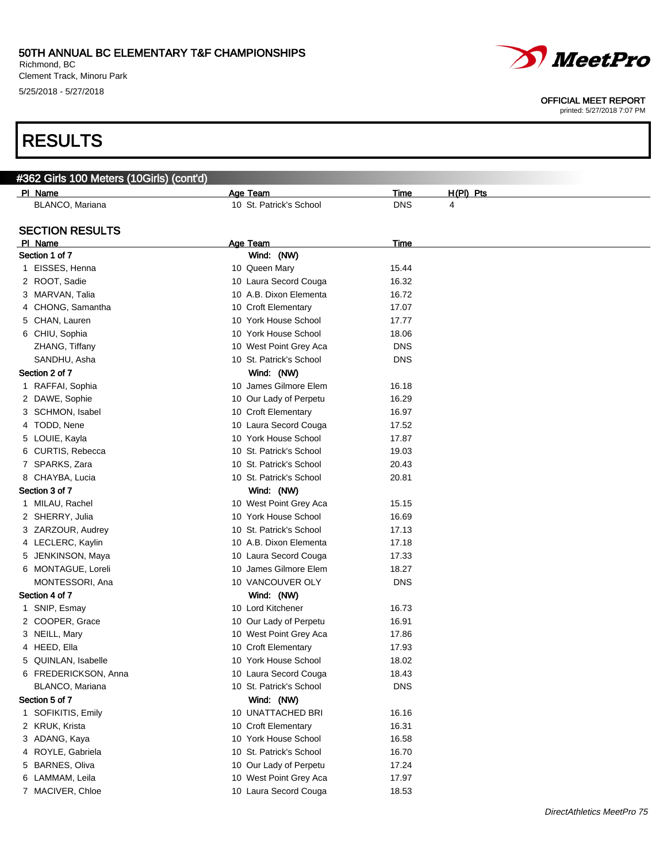Richmond, BC Clement Track, Minoru Park 5/25/2018 - 5/27/2018

# RESULTS

#### OFFICIAL MEET REPORT

| #362 Girls 100 Meters (10Girls) (cont'd) |                         |            |             |
|------------------------------------------|-------------------------|------------|-------------|
| PI Name                                  | Age Team                | Time       | $H(PI)$ Pts |
| BLANCO, Mariana                          | 10 St. Patrick's School | <b>DNS</b> | 4           |
|                                          |                         |            |             |
| <b>SECTION RESULTS</b>                   |                         |            |             |
| PI Name                                  | <b>Age Team</b>         | Time       |             |
| Section 1 of 7                           | Wind: (NW)              |            |             |
| 1 EISSES, Henna                          | 10 Queen Mary           | 15.44      |             |
| 2 ROOT, Sadie                            | 10 Laura Secord Couga   | 16.32      |             |
| 3 MARVAN, Talia                          | 10 A.B. Dixon Elementa  | 16.72      |             |
| 4 CHONG, Samantha                        | 10 Croft Elementary     | 17.07      |             |
| 5 CHAN, Lauren                           | 10 York House School    | 17.77      |             |
| 6 CHIU, Sophia                           | 10 York House School    | 18.06      |             |
| ZHANG, Tiffany                           | 10 West Point Grey Aca  | <b>DNS</b> |             |
| SANDHU, Asha                             | 10 St. Patrick's School | <b>DNS</b> |             |
| Section 2 of 7                           | Wind: (NW)              |            |             |
| 1 RAFFAI, Sophia                         | 10 James Gilmore Elem   | 16.18      |             |
| 2 DAWE, Sophie                           | 10 Our Lady of Perpetu  | 16.29      |             |
| 3 SCHMON, Isabel                         | 10 Croft Elementary     | 16.97      |             |
| 4 TODD, Nene                             | 10 Laura Secord Couga   | 17.52      |             |
| 5 LOUIE, Kayla                           | 10 York House School    | 17.87      |             |
| 6 CURTIS, Rebecca                        | 10 St. Patrick's School | 19.03      |             |
| 7 SPARKS, Zara                           | 10 St. Patrick's School | 20.43      |             |
| 8 CHAYBA, Lucia                          | 10 St. Patrick's School | 20.81      |             |
| Section 3 of 7                           | Wind: (NW)              |            |             |
| 1 MILAU, Rachel                          | 10 West Point Grey Aca  | 15.15      |             |
| 2 SHERRY, Julia                          | 10 York House School    | 16.69      |             |
| 3 ZARZOUR, Audrey                        | 10 St. Patrick's School | 17.13      |             |
| 4 LECLERC, Kaylin                        | 10 A.B. Dixon Elementa  | 17.18      |             |
| 5 JENKINSON, Maya                        | 10 Laura Secord Couga   | 17.33      |             |
| 6 MONTAGUE, Loreli                       | 10 James Gilmore Elem   | 18.27      |             |
| MONTESSORI, Ana                          | 10 VANCOUVER OLY        | <b>DNS</b> |             |
| Section 4 of 7                           | Wind: (NW)              |            |             |
| 1 SNIP, Esmay                            | 10 Lord Kitchener       | 16.73      |             |
| 2 COOPER, Grace                          | 10 Our Lady of Perpetu  | 16.91      |             |
| 3 NEILL, Mary                            | 10 West Point Grey Aca  | 17.86      |             |
| 4 HEED, Ella                             | 10 Croft Elementary     | 17.93      |             |
| 5 QUINLAN, Isabelle                      | 10 York House School    | 18.02      |             |
| 6 FREDERICKSON, Anna                     | 10 Laura Secord Couga   | 18.43      |             |
| BLANCO, Mariana                          | 10 St. Patrick's School | <b>DNS</b> |             |
| Section 5 of 7                           | Wind: (NW)              |            |             |
| 1 SOFIKITIS, Emily                       | 10 UNATTACHED BRI       | 16.16      |             |
| 2 KRUK, Krista                           | 10 Croft Elementary     | 16.31      |             |
| 3 ADANG, Kaya                            | 10 York House School    | 16.58      |             |
| 4 ROYLE, Gabriela                        | 10 St. Patrick's School | 16.70      |             |
| 5 BARNES, Oliva                          | 10 Our Lady of Perpetu  | 17.24      |             |
| 6 LAMMAM, Leila                          | 10 West Point Grey Aca  | 17.97      |             |
| 7 MACIVER, Chloe                         | 10 Laura Secord Couga   | 18.53      |             |
|                                          |                         |            |             |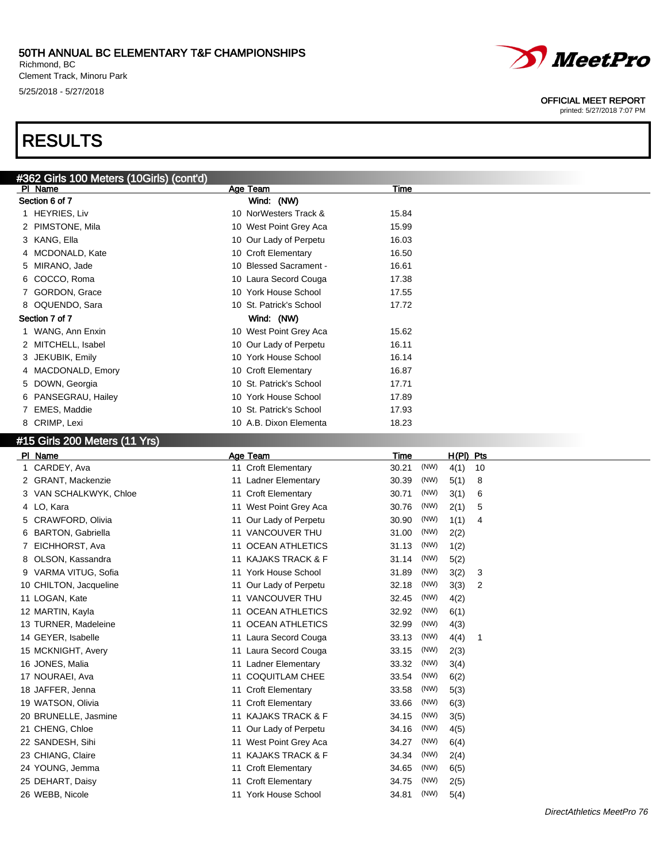Richmond, BC Clement Track, Minoru Park 5/25/2018 - 5/27/2018

# RESULTS



#### OFFICIAL MEET REPORT

printed: 5/27/2018 7:07 PM

### #15 Girls 200 Meters (11 Yrs)

|    | PI Name                  |    | Age Team               | <b>Time</b> |      | $H(PI)$ Pts |    |
|----|--------------------------|----|------------------------|-------------|------|-------------|----|
|    | 1 CARDEY, Ava            |    | 11 Croft Elementary    | 30.21       | (NW) | 4(1)        | 10 |
|    | 2 GRANT, Mackenzie       |    | 11 Ladner Elementary   | 30.39       | (NW) | 5(1)        | 8  |
|    | 3 VAN SCHALKWYK, Chloe   |    | 11 Croft Elementary    | 30.71       | (NW) | 3(1)        | 6  |
|    | 4 LO, Kara               |    | 11 West Point Grey Aca | 30.76       | (NW) | 2(1)        | 5  |
| 5. | <b>CRAWFORD, Olivia</b>  |    | 11 Our Lady of Perpetu | 30.90       | (NW) | 1(1)        | 4  |
| 6. | <b>BARTON, Gabriella</b> |    | 11 VANCOUVER THU       | 31.00       | (NW) | 2(2)        |    |
|    | EICHHORST, Ava           | 11 | <b>OCEAN ATHLETICS</b> | 31.13       | (NW) | 1(2)        |    |
|    | 8 OLSON, Kassandra       |    | 11 KAJAKS TRACK & F    | 31.14       | (NW) | 5(2)        |    |
|    | 9 VARMA VITUG, Sofia     |    | 11 York House School   | 31.89       | (NW) | 3(2)        | 3  |
|    | 10 CHILTON, Jacqueline   |    | 11 Our Lady of Perpetu | 32.18       | (NW) | 3(3)        | 2  |
|    | 11 LOGAN, Kate           |    | 11 VANCOUVER THU       | 32.45       | (NW) | 4(2)        |    |
|    | 12 MARTIN, Kayla         | 11 | <b>OCEAN ATHLETICS</b> | 32.92       | (NW) | 6(1)        |    |
|    | 13 TURNER, Madeleine     |    | 11 OCEAN ATHLETICS     | 32.99       | (NW) | 4(3)        |    |
|    | 14 GEYER, Isabelle       |    | 11 Laura Secord Couga  | 33.13       | (NW) | 4(4)        | 1  |
|    | 15 MCKNIGHT, Avery       |    | 11 Laura Secord Couga  | 33.15       | (NW) | 2(3)        |    |
|    | 16 JONES, Malia          |    | 11 Ladner Elementary   | 33.32       | (NW) | 3(4)        |    |
|    | 17 NOURAEI, Ava          | 11 | <b>COQUITLAM CHEE</b>  | 33.54       | (NW) | 6(2)        |    |
|    | 18 JAFFER, Jenna         |    | 11 Croft Elementary    | 33.58       | (NW) | 5(3)        |    |
|    | 19 WATSON, Olivia        |    | 11 Croft Elementary    | 33.66       | (NW) | 6(3)        |    |
|    | 20 BRUNELLE, Jasmine     |    | 11 KAJAKS TRACK & F    | 34.15       | (NW) | 3(5)        |    |
|    | 21 CHENG, Chloe          |    | 11 Our Lady of Perpetu | 34.16       | (NW) | 4(5)        |    |
|    | 22 SANDESH, Sihi         | 11 | West Point Grey Aca    | 34.27       | (NW) | 6(4)        |    |
|    | 23 CHIANG, Claire        |    | 11 KAJAKS TRACK & F    | 34.34       | (NW) | 2(4)        |    |
|    | 24 YOUNG, Jemma          |    | 11 Croft Elementary    | 34.65       | (NW) | 6(5)        |    |
|    | 25 DEHART, Daisy         |    | 11 Croft Elementary    | 34.75       | (NW) | 2(5)        |    |
|    | 26 WEBB, Nicole          |    | 11 York House School   | 34.81       | (NW) | 5(4)        |    |
|    |                          |    |                        |             |      |             |    |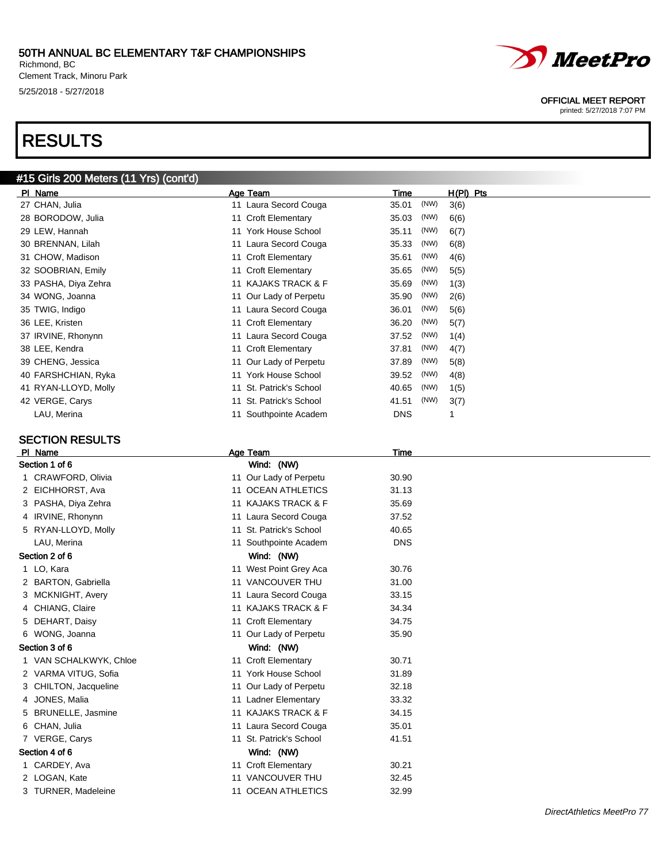Richmond, BC Clement Track, Minoru Park 5/25/2018 - 5/27/2018

# RESULTS

#### #15 Girls 200 Meters (11 Yrs) (cont'd)

| PI.<br>Name          | Age Team               | Time          | $H(PI)$ Pts |
|----------------------|------------------------|---------------|-------------|
| 27 CHAN, Julia       | 11 Laura Secord Couga  | (NW)<br>35.01 | 3(6)        |
| 28 BORODOW, Julia    | 11 Croft Elementary    | (NW)<br>35.03 | 6(6)        |
| 29 LEW, Hannah       | 11 York House School   | (NW)<br>35.11 | 6(7)        |
| 30 BRENNAN, Lilah    | 11 Laura Secord Couga  | (NW)<br>35.33 | 6(8)        |
| 31 CHOW, Madison     | 11 Croft Elementary    | (NW)<br>35.61 | 4(6)        |
| 32 SOOBRIAN, Emily   | 11 Croft Elementary    | (NW)<br>35.65 | 5(5)        |
| 33 PASHA, Diya Zehra | 11 KAJAKS TRACK & F    | (NW)<br>35.69 | 1(3)        |
| 34 WONG, Joanna      | 11 Our Lady of Perpetu | (NW)<br>35.90 | 2(6)        |
| 35 TWIG, Indigo      | 11 Laura Secord Couga  | (NW)<br>36.01 | 5(6)        |
| 36 LEE, Kristen      | 11 Croft Elementary    | (NW)<br>36.20 | 5(7)        |
| 37 IRVINE, Rhonynn   | 11 Laura Secord Couga  | (NW)<br>37.52 | 1(4)        |
| 38 LEE, Kendra       | 11 Croft Elementary    | (NW)<br>37.81 | 4(7)        |
| 39 CHENG, Jessica    | 11 Our Lady of Perpetu | (NW)<br>37.89 | 5(8)        |
| 40 FARSHCHIAN, Ryka  | 11 York House School   | (NW)<br>39.52 | 4(8)        |
| 41 RYAN-LLOYD, Molly | St. Patrick's School   | (NW)<br>40.65 | 1(5)        |
| 42 VERGE, Carys      | St. Patrick's School   | (NW)<br>41.51 | 3(7)        |
| LAU, Merina          | 11 Southpointe Academ  | <b>DNS</b>    |             |

### SECTION RESULTS

|                | PI Name                | Age Team                | Time       |
|----------------|------------------------|-------------------------|------------|
| Section 1 of 6 |                        | Wind: (NW)              |            |
|                | 1 CRAWFORD, Olivia     | 11 Our Lady of Perpetu  | 30.90      |
|                | 2 EICHHORST, Ava       | 11 OCEAN ATHLETICS      | 31.13      |
|                | 3 PASHA, Diya Zehra    | 11 KAJAKS TRACK & F     | 35.69      |
|                | 4 IRVINE, Rhonynn      | 11 Laura Secord Couga   | 37.52      |
|                | 5 RYAN-LLOYD, Molly    | 11 St. Patrick's School | 40.65      |
|                | LAU, Merina            | 11 Southpointe Academ   | <b>DNS</b> |
|                | Section 2 of 6         | Wind: (NW)              |            |
|                | 1 LO, Kara             | 11 West Point Grey Aca  | 30.76      |
|                | 2 BARTON, Gabriella    | 11 VANCOUVER THU        | 31.00      |
|                | 3 MCKNIGHT, Avery      | 11 Laura Secord Couga   | 33.15      |
|                | 4 CHIANG, Claire       | 11 KAJAKS TRACK & F     | 34.34      |
|                | 5 DEHART, Daisy        | 11 Croft Elementary     | 34.75      |
|                | 6 WONG, Joanna         | 11 Our Lady of Perpetu  | 35.90      |
|                | Section 3 of 6         | Wind: (NW)              |            |
|                | 1 VAN SCHALKWYK, Chloe | 11 Croft Elementary     | 30.71      |
|                | 2 VARMA VITUG, Sofia   | 11 York House School    | 31.89      |
|                | 3 CHILTON, Jacqueline  | 11 Our Lady of Perpetu  | 32.18      |
|                | 4 JONES, Malia         | 11 Ladner Elementary    | 33.32      |
|                | 5 BRUNELLE, Jasmine    | 11 KAJAKS TRACK & F     | 34.15      |
|                | 6 CHAN, Julia          | 11 Laura Secord Couga   | 35.01      |
|                | 7 VERGE, Carys         | 11 St. Patrick's School | 41.51      |
|                | Section 4 of 6         | Wind: (NW)              |            |
|                | 1 CARDEY, Ava          | 11 Croft Elementary     | 30.21      |
|                | 2 LOGAN, Kate          | 11 VANCOUVER THU        | 32.45      |
|                | 3 TURNER, Madeleine    | 11 OCEAN ATHLETICS      | 32.99      |

*MeetPro* 

#### OFFICIAL MEET REPORT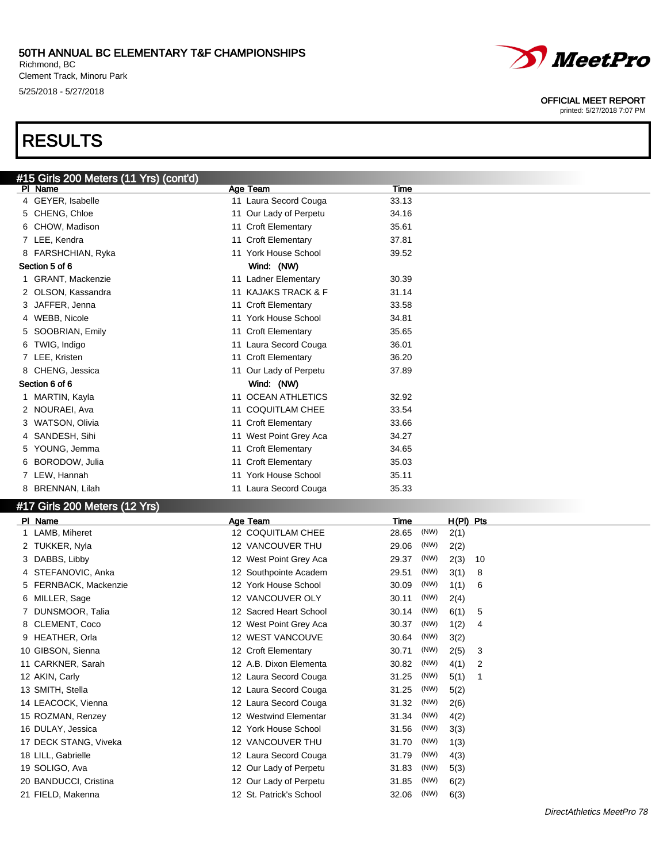Richmond, BC Clement Track, Minoru Park 5/25/2018 - 5/27/2018

# RESULTS



#### OFFICIAL MEET REPORT

| #15 Girls 200 Meters (11 Yrs) (cont'd)<br>Age Team<br>PI Name | Time                       |
|---------------------------------------------------------------|----------------------------|
|                                                               |                            |
| 4 GEYER, Isabelle<br>11 Laura Secord Couga                    | 33.13                      |
| 5 CHENG, Chloe<br>11 Our Lady of Perpetu                      | 34.16                      |
| 6 CHOW, Madison<br>11 Croft Elementary                        | 35.61                      |
| 11 Croft Elementary<br>7 LEE, Kendra                          | 37.81                      |
| 11 York House School<br>8 FARSHCHIAN, Ryka                    | 39.52                      |
| Section 5 of 6<br>Wind: (NW)                                  |                            |
| 1 GRANT, Mackenzie<br>11 Ladner Elementary                    | 30.39                      |
| 11 KAJAKS TRACK & F<br>2 OLSON, Kassandra                     | 31.14                      |
| 11 Croft Elementary<br>JAFFER, Jenna                          | 33.58                      |
| 11 York House School<br>4 WEBB, Nicole                        | 34.81                      |
| SOOBRIAN, Emily<br>11 Croft Elementary<br>5.                  | 35.65                      |
| TWIG, Indigo<br>11 Laura Secord Couga<br>6.                   | 36.01                      |
| 7 LEE, Kristen<br>11 Croft Elementary                         | 36.20                      |
| 8 CHENG, Jessica<br>11 Our Lady of Perpetu                    | 37.89                      |
| Section 6 of 6<br>Wind: (NW)                                  |                            |
| 11 OCEAN ATHLETICS<br>1 MARTIN, Kayla                         | 32.92                      |
| 11 COQUITLAM CHEE<br>2 NOURAEI, Ava                           | 33.54                      |
| 11 Croft Elementary<br><b>WATSON, Olivia</b>                  | 33.66                      |
| 4 SANDESH, Sihi<br>11 West Point Grey Aca                     | 34.27                      |
| 11 Croft Elementary<br>YOUNG, Jemma<br>5.                     | 34.65                      |
| 11 Croft Elementary<br>6 BORODOW, Julia                       | 35.03                      |
| 11 York House School<br>7 LEW, Hannah                         | 35.11                      |
| BRENNAN, Lilah<br>11 Laura Secord Couga<br>8                  | 35.33                      |
| #17 Girls 200 Meters (12 Yrs)                                 |                            |
| PI Name<br>Age Team                                           | $H(PI)$ Pts<br><b>Time</b> |
| 12 COQUITLAM CHEE<br>1 LAMB, Miheret                          | (NW)<br>28.65<br>2(1)      |
| 12 VANCOUVER THU<br>2 TUKKER, Nyla                            | (NW)<br>29.06<br>2(2)      |

| 2 TUKKER, Nyla        |     | 12 VANCOUVER THU          | 29.06 | (NW) | 2(2) |                |
|-----------------------|-----|---------------------------|-------|------|------|----------------|
| 3 DABBS, Libby        |     | 12 West Point Grey Aca    | 29.37 | (NW) | 2(3) | 10             |
| 4 STEFANOVIC, Anka    |     | 12 Southpointe Academ     | 29.51 | (NW) | 3(1) | 8              |
| 5 FERNBACK, Mackenzie |     | 12 York House School      | 30.09 | (NW) | 1(1) | 6              |
| 6 MILLER, Sage        |     | 12 VANCOUVER OLY          | 30.11 | (NW) | 2(4) |                |
| 7 DUNSMOOR, Talia     |     | 12 Sacred Heart School    | 30.14 | (NW) | 6(1) | 5              |
| 8 CLEMENT, Coco       |     | 12 West Point Grey Aca    | 30.37 | (NW) | 1(2) | 4              |
| 9 HEATHER, Orla       |     | <b>12 WEST VANCOUVE</b>   | 30.64 | (NW) | 3(2) |                |
| 10 GIBSON, Sienna     |     | 12 Croft Elementary       | 30.71 | (NW) | 2(5) | 3              |
| 11 CARKNER, Sarah     |     | 12 A.B. Dixon Elementa    | 30.82 | (NW) | 4(1) | $\overline{2}$ |
| 12 AKIN, Carly        |     | 12 Laura Secord Couga     | 31.25 | (NW) | 5(1) | 1              |
| 13 SMITH, Stella      |     | 12 Laura Secord Couga     | 31.25 | (NW) | 5(2) |                |
| 14 LEACOCK, Vienna    |     | 12 Laura Secord Couga     | 31.32 | (NW) | 2(6) |                |
| 15 ROZMAN, Renzey     | 12  | <b>Westwind Elementar</b> | 31.34 | (NW) | 4(2) |                |
| 16 DULAY, Jessica     |     | 12 York House School      | 31.56 | (NW) | 3(3) |                |
| 17 DECK STANG, Viveka | 12. | VANCOUVER THU             | 31.70 | (NW) | 1(3) |                |
| 18 LILL, Gabrielle    |     | 12 Laura Secord Couga     | 31.79 | (NW) | 4(3) |                |
| 19 SOLIGO, Ava        | 12  | Our Lady of Perpetu       | 31.83 | (NW) | 5(3) |                |
| 20 BANDUCCI, Cristina | 12  | Our Lady of Perpetu       | 31.85 | (NW) | 6(2) |                |
| 21 FIELD, Makenna     |     | 12 St. Patrick's School   | 32.06 | (NW) | 6(3) |                |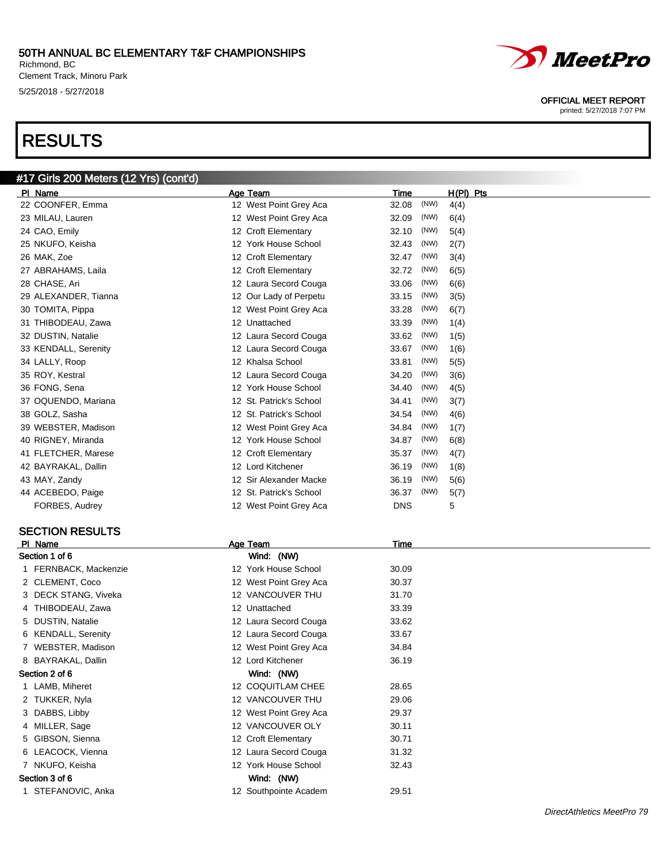Richmond, BC Clement Track, Minoru Park 5/25/2018 - 5/27/2018

#17 Girls 200 Meters (12 Yrs) (cont'd)

# RESULTS



#### OFFICIAL MEET REPORT

printed: 5/27/2018 7:07 PM

| PI Name              | Age Team                | Time          | H(PI) Pts |
|----------------------|-------------------------|---------------|-----------|
| 22 COONFER, Emma     | 12 West Point Grey Aca  | (NW)<br>32.08 | 4(4)      |
| 23 MILAU, Lauren     | 12 West Point Grey Aca  | 32.09<br>(NW) | 6(4)      |
| 24 CAO, Emily        | 12 Croft Elementary     | (NW)<br>32.10 | 5(4)      |
| 25 NKUFO, Keisha     | 12 York House School    | (NW)<br>32.43 | 2(7)      |
| 26 MAK, Zoe          | 12 Croft Elementary     | (NW)<br>32.47 | 3(4)      |
| 27 ABRAHAMS, Laila   | 12 Croft Elementary     | (NW)<br>32.72 | 6(5)      |
| 28 CHASE, Ari        | 12 Laura Secord Couga   | (NW)<br>33.06 | 6(6)      |
| 29 ALEXANDER, Tianna | 12 Our Lady of Perpetu  | (NW)<br>33.15 | 3(5)      |
| 30 TOMITA, Pippa     | 12 West Point Grey Aca  | (NW)<br>33.28 | 6(7)      |
| 31 THIBODEAU, Zawa   | 12 Unattached           | (NW)<br>33.39 | 1(4)      |
| 32 DUSTIN, Natalie   | 12 Laura Secord Couga   | (NW)<br>33.62 | 1(5)      |
| 33 KENDALL, Serenity | 12 Laura Secord Couga   | (NW)<br>33.67 | 1(6)      |
| 34 LALLY, Roop       | 12 Khalsa School        | (NW)<br>33.81 | 5(5)      |
| 35 ROY, Kestral      | 12 Laura Secord Couga   | 34.20<br>(NW) | 3(6)      |
| 36 FONG, Sena        | 12 York House School    | (NW)<br>34.40 | 4(5)      |
| 37 OQUENDO, Mariana  | 12 St. Patrick's School | (NW)<br>34.41 | 3(7)      |
| 38 GOLZ, Sasha       | 12 St. Patrick's School | (NW)<br>34.54 | 4(6)      |
| 39 WEBSTER, Madison  | 12 West Point Grey Aca  | (NW)<br>34.84 | 1(7)      |
| 40 RIGNEY, Miranda   | 12 York House School    | (NW)<br>34.87 | 6(8)      |
| 41 FLETCHER, Marese  | 12 Croft Elementary     | (NW)<br>35.37 | 4(7)      |
| 42 BAYRAKAL, Dallin  | 12 Lord Kitchener       | (NW)<br>36.19 | 1(8)      |
| 43 MAY, Zandy        | 12 Sir Alexander Macke  | 36.19<br>(NW) | 5(6)      |
| 44 ACEBEDO, Paige    | 12 St. Patrick's School | (NW)<br>36.37 | 5(7)      |
| FORBES, Audrey       | 12 West Point Grey Aca  | <b>DNS</b>    | 5         |

#### SECTION RESULTS

| PI Name               | Age Team               | Time  |  |
|-----------------------|------------------------|-------|--|
| Section 1 of 6        | Wind: (NW)             |       |  |
| 1 FERNBACK, Mackenzie | 12 York House School   | 30.09 |  |
| 2 CLEMENT, Coco       | 12 West Point Grey Aca | 30.37 |  |
| 3 DECK STANG, Viveka  | 12 VANCOUVER THU       | 31.70 |  |
| 4 THIBODEAU, Zawa     | 12 Unattached          | 33.39 |  |
| 5 DUSTIN, Natalie     | 12 Laura Secord Couga  | 33.62 |  |
| 6 KENDALL, Serenity   | 12 Laura Secord Couga  | 33.67 |  |
| 7 WEBSTER, Madison    | 12 West Point Grey Aca | 34.84 |  |
| 8 BAYRAKAL, Dallin    | 12 Lord Kitchener      | 36.19 |  |
| Section 2 of 6        | Wind: (NW)             |       |  |
| 1 LAMB, Miheret       | 12 COQUITLAM CHEE      | 28.65 |  |
| 2 TUKKER, Nyla        | 12 VANCOUVER THU       | 29.06 |  |
| 3 DABBS, Libby        | 12 West Point Grey Aca | 29.37 |  |
| 4 MILLER, Sage        | 12 VANCOUVER OLY       | 30.11 |  |
| 5 GIBSON, Sienna      | 12 Croft Elementary    | 30.71 |  |
| 6 LEACOCK, Vienna     | 12 Laura Secord Couga  | 31.32 |  |
| 7 NKUFO, Keisha       | 12 York House School   | 32.43 |  |
| Section 3 of 6        | Wind: (NW)             |       |  |
| 1 STEFANOVIC, Anka    | 12 Southpointe Academ  | 29.51 |  |
|                       |                        |       |  |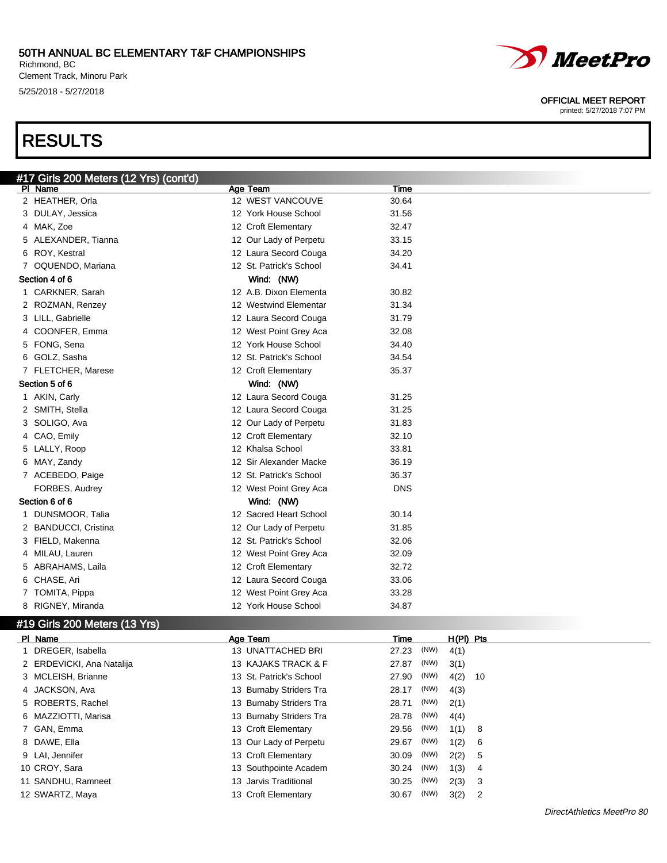Richmond, BC Clement Track, Minoru Park 5/25/2018 - 5/27/2018

# RESULTS



#### OFFICIAL MEET REPORT

| #17 Girls 200 Meters (12 Yrs) (cont'd) |                           |                    |
|----------------------------------------|---------------------------|--------------------|
| PI Name                                | Age Team                  | Time               |
| 2 HEATHER, Orla                        | 12 WEST VANCOUVE          | 30.64              |
| 3 DULAY, Jessica                       | 12 York House School      | 31.56              |
| 4 MAK, Zoe                             | 12 Croft Elementary       | 32.47              |
| 5 ALEXANDER, Tianna                    | 12 Our Lady of Perpetu    | 33.15              |
| 6 ROY, Kestral                         | 12 Laura Secord Couga     | 34.20              |
| 7 OQUENDO, Mariana                     | 12 St. Patrick's School   | 34.41              |
| Section 4 of 6                         | Wind: (NW)                |                    |
| 1 CARKNER, Sarah                       | 12 A.B. Dixon Elementa    | 30.82              |
| 2 ROZMAN, Renzey                       | 12 Westwind Elementar     | 31.34              |
| 3 LILL, Gabrielle                      | 12 Laura Secord Couga     | 31.79              |
| 4 COONFER, Emma                        | 12 West Point Grey Aca    | 32.08              |
| 5 FONG, Sena                           | 12 York House School      | 34.40              |
| 6 GOLZ, Sasha                          | 12 St. Patrick's School   | 34.54              |
| 7 FLETCHER, Marese                     | 12 Croft Elementary       | 35.37              |
| Section 5 of 6                         | Wind: (NW)                |                    |
| 1 AKIN, Carly                          | 12 Laura Secord Couga     | 31.25              |
| 2 SMITH, Stella                        | 12 Laura Secord Couga     | 31.25              |
| 3 SOLIGO, Ava                          | 12 Our Lady of Perpetu    | 31.83              |
| 4 CAO, Emily                           | 12 Croft Elementary       | 32.10              |
| 5 LALLY, Roop                          | 12 Khalsa School          | 33.81              |
| 6 MAY, Zandy                           | 12 Sir Alexander Macke    | 36.19              |
| 7 ACEBEDO, Paige                       | 12 St. Patrick's School   | 36.37              |
| FORBES, Audrey                         | 12 West Point Grey Aca    | <b>DNS</b>         |
| Section 6 of 6                         | Wind: (NW)                |                    |
| 1 DUNSMOOR, Talia                      | 12 Sacred Heart School    | 30.14              |
| 2 BANDUCCI, Cristina                   | 12 Our Lady of Perpetu    | 31.85              |
| 3 FIELD, Makenna                       | 12 St. Patrick's School   | 32.06              |
| 4 MILAU, Lauren                        | 12 West Point Grey Aca    | 32.09              |
| 5 ABRAHAMS, Laila                      | 12 Croft Elementary       | 32.72              |
| 6 CHASE, Ari                           | 12 Laura Secord Couga     | 33.06              |
| 7 TOMITA, Pippa                        | 12 West Point Grey Aca    | 33.28              |
| 8 RIGNEY, Miranda                      | 12 York House School      | 34.87              |
| #19 Girls 200 Meters (13 Yrs)          |                           |                    |
| PI Name                                | Age Team                  | H(PI) Pts<br>Time  |
| 1 DRECER Isobello                      | <b>12 IINATTACHED RDI</b> | 27.22 (NW)<br>A(1) |

| PI Name                   | Age leam                | l ime |      | H(PI) Pts |      |
|---------------------------|-------------------------|-------|------|-----------|------|
| 1 DREGER, Isabella        | 13 UNATTACHED BRI       | 27.23 | (NW) | 4(1)      |      |
| 2 ERDEVICKI, Ana Natalija | 13 KAJAKS TRACK & F     | 27.87 | (NW) | 3(1)      |      |
| 3 MCLEISH, Brianne        | 13 St. Patrick's School | 27.90 | (NW) | 4(2)      | - 10 |
| 4 JACKSON, Ava            | 13 Burnaby Striders Tra | 28.17 | (NW) | 4(3)      |      |
| 5 ROBERTS, Rachel         | 13 Burnaby Striders Tra | 28.71 | (NW) | 2(1)      |      |
| 6 MAZZIOTTI, Marisa       | 13 Burnaby Striders Tra | 28.78 | (NW) | 4(4)      |      |
| 7 GAN, Emma               | 13 Croft Elementary     | 29.56 | (NW) | 1(1) 8    |      |
| 8 DAWE, Ella              | 13 Our Lady of Perpetu  | 29.67 | (NW) | 1(2) 6    |      |
| 9 LAI, Jennifer           | 13 Croft Elementary     | 30.09 | (NW) | 2(2) 5    |      |
| 10 CROY, Sara             | 13 Southpointe Academ   | 30.24 | (NW) | 1(3) 4    |      |
| 11 SANDHU, Ramneet        | 13 Jarvis Traditional   | 30.25 | (NW) | $2(3)$ 3  |      |
| 12 SWARTZ, Maya           | 13 Croft Elementary     | 30.67 | (NW) | 3(2)      | -2   |
|                           |                         |       |      |           |      |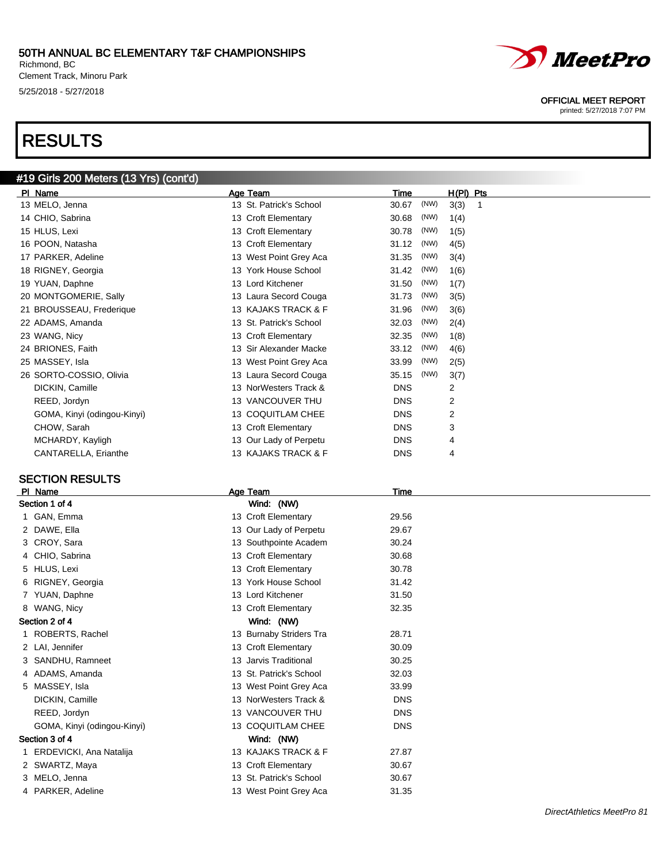Richmond, BC Clement Track, Minoru Park 5/25/2018 - 5/27/2018

# RESULTS

### #19 Girls 200 Meters (13 Yrs) (cont'd)

| PI Name                     | Age Team                | Time          | $H(PI)$ Pts |
|-----------------------------|-------------------------|---------------|-------------|
| 13 MELO, Jenna              | 13 St. Patrick's School | (NW)<br>30.67 | 3(3)        |
| 14 CHIO, Sabrina            | 13 Croft Elementary     | (NW)<br>30.68 | 1(4)        |
| 15 HLUS, Lexi               | 13 Croft Elementary     | (NW)<br>30.78 | 1(5)        |
| 16 POON, Natasha            | 13 Croft Elementary     | (NW)<br>31.12 | 4(5)        |
| 17 PARKER, Adeline          | 13 West Point Grey Aca  | (NW)<br>31.35 | 3(4)        |
| 18 RIGNEY, Georgia          | 13 York House School    | (NW)<br>31.42 | 1(6)        |
| 19 YUAN, Daphne             | 13 Lord Kitchener       | (NW)<br>31.50 | 1(7)        |
| 20 MONTGOMERIE, Sally       | 13 Laura Secord Couga   | (NW)<br>31.73 | 3(5)        |
| 21 BROUSSEAU, Frederique    | 13 KAJAKS TRACK & F     | (NW)<br>31.96 | 3(6)        |
| 22 ADAMS, Amanda            | 13 St. Patrick's School | (NW)<br>32.03 | 2(4)        |
| 23 WANG, Nicy               | 13 Croft Elementary     | (NW)<br>32.35 | 1(8)        |
| 24 BRIONES, Faith           | 13 Sir Alexander Macke  | (NW)<br>33.12 | 4(6)        |
| 25 MASSEY, Isla             | 13 West Point Grey Aca  | (NW)<br>33.99 | 2(5)        |
| 26 SORTO-COSSIO, Olivia     | 13 Laura Secord Couga   | (NW)<br>35.15 | 3(7)        |
| DICKIN, Camille             | 13 NorWesters Track &   | <b>DNS</b>    | 2           |
| REED, Jordyn                | 13 VANCOUVER THU        | <b>DNS</b>    | 2           |
| GOMA, Kinyi (odingou-Kinyi) | 13 COQUITLAM CHEE       | <b>DNS</b>    | 2           |
| CHOW, Sarah                 | 13 Croft Elementary     | <b>DNS</b>    | 3           |
| MCHARDY, Kayligh            | 13 Our Lady of Perpetu  | <b>DNS</b>    | 4           |
| CANTARELLA, Erianthe        | 13 KAJAKS TRACK & F     | <b>DNS</b>    | 4           |
|                             |                         |               |             |

#### SECTION RESULTS

| <b>PI</b> | Name                        | Age Team                | Time       |
|-----------|-----------------------------|-------------------------|------------|
|           | Section 1 of 4              | Wind: (NW)              |            |
|           | 1 GAN, Emma                 | 13 Croft Elementary     | 29.56      |
|           | 2 DAWE, Ella                | 13 Our Lady of Perpetu  | 29.67      |
|           | 3 CROY, Sara                | 13 Southpointe Academ   | 30.24      |
|           | 4 CHIO, Sabrina             | 13 Croft Elementary     | 30.68      |
|           | 5 HLUS, Lexi                | 13 Croft Elementary     | 30.78      |
|           | 6 RIGNEY, Georgia           | 13 York House School    | 31.42      |
|           | 7 YUAN, Daphne              | 13 Lord Kitchener       | 31.50      |
|           | 8 WANG, Nicy                | 13 Croft Elementary     | 32.35      |
|           | Section 2 of 4              | Wind: (NW)              |            |
|           | 1 ROBERTS, Rachel           | 13 Burnaby Striders Tra | 28.71      |
|           | 2 LAI, Jennifer             | 13 Croft Elementary     | 30.09      |
|           | 3 SANDHU, Ramneet           | 13 Jarvis Traditional   | 30.25      |
|           | 4 ADAMS, Amanda             | 13 St. Patrick's School | 32.03      |
|           | 5 MASSEY, Isla              | 13 West Point Grey Aca  | 33.99      |
|           | DICKIN, Camille             | 13 NorWesters Track &   | <b>DNS</b> |
|           | REED, Jordyn                | 13 VANCOUVER THU        | <b>DNS</b> |
|           | GOMA, Kinyi (odingou-Kinyi) | 13 COQUITLAM CHEE       | <b>DNS</b> |
|           | Section 3 of 4              | Wind: (NW)              |            |
|           | 1 ERDEVICKI, Ana Natalija   | 13 KAJAKS TRACK & F     | 27.87      |
|           | 2 SWARTZ, Maya              | 13 Croft Elementary     | 30.67      |
|           | 3 MELO, Jenna               | 13 St. Patrick's School | 30.67      |
|           | 4 PARKER, Adeline           | 13 West Point Grey Aca  | 31.35      |
|           |                             |                         |            |



#### OFFICIAL MEET REPORT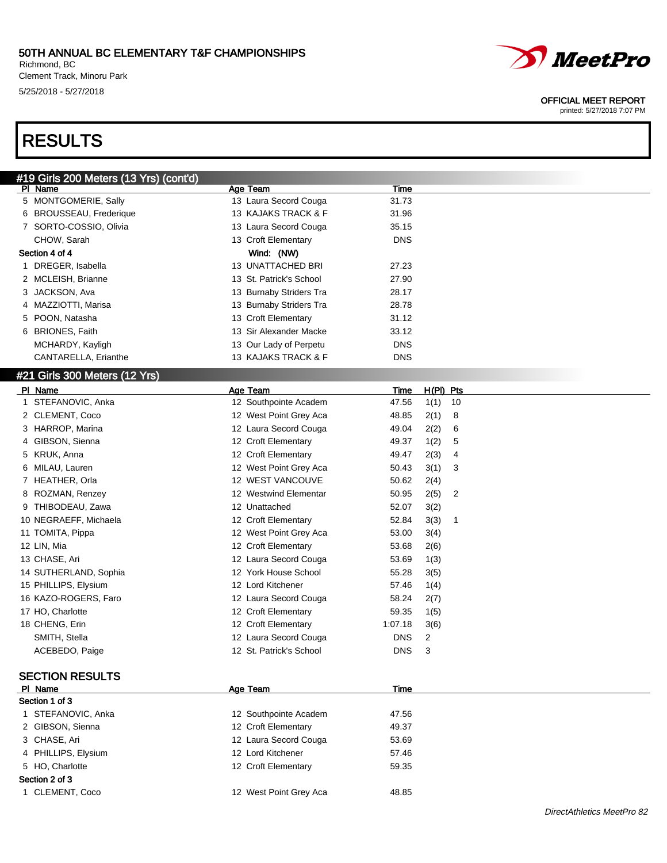Richmond, BC Clement Track, Minoru Park 5/25/2018 - 5/27/2018

# RESULTS

#### OFFICIAL MEET REPORT

| #19 Girls 200 Meters (13 Yrs) (cont'd) |                         |                                 |
|----------------------------------------|-------------------------|---------------------------------|
| PI Name                                | Age Team                | Time                            |
| 5 MONTGOMERIE, Sally                   | 13 Laura Secord Couga   | 31.73                           |
| 6 BROUSSEAU, Frederique                | 13 KAJAKS TRACK & F     | 31.96                           |
| 7 SORTO-COSSIO, Olivia                 | 13 Laura Secord Couga   | 35.15                           |
| CHOW, Sarah                            | 13 Croft Elementary     | <b>DNS</b>                      |
| Section 4 of 4                         | Wind: (NW)              |                                 |
| 1 DREGER, Isabella                     | 13 UNATTACHED BRI       | 27.23                           |
| 2 MCLEISH, Brianne                     | 13 St. Patrick's School | 27.90                           |
| 3 JACKSON, Ava                         | 13 Burnaby Striders Tra | 28.17                           |
| 4 MAZZIOTTI, Marisa                    | 13 Burnaby Striders Tra | 28.78                           |
| 5 POON, Natasha                        | 13 Croft Elementary     | 31.12                           |
| 6 BRIONES, Faith                       | 13 Sir Alexander Macke  | 33.12                           |
|                                        | 13 Our Lady of Perpetu  | <b>DNS</b>                      |
| MCHARDY, Kayligh                       |                         |                                 |
| CANTARELLA, Erianthe                   | 13 KAJAKS TRACK & F     | <b>DNS</b>                      |
| #21 Girls 300 Meters (12 Yrs)          |                         |                                 |
| PI Name                                | Age Team                | H(PI) Pts<br><u>Time</u>        |
| 1 STEFANOVIC, Anka                     | 12 Southpointe Academ   | 47.56<br>1(1)<br>10             |
| 2 CLEMENT, Coco                        | 12 West Point Grey Aca  | 2(1)<br>8<br>48.85              |
| 3 HARROP, Marina                       | 12 Laura Secord Couga   | 2(2)<br>49.04<br>6              |
| GIBSON, Sienna<br>4                    | 12 Croft Elementary     | 1(2)<br>5<br>49.37              |
| 5 KRUK, Anna                           | 12 Croft Elementary     | 2(3)<br>49.47<br>4              |
| MILAU, Lauren<br>6                     | 12 West Point Grey Aca  | 3(1)<br>50.43<br>3              |
| 7 HEATHER, Orla                        | 12 WEST VANCOUVE        | 2(4)<br>50.62                   |
| ROZMAN, Renzey<br>8                    | 12 Westwind Elementar   | 50.95<br>2(5)<br>$\overline{2}$ |
| THIBODEAU, Zawa<br>9                   | 12 Unattached           | 3(2)<br>52.07                   |
| 10 NEGRAEFF, Michaela                  | 12 Croft Elementary     | 3(3)<br>52.84<br>$\mathbf 1$    |
| 11 TOMITA, Pippa                       | 12 West Point Grey Aca  | 3(4)<br>53.00                   |
| 12 LIN, Mia                            | 12 Croft Elementary     | 2(6)<br>53.68                   |
| 13 CHASE, Ari                          | 12 Laura Secord Couga   |                                 |
|                                        | 12 York House School    | 1(3)<br>53.69<br>55.28          |
| 14 SUTHERLAND, Sophia                  |                         | 3(5)                            |
| 15 PHILLIPS, Elysium                   | 12 Lord Kitchener       | 1(4)<br>57.46                   |
| 16 KAZO-ROGERS, Faro                   | 12 Laura Secord Couga   | 58.24<br>2(7)                   |
| 17 HO, Charlotte                       | 12 Croft Elementary     | 59.35<br>1(5)                   |
| 18 CHENG, Erin                         | 12 Croft Elementary     | 1:07.18<br>3(6)                 |
| SMITH, Stella                          | 12 Laura Secord Couga   | <b>DNS</b><br>2                 |
| ACEBEDO, Paige                         | 12 St. Patrick's School | 3<br><b>DNS</b>                 |
|                                        |                         |                                 |
| <b>SECTION RESULTS</b>                 |                         |                                 |
| PI Name                                | Age Team                | Time                            |
| Section 1 of 3                         |                         |                                 |
| 1 STEFANOVIC, Anka                     | 12 Southpointe Academ   | 47.56                           |
| 2 GIBSON, Sienna                       | 12 Croft Elementary     | 49.37                           |
| 3 CHASE, Ari                           | 12 Laura Secord Couga   | 53.69                           |
| 4 PHILLIPS, Elysium                    | 12 Lord Kitchener       | 57.46                           |
| 5 HO, Charlotte                        | 12 Croft Elementary     | 59.35                           |
| Section 2 of 3                         |                         |                                 |
| 1 CLEMENT, Coco                        | 12 West Point Grey Aca  | 48.85                           |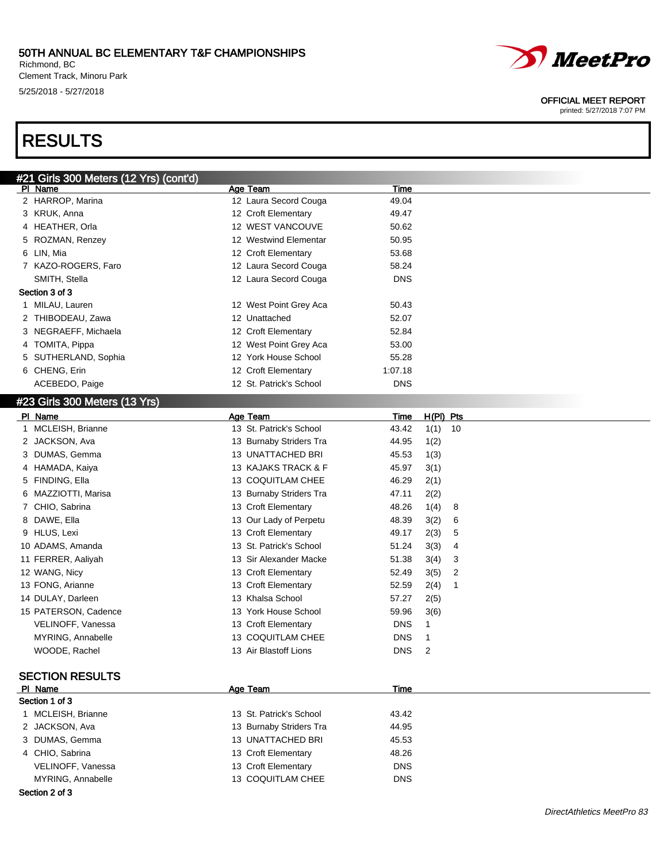#### 50TH ANNUAL BC ELEMENTARY T&F CHAMPIONSHIPS Richmond, BC

Clement Track, Minoru Park 5/25/2018 - 5/27/2018



#### OFFICIAL MEET REPORT

printed: 5/27/2018 7:07 PM

# RESULTS

| <u>#21 Girls </u> 300 Meters (12 Yrs) (cont'd) |                         |            |  |  |  |
|------------------------------------------------|-------------------------|------------|--|--|--|
| PI Name                                        | Age Team                | Time       |  |  |  |
| 2 HARROP, Marina                               | 12 Laura Secord Couga   | 49.04      |  |  |  |
| 3 KRUK, Anna                                   | 12 Croft Elementary     | 49.47      |  |  |  |
| 4 HEATHER, Orla                                | 12 WEST VANCOUVE        | 50.62      |  |  |  |
| 5 ROZMAN, Renzey                               | 12 Westwind Elementar   | 50.95      |  |  |  |
| 6 LIN, Mia                                     | 12 Croft Elementary     | 53.68      |  |  |  |
| 7 KAZO-ROGERS, Faro                            | 12 Laura Secord Couga   | 58.24      |  |  |  |
| SMITH, Stella                                  | 12 Laura Secord Couga   | <b>DNS</b> |  |  |  |
| Section 3 of 3                                 |                         |            |  |  |  |
| 1 MILAU, Lauren                                | 12 West Point Grey Aca  | 50.43      |  |  |  |
| 2 THIBODEAU, Zawa                              | 12 Unattached           | 52.07      |  |  |  |
| 3 NEGRAEFF, Michaela                           | 12 Croft Elementary     | 52.84      |  |  |  |
| 4 TOMITA, Pippa                                | 12 West Point Grey Aca  | 53.00      |  |  |  |
| 5 SUTHERLAND, Sophia                           | 12 York House School    | 55.28      |  |  |  |
| 6 CHENG, Erin                                  | 12 Croft Elementary     | 1:07.18    |  |  |  |
| ACEBEDO, Paige                                 | 12 St. Patrick's School | <b>DNS</b> |  |  |  |
| #23 Girls 300 Meters (13 Yrs)                  |                         |            |  |  |  |

#### PI Name **Age Team Age Team** Time H(PI) Pts 1 MCLEISH, Brianne 13 St. Patrick's School 43.42 1(1) 10 2 JACKSON, Ava 13 Burnaby Striders Tra 144.95 1(2) 3 DUMAS, Gemma 13 UNATTACHED BRI 45.53 1(3) 4 HAMADA, Kaiya 13 KAJAKS TRACK & F 45.97 3(1) 5 FINDING, Ella 13 COQUITLAM CHEE 46.29 2(1) 6 MAZZIOTTI, Marisa 13 Burnaby Striders Tra 47.11 2(2) 7 CHIO, Sabrina 13 Croft Elementary 48.26 1(4) 8 8 DAWE, Ella 13 Our Lady of Perpetu 48.39 3(2) 6 9 HLUS, Lexi 13 Croft Elementary 49.17 2(3) 5 10 ADAMS, Amanda 13 St. Patrick's School 51.24 3(3) 4 11 FERRER, Aaliyah 13 Sir Alexander Macke 51.38 3(4) 3 12 WANG, Nicy 13 Croft Elementary 52.49 3(5) 2 13 FONG, Arianne 13 Croft Elementary 13 Croft Elementary 52.59 2(4) 1 14 DULAY, Darleen 13 Khalsa School 57.27 2(5) 15 PATERSON, Cadence 13 York House School 59.96 3(6) VELINOFF, Vanessa 13 Croft Elementary DNS 1 MYRING, Annabelle 13 COQUITLAM CHEE DNS 1 WOODE, Rachel 2008 13 Air Blastoff Lions 2009 13 Air Blastoff Lions 2009 13 Air Blastoff Lions

#### SECTION RESULTS

| PI Name            | Age Team                | Time       |  |  |  |  |
|--------------------|-------------------------|------------|--|--|--|--|
| Section 1 of 3     |                         |            |  |  |  |  |
| 1 MCLEISH, Brianne | 13 St. Patrick's School | 43.42      |  |  |  |  |
| 2 JACKSON, Ava     | 13 Burnaby Striders Tra | 44.95      |  |  |  |  |
| 3 DUMAS, Gemma     | 13 UNATTACHED BRI       | 45.53      |  |  |  |  |
| 4 CHIO, Sabrina    | 13 Croft Elementary     | 48.26      |  |  |  |  |
| VELINOFF, Vanessa  | 13 Croft Elementary     | <b>DNS</b> |  |  |  |  |
| MYRING, Annabelle  | 13 COQUITLAM CHEE       | <b>DNS</b> |  |  |  |  |
| - - - - -          |                         |            |  |  |  |  |

#### Section 2 of 3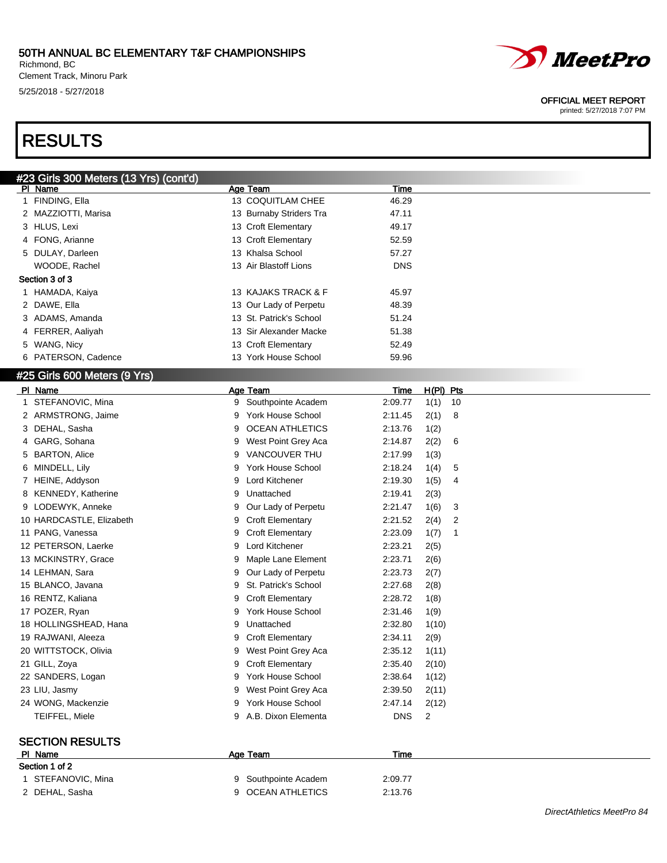Richmond, BC Clement Track, Minoru Park 5/25/2018 - 5/27/2018





#### OFFICIAL MEET REPORT

| #23 Girls 300 Meters (13 Yrs) (cont'd) |                               |                                 |
|----------------------------------------|-------------------------------|---------------------------------|
| PI Name                                | Age Team                      | Time                            |
| 1 FINDING, Ella                        | 13 COQUITLAM CHEE             | 46.29                           |
| 2 MAZZIOTTI, Marisa                    | 13 Burnaby Striders Tra       | 47.11                           |
| 3 HLUS, Lexi                           | 13 Croft Elementary           | 49.17                           |
| FONG, Arianne<br>4                     | 13 Croft Elementary           | 52.59                           |
| 5 DULAY, Darleen                       | 13 Khalsa School              | 57.27                           |
| WOODE, Rachel                          | 13 Air Blastoff Lions         | <b>DNS</b>                      |
| Section 3 of 3                         |                               |                                 |
| 1 HAMADA, Kaiya                        | 13 KAJAKS TRACK & F           | 45.97                           |
| 2 DAWE, Ella                           | 13 Our Lady of Perpetu        | 48.39                           |
| 3 ADAMS, Amanda                        | 13 St. Patrick's School       | 51.24                           |
| FERRER, Aaliyah<br>4                   | 13 Sir Alexander Macke        | 51.38                           |
| 5 WANG, Nicy                           | 13 Croft Elementary           | 52.49                           |
| 6 PATERSON, Cadence                    | 13 York House School          | 59.96                           |
|                                        |                               |                                 |
| #25 Girls 600 Meters (9 Yrs)           |                               |                                 |
| PI Name                                | Age Team                      | <u>H(PI) Pts</u><br><u>Time</u> |
| 1 STEFANOVIC, Mina                     | 9 Southpointe Academ          | 2:09.77<br>1(1)<br>10           |
| 2 ARMSTRONG, Jaime                     | York House School<br>9        | 8<br>2:11.45<br>2(1)            |
| 3 DEHAL, Sasha                         | <b>OCEAN ATHLETICS</b><br>9   | 2:13.76<br>1(2)                 |
| 4 GARG, Sohana                         | West Point Grey Aca<br>9      | 6<br>2:14.87<br>2(2)            |
| 5 BARTON, Alice                        | VANCOUVER THU<br>9            | 2:17.99<br>1(3)                 |
| 6 MINDELL, Lily                        | York House School<br>9        | 5<br>2:18.24<br>1(4)            |
| 7 HEINE, Addyson                       | Lord Kitchener<br>9           | 2:19.30<br>1(5)<br>4            |
| 8 KENNEDY, Katherine                   | Unattached<br>9               | 2:19.41<br>2(3)                 |
| 9 LODEWYK, Anneke                      | Our Lady of Perpetu<br>9      | 2:21.47<br>1(6)<br>3            |
| 10 HARDCASTLE, Elizabeth               | <b>Croft Elementary</b><br>9  | 2:21.52<br>2(4)<br>2            |
| 11 PANG, Vanessa                       | <b>Croft Elementary</b><br>9  | 2:23.09<br>1(7)<br>1            |
| 12 PETERSON, Laerke                    | Lord Kitchener<br>9           | 2:23.21<br>2(5)                 |
| 13 MCKINSTRY, Grace                    | Maple Lane Element<br>9       | 2:23.71<br>2(6)                 |
| 14 LEHMAN, Sara                        | Our Lady of Perpetu<br>9      | 2:23.73<br>2(7)                 |
| 15 BLANCO, Javana                      | St. Patrick's School<br>9     | 2:27.68<br>2(8)                 |
| 16 RENTZ, Kaliana                      | <b>Croft Elementary</b><br>9  | 2:28.72<br>1(8)                 |
| 17 POZER, Ryan                         | <b>York House School</b><br>9 | 2:31.46<br>1(9)                 |
| 18 HOLLINGSHEAD, Hana                  | Unattached<br>9               | 2:32.80<br>1(10)                |
| 19 RAJWANI, Aleeza                     | <b>Croft Elementary</b><br>9  | 2:34.11<br>2(9)                 |
| 20 WITTSTOCK, Olivia                   | 9 West Point Grey Aca         | 2:35.12<br>1(11)                |
| 21 GILL, Zoya                          | <b>Croft Elementary</b><br>9  | 2:35.40<br>2(10)                |
| 22 SANDERS, Logan                      | 9 York House School           | 2:38.64<br>1(12)                |
| 23 LIU, Jasmy                          | West Point Grey Aca<br>9      | 2(11)<br>2:39.50                |
| 24 WONG, Mackenzie                     | 9 York House School           | 2:47.14<br>2(12)                |
| TEIFFEL, Miele                         | 9 A.B. Dixon Elementa         | <b>DNS</b><br>$\overline{c}$    |
|                                        |                               |                                 |
| <b>SECTION RESULTS</b>                 |                               |                                 |
| PI Name                                | Age Team                      | Time                            |
| Section 1 of 2                         |                               |                                 |
| 1 STEFANOVIC, Mina                     | Southpointe Academ<br>9       | 2:09.77                         |
| 2 DEHAL, Sasha                         | 9 OCEAN ATHLETICS             | 2:13.76                         |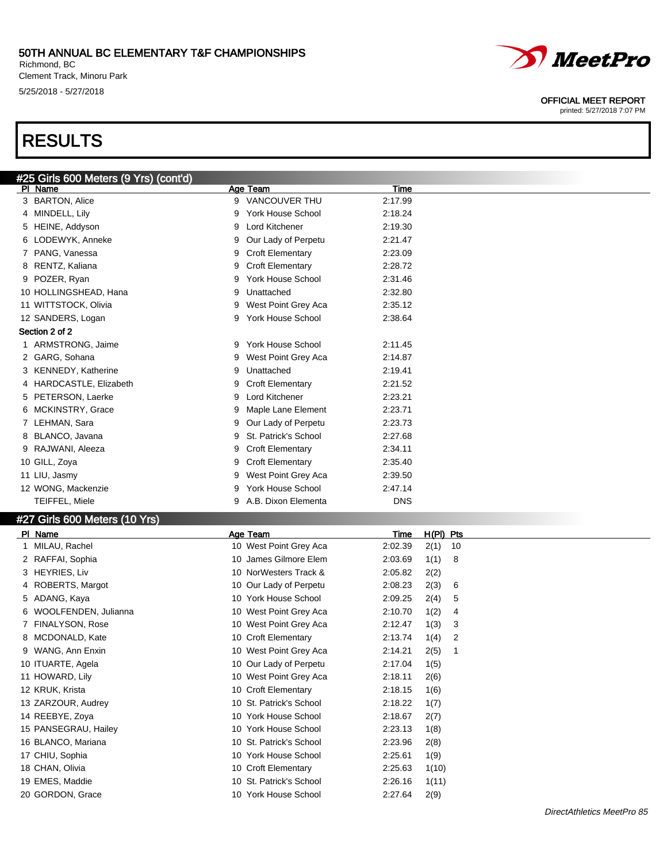#### 50TH ANNUAL BC ELEMENTARY T&F CHAMPIONSHIPS Richmond, BC

Clement Track, Minoru Park 5/25/2018 - 5/27/2018

#25 Girls 600 Meters (9 Yrs) (cont'd)

# RESULTS

| PI Name                       |   | Age Team                 | Time       |             |    |
|-------------------------------|---|--------------------------|------------|-------------|----|
| 3 BARTON, Alice               |   | 9 VANCOUVER THU          | 2:17.99    |             |    |
| 4 MINDELL, Lily               | 9 | <b>York House School</b> | 2:18.24    |             |    |
| 5 HEINE, Addyson              | 9 | Lord Kitchener           | 2:19.30    |             |    |
| 6 LODEWYK, Anneke             | 9 | Our Lady of Perpetu      | 2:21.47    |             |    |
| 7 PANG, Vanessa               | 9 | <b>Croft Elementary</b>  | 2:23.09    |             |    |
| 8 RENTZ, Kaliana              | 9 | <b>Croft Elementary</b>  | 2:28.72    |             |    |
| 9 POZER, Ryan                 | 9 | <b>York House School</b> | 2:31.46    |             |    |
| 10 HOLLINGSHEAD, Hana         | 9 | Unattached               | 2:32.80    |             |    |
| 11 WITTSTOCK, Olivia          | 9 | West Point Grey Aca      | 2:35.12    |             |    |
| 12 SANDERS, Logan             | 9 | York House School        | 2:38.64    |             |    |
| Section 2 of 2                |   |                          |            |             |    |
| 1 ARMSTRONG, Jaime            | 9 | <b>York House School</b> | 2:11.45    |             |    |
| 2 GARG, Sohana                | 9 | West Point Grey Aca      | 2:14.87    |             |    |
| 3 KENNEDY, Katherine          | 9 | Unattached               | 2:19.41    |             |    |
| 4 HARDCASTLE, Elizabeth       | 9 | <b>Croft Elementary</b>  | 2:21.52    |             |    |
| 5 PETERSON, Laerke            | 9 | Lord Kitchener           | 2:23.21    |             |    |
| 6 MCKINSTRY, Grace            | 9 | Maple Lane Element       | 2:23.71    |             |    |
| 7 LEHMAN, Sara                | 9 | Our Lady of Perpetu      | 2:23.73    |             |    |
| 8 BLANCO, Javana              | 9 | St. Patrick's School     | 2:27.68    |             |    |
| 9 RAJWANI, Aleeza             | 9 | <b>Croft Elementary</b>  | 2:34.11    |             |    |
| 10 GILL, Zoya                 | 9 | <b>Croft Elementary</b>  | 2:35.40    |             |    |
| 11 LIU, Jasmy                 | 9 | West Point Grey Aca      | 2:39.50    |             |    |
| 12 WONG, Mackenzie            | 9 | <b>York House School</b> | 2:47.14    |             |    |
| TEIFFEL, Miele                | 9 | A.B. Dixon Elementa      | <b>DNS</b> |             |    |
| #27 Girls 600 Meters (10 Yrs) |   |                          |            |             |    |
| PI Name                       |   | Age Team                 | Time       | $H(PI)$ Pts |    |
| 1 MILAU, Rachel               |   | 10 West Point Grey Aca   | 2:02.39    | 2(1)        | 10 |
| 2 RAFFAI, Sophia              |   | 10 James Gilmore Elem    | 2:03.69    | 1(1)        | 8  |
| 3 HEYRIES, Liv                |   | 10 NorWesters Track &    | 2:05.82    | 2(2)        |    |
| 4 ROBERTS, Margot             |   | 10 Our Lady of Perpetu   | 2:08.23    | 2(3)        | 6  |
| 5 ADANG, Kaya                 |   | 10 York House School     | 2:09.25    | 2(4)        | 5  |
| 6 WOOLFENDEN, Julianna        |   | 10 West Point Grey Aca   | 2:10.70    | 1(2)        | 4  |
| 7 FINALYSON, Rose             |   | 10 West Point Grey Aca   | 2:12.47    | 1(3)        | 3  |
| 8 MCDONALD, Kate              |   | 10 Croft Elementary      | 2:13.74    | 1(4)        | 2  |
| 9 WANG, Ann Enxin             |   | 10 West Point Grey Aca   | 2:14.21    | 2(5)        | 1  |
| 10 ITUARTE, Agela             |   | 10 Our Lady of Perpetu   | 2:17.04    | 1(5)        |    |
| 11 HOWARD, Lily               |   | 10 West Point Grey Aca   | 2:18.11    | 2(6)        |    |
| 12 KRUK, Krista               |   | 10 Croft Elementary      | 2:18.15    | 1(6)        |    |
| 13 ZARZOUR, Audrey            |   | 10 St. Patrick's School  | 2:18.22    | 1(7)        |    |
| 14 REEBYE, Zoya               |   | 10 York House School     | 2:18.67    | 2(7)        |    |

PANSEGRAU, Hailey 10 York House School 2:23.13 1(8)

- BLANCO, Mariana 10 St. Patrick's School 2:23.96 2(8)
- 17 CHIU, Sophia 10 York House School 2:25.61 1(9)
- CHAN, Olivia 10 Croft Elementary 2:25.63 1(10)
- EMES, Maddie 10 St. Patrick's School 2:26.16 1(11)
- 20 GORDON, Grace 2(9) 20 GORDON, Grace 2(9)



#### OFFICIAL MEET REPORT printed: 5/27/2018 7:07 PM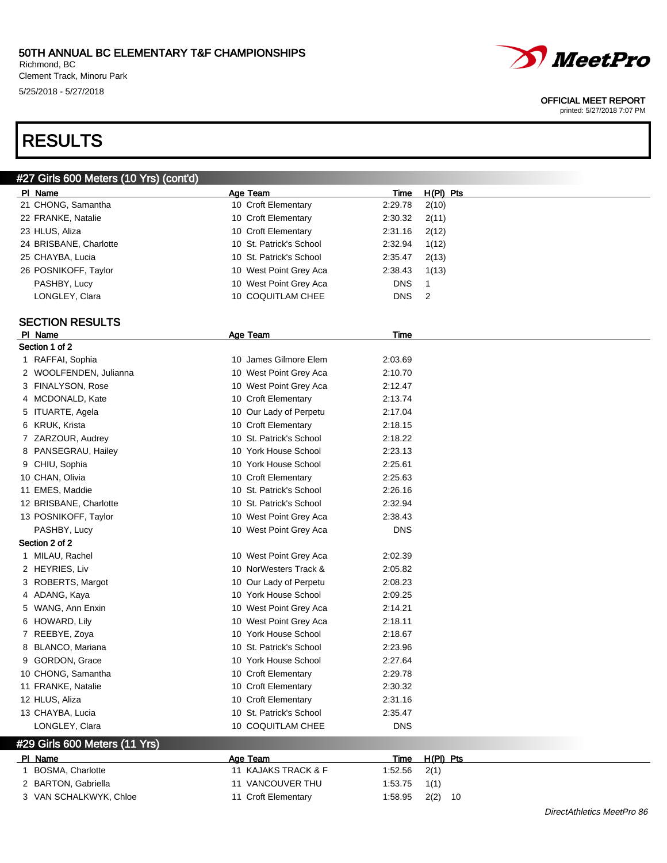Richmond, BC Clement Track, Minoru Park 5/25/2018 - 5/27/2018



#### OFFICIAL MEET REPORT

printed: 5/27/2018 7:07 PM

# RESULTS

| PI Name<br>Age Team<br>H(PI) Pts<br>Time<br>21 CHONG, Samantha<br>10 Croft Elementary<br>2:29.78<br>2(10)<br>22 FRANKE, Natalie<br>10 Croft Elementary<br>2:30.32<br>2(11)<br>23 HLUS, Aliza<br>10 Croft Elementary<br>2:31.16<br>2(12)<br>24 BRISBANE, Charlotte<br>10 St. Patrick's School<br>2:32.94<br>1(12)<br>25 CHAYBA, Lucia<br>10 St. Patrick's School<br>2:35.47<br>2(13)<br>10 West Point Grey Aca<br>2:38.43<br>1(13)<br>26 POSNIKOFF, Taylor<br>10 West Point Grey Aca<br><b>DNS</b><br>$\mathbf{1}$<br>PASHBY, Lucy<br>LONGLEY, Clara<br>10 COQUITLAM CHEE<br><b>DNS</b><br>2<br>Time<br>PI Name<br><b>Age Team</b><br>10 James Gilmore Elem<br>1 RAFFAI, Sophia<br>2:03.69<br>10 West Point Grey Aca<br>2 WOOLFENDEN, Julianna<br>2:10.70<br>3 FINALYSON, Rose<br>10 West Point Grey Aca<br>2:12.47<br>4 MCDONALD, Kate<br>10 Croft Elementary<br>2:13.74<br>5 ITUARTE, Agela<br>10 Our Lady of Perpetu<br>2:17.04<br>10 Croft Elementary<br>6 KRUK, Krista<br>2:18.15<br>10 St. Patrick's School<br>7 ZARZOUR, Audrey<br>2:18.22<br>8 PANSEGRAU, Hailey<br>10 York House School<br>2:23.13<br>9 CHIU, Sophia<br>10 York House School<br>2:25.61<br>2:25.63<br>10 CHAN, Olivia<br>10 Croft Elementary<br>11 EMES, Maddie<br>10 St. Patrick's School<br>2:26.16<br>12 BRISBANE, Charlotte<br>10 St. Patrick's School<br>2:32.94<br>10 West Point Grey Aca<br>2:38.43<br>13 POSNIKOFF, Taylor<br>PASHBY, Lucy<br>10 West Point Grey Aca<br><b>DNS</b><br>1 MILAU, Rachel<br>10 West Point Grey Aca<br>2:02.39<br>2 HEYRIES, Liv<br>10 NorWesters Track &<br>2:05.82<br>3 ROBERTS, Margot<br>10 Our Lady of Perpetu<br>2:08.23<br>10 York House School<br>4 ADANG, Kaya<br>2:09.25<br>5 WANG, Ann Enxin<br>10 West Point Grey Aca<br>2:14.21<br>6 HOWARD, Lily<br>10 West Point Grey Aca<br>2:18.11<br>7 REEBYE, Zoya<br>10 York House School<br>2:18.67<br>10 St. Patrick's School<br>8 BLANCO, Mariana<br>2:23.96<br>9 GORDON, Grace<br>10 York House School<br>2:27.64<br>10 CHONG, Samantha<br>10 Croft Elementary<br>2:29.78<br>11 FRANKE, Natalie<br>10 Croft Elementary<br>2:30.32<br>12 HLUS, Aliza<br>10 Croft Elementary<br>2:31.16<br>13 CHAYBA, Lucia<br>10 St. Patrick's School<br>2:35.47 | #27 Girls 600 Meters (10 Yrs) (cont'd) |                   |            |  |
|---------------------------------------------------------------------------------------------------------------------------------------------------------------------------------------------------------------------------------------------------------------------------------------------------------------------------------------------------------------------------------------------------------------------------------------------------------------------------------------------------------------------------------------------------------------------------------------------------------------------------------------------------------------------------------------------------------------------------------------------------------------------------------------------------------------------------------------------------------------------------------------------------------------------------------------------------------------------------------------------------------------------------------------------------------------------------------------------------------------------------------------------------------------------------------------------------------------------------------------------------------------------------------------------------------------------------------------------------------------------------------------------------------------------------------------------------------------------------------------------------------------------------------------------------------------------------------------------------------------------------------------------------------------------------------------------------------------------------------------------------------------------------------------------------------------------------------------------------------------------------------------------------------------------------------------------------------------------------------------------------------------------------------------------------------------------------------------------------------------------------------------------------------------------------------------------------------------------|----------------------------------------|-------------------|------------|--|
|                                                                                                                                                                                                                                                                                                                                                                                                                                                                                                                                                                                                                                                                                                                                                                                                                                                                                                                                                                                                                                                                                                                                                                                                                                                                                                                                                                                                                                                                                                                                                                                                                                                                                                                                                                                                                                                                                                                                                                                                                                                                                                                                                                                                                     |                                        |                   |            |  |
|                                                                                                                                                                                                                                                                                                                                                                                                                                                                                                                                                                                                                                                                                                                                                                                                                                                                                                                                                                                                                                                                                                                                                                                                                                                                                                                                                                                                                                                                                                                                                                                                                                                                                                                                                                                                                                                                                                                                                                                                                                                                                                                                                                                                                     |                                        |                   |            |  |
|                                                                                                                                                                                                                                                                                                                                                                                                                                                                                                                                                                                                                                                                                                                                                                                                                                                                                                                                                                                                                                                                                                                                                                                                                                                                                                                                                                                                                                                                                                                                                                                                                                                                                                                                                                                                                                                                                                                                                                                                                                                                                                                                                                                                                     |                                        |                   |            |  |
|                                                                                                                                                                                                                                                                                                                                                                                                                                                                                                                                                                                                                                                                                                                                                                                                                                                                                                                                                                                                                                                                                                                                                                                                                                                                                                                                                                                                                                                                                                                                                                                                                                                                                                                                                                                                                                                                                                                                                                                                                                                                                                                                                                                                                     |                                        |                   |            |  |
|                                                                                                                                                                                                                                                                                                                                                                                                                                                                                                                                                                                                                                                                                                                                                                                                                                                                                                                                                                                                                                                                                                                                                                                                                                                                                                                                                                                                                                                                                                                                                                                                                                                                                                                                                                                                                                                                                                                                                                                                                                                                                                                                                                                                                     |                                        |                   |            |  |
|                                                                                                                                                                                                                                                                                                                                                                                                                                                                                                                                                                                                                                                                                                                                                                                                                                                                                                                                                                                                                                                                                                                                                                                                                                                                                                                                                                                                                                                                                                                                                                                                                                                                                                                                                                                                                                                                                                                                                                                                                                                                                                                                                                                                                     |                                        |                   |            |  |
|                                                                                                                                                                                                                                                                                                                                                                                                                                                                                                                                                                                                                                                                                                                                                                                                                                                                                                                                                                                                                                                                                                                                                                                                                                                                                                                                                                                                                                                                                                                                                                                                                                                                                                                                                                                                                                                                                                                                                                                                                                                                                                                                                                                                                     |                                        |                   |            |  |
|                                                                                                                                                                                                                                                                                                                                                                                                                                                                                                                                                                                                                                                                                                                                                                                                                                                                                                                                                                                                                                                                                                                                                                                                                                                                                                                                                                                                                                                                                                                                                                                                                                                                                                                                                                                                                                                                                                                                                                                                                                                                                                                                                                                                                     |                                        |                   |            |  |
|                                                                                                                                                                                                                                                                                                                                                                                                                                                                                                                                                                                                                                                                                                                                                                                                                                                                                                                                                                                                                                                                                                                                                                                                                                                                                                                                                                                                                                                                                                                                                                                                                                                                                                                                                                                                                                                                                                                                                                                                                                                                                                                                                                                                                     |                                        |                   |            |  |
|                                                                                                                                                                                                                                                                                                                                                                                                                                                                                                                                                                                                                                                                                                                                                                                                                                                                                                                                                                                                                                                                                                                                                                                                                                                                                                                                                                                                                                                                                                                                                                                                                                                                                                                                                                                                                                                                                                                                                                                                                                                                                                                                                                                                                     | <b>SECTION RESULTS</b>                 |                   |            |  |
|                                                                                                                                                                                                                                                                                                                                                                                                                                                                                                                                                                                                                                                                                                                                                                                                                                                                                                                                                                                                                                                                                                                                                                                                                                                                                                                                                                                                                                                                                                                                                                                                                                                                                                                                                                                                                                                                                                                                                                                                                                                                                                                                                                                                                     |                                        |                   |            |  |
|                                                                                                                                                                                                                                                                                                                                                                                                                                                                                                                                                                                                                                                                                                                                                                                                                                                                                                                                                                                                                                                                                                                                                                                                                                                                                                                                                                                                                                                                                                                                                                                                                                                                                                                                                                                                                                                                                                                                                                                                                                                                                                                                                                                                                     | Section 1 of 2                         |                   |            |  |
|                                                                                                                                                                                                                                                                                                                                                                                                                                                                                                                                                                                                                                                                                                                                                                                                                                                                                                                                                                                                                                                                                                                                                                                                                                                                                                                                                                                                                                                                                                                                                                                                                                                                                                                                                                                                                                                                                                                                                                                                                                                                                                                                                                                                                     |                                        |                   |            |  |
|                                                                                                                                                                                                                                                                                                                                                                                                                                                                                                                                                                                                                                                                                                                                                                                                                                                                                                                                                                                                                                                                                                                                                                                                                                                                                                                                                                                                                                                                                                                                                                                                                                                                                                                                                                                                                                                                                                                                                                                                                                                                                                                                                                                                                     |                                        |                   |            |  |
|                                                                                                                                                                                                                                                                                                                                                                                                                                                                                                                                                                                                                                                                                                                                                                                                                                                                                                                                                                                                                                                                                                                                                                                                                                                                                                                                                                                                                                                                                                                                                                                                                                                                                                                                                                                                                                                                                                                                                                                                                                                                                                                                                                                                                     |                                        |                   |            |  |
|                                                                                                                                                                                                                                                                                                                                                                                                                                                                                                                                                                                                                                                                                                                                                                                                                                                                                                                                                                                                                                                                                                                                                                                                                                                                                                                                                                                                                                                                                                                                                                                                                                                                                                                                                                                                                                                                                                                                                                                                                                                                                                                                                                                                                     |                                        |                   |            |  |
|                                                                                                                                                                                                                                                                                                                                                                                                                                                                                                                                                                                                                                                                                                                                                                                                                                                                                                                                                                                                                                                                                                                                                                                                                                                                                                                                                                                                                                                                                                                                                                                                                                                                                                                                                                                                                                                                                                                                                                                                                                                                                                                                                                                                                     |                                        |                   |            |  |
|                                                                                                                                                                                                                                                                                                                                                                                                                                                                                                                                                                                                                                                                                                                                                                                                                                                                                                                                                                                                                                                                                                                                                                                                                                                                                                                                                                                                                                                                                                                                                                                                                                                                                                                                                                                                                                                                                                                                                                                                                                                                                                                                                                                                                     |                                        |                   |            |  |
|                                                                                                                                                                                                                                                                                                                                                                                                                                                                                                                                                                                                                                                                                                                                                                                                                                                                                                                                                                                                                                                                                                                                                                                                                                                                                                                                                                                                                                                                                                                                                                                                                                                                                                                                                                                                                                                                                                                                                                                                                                                                                                                                                                                                                     |                                        |                   |            |  |
|                                                                                                                                                                                                                                                                                                                                                                                                                                                                                                                                                                                                                                                                                                                                                                                                                                                                                                                                                                                                                                                                                                                                                                                                                                                                                                                                                                                                                                                                                                                                                                                                                                                                                                                                                                                                                                                                                                                                                                                                                                                                                                                                                                                                                     |                                        |                   |            |  |
|                                                                                                                                                                                                                                                                                                                                                                                                                                                                                                                                                                                                                                                                                                                                                                                                                                                                                                                                                                                                                                                                                                                                                                                                                                                                                                                                                                                                                                                                                                                                                                                                                                                                                                                                                                                                                                                                                                                                                                                                                                                                                                                                                                                                                     |                                        |                   |            |  |
|                                                                                                                                                                                                                                                                                                                                                                                                                                                                                                                                                                                                                                                                                                                                                                                                                                                                                                                                                                                                                                                                                                                                                                                                                                                                                                                                                                                                                                                                                                                                                                                                                                                                                                                                                                                                                                                                                                                                                                                                                                                                                                                                                                                                                     |                                        |                   |            |  |
|                                                                                                                                                                                                                                                                                                                                                                                                                                                                                                                                                                                                                                                                                                                                                                                                                                                                                                                                                                                                                                                                                                                                                                                                                                                                                                                                                                                                                                                                                                                                                                                                                                                                                                                                                                                                                                                                                                                                                                                                                                                                                                                                                                                                                     |                                        |                   |            |  |
|                                                                                                                                                                                                                                                                                                                                                                                                                                                                                                                                                                                                                                                                                                                                                                                                                                                                                                                                                                                                                                                                                                                                                                                                                                                                                                                                                                                                                                                                                                                                                                                                                                                                                                                                                                                                                                                                                                                                                                                                                                                                                                                                                                                                                     |                                        |                   |            |  |
|                                                                                                                                                                                                                                                                                                                                                                                                                                                                                                                                                                                                                                                                                                                                                                                                                                                                                                                                                                                                                                                                                                                                                                                                                                                                                                                                                                                                                                                                                                                                                                                                                                                                                                                                                                                                                                                                                                                                                                                                                                                                                                                                                                                                                     |                                        |                   |            |  |
|                                                                                                                                                                                                                                                                                                                                                                                                                                                                                                                                                                                                                                                                                                                                                                                                                                                                                                                                                                                                                                                                                                                                                                                                                                                                                                                                                                                                                                                                                                                                                                                                                                                                                                                                                                                                                                                                                                                                                                                                                                                                                                                                                                                                                     |                                        |                   |            |  |
|                                                                                                                                                                                                                                                                                                                                                                                                                                                                                                                                                                                                                                                                                                                                                                                                                                                                                                                                                                                                                                                                                                                                                                                                                                                                                                                                                                                                                                                                                                                                                                                                                                                                                                                                                                                                                                                                                                                                                                                                                                                                                                                                                                                                                     | Section 2 of 2                         |                   |            |  |
|                                                                                                                                                                                                                                                                                                                                                                                                                                                                                                                                                                                                                                                                                                                                                                                                                                                                                                                                                                                                                                                                                                                                                                                                                                                                                                                                                                                                                                                                                                                                                                                                                                                                                                                                                                                                                                                                                                                                                                                                                                                                                                                                                                                                                     |                                        |                   |            |  |
|                                                                                                                                                                                                                                                                                                                                                                                                                                                                                                                                                                                                                                                                                                                                                                                                                                                                                                                                                                                                                                                                                                                                                                                                                                                                                                                                                                                                                                                                                                                                                                                                                                                                                                                                                                                                                                                                                                                                                                                                                                                                                                                                                                                                                     |                                        |                   |            |  |
|                                                                                                                                                                                                                                                                                                                                                                                                                                                                                                                                                                                                                                                                                                                                                                                                                                                                                                                                                                                                                                                                                                                                                                                                                                                                                                                                                                                                                                                                                                                                                                                                                                                                                                                                                                                                                                                                                                                                                                                                                                                                                                                                                                                                                     |                                        |                   |            |  |
|                                                                                                                                                                                                                                                                                                                                                                                                                                                                                                                                                                                                                                                                                                                                                                                                                                                                                                                                                                                                                                                                                                                                                                                                                                                                                                                                                                                                                                                                                                                                                                                                                                                                                                                                                                                                                                                                                                                                                                                                                                                                                                                                                                                                                     |                                        |                   |            |  |
|                                                                                                                                                                                                                                                                                                                                                                                                                                                                                                                                                                                                                                                                                                                                                                                                                                                                                                                                                                                                                                                                                                                                                                                                                                                                                                                                                                                                                                                                                                                                                                                                                                                                                                                                                                                                                                                                                                                                                                                                                                                                                                                                                                                                                     |                                        |                   |            |  |
|                                                                                                                                                                                                                                                                                                                                                                                                                                                                                                                                                                                                                                                                                                                                                                                                                                                                                                                                                                                                                                                                                                                                                                                                                                                                                                                                                                                                                                                                                                                                                                                                                                                                                                                                                                                                                                                                                                                                                                                                                                                                                                                                                                                                                     |                                        |                   |            |  |
|                                                                                                                                                                                                                                                                                                                                                                                                                                                                                                                                                                                                                                                                                                                                                                                                                                                                                                                                                                                                                                                                                                                                                                                                                                                                                                                                                                                                                                                                                                                                                                                                                                                                                                                                                                                                                                                                                                                                                                                                                                                                                                                                                                                                                     |                                        |                   |            |  |
|                                                                                                                                                                                                                                                                                                                                                                                                                                                                                                                                                                                                                                                                                                                                                                                                                                                                                                                                                                                                                                                                                                                                                                                                                                                                                                                                                                                                                                                                                                                                                                                                                                                                                                                                                                                                                                                                                                                                                                                                                                                                                                                                                                                                                     |                                        |                   |            |  |
|                                                                                                                                                                                                                                                                                                                                                                                                                                                                                                                                                                                                                                                                                                                                                                                                                                                                                                                                                                                                                                                                                                                                                                                                                                                                                                                                                                                                                                                                                                                                                                                                                                                                                                                                                                                                                                                                                                                                                                                                                                                                                                                                                                                                                     |                                        |                   |            |  |
|                                                                                                                                                                                                                                                                                                                                                                                                                                                                                                                                                                                                                                                                                                                                                                                                                                                                                                                                                                                                                                                                                                                                                                                                                                                                                                                                                                                                                                                                                                                                                                                                                                                                                                                                                                                                                                                                                                                                                                                                                                                                                                                                                                                                                     |                                        |                   |            |  |
|                                                                                                                                                                                                                                                                                                                                                                                                                                                                                                                                                                                                                                                                                                                                                                                                                                                                                                                                                                                                                                                                                                                                                                                                                                                                                                                                                                                                                                                                                                                                                                                                                                                                                                                                                                                                                                                                                                                                                                                                                                                                                                                                                                                                                     |                                        |                   |            |  |
|                                                                                                                                                                                                                                                                                                                                                                                                                                                                                                                                                                                                                                                                                                                                                                                                                                                                                                                                                                                                                                                                                                                                                                                                                                                                                                                                                                                                                                                                                                                                                                                                                                                                                                                                                                                                                                                                                                                                                                                                                                                                                                                                                                                                                     |                                        |                   |            |  |
|                                                                                                                                                                                                                                                                                                                                                                                                                                                                                                                                                                                                                                                                                                                                                                                                                                                                                                                                                                                                                                                                                                                                                                                                                                                                                                                                                                                                                                                                                                                                                                                                                                                                                                                                                                                                                                                                                                                                                                                                                                                                                                                                                                                                                     |                                        |                   |            |  |
|                                                                                                                                                                                                                                                                                                                                                                                                                                                                                                                                                                                                                                                                                                                                                                                                                                                                                                                                                                                                                                                                                                                                                                                                                                                                                                                                                                                                                                                                                                                                                                                                                                                                                                                                                                                                                                                                                                                                                                                                                                                                                                                                                                                                                     | LONGLEY, Clara                         | 10 COQUITLAM CHEE | <b>DNS</b> |  |

### #29 Girls 600 Meters (11 Yrs)

| PL.<br>Name            | Age Team            | H(PI) Pts<br>Time    |
|------------------------|---------------------|----------------------|
| BOSMA, Charlotte       | 11 KAJAKS TRACK & F | 2(1)<br>1:52.56      |
| 2 BARTON, Gabriella    | 11 VANCOUVER THU    | 1:53.75<br>1(1)      |
| 3 VAN SCHALKWYK, Chloe | 11 Croft Elementary | $2(2)$ 10<br>1:58.95 |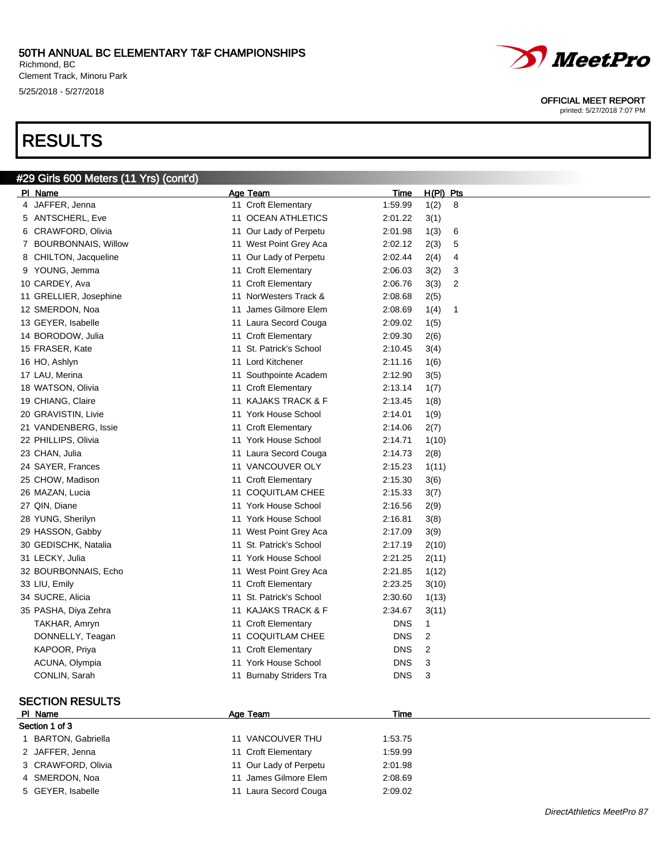Richmond, BC Clement Track, Minoru Park 5/25/2018 - 5/27/2018

# RESULTS

#### #29 Girls 600 Meters (11 Yrs) (cont'd) Pl Name Age Team Time H(Pl) Pts 4 JAFFER, Jenna 11 Croft Elementary 1:59.99 1(2) 8 5 ANTSCHERL, Eve 11 OCEAN ATHLETICS 2:01.22 3(1) 6 CRAWFORD, Olivia 11 Our Lady of Perpetu 2:01.98 1(3) 6 7 BOURBONNAIS, Willow 11 West Point Grey Aca 2:02.12 2(3) 5 8 CHILTON, Jacqueline 11 Our Lady of Perpetu 2:02.44 2(4) 4 9 YOUNG, Jemma 11 Croft Elementary 2:06.03 3(2) 3 10 CARDEY, Ava 11 Croft Elementary 2:06.76 3(3) 2 11 GRELLIER, Josephine 11 NorWesters Track & 2:08.68 2(5) 12 SMERDON, Noa 11 James Gilmore Elem 2:08.69 1(4) 1 13 GEYER, Isabelle 11 Laura Secord Couga 2:09.02 1(5) 14 BORODOW, Julia 11 Croft Elementary 2:09.30 2(6) 15 FRASER, Kate 11 St. Patrick's School 2:10.45 3(4) 16 HO, Ashlyn 11 Lord Kitchener 2:11.16 1(6) 17 LAU, Merina 11 Southpointe Academ 2:12.90 3(5) 18 WATSON, Olivia **11 Croft Elementary** 2:13.14 1(7) 19 CHIANG, Claire 11 KAJAKS TRACK & F 2:13.45 1(8) 20 GRAVISTIN, Livie 11 York House School 2:14.01 1(9) 21 VANDENBERG, Issie 11 Croft Elementary 2:14.06 2(7) 22 PHILLIPS, Olivia 11 York House School 2:14.71 1(10) 23 CHAN, Julia 11 Laura Secord Couga 2:14.73 2(8) 24 SAYER, Frances 11 VANCOUVER OLY 2:15.23 1(11) 25 CHOW, Madison 2:15.30 3(6) 25 CHOW, Madison 26 MAZAN, Lucia 11 COQUITLAM CHEE 2:15.33 3(7) 27 QIN, Diane 11 York House School 2:16.56 2(9) 28 YUNG, Sherilyn 11 York House School 2:16.81 3(8) 29 HASSON, Gabby 11 West Point Grey Aca 2:17.09 3(9) 30 GEDISCHK, Natalia 11 St. Patrick's School 2:17.19 2(10) 31 LECKY, Julia 11 York House School 2:21.25 2(11) 32 BOURBONNAIS, Echo 11 West Point Grey Aca 2:21.85 1(12) 33 LIU, Emily 11 Croft Elementary 2:23.25 3(10) 34 SUCRE, Alicia 11 St. Patrick's School 2:30.60 1(13) 35 PASHA, Diya Zehra 11 KAJAKS TRACK & F 2:34.67 3(11) TAKHAR, Amryn 11 Croft Elementary DNS 1 DONNELLY, Teagan 11 COQUITLAM CHEE DNS 2 KAPOOR, Priya **NACLAS 2** 11 Croft Elementary **DNS** 2 ACUNA, Olympia 11 York House School DNS 3 CONLIN, Sarah 11 Burnaby Striders Tra DNS 3

#### SECTION RESULTS

### PI Name Time

| Section 1 of 3     |                        |         |
|--------------------|------------------------|---------|
| BARTON, Gabriella  | 11 VANCOUVER THU       | 1:53.75 |
| 2 JAFFER, Jenna    | 11 Croft Elementary    | 1:59.99 |
| 3 CRAWFORD, Olivia | 11 Our Lady of Perpetu | 2:01.98 |
| 4 SMERDON, Noa     | 11 James Gilmore Elem  | 2:08.69 |
| 5 GEYER, Isabelle  | 11 Laura Secord Couga  | 2:09.02 |



*MeetPro* 

OFFICIAL MEET REPORT printed: 5/27/2018 7:07 PM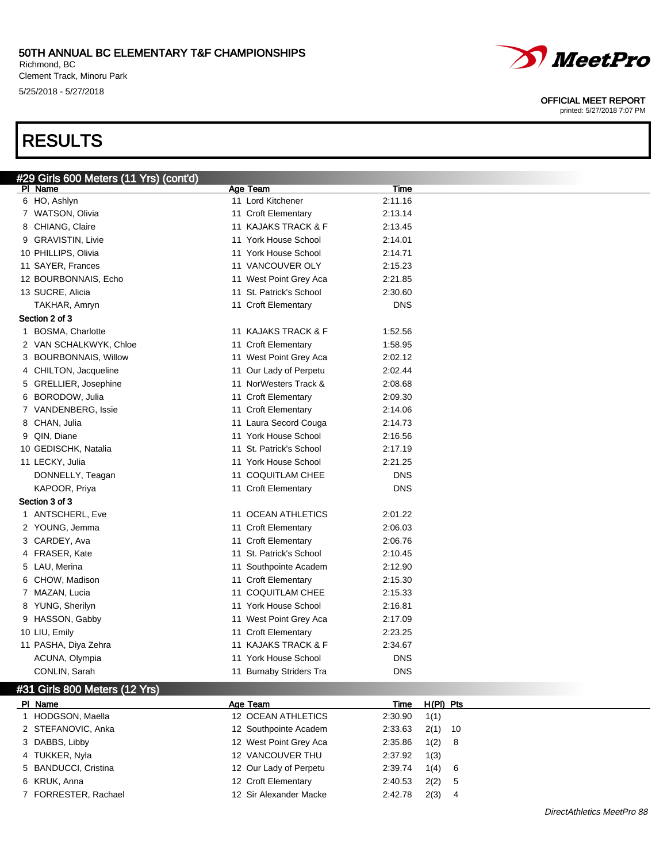Richmond, BC Clement Track, Minoru Park 5/25/2018 - 5/27/2018

# RESULTS

| <u>#29 Girls </u> 600 Meters (11 Yrs) (cont'd) |                         |            |
|------------------------------------------------|-------------------------|------------|
| PI Name                                        | Age Team                | Time       |
| 6 HO, Ashlyn                                   | 11 Lord Kitchener       | 2:11.16    |
| 7 WATSON, Olivia                               | 11 Croft Elementary     | 2:13.14    |
| 8 CHIANG, Claire                               | 11 KAJAKS TRACK & F     | 2:13.45    |
| 9 GRAVISTIN, Livie                             | 11 York House School    | 2:14.01    |
| 10 PHILLIPS, Olivia                            | 11 York House School    | 2:14.71    |
| 11 SAYER, Frances                              | 11 VANCOUVER OLY        | 2:15.23    |
| 12 BOURBONNAIS, Echo                           | 11 West Point Grey Aca  | 2:21.85    |
| 13 SUCRE, Alicia                               | 11 St. Patrick's School | 2:30.60    |
| TAKHAR, Amryn                                  | 11 Croft Elementary     | <b>DNS</b> |
| Section 2 of 3                                 |                         |            |
| 1 BOSMA, Charlotte                             | 11 KAJAKS TRACK & F     | 1:52.56    |
| 2 VAN SCHALKWYK, Chloe                         | 11 Croft Elementary     | 1:58.95    |
| 3 BOURBONNAIS, Willow                          | 11 West Point Grey Aca  | 2:02.12    |
| 4 CHILTON, Jacqueline                          | 11 Our Lady of Perpetu  | 2:02.44    |
| 5 GRELLIER, Josephine                          | 11 NorWesters Track &   | 2:08.68    |
| 6 BORODOW, Julia                               | 11 Croft Elementary     | 2:09.30    |
| 7 VANDENBERG, Issie                            | 11 Croft Elementary     | 2:14.06    |
| 8 CHAN, Julia                                  | 11 Laura Secord Couga   | 2:14.73    |
| 9 QIN, Diane                                   | 11 York House School    | 2:16.56    |
| 10 GEDISCHK, Natalia                           | 11 St. Patrick's School | 2:17.19    |
| 11 LECKY, Julia                                | 11 York House School    | 2:21.25    |
| DONNELLY, Teagan                               | 11 COQUITLAM CHEE       | <b>DNS</b> |
| KAPOOR, Priya                                  | 11 Croft Elementary     | <b>DNS</b> |
| Section 3 of 3                                 |                         |            |
| 1 ANTSCHERL, Eve                               | 11 OCEAN ATHLETICS      | 2:01.22    |
| 2 YOUNG, Jemma                                 | 11 Croft Elementary     | 2:06.03    |
| 3 CARDEY, Ava                                  | 11 Croft Elementary     | 2:06.76    |
| 4 FRASER, Kate                                 | 11 St. Patrick's School | 2:10.45    |
| 5 LAU, Merina                                  | 11 Southpointe Academ   | 2:12.90    |
| 6 CHOW, Madison                                | 11 Croft Elementary     | 2:15.30    |
| 7 MAZAN, Lucia                                 | 11 COQUITLAM CHEE       | 2:15.33    |
| 8 YUNG, Sherilyn                               | 11 York House School    | 2:16.81    |
| 9 HASSON, Gabby                                | 11 West Point Grey Aca  | 2:17.09    |
| 10 LIU, Emily                                  | 11 Croft Elementary     | 2:23.25    |
| 11 PASHA, Diya Zehra                           | 11 KAJAKS TRACK & F     | 2:34.67    |
| ACUNA, Olympia                                 | 11 York House School    | <b>DNS</b> |
| CONLIN, Sarah                                  | 11 Burnaby Striders Tra | <b>DNS</b> |
|                                                |                         |            |

#### #31 Girls 800 Meters (12 Yrs)

| PI Name              | Age Team               |         | Time H(PI) Pts |     |
|----------------------|------------------------|---------|----------------|-----|
| HODGSON, Maella      | 12 OCEAN ATHLETICS     | 2:30.90 | 1(1)           |     |
| 2 STEFANOVIC, Anka   | 12 Southpointe Academ  | 2:33.63 | $2(1)$ 10      |     |
| 3 DABBS, Libby       | 12 West Point Grey Aca | 2:35.86 | 1(2) 8         |     |
| 4 TUKKER, Nyla       | 12 VANCOUVER THU       | 2:37.92 | 1(3)           |     |
| 5 BANDUCCI, Cristina | 12 Our Lady of Perpetu | 2:39.74 | 1(4) 6         |     |
| 6 KRUK, Anna         | 12 Croft Elementary    | 2:40.53 | 2(2)           | - 5 |
| 7 FORRESTER, Rachael | 12 Sir Alexander Macke | 2:42.78 | 2(3)           | -4  |



#### OFFICIAL MEET REPORT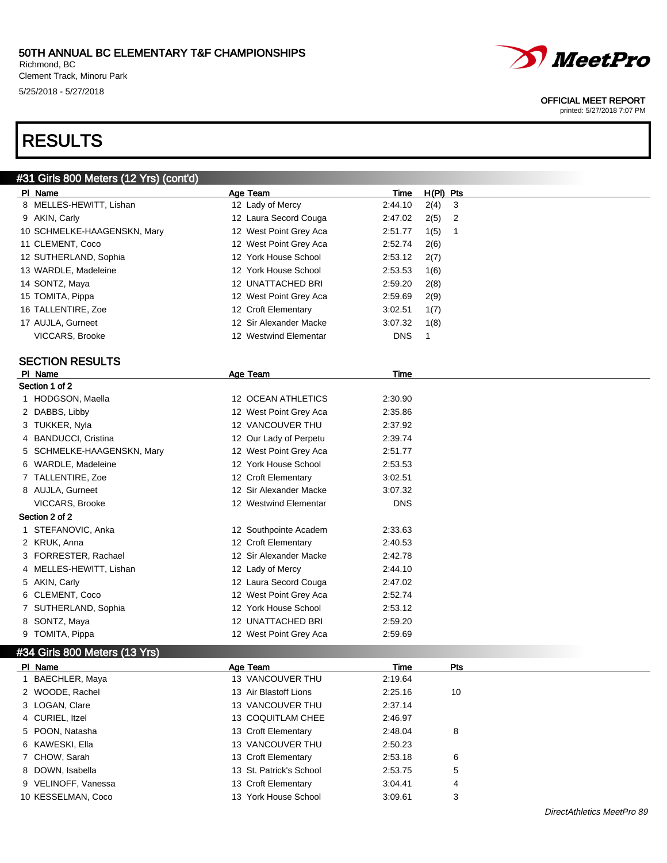Richmond, BC Clement Track, Minoru Park 5/25/2018 - 5/27/2018

# *MeetPro*

#### OFFICIAL MEET REPORT

printed: 5/27/2018 7:07 PM

# RESULTS

|    | #31 Girls 800 Meters (12 Yrs) (cont'd) |                           |             |              |            |
|----|----------------------------------------|---------------------------|-------------|--------------|------------|
|    | PI Name                                | Age Team                  | Time        | $H(PI)$ Pts  |            |
|    | 8 MELLES-HEWITT, Lishan                | 12 Lady of Mercy          | 2:44.10     | 2(4)         | 3          |
|    | 9 AKIN, Carly                          | 12 Laura Secord Couga     | 2:47.02     | 2(5)         | 2          |
|    | 10 SCHMELKE-HAAGENSKN, Mary            | 12 West Point Grey Aca    | 2:51.77     | 1(5)         | 1          |
|    | 11 CLEMENT, Coco                       | 12 West Point Grey Aca    | 2:52.74     | 2(6)         |            |
|    | 12 SUTHERLAND, Sophia                  | 12 York House School      | 2:53.12     | 2(7)         |            |
|    | 13 WARDLE, Madeleine                   | 12 York House School      | 2:53.53     | 1(6)         |            |
|    | 14 SONTZ, Maya                         | 12 UNATTACHED BRI         | 2:59.20     | 2(8)         |            |
|    | 15 TOMITA, Pippa                       | 12 West Point Grey Aca    | 2:59.69     | 2(9)         |            |
|    | 16 TALLENTIRE, Zoe                     | 12 Croft Elementary       | 3:02.51     | 1(7)         |            |
|    | 17 AUJLA, Gurneet                      | 12 Sir Alexander Macke    | 3:07.32     | 1(8)         |            |
|    | VICCARS, Brooke                        | 12 Westwind Elementar     | <b>DNS</b>  | $\mathbf{1}$ |            |
|    |                                        |                           |             |              |            |
|    | <b>SECTION RESULTS</b><br>PI Name      | <b>Age Team</b>           | Time        |              |            |
|    | Section 1 of 2                         |                           |             |              |            |
|    | 1 HODGSON, Maella                      | <b>12 OCEAN ATHLETICS</b> | 2:30.90     |              |            |
|    | 2 DABBS, Libby                         | 12 West Point Grey Aca    | 2:35.86     |              |            |
|    | 3 TUKKER, Nyla                         | 12 VANCOUVER THU          | 2:37.92     |              |            |
| 4  | <b>BANDUCCI, Cristina</b>              | 12 Our Lady of Perpetu    | 2:39.74     |              |            |
|    | 5 SCHMELKE-HAAGENSKN, Mary             | 12 West Point Grey Aca    | 2:51.77     |              |            |
|    | 6 WARDLE, Madeleine                    | 12 York House School      | 2:53.53     |              |            |
|    | 7 TALLENTIRE, Zoe                      | 12 Croft Elementary       | 3:02.51     |              |            |
|    | 8 AUJLA, Gurneet                       | 12 Sir Alexander Macke    | 3:07.32     |              |            |
|    | VICCARS, Brooke                        | 12 Westwind Elementar     | <b>DNS</b>  |              |            |
|    | Section 2 of 2                         |                           |             |              |            |
|    | 1 STEFANOVIC, Anka                     | 12 Southpointe Academ     | 2:33.63     |              |            |
|    | 2 KRUK, Anna                           | 12 Croft Elementary       | 2:40.53     |              |            |
|    | 3 FORRESTER, Rachael                   | 12 Sir Alexander Macke    | 2:42.78     |              |            |
|    | 4 MELLES-HEWITT, Lishan                | 12 Lady of Mercy          | 2:44.10     |              |            |
|    | 5 AKIN, Carly                          | 12 Laura Secord Couga     | 2:47.02     |              |            |
|    | 6 CLEMENT, Coco                        | 12 West Point Grey Aca    | 2:52.74     |              |            |
|    | 7 SUTHERLAND, Sophia                   | 12 York House School      | 2:53.12     |              |            |
|    | 8 SONTZ, Maya                          | 12 UNATTACHED BRI         | 2:59.20     |              |            |
|    | 9 TOMITA, Pippa                        | 12 West Point Grey Aca    | 2:59.69     |              |            |
|    | #34 Girls 800 Meters (13 Yrs)          |                           |             |              |            |
|    | PI Name                                | <b>Age Team</b>           | <u>Time</u> |              | <u>Pts</u> |
| 1  | BAECHLER, Maya                         | 13 VANCOUVER THU          | 2:19.64     |              |            |
|    | 2 WOODE, Rachel                        | 13 Air Blastoff Lions     | 2:25.16     |              | 10         |
|    | 3 LOGAN, Clare                         | 13 VANCOUVER THU          | 2:37.14     |              |            |
| 4  | CURIEL, Itzel                          | 13 COQUITLAM CHEE         | 2:46.97     |              |            |
| 5. | POON, Natasha                          | 13 Croft Elementary       | 2:48.04     |              | 8          |
| 6. | KAWESKI, Ella                          | 13 VANCOUVER THU          | 2:50.23     |              |            |
| 7  | CHOW, Sarah                            | 13 Croft Elementary       | 2:53.18     |              | 6          |
| 8  | DOWN, Isabella                         | 13 St. Patrick's School   | 2:53.75     |              | 5          |
|    | 9 VELINOFF, Vanessa                    | 13 Croft Elementary       | 3:04.41     |              | 4          |
|    | 10 KESSELMAN, Coco                     | 13 York House School      | 3:09.61     |              | 3          |
|    |                                        |                           |             |              |            |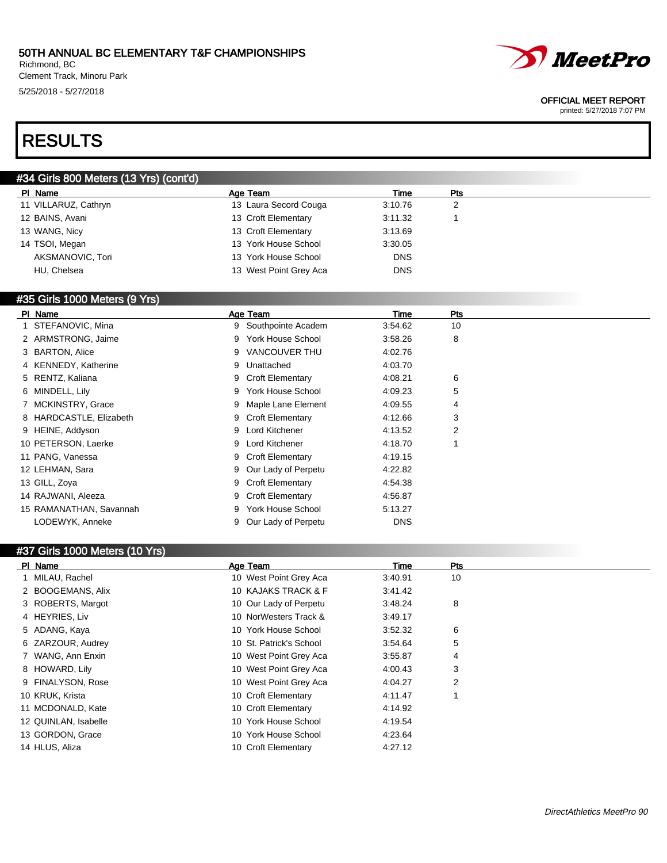Richmond, BC Clement Track, Minoru Park 5/25/2018 - 5/27/2018



#### OFFICIAL MEET REPORT

printed: 5/27/2018 7:07 PM

# RESULTS

### #34 Girls 800 Meters (13 Yrs) (cont'd)

| PI Name              | Age Team               | Time       | Pts |  |
|----------------------|------------------------|------------|-----|--|
| 11 VILLARUZ, Cathryn | 13 Laura Secord Couga  | 3:10.76    |     |  |
| 12 BAINS, Avani      | 13 Croft Elementary    | 3:11.32    |     |  |
| 13 WANG, Nicy        | 13 Croft Elementary    | 3:13.69    |     |  |
| 14 TSOI, Megan       | 13 York House School   | 3:30.05    |     |  |
| AKSMANOVIC, Tori     | 13 York House School   | <b>DNS</b> |     |  |
| HU, Chelsea          | 13 West Point Grey Aca | <b>DNS</b> |     |  |

#### #35 Girls 1000 Meters (9 Yrs)

| PI Name                 | Age Team                      | Time       | Pts |
|-------------------------|-------------------------------|------------|-----|
| 1 STEFANOVIC, Mina      | 9 Southpointe Academ          | 3:54.62    | 10  |
| 2 ARMSTRONG, Jaime      | <b>York House School</b><br>9 | 3:58.26    | 8   |
| 3 BARTON, Alice         | VANCOUVER THU<br>9            | 4:02.76    |     |
| 4 KENNEDY, Katherine    | Unattached<br>9               | 4:03.70    |     |
| 5 RENTZ, Kaliana        | 9 Croft Elementary            | 4:08.21    | 6   |
| 6 MINDELL, Lily         | York House School<br>9        | 4:09.23    | 5   |
| 7 MCKINSTRY, Grace      | 9 Maple Lane Element          | 4:09.55    | 4   |
| 8 HARDCASTLE, Elizabeth | 9 Croft Elementary            | 4:12.66    | 3   |
| 9 HEINE, Addyson        | 9 Lord Kitchener              | 4:13.52    | 2   |
| 10 PETERSON, Laerke     | 9 Lord Kitchener              | 4:18.70    |     |
| 11 PANG, Vanessa        | 9 Croft Elementary            | 4:19.15    |     |
| 12 LEHMAN, Sara         | 9 Our Lady of Perpetu         | 4:22.82    |     |
| 13 GILL, Zoya           | 9 Croft Elementary            | 4:54.38    |     |
| 14 RAJWANI, Aleeza      | 9 Croft Elementary            | 4:56.87    |     |
| 15 RAMANATHAN, Savannah | York House School<br>9        | 5:13.27    |     |
| LODEWYK, Anneke         | Our Lady of Perpetu           | <b>DNS</b> |     |

#### #37 Girls 1000 Meters (10 Yrs)

| PI Name              | Age Team                | Time    | <b>Pts</b> |
|----------------------|-------------------------|---------|------------|
| 1 MILAU, Rachel      | 10 West Point Grey Aca  | 3:40.91 | 10         |
| 2 BOOGEMANS, Alix    | 10 KAJAKS TRACK & F     | 3:41.42 |            |
| 3 ROBERTS, Margot    | 10 Our Lady of Perpetu  | 3:48.24 | 8          |
| 4 HEYRIES, Liv       | 10 NorWesters Track &   | 3:49.17 |            |
| 5 ADANG, Kaya        | 10 York House School    | 3:52.32 | 6          |
| 6 ZARZOUR, Audrey    | 10 St. Patrick's School | 3:54.64 | 5          |
| 7 WANG, Ann Enxin    | 10 West Point Grey Aca  | 3:55.87 | 4          |
| 8 HOWARD, Lily       | 10 West Point Grey Aca  | 4:00.43 | 3          |
| 9 FINALYSON, Rose    | 10 West Point Grey Aca  | 4:04.27 | 2          |
| 10 KRUK, Krista      | 10 Croft Elementary     | 4:11.47 |            |
| 11 MCDONALD, Kate    | 10 Croft Elementary     | 4:14.92 |            |
| 12 QUINLAN, Isabelle | 10 York House School    | 4:19.54 |            |
| 13 GORDON, Grace     | 10 York House School    | 4:23.64 |            |
| 14 HLUS, Aliza       | 10 Croft Elementary     | 4:27.12 |            |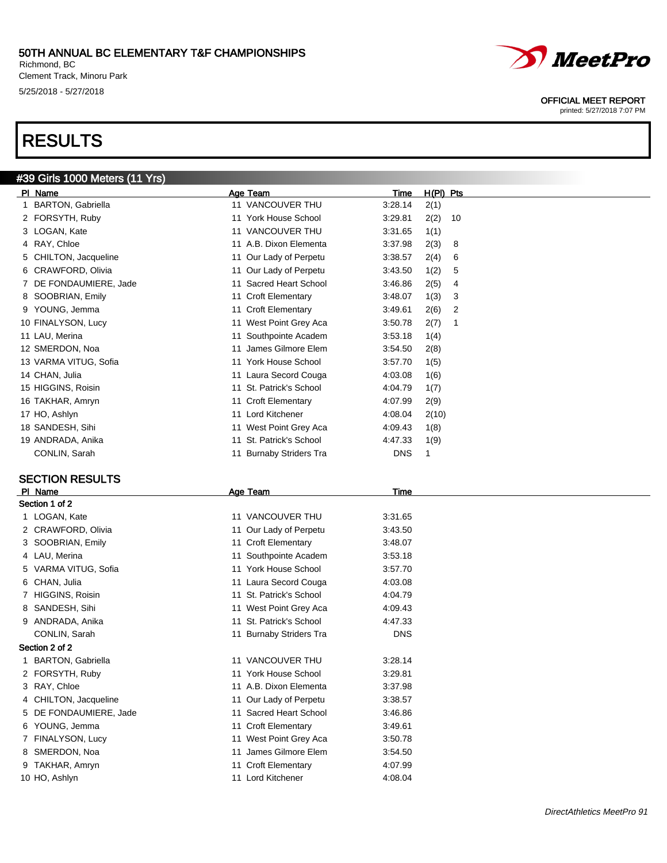Richmond, BC Clement Track, Minoru Park 5/25/2018 - 5/27/2018

# RESULTS

### #39 Girls 1000 Meters (11 Yrs)

| PI Name                  | Age Team                          | $H(PI)$ Pts<br>Time   |
|--------------------------|-----------------------------------|-----------------------|
| <b>BARTON, Gabriella</b> | 11 VANCOUVER THU                  | 3:28.14<br>2(1)       |
| FORSYTH, Ruby            | 11 York House School              | 3:29.81<br>2(2)<br>10 |
| 3 LOGAN, Kate            | 11 VANCOUVER THU                  | 1(1)<br>3:31.65       |
| RAY, Chloe<br>4          | 11 A.B. Dixon Elementa            | 3:37.98<br>2(3)<br>8  |
| CHILTON, Jacqueline<br>5 | 11 Our Lady of Perpetu            | 6<br>3:38.57<br>2(4)  |
| CRAWFORD, Olivia<br>6    | 11 Our Lady of Perpetu            | 3:43.50<br>1(2)<br>5  |
| DE FONDAUMIERE, Jade     | 11 Sacred Heart School            | 2(5)<br>3:46.86<br>4  |
| 8 SOOBRIAN, Emily        | 11 Croft Elementary               | 3<br>3:48.07<br>1(3)  |
| YOUNG, Jemma<br>9        | 11 Croft Elementary               | 3:49.61<br>2(6)<br>2  |
| 10 FINALYSON, Lucy       | 11 West Point Grey Aca            | 3:50.78<br>2(7)<br>1  |
| 11 LAU, Merina           | Southpointe Academ<br>11          | 3:53.18<br>1(4)       |
| 12 SMERDON, Noa          | 11 James Gilmore Elem             | 3:54.50<br>2(8)       |
| 13 VARMA VITUG, Sofia    | 11 York House School              | 3:57.70<br>1(5)       |
| 14 CHAN, Julia           | 11 Laura Secord Couga             | 4:03.08<br>1(6)       |
| 15 HIGGINS, Roisin       | 11 St. Patrick's School           | 4:04.79<br>1(7)       |
| 16 TAKHAR, Amryn         | 11 Croft Elementary               | 4:07.99<br>2(9)       |
| 17 HO, Ashlyn            | 11 Lord Kitchener                 | 4:08.04<br>2(10)      |
| 18 SANDESH, Sihi         | 11 West Point Grey Aca            | 1(8)<br>4:09.43       |
| 19 ANDRADA, Anika        | St. Patrick's School<br>11        | 4:47.33<br>1(9)       |
| CONLIN, Sarah            | <b>Burnaby Striders Tra</b><br>11 | <b>DNS</b><br>1       |

#### SECTION RESULTS

| PI Name                | Age Team                    | Time       |  |
|------------------------|-----------------------------|------------|--|
| Section 1 of 2         |                             |            |  |
| 1 LOGAN, Kate          | 11 VANCOUVER THU            | 3:31.65    |  |
| 2 CRAWFORD, Olivia     | 11 Our Lady of Perpetu      | 3:43.50    |  |
| 3 SOOBRIAN, Emily      | 11 Croft Elementary         | 3:48.07    |  |
| 4 LAU, Merina          | Southpointe Academ          | 3:53.18    |  |
| 5 VARMA VITUG, Sofia   | 11 York House School        | 3:57.70    |  |
| 6 CHAN, Julia          | 11 Laura Secord Couga       | 4:03.08    |  |
| 7 HIGGINS, Roisin      | 11 St. Patrick's School     | 4:04.79    |  |
| 8 SANDESH, Sihi        | 11 West Point Grey Aca      | 4:09.43    |  |
| 9 ANDRADA, Anika       | St. Patrick's School<br>11  | 4:47.33    |  |
| CONLIN, Sarah          | 11 Burnaby Striders Tra     | <b>DNS</b> |  |
| Section 2 of 2         |                             |            |  |
| 1 BARTON, Gabriella    | 11 VANCOUVER THU            | 3:28.14    |  |
| 2 FORSYTH, Ruby        | 11 York House School        | 3:29.81    |  |
| 3 RAY, Chloe           | 11 A.B. Dixon Elementa      | 3:37.98    |  |
| 4 CHILTON, Jacqueline  | 11 Our Lady of Perpetu      | 3:38.57    |  |
| 5 DE FONDAUMIERE, Jade | 11 Sacred Heart School      | 3:46.86    |  |
| 6 YOUNG, Jemma         | 11 Croft Elementary         | 3:49.61    |  |
| 7 FINALYSON, Lucy      | West Point Grey Aca<br>11   | 3:50.78    |  |
| 8 SMERDON, Noa         | 11 James Gilmore Elem       | 3:54.50    |  |
| 9 TAKHAR, Amryn        | 11 Croft Elementary         | 4:07.99    |  |
| 10 HO, Ashlyn          | <b>Lord Kitchener</b><br>11 | 4:08.04    |  |
|                        |                             |            |  |



#### OFFICIAL MEET REPORT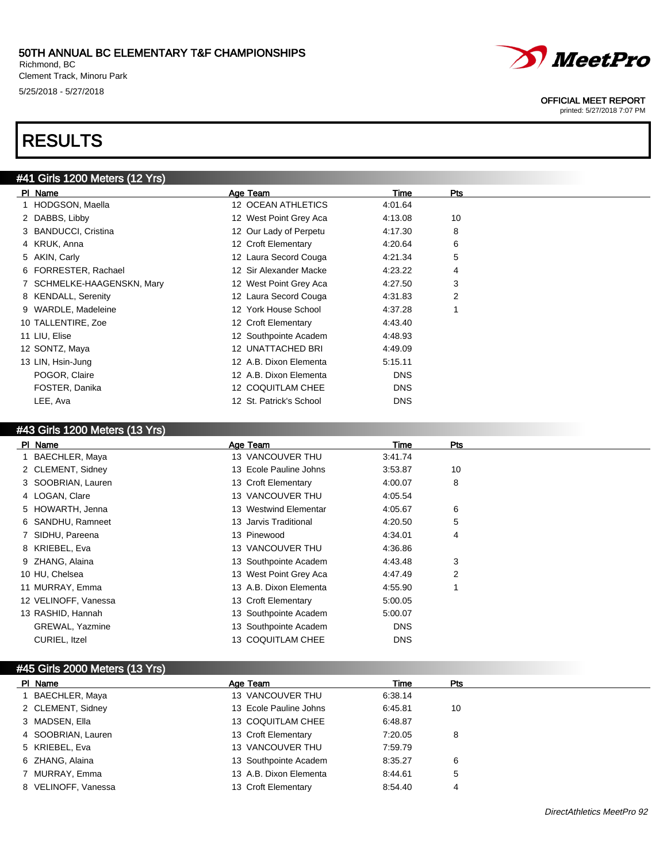Richmond, BC Clement Track, Minoru Park 5/25/2018 - 5/27/2018

# RESULTS

### #41 Girls 1200 Meters (12 Yrs)

| PI Name                    | Age Team                | Time       | Pts |  |
|----------------------------|-------------------------|------------|-----|--|
| 1 HODGSON, Maella          | 12 OCEAN ATHLETICS      | 4:01.64    |     |  |
| 2 DABBS, Libby             | 12 West Point Grey Aca  | 4:13.08    | 10  |  |
| 3 BANDUCCI, Cristina       | 12 Our Lady of Perpetu  | 4:17.30    | 8   |  |
| 4 KRUK, Anna               | 12 Croft Elementary     | 4:20.64    | 6   |  |
| 5 AKIN, Carly              | 12 Laura Secord Couga   | 4:21.34    | 5   |  |
| 6 FORRESTER, Rachael       | 12 Sir Alexander Macke  | 4:23.22    | 4   |  |
| 7 SCHMELKE-HAAGENSKN, Mary | 12 West Point Grey Aca  | 4:27.50    | 3   |  |
| 8 KENDALL, Serenity        | 12 Laura Secord Couga   | 4:31.83    | 2   |  |
| 9 WARDLE, Madeleine        | 12 York House School    | 4:37.28    |     |  |
| 10 TALLENTIRE, Zoe         | 12 Croft Elementary     | 4:43.40    |     |  |
| 11 LIU, Elise              | 12 Southpointe Academ   | 4:48.93    |     |  |
| 12 SONTZ, Maya             | 12 UNATTACHED BRI       | 4:49.09    |     |  |
| 13 LIN, Hsin-Jung          | 12 A.B. Dixon Elementa  | 5:15.11    |     |  |
| POGOR, Claire              | 12 A.B. Dixon Elementa  | <b>DNS</b> |     |  |
| FOSTER, Danika             | 12 COQUITLAM CHEE       | <b>DNS</b> |     |  |
| LEE, Ava                   | 12 St. Patrick's School | <b>DNS</b> |     |  |

#### #43 Girls 1200 Meters (13 Yrs)

| PI Name                | Age Team                 | Time       | Pts |
|------------------------|--------------------------|------------|-----|
| 1 BAECHLER, Maya       | 13 VANCOUVER THU         | 3:41.74    |     |
| 2 CLEMENT, Sidney      | 13 Ecole Pauline Johns   | 3:53.87    | 10  |
| 3 SOOBRIAN, Lauren     | 13 Croft Elementary      | 4:00.07    | 8   |
| 4 LOGAN, Clare         | 13 VANCOUVER THU         | 4:05.54    |     |
| 5 HOWARTH, Jenna       | 13 Westwind Elementar    | 4:05.67    | 6   |
| 6 SANDHU, Ramneet      | 13 Jarvis Traditional    | 4:20.50    | 5   |
| 7 SIDHU, Pareena       | 13 Pinewood              | 4:34.01    | 4   |
| 8 KRIEBEL, Eva         | 13 VANCOUVER THU         | 4:36.86    |     |
| 9 ZHANG, Alaina        | 13 Southpointe Academ    | 4:43.48    | 3   |
| 10 HU, Chelsea         | 13 West Point Grey Aca   | 4:47.49    | 2   |
| 11 MURRAY, Emma        | 13 A.B. Dixon Elementa   | 4:55.90    |     |
| 12 VELINOFF, Vanessa   | 13 Croft Elementary      | 5:00.05    |     |
| 13 RASHID, Hannah      | 13 Southpointe Academ    | 5:00.07    |     |
| <b>GREWAL, Yazmine</b> | 13 Southpointe Academ    | <b>DNS</b> |     |
| CURIEL, Itzel          | <b>13 COQUITLAM CHEE</b> | <b>DNS</b> |     |

#### #45 Girls 2000 Meters (13 Yrs)

| PI Name             | Age Team               | Time    | <b>Pts</b> |  |
|---------------------|------------------------|---------|------------|--|
| 1 BAECHLER, Maya    | 13 VANCOUVER THU       | 6:38.14 |            |  |
| 2 CLEMENT, Sidney   | 13 Ecole Pauline Johns | 6:45.81 | 10         |  |
| 3 MADSEN, Ella      | 13 COQUITLAM CHEE      | 6:48.87 |            |  |
| 4 SOOBRIAN, Lauren  | 13 Croft Elementary    | 7:20.05 | 8          |  |
| 5 KRIEBEL, Eva      | 13 VANCOUVER THU       | 7:59.79 |            |  |
| 6 ZHANG, Alaina     | 13 Southpointe Academ  | 8:35.27 | 6          |  |
| 7 MURRAY, Emma      | 13 A.B. Dixon Elementa | 8:44.61 | 5          |  |
| 8 VELINOFF, Vanessa | 13 Croft Elementary    | 8:54.40 | 4          |  |

*MeetPro*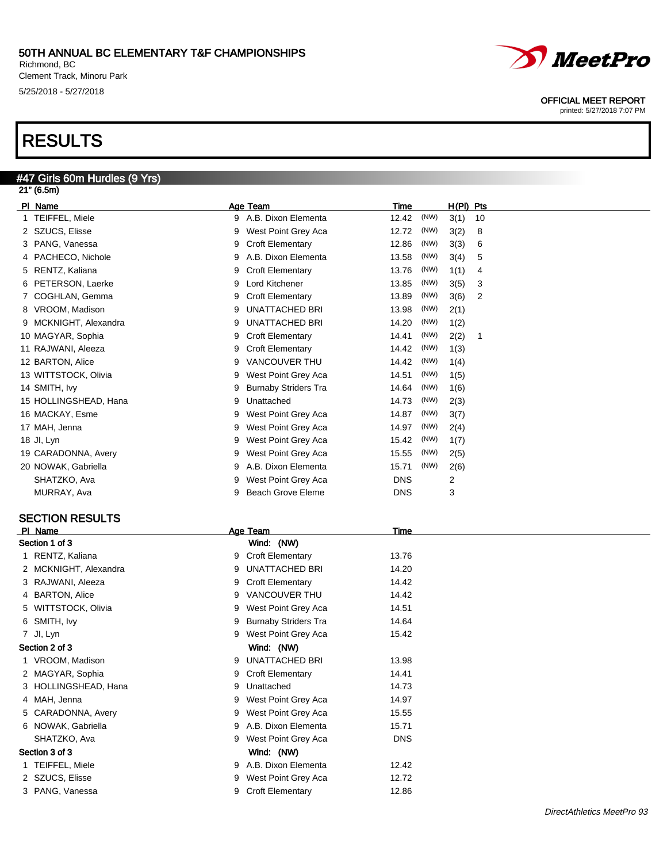Richmond, BC Clement Track, Minoru Park 5/25/2018 - 5/27/2018

# RESULTS

#### #47 Girls 60m Hurdles (9 Yrs) 21" (6.5m)

| PI Name               |   | Age Team                    | Time       |      | H(PI) Pts |    |
|-----------------------|---|-----------------------------|------------|------|-----------|----|
| 1 TEIFFEL, Miele      | 9 | A.B. Dixon Elementa         | 12.42      | (NW) | 3(1)      | 10 |
| 2 SZUCS, Elisse       | 9 | West Point Grey Aca         | 12.72      | (NW) | 3(2)      | 8  |
| 3 PANG, Vanessa       | 9 | <b>Croft Elementary</b>     | 12.86      | (NW) | 3(3)      | 6  |
| 4 PACHECO, Nichole    | 9 | A.B. Dixon Elementa         | 13.58      | (NW) | 3(4)      | 5  |
| 5 RENTZ, Kaliana      | 9 | <b>Croft Elementary</b>     | 13.76      | (NW) | 1(1)      | 4  |
| 6 PETERSON, Laerke    | 9 | Lord Kitchener              | 13.85      | (NW) | 3(5)      | 3  |
| 7 COGHLAN, Gemma      | 9 | <b>Croft Elementary</b>     | 13.89      | (NW) | 3(6)      | 2  |
| 8 VROOM, Madison      | 9 | <b>UNATTACHED BRI</b>       | 13.98      | (NW) | 2(1)      |    |
| 9 MCKNIGHT, Alexandra | 9 | <b>UNATTACHED BRI</b>       | 14.20      | (NW) | 1(2)      |    |
| 10 MAGYAR, Sophia     | 9 | <b>Croft Elementary</b>     | 14.41      | (NW) | 2(2)      | 1  |
| 11 RAJWANI, Aleeza    | 9 | <b>Croft Elementary</b>     | 14.42      | (NW) | 1(3)      |    |
| 12 BARTON, Alice      | 9 | <b>VANCOUVER THU</b>        | 14.42      | (NW) | 1(4)      |    |
| 13 WITTSTOCK, Olivia  | 9 | West Point Grey Aca         | 14.51      | (NW) | 1(5)      |    |
| 14 SMITH, Ivy         | 9 | <b>Burnaby Striders Tra</b> | 14.64      | (NW) | 1(6)      |    |
| 15 HOLLINGSHEAD, Hana | 9 | Unattached                  | 14.73      | (NW) | 2(3)      |    |
| 16 MACKAY, Esme       | 9 | West Point Grey Aca         | 14.87      | (NW) | 3(7)      |    |
| 17 MAH, Jenna         | 9 | West Point Grey Aca         | 14.97      | (NW) | 2(4)      |    |
| 18 JI, Lyn            | 9 | West Point Grey Aca         | 15.42      | (NW) | 1(7)      |    |
| 19 CARADONNA, Avery   | 9 | West Point Grey Aca         | 15.55      | (NW) | 2(5)      |    |
| 20 NOWAK, Gabriella   | 9 | A.B. Dixon Elementa         | 15.71      | (NW) | 2(6)      |    |
| SHATZKO, Ava          | 9 | West Point Grey Aca         | <b>DNS</b> |      | 2         |    |
| MURRAY, Ava           | 9 | <b>Beach Grove Eleme</b>    | <b>DNS</b> |      | 3         |    |
|                       |   |                             |            |      |           |    |

#### SECTION RESULTS

| PI Name               |   | Age Team                    | Time       |                                 |
|-----------------------|---|-----------------------------|------------|---------------------------------|
| Section 1 of 3        |   | Wind: (NW)                  |            |                                 |
| 1 RENTZ, Kaliana      | 9 | <b>Croft Elementary</b>     | 13.76      |                                 |
| 2 MCKNIGHT, Alexandra | 9 | UNATTACHED BRI              | 14.20      |                                 |
| 3 RAJWANI, Aleeza     | 9 | <b>Croft Elementary</b>     | 14.42      |                                 |
| 4 BARTON, Alice       | 9 | VANCOUVER THU               | 14.42      |                                 |
| 5 WITTSTOCK, Olivia   | 9 | West Point Grey Aca         | 14.51      |                                 |
| 6 SMITH, Ivy          | 9 | <b>Burnaby Striders Tra</b> | 14.64      |                                 |
| 7 Jl, Lyn             | 9 | West Point Grey Aca         | 15.42      |                                 |
| Section 2 of 3        |   | Wind: (NW)                  |            |                                 |
| 1 VROOM, Madison      | 9 | UNATTACHED BRI              | 13.98      |                                 |
| 2 MAGYAR, Sophia      | 9 | <b>Croft Elementary</b>     | 14.41      |                                 |
| 3 HOLLINGSHEAD, Hana  | 9 | Unattached                  | 14.73      |                                 |
| 4 MAH, Jenna          | 9 | West Point Grey Aca         | 14.97      |                                 |
| 5 CARADONNA, Avery    | 9 | West Point Grey Aca         | 15.55      |                                 |
| 6 NOWAK, Gabriella    | 9 | A.B. Dixon Elementa         | 15.71      |                                 |
| SHATZKO, Ava          | 9 | West Point Grey Aca         | <b>DNS</b> |                                 |
| Section 3 of 3        |   | Wind: (NW)                  |            |                                 |
| 1 TEIFFEL, Miele      | 9 | A.B. Dixon Elementa         | 12.42      |                                 |
| 2 SZUCS, Elisse       | 9 | West Point Grey Aca         | 12.72      |                                 |
| 3 PANG, Vanessa       | 9 | <b>Croft Elementary</b>     | 12.86      |                                 |
|                       |   |                             |            | $D' = (A \cup A \cup A \cup B)$ |



OFFICIAL MEET REPORT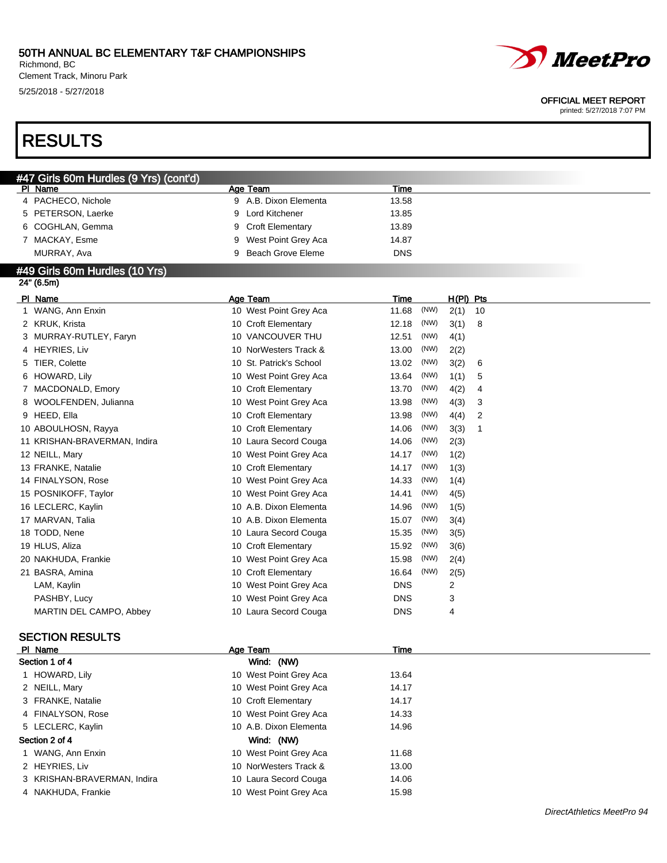Richmond, BC Clement Track, Minoru Park 5/25/2018 - 5/27/2018

# RESULTS

#### OFFICIAL MEET REPORT

printed: 5/27/2018 7:07 PM

| #47 Girls 60m Hurdles (9 Yrs) (cont'd) |                          |            |             |  |
|----------------------------------------|--------------------------|------------|-------------|--|
| PI Name                                | Age Team                 | Time       |             |  |
| 4 PACHECO, Nichole                     | A.B. Dixon Elementa<br>9 | 13.58      |             |  |
| 5 PETERSON, Laerke                     | 9 Lord Kitchener         | 13.85      |             |  |
| 6 COGHLAN, Gemma                       | 9 Croft Elementary       | 13.89      |             |  |
| 7 MACKAY, Esme                         | 9 West Point Grey Aca    | 14.87      |             |  |
| MURRAY, Ava                            | Beach Grove Eleme<br>9   | <b>DNS</b> |             |  |
| #49 Girls 60m Hurdles (10 Yrs)         |                          |            |             |  |
| 24" (6.5m)                             |                          |            |             |  |
| PI Name                                | Age Team                 | Time       | $H(PI)$ Pts |  |

| Name<br><b>PI</b>            | Age Team                | Time          | <u>H(PI)</u><br><u>Pts</u> |
|------------------------------|-------------------------|---------------|----------------------------|
| 1 WANG, Ann Enxin            | 10 West Point Grey Aca  | (NW)<br>11.68 | 2(1)<br>10                 |
| 2 KRUK, Krista               | 10 Croft Elementary     | (NW)<br>12.18 | 3(1)<br>8                  |
| MURRAY-RUTLEY, Faryn<br>3    | 10 VANCOUVER THU        | (NW)<br>12.51 | 4(1)                       |
| 4 HEYRIES, Liv               | 10 NorWesters Track &   | (NW)<br>13.00 | 2(2)                       |
| TIER, Colette<br>5           | 10 St. Patrick's School | (NW)<br>13.02 | 3(2)<br>6                  |
| 6 HOWARD, Lily               | 10 West Point Grey Aca  | (NW)<br>13.64 | 1(1)<br>5                  |
| MACDONALD, Emory             | 10 Croft Elementary     | (NW)<br>13.70 | 4(2)<br>4                  |
| 8 WOOLFENDEN, Julianna       | 10 West Point Grey Aca  | (NW)<br>13.98 | 4(3)<br>3                  |
| 9 HEED, Ella                 | 10 Croft Elementary     | (NW)<br>13.98 | 4(4)<br>2                  |
| 10 ABOULHOSN, Rayya          | 10 Croft Elementary     | (NW)<br>14.06 | 3(3)<br>1                  |
| 11 KRISHAN-BRAVERMAN, Indira | 10 Laura Secord Couga   | (NW)<br>14.06 | 2(3)                       |
| 12 NEILL, Mary               | 10 West Point Grey Aca  | (NW)<br>14.17 | 1(2)                       |
| 13 FRANKE, Natalie           | 10 Croft Elementary     | (NW)<br>14.17 | 1(3)                       |
| 14 FINALYSON, Rose           | 10 West Point Grey Aca  | (NW)<br>14.33 | 1(4)                       |
| 15 POSNIKOFF, Taylor         | 10 West Point Grey Aca  | (NW)<br>14.41 | 4(5)                       |
| 16 LECLERC, Kaylin           | 10 A.B. Dixon Elementa  | (NW)<br>14.96 | 1(5)                       |
| 17 MARVAN, Talia             | 10 A.B. Dixon Elementa  | (NW)<br>15.07 | 3(4)                       |
| 18 TODD, Nene                | 10 Laura Secord Couga   | (NW)<br>15.35 | 3(5)                       |
| 19 HLUS, Aliza               | 10 Croft Elementary     | (NW)<br>15.92 | 3(6)                       |
| 20 NAKHUDA, Frankie          | 10 West Point Grey Aca  | (NW)<br>15.98 | 2(4)                       |
| 21 BASRA, Amina              | 10 Croft Elementary     | (NW)<br>16.64 | 2(5)                       |
| LAM, Kaylin                  | 10 West Point Grey Aca  | <b>DNS</b>    | 2                          |
| PASHBY, Lucy                 | 10 West Point Grey Aca  | <b>DNS</b>    | 3                          |
| MARTIN DEL CAMPO, Abbey      | 10 Laura Secord Couga   | <b>DNS</b>    | 4                          |
|                              |                         |               |                            |

### SECTION RESULTS

| PI Name                     | Age Team               | Time  |  |
|-----------------------------|------------------------|-------|--|
| Section 1 of 4              | Wind: (NW)             |       |  |
| 1 HOWARD, Lily              | 10 West Point Grey Aca | 13.64 |  |
| 2 NEILL, Mary               | 10 West Point Grey Aca | 14.17 |  |
| 3 FRANKE, Natalie           | 10 Croft Elementary    | 14.17 |  |
| 4 FINALYSON, Rose           | 10 West Point Grey Aca | 14.33 |  |
| 5 LECLERC, Kaylin           | 10 A.B. Dixon Elementa | 14.96 |  |
| Section 2 of 4              | Wind: (NW)             |       |  |
| 1 WANG, Ann Enxin           | 10 West Point Grey Aca | 11.68 |  |
| 2 HEYRIES, Liv              | 10 NorWesters Track &  | 13.00 |  |
| 3 KRISHAN-BRAVERMAN, Indira | 10 Laura Secord Couga  | 14.06 |  |
| 4 NAKHUDA, Frankie          | 10 West Point Grey Aca | 15.98 |  |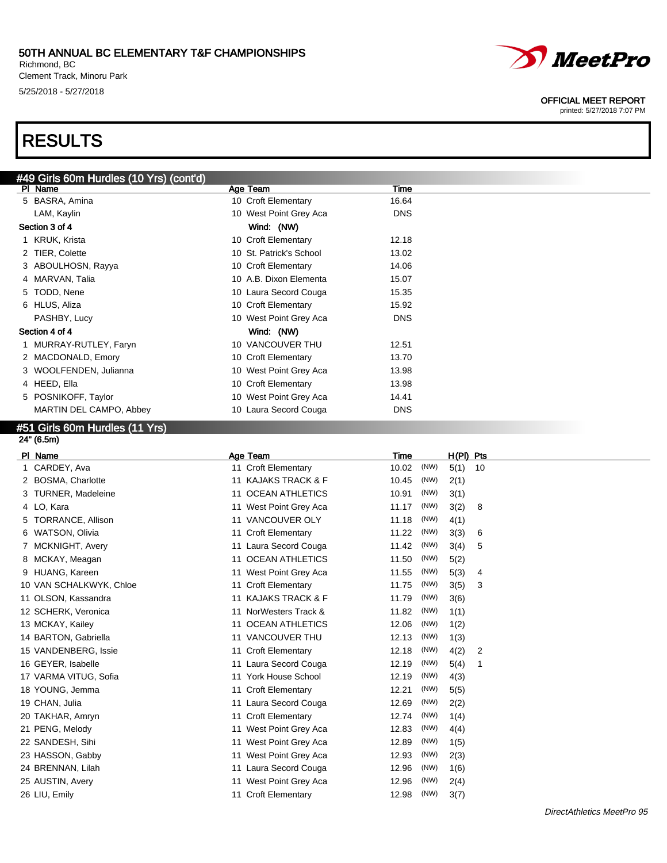Richmond, BC Clement Track, Minoru Park 5/25/2018 - 5/27/2018

# RESULTS

| #49 Girls 60m Hurdles (10 Yrs) (cont'd) |                         |            |  |
|-----------------------------------------|-------------------------|------------|--|
| PI Name                                 | Age Team                | Time       |  |
| 5 BASRA, Amina                          | 10 Croft Elementary     | 16.64      |  |
| LAM, Kaylin                             | 10 West Point Grey Aca  | <b>DNS</b> |  |
| Section 3 of 4                          | Wind: (NW)              |            |  |
| 1 KRUK, Krista                          | 10 Croft Elementary     | 12.18      |  |
| 2 TIER, Colette                         | 10 St. Patrick's School | 13.02      |  |
| 3 ABOULHOSN, Rayya                      | 10 Croft Elementary     | 14.06      |  |
| 4 MARVAN, Talia                         | 10 A.B. Dixon Elementa  | 15.07      |  |
| 5 TODD, Nene                            | 10 Laura Secord Couga   | 15.35      |  |
| 6 HLUS, Aliza                           | 10 Croft Elementary     | 15.92      |  |
| PASHBY, Lucy                            | 10 West Point Grey Aca  | <b>DNS</b> |  |
| Section 4 of 4                          | Wind: (NW)              |            |  |
| 1 MURRAY-RUTLEY, Faryn                  | 10 VANCOUVER THU        | 12.51      |  |
| 2 MACDONALD, Emory                      | 10 Croft Elementary     | 13.70      |  |
| 3 WOOLFENDEN, Julianna                  | 10 West Point Grey Aca  | 13.98      |  |
| 4 HEED, Ella                            | 10 Croft Elementary     | 13.98      |  |
| 5 POSNIKOFF, Taylor                     | 10 West Point Grey Aca  | 14.41      |  |
| MARTIN DEL CAMPO, Abbey                 | 10 Laura Secord Couga   | <b>DNS</b> |  |

#### #51 Girls 60m Hurdles (11 Yrs) 24" (6.5m)

|   | PI Name                  | Age Team                     | Time          | $H(PI)$ Pts |                |
|---|--------------------------|------------------------------|---------------|-------------|----------------|
|   | CARDEY, Ava              | 11 Croft Elementary          | (NW)<br>10.02 | 5(1)        | 10             |
| 2 | <b>BOSMA, Charlotte</b>  | 11 KAJAKS TRACK & F          | (NW)<br>10.45 | 2(1)        |                |
|   | <b>TURNER, Madeleine</b> | 11 OCEAN ATHLETICS           | (NW)<br>10.91 | 3(1)        |                |
|   | 4 LO, Kara               | 11 West Point Grey Aca       | (NW)<br>11.17 | 3(2)        | -8             |
|   | TORRANCE, Allison        | VANCOUVER OLY<br>11          | 11.18<br>(NW) | 4(1)        |                |
| 6 | WATSON, Olivia           | 11 Croft Elementary          | (NW)<br>11.22 | 3(3)        | 6              |
|   | MCKNIGHT, Avery          | 11 Laura Secord Couga        | (NW)<br>11.42 | 3(4)        | 5              |
|   | 8 MCKAY, Meagan          | 11 OCEAN ATHLETICS           | (NW)<br>11.50 | 5(2)        |                |
|   | 9 HUANG, Kareen          | 11 West Point Grey Aca       | 11.55<br>(NW) | 5(3)        | 4              |
|   | 10 VAN SCHALKWYK, Chloe  | 11 Croft Elementary          | (NW)<br>11.75 | 3(5)        | 3              |
|   | 11 OLSON, Kassandra      | 11 KAJAKS TRACK & F          | (NW)<br>11.79 | 3(6)        |                |
|   | 12 SCHERK, Veronica      | 11 NorWesters Track &        | (NW)<br>11.82 | 1(1)        |                |
|   | 13 MCKAY, Kailey         | <b>OCEAN ATHLETICS</b><br>11 | (NW)<br>12.06 | 1(2)        |                |
|   | 14 BARTON, Gabriella     | 11 VANCOUVER THU             | (NW)<br>12.13 | 1(3)        |                |
|   | 15 VANDENBERG, Issie     | 11 Croft Elementary          | 12.18<br>(NW) | 4(2)        | $\overline{2}$ |
|   | 16 GEYER, Isabelle       | 11 Laura Secord Couga        | (NW)<br>12.19 | 5(4)        | -1             |
|   | 17 VARMA VITUG, Sofia    | 11 York House School         | (NW)<br>12.19 | 4(3)        |                |
|   | 18 YOUNG, Jemma          | 11 Croft Elementary          | (NW)<br>12.21 | 5(5)        |                |
|   | 19 CHAN, Julia           | 11 Laura Secord Couga        | (NW)<br>12.69 | 2(2)        |                |
|   | 20 TAKHAR, Amryn         | 11 Croft Elementary          | (NW)<br>12.74 | 1(4)        |                |
|   | 21 PENG, Melody          | West Point Grey Aca<br>11    | (NW)<br>12.83 | 4(4)        |                |
|   | 22 SANDESH, Sihi         | 11 West Point Grey Aca       | (NW)<br>12.89 | 1(5)        |                |
|   | 23 HASSON, Gabby         | West Point Grey Aca<br>11    | (NW)<br>12.93 | 2(3)        |                |
|   | 24 BRENNAN, Lilah        | 11 Laura Secord Couga        | (NW)<br>12.96 | 1(6)        |                |
|   | 25 AUSTIN, Avery         | West Point Grey Aca<br>11    | (NW)<br>12.96 | 2(4)        |                |
|   | 26 LIU, Emily            | 11 Croft Elementary          | (NW)<br>12.98 | 3(7)        |                |



#### OFFICIAL MEET REPORT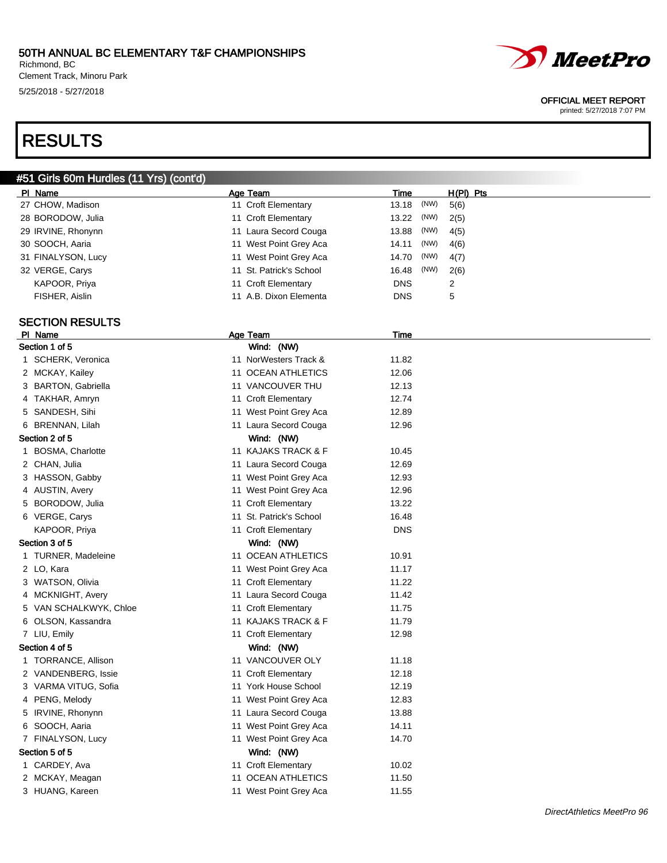Richmond, BC Clement Track, Minoru Park 5/25/2018 - 5/27/2018

# RESULTS

#### #51 Girls 60m Hurdles (11 Yrs) (cont'd)

| PI Name                | Age Team                | Time        |      | $H(PI)$ Pts |
|------------------------|-------------------------|-------------|------|-------------|
| 27 CHOW, Madison       | 11 Croft Elementary     | 13.18       | (NW) | 5(6)        |
| 28 BORODOW, Julia      | 11 Croft Elementary     | 13.22       | (NW) | 2(5)        |
| 29 IRVINE, Rhonynn     | 11 Laura Secord Couga   | 13.88       | (NW) | 4(5)        |
| 30 SOOCH, Aaria        | 11 West Point Grey Aca  | 14.11       | (NW) | 4(6)        |
| 31 FINALYSON, Lucy     | 11 West Point Grey Aca  | 14.70       | (NW) | 4(7)        |
| 32 VERGE, Carys        | 11 St. Patrick's School | 16.48       | (NW) | 2(6)        |
| KAPOOR, Priya          | 11 Croft Elementary     | <b>DNS</b>  |      | 2           |
| FISHER, Aislin         | 11 A.B. Dixon Elementa  | <b>DNS</b>  |      | 5           |
|                        |                         |             |      |             |
| <b>SECTION RESULTS</b> |                         |             |      |             |
| PI Name                | Age Team                | <b>Time</b> |      |             |
| Section 1 of 5         | Wind: (NW)              |             |      |             |
| 1 SCHERK, Veronica     | 11 NorWesters Track &   | 11.82       |      |             |
| 2 MCKAY, Kailey        | 11 OCEAN ATHLETICS      | 12.06       |      |             |
| 3 BARTON, Gabriella    | 11 VANCOUVER THU        | 12.13       |      |             |
| 4 TAKHAR, Amryn        | 11 Croft Elementary     | 12.74       |      |             |
| 5 SANDESH, Sihi        | 11 West Point Grey Aca  | 12.89       |      |             |
| 6 BRENNAN, Lilah       | 11 Laura Secord Couga   | 12.96       |      |             |
| Section 2 of 5         | Wind: (NW)              |             |      |             |
| 1 BOSMA, Charlotte     | 11 KAJAKS TRACK & F     | 10.45       |      |             |
| 2 CHAN, Julia          | 11 Laura Secord Couga   | 12.69       |      |             |
| 3 HASSON, Gabby        | 11 West Point Grey Aca  | 12.93       |      |             |
| 4 AUSTIN, Avery        | 11 West Point Grey Aca  | 12.96       |      |             |
| 5 BORODOW, Julia       | 11 Croft Elementary     | 13.22       |      |             |
| 6 VERGE, Carys         | 11 St. Patrick's School | 16.48       |      |             |
| KAPOOR, Priya          | 11 Croft Elementary     | <b>DNS</b>  |      |             |
| Section 3 of 5         | Wind: (NW)              |             |      |             |
| 1 TURNER, Madeleine    | 11 OCEAN ATHLETICS      | 10.91       |      |             |
| 2 LO, Kara             | 11 West Point Grey Aca  | 11.17       |      |             |
| 3 WATSON, Olivia       | 11 Croft Elementary     | 11.22       |      |             |
| 4 MCKNIGHT, Avery      | 11 Laura Secord Couga   | 11.42       |      |             |
| 5 VAN SCHALKWYK, Chloe | 11 Croft Elementary     | 11.75       |      |             |
| 6 OLSON, Kassandra     | 11 KAJAKS TRACK & F     | 11.79       |      |             |
| 7 LIU, Emily           | 11 Croft Elementary     | 12.98       |      |             |
| Section 4 of 5         | Wind: (NW)              |             |      |             |
| 1 TORRANCE, Allison    | 11 VANCOUVER OLY        | 11.18       |      |             |
| 2 VANDENBERG, Issie    | 11 Croft Elementary     | 12.18       |      |             |
| 3 VARMA VITUG, Sofia   | 11 York House School    | 12.19       |      |             |
| 4 PENG, Melody         | 11 West Point Grey Aca  | 12.83       |      |             |
| 5 IRVINE, Rhonynn      | 11 Laura Secord Couga   | 13.88       |      |             |
| 6 SOOCH, Aaria         | 11 West Point Grey Aca  | 14.11       |      |             |
| 7 FINALYSON, Lucy      | 11 West Point Grey Aca  | 14.70       |      |             |
| Section 5 of 5         | Wind: (NW)              |             |      |             |
| 1 CARDEY, Ava          | 11 Croft Elementary     | 10.02       |      |             |
| 2 MCKAY, Meagan        | 11 OCEAN ATHLETICS      | 11.50       |      |             |



#### OFFICIAL MEET REPORT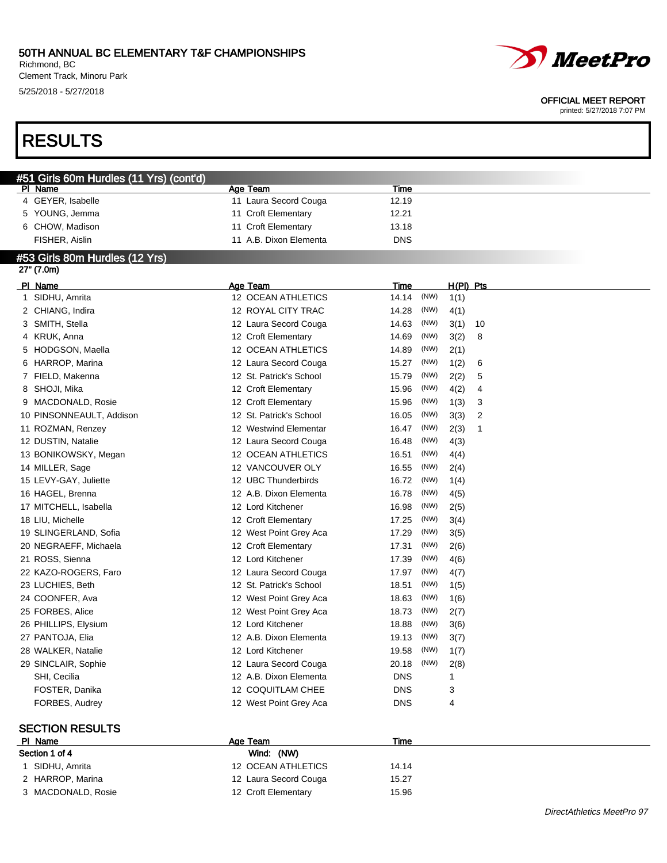Richmond, BC Clement Track, Minoru Park 5/25/2018 - 5/27/2018

# RESULTS

#### OFFICIAL MEET REPORT

printed: 5/27/2018 7:07 PM

| #51 Girls 60m Hurdles (11 Yrs) (cont'd) |                         |                             |  |  |  |  |  |
|-----------------------------------------|-------------------------|-----------------------------|--|--|--|--|--|
| <b>PI Name</b>                          | Age Team                | <b>Time</b>                 |  |  |  |  |  |
| 4 GEYER, Isabelle                       | 11 Laura Secord Couga   | 12.19                       |  |  |  |  |  |
| 5 YOUNG, Jemma                          | 11 Croft Elementary     | 12.21                       |  |  |  |  |  |
| 6 CHOW, Madison                         | 11 Croft Elementary     | 13.18                       |  |  |  |  |  |
| FISHER, Aislin                          | 11 A.B. Dixon Elementa  | <b>DNS</b>                  |  |  |  |  |  |
| #53 Girls 80m Hurdles (12 Yrs)          |                         |                             |  |  |  |  |  |
| 27" (7.0m)                              |                         |                             |  |  |  |  |  |
| PI Name                                 | Age Team                | $H(PI)$ Pts<br><b>Time</b>  |  |  |  |  |  |
| 1 SIDHU, Amrita                         | 12 OCEAN ATHLETICS      | (NW)<br>14.14<br>1(1)       |  |  |  |  |  |
| 2 CHIANG, Indira                        | 12 ROYAL CITY TRAC      | 14.28<br>(NW)<br>4(1)       |  |  |  |  |  |
| 3 SMITH, Stella                         | 12 Laura Secord Couga   | (NW)<br>14.63<br>3(1)<br>10 |  |  |  |  |  |
| 4 KRUK, Anna                            | 12 Croft Elementary     | (NW)<br>14.69<br>3(2)<br>8  |  |  |  |  |  |
| 5 HODGSON, Maella                       | 12 OCEAN ATHLETICS      | (NW)<br>14.89<br>2(1)       |  |  |  |  |  |
| 6 HARROP, Marina                        | 12 Laura Secord Couga   | (NW)<br>15.27<br>1(2)<br>6  |  |  |  |  |  |
| 7 FIELD, Makenna                        | 12 St. Patrick's School | 15.79<br>(NW)<br>2(2)<br>5  |  |  |  |  |  |
| 8 SHOJI, Mika                           | 12 Croft Elementary     | (NW)<br>15.96<br>4(2)<br>4  |  |  |  |  |  |
| 9 MACDONALD, Rosie                      | 12 Croft Elementary     | (NW)<br>15.96<br>1(3)<br>3  |  |  |  |  |  |
| 10 PINSONNEAULT, Addison                | 12 St. Patrick's School | (NW)<br>16.05<br>3(3)<br>2  |  |  |  |  |  |
| 11 ROZMAN, Renzey                       | 12 Westwind Elementar   | 16.47<br>(NW)<br>2(3)<br>1  |  |  |  |  |  |
| 12 DUSTIN, Natalie                      | 12 Laura Secord Couga   | (NW)<br>16.48<br>4(3)       |  |  |  |  |  |
| 13 BONIKOWSKY, Megan                    | 12 OCEAN ATHLETICS      | (NW)<br>16.51<br>4(4)       |  |  |  |  |  |
| 14 MILLER, Sage                         | 12 VANCOUVER OLY        | (NW)<br>16.55<br>2(4)       |  |  |  |  |  |
| 15 LEVY-GAY, Juliette                   | 12 UBC Thunderbirds     | 16.72<br>(NW)<br>1(4)       |  |  |  |  |  |
| 16 HAGEL, Brenna                        | 12 A.B. Dixon Elementa  | (NW)<br>16.78<br>4(5)       |  |  |  |  |  |
| 17 MITCHELL, Isabella                   | 12 Lord Kitchener       | 16.98<br>(NW)<br>2(5)       |  |  |  |  |  |
| 18 LIU, Michelle                        | 12 Croft Elementary     | (NW)<br>17.25<br>3(4)       |  |  |  |  |  |
| 19 SLINGERLAND, Sofia                   | 12 West Point Grey Aca  | 17.29<br>(NW)<br>3(5)       |  |  |  |  |  |
| 20 NEGRAEFF, Michaela                   | 12 Croft Elementary     | (NW)<br>17.31<br>2(6)       |  |  |  |  |  |
| 21 ROSS, Sienna                         | 12 Lord Kitchener       | (NW)<br>17.39<br>4(6)       |  |  |  |  |  |
| 22 KAZO-ROGERS, Faro                    | 12 Laura Secord Couga   | (NW)<br>17.97<br>4(7)       |  |  |  |  |  |
| 23 LUCHIES, Beth                        | 12 St. Patrick's School | 18.51<br>(NW)<br>1(5)       |  |  |  |  |  |
| 24 COONFER, Ava                         | 12 West Point Grey Aca  | (NW)<br>18.63<br>1(6)       |  |  |  |  |  |
| 25 FORBES, Alice                        | 12 West Point Grey Aca  | 18.73<br>(NW)<br>2(7)       |  |  |  |  |  |
| 26 PHILLIPS, Elysium                    | 12 Lord Kitchener       | (NW)<br>18.88<br>3(6)       |  |  |  |  |  |
| 27 PANTOJA, Elia                        | 12 A.B. Dixon Elementa  | 19.13<br>(NW)<br>3(7)       |  |  |  |  |  |
| 28 WALKER, Natalie                      | 12 Lord Kitchener       | (NW)<br>19.58<br>1(7)       |  |  |  |  |  |
| 29 SINCLAIR, Sophie                     | 12 Laura Secord Couga   | 20.18<br>(NW)<br>2(8)       |  |  |  |  |  |
| SHI, Cecilia                            | 12 A.B. Dixon Elementa  | <b>DNS</b><br>1             |  |  |  |  |  |
| FOSTER, Danika                          | 12 COQUITLAM CHEE       | 3<br><b>DNS</b>             |  |  |  |  |  |
| FORBES, Audrey                          | 12 West Point Grey Aca  | <b>DNS</b><br>4             |  |  |  |  |  |
|                                         |                         |                             |  |  |  |  |  |
| <b>SECTION RESULTS</b>                  |                         |                             |  |  |  |  |  |

#### Pl Name Time Age Team Age Team Time Time Section 1 of 4 Wind: (NW) 1 SIDHU, Amrita 12 OCEAN ATHLETICS 14.14 2 HARROP, Marina 12 Laura Secord Couga 15.27 3 MACDONALD, Rosie 12 Croft Elementary 15.96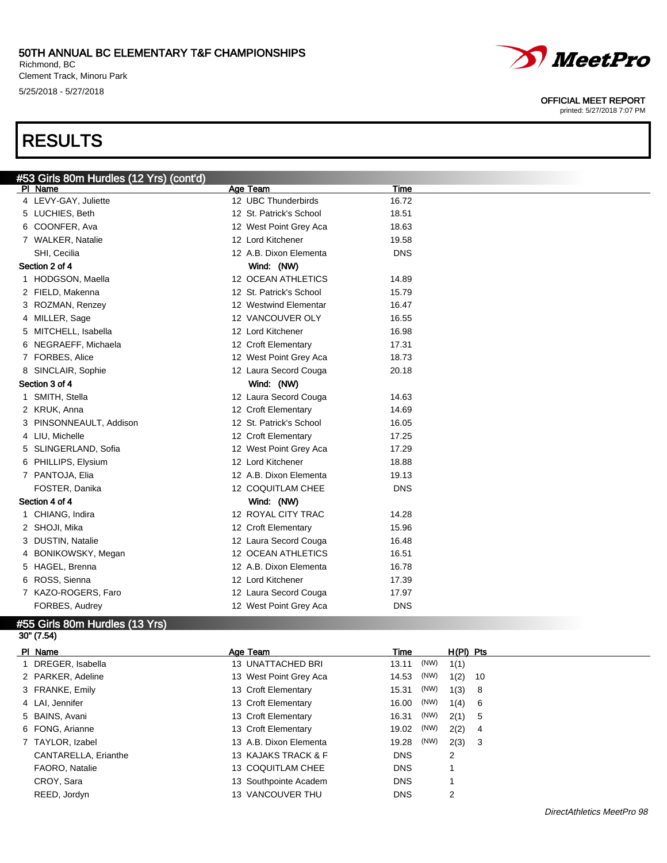#### 50TH ANNUAL BC ELEMENTARY T&F CHAMPIONSHIPS Richmond, BC

Clement Track, Minoru Park 5/25/2018 - 5/27/2018

# RESULTS



#### OFFICIAL MEET REPORT

| #53 Girls 80m Hurdles (12 Yrs) (cont'd) |                         |            |  |
|-----------------------------------------|-------------------------|------------|--|
| PI Name                                 | Age Team                | Time       |  |
| 4 LEVY-GAY, Juliette                    | 12 UBC Thunderbirds     | 16.72      |  |
| 5 LUCHIES, Beth                         | 12 St. Patrick's School | 18.51      |  |
| 6 COONFER, Ava                          | 12 West Point Grey Aca  | 18.63      |  |
| 7 WALKER, Natalie                       | 12 Lord Kitchener       | 19.58      |  |
| SHI, Cecilia                            | 12 A.B. Dixon Elementa  | <b>DNS</b> |  |
| Section 2 of 4                          | Wind: (NW)              |            |  |
| 1 HODGSON, Maella                       | 12 OCEAN ATHLETICS      | 14.89      |  |
| 2 FIELD, Makenna                        | 12 St. Patrick's School | 15.79      |  |
| 3 ROZMAN, Renzey                        | 12 Westwind Elementar   | 16.47      |  |
| 4 MILLER, Sage                          | 12 VANCOUVER OLY        | 16.55      |  |
| 5 MITCHELL, Isabella                    | 12 Lord Kitchener       | 16.98      |  |
| 6 NEGRAEFF, Michaela                    | 12 Croft Elementary     | 17.31      |  |
| 7 FORBES, Alice                         | 12 West Point Grey Aca  | 18.73      |  |
| 8 SINCLAIR, Sophie                      | 12 Laura Secord Couga   | 20.18      |  |
| Section 3 of 4                          | Wind: (NW)              |            |  |
| 1 SMITH, Stella                         | 12 Laura Secord Couga   | 14.63      |  |
| 2 KRUK, Anna                            | 12 Croft Elementary     | 14.69      |  |
| 3 PINSONNEAULT, Addison                 | 12 St. Patrick's School | 16.05      |  |
| 4 LIU, Michelle                         | 12 Croft Elementary     | 17.25      |  |
| 5 SLINGERLAND, Sofia                    | 12 West Point Grey Aca  | 17.29      |  |
| 6 PHILLIPS, Elysium                     | 12 Lord Kitchener       | 18.88      |  |
| 7 PANTOJA, Elia                         | 12 A.B. Dixon Elementa  | 19.13      |  |
| FOSTER, Danika                          | 12 COQUITLAM CHEE       | <b>DNS</b> |  |
| Section 4 of 4                          | Wind: (NW)              |            |  |
| CHIANG, Indira                          | 12 ROYAL CITY TRAC      | 14.28      |  |
| 2 SHOJI, Mika                           | 12 Croft Elementary     | 15.96      |  |
| 3 DUSTIN, Natalie                       | 12 Laura Secord Couga   | 16.48      |  |
| 4 BONIKOWSKY, Megan                     | 12 OCEAN ATHLETICS      | 16.51      |  |
| 5 HAGEL, Brenna                         | 12 A.B. Dixon Elementa  | 16.78      |  |
| 6 ROSS, Sienna                          | 12 Lord Kitchener       | 17.39      |  |
| 7 KAZO-ROGERS, Faro                     | 12 Laura Secord Couga   | 17.97      |  |
| FORBES, Audrey                          | 12 West Point Grey Aca  | <b>DNS</b> |  |
| #55 Girls 80m Hurdles (13 Yrs)          |                         |            |  |

30" (7.54)

| PI Name              | Age Team               | Time          | $H(PI)$ Pts |
|----------------------|------------------------|---------------|-------------|
| 1 DREGER, Isabella   | 13 UNATTACHED BRI      | (NW)<br>13.11 | 1(1)        |
| 2 PARKER, Adeline    | 13 West Point Grey Aca | (NW)<br>14.53 | 1(2)<br>-10 |
| 3 FRANKE, Emily      | 13 Croft Elementary    | (NW)<br>15.31 | 1(3)<br>- 8 |
| 4 LAI, Jennifer      | 13 Croft Elementary    | (NW)<br>16.00 | 1(4)<br>- 6 |
| 5 BAINS, Avani       | 13 Croft Elementary    | (NW)<br>16.31 | 2(1)<br>-5  |
| 6 FONG, Arianne      | 13 Croft Elementary    | (NW)<br>19.02 | 2(2)<br>4   |
| 7 TAYLOR, Izabel     | 13 A.B. Dixon Elementa | (NW)<br>19.28 | 2(3)<br>- 3 |
| CANTARELLA, Erianthe | 13 KAJAKS TRACK & F    | <b>DNS</b>    | 2           |
| FAORO, Natalie       | 13 COQUITLAM CHEE      | <b>DNS</b>    |             |
| CROY, Sara           | 13 Southpointe Academ  | <b>DNS</b>    |             |
| REED, Jordyn         | 13 VANCOUVER THU       | <b>DNS</b>    | 2           |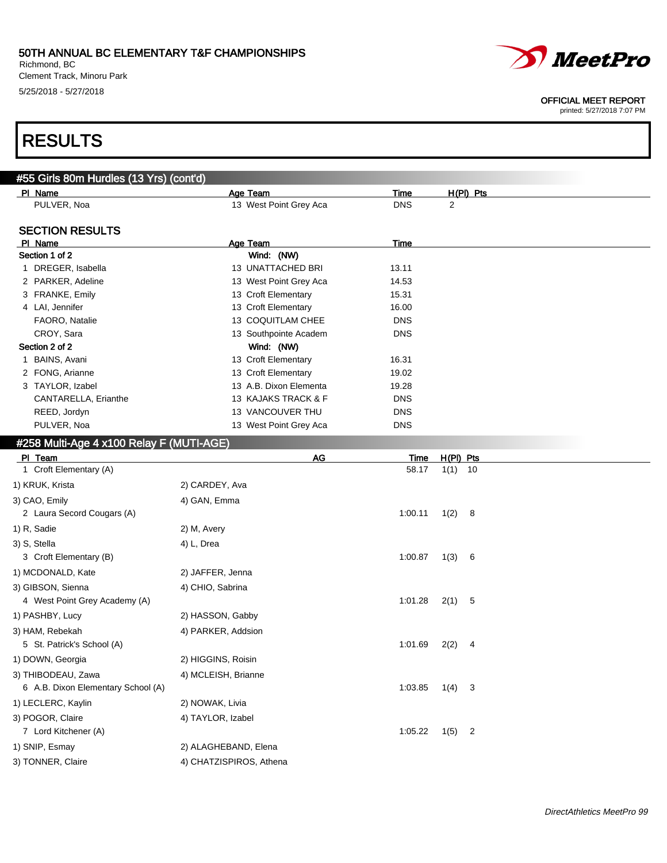Richmond, BC Clement Track, Minoru Park 5/25/2018 - 5/27/2018



#### OFFICIAL MEET REPORT

printed: 5/27/2018 7:07 PM

### RESULTS

| #55 Girls 80m Hurdles (13 Yrs) (cont'd)  |                         |             |                        |  |
|------------------------------------------|-------------------------|-------------|------------------------|--|
| PI Name                                  | Age Team                | Time        | $H(PI)$ Pts            |  |
| PULVER, Noa                              | 13 West Point Grey Aca  | <b>DNS</b>  | 2                      |  |
| <b>SECTION RESULTS</b>                   |                         |             |                        |  |
| PI Name                                  | Age Team                | <b>Time</b> |                        |  |
| Section 1 of 2                           | Wind: (NW)              |             |                        |  |
| 1 DREGER, Isabella                       | 13 UNATTACHED BRI       | 13.11       |                        |  |
| 2 PARKER, Adeline                        | 13 West Point Grey Aca  | 14.53       |                        |  |
| 3 FRANKE, Emily                          | 13 Croft Elementary     | 15.31       |                        |  |
| 4 LAI, Jennifer                          | 13 Croft Elementary     | 16.00       |                        |  |
| FAORO, Natalie                           | 13 COQUITLAM CHEE       | <b>DNS</b>  |                        |  |
| CROY, Sara                               | 13 Southpointe Academ   | <b>DNS</b>  |                        |  |
| Section 2 of 2                           | Wind: (NW)              |             |                        |  |
| 1 BAINS, Avani                           | 13 Croft Elementary     | 16.31       |                        |  |
| 2 FONG, Arianne                          | 13 Croft Elementary     | 19.02       |                        |  |
| 3 TAYLOR, Izabel                         | 13 A.B. Dixon Elementa  | 19.28       |                        |  |
| CANTARELLA, Erianthe                     | 13 KAJAKS TRACK & F     | <b>DNS</b>  |                        |  |
| REED, Jordyn                             | 13 VANCOUVER THU        | <b>DNS</b>  |                        |  |
| PULVER, Noa                              | 13 West Point Grey Aca  | <b>DNS</b>  |                        |  |
| #258 Multi-Age 4 x100 Relay F (MUTI-AGE) |                         |             |                        |  |
| PI Team                                  | <b>AG</b>               | Time        | $H(PI)$ Pts            |  |
| 1 Croft Elementary (A)                   |                         | 58.17       | $1(1)$ 10              |  |
| 1) KRUK, Krista                          | 2) CARDEY, Ava          |             |                        |  |
| 3) CAO, Emily                            | 4) GAN, Emma            |             |                        |  |
| 2 Laura Secord Cougars (A)               |                         | 1:00.11     | 1(2)<br>- 8            |  |
| 1) R, Sadie                              | 2) M, Avery             |             |                        |  |
| 3) S, Stella                             | 4) L, Drea              |             |                        |  |
| 3 Croft Elementary (B)                   |                         | 1:00.87     | 1(3)<br>- 6            |  |
| 1) MCDONALD, Kate                        | 2) JAFFER, Jenna        |             |                        |  |
| 3) GIBSON, Sienna                        | 4) CHIO, Sabrina        |             |                        |  |
| 4 West Point Grey Academy (A)            |                         | 1:01.28     | 2(1)<br>-5             |  |
|                                          |                         |             |                        |  |
| 1) PASHBY, Lucy                          | 2) HASSON, Gabby        |             |                        |  |
| 3) HAM, Rebekah                          | 4) PARKER, Addsion      |             |                        |  |
| 5 St. Patrick's School (A)               |                         | 1:01.69     | 2(2)<br>-4             |  |
| 1) DOWN, Georgia                         | 2) HIGGINS, Roisin      |             |                        |  |
| 3) THIBODEAU, Zawa                       | 4) MCLEISH, Brianne     |             |                        |  |
| 6 A.B. Dixon Elementary School (A)       |                         | 1:03.85     | 1(4)<br>-3             |  |
| 1) LECLERC, Kaylin                       | 2) NOWAK, Livia         |             |                        |  |
| 3) POGOR, Claire                         | 4) TAYLOR, Izabel       |             |                        |  |
| 7 Lord Kitchener (A)                     |                         | 1:05.22     | 1(5)<br>$\overline{c}$ |  |
| 1) SNIP, Esmay                           | 2) ALAGHEBAND, Elena    |             |                        |  |
| 3) TONNER, Claire                        | 4) CHATZISPIROS, Athena |             |                        |  |
|                                          |                         |             |                        |  |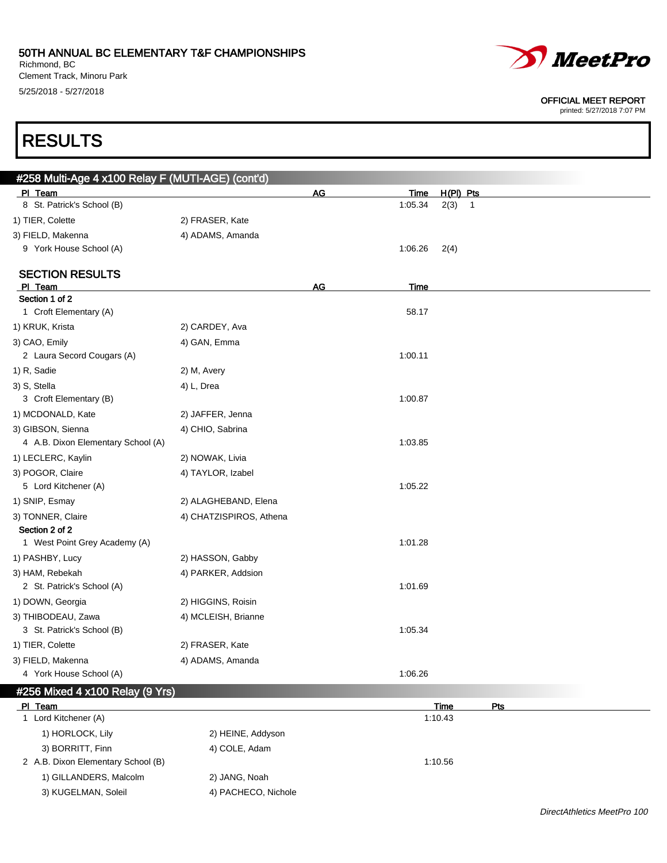Richmond, BC Clement Track, Minoru Park 5/25/2018 - 5/27/2018



#### OFFICIAL MEET REPORT

printed: 5/27/2018 7:07 PM

# RESULTS

| PI Team<br>8 St. Patrick's School (B)                      |                         | <b>AG</b> | <u>Time</u> | H(PI) Pts              |
|------------------------------------------------------------|-------------------------|-----------|-------------|------------------------|
|                                                            |                         |           |             |                        |
|                                                            |                         |           | 1:05.34     | 2(3)<br>$\overline{1}$ |
| 1) TIER, Colette                                           | 2) FRASER, Kate         |           |             |                        |
| 3) FIELD, Makenna                                          | 4) ADAMS, Amanda        |           |             |                        |
| 9 York House School (A)                                    |                         |           | 1:06.26     | 2(4)                   |
|                                                            |                         |           |             |                        |
| <b>SECTION RESULTS</b><br>PI Team                          |                         | AG        | <b>Time</b> |                        |
| Section 1 of 2                                             |                         |           |             |                        |
| 1 Croft Elementary (A)                                     |                         |           | 58.17       |                        |
| 1) KRUK, Krista                                            | 2) CARDEY, Ava          |           |             |                        |
| 3) CAO, Emily                                              | 4) GAN, Emma            |           |             |                        |
| 2 Laura Secord Cougars (A)                                 |                         |           | 1:00.11     |                        |
| 1) R, Sadie                                                | 2) M, Avery             |           |             |                        |
| 3) S, Stella                                               | 4) L, Drea              |           |             |                        |
| 3 Croft Elementary (B)                                     |                         |           | 1:00.87     |                        |
| 1) MCDONALD, Kate                                          | 2) JAFFER, Jenna        |           |             |                        |
| 3) GIBSON, Sienna                                          | 4) CHIO, Sabrina        |           |             |                        |
| 4 A.B. Dixon Elementary School (A)                         |                         |           | 1:03.85     |                        |
| 1) LECLERC, Kaylin                                         | 2) NOWAK, Livia         |           |             |                        |
| 3) POGOR, Claire                                           | 4) TAYLOR, Izabel       |           |             |                        |
| 5 Lord Kitchener (A)                                       |                         |           | 1:05.22     |                        |
| 1) SNIP, Esmay                                             | 2) ALAGHEBAND, Elena    |           |             |                        |
| 3) TONNER, Claire                                          | 4) CHATZISPIROS, Athena |           |             |                        |
| Section 2 of 2                                             |                         |           |             |                        |
| 1 West Point Grey Academy (A)                              |                         |           | 1:01.28     |                        |
| 1) PASHBY, Lucy                                            | 2) HASSON, Gabby        |           |             |                        |
| 3) HAM, Rebekah                                            | 4) PARKER, Addsion      |           |             |                        |
| 2 St. Patrick's School (A)                                 |                         |           | 1:01.69     |                        |
| 1) DOWN, Georgia                                           | 2) HIGGINS, Roisin      |           |             |                        |
| 3) THIBODEAU, Zawa                                         | 4) MCLEISH, Brianne     |           |             |                        |
| 3 St. Patrick's School (B)                                 |                         |           | 1:05.34     |                        |
| 1) TIER, Colette                                           | 2) FRASER, Kate         |           |             |                        |
| 3) FIELD, Makenna                                          | 4) ADAMS, Amanda        |           |             |                        |
| 4 York House School (A)<br>#256 Mixed 4 x100 Relay (9 Yrs) |                         |           | 1:06.26     |                        |

| PI Team                            |                     | Time    | Pts |
|------------------------------------|---------------------|---------|-----|
| Lord Kitchener (A)                 |                     | 1:10.43 |     |
| 1) HORLOCK, Lily                   | 2) HEINE, Addyson   |         |     |
| 3) BORRITT, Finn                   | 4) COLE, Adam       |         |     |
| 2 A.B. Dixon Elementary School (B) |                     | 1:10.56 |     |
| 1) GILLANDERS, Malcolm             | 2) JANG, Noah       |         |     |
| 3) KUGELMAN, Soleil                | 4) PACHECO, Nichole |         |     |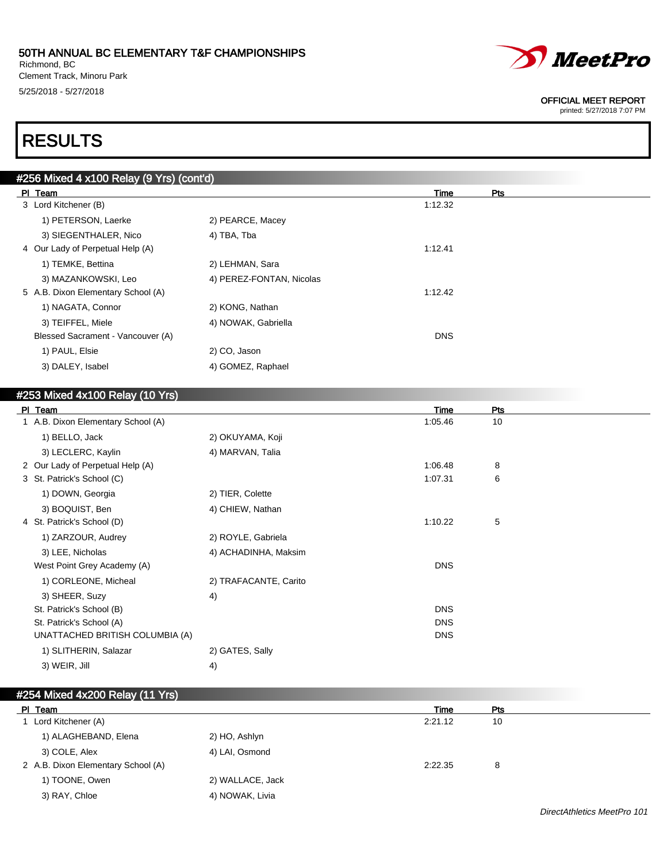Richmond, BC Clement Track, Minoru Park 5/25/2018 - 5/27/2018



#### OFFICIAL MEET REPORT

printed: 5/27/2018 7:07 PM

# RESULTS

| #256 Mixed 4 x100 Relay (9 Yrs) (cont'd) |                          |                    |  |
|------------------------------------------|--------------------------|--------------------|--|
| PI Team                                  |                          | <b>Pts</b><br>Time |  |
| 3 Lord Kitchener (B)                     |                          | 1:12.32            |  |
| 1) PETERSON, Laerke                      | 2) PEARCE, Macey         |                    |  |
| 3) SIEGENTHALER, Nico                    | 4) TBA, Tba              |                    |  |
| 4 Our Lady of Perpetual Help (A)         |                          | 1:12.41            |  |
| 1) TEMKE, Bettina                        | 2) LEHMAN, Sara          |                    |  |
| 3) MAZANKOWSKI, Leo                      | 4) PEREZ-FONTAN, Nicolas |                    |  |
| 5 A.B. Dixon Elementary School (A)       |                          | 1:12.42            |  |
| 1) NAGATA, Connor                        | 2) KONG, Nathan          |                    |  |
| 3) TEIFFEL, Miele                        | 4) NOWAK, Gabriella      |                    |  |
| Blessed Sacrament - Vancouver (A)        |                          | <b>DNS</b>         |  |
| 1) PAUL, Elsie                           | 2) CO, Jason             |                    |  |
| 3) DALEY, Isabel                         | 4) GOMEZ, Raphael        |                    |  |
|                                          |                          |                    |  |

### #253 Mixed 4x100 Relay (10 Yrs) Pl Team Time Pts 1 A.B. Dixon Elementary School (A) 105.46 10 1) BELLO, Jack 2) OKUYAMA, Koji 3) LECLERC, Kaylin 4) MARVAN, Talia 2 Our Lady of Perpetual Help (A) 2 Our Lady of Perpetual Help (A) 3 and 3 and 3 and 3 and 3 and 3 and 4 and 4 and 4 and 4 and 4 and 4 and 4 and 4 and 4 and 4 and 4 and 4 and 4 and 4 and 4 and 4 and 4 and 4 and 4 and 4 and 3 St. Patrick's School (C) 1:07.31 6 1) DOWN, Georgia 2) TIER, Colette 3) BOQUIST, Ben 4) CHIEW, Nathan 4 St. Patrick's School (D) 31:10.22 5 1) ZARZOUR, Audrey 2) ROYLE, Gabriela 3) LEE, Nicholas (3) LEE, Nicholas (3) LEE, Nicholas (4) ACHADINHA, Maksim West Point Grey Academy (A) DNS 1) CORLEONE, Micheal 2) TRAFACANTE, Carito 3) SHEER, Suzy 4) St. Patrick's School (B) DNS St. Patrick's School (A) DNS UNATTACHED BRITISH COLUMBIA (A) DNS 1) SLITHERIN, Salazar 2) GATES, Sally 3) WEIR, Jill 4)

### #254 Mixed 4x200 Relay (11 Yrs)

| PI Team                            |                  | <b>Time</b> | Pts |
|------------------------------------|------------------|-------------|-----|
| 1 Lord Kitchener (A)               |                  | 2:21.12     | 10  |
| 1) ALAGHEBAND, Elena               | 2) HO, Ashlyn    |             |     |
| 3) COLE, Alex                      | 4) LAI, Osmond   |             |     |
| 2 A.B. Dixon Elementary School (A) |                  | 2:22.35     | 8   |
| 1) TOONE, Owen                     | 2) WALLACE, Jack |             |     |
| 3) RAY, Chloe                      | 4) NOWAK, Livia  |             |     |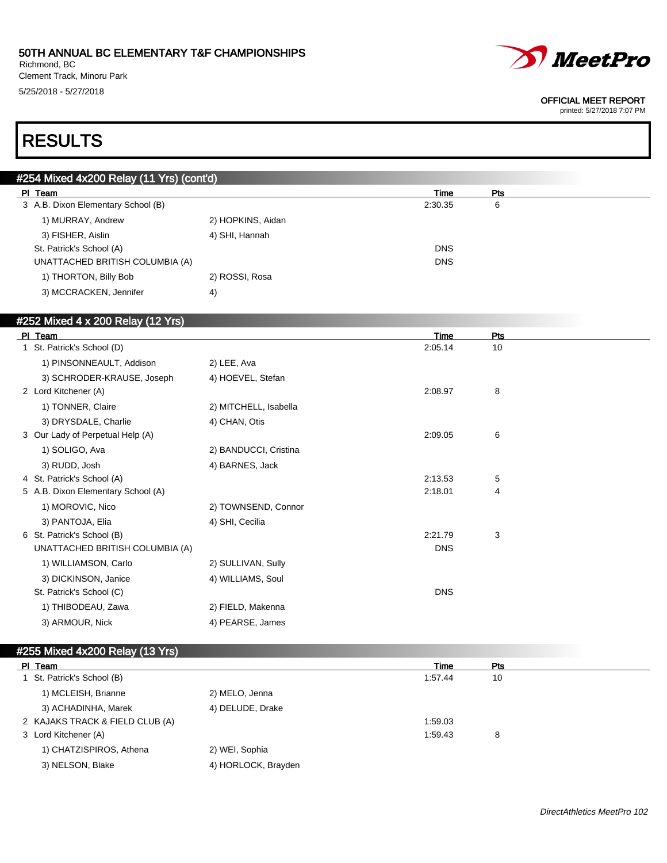Richmond, BC Clement Track, Minoru Park 5/25/2018 - 5/27/2018



#### OFFICIAL MEET REPORT

printed: 5/27/2018 7:07 PM

## RESULTS

| #254 Mixed 4x200 Relay (11 Yrs) (cont'd) |                   |            |     |  |
|------------------------------------------|-------------------|------------|-----|--|
| PI Team                                  |                   | Time       | Pts |  |
| 3 A.B. Dixon Elementary School (B)       |                   | 2:30.35    | 6   |  |
| 1) MURRAY, Andrew                        | 2) HOPKINS, Aidan |            |     |  |
| 3) FISHER, Aislin                        | 4) SHI, Hannah    |            |     |  |
| St. Patrick's School (A)                 |                   | <b>DNS</b> |     |  |
| UNATTACHED BRITISH COLUMBIA (A)          |                   | <b>DNS</b> |     |  |
| 1) THORTON, Billy Bob                    | 2) ROSSI, Rosa    |            |     |  |
| 3) MCCRACKEN, Jennifer                   | $ 4\rangle$       |            |     |  |

#### #252 Mixed 4 x 200 Relay (12 Yrs)

| <b>PI</b><br>Team                  |                       | <b>Time</b> | Pts |  |
|------------------------------------|-----------------------|-------------|-----|--|
| St. Patrick's School (D)           |                       | 2:05.14     | 10  |  |
| 1) PINSONNEAULT, Addison           | 2) LEE, Ava           |             |     |  |
| 3) SCHRODER-KRAUSE, Joseph         | 4) HOEVEL, Stefan     |             |     |  |
| 2 Lord Kitchener (A)               |                       | 2:08.97     | 8   |  |
| 1) TONNER, Claire                  | 2) MITCHELL, Isabella |             |     |  |
| 3) DRYSDALE, Charlie               | 4) CHAN, Otis         |             |     |  |
| 3 Our Lady of Perpetual Help (A)   |                       | 2:09.05     | 6   |  |
| 1) SOLIGO, Ava                     | 2) BANDUCCI, Cristina |             |     |  |
| 3) RUDD, Josh                      | 4) BARNES, Jack       |             |     |  |
| 4 St. Patrick's School (A)         |                       | 2:13.53     | 5   |  |
| 5 A.B. Dixon Elementary School (A) |                       | 2:18.01     | 4   |  |
| 1) MOROVIC, Nico                   | 2) TOWNSEND, Connor   |             |     |  |
| 3) PANTOJA, Elia                   | 4) SHI, Cecilia       |             |     |  |
| 6 St. Patrick's School (B)         |                       | 2:21.79     | 3   |  |
| UNATTACHED BRITISH COLUMBIA (A)    |                       | <b>DNS</b>  |     |  |
| 1) WILLIAMSON, Carlo               | 2) SULLIVAN, Sully    |             |     |  |
| 3) DICKINSON, Janice               | 4) WILLIAMS, Soul     |             |     |  |
| St. Patrick's School (C)           |                       | <b>DNS</b>  |     |  |
| 1) THIBODEAU, Zawa                 | 2) FIELD, Makenna     |             |     |  |
| 3) ARMOUR, Nick                    | 4) PEARSE, James      |             |     |  |

#### #255 Mixed 4x200 Relay (13 Yrs)

| PI Team                         |                     | Time    | Pts |  |
|---------------------------------|---------------------|---------|-----|--|
| 1 St. Patrick's School (B)      |                     | 1:57.44 | 10  |  |
| 1) MCLEISH, Brianne             | 2) MELO, Jenna      |         |     |  |
| 3) ACHADINHA, Marek             | 4) DELUDE, Drake    |         |     |  |
| 2 KAJAKS TRACK & FIELD CLUB (A) |                     | 1:59.03 |     |  |
| 3 Lord Kitchener (A)            |                     | 1:59.43 | 8   |  |
| 1) CHATZISPIROS, Athena         | 2) WEI, Sophia      |         |     |  |
| 3) NELSON, Blake                | 4) HORLOCK, Brayden |         |     |  |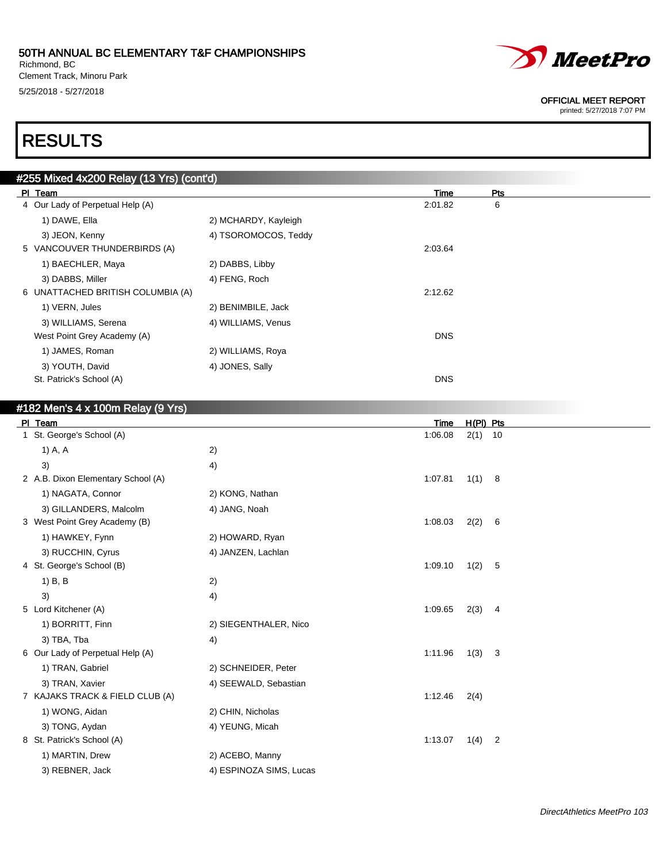Richmond, BC Clement Track, Minoru Park 5/25/2018 - 5/27/2018



#### OFFICIAL MEET REPORT

printed: 5/27/2018 7:07 PM

# RESULTS

| #255 Mixed 4x200 Relay (13 Yrs) (cont'd) |                      |            |     |  |
|------------------------------------------|----------------------|------------|-----|--|
| PI Team                                  |                      | Time       | Pts |  |
| 4 Our Lady of Perpetual Help (A)         |                      | 2:01.82    | 6   |  |
| 1) DAWE, Ella                            | 2) MCHARDY, Kayleigh |            |     |  |
| 3) JEON, Kenny                           | 4) TSOROMOCOS, Teddy |            |     |  |
| 5 VANCOUVER THUNDERBIRDS (A)             |                      | 2:03.64    |     |  |
| 1) BAECHLER, Maya                        | 2) DABBS, Libby      |            |     |  |
| 3) DABBS, Miller                         | 4) FENG, Roch        |            |     |  |
| 6 UNATTACHED BRITISH COLUMBIA (A)        |                      | 2:12.62    |     |  |
| 1) VERN, Jules                           | 2) BENIMBILE, Jack   |            |     |  |
| 3) WILLIAMS, Serena                      | 4) WILLIAMS, Venus   |            |     |  |
| West Point Grey Academy (A)              |                      | <b>DNS</b> |     |  |
| 1) JAMES, Roman                          | 2) WILLIAMS, Roya    |            |     |  |
| 3) YOUTH, David                          | 4) JONES, Sally      |            |     |  |
| St. Patrick's School (A)                 |                      | <b>DNS</b> |     |  |
|                                          |                      |            |     |  |

### #182 Men's 4 x 100m Relay (9 Yrs)

| PI Team                            |                         | Time    | $H(PI)$ Pts |                |
|------------------------------------|-------------------------|---------|-------------|----------------|
| 1 St. George's School (A)          |                         | 1:06.08 | $2(1)$ 10   |                |
| 1) A, A                            | 2)                      |         |             |                |
| 3)                                 | 4)                      |         |             |                |
| 2 A.B. Dixon Elementary School (A) |                         | 1:07.81 | 1(1) 8      |                |
| 1) NAGATA, Connor                  | 2) KONG, Nathan         |         |             |                |
| 3) GILLANDERS, Malcolm             | 4) JANG, Noah           |         |             |                |
| 3 West Point Grey Academy (B)      |                         | 1:08.03 | 2(2)        | 6              |
| 1) HAWKEY, Fynn                    | 2) HOWARD, Ryan         |         |             |                |
| 3) RUCCHIN, Cyrus                  | 4) JANZEN, Lachlan      |         |             |                |
| 4 St. George's School (B)          |                         | 1:09.10 | 1(2)        | - 5            |
| $1)$ B, B                          | 2)                      |         |             |                |
| 3)                                 | 4)                      |         |             |                |
| 5 Lord Kitchener (A)               |                         | 1:09.65 | 2(3)        | $\overline{4}$ |
| 1) BORRITT, Finn                   | 2) SIEGENTHALER, Nico   |         |             |                |
| 3) TBA, Tba                        | 4)                      |         |             |                |
| 6 Our Lady of Perpetual Help (A)   |                         | 1:11.96 | 1(3)        | 3              |
| 1) TRAN, Gabriel                   | 2) SCHNEIDER, Peter     |         |             |                |
| 3) TRAN, Xavier                    | 4) SEEWALD, Sebastian   |         |             |                |
| 7 KAJAKS TRACK & FIELD CLUB (A)    |                         | 1:12.46 | 2(4)        |                |
| 1) WONG, Aidan                     | 2) CHIN, Nicholas       |         |             |                |
| 3) TONG, Aydan                     | 4) YEUNG, Micah         |         |             |                |
| 8 St. Patrick's School (A)         |                         | 1:13.07 | 1(4)        | $\overline{2}$ |
| 1) MARTIN, Drew                    | 2) ACEBO, Manny         |         |             |                |
| 3) REBNER, Jack                    | 4) ESPINOZA SIMS, Lucas |         |             |                |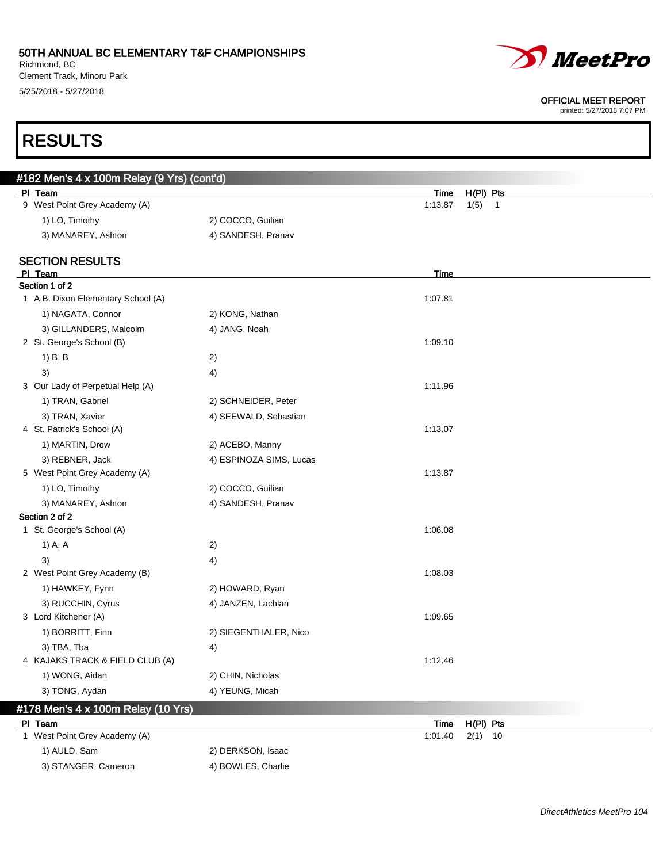Richmond, BC Clement Track, Minoru Park 5/25/2018 - 5/27/2018

RESULTS



#### OFFICIAL MEET REPORT

| #182 Men's 4 x 100m Relay (9 Yrs) (cont'd)<br>PI Team |                         | Time    | $H(PI)$ Pts            |
|-------------------------------------------------------|-------------------------|---------|------------------------|
| 9 West Point Grey Academy (A)                         |                         | 1:13.87 | 1(5)<br>$\overline{1}$ |
| 1) LO, Timothy                                        | 2) COCCO, Guilian       |         |                        |
| 3) MANAREY, Ashton                                    | 4) SANDESH, Pranav      |         |                        |
| <b>SECTION RESULTS</b>                                |                         |         |                        |
| PI Team                                               |                         | Time    |                        |
| Section 1 of 2                                        |                         |         |                        |
| 1 A.B. Dixon Elementary School (A)                    |                         | 1:07.81 |                        |
| 1) NAGATA, Connor                                     | 2) KONG, Nathan         |         |                        |
| 3) GILLANDERS, Malcolm                                | 4) JANG, Noah           |         |                        |
| 2 St. George's School (B)                             |                         | 1:09.10 |                        |
| 1) B, B                                               | 2)                      |         |                        |
| 3)                                                    | 4)                      |         |                        |
| 3 Our Lady of Perpetual Help (A)                      |                         | 1:11.96 |                        |
| 1) TRAN, Gabriel                                      | 2) SCHNEIDER, Peter     |         |                        |
| 3) TRAN, Xavier                                       | 4) SEEWALD, Sebastian   |         |                        |
| 4 St. Patrick's School (A)                            |                         | 1:13.07 |                        |
| 1) MARTIN, Drew                                       | 2) ACEBO, Manny         |         |                        |
| 3) REBNER, Jack                                       | 4) ESPINOZA SIMS, Lucas |         |                        |
| 5 West Point Grey Academy (A)                         |                         | 1:13.87 |                        |
| 1) LO, Timothy                                        | 2) COCCO, Guilian       |         |                        |
| 3) MANAREY, Ashton                                    | 4) SANDESH, Pranav      |         |                        |
| Section 2 of 2                                        |                         |         |                        |
| 1 St. George's School (A)                             |                         | 1:06.08 |                        |
| 1) A, A                                               | 2)                      |         |                        |
| 3)                                                    | 4)                      |         |                        |
| 2 West Point Grey Academy (B)                         |                         | 1:08.03 |                        |
| 1) HAWKEY, Fynn                                       | 2) HOWARD, Ryan         |         |                        |
| 3) RUCCHIN, Cyrus                                     | 4) JANZEN, Lachlan      |         |                        |
| 3 Lord Kitchener (A)                                  |                         | 1:09.65 |                        |
| 1) BORRITT, Finn                                      | 2) SIEGENTHALER, Nico   |         |                        |
| 3) TBA, Tba                                           | 4)                      |         |                        |
| 4 KAJAKS TRACK & FIELD CLUB (A)                       |                         | 1:12.46 |                        |
| 1) WONG, Aidan                                        | 2) CHIN, Nicholas       |         |                        |
| 3) TONG, Aydan                                        | 4) YEUNG, Micah         |         |                        |
| #178 Men's 4 x 100m Relay (10 Yrs)                    |                         |         |                        |

| PI Team                                  | $H(PI)$ Pts<br>Time |
|------------------------------------------|---------------------|
| <sup>1</sup> West Point Grey Academy (A) | $1:01.40$ $2(1)$ 10 |
| 1) AULD, Sam                             | 2) DERKSON, Isaac   |
| 3) STANGER, Cameron                      | 4) BOWLES, Charlie  |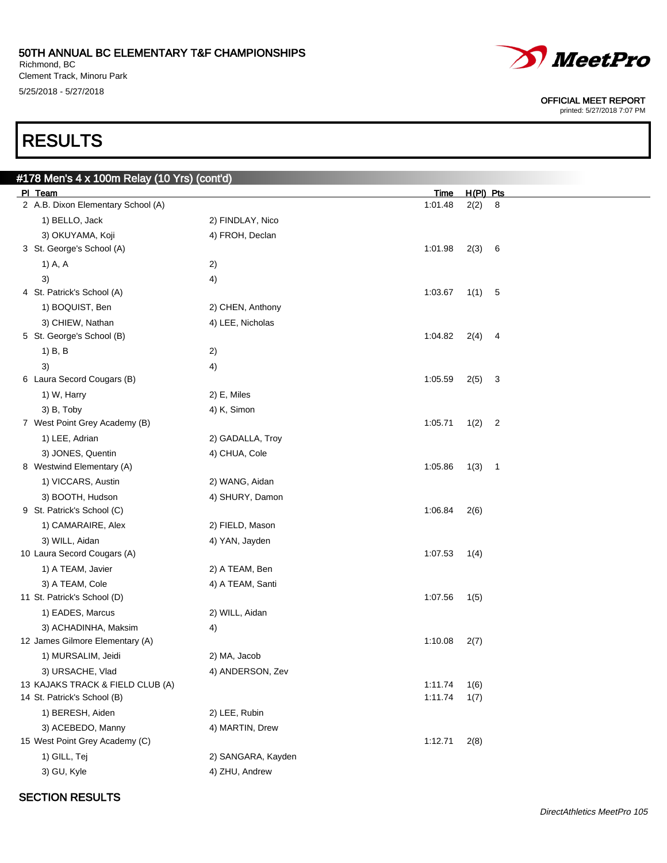Richmond, BC Clement Track, Minoru Park 5/25/2018 - 5/27/2018

# RESULTS

OFFICIAL MEET REPORT

printed: 5/27/2018 7:07 PM

| #178  Men's 4 x 100m Relay (10 Yrs) (cont'd) |                    |         |             |                          |
|----------------------------------------------|--------------------|---------|-------------|--------------------------|
| PI Team                                      |                    | Time    | $H(PI)$ Pts |                          |
| 2 A.B. Dixon Elementary School (A)           |                    | 1:01.48 | 2(2)        | 8                        |
| 1) BELLO, Jack                               | 2) FINDLAY, Nico   |         |             |                          |
| 3) OKUYAMA, Koji                             | 4) FROH, Declan    |         |             |                          |
| 3 St. George's School (A)                    |                    | 1:01.98 | 2(3) 6      |                          |
| 1) A, A                                      | 2)                 |         |             |                          |
| 3)                                           | 4)                 |         |             |                          |
| 4 St. Patrick's School (A)                   |                    | 1:03.67 | 1(1)        | -5                       |
| 1) BOQUIST, Ben                              | 2) CHEN, Anthony   |         |             |                          |
| 3) CHIEW, Nathan                             | 4) LEE, Nicholas   |         |             |                          |
| 5 St. George's School (B)                    |                    | 1:04.82 | 2(4)        | 4                        |
| 1) B, B                                      | 2)                 |         |             |                          |
| 3)                                           | 4)                 |         |             |                          |
| 6 Laura Secord Cougars (B)                   |                    | 1:05.59 | $2(5)$ 3    |                          |
| 1) W, Harry                                  | 2) E, Miles        |         |             |                          |
| 3) B, Toby                                   | 4) K, Simon        |         |             |                          |
| 7 West Point Grey Academy (B)                |                    | 1:05.71 | 1(2)        | $\overline{c}$           |
| 1) LEE, Adrian                               | 2) GADALLA, Troy   |         |             |                          |
| 3) JONES, Quentin                            | 4) CHUA, Cole      |         |             |                          |
| 8 Westwind Elementary (A)                    |                    | 1:05.86 | 1(3)        | $\overline{\phantom{0}}$ |
| 1) VICCARS, Austin                           | 2) WANG, Aidan     |         |             |                          |
| 3) BOOTH, Hudson                             | 4) SHURY, Damon    |         |             |                          |
| 9 St. Patrick's School (C)                   |                    | 1:06.84 | 2(6)        |                          |
| 1) CAMARAIRE, Alex                           | 2) FIELD, Mason    |         |             |                          |
| 3) WILL, Aidan                               | 4) YAN, Jayden     |         |             |                          |
| 10 Laura Secord Cougars (A)                  |                    | 1:07.53 | 1(4)        |                          |
| 1) A TEAM, Javier                            | 2) A TEAM, Ben     |         |             |                          |
| 3) A TEAM, Cole                              | 4) A TEAM, Santi   |         |             |                          |
| 11 St. Patrick's School (D)                  |                    | 1:07.56 | 1(5)        |                          |
| 1) EADES, Marcus                             | 2) WILL, Aidan     |         |             |                          |
| 3) ACHADINHA, Maksim                         | 4)                 |         |             |                          |
| 12 James Gilmore Elementary (A)              |                    | 1:10.08 | 2(7)        |                          |
| 1) MURSALIM, Jeidi                           | 2) MA, Jacob       |         |             |                          |
| 3) URSACHE, Vlad                             | 4) ANDERSON, Zev   |         |             |                          |
| 13 KAJAKS TRACK & FIELD CLUB (A)             |                    | 1:11.74 | 1(6)        |                          |
| 14 St. Patrick's School (B)                  |                    | 1:11.74 | 1(7)        |                          |
| 1) BERESH, Aiden                             | 2) LEE, Rubin      |         |             |                          |
| 3) ACEBEDO, Manny                            | 4) MARTIN, Drew    |         |             |                          |
| 15 West Point Grey Academy (C)               |                    | 1:12.71 | 2(8)        |                          |
| 1) GILL, Tej                                 | 2) SANGARA, Kayden |         |             |                          |
| 3) GU, Kyle                                  | 4) ZHU, Andrew     |         |             |                          |

#### SECTION RESULTS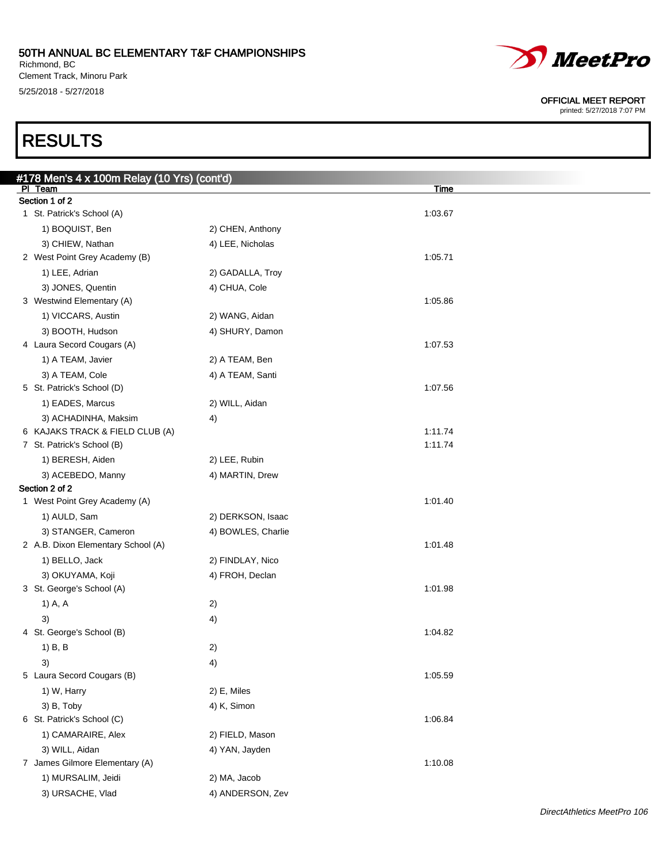Richmond, BC Clement Track, Minoru Park 5/25/2018 - 5/27/2018

# RESULTS

| #178  Men's 4 x 100m Relay (10 Yrs) (cont'd)            |                    |             |
|---------------------------------------------------------|--------------------|-------------|
| PI Team<br>Section 1 of 2                               |                    | <b>Time</b> |
| 1 St. Patrick's School (A)                              |                    | 1:03.67     |
| 1) BOQUIST, Ben                                         | 2) CHEN, Anthony   |             |
| 3) CHIEW, Nathan                                        | 4) LEE, Nicholas   |             |
| 2 West Point Grey Academy (B)                           |                    | 1:05.71     |
| 1) LEE, Adrian                                          | 2) GADALLA, Troy   |             |
| 3) JONES, Quentin                                       |                    |             |
| 3 Westwind Elementary (A)                               | 4) CHUA, Cole      | 1:05.86     |
| 1) VICCARS, Austin                                      | 2) WANG, Aidan     |             |
|                                                         |                    |             |
| 3) BOOTH, Hudson<br>4 Laura Secord Cougars (A)          | 4) SHURY, Damon    | 1:07.53     |
|                                                         |                    |             |
| 1) A TEAM, Javier                                       | 2) A TEAM, Ben     |             |
| 3) A TEAM, Cole<br>5 St. Patrick's School (D)           | 4) A TEAM, Santi   | 1:07.56     |
|                                                         |                    |             |
| 1) EADES, Marcus                                        | 2) WILL, Aidan     |             |
| 3) ACHADINHA, Maksim<br>6 KAJAKS TRACK & FIELD CLUB (A) | 4)                 | 1:11.74     |
| 7 St. Patrick's School (B)                              |                    | 1:11.74     |
| 1) BERESH, Aiden                                        | 2) LEE, Rubin      |             |
|                                                         |                    |             |
| 3) ACEBEDO, Manny<br>Section 2 of 2                     | 4) MARTIN, Drew    |             |
| 1 West Point Grey Academy (A)                           |                    | 1:01.40     |
| 1) AULD, Sam                                            | 2) DERKSON, Isaac  |             |
| 3) STANGER, Cameron                                     | 4) BOWLES, Charlie |             |
| 2 A.B. Dixon Elementary School (A)                      |                    | 1:01.48     |
| 1) BELLO, Jack                                          | 2) FINDLAY, Nico   |             |
| 3) OKUYAMA, Koji                                        | 4) FROH, Declan    |             |
| 3 St. George's School (A)                               |                    | 1:01.98     |
| 1) A, A                                                 | 2)                 |             |
| 3)                                                      | 4)                 |             |
| 4 St. George's School (B)                               |                    | 1:04.82     |
| $1)$ B, B                                               | 2)                 |             |
| 3)                                                      | 4)                 |             |
| 5 Laura Secord Cougars (B)                              |                    | 1:05.59     |
| 1) W, Harry                                             | 2) E, Miles        |             |
| 3) B, Toby                                              | 4) K, Simon        |             |
| 6 St. Patrick's School (C)                              |                    | 1:06.84     |
| 1) CAMARAIRE, Alex                                      | 2) FIELD, Mason    |             |
| 3) WILL, Aidan                                          | 4) YAN, Jayden     |             |
| 7 James Gilmore Elementary (A)                          |                    | 1:10.08     |
| 1) MURSALIM, Jeidi                                      | 2) MA, Jacob       |             |
| 3) URSACHE, Vlad                                        | 4) ANDERSON, Zev   |             |
|                                                         |                    |             |



#### OFFICIAL MEET REPORT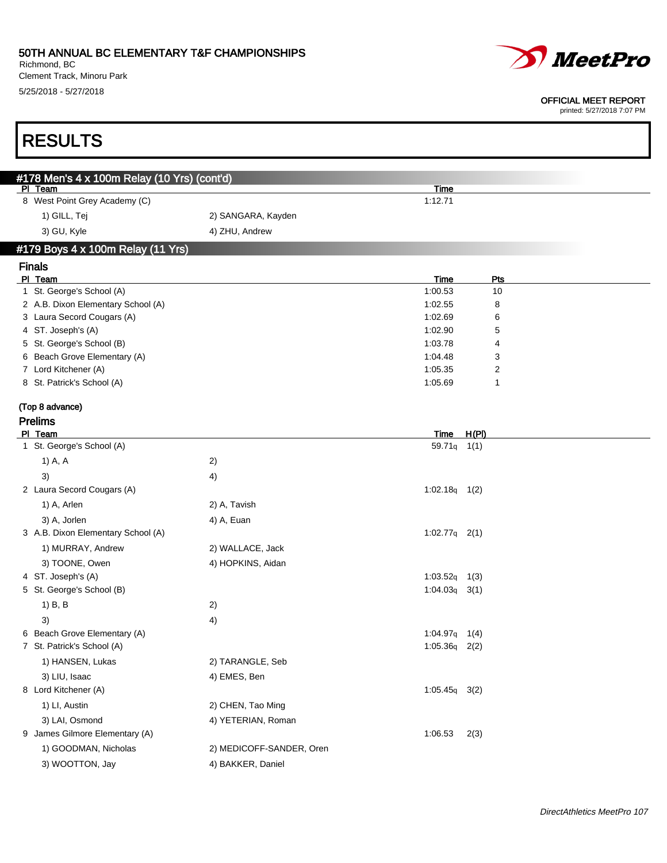Richmond, BC Clement Track, Minoru Park 5/25/2018 - 5/27/2018

**RESULTS** 



#### OFFICIAL MEET REPORT

| #178 Men's 4 x 100m Relay (10 Yrs) (cont'd)<br>PI Team<br><u>Time</u><br>8 West Point Grey Academy (C)<br>1:12.71<br>1) GILL, Tej<br>2) SANGARA, Kayden<br>3) GU, Kyle<br>4) ZHU, Andrew<br>#179 Boys 4 x 100m Relay (11 Yrs)<br><b>Finals</b><br>PI Team<br><b>Time</b><br>Pts<br>1 St. George's School (A)<br>1:00.53<br>10<br>2 A.B. Dixon Elementary School (A)<br>1:02.55<br>8<br>3 Laura Secord Cougars (A)<br>1:02.69<br>6<br>4 ST. Joseph's (A)<br>1:02.90<br>5<br>5 St. George's School (B)<br>1:03.78<br>4<br>6 Beach Grove Elementary (A)<br>1:04.48<br>3<br>7 Lord Kitchener (A)<br>1:05.35<br>2<br>8 St. Patrick's School (A)<br>1:05.69<br>1<br>(Top 8 advance)<br><b>Prelims</b><br>H(PI)<br>PI Team<br><b>Time</b><br>1 St. George's School (A)<br>59.71q 1(1)<br>1) A, A<br>2)<br>3)<br>4)<br>$1:02.18q$ 1(2)<br>2 Laura Secord Cougars (A)<br>1) A, Arlen<br>2) A, Tavish<br>3) A, Jorlen<br>4) A, Euan<br>3 A.B. Dixon Elementary School (A)<br>$1:02.77q$ 2(1)<br>1) MURRAY, Andrew<br>2) WALLACE, Jack<br>3) TOONE, Owen<br>4) HOPKINS, Aidan<br>4 ST. Joseph's (A)<br>$1:03.52q$ 1(3)<br>5 St. George's School (B)<br>$1:04.03q$ 3(1)<br>1) B, B<br>2)<br>3)<br>4)<br>6 Beach Grove Elementary (A)<br>$1:04.97q$ 1(4)<br>7 St. Patrick's School (A)<br>$1:05.36q$ 2(2)<br>1) HANSEN, Lukas<br>2) TARANGLE, Seb<br>4) EMES, Ben<br>3) LIU, Isaac<br>8 Lord Kitchener (A)<br>$1:05.45q$ 3(2)<br>1) LI, Austin<br>2) CHEN, Tao Ming<br>3) LAI, Osmond<br>4) YETERIAN, Roman<br>9 James Gilmore Elementary (A)<br>1:06.53<br>2(3)<br>1) GOODMAN, Nicholas<br>2) MEDICOFF-SANDER, Oren<br>3) WOOTTON, Jay<br>4) BAKKER, Daniel |  |  |
|-------------------------------------------------------------------------------------------------------------------------------------------------------------------------------------------------------------------------------------------------------------------------------------------------------------------------------------------------------------------------------------------------------------------------------------------------------------------------------------------------------------------------------------------------------------------------------------------------------------------------------------------------------------------------------------------------------------------------------------------------------------------------------------------------------------------------------------------------------------------------------------------------------------------------------------------------------------------------------------------------------------------------------------------------------------------------------------------------------------------------------------------------------------------------------------------------------------------------------------------------------------------------------------------------------------------------------------------------------------------------------------------------------------------------------------------------------------------------------------------------------------------------------------------------------------------------------------------------------------------------------------------------|--|--|
|                                                                                                                                                                                                                                                                                                                                                                                                                                                                                                                                                                                                                                                                                                                                                                                                                                                                                                                                                                                                                                                                                                                                                                                                                                                                                                                                                                                                                                                                                                                                                                                                                                                 |  |  |
|                                                                                                                                                                                                                                                                                                                                                                                                                                                                                                                                                                                                                                                                                                                                                                                                                                                                                                                                                                                                                                                                                                                                                                                                                                                                                                                                                                                                                                                                                                                                                                                                                                                 |  |  |
|                                                                                                                                                                                                                                                                                                                                                                                                                                                                                                                                                                                                                                                                                                                                                                                                                                                                                                                                                                                                                                                                                                                                                                                                                                                                                                                                                                                                                                                                                                                                                                                                                                                 |  |  |
|                                                                                                                                                                                                                                                                                                                                                                                                                                                                                                                                                                                                                                                                                                                                                                                                                                                                                                                                                                                                                                                                                                                                                                                                                                                                                                                                                                                                                                                                                                                                                                                                                                                 |  |  |
|                                                                                                                                                                                                                                                                                                                                                                                                                                                                                                                                                                                                                                                                                                                                                                                                                                                                                                                                                                                                                                                                                                                                                                                                                                                                                                                                                                                                                                                                                                                                                                                                                                                 |  |  |
|                                                                                                                                                                                                                                                                                                                                                                                                                                                                                                                                                                                                                                                                                                                                                                                                                                                                                                                                                                                                                                                                                                                                                                                                                                                                                                                                                                                                                                                                                                                                                                                                                                                 |  |  |
|                                                                                                                                                                                                                                                                                                                                                                                                                                                                                                                                                                                                                                                                                                                                                                                                                                                                                                                                                                                                                                                                                                                                                                                                                                                                                                                                                                                                                                                                                                                                                                                                                                                 |  |  |
|                                                                                                                                                                                                                                                                                                                                                                                                                                                                                                                                                                                                                                                                                                                                                                                                                                                                                                                                                                                                                                                                                                                                                                                                                                                                                                                                                                                                                                                                                                                                                                                                                                                 |  |  |
|                                                                                                                                                                                                                                                                                                                                                                                                                                                                                                                                                                                                                                                                                                                                                                                                                                                                                                                                                                                                                                                                                                                                                                                                                                                                                                                                                                                                                                                                                                                                                                                                                                                 |  |  |
|                                                                                                                                                                                                                                                                                                                                                                                                                                                                                                                                                                                                                                                                                                                                                                                                                                                                                                                                                                                                                                                                                                                                                                                                                                                                                                                                                                                                                                                                                                                                                                                                                                                 |  |  |
|                                                                                                                                                                                                                                                                                                                                                                                                                                                                                                                                                                                                                                                                                                                                                                                                                                                                                                                                                                                                                                                                                                                                                                                                                                                                                                                                                                                                                                                                                                                                                                                                                                                 |  |  |
|                                                                                                                                                                                                                                                                                                                                                                                                                                                                                                                                                                                                                                                                                                                                                                                                                                                                                                                                                                                                                                                                                                                                                                                                                                                                                                                                                                                                                                                                                                                                                                                                                                                 |  |  |
|                                                                                                                                                                                                                                                                                                                                                                                                                                                                                                                                                                                                                                                                                                                                                                                                                                                                                                                                                                                                                                                                                                                                                                                                                                                                                                                                                                                                                                                                                                                                                                                                                                                 |  |  |
|                                                                                                                                                                                                                                                                                                                                                                                                                                                                                                                                                                                                                                                                                                                                                                                                                                                                                                                                                                                                                                                                                                                                                                                                                                                                                                                                                                                                                                                                                                                                                                                                                                                 |  |  |
|                                                                                                                                                                                                                                                                                                                                                                                                                                                                                                                                                                                                                                                                                                                                                                                                                                                                                                                                                                                                                                                                                                                                                                                                                                                                                                                                                                                                                                                                                                                                                                                                                                                 |  |  |
|                                                                                                                                                                                                                                                                                                                                                                                                                                                                                                                                                                                                                                                                                                                                                                                                                                                                                                                                                                                                                                                                                                                                                                                                                                                                                                                                                                                                                                                                                                                                                                                                                                                 |  |  |
|                                                                                                                                                                                                                                                                                                                                                                                                                                                                                                                                                                                                                                                                                                                                                                                                                                                                                                                                                                                                                                                                                                                                                                                                                                                                                                                                                                                                                                                                                                                                                                                                                                                 |  |  |
|                                                                                                                                                                                                                                                                                                                                                                                                                                                                                                                                                                                                                                                                                                                                                                                                                                                                                                                                                                                                                                                                                                                                                                                                                                                                                                                                                                                                                                                                                                                                                                                                                                                 |  |  |
|                                                                                                                                                                                                                                                                                                                                                                                                                                                                                                                                                                                                                                                                                                                                                                                                                                                                                                                                                                                                                                                                                                                                                                                                                                                                                                                                                                                                                                                                                                                                                                                                                                                 |  |  |
|                                                                                                                                                                                                                                                                                                                                                                                                                                                                                                                                                                                                                                                                                                                                                                                                                                                                                                                                                                                                                                                                                                                                                                                                                                                                                                                                                                                                                                                                                                                                                                                                                                                 |  |  |
|                                                                                                                                                                                                                                                                                                                                                                                                                                                                                                                                                                                                                                                                                                                                                                                                                                                                                                                                                                                                                                                                                                                                                                                                                                                                                                                                                                                                                                                                                                                                                                                                                                                 |  |  |
|                                                                                                                                                                                                                                                                                                                                                                                                                                                                                                                                                                                                                                                                                                                                                                                                                                                                                                                                                                                                                                                                                                                                                                                                                                                                                                                                                                                                                                                                                                                                                                                                                                                 |  |  |
|                                                                                                                                                                                                                                                                                                                                                                                                                                                                                                                                                                                                                                                                                                                                                                                                                                                                                                                                                                                                                                                                                                                                                                                                                                                                                                                                                                                                                                                                                                                                                                                                                                                 |  |  |
|                                                                                                                                                                                                                                                                                                                                                                                                                                                                                                                                                                                                                                                                                                                                                                                                                                                                                                                                                                                                                                                                                                                                                                                                                                                                                                                                                                                                                                                                                                                                                                                                                                                 |  |  |
|                                                                                                                                                                                                                                                                                                                                                                                                                                                                                                                                                                                                                                                                                                                                                                                                                                                                                                                                                                                                                                                                                                                                                                                                                                                                                                                                                                                                                                                                                                                                                                                                                                                 |  |  |
|                                                                                                                                                                                                                                                                                                                                                                                                                                                                                                                                                                                                                                                                                                                                                                                                                                                                                                                                                                                                                                                                                                                                                                                                                                                                                                                                                                                                                                                                                                                                                                                                                                                 |  |  |
|                                                                                                                                                                                                                                                                                                                                                                                                                                                                                                                                                                                                                                                                                                                                                                                                                                                                                                                                                                                                                                                                                                                                                                                                                                                                                                                                                                                                                                                                                                                                                                                                                                                 |  |  |
|                                                                                                                                                                                                                                                                                                                                                                                                                                                                                                                                                                                                                                                                                                                                                                                                                                                                                                                                                                                                                                                                                                                                                                                                                                                                                                                                                                                                                                                                                                                                                                                                                                                 |  |  |
|                                                                                                                                                                                                                                                                                                                                                                                                                                                                                                                                                                                                                                                                                                                                                                                                                                                                                                                                                                                                                                                                                                                                                                                                                                                                                                                                                                                                                                                                                                                                                                                                                                                 |  |  |
|                                                                                                                                                                                                                                                                                                                                                                                                                                                                                                                                                                                                                                                                                                                                                                                                                                                                                                                                                                                                                                                                                                                                                                                                                                                                                                                                                                                                                                                                                                                                                                                                                                                 |  |  |
|                                                                                                                                                                                                                                                                                                                                                                                                                                                                                                                                                                                                                                                                                                                                                                                                                                                                                                                                                                                                                                                                                                                                                                                                                                                                                                                                                                                                                                                                                                                                                                                                                                                 |  |  |
|                                                                                                                                                                                                                                                                                                                                                                                                                                                                                                                                                                                                                                                                                                                                                                                                                                                                                                                                                                                                                                                                                                                                                                                                                                                                                                                                                                                                                                                                                                                                                                                                                                                 |  |  |
|                                                                                                                                                                                                                                                                                                                                                                                                                                                                                                                                                                                                                                                                                                                                                                                                                                                                                                                                                                                                                                                                                                                                                                                                                                                                                                                                                                                                                                                                                                                                                                                                                                                 |  |  |
|                                                                                                                                                                                                                                                                                                                                                                                                                                                                                                                                                                                                                                                                                                                                                                                                                                                                                                                                                                                                                                                                                                                                                                                                                                                                                                                                                                                                                                                                                                                                                                                                                                                 |  |  |
|                                                                                                                                                                                                                                                                                                                                                                                                                                                                                                                                                                                                                                                                                                                                                                                                                                                                                                                                                                                                                                                                                                                                                                                                                                                                                                                                                                                                                                                                                                                                                                                                                                                 |  |  |
|                                                                                                                                                                                                                                                                                                                                                                                                                                                                                                                                                                                                                                                                                                                                                                                                                                                                                                                                                                                                                                                                                                                                                                                                                                                                                                                                                                                                                                                                                                                                                                                                                                                 |  |  |
|                                                                                                                                                                                                                                                                                                                                                                                                                                                                                                                                                                                                                                                                                                                                                                                                                                                                                                                                                                                                                                                                                                                                                                                                                                                                                                                                                                                                                                                                                                                                                                                                                                                 |  |  |
|                                                                                                                                                                                                                                                                                                                                                                                                                                                                                                                                                                                                                                                                                                                                                                                                                                                                                                                                                                                                                                                                                                                                                                                                                                                                                                                                                                                                                                                                                                                                                                                                                                                 |  |  |
|                                                                                                                                                                                                                                                                                                                                                                                                                                                                                                                                                                                                                                                                                                                                                                                                                                                                                                                                                                                                                                                                                                                                                                                                                                                                                                                                                                                                                                                                                                                                                                                                                                                 |  |  |
|                                                                                                                                                                                                                                                                                                                                                                                                                                                                                                                                                                                                                                                                                                                                                                                                                                                                                                                                                                                                                                                                                                                                                                                                                                                                                                                                                                                                                                                                                                                                                                                                                                                 |  |  |
|                                                                                                                                                                                                                                                                                                                                                                                                                                                                                                                                                                                                                                                                                                                                                                                                                                                                                                                                                                                                                                                                                                                                                                                                                                                                                                                                                                                                                                                                                                                                                                                                                                                 |  |  |
|                                                                                                                                                                                                                                                                                                                                                                                                                                                                                                                                                                                                                                                                                                                                                                                                                                                                                                                                                                                                                                                                                                                                                                                                                                                                                                                                                                                                                                                                                                                                                                                                                                                 |  |  |
|                                                                                                                                                                                                                                                                                                                                                                                                                                                                                                                                                                                                                                                                                                                                                                                                                                                                                                                                                                                                                                                                                                                                                                                                                                                                                                                                                                                                                                                                                                                                                                                                                                                 |  |  |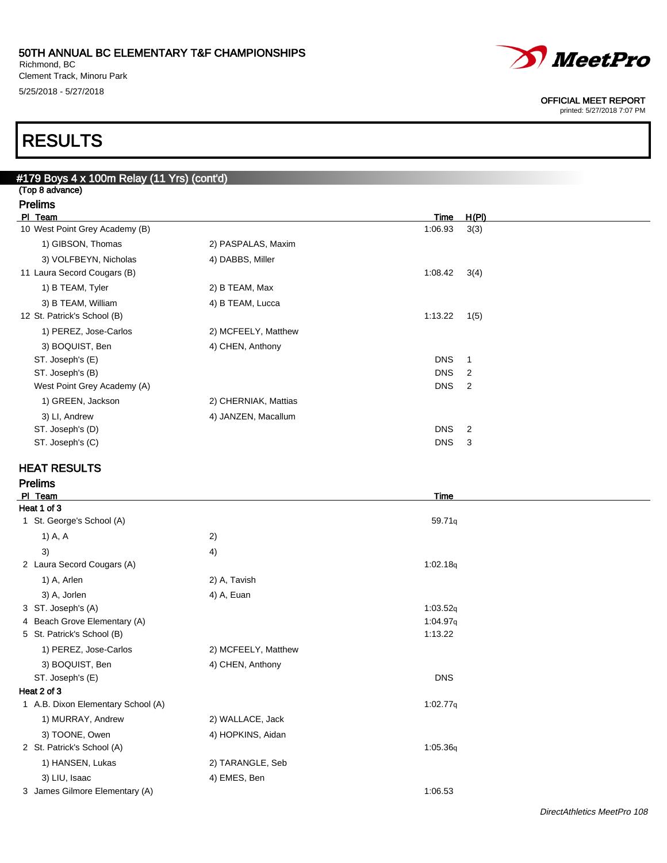Richmond, BC Clement Track, Minoru Park 5/25/2018 - 5/27/2018



#### OFFICIAL MEET REPORT

printed: 5/27/2018 7:07 PM

### RESULTS

| #179 Boys 4 x 100m Relay (11 Yrs) (cont'd) |                      |            |                |  |  |
|--------------------------------------------|----------------------|------------|----------------|--|--|
| (Top 8 advance)                            |                      |            |                |  |  |
| <b>Prelims</b>                             |                      |            |                |  |  |
| PI Team                                    |                      | Time       | H(PI)          |  |  |
| 10 West Point Grey Academy (B)             |                      | 1:06.93    | 3(3)           |  |  |
| 1) GIBSON, Thomas                          | 2) PASPALAS, Maxim   |            |                |  |  |
| 3) VOLFBEYN, Nicholas                      | 4) DABBS, Miller     |            |                |  |  |
| 11 Laura Secord Cougars (B)                |                      | 1:08.42    | 3(4)           |  |  |
| 1) B TEAM, Tyler                           | 2) B TEAM, Max       |            |                |  |  |
| 3) B TEAM, William                         | 4) B TEAM, Lucca     |            |                |  |  |
| 12 St. Patrick's School (B)                |                      | 1:13.22    | 1(5)           |  |  |
| 1) PEREZ, Jose-Carlos                      | 2) MCFEELY, Matthew  |            |                |  |  |
| 3) BOQUIST, Ben                            | 4) CHEN, Anthony     |            |                |  |  |
| ST. Joseph's (E)                           |                      | <b>DNS</b> | 1              |  |  |
| ST. Joseph's (B)                           |                      | <b>DNS</b> | 2              |  |  |
| West Point Grey Academy (A)                |                      | <b>DNS</b> | $\overline{2}$ |  |  |
| 1) GREEN, Jackson                          | 2) CHERNIAK, Mattias |            |                |  |  |
| 3) LI, Andrew                              | 4) JANZEN, Macallum  |            |                |  |  |
| ST. Joseph's (D)                           |                      | <b>DNS</b> | $\overline{2}$ |  |  |
| ST. Joseph's (C)                           |                      | <b>DNS</b> | 3              |  |  |
|                                            |                      |            |                |  |  |

### HEAT RESULTS

Prelims

| PI Team                            |                     | Time       |  |
|------------------------------------|---------------------|------------|--|
| Heat 1 of 3                        |                     |            |  |
| 1 St. George's School (A)          |                     | 59.71q     |  |
| 1) A, A                            | 2)                  |            |  |
| 3)                                 | 4)                  |            |  |
| 2 Laura Secord Cougars (A)         |                     | 1:02.18q   |  |
| 1) A, Arlen                        | 2) A, Tavish        |            |  |
| 3) A, Jorlen                       | 4) A, Euan          |            |  |
| 3 ST. Joseph's (A)                 |                     | 1:03.52q   |  |
| 4 Beach Grove Elementary (A)       |                     | 1:04.97q   |  |
| 5 St. Patrick's School (B)         |                     | 1:13.22    |  |
| 1) PEREZ, Jose-Carlos              | 2) MCFEELY, Matthew |            |  |
| 3) BOQUIST, Ben                    | 4) CHEN, Anthony    |            |  |
| ST. Joseph's (E)                   |                     | <b>DNS</b> |  |
| Heat 2 of 3                        |                     |            |  |
| 1 A.B. Dixon Elementary School (A) |                     | 1:02.77q   |  |
| 1) MURRAY, Andrew                  | 2) WALLACE, Jack    |            |  |
| 3) TOONE, Owen                     | 4) HOPKINS, Aidan   |            |  |
| 2 St. Patrick's School (A)         |                     | 1:05.36q   |  |
| 1) HANSEN, Lukas                   | 2) TARANGLE, Seb    |            |  |
| 3) LIU, Isaac                      | 4) EMES, Ben        |            |  |
| 3 James Gilmore Elementary (A)     |                     | 1:06.53    |  |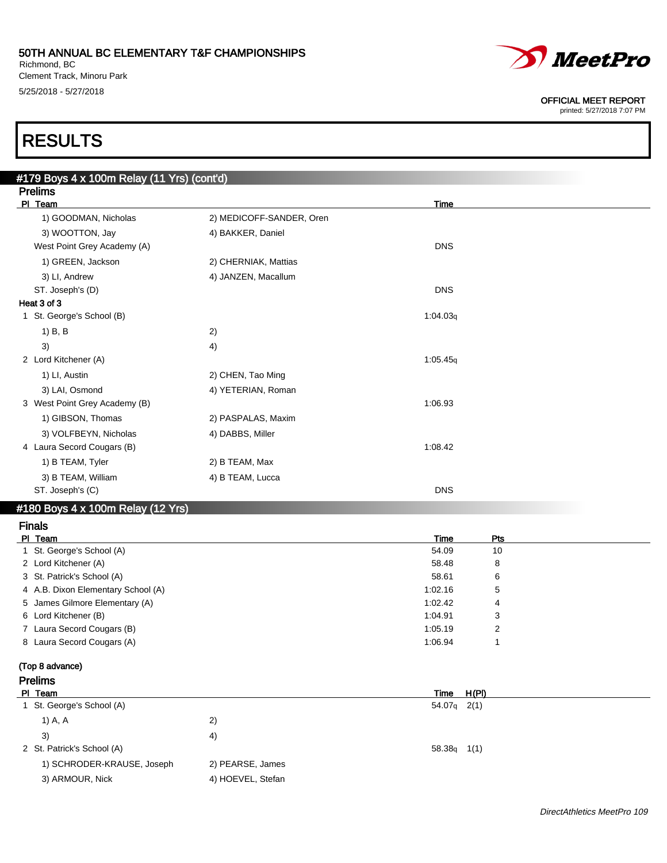Richmond, BC Clement Track, Minoru Park 5/25/2018 - 5/27/2018



#### OFFICIAL MEET REPORT

printed: 5/27/2018 7:07 PM

# RESULTS

| #179 Boys 4 x 100m Relay (11 Yrs) (cont'd) |                          |            |
|--------------------------------------------|--------------------------|------------|
| <b>Prelims</b>                             |                          |            |
| PI Team                                    |                          | Time       |
| 1) GOODMAN, Nicholas                       | 2) MEDICOFF-SANDER, Oren |            |
| 3) WOOTTON, Jay                            | 4) BAKKER, Daniel        |            |
| West Point Grey Academy (A)                |                          | <b>DNS</b> |
| 1) GREEN, Jackson                          | 2) CHERNIAK, Mattias     |            |
| 3) LI, Andrew                              | 4) JANZEN, Macallum      |            |
| ST. Joseph's (D)                           |                          | <b>DNS</b> |
| Heat 3 of 3                                |                          |            |
| 1 St. George's School (B)                  |                          | 1:04.03q   |
| 1) B, B                                    | 2)                       |            |
| 3)                                         | 4)                       |            |
| 2 Lord Kitchener (A)                       |                          | 1:05.45q   |
| 1) LI, Austin                              | 2) CHEN, Tao Ming        |            |
| 3) LAI, Osmond                             | 4) YETERIAN, Roman       |            |
| 3 West Point Grey Academy (B)              |                          | 1:06.93    |
| 1) GIBSON, Thomas                          | 2) PASPALAS, Maxim       |            |
| 3) VOLFBEYN, Nicholas                      | 4) DABBS, Miller         |            |
| 4 Laura Secord Cougars (B)                 |                          | 1:08.42    |
| 1) B TEAM, Tyler                           | 2) B TEAM, Max           |            |
| 3) B TEAM, William                         | 4) B TEAM, Lucca         |            |
| ST. Joseph's (C)                           |                          | <b>DNS</b> |

#### #180 Boys 4 x 100m Relay (12 Yrs)

| <b>Finals</b>                      |         |            |  |
|------------------------------------|---------|------------|--|
| PI Team                            | Time    | <b>Pts</b> |  |
| 1 St. George's School (A)          | 54.09   | 10         |  |
| 2 Lord Kitchener (A)               | 58.48   | 8          |  |
| 3 St. Patrick's School (A)         | 58.61   | 6          |  |
| 4 A.B. Dixon Elementary School (A) | 1:02.16 | 5          |  |
| 5 James Gilmore Elementary (A)     | 1:02.42 | 4          |  |
| 6 Lord Kitchener (B)               | 1:04.91 | 3          |  |
| 7 Laura Secord Cougars (B)         | 1:05.19 |            |  |
| 8 Laura Secord Cougars (A)         | 1:06.94 |            |  |

#### (Top 8 advance) Prelims

| טוווועו ו                  |                   |               |  |
|----------------------------|-------------------|---------------|--|
| PI Team                    |                   | H(PI)<br>Time |  |
| 1 St. George's School (A)  |                   | $54.07q$ 2(1) |  |
| 1) A, A                    | 2)                |               |  |
| 3)                         | 4)                |               |  |
| 2 St. Patrick's School (A) |                   | $58.38q$ 1(1) |  |
| 1) SCHRODER-KRAUSE, Joseph | 2) PEARSE, James  |               |  |
| 3) ARMOUR, Nick            | 4) HOEVEL, Stefan |               |  |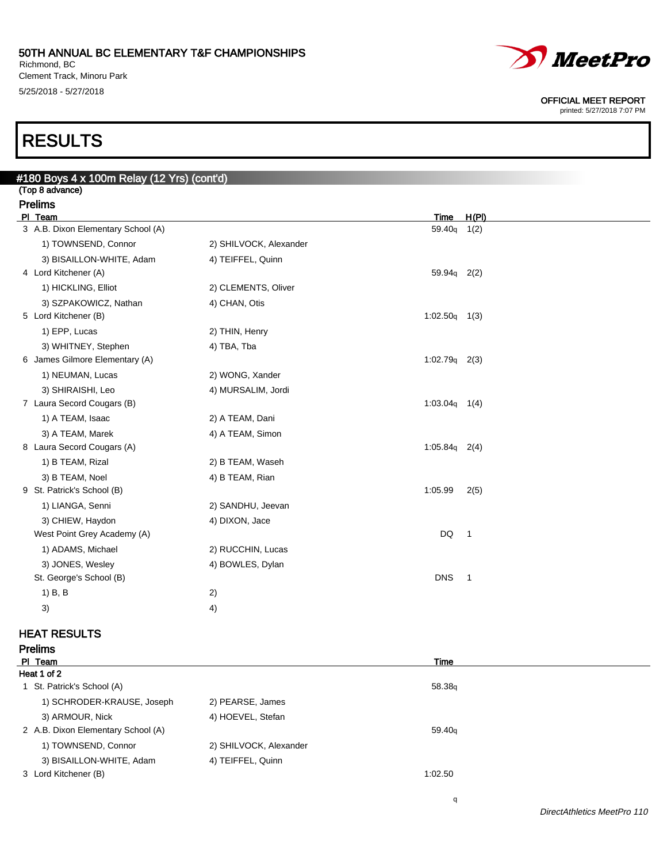Richmond, BC Clement Track, Minoru Park 5/25/2018 - 5/27/2018

# RESULTS

| #180 Boys 4 x 100m Relay (12 Yrs) (cont'd)            |                        |                 |               |
|-------------------------------------------------------|------------------------|-----------------|---------------|
| (Top 8 advance)                                       |                        |                 |               |
| <b>Prelims</b>                                        |                        |                 |               |
| PI Team<br>3 A.B. Dixon Elementary School (A)         |                        | Time<br>59.40q  | H(PI)<br>1(2) |
| 1) TOWNSEND, Connor                                   | 2) SHILVOCK, Alexander |                 |               |
|                                                       |                        |                 |               |
| 3) BISAILLON-WHITE, Adam<br>4 Lord Kitchener (A)      | 4) TEIFFEL, Quinn      | 59.94g 2(2)     |               |
| 1) HICKLING, Elliot                                   | 2) CLEMENTS, Oliver    |                 |               |
|                                                       |                        |                 |               |
| 3) SZPAKOWICZ, Nathan<br>5 Lord Kitchener (B)         | 4) CHAN, Otis          | $1:02.50q$ 1(3) |               |
| 1) EPP, Lucas                                         | 2) THIN, Henry         |                 |               |
|                                                       |                        |                 |               |
| 3) WHITNEY, Stephen<br>6 James Gilmore Elementary (A) | 4) TBA, Tba            | $1:02.79q$ 2(3) |               |
| 1) NEUMAN, Lucas                                      | 2) WONG, Xander        |                 |               |
| 3) SHIRAISHI, Leo                                     | 4) MURSALIM, Jordi     |                 |               |
| 7 Laura Secord Cougars (B)                            |                        | $1:03.04q$ 1(4) |               |
| 1) A TEAM, Isaac                                      | 2) A TEAM, Dani        |                 |               |
| 3) A TEAM, Marek                                      | 4) A TEAM, Simon       |                 |               |
| 8 Laura Secord Cougars (A)                            |                        | $1:05.84q$ 2(4) |               |
| 1) B TEAM, Rizal                                      | 2) B TEAM, Waseh       |                 |               |
| 3) B TEAM, Noel                                       | 4) B TEAM, Rian        |                 |               |
| 9 St. Patrick's School (B)                            |                        | 1:05.99         | 2(5)          |
| 1) LIANGA, Senni                                      | 2) SANDHU, Jeevan      |                 |               |
| 3) CHIEW, Haydon                                      | 4) DIXON, Jace         |                 |               |
| West Point Grey Academy (A)                           |                        | DQ              | 1             |
| 1) ADAMS, Michael                                     | 2) RUCCHIN, Lucas      |                 |               |
| 3) JONES, Wesley                                      | 4) BOWLES, Dylan       |                 |               |
| St. George's School (B)                               |                        | <b>DNS</b>      | $\mathbf{1}$  |
| 1) B, B                                               | 2)                     |                 |               |
|                                                       |                        |                 |               |
| 3)                                                    | 4)                     |                 |               |

### HEAT RESULTS

| <b>Prelims</b>                     |                        |                    |  |
|------------------------------------|------------------------|--------------------|--|
| PI Team                            |                        | Time               |  |
| Heat 1 of 2                        |                        |                    |  |
| 1 St. Patrick's School (A)         |                        | 58.38 <sub>g</sub> |  |
| 1) SCHRODER-KRAUSE, Joseph         | 2) PEARSE, James       |                    |  |
| 3) ARMOUR, Nick                    | 4) HOEVEL, Stefan      |                    |  |
| 2 A.B. Dixon Elementary School (A) |                        | 59.40 <sub>g</sub> |  |
| 1) TOWNSEND, Connor                | 2) SHILVOCK, Alexander |                    |  |
| 3) BISAILLON-WHITE, Adam           | 4) TEIFFEL, Quinn      |                    |  |
| 3 Lord Kitchener (B)               |                        | 1:02.50            |  |



#### OFFICIAL MEET REPORT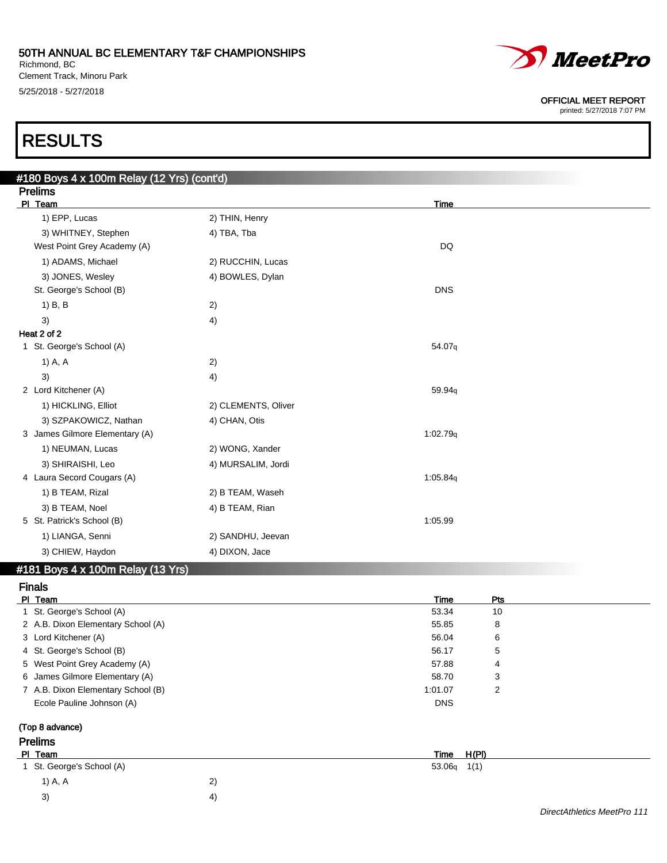Richmond, BC Clement Track, Minoru Park 5/25/2018 - 5/27/2018



#### OFFICIAL MEET REPORT

printed: 5/27/2018 7:07 PM

# RESULTS

| #180 Boys 4 x 100m Relay (12 Yrs) (cont'd)  |                     |            |
|---------------------------------------------|---------------------|------------|
| <b>Prelims</b>                              |                     |            |
| PI Team                                     |                     | Time       |
| 1) EPP, Lucas                               | 2) THIN, Henry      |            |
| 3) WHITNEY, Stephen                         | 4) TBA, Tba         |            |
| West Point Grey Academy (A)                 |                     | <b>DQ</b>  |
| 1) ADAMS, Michael                           | 2) RUCCHIN, Lucas   |            |
| 3) JONES, Wesley                            | 4) BOWLES, Dylan    |            |
| St. George's School (B)                     |                     | <b>DNS</b> |
| $1)$ B, B                                   | 2)                  |            |
| 3)                                          | 4)                  |            |
| Heat 2 of 2                                 |                     |            |
| 1 St. George's School (A)                   |                     | 54.07q     |
| 1) A, A                                     | 2)                  |            |
| 3)                                          | 4)                  |            |
| 2 Lord Kitchener (A)                        |                     | 59.94q     |
| 1) HICKLING, Elliot                         | 2) CLEMENTS, Oliver |            |
| 3) SZPAKOWICZ, Nathan                       | 4) CHAN, Otis       |            |
| 3 James Gilmore Elementary (A)              |                     | 1:02.79q   |
| 1) NEUMAN, Lucas                            | 2) WONG, Xander     |            |
| 3) SHIRAISHI, Leo                           | 4) MURSALIM, Jordi  |            |
| 4 Laura Secord Cougars (A)                  |                     | 1:05.84g   |
| 1) B TEAM, Rizal                            | 2) B TEAM, Waseh    |            |
| 3) B TEAM, Noel                             | 4) B TEAM, Rian     |            |
| 5 St. Patrick's School (B)                  |                     | 1:05.99    |
| 1) LIANGA, Senni                            | 2) SANDHU, Jeevan   |            |
| 3) CHIEW, Haydon                            | 4) DIXON, Jace      |            |
| $\#181$ Rove $\Delta$ y 100m Ralay (13 Yre) |                     |            |

#### VIII Relay (13 Trs)

Finals

| PI Team                            | Time           | Pts            |  |
|------------------------------------|----------------|----------------|--|
| 1 St. George's School (A)          | 53.34          | 10             |  |
| 2 A.B. Dixon Elementary School (A) | 55.85          | 8              |  |
| 3 Lord Kitchener (A)               | 56.04          | 6              |  |
| 4 St. George's School (B)          | 56.17          | 5              |  |
| 5 West Point Grey Academy (A)      | 57.88          | 4              |  |
| 6 James Gilmore Elementary (A)     | 58.70          | 3              |  |
| 7 A.B. Dixon Elementary School (B) | 1:01.07        | $\overline{2}$ |  |
| Ecole Pauline Johnson (A)          | <b>DNS</b>     |                |  |
| (Top 8 advance)                    |                |                |  |
| <b>Prelims</b>                     |                |                |  |
| PI Team                            | Time           | H(PI)          |  |
| St. George's School (A)            | 53.06q<br>1(1) |                |  |
| 2)<br>1) A, A                      |                |                |  |

 $3)$  4)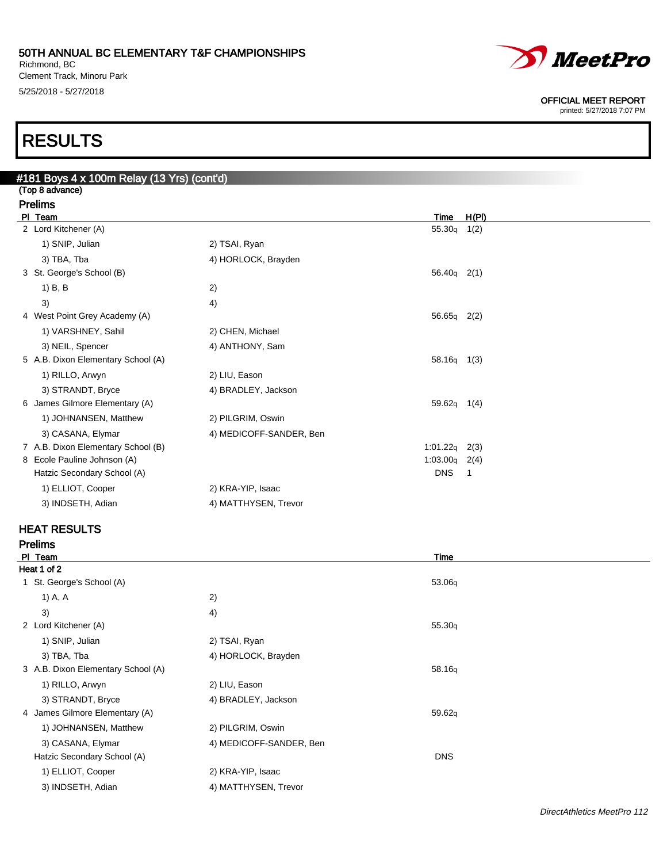Richmond, BC Clement Track, Minoru Park 5/25/2018 - 5/27/2018

# *MeetPro*

OFFICIAL MEET REPORT

printed: 5/27/2018 7:07 PM

# RESULTS

| #181 Boys 4 x 100m Relay (13 Yrs) (cont'd) |                                    |                         |                    |       |  |  |
|--------------------------------------------|------------------------------------|-------------------------|--------------------|-------|--|--|
| (Top 8 advance)                            |                                    |                         |                    |       |  |  |
|                                            | <b>Prelims</b>                     |                         |                    |       |  |  |
|                                            | PI Team                            |                         | Time               | H(PI) |  |  |
|                                            | 2 Lord Kitchener (A)               |                         | 55.30 <sub>q</sub> | 1(2)  |  |  |
|                                            | 1) SNIP, Julian                    | 2) TSAI, Ryan           |                    |       |  |  |
|                                            | 3) TBA, Tba                        | 4) HORLOCK, Brayden     |                    |       |  |  |
|                                            | 3 St. George's School (B)          |                         | $56.40q$ 2(1)      |       |  |  |
|                                            | $1)$ B, B                          | 2)                      |                    |       |  |  |
|                                            | 3)                                 | 4)                      |                    |       |  |  |
|                                            | 4 West Point Grey Academy (A)      |                         | 56.65q 2(2)        |       |  |  |
|                                            | 1) VARSHNEY, Sahil                 | 2) CHEN, Michael        |                    |       |  |  |
|                                            | 3) NEIL, Spencer                   | 4) ANTHONY, Sam         |                    |       |  |  |
|                                            | 5 A.B. Dixon Elementary School (A) |                         | $58.16q$ 1(3)      |       |  |  |
|                                            | 1) RILLO, Arwyn                    | 2) LIU, Eason           |                    |       |  |  |
|                                            | 3) STRANDT, Bryce                  | 4) BRADLEY, Jackson     |                    |       |  |  |
|                                            | 6 James Gilmore Elementary (A)     |                         | $59.62q$ 1(4)      |       |  |  |
|                                            | 1) JOHNANSEN, Matthew              | 2) PILGRIM, Oswin       |                    |       |  |  |
|                                            | 3) CASANA, Elymar                  | 4) MEDICOFF-SANDER, Ben |                    |       |  |  |
|                                            | 7 A.B. Dixon Elementary School (B) |                         | 1:01.22q           | 2(3)  |  |  |
|                                            | 8 Ecole Pauline Johnson (A)        |                         | 1:03.00q           | 2(4)  |  |  |
|                                            | Hatzic Secondary School (A)        |                         | <b>DNS</b>         | -1    |  |  |
|                                            | 1) ELLIOT, Cooper                  | 2) KRA-YIP, Isaac       |                    |       |  |  |
|                                            | 3) INDSETH, Adian                  | 4) MATTHYSEN, Trevor    |                    |       |  |  |
|                                            |                                    |                         |                    |       |  |  |

### HEAT RESULTS

Prelims

| PI Team                            |                         | Time       |
|------------------------------------|-------------------------|------------|
| Heat 1 of 2                        |                         |            |
| St. George's School (A)            |                         | 53.06q     |
| 1) A, A                            | 2)                      |            |
| 3)                                 | 4)                      |            |
| 2 Lord Kitchener (A)               |                         | 55.30q     |
| 1) SNIP, Julian                    | 2) TSAI, Ryan           |            |
| 3) TBA, Tba                        | 4) HORLOCK, Brayden     |            |
| 3 A.B. Dixon Elementary School (A) |                         | 58.16q     |
| 1) RILLO, Arwyn                    | 2) LIU, Eason           |            |
| 3) STRANDT, Bryce                  | 4) BRADLEY, Jackson     |            |
| 4 James Gilmore Elementary (A)     |                         | 59.62q     |
| 1) JOHNANSEN, Matthew              | 2) PILGRIM, Oswin       |            |
| 3) CASANA, Elymar                  | 4) MEDICOFF-SANDER, Ben |            |
| Hatzic Secondary School (A)        |                         | <b>DNS</b> |
| 1) ELLIOT, Cooper                  | 2) KRA-YIP, Isaac       |            |
| 3) INDSETH, Adian                  | 4) MATTHYSEN, Trevor    |            |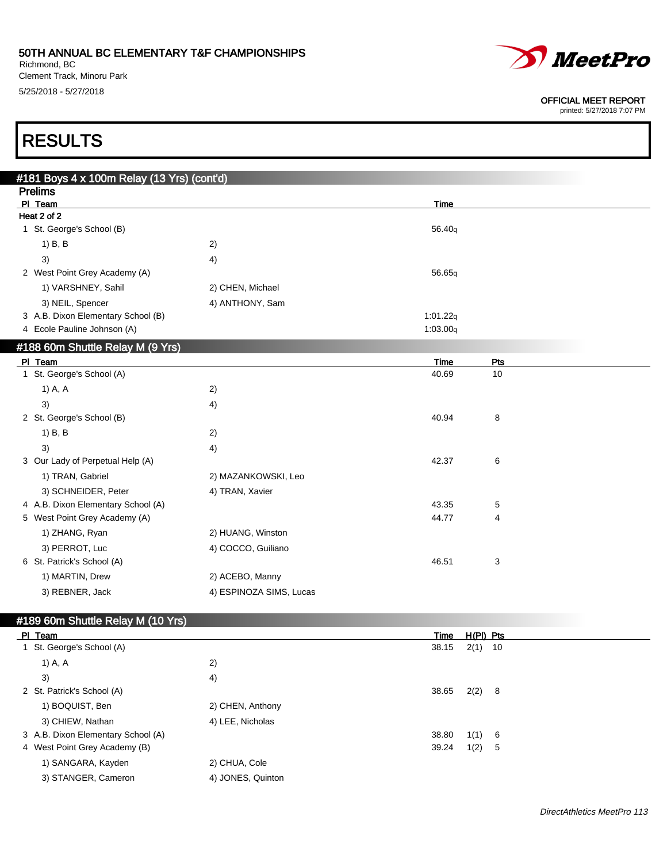Richmond, BC Clement Track, Minoru Park 5/25/2018 - 5/27/2018



#### OFFICIAL MEET REPORT

printed: 5/27/2018 7:07 PM

# RESULTS

| #181 Boys 4 x 100m Relay (13 Yrs) (cont'd) |                         |             |           |  |
|--------------------------------------------|-------------------------|-------------|-----------|--|
| <b>Prelims</b>                             |                         |             |           |  |
| PI Team                                    |                         | <b>Time</b> |           |  |
| Heat 2 of 2                                |                         |             |           |  |
| 1 St. George's School (B)                  |                         | 56.40q      |           |  |
| $1)$ B, B                                  | 2)                      |             |           |  |
| 3)                                         | 4)                      |             |           |  |
| 2 West Point Grey Academy (A)              |                         | 56.65q      |           |  |
| 1) VARSHNEY, Sahil                         | 2) CHEN, Michael        |             |           |  |
| 3) NEIL, Spencer                           | 4) ANTHONY, Sam         |             |           |  |
| 3 A.B. Dixon Elementary School (B)         |                         | 1:01.22q    |           |  |
| 4 Ecole Pauline Johnson (A)                |                         | 1:03.00q    |           |  |
| #188 60m Shuttle Relay M (9 Yrs)           |                         |             |           |  |
| PI Team                                    |                         | <b>Time</b> | Pts       |  |
| 1 St. George's School (A)                  |                         | 40.69       | 10        |  |
| 1) A, A                                    | 2)                      |             |           |  |
| 3)                                         | 4)                      |             |           |  |
| 2 St. George's School (B)                  |                         | 40.94       | 8         |  |
| $1)$ B, B                                  | 2)                      |             |           |  |
| 3)                                         | 4)                      |             |           |  |
| 3 Our Lady of Perpetual Help (A)           |                         | 42.37       | 6         |  |
| 1) TRAN, Gabriel                           | 2) MAZANKOWSKI, Leo     |             |           |  |
| 3) SCHNEIDER, Peter                        | 4) TRAN, Xavier         |             |           |  |
| 4 A.B. Dixon Elementary School (A)         |                         | 43.35       | 5         |  |
| 5 West Point Grey Academy (A)              |                         | 44.77       | 4         |  |
| 1) ZHANG, Ryan                             | 2) HUANG, Winston       |             |           |  |
| 3) PERROT, Luc                             | 4) COCCO, Guiliano      |             |           |  |
| 6 St. Patrick's School (A)                 |                         | 46.51       | 3         |  |
| 1) MARTIN, Drew                            | 2) ACEBO, Manny         |             |           |  |
| 3) REBNER, Jack                            | 4) ESPINOZA SIMS, Lucas |             |           |  |
|                                            |                         |             |           |  |
| #189 60m Shuttle Relay M (10 Yrs)          |                         |             |           |  |
| PI Team                                    |                         | <b>Time</b> | H(PI) Pts |  |
| 1 St. George's School (A)                  |                         | 38.15       | $2(1)$ 10 |  |
| 1) A, A                                    | 2)                      |             |           |  |
| 3)                                         | 4)                      |             |           |  |
| 2 St. Patrick's School (A)                 |                         | 38.65       | 2(2)<br>8 |  |

| 2 St. Patrick's School (A)         |                  | 38.65 | 2(2) 8 |     |
|------------------------------------|------------------|-------|--------|-----|
| 1) BOQUIST, Ben                    | 2) CHEN, Anthony |       |        |     |
| 3) CHIEW, Nathan                   | 4) LEE, Nicholas |       |        |     |
| 3 A.B. Dixon Elementary School (A) |                  | 38.80 | 1(1)   | - 6 |
| 4 West Point Grey Academy (B)      |                  | 39.24 | 1(2)   | - 5 |
| 1) SANGARA, Kayden                 | 2) CHUA, Cole    |       |        |     |

3) STANGER, Cameron 4) JONES, Quinton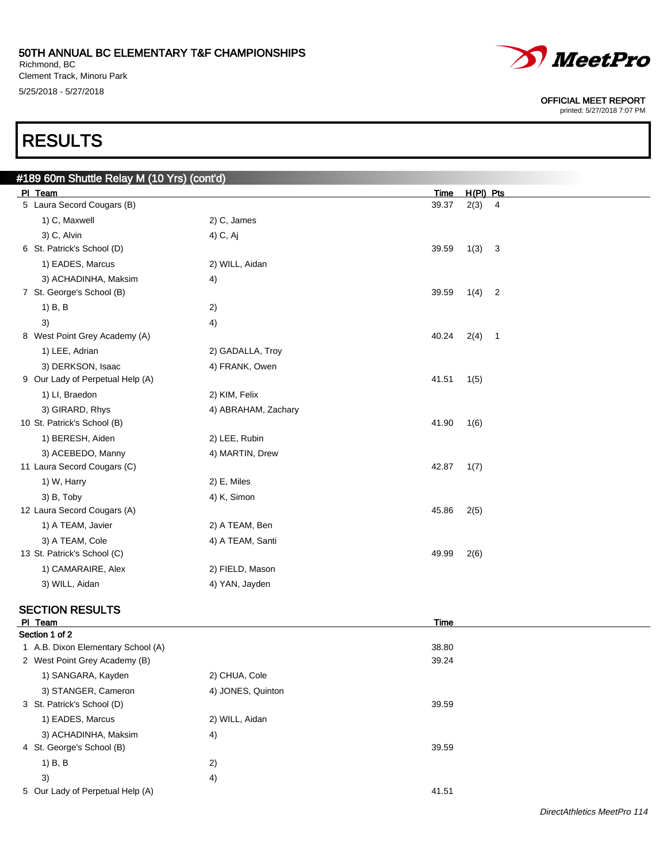Richmond, BC Clement Track, Minoru Park 5/25/2018 - 5/27/2018

# RESULTS

| #189 60m Shuttle Relay M (10 Yrs) (cont'd) |                     |             |             |                            |  |
|--------------------------------------------|---------------------|-------------|-------------|----------------------------|--|
| PI Team                                    |                     | Time        | $H(PI)$ Pts |                            |  |
| 5 Laura Secord Cougars (B)                 |                     | 39.37       | 2(3)        | $\overline{4}$             |  |
| 1) C, Maxwell                              | 2) C, James         |             |             |                            |  |
| 3) C, Alvin                                | 4) C, Aj            |             |             |                            |  |
| 6 St. Patrick's School (D)                 |                     | 39.59       | 1(3) 3      |                            |  |
| 1) EADES, Marcus                           | 2) WILL, Aidan      |             |             |                            |  |
| 3) ACHADINHA, Maksim                       | 4)                  |             |             |                            |  |
| 7 St. George's School (B)                  |                     | 39.59       | 1(4)        | $\overline{\mathbf{2}}$    |  |
| $1)$ B, B                                  | 2)                  |             |             |                            |  |
| 3)                                         | 4)                  |             |             |                            |  |
| 8 West Point Grey Academy (A)              |                     | 40.24       | 2(4)        | $\overline{\phantom{0}}$ 1 |  |
| 1) LEE, Adrian                             | 2) GADALLA, Troy    |             |             |                            |  |
| 3) DERKSON, Isaac                          | 4) FRANK, Owen      |             |             |                            |  |
| 9 Our Lady of Perpetual Help (A)           |                     | 41.51       | 1(5)        |                            |  |
| 1) LI, Braedon                             | 2) KIM, Felix       |             |             |                            |  |
| 3) GIRARD, Rhys                            | 4) ABRAHAM, Zachary |             |             |                            |  |
| 10 St. Patrick's School (B)                |                     | 41.90       | 1(6)        |                            |  |
| 1) BERESH, Aiden                           | 2) LEE, Rubin       |             |             |                            |  |
| 3) ACEBEDO, Manny                          | 4) MARTIN, Drew     |             |             |                            |  |
| 11 Laura Secord Cougars (C)                |                     | 42.87       | 1(7)        |                            |  |
| 1) W, Harry                                | 2) E, Miles         |             |             |                            |  |
| 3) B, Toby                                 | 4) K, Simon         |             |             |                            |  |
| 12 Laura Secord Cougars (A)                |                     | 45.86       | 2(5)        |                            |  |
| 1) A TEAM, Javier                          | 2) A TEAM, Ben      |             |             |                            |  |
| 3) A TEAM, Cole                            | 4) A TEAM, Santi    |             |             |                            |  |
| 13 St. Patrick's School (C)                |                     | 49.99       | 2(6)        |                            |  |
| 1) CAMARAIRE, Alex                         | 2) FIELD, Mason     |             |             |                            |  |
| 3) WILL, Aidan                             | 4) YAN, Jayden      |             |             |                            |  |
|                                            |                     |             |             |                            |  |
| <b>SECTION RESULTS</b><br>PI Team          |                     | <b>Time</b> |             |                            |  |
| Section 1 of 2                             |                     |             |             |                            |  |
| 1 A.B. Dixon Elementary School (A)         |                     | 38.80       |             |                            |  |
| 2 West Point Grey Academy (B)              |                     | 39.24       |             |                            |  |
| 1) SANGARA, Kayden                         | 2) CHUA, Cole       |             |             |                            |  |



OFFICIAL MEET REPORT printed: 5/27/2018 7:07 PM

#### 5 Our Lady of Perpetual Help (A) 41.51

3) STANGER, Cameron 4) JONES, Quinton

1) EADES, Marcus 2) WILL, Aidan

3) ACHADINHA, Maksim 4)

1) B, B 2)  $3)$  4)

3 St. Patrick's School (D) 39.59

4 St. George's School (B) 39.59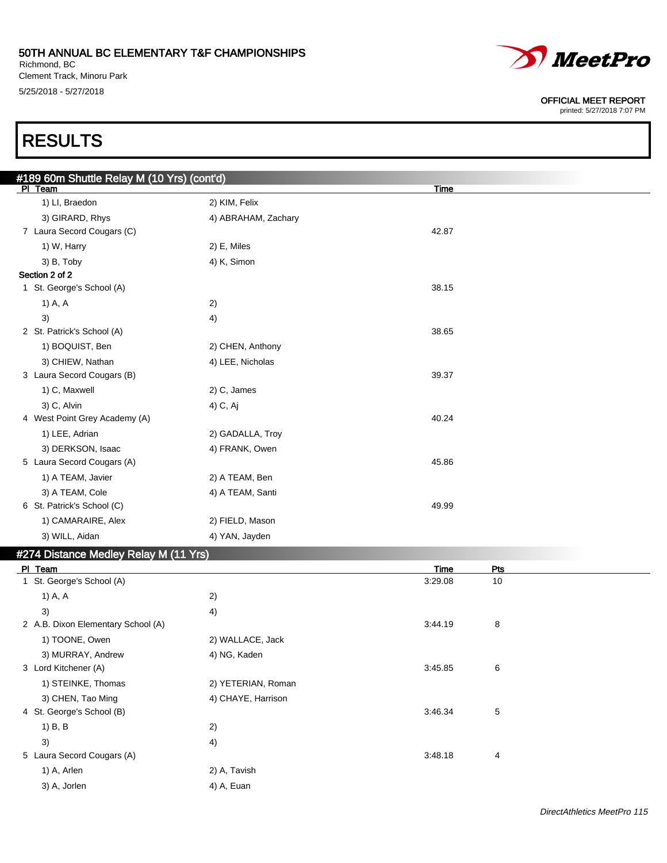Richmond, BC Clement Track, Minoru Park 5/25/2018 - 5/27/2018



#### OFFICIAL MEET REPORT

printed: 5/27/2018 7:07 PM

# RESULTS

| #189 60m Shuttle Relay M (10 Yrs) (cont'd)     |                     |             |            |  |
|------------------------------------------------|---------------------|-------------|------------|--|
| PI Team                                        |                     | Time        |            |  |
| 1) LI, Braedon                                 | 2) KIM, Felix       |             |            |  |
| 3) GIRARD, Rhys                                | 4) ABRAHAM, Zachary |             |            |  |
| 7 Laura Secord Cougars (C)                     |                     | 42.87       |            |  |
| 1) W, Harry                                    | 2) E, Miles         |             |            |  |
| 3) B, Toby                                     | 4) K, Simon         |             |            |  |
| Section 2 of 2                                 |                     |             |            |  |
| 1 St. George's School (A)                      |                     | 38.15       |            |  |
| 1) A, A                                        | 2)                  |             |            |  |
| 3)                                             | 4)                  |             |            |  |
| 2 St. Patrick's School (A)                     |                     | 38.65       |            |  |
| 1) BOQUIST, Ben                                | 2) CHEN, Anthony    |             |            |  |
| 3) CHIEW, Nathan                               | 4) LEE, Nicholas    |             |            |  |
| 3 Laura Secord Cougars (B)                     |                     | 39.37       |            |  |
| 1) C, Maxwell                                  | 2) C, James         |             |            |  |
| 3) C, Alvin                                    | 4) C, Aj            |             |            |  |
| 4 West Point Grey Academy (A)                  |                     | 40.24       |            |  |
| 1) LEE, Adrian                                 | 2) GADALLA, Troy    |             |            |  |
| 3) DERKSON, Isaac                              | 4) FRANK, Owen      |             |            |  |
| 5 Laura Secord Cougars (A)                     |                     | 45.86       |            |  |
| 1) A TEAM, Javier                              | 2) A TEAM, Ben      |             |            |  |
| 3) A TEAM, Cole                                | 4) A TEAM, Santi    |             |            |  |
| 6 St. Patrick's School (C)                     |                     | 49.99       |            |  |
| 1) CAMARAIRE, Alex                             | 2) FIELD, Mason     |             |            |  |
| 3) WILL, Aidan                                 | 4) YAN, Jayden      |             |            |  |
| #274 Distance Medley Relay M (11 Yrs)          |                     |             |            |  |
| PI Team                                        |                     | <b>Time</b> | <b>Pts</b> |  |
| 1 St. George's School (A)                      |                     | 3:29.08     | 10         |  |
| 1) A, A                                        | 2)                  |             |            |  |
| 3)                                             | 4)                  |             |            |  |
| 2 A.B. Dixon Elementary School (A)             |                     | 3:44.19     | 8          |  |
| 1) TOONE, Owen                                 | 2) WALLACE, Jack    |             |            |  |
| 3) MURRAY, Andrew                              | 4) NG, Kaden        |             |            |  |
| 3 Lord Kitchener (A)                           |                     | 3:45.85     | 6          |  |
| 1) STEINKE, Thomas                             |                     |             |            |  |
|                                                | 2) YETERIAN, Roman  |             |            |  |
| 3) CHEN, Tao Ming<br>4 St. George's School (B) | 4) CHAYE, Harrison  | 3:46.34     |            |  |
|                                                |                     |             | 5          |  |
| 1) B, B                                        | 2)                  |             |            |  |
| 3)                                             | 4)                  |             |            |  |
| 5 Laura Secord Cougars (A)                     |                     | 3:48.18     | 4          |  |

1) A, Arlen 2) A, Tavish 3) A, Jorlen 4) A, Euan

DirectAthletics MeetPro 115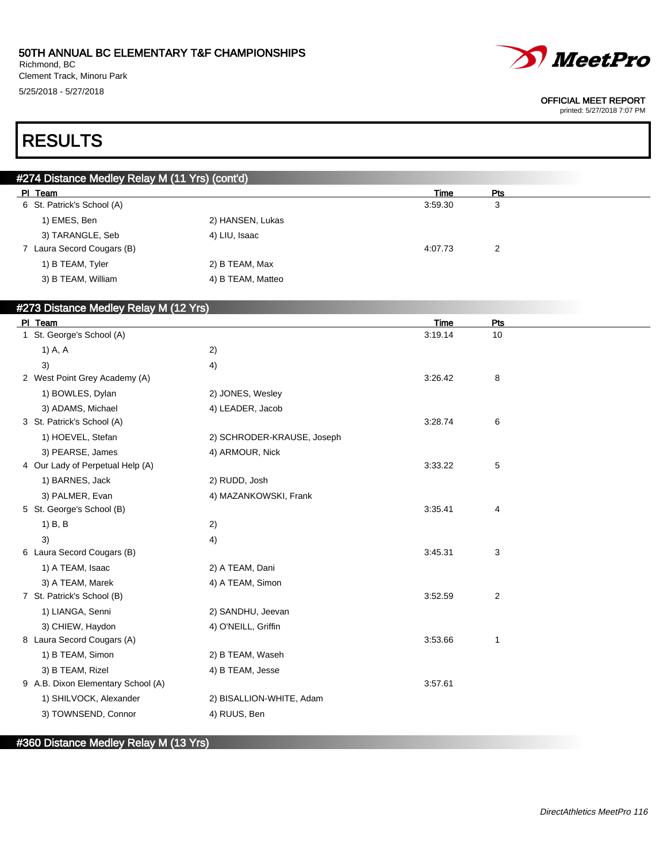Richmond, BC Clement Track, Minoru Park 5/25/2018 - 5/27/2018



#### OFFICIAL MEET REPORT

printed: 5/27/2018 7:07 PM

# RESULTS

| #274 Distance Medley Relay M (11 Yrs) (cont'd) |                   |         |            |  |  |
|------------------------------------------------|-------------------|---------|------------|--|--|
| PI Team                                        |                   | Time    | <b>Pts</b> |  |  |
| 6 St. Patrick's School (A)                     |                   | 3:59.30 | 3          |  |  |
| 1) EMES, Ben                                   | 2) HANSEN, Lukas  |         |            |  |  |
| 3) TARANGLE, Seb                               | 4) LIU, Isaac     |         |            |  |  |
| 7 Laura Secord Cougars (B)                     |                   | 4:07.73 | 2          |  |  |
| 1) B TEAM, Tyler                               | 2) B TEAM, Max    |         |            |  |  |
| 3) B TEAM, William                             | 4) B TEAM, Matteo |         |            |  |  |

### #273 Distance Medley Relay M (12 Yrs)

| PI Team                            |                            | Time    | Pts            |  |
|------------------------------------|----------------------------|---------|----------------|--|
| 1 St. George's School (A)          |                            | 3:19.14 | 10             |  |
| 1) A, A                            | 2)                         |         |                |  |
| 3)                                 | 4)                         |         |                |  |
| 2 West Point Grey Academy (A)      |                            | 3:26.42 | 8              |  |
| 1) BOWLES, Dylan                   | 2) JONES, Wesley           |         |                |  |
| 3) ADAMS, Michael                  | 4) LEADER, Jacob           |         |                |  |
| 3 St. Patrick's School (A)         |                            | 3:28.74 | 6              |  |
| 1) HOEVEL, Stefan                  | 2) SCHRODER-KRAUSE, Joseph |         |                |  |
| 3) PEARSE, James                   | 4) ARMOUR, Nick            |         |                |  |
| 4 Our Lady of Perpetual Help (A)   |                            | 3:33.22 | 5              |  |
| 1) BARNES, Jack                    | 2) RUDD, Josh              |         |                |  |
| 3) PALMER, Evan                    | 4) MAZANKOWSKI, Frank      |         |                |  |
| 5 St. George's School (B)          |                            | 3:35.41 | 4              |  |
| $1)$ B, B                          | 2)                         |         |                |  |
| 3)                                 | 4)                         |         |                |  |
| 6 Laura Secord Cougars (B)         |                            | 3:45.31 | 3              |  |
| 1) A TEAM, Isaac                   | 2) A TEAM, Dani            |         |                |  |
| 3) A TEAM, Marek                   | 4) A TEAM, Simon           |         |                |  |
| 7 St. Patrick's School (B)         |                            | 3:52.59 | $\overline{c}$ |  |
| 1) LIANGA, Senni                   | 2) SANDHU, Jeevan          |         |                |  |
| 3) CHIEW, Haydon                   | 4) O'NEILL, Griffin        |         |                |  |
| 8 Laura Secord Cougars (A)         |                            | 3:53.66 | 1              |  |
| 1) B TEAM, Simon                   | 2) B TEAM, Waseh           |         |                |  |
| 3) B TEAM, Rizel                   | 4) B TEAM, Jesse           |         |                |  |
| 9 A.B. Dixon Elementary School (A) |                            | 3:57.61 |                |  |
| 1) SHILVOCK, Alexander             | 2) BISALLION-WHITE, Adam   |         |                |  |
| 3) TOWNSEND, Connor                | 4) RUUS, Ben               |         |                |  |
|                                    |                            |         |                |  |

### #360 Distance Medley Relay M (13 Yrs)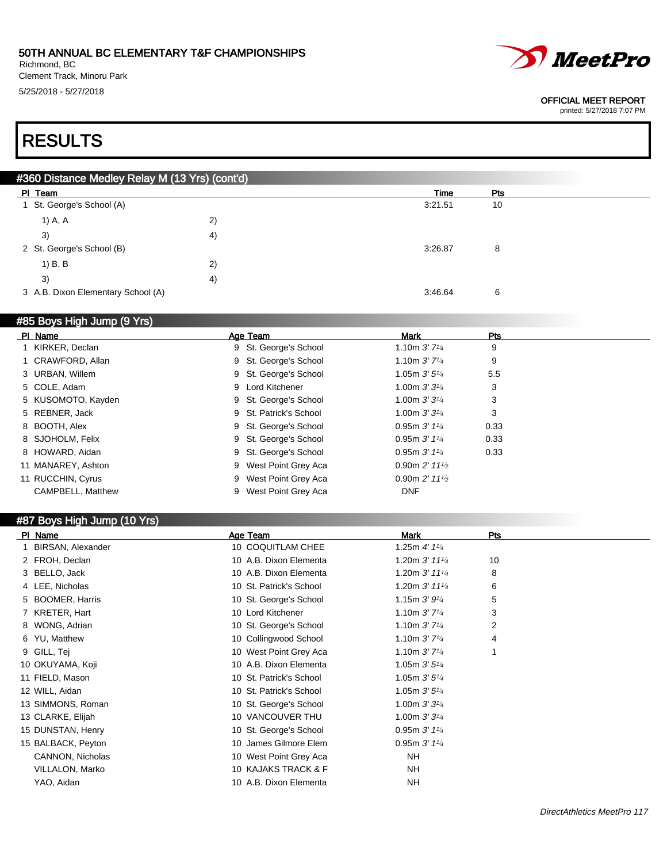Richmond, BC Clement Track, Minoru Park 5/25/2018 - 5/27/2018



#### OFFICIAL MEET REPORT

printed: 5/27/2018 7:07 PM

# RESULTS

| #360 Distance Medley Relay M (13 Yrs) (cont'd) |    |         |     |  |  |
|------------------------------------------------|----|---------|-----|--|--|
| PI Team                                        |    | Time    | Pts |  |  |
| 1 St. George's School (A)                      |    | 3:21.51 | 10  |  |  |
| 1) A, A                                        | 2) |         |     |  |  |
| 3)                                             | 4) |         |     |  |  |
| 2 St. George's School (B)                      |    | 3:26.87 | 8   |  |  |
| 1) B, B                                        | 2) |         |     |  |  |
| 3)                                             | 4) |         |     |  |  |
| 3 A.B. Dixon Elementary School (A)             |    | 3:46.64 | 6   |  |  |

### #85 Boys High Jump (9 Yrs)

| PI Name            | Age Team               | Mark                        | Pts  |
|--------------------|------------------------|-----------------------------|------|
| 1 KIRKER, Declan   | 9 St. George's School  | 1.10m $3'$ $7\frac{1}{4}$   | 9    |
| 1 CRAWFORD, Allan  | 9 St. George's School  | 1.10m $3'$ $7\frac{1}{4}$   | 9    |
| 3 URBAN, Willem    | 9 St. George's School  | 1.05m $3'5''$               | 5.5  |
| 5 COLE, Adam       | 9 Lord Kitchener       | 1.00m $3'3'4$               | 3    |
| 5 KUSOMOTO, Kayden | 9 St. George's School  | 1.00m $3'3'4$               | 3    |
| 5 REBNER, Jack     | 9 St. Patrick's School | 1.00m $3'3'4$               | 3    |
| 8 BOOTH, Alex      | 9 St. George's School  | 0.95m $3'$ $1\frac{1}{4}$   | 0.33 |
| 8 SJOHOLM, Felix   | 9 St. George's School  | 0.95m $3'$ $1\frac{1}{4}$   | 0.33 |
| 8 HOWARD, Aidan    | 9 St. George's School  | 0.95m $3'$ $1\frac{1}{4}$   | 0.33 |
| 11 MANAREY, Ashton | 9 West Point Grey Aca  | 0.90m $2'$ 11 $\frac{1}{2}$ |      |
| 11 RUCCHIN, Cyrus  | 9 West Point Grey Aca  | 0.90m $2'$ 11 $\frac{1}{2}$ |      |
| CAMPBELL, Matthew  | 9 West Point Grey Aca  | <b>DNF</b>                  |      |

#### #87 Boys High Jump (10 Yrs)

| PI Name                  | Age Team                | <b>Mark</b>                               | Pts |
|--------------------------|-------------------------|-------------------------------------------|-----|
| <b>BIRSAN, Alexander</b> | 10 COQUITLAM CHEE       | 1.25m $4'$ 1 $\frac{1}{4}$                |     |
| 2 FROH, Declan           | 10 A.B. Dixon Elementa  | 1.20m $3'$ 11 <sup>1</sup> / <sub>4</sub> | 10  |
| 3 BELLO, Jack            | 10 A.B. Dixon Elementa  | 1.20m 3' 111/4                            | 8   |
| 4 LEE, Nicholas          | 10 St. Patrick's School | 1.20m $3'$ 11 <sup>1</sup> / <sub>4</sub> | 6   |
| 5 BOOMER, Harris         | 10 St. George's School  | 1.15m $3'9'4$                             | 5   |
| 7 KRETER, Hart           | 10 Lord Kitchener       | 1.10m $3'$ $7\frac{1}{4}$                 | 3   |
| 8 WONG, Adrian           | 10 St. George's School  | 1.10m $3'$ 7 <sup>1</sup> / <sub>4</sub>  | 2   |
| 6 YU, Matthew            | 10 Collingwood School   | 1.10m $3'$ $7\frac{1}{4}$                 | 4   |
| 9 GILL, Tej              | 10 West Point Grey Aca  | 1.10m $3'$ $7\frac{1}{4}$                 | 1   |
| 10 OKUYAMA, Koji         | 10 A.B. Dixon Elementa  | 1.05m $3'5'4$                             |     |
| 11 FIELD, Mason          | 10 St. Patrick's School | 1.05m $3'5'4$                             |     |
| 12 WILL, Aidan           | 10 St. Patrick's School | 1.05m $3'5'4$                             |     |
| 13 SIMMONS, Roman        | 10 St. George's School  | 1.00m $3'3'4$                             |     |
| 13 CLARKE, Elijah        | 10 VANCOUVER THU        | 1.00m $3'3'4$                             |     |
| 15 DUNSTAN, Henry        | 10 St. George's School  | 0.95m $3'$ 1 <sup>1</sup> / <sub>4</sub>  |     |
| 15 BALBACK, Peyton       | 10 James Gilmore Elem   | 0.95m $3'$ 1 <sup>1</sup> / <sub>4</sub>  |     |
| CANNON, Nicholas         | 10 West Point Grey Aca  | <b>NH</b>                                 |     |
| VILLALON, Marko          | 10 KAJAKS TRACK & F     | <b>NH</b>                                 |     |
| YAO, Aidan               | 10 A.B. Dixon Elementa  | NH                                        |     |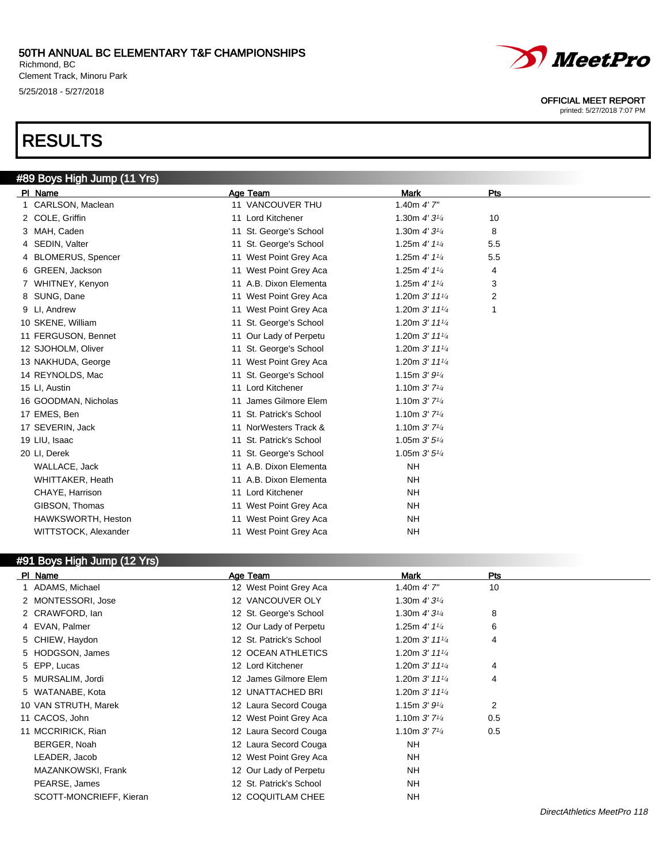Richmond, BC Clement Track, Minoru Park 5/25/2018 - 5/27/2018

# RESULTS



#### OFFICIAL MEET REPORT

printed: 5/27/2018 7:07 PM

| #89 Boys High Jump (11 Yrs) |                         |                             |     |  |
|-----------------------------|-------------------------|-----------------------------|-----|--|
| PI Name                     | Age Team                | <b>Mark</b>                 | Pts |  |
| 1 CARLSON, Maclean          | 11 VANCOUVER THU        | 1.40m $4'$ 7"               |     |  |
| 2 COLE, Griffin             | 11 Lord Kitchener       | 1.30m $4'3^{1/4}$           | 10  |  |
| 3 MAH, Caden                | 11 St. George's School  | 1.30m $4'3^{1/4}$           | 8   |  |
| 4 SEDIN, Valter             | 11 St. George's School  | 1.25m $4'$ 1 $\frac{1}{4}$  | 5.5 |  |
| 4 BLOMERUS, Spencer         | 11 West Point Grey Aca  | 1.25m $4'$ 1 $\frac{1}{4}$  | 5.5 |  |
| 6 GREEN, Jackson            | 11 West Point Grey Aca  | 1.25m 4' 11/4               | 4   |  |
| 7 WHITNEY, Kenyon           | 11 A.B. Dixon Elementa  | 1.25m $4'$ 1 $\frac{1}{4}$  | 3   |  |
| 8 SUNG, Dane                | 11 West Point Grey Aca  | 1.20m $3'$ 11 $\frac{1}{4}$ | 2   |  |
| 9 LI, Andrew                | 11 West Point Grey Aca  | 1.20m 3' 111/4              | 1   |  |
| 10 SKENE, William           | 11 St. George's School  | 1.20m $3'$ 11 $\frac{1}{4}$ |     |  |
| 11 FERGUSON, Bennet         | 11 Our Lady of Perpetu  | 1.20m 3' 111/4              |     |  |
| 12 SJOHOLM, Oliver          | 11 St. George's School  | 1.20m $3'$ 11 $\frac{1}{4}$ |     |  |
| 13 NAKHUDA, George          | 11 West Point Grey Aca  | 1.20m 3' 111/4              |     |  |
| 14 REYNOLDS, Mac            | 11 St. George's School  | 1.15m $3'9'4$               |     |  |
| 15 LI, Austin               | 11 Lord Kitchener       | 1.10m $3'$ $7\frac{1}{4}$   |     |  |
| 16 GOODMAN, Nicholas        | 11 James Gilmore Elem   | 1.10m $3'$ 7 <sup>1/4</sup> |     |  |
| 17 EMES, Ben                | 11 St. Patrick's School | 1.10m $3'$ 7 <sup>1/4</sup> |     |  |
| 17 SEVERIN, Jack            | 11 NorWesters Track &   | 1.10m $3'$ 7 <sup>1/4</sup> |     |  |
| 19 LIU, Isaac               | 11 St. Patrick's School | 1.05m $3'5''$               |     |  |
| 20 LI, Derek                | 11 St. George's School  | 1.05m $3'5''$               |     |  |
| WALLACE, Jack               | 11 A.B. Dixon Elementa  | <b>NH</b>                   |     |  |
| <b>WHITTAKER, Heath</b>     | 11 A.B. Dixon Elementa  | <b>NH</b>                   |     |  |
| CHAYE, Harrison             | 11 Lord Kitchener       | <b>NH</b>                   |     |  |
| GIBSON, Thomas              | 11 West Point Grey Aca  | <b>NH</b>                   |     |  |
| HAWKSWORTH, Heston          | 11 West Point Grey Aca  | <b>NH</b>                   |     |  |
| WITTSTOCK, Alexander        | 11 West Point Grey Aca  | <b>NH</b>                   |     |  |

### #91 Boys High Jump (12 Yrs)

| PI Name                 | Age Team                | Mark                        | Pts |
|-------------------------|-------------------------|-----------------------------|-----|
| 1 ADAMS, Michael        | 12 West Point Grey Aca  | 1.40m $4'$ 7"               | 10  |
| 2 MONTESSORI, Jose      | 12 VANCOUVER OLY        | 1.30m $4'3^{1/4}$           |     |
| 2 CRAWFORD, Ian         | 12 St. George's School  | 1.30m $4'3^{1/4}$           | 8   |
| 4 EVAN, Palmer          | 12 Our Lady of Perpetu  | 1.25m $4'$ 1 $\frac{1}{4}$  | 6   |
| 5 CHIEW, Haydon         | 12 St. Patrick's School | 1.20m $3'$ 11 $\frac{1}{4}$ | 4   |
| 5 HODGSON, James        | 12 OCEAN ATHLETICS      | 1.20m $3'$ 11 $\frac{1}{4}$ |     |
| 5 EPP, Lucas            | 12 Lord Kitchener       | 1.20m $3'$ 11 $\frac{1}{4}$ | 4   |
| 5 MURSALIM, Jordi       | 12 James Gilmore Elem   | 1.20m $3'$ 11 $\frac{1}{4}$ | 4   |
| 5 WATANABE, Kota        | 12 UNATTACHED BRI       | 1.20m $3'$ 11 $\frac{1}{4}$ |     |
| 10 VAN STRUTH, Marek    | 12 Laura Secord Couga   | 1.15m $3'9'4$               | 2   |
| 11 CACOS, John          | 12 West Point Grey Aca  | 1.10m $3'$ 7 <sup>1/4</sup> | 0.5 |
| 11 MCCRIRICK, Rian      | 12 Laura Secord Couga   | 1.10m $3'$ 7 <sup>1/4</sup> | 0.5 |
| BERGER, Noah            | 12 Laura Secord Couga   | NH.                         |     |
| LEADER, Jacob           | 12 West Point Grey Aca  | NH.                         |     |
| MAZANKOWSKI, Frank      | 12 Our Lady of Perpetu  | NH.                         |     |
| PEARSE, James           | 12 St. Patrick's School | NH.                         |     |
| SCOTT-MONCRIEFF, Kieran | 12 COQUITLAM CHEE       | <b>NH</b>                   |     |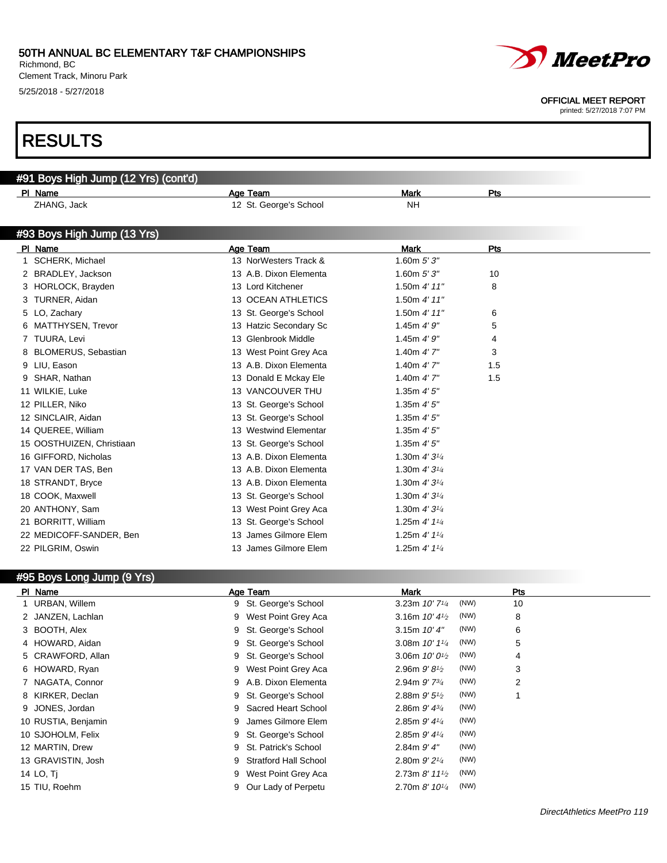Richmond, BC Clement Track, Minoru Park 5/25/2018 - 5/27/2018



OFFICIAL MEET REPORT

printed: 5/27/2018 7:07 PM

# RESULTS

| #91 Boys High Jump (12 Yrs) (cont'd) |                           |                            |     |  |
|--------------------------------------|---------------------------|----------------------------|-----|--|
| PI Name                              | Age Team                  | <b>Mark</b>                | Pts |  |
| ZHANG, Jack                          | 12 St. George's School    | <b>NH</b>                  |     |  |
| #93 Boys High Jump (13 Yrs)          |                           |                            |     |  |
| PI Name                              | Age Team                  | <b>Mark</b>                | Pts |  |
| SCHERK, Michael<br>1.                | 13 NorWesters Track &     | 1.60 $m 5' 3''$            |     |  |
| 2 BRADLEY, Jackson                   | 13 A.B. Dixon Elementa    | 1.60 $m 5' 3''$            | 10  |  |
| 3 HORLOCK, Brayden                   | 13 Lord Kitchener         | 1.50m 4' 11"               | 8   |  |
| 3 TURNER, Aidan                      | <b>13 OCEAN ATHLETICS</b> | 1.50m $4'$ 11"             |     |  |
| 5 LO, Zachary                        | 13 St. George's School    | 1.50m $4'$ 11"             | 6   |  |
| 6 MATTHYSEN, Trevor                  | 13 Hatzic Secondary Sc    | 1.45 $m$ 4' $9"$           | 5   |  |
| 7 TUURA, Levi                        | 13 Glenbrook Middle       | 1.45m 4'9''                | 4   |  |
| 8 BLOMERUS, Sebastian                | 13 West Point Grey Aca    | 1.40 $m$ 4' $7"$           | 3   |  |
| 9 LIU, Eason                         | 13 A.B. Dixon Elementa    | 1.40m $4'$ 7"              | 1.5 |  |
| 9 SHAR, Nathan                       | 13 Donald E Mckay Ele     | 1.40m $4'$ 7"              | 1.5 |  |
| 11 WILKIE, Luke                      | 13 VANCOUVER THU          | 1.35m 4'5''                |     |  |
| 12 PILLER, Niko                      | 13 St. George's School    | 1.35m 4'5''                |     |  |
| 12 SINCLAIR, Aidan                   | 13 St. George's School    | 1.35m 4'5''                |     |  |
| 14 QUEREE, William                   | 13 Westwind Elementar     | 1.35m 4'5''                |     |  |
| 15 OOSTHUIZEN, Christiaan            | 13 St. George's School    | 1.35 $m$ 4' 5"             |     |  |
| 16 GIFFORD, Nicholas                 | 13 A.B. Dixon Elementa    | 1.30m $4'3^{1/4}$          |     |  |
| 17 VAN DER TAS, Ben                  | 13 A.B. Dixon Elementa    | 1.30m $4'3^{1/4}$          |     |  |
| 18 STRANDT, Bryce                    | 13 A.B. Dixon Elementa    | 1.30m $4'3^{1/4}$          |     |  |
| 18 COOK, Maxwell                     | 13 St. George's School    | 1.30m $4'3^{1/4}$          |     |  |
| 20 ANTHONY, Sam                      | 13 West Point Grey Aca    | 1.30m $4'3^{1/4}$          |     |  |
| 21 BORRITT, William                  | 13 St. George's School    | 1.25m $4'$ 1 $\frac{1}{4}$ |     |  |
| 22 MEDICOFF-SANDER, Ben              | 13 James Gilmore Elem     | 1.25m $4'$ 1 $\frac{1}{4}$ |     |  |
| 22 PILGRIM, Oswin                    | 13 James Gilmore Elem     | 1.25m $4'$ 1 $\frac{1}{4}$ |     |  |

### #95 Boys Long Jump (9 Yrs)

| PI Name             | Age Team                          | <b>Mark</b>                                       | <b>Pts</b> |
|---------------------|-----------------------------------|---------------------------------------------------|------------|
| 1 URBAN, Willem     | St. George's School<br>9          | (NW)<br>3.23m $10'$ 7 <sup><math>1/4</math></sup> | 10         |
| 2 JANZEN, Lachlan   | West Point Grey Aca<br>9          | (NW)<br>3.16m $10'$ 4 $\frac{1}{2}$               | 8          |
| 3 BOOTH, Alex       | St. George's School<br>9          | (NW)<br>3.15m $10'4''$                            | 6          |
| 4 HOWARD, Aidan     | St. George's School<br>9          | (NW)<br>3.08m $10'$ $1\frac{1}{4}$                | 5          |
| 5 CRAWFORD, Allan   | St. George's School<br>9          | (NW)<br>3.06m $10'0^{1/2}$                        | 4          |
| 6 HOWARD, Ryan      | West Point Grey Aca<br>9          | (NW)<br>2.96m $9'81/2$                            | 3          |
| 7 NAGATA, Connor    | A.B. Dixon Elementa<br>9          | (NW)<br>2.94m $9'$ 7 $\frac{3}{4}$                | 2          |
| 8 KIRKER, Declan    | St. George's School<br>9          | (NW)<br>2.88m $9'5\frac{1}{2}$                    |            |
| 9 JONES, Jordan     | Sacred Heart School<br>9          | (NW)<br>2.86m $9'$ 4 $\frac{3}{4}$                |            |
| 10 RUSTIA, Benjamin | James Gilmore Elem<br>9           | (NW)<br>2.85m $9'$ 4 $\frac{1}{4}$                |            |
| 10 SJOHOLM, Felix   | St. George's School<br>9          | (NW)<br>2.85m $9'$ 4 $\frac{1}{4}$                |            |
| 12 MARTIN, Drew     | St. Patrick's School<br>9         | (NW)<br>$2.84m$ $9'$ $4"$                         |            |
| 13 GRAVISTIN, Josh  | <b>Stratford Hall School</b><br>9 | (NW)<br>2.80m $9'2^{1/4}$                         |            |
| 14 LO, Ti           | West Point Grey Aca<br>9          | (NW)<br>2.73m $8'$ 11 $\frac{1}{2}$               |            |
| 15 TIU, Roehm       | Our Lady of Perpetu<br>9          | (NW)<br>2.70m $8'$ 10 $\frac{1}{4}$               |            |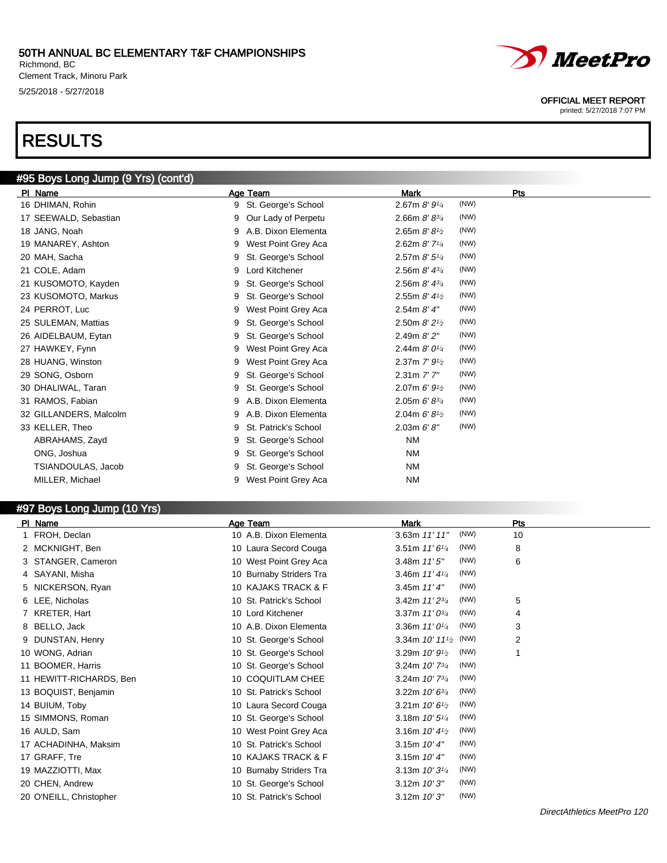Richmond, BC Clement Track, Minoru Park 5/25/2018 - 5/27/2018

# RESULTS

# #95 Boys Long Jump (9 Yrs) (cont'd)

| PI Name                | Age Team                  | <b>Mark</b>                                      | Pts |
|------------------------|---------------------------|--------------------------------------------------|-----|
| 16 DHIMAN, Rohin       | St. George's School<br>9  | (NW)<br>2.67m 8' 91/4                            |     |
| 17 SEEWALD, Sebastian  | Our Lady of Perpetu<br>9  | (NW)<br>2.66m $8'8^{3/4}$                        |     |
| 18 JANG, Noah          | A.B. Dixon Elementa<br>9  | (NW)<br>2.65m $8'8'$                             |     |
| 19 MANAREY, Ashton     | West Point Grey Aca<br>9  | (NW)<br>2.62m $8'$ 7 <sup>1/4</sup>              |     |
| 20 MAH, Sacha          | St. George's School<br>9  | (NW)<br>2.57m $8'$ 5 <sup>1/4</sup>              |     |
| 21 COLE, Adam          | Lord Kitchener<br>9       | (NW)<br>2.56m $8'$ 4 $\frac{3}{4}$               |     |
| 21 KUSOMOTO, Kayden    | St. George's School<br>9  | (NW)<br>2.56m $8'$ 4 $\frac{3}{4}$               |     |
| 23 KUSOMOTO, Markus    | St. George's School<br>9  | (NW)<br>2.55m $8'$ 4 $\frac{1}{2}$               |     |
| 24 PERROT, Luc         | West Point Grey Aca<br>9  | (NW)<br>2.54m 8' 4''                             |     |
| 25 SULEMAN, Mattias    | St. George's School<br>9  | (NW)<br>2.50m $8'2^{1/2}$                        |     |
| 26 AIDELBAUM, Eytan    | St. George's School<br>9  | (NW)<br>2.49m 8'2''                              |     |
| 27 HAWKEY, Fynn        | West Point Grey Aca<br>9  | (NW)<br>2.44m $8'0^{1/4}$                        |     |
| 28 HUANG, Winston      | West Point Grey Aca<br>9  | (NW)<br>2.37m $7'$ 9 <sup>1</sup> / <sub>2</sub> |     |
| 29 SONG, Osborn        | St. George's School<br>9  | (NW)<br>2.31m 7'7"                               |     |
| 30 DHALIWAL, Taran     | St. George's School<br>9  | (NW)<br>2.07m $6'9'$                             |     |
| 31 RAMOS, Fabian       | A.B. Dixon Elementa<br>9  | (NW)<br>2.05m $6' 8^{3/4}$                       |     |
| 32 GILLANDERS, Malcolm | A.B. Dixon Elementa<br>9  | (NW)<br>2.04m $6'8'$                             |     |
| 33 KELLER, Theo        | St. Patrick's School<br>9 | (NW)<br>2.03m 6' 8''                             |     |
| ABRAHAMS, Zayd         | St. George's School<br>9  | <b>NM</b>                                        |     |
| ONG, Joshua            | St. George's School<br>9  | <b>NM</b>                                        |     |
| TSIANDOULAS, Jacob     | St. George's School<br>9  | <b>NM</b>                                        |     |
| MILLER, Michael        | West Point Grey Aca       | <b>NM</b>                                        |     |
|                        |                           |                                                  |     |

### #97 Boys Long Jump (10 Yrs)

| Age Team                | Mark                                | Pts |
|-------------------------|-------------------------------------|-----|
| 10 A.B. Dixon Elementa  | (NW)<br>3.63m 11' 11"               | 10  |
| 10 Laura Secord Couga   | (NW)<br>3.51m 11'61/4               | 8   |
| 10 West Point Grey Aca  | (NW)<br>3.48m $11'5''$              | 6   |
| 10 Burnaby Striders Tra | (NW)<br>3.46m $11'4\frac{1}{4}$     |     |
| 10 KAJAKS TRACK & F     | (NW)<br>3.45m $11'4''$              |     |
| 10 St. Patrick's School | (NW)<br>3.42m 11' 23/4              | 5   |
| 10 Lord Kitchener       | 3.37m $11'0^{3/4}$<br>(NW)          | 4   |
| 10 A.B. Dixon Elementa  | 3.36m 11' 01/4<br>(NW)              | 3   |
| 10 St. George's School  | 3.34m $10'$ $11'$ (NW)              | 2   |
| 10 St. George's School  | (NW)<br>3.29m $10'9^{1/2}$          |     |
| 10 St. George's School  | (NW)<br>3.24m $10'$ 7 $\frac{3}{4}$ |     |
| 10 COQUITLAM CHEE       | (NW)<br>3.24m 10' 73/4              |     |
| 10 St. Patrick's School | (NW)<br>3.22m $10'6^{3/4}$          |     |
| 10 Laura Secord Couga   | (NW)<br>3.21m $10'6^{1/2}$          |     |
| 10 St. George's School  | (NW)<br>3.18m 10' 51/4              |     |
| 10 West Point Grey Aca  | (NW)<br>3.16m $10'$ 4 $\frac{1}{2}$ |     |
| 10 St. Patrick's School | (NW)<br>3.15m $10'4''$              |     |
| 10 KAJAKS TRACK & F     | (NW)<br>3.15m $10'4''$              |     |
| 10 Burnaby Striders Tra | (NW)<br>3.13m $10'3^{1/4}$          |     |
| 10 St. George's School  | (NW)<br>3.12m 10'3''                |     |
| 10 St. Patrick's School | (NW)<br>3.12m 10'3''                |     |
|                         |                                     |     |



#### OFFICIAL MEET REPORT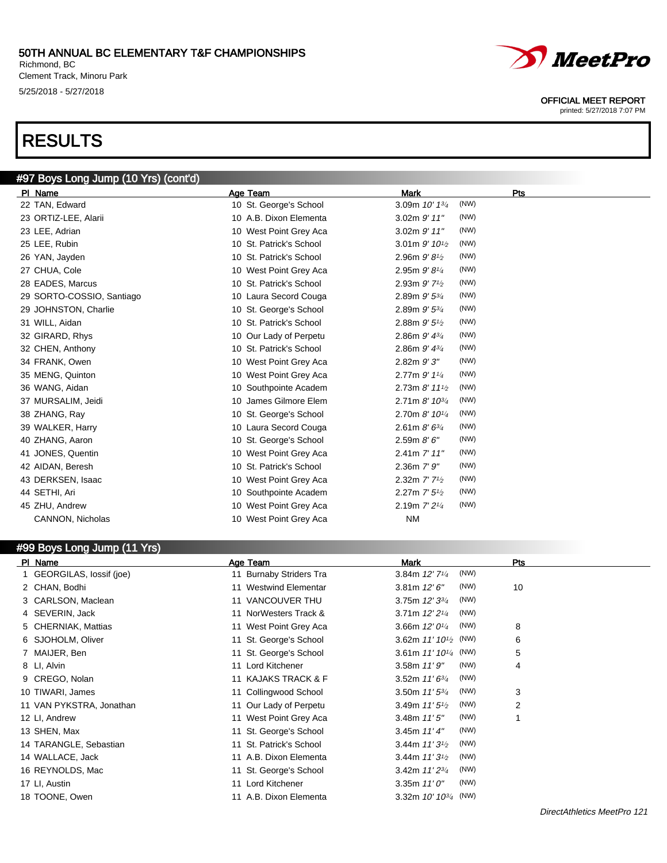#### 50TH ANNUAL BC ELEMENTARY T&F CHAMPIONSHIPS Richmond, BC

Clement Track, Minoru Park 5/25/2018 - 5/27/2018

# RESULTS



#### OFFICIAL MEET REPORT

printed: 5/27/2018 7:07 PM

| #97 Boys Long Jump (10 Yrs) (cont'd) |                         |                                           |      |
|--------------------------------------|-------------------------|-------------------------------------------|------|
| PI Name                              | Age Team                | <b>Mark</b>                               | Pts  |
| 22 TAN, Edward                       | 10 St. George's School  | 3.09m 10' 13/4                            | (NW) |
| 23 ORTIZ-LEE, Alarii                 | 10 A.B. Dixon Elementa  | $3.02m$ $9'$ $11"$                        | (NW) |
| 23 LEE, Adrian                       | 10 West Point Grey Aca  | 3.02m 9' 11"                              | (NW) |
| 25 LEE, Rubin                        | 10 St. Patrick's School | 3.01m $9'$ 10 <sup>1</sup> / <sub>2</sub> | (NW) |
| 26 YAN, Jayden                       | 10 St. Patrick's School | 2.96m $9'81/2$                            | (NW) |
| 27 CHUA, Cole                        | 10 West Point Grey Aca  | 2.95m 9' 81/4                             | (NW) |
| 28 EADES, Marcus                     | 10 St. Patrick's School | 2.93m $9'$ 7 <sup>1</sup> / <sub>2</sub>  | (NW) |
| 29 SORTO-COSSIO, Santiago            | 10 Laura Secord Couga   | 2.89m 9' 53/4                             | (NW) |
| 29 JOHNSTON, Charlie                 | 10 St. George's School  | 2.89m $9'$ 5 $\frac{3}{4}$                | (NW) |
| 31 WILL, Aidan                       | 10 St. Patrick's School | 2.88m $9'5\frac{1}{2}$                    | (NW) |
| 32 GIRARD, Rhys                      | 10 Our Lady of Perpetu  | 2.86m $9'$ $4^{3/4}$                      | (NW) |
| 32 CHEN, Anthony                     | 10 St. Patrick's School | 2.86m $9'$ $4^{3/4}$                      | (NW) |
| 34 FRANK, Owen                       | 10 West Point Grey Aca  | 2.82m 9'3"                                | (NW) |
| 35 MENG, Quinton                     | 10 West Point Grey Aca  | 2.77m 9' 11/4                             | (NW) |
| 36 WANG, Aidan                       | 10 Southpointe Academ   | 2.73m $8'$ 11 $\frac{1}{2}$               | (NW) |
| 37 MURSALIM, Jeidi                   | 10 James Gilmore Elem   | 2.71m $8'$ 10 $\frac{3}{4}$               | (NW) |
| 38 ZHANG, Ray                        | 10 St. George's School  | 2.70m 8' 101/4                            | (NW) |
| 39 WALKER, Harry                     | 10 Laura Secord Couga   | 2.61m $8'$ 6 $\frac{3}{4}$                | (NW) |
| 40 ZHANG, Aaron                      | 10 St. George's School  | 2.59m 8'6''                               | (NW) |
| 41 JONES, Quentin                    | 10 West Point Grey Aca  | 2.41m 7' 11"                              | (NW) |
| 42 AIDAN, Beresh                     | 10 St. Patrick's School | $2.36m$ $7'$ $9''$                        | (NW) |
| 43 DERKSEN, Isaac                    | 10 West Point Grey Aca  | 2.32m 7' 7 <sup>1</sup> / <sub>2</sub>    | (NW) |
| 44 SETHI, Ari                        | 10 Southpointe Academ   | 2.27m 7' 5 <sup>1/2</sup>                 | (NW) |
| 45 ZHU, Andrew                       | 10 West Point Grey Aca  | 2.19m 7' 2 <sup>1/4</sup>                 | (NW) |
| CANNON, Nicholas                     | 10 West Point Grey Aca  | <b>NM</b>                                 |      |
|                                      |                         |                                           |      |

#### #99 Boys Long Jump (11 Yrs)

| PI Name                   | Age Team                | <b>Mark</b>                          | Pts |
|---------------------------|-------------------------|--------------------------------------|-----|
| 1 GEORGILAS, lossif (joe) | 11 Burnaby Striders Tra | (NW)<br>3.84m $12'$ 7 <sup>1/4</sup> |     |
| 2 CHAN, Bodhi             | 11 Westwind Elementar   | (NW)<br>3.81m $12'6''$               | 10  |
| 3 CARLSON, Maclean        | 11 VANCOUVER THU        | (NW)<br>3.75m $12'3^{3/4}$           |     |
| 4 SEVERIN, Jack           | 11 NorWesters Track &   | (NW)<br>3.71m $12'2^{1/4}$           |     |
| 5 CHERNIAK, Mattias       | 11 West Point Grey Aca  | (NW)<br>3.66m $12'0^{1/4}$           | 8   |
| 6 SJOHOLM, Oliver         | 11 St. George's School  | 3.62m $11'10^{1/2}$ (NW)             | 6   |
| 7 MAIJER, Ben             | 11 St. George's School  | 3.61m $11'10^{1/4}$ (NW)             | 5   |
| 8 LI, Alvin               | 11 Lord Kitchener       | (NW)<br>3.58m 11'9''                 | 4   |
| 9 CREGO, Nolan            | 11 KAJAKS TRACK & F     | (NW)<br>3.52m $11'6^{3/4}$           |     |
| 10 TIWARI, James          | 11 Collingwood School   | (NW)<br>3.50m $11'5^{3/4}$           | 3   |
| 11 VAN PYKSTRA, Jonathan  | 11 Our Lady of Perpetu  | (NW)<br>3.49m $11'5\frac{1}{2}$      | 2   |
| 12 LI, Andrew             | 11 West Point Grey Aca  | (NW)<br>3.48m $11'5''$               |     |
| 13 SHEN, Max              | 11 St. George's School  | (NW)<br>3.45m $11'4''$               |     |
| 14 TARANGLE, Sebastian    | 11 St. Patrick's School | (NW)<br>3.44m $11'3\frac{1}{2}$      |     |
| 14 WALLACE, Jack          | 11 A.B. Dixon Elementa  | (NW)<br>3.44m $11'3^{1/2}$           |     |
| 16 REYNOLDS, Mac          | 11 St. George's School  | (NW)<br>3.42m $11'2^{3/4}$           |     |
| 17 LI, Austin             | 11 Lord Kitchener       | (NW)<br>3.35m $11'0''$               |     |
| 18 TOONE, Owen            | 11 A.B. Dixon Elementa  | 3.32m $10'$ $10^{3/4}$ (NW)          |     |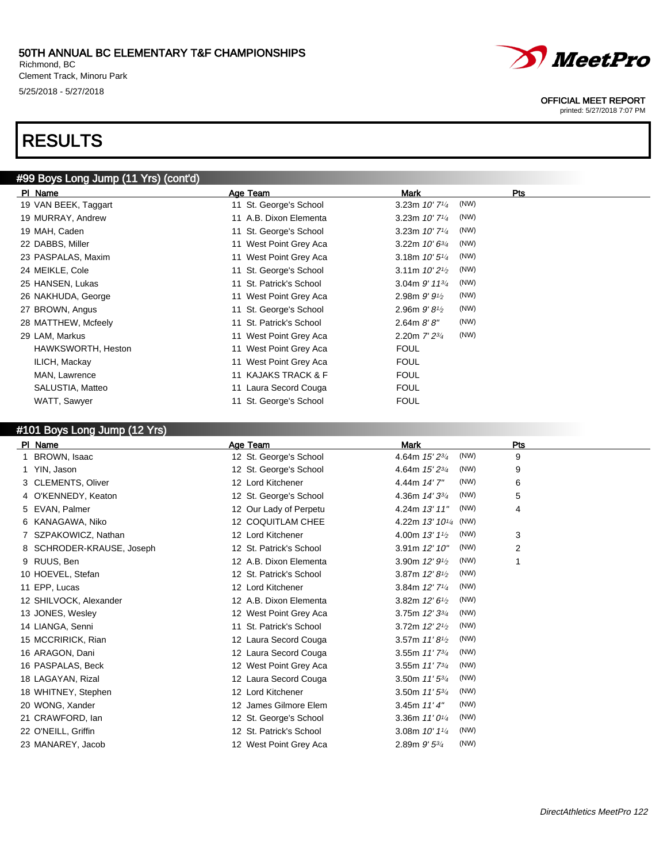Richmond, BC Clement Track, Minoru Park 5/25/2018 - 5/27/2018

# RESULTS

### #99 Boys Long Jump (11 Yrs) (cont'd)

| PI Name              | Age Team                | Mark                         | Pts  |
|----------------------|-------------------------|------------------------------|------|
| 19 VAN BEEK, Taggart | 11 St. George's School  | 3.23m $10'$ 7 $\frac{1}{4}$  | (NW) |
| 19 MURRAY, Andrew    | 11 A.B. Dixon Elementa  | 3.23m $10'$ 7 $\frac{1}{4}$  | (NW) |
| 19 MAH, Caden        | 11 St. George's School  | 3.23m $10'$ 7 <sup>1/4</sup> | (NW) |
| 22 DABBS, Miller     | 11 West Point Grey Aca  | 3.22m $10'6^{3/4}$           | (NW) |
| 23 PASPALAS, Maxim   | 11 West Point Grey Aca  | 3.18m $10'5\frac{1}{4}$      | (NW) |
| 24 MEIKLE, Cole      | 11 St. George's School  | 3.11m $10'2\frac{1}{2}$      | (NW) |
| 25 HANSEN, Lukas     | 11 St. Patrick's School | 3.04m $9'$ 11 $\frac{3}{4}$  | (NW) |
| 26 NAKHUDA, George   | 11 West Point Grey Aca  | 2.98m $9'9'$                 | (NW) |
| 27 BROWN, Angus      | 11 St. George's School  | 2.96m $9'81/2$               | (NW) |
| 28 MATTHEW, Mcfeely  | 11 St. Patrick's School | 2.64m 8'8''                  | (NW) |
| 29 LAM, Markus       | 11 West Point Grey Aca  | 2.20m $7'$ $2^{3/4}$         | (NW) |
| HAWKSWORTH, Heston   | 11 West Point Grey Aca  | <b>FOUL</b>                  |      |
| ILICH, Mackay        | 11 West Point Grey Aca  | <b>FOUL</b>                  |      |
| MAN, Lawrence        | 11 KAJAKS TRACK & F     | <b>FOUL</b>                  |      |
| SALUSTIA, Matteo     | 11 Laura Secord Couga   | <b>FOUL</b>                  |      |
| WATT, Sawyer         | 11 St. George's School  | <b>FOUL</b>                  |      |

#### #101 Boys Long Jump (12 Yrs)

| PI Name                      | Age Team                | <b>Mark</b>                                     | Pts            |  |
|------------------------------|-------------------------|-------------------------------------------------|----------------|--|
| BROWN, Isaac<br>1.           | 12 St. George's School  | (NW)<br>4.64m 15' 23/4                          | 9              |  |
| 1 YIN, Jason                 | 12 St. George's School  | (NW)<br>4.64m 15' 23/4                          | 9              |  |
| 3 CLEMENTS, Oliver           | 12 Lord Kitchener       | (NW)<br>4.44m 14'7"                             | 6              |  |
| 4 O'KENNEDY, Keaton          | 12 St. George's School  | (NW)<br>4.36m 14' 33/4                          | 5              |  |
| 5 EVAN, Palmer               | 12 Our Lady of Perpetu  | (NW)<br>4.24m 13' 11"                           | 4              |  |
| 6 KANAGAWA, Niko             | 12 COQUITLAM CHEE       | 4.22m 13' 10 <sup>1/4</sup> (NW)                |                |  |
| SZPAKOWICZ, Nathan           | 12 Lord Kitchener       | (NW)<br>4.00m $13'1\frac{1}{2}$                 | 3              |  |
| SCHRODER-KRAUSE, Joseph<br>8 | 12 St. Patrick's School | (NW)<br>3.91m 12' 10"                           | $\overline{2}$ |  |
| 9 RUUS, Ben                  | 12 A.B. Dixon Elementa  | (NW)<br>3.90m $12'9_{1/2}$                      | 1              |  |
| 10 HOEVEL, Stefan            | 12 St. Patrick's School | (NW)<br>3.87m 12' 8 <sup>1</sup> / <sub>2</sub> |                |  |
| 11 EPP, Lucas                | 12 Lord Kitchener       | (NW)<br>3.84m $12'$ 7 <sup>1/4</sup>            |                |  |
| 12 SHILVOCK, Alexander       | 12 A.B. Dixon Elementa  | (NW)<br>3.82m 12' 6 <sup>1</sup> / <sub>2</sub> |                |  |
| 13 JONES, Wesley             | 12 West Point Grey Aca  | (NW)<br>3.75m 12' 33/4                          |                |  |
| 14 LIANGA, Senni             | 11 St. Patrick's School | (NW)<br>3.72m 12' 2 <sup>1</sup> / <sub>2</sub> |                |  |
| 15 MCCRIRICK, Rian           | 12 Laura Secord Couga   | (NW)<br>3.57m $11'8\frac{1}{2}$                 |                |  |
| 16 ARAGON, Dani              | 12 Laura Secord Couga   | (NW)<br>3.55m $11'$ $7^{3/4}$                   |                |  |
| 16 PASPALAS, Beck            | 12 West Point Grey Aca  | (NW)<br>3.55m $11'$ $7^{3/4}$                   |                |  |
| 18 LAGAYAN, Rizal            | 12 Laura Secord Couga   | (NW)<br>3.50m $11'5^{3/4}$                      |                |  |
| 18 WHITNEY, Stephen          | 12 Lord Kitchener       | (NW)<br>3.50m 11' 53/4                          |                |  |
| 20 WONG, Xander              | 12 James Gilmore Elem   | (NW)<br>3.45m $11'4''$                          |                |  |
| 21 CRAWFORD, Ian             | 12 St. George's School  | (NW)<br>3.36m $11'0^{1/4}$                      |                |  |
| 22 O'NEILL, Griffin          | 12 St. Patrick's School | (NW)<br>3.08m $10'$ $1\frac{1}{4}$              |                |  |
| 23 MANAREY, Jacob            | 12 West Point Grey Aca  | (NW)<br>2.89m $9'$ 5 $\frac{3}{4}$              |                |  |



#### OFFICIAL MEET REPORT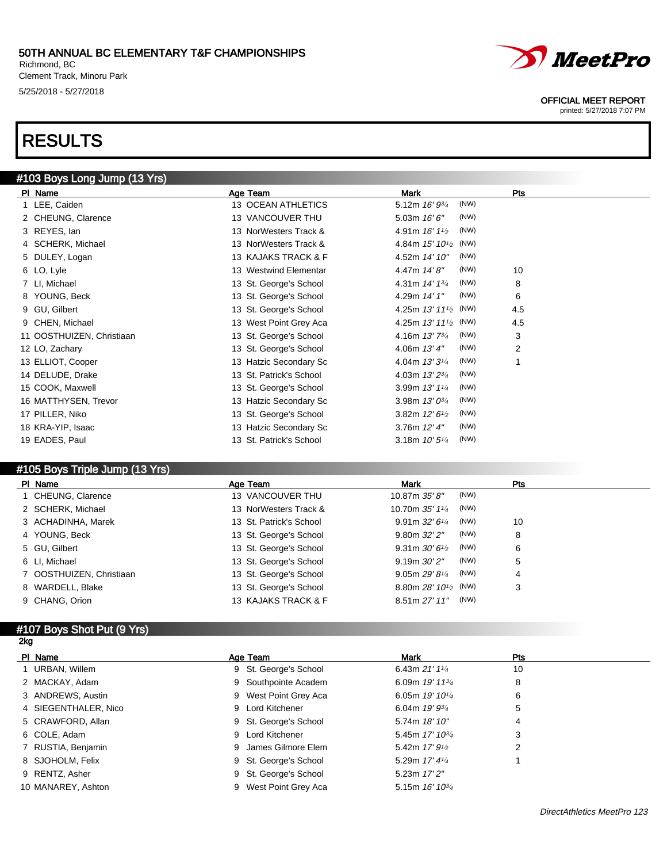Richmond, BC Clement Track, Minoru Park 5/25/2018 - 5/27/2018

# RESULTS

# #103 Boys Long Jump (13 Yrs)

| PI Name                   | Age Team                | Mark                                | Pts            |
|---------------------------|-------------------------|-------------------------------------|----------------|
| 1 LEE, Caiden             | 13 OCEAN ATHLETICS      | (NW)<br>5.12m 16' 93/4              |                |
| 2 CHEUNG, Clarence        | 13 VANCOUVER THU        | (NW)<br>5.03m $16'6''$              |                |
| 3 REYES, lan              | 13 NorWesters Track &   | (NW)<br>4.91m $16'11'$              |                |
| 4 SCHERK, Michael         | 13 NorWesters Track &   | 4.84m $15'$ $10^{1/2}$ (NW)         |                |
| 5 DULEY, Logan            | 13 KAJAKS TRACK & F     | (NW)<br>4.52m 14' 10"               |                |
| 6 LO, Lyle                | 13 Westwind Elementar   | (NW)<br>4.47m 14'8"                 | 10             |
| 7 LI, Michael             | 13 St. George's School  | (NW)<br>4.31m 14' 13/4              | 8              |
| 8 YOUNG, Beck             | 13 St. George's School  | (NW)<br>4.29m 14' 1"                | 6              |
| 9 GU, Gilbert             | 13 St. George's School  | 4.25m $13'$ $11'$ <sub>2</sub> (NW) | 4.5            |
| 9 CHEN, Michael           | 13 West Point Grey Aca  | 4.25m $13'$ $11'$ <sub>2</sub> (NW) | 4.5            |
| 11 OOSTHUIZEN, Christiaan | 13 St. George's School  | (NW)<br>4.16m 13'73/4               | 3              |
| 12 LO, Zachary            | 13 St. George's School  | (NW)<br>4.06m 13' 4"                | $\overline{2}$ |
| 13 ELLIOT, Cooper         | 13 Hatzic Secondary Sc  | (NW)<br>4.04m $13'3''$              | 1              |
| 14 DELUDE, Drake          | 13 St. Patrick's School | (NW)<br>4.03m 13' 23/4              |                |
| 15 COOK, Maxwell          | 13 St. George's School  | (NW)<br>3.99m 13' 11/4              |                |
| 16 MATTHYSEN, Trevor      | 13 Hatzic Secondary Sc  | (NW)<br>3.98m $13'0^{3/4}$          |                |
| 17 PILLER, Niko           | 13 St. George's School  | (NW)<br>3.82m $12'6\frac{1}{2}$     |                |
| 18 KRA-YIP, Isaac         | 13 Hatzic Secondary Sc  | (NW)<br>3.76m 12' 4"                |                |
| 19 EADES, Paul            | 13 St. Patrick's School | (NW)<br>3.18m 10' 51/4              |                |
|                           |                         |                                     |                |

#### #105 Boys Triple Jump (13 Yrs)

| PI Name                  | Age Team                | <b>Mark</b>                                     | <b>Pts</b> |
|--------------------------|-------------------------|-------------------------------------------------|------------|
| 1 CHEUNG, Clarence       | 13 VANCOUVER THU        | (NW)<br>10.87m 35' 8"                           |            |
| 2 SCHERK, Michael        | 13 NorWesters Track &   | (NW)<br>10.70m 35' 11/4                         |            |
| 3 ACHADINHA, Marek       | 13 St. Patrick's School | (NW)<br>9.91m $32'6''$                          | 10         |
| 4 YOUNG, Beck            | 13 St. George's School  | (NW)<br>9.80m 32' 2"                            | 8          |
| 5 GU, Gilbert            | 13 St. George's School  | (NW)<br>9.31 m $30'6\frac{1}{2}$                | 6          |
| 6 LI, Michael            | 13 St. George's School  | (NW)<br>$9.19m$ $30'$ $2"$                      | 5          |
| 7 OOSTHUIZEN, Christiaan | 13 St. George's School  | (NW)<br>9.05m 29' 81/4                          | 4          |
| 8 WARDELL, Blake         | 13 St. George's School  | 8.80m $28'$ 10 <sup>1</sup> / <sub>2</sub> (NW) | 3          |
| 9 CHANG, Orion           | 13 KAJAKS TRACK & F     | (NW)<br>8.51m 27' 11"                           |            |

#### #107 Boys Shot Put (9 Yrs) 2kg

| PI Name              | Age Team              | Mark                                      | <b>Pts</b> |  |
|----------------------|-----------------------|-------------------------------------------|------------|--|
| 1 URBAN, Willem      | 9 St. George's School | 6.43m $21'$ 1 <sup>1</sup> / <sub>4</sub> | 10         |  |
| 2 MACKAY, Adam       | 9 Southpointe Academ  | 6.09m $19'$ 11 $\frac{3}{4}$              | 8          |  |
| 3 ANDREWS, Austin    | 9 West Point Grey Aca | 6.05m $19'10^{1/4}$                       | 6          |  |
| 4 SIEGENTHALER, Nico | 9 Lord Kitchener      | 6.04m $19'$ $9\frac{3}{4}$                | 5          |  |
| 5 CRAWFORD, Allan    | 9 St. George's School | 5.74m 18' 10"                             | 4          |  |
| 6 COLE, Adam         | 9 Lord Kitchener      | 5.45m $17'$ $10^{3/4}$                    | 3          |  |
| 7 RUSTIA, Benjamin   | 9 James Gilmore Elem  | 5.42m $17'$ $9\frac{1}{2}$                | 2          |  |
| 8 SJOHOLM, Felix     | 9 St. George's School | 5.29m $17'$ 4 $\frac{1}{4}$               |            |  |
| 9 RENTZ, Asher       | 9 St. George's School | 5.23m 17' 2"                              |            |  |
| 10 MANAREY, Ashton   | 9 West Point Grey Aca | 5.15m 16' 10 <sup>3/4</sup>               |            |  |



#### OFFICIAL MEET REPORT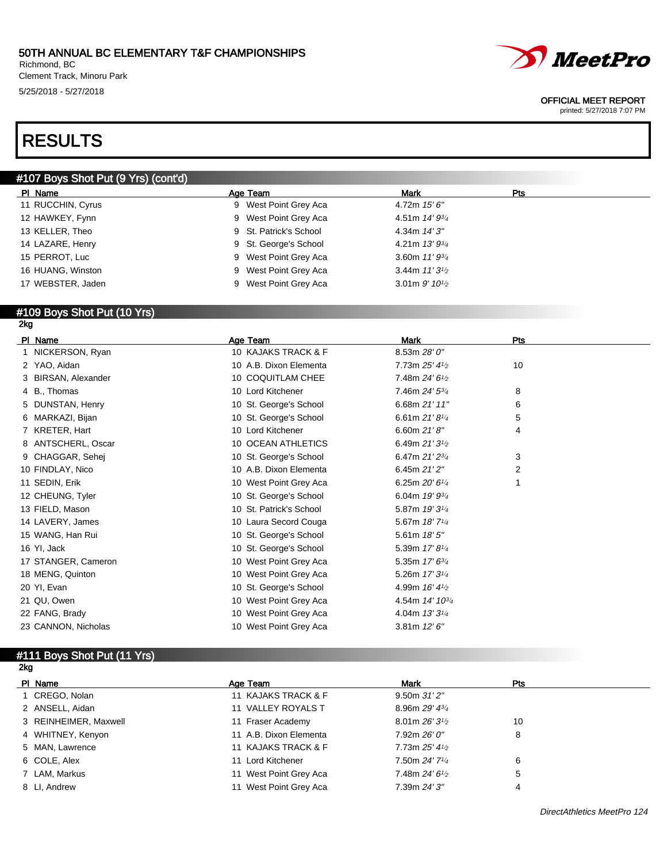Richmond, BC Clement Track, Minoru Park 5/25/2018 - 5/27/2018

# *MeetPro*

#### OFFICIAL MEET REPORT

printed: 5/27/2018 7:07 PM

# RESULTS

### #107 Boys Shot Put (9 Yrs) (cont'd)

| PI Name           | Age Team               | Mark                                       | Pts |
|-------------------|------------------------|--------------------------------------------|-----|
| 11 RUCCHIN, Cyrus | 9 West Point Grey Aca  | 4.72m $15'6''$                             |     |
| 12 HAWKEY, Fynn   | 9 West Point Grey Aca  | 4.51m $14'$ $9\frac{3}{4}$                 |     |
| 13 KELLER, Theo   | 9 St. Patrick's School | 4.34m 14' 3"                               |     |
| 14 LAZARE, Henry  | 9 St. George's School  | 4.21m $13'9^{3/4}$                         |     |
| 15 PERROT, Luc    | 9 West Point Grey Aca  | 3.60m $11'9^{3/4}$                         |     |
| 16 HUANG, Winston | 9 West Point Grey Aca  | 3.44m $11'3\frac{1}{2}$                    |     |
| 17 WEBSTER, Jaden | 9 West Point Grey Aca  | 3.01 m $9'$ 10 <sup>1</sup> / <sub>2</sub> |     |
|                   |                        |                                            |     |

#### #109 Boys Shot Put (10 Yrs) 2kg

| PI Name             | Age Team                | <b>Mark</b>                             | Pts |
|---------------------|-------------------------|-----------------------------------------|-----|
| 1 NICKERSON, Ryan   | 10 KAJAKS TRACK & F     | 8.53m 28'0''                            |     |
| 2 YAO, Aidan        | 10 A.B. Dixon Elementa  | 7.73m 25' 41/2                          | 10  |
| 3 BIRSAN, Alexander | 10 COQUITLAM CHEE       | 7.48m 24' 6 <sup>1</sup> / <sub>2</sub> |     |
| 4 B., Thomas        | 10 Lord Kitchener       | 7.46m 24' 53/4                          | 8   |
| 5 DUNSTAN, Henry    | 10 St. George's School  | 6.68m 21' 11"                           | 6   |
| 6 MARKAZI, Bijan    | 10 St. George's School  | 6.61m $21'8\frac{1}{4}$                 | 5   |
| 7 KRETER, Hart      | 10 Lord Kitchener       | 6.60m $21'8''$                          | 4   |
| 8 ANTSCHERL, Oscar  | 10 OCEAN ATHLETICS      | 6.49m $21'3\frac{1}{2}$                 |     |
| 9 CHAGGAR, Sehej    | 10 St. George's School  | 6.47m 21' 23/4                          | 3   |
| 10 FINDLAY, Nico    | 10 A.B. Dixon Elementa  | 6.45m 21'2"                             | 2   |
| 11 SEDIN, Erik      | 10 West Point Grey Aca  | 6.25m $20'6''$                          |     |
| 12 CHEUNG, Tyler    | 10 St. George's School  | 6.04m $19'$ $9\frac{3}{4}$              |     |
| 13 FIELD, Mason     | 10 St. Patrick's School | 5.87m 19' 31/4                          |     |
| 14 LAVERY, James    | 10 Laura Secord Couga   | 5.67m 18' 71/4                          |     |
| 15 WANG, Han Rui    | 10 St. George's School  | 5.61m $18'5''$                          |     |
| 16 YI, Jack         | 10 St. George's School  | 5.39m 17' 81/4                          |     |
| 17 STANGER, Cameron | 10 West Point Grey Aca  | 5.35m 17' 63/4                          |     |
| 18 MENG, Quinton    | 10 West Point Grey Aca  | 5.26m 17' 31/4                          |     |
| 20 YI, Evan         | 10 St. George's School  | 4.99m 16' 41/2                          |     |
| 21 QU, Owen         | 10 West Point Grey Aca  | 4.54m 14' 10 <sup>3/4</sup>             |     |
| 22 FANG, Brady      | 10 West Point Grey Aca  | 4.04m 13' 31/4                          |     |
| 23 CANNON, Nicholas | 10 West Point Grey Aca  | 3.81m $12'6''$                          |     |

# #111 Boys Shot Put (11 Yrs)

| PI Name               | Age Team               | <b>Mark</b>                 | <b>Pts</b> |  |
|-----------------------|------------------------|-----------------------------|------------|--|
| 1 CREGO, Nolan        | 11 KAJAKS TRACK & F    | 9.50m31'2''                 |            |  |
| 2 ANSELL, Aidan       | 11 VALLEY ROYALS T     | 8.96m $29'$ 4 $\frac{3}{4}$ |            |  |
| 3 REINHEIMER, Maxwell | 11 Fraser Academy      | 8.01m $26'3\frac{1}{2}$     | 10         |  |
| 4 WHITNEY, Kenyon     | 11 A.B. Dixon Elementa | 7.92m 26' 0"                | 8          |  |
| 5 MAN, Lawrence       | 11 KAJAKS TRACK & F    | 7.73m 25'41/2               |            |  |
| 6 COLE, Alex          | 11 Lord Kitchener      | 7.50m 24' 71/4              | 6          |  |
| 7 LAM, Markus         | 11 West Point Grey Aca | 7.48m $24'6'$               | 5          |  |
| 8 LI. Andrew          | 11 West Point Grey Aca | 7.39m 24' 3"                | 4          |  |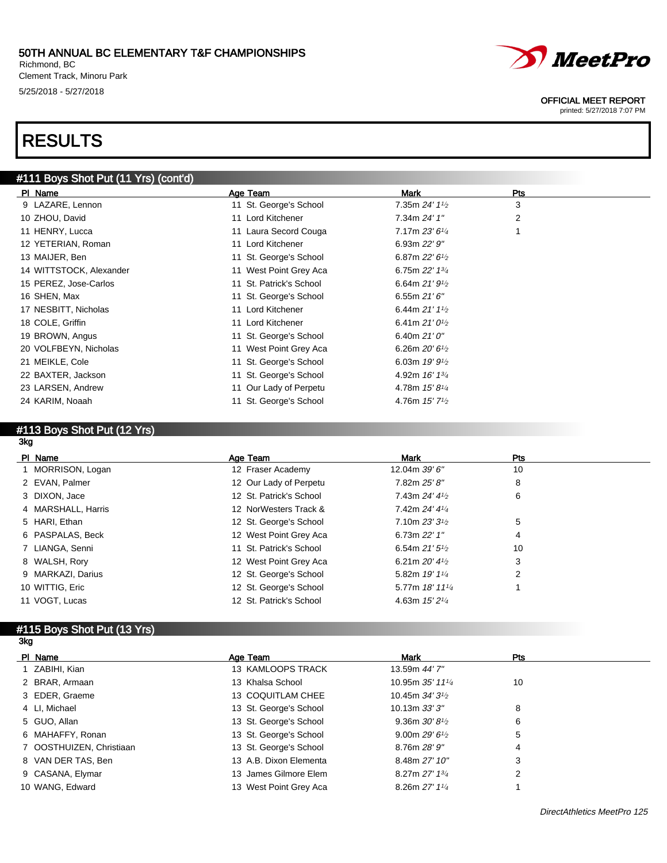Richmond, BC Clement Track, Minoru Park 5/25/2018 - 5/27/2018

# RESULTS

### #111 Boys Shot Put (11 Yrs) (cont'd)

| Age Team                | <b>Mark</b>                               | <b>Pts</b> |
|-------------------------|-------------------------------------------|------------|
| 11 St. George's School  | 7.35m $24'$ 1 <sup>1</sup> / <sub>2</sub> | 3          |
| 11 Lord Kitchener       | 7.34m 24' 1"                              | 2          |
| 11 Laura Secord Couga   | 7.17m 23' 61/4                            |            |
| 11 Lord Kitchener       | 6.93m 22' 9"                              |            |
| 11 St. George's School  | 6.87m $22'6\frac{1}{2}$                   |            |
| 11 West Point Grey Aca  | 6.75m $22'$ 1 $\frac{3}{4}$               |            |
| 11 St. Patrick's School | 6.64m $21'9'$                             |            |
| 11 St. George's School  | 6.55m $21'6''$                            |            |
| 11 Lord Kitchener       | 6.44m $21'11_2$                           |            |
| 11 Lord Kitchener       | 6.41m $21'0\frac{1}{2}$                   |            |
| 11 St. George's School  | 6.40m $21'0''$                            |            |
| 11 West Point Grey Aca  | 6.26m $20'6\frac{1}{2}$                   |            |
| 11 St. George's School  | 6.03m $19'9\frac{1}{2}$                   |            |
| 11 St. George's School  | 4.92m 16' 13/4                            |            |
| 11 Our Lady of Perpetu  | 4.78m $15'8\frac{1}{4}$                   |            |
| 11 St. George's School  | 4.76m $15'$ 7 <sup>1</sup> / <sub>2</sub> |            |
|                         |                                           |            |

#### #113 Boys Shot Put (12 Yrs) 3kg

| PI Name            | Age Team                | <b>Mark</b>                 | Pts |
|--------------------|-------------------------|-----------------------------|-----|
| MORRISON, Logan    | 12 Fraser Academy       | 12.04m 39' 6"               | 10  |
| 2 EVAN, Palmer     | 12 Our Lady of Perpetu  | 7.82m 25' 8"                | 8   |
| 3 DIXON, Jace      | 12 St. Patrick's School | 7.43m $24'$ 4 $\frac{1}{2}$ | 6   |
| 4 MARSHALL, Harris | 12 NorWesters Track &   | 7.42m 24' 41/4              |     |
| 5 HARI, Ethan      | 12 St. George's School  | 7.10m $23'31/2$             | 5   |
| 6 PASPALAS, Beck   | 12 West Point Grey Aca  | 6.73m 22' 1"                | 4   |
| 7 LIANGA, Senni    | 11 St. Patrick's School | 6.54m $21'5\frac{1}{2}$     | 10  |
| 8 WALSH, Rory      | 12 West Point Grey Aca  | 6.21m $20'$ 4 $\frac{1}{2}$ | 3   |
| 9 MARKAZI, Darius  | 12 St. George's School  | 5.82m 19' 11/4              | 2   |
| 10 WITTIG, Eric    | 12 St. George's School  | 5.77m 18' 111/4             |     |
| 11 VOGT, Lucas     | 12 St. Patrick's School | 4.63m $15'2\frac{1}{4}$     |     |

#### #115 Boys Shot Put (13 Yrs) 3kg

| PI Name                  | Age Team               | Mark                    | Pts |
|--------------------------|------------------------|-------------------------|-----|
| 1 ZABIHI, Kian           | 13 KAMLOOPS TRACK      | 13.59m 44' 7"           |     |
| 2 BRAR, Armaan           | 13 Khalsa School       | 10.95m 35' 1114         | 10  |
| 3 EDER, Graeme           | 13 COQUITLAM CHEE      | 10.45m $34'3^{1/2}$     |     |
| 4 LI, Michael            | 13 St. George's School | 10.13m 33'3''           | 8   |
| 5 GUO, Allan             | 13 St. George's School | 9.36m $30'81/2$         | 6   |
| 6 MAHAFFY, Ronan         | 13 St. George's School | 9.00m $29'6\frac{1}{2}$ | 5   |
| 7 OOSTHUIZEN, Christiaan | 13 St. George's School | 8.76m 28' 9"            | 4   |
| 8 VAN DER TAS, Ben       | 13 A.B. Dixon Elementa | 8.48m 27' 10"           | 3   |
| 9 CASANA, Elymar         | 13 James Gilmore Elem  | 8.27m 27' 13/4          | 2   |
| 10 WANG, Edward          | 13 West Point Grey Aca | 8.26m 27' 11/4          |     |

# MeetPro

#### OFFICIAL MEET REPORT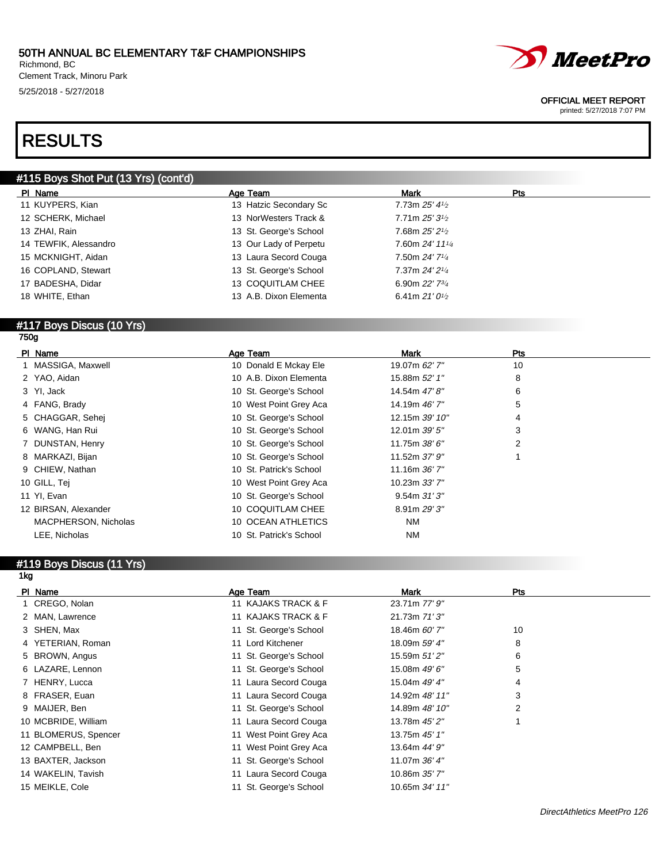Richmond, BC Clement Track, Minoru Park 5/25/2018 - 5/27/2018



#### OFFICIAL MEET REPORT

printed: 5/27/2018 7:07 PM

# RESULTS

### #115 Boys Shot Put (13 Yrs) (cont'd)

| PI Name               | Age Team               | Mark                                       | Pts |
|-----------------------|------------------------|--------------------------------------------|-----|
| 11 KUYPERS, Kian      | 13 Hatzic Secondary Sc | 7.73m $25'$ 4 $\frac{1}{2}$                |     |
| 12 SCHERK, Michael    | 13 NorWesters Track &  | $7.71m 25'3\frac{1}{2}$                    |     |
| 13 ZHAI, Rain         | 13 St. George's School | 7.68m $25'2\frac{1}{2}$                    |     |
| 14 TEWFIK, Alessandro | 13 Our Lady of Perpetu | 7.60m $24'$ 11 <sup>1</sup> / <sub>4</sub> |     |
| 15 MCKNIGHT, Aidan    | 13 Laura Secord Couga  | 7.50m 24' 7 <sup>1/4</sup>                 |     |
| 16 COPLAND, Stewart   | 13 St. George's School | $7.37m$ 24' 21/4                           |     |
| 17 BADESHA, Didar     | 13 COQUITLAM CHEE      | 6.90m $22'$ 7 $\frac{3}{4}$                |     |
| 18 WHITE, Ethan       | 13 A.B. Dixon Elementa | 6.41m $21'0\frac{1}{2}$                    |     |
|                       |                        |                                            |     |

#### #117 Boys Discus (10 Yrs) 750g

| PI Name              |                      | Age Team                | <b>Mark</b>        | Pts            |  |
|----------------------|----------------------|-------------------------|--------------------|----------------|--|
| 1 MASSIGA, Maxwell   |                      | 10 Donald E Mckay Ele   | 19.07m 62' 7"      | 10             |  |
| 2 YAO, Aidan         |                      | 10 A.B. Dixon Elementa  | 15.88m 52' 1"      | 8              |  |
| 3 YI, Jack           |                      | 10 St. George's School  | 14.54m 47' 8"      | 6              |  |
| 4 FANG, Brady        |                      | 10 West Point Grey Aca  | 14.19m 46' 7"      | 5              |  |
| 5 CHAGGAR, Sehei     |                      | 10 St. George's School  | 12.15m 39' 10"     | 4              |  |
| 6 WANG, Han Rui      |                      | 10 St. George's School  | 12.01m 39' 5"      | 3              |  |
| 7 DUNSTAN, Henry     |                      | 10 St. George's School  | 11.75m 38' 6"      | $\overline{2}$ |  |
| 8 MARKAZI, Bijan     |                      | 10 St. George's School  | 11.52m 37' 9"      |                |  |
| 9 CHIEW, Nathan      |                      | 10 St. Patrick's School | 11.16m $36'$ $7''$ |                |  |
| 10 GILL, Tej         |                      | 10 West Point Grey Aca  | 10.23m 33' 7"      |                |  |
| 11 YI, Evan          |                      | 10 St. George's School  | 9.54m31'3''        |                |  |
| 12 BIRSAN, Alexander |                      | 10 COQUITLAM CHEE       | 8.91m 29' 3"       |                |  |
|                      | MACPHERSON, Nicholas | 10 OCEAN ATHLETICS      | <b>NM</b>          |                |  |
| LEE, Nicholas        |                      | 10 St. Patrick's School | <b>NM</b>          |                |  |

#### #119 Boys Discus (11 Yrs) 1kg

| PI Name              | Age Team               | <b>Mark</b>    | Pts |
|----------------------|------------------------|----------------|-----|
| 1 CREGO, Nolan       | 11 KAJAKS TRACK & F    | 23.71m 77' 9"  |     |
| 2 MAN, Lawrence      | 11 KAJAKS TRACK & F    | 21.73m 71'3"   |     |
| 3 SHEN, Max          | 11 St. George's School | 18.46m 60' 7"  | 10  |
| 4 YETERIAN, Roman    | 11 Lord Kitchener      | 18.09m 59' 4"  | 8   |
| 5 BROWN, Angus       | 11 St. George's School | 15.59m 51'2"   | 6   |
| 6 LAZARE, Lennon     | 11 St. George's School | 15.08m 49' 6"  | 5   |
| 7 HENRY, Lucca       | 11 Laura Secord Couga  | 15.04m 49' 4"  | 4   |
| 8 FRASER, Euan       | 11 Laura Secord Couga  | 14.92m 48' 11" | 3   |
| 9 MAIJER, Ben        | 11 St. George's School | 14.89m 48' 10" | 2   |
| 10 MCBRIDE, William  | 11 Laura Secord Couga  | 13.78m 45' 2"  |     |
| 11 BLOMERUS, Spencer | 11 West Point Grey Aca | 13.75m 45' 1"  |     |
| 12 CAMPBELL, Ben     | 11 West Point Grey Aca | 13.64m 44' 9"  |     |
| 13 BAXTER, Jackson   | 11 St. George's School | 11.07m 36' 4"  |     |
| 14 WAKELIN, Tavish   | 11 Laura Secord Couga  | 10.86m 35' 7"  |     |
| 15 MEIKLE, Cole      | 11 St. George's School | 10.65m 34' 11" |     |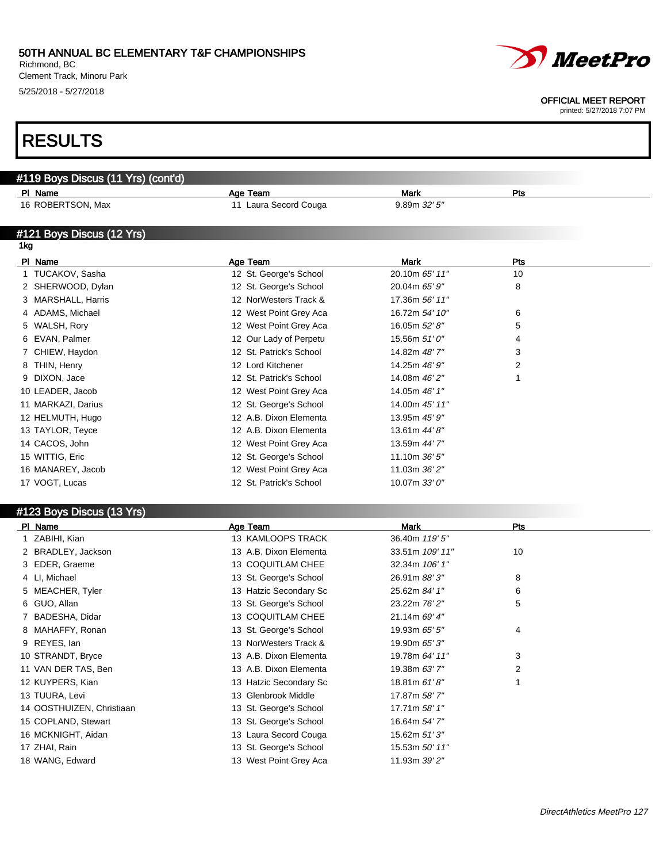Richmond, BC Clement Track, Minoru Park 5/25/2018 - 5/27/2018



#### OFFICIAL MEET REPORT

printed: 5/27/2018 7:07 PM

# RESULTS

| #119 Boys Discus (11 Yrs) (cont'd) |                         |                |     |  |
|------------------------------------|-------------------------|----------------|-----|--|
| PI Name                            | Age Team                | <b>Mark</b>    | Pts |  |
| 16 ROBERTSON, Max                  | 11 Laura Secord Couga   | 9.89m 32' 5"   |     |  |
|                                    |                         |                |     |  |
| #121 Boys Discus (12 Yrs)          |                         |                |     |  |
| 1kg                                |                         |                |     |  |
| PI Name                            | Age Team                | Mark           | Pts |  |
| 1 TUCAKOV, Sasha                   | 12 St. George's School  | 20.10m 65' 11" | 10  |  |
| 2 SHERWOOD, Dylan                  | 12 St. George's School  | 20.04m 65' 9"  | 8   |  |
| 3 MARSHALL, Harris                 | 12 NorWesters Track &   | 17.36m 56' 11" |     |  |
| 4 ADAMS, Michael                   | 12 West Point Grey Aca  | 16.72m 54' 10" | 6   |  |
| 5 WALSH, Rory                      | 12 West Point Grey Aca  | 16.05m 52' 8"  | 5   |  |
| EVAN, Palmer                       | 12 Our Lady of Perpetu  | 15.56m 51' 0"  | 4   |  |
| CHIEW, Haydon                      | 12 St. Patrick's School | 14.82m 48' 7"  | 3   |  |
| THIN, Henry                        | 12 Lord Kitchener       | 14.25m 46' 9"  | 2   |  |
| 9 DIXON, Jace                      | 12 St. Patrick's School | 14.08m 46' 2"  |     |  |
| 10 LEADER, Jacob                   | 12 West Point Grey Aca  | 14.05m 46' 1"  |     |  |
| 11 MARKAZI, Darius                 | 12 St. George's School  | 14.00m 45' 11" |     |  |
| 12 HELMUTH, Hugo                   | 12 A.B. Dixon Elementa  | 13.95m 45' 9"  |     |  |
| 13 TAYLOR, Teyce                   | 12 A.B. Dixon Elementa  | 13.61m 44' 8"  |     |  |
| 14 CACOS, John                     | 12 West Point Grey Aca  | 13.59m 44' 7"  |     |  |
| 15 WITTIG, Eric                    | 12 St. George's School  | 11.10m 36' 5"  |     |  |
| 16 MANAREY, Jacob                  | 12 West Point Grey Aca  | 11.03m 36' 2"  |     |  |
| 17 VOGT, Lucas                     | 12 St. Patrick's School | 10.07m 33' 0"  |     |  |
|                                    |                         |                |     |  |

### #123 Boys Discus (13 Yrs)

| PI Name                   | Age Team               | Mark            | Pts |
|---------------------------|------------------------|-----------------|-----|
| 1 ZABIHI, Kian            | 13 KAMLOOPS TRACK      | 36.40m 119' 5"  |     |
| 2 BRADLEY, Jackson        | 13 A.B. Dixon Elementa | 33.51m 109' 11" | 10  |
| 3 EDER, Graeme            | 13 COQUITLAM CHEE      | 32.34m 106' 1"  |     |
| 4 LI, Michael             | 13 St. George's School | 26.91m 88'3"    | 8   |
| 5 MEACHER, Tyler          | 13 Hatzic Secondary Sc | 25.62m 84' 1"   | 6   |
| 6 GUO, Allan              | 13 St. George's School | 23.22m 76' 2"   | 5   |
| 7 BADESHA, Didar          | 13 COQUITLAM CHEE      | 21.14m 69' 4"   |     |
| 8 MAHAFFY, Ronan          | 13 St. George's School | 19.93m 65' 5"   | 4   |
| 9 REYES, lan              | 13 NorWesters Track &  | 19.90m 65' 3"   |     |
| 10 STRANDT, Bryce         | 13 A.B. Dixon Elementa | 19.78m 64' 11"  | 3   |
| 11 VAN DER TAS, Ben       | 13 A.B. Dixon Elementa | 19.38m 63' 7"   | 2   |
| 12 KUYPERS, Kian          | 13 Hatzic Secondary Sc | 18.81m $61'8''$ |     |
| 13 TUURA, Levi            | 13 Glenbrook Middle    | 17.87m 58'7"    |     |
| 14 OOSTHUIZEN, Christiaan | 13 St. George's School | 17.71m 58' 1"   |     |
| 15 COPLAND, Stewart       | 13 St. George's School | 16.64m 54' 7"   |     |
| 16 MCKNIGHT, Aidan        | 13 Laura Secord Couga  | 15.62m 51'3"    |     |
| 17 ZHAI, Rain             | 13 St. George's School | 15.53m 50' 11"  |     |
| 18 WANG, Edward           | 13 West Point Grey Aca | 11.93m 39' 2"   |     |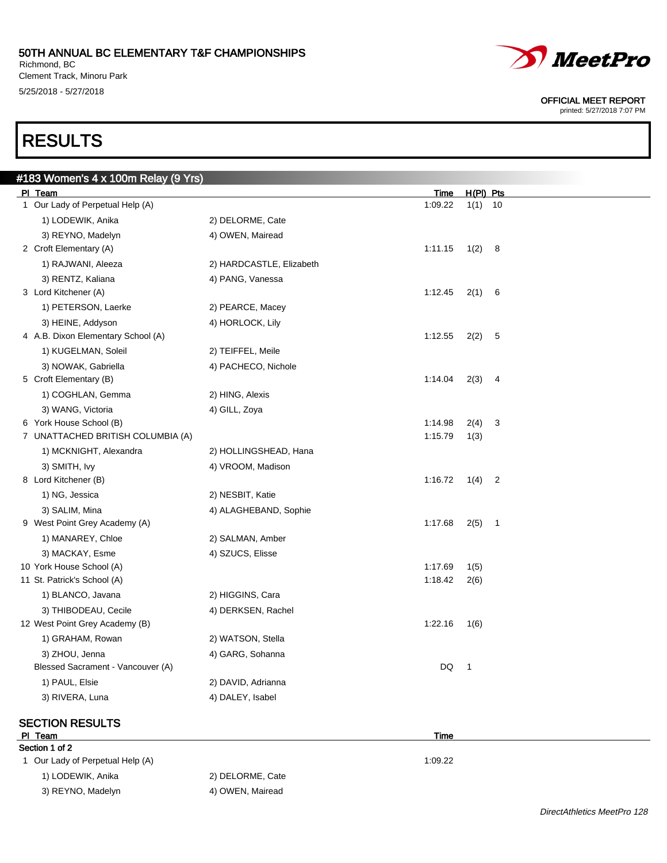Richmond, BC Clement Track, Minoru Park 5/25/2018 - 5/27/2018



OFFICIAL MEET REPORT

printed: 5/27/2018 7:07 PM

# RESULTS

| #183 Women's 4 x 100m Relay (9 Yrs) |                          |         |                          |                          |  |
|-------------------------------------|--------------------------|---------|--------------------------|--------------------------|--|
| PI Team                             |                          | Time    |                          | $H(PI)$ Pts              |  |
| 1 Our Lady of Perpetual Help (A)    |                          | 1:09.22 |                          | $1(1)$ 10                |  |
| 1) LODEWIK, Anika                   | 2) DELORME, Cate         |         |                          |                          |  |
| 3) REYNO, Madelyn                   | 4) OWEN, Mairead         |         |                          |                          |  |
| 2 Croft Elementary (A)              |                          | 1:11.15 |                          | 1(2) 8                   |  |
| 1) RAJWANI, Aleeza                  | 2) HARDCASTLE, Elizabeth |         |                          |                          |  |
| 3) RENTZ, Kaliana                   | 4) PANG, Vanessa         |         |                          |                          |  |
| 3 Lord Kitchener (A)                |                          | 1:12.45 | 2(1)                     | 6                        |  |
| 1) PETERSON, Laerke                 | 2) PEARCE, Macey         |         |                          |                          |  |
| 3) HEINE, Addyson                   | 4) HORLOCK, Lily         |         |                          |                          |  |
| 4 A.B. Dixon Elementary School (A)  |                          | 1:12.55 | 2(2)                     | 5                        |  |
| 1) KUGELMAN, Soleil                 | 2) TEIFFEL, Meile        |         |                          |                          |  |
| 3) NOWAK, Gabriella                 | 4) PACHECO, Nichole      |         |                          |                          |  |
| 5 Croft Elementary (B)              |                          | 1:14.04 | 2(3)                     | 4                        |  |
| 1) COGHLAN, Gemma                   | 2) HING, Alexis          |         |                          |                          |  |
| 3) WANG, Victoria                   | 4) GILL, Zoya            |         |                          |                          |  |
| 6 York House School (B)             |                          | 1:14.98 | 2(4)                     | 3                        |  |
| 7 UNATTACHED BRITISH COLUMBIA (A)   |                          | 1:15.79 | 1(3)                     |                          |  |
| 1) MCKNIGHT, Alexandra              | 2) HOLLINGSHEAD, Hana    |         |                          |                          |  |
| 3) SMITH, Ivy                       | 4) VROOM, Madison        |         |                          |                          |  |
| 8 Lord Kitchener (B)                |                          | 1:16.72 | 1(4)                     | $\overline{\phantom{0}}$ |  |
| 1) NG, Jessica                      | 2) NESBIT, Katie         |         |                          |                          |  |
| 3) SALIM, Mina                      | 4) ALAGHEBAND, Sophie    |         |                          |                          |  |
| 9 West Point Grey Academy (A)       |                          | 1:17.68 |                          | $2(5)$ 1                 |  |
| 1) MANAREY, Chloe                   | 2) SALMAN, Amber         |         |                          |                          |  |
| 3) MACKAY, Esme                     | 4) SZUCS, Elisse         |         |                          |                          |  |
| 10 York House School (A)            |                          | 1:17.69 | 1(5)                     |                          |  |
| 11 St. Patrick's School (A)         |                          | 1:18.42 | 2(6)                     |                          |  |
| 1) BLANCO, Javana                   | 2) HIGGINS, Cara         |         |                          |                          |  |
| 3) THIBODEAU, Cecile                | 4) DERKSEN, Rachel       |         |                          |                          |  |
| 12 West Point Grey Academy (B)      |                          | 1:22.16 | 1(6)                     |                          |  |
| 1) GRAHAM, Rowan                    | 2) WATSON, Stella        |         |                          |                          |  |
| 3) ZHOU, Jenna                      | 4) GARG, Sohanna         |         |                          |                          |  |
| Blessed Sacrament - Vancouver (A)   |                          | DQ      | $\overline{\phantom{1}}$ |                          |  |
| 1) PAUL, Elsie                      | 2) DAVID, Adrianna       |         |                          |                          |  |
| 3) RIVERA, Luna                     | 4) DALEY, Isabel         |         |                          |                          |  |
|                                     |                          |         |                          |                          |  |

### SECTION RESULTS

#### Pl Team Time Section 1 of 2

1 Our Lady of Perpetual Help (A) 1:09.22 1) LODEWIK, Anika 2) DELORME, Cate 3) REYNO, Madelyn 4) OWEN, Mairead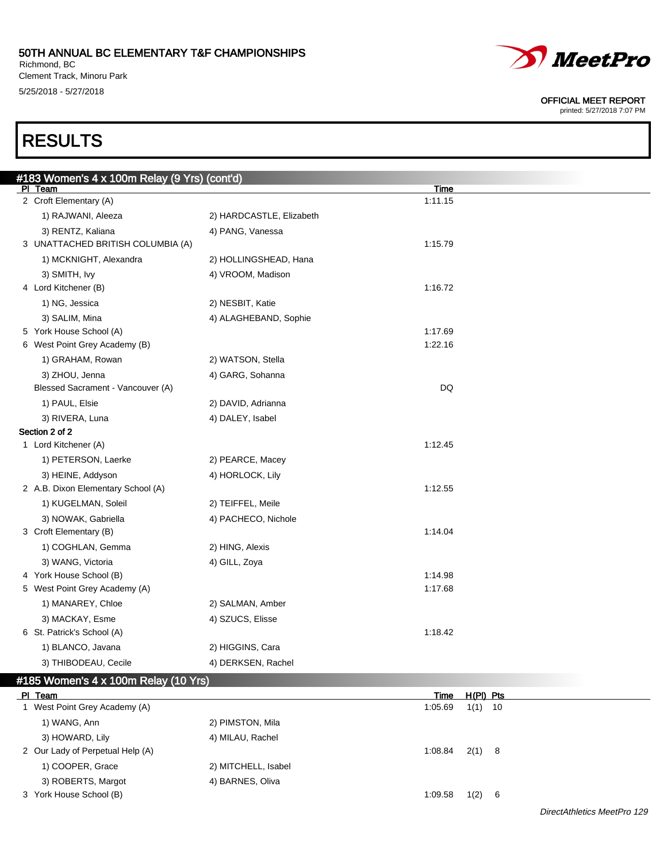#### 50TH ANNUAL BC ELEMENTARY T&F CHAMPIONSHIPS Richmond, BC

Clement Track, Minoru Park 5/25/2018 - 5/27/2018



#### OFFICIAL MEET REPORT

printed: 5/27/2018 7:07 PM

# RESULTS

| #183 Women's 4 x 100m Relay (9 Yrs) (cont'd) |                          |           |  |
|----------------------------------------------|--------------------------|-----------|--|
| PI Team                                      |                          | Time      |  |
| 2 Croft Elementary (A)                       |                          | 1:11.15   |  |
| 1) RAJWANI, Aleeza                           | 2) HARDCASTLE, Elizabeth |           |  |
| 3) RENTZ, Kaliana                            | 4) PANG, Vanessa         |           |  |
| 3 UNATTACHED BRITISH COLUMBIA (A)            |                          | 1:15.79   |  |
| 1) MCKNIGHT, Alexandra                       | 2) HOLLINGSHEAD, Hana    |           |  |
| 3) SMITH, Ivy                                | 4) VROOM, Madison        |           |  |
| 4 Lord Kitchener (B)                         |                          | 1:16.72   |  |
| 1) NG, Jessica                               | 2) NESBIT, Katie         |           |  |
| 3) SALIM, Mina                               | 4) ALAGHEBAND, Sophie    |           |  |
| 5 York House School (A)                      |                          | 1:17.69   |  |
| 6 West Point Grey Academy (B)                |                          | 1:22.16   |  |
| 1) GRAHAM, Rowan                             | 2) WATSON, Stella        |           |  |
| 3) ZHOU, Jenna                               | 4) GARG, Sohanna         |           |  |
| Blessed Sacrament - Vancouver (A)            |                          | <b>DQ</b> |  |
| 1) PAUL, Elsie                               | 2) DAVID, Adrianna       |           |  |
| 3) RIVERA, Luna                              | 4) DALEY, Isabel         |           |  |
| Section 2 of 2                               |                          |           |  |
| 1 Lord Kitchener (A)                         |                          | 1:12.45   |  |
| 1) PETERSON, Laerke                          | 2) PEARCE, Macey         |           |  |
| 3) HEINE, Addyson                            | 4) HORLOCK, Lily         |           |  |
| 2 A.B. Dixon Elementary School (A)           |                          | 1:12.55   |  |
| 1) KUGELMAN, Soleil                          | 2) TEIFFEL, Meile        |           |  |
| 3) NOWAK, Gabriella                          | 4) PACHECO, Nichole      |           |  |
| 3 Croft Elementary (B)                       |                          | 1:14.04   |  |
| 1) COGHLAN, Gemma                            | 2) HING, Alexis          |           |  |
| 3) WANG, Victoria                            | 4) GILL, Zoya            |           |  |
| 4 York House School (B)                      |                          | 1:14.98   |  |
| 5 West Point Grey Academy (A)                |                          | 1:17.68   |  |
| 1) MANAREY, Chloe                            | 2) SALMAN, Amber         |           |  |
| 3) MACKAY, Esme                              | 4) SZUCS, Elisse         |           |  |
| 6 St. Patrick's School (A)                   |                          | 1:18.42   |  |
| 1) BLANCO, Javana                            | 2) HIGGINS, Cara         |           |  |
| 3) THIBODEAU, Cecile                         | 4) DERKSEN, Rachel       |           |  |
|                                              |                          |           |  |

| #185 Women's 4 x 100m Relay (10 Yrs) |                                  |                        |  |  |  |
|--------------------------------------|----------------------------------|------------------------|--|--|--|
| <b>PI</b>                            | Team                             | $H(PI)$ Pts<br>Time    |  |  |  |
|                                      | West Point Grey Academy (A)      | $1(1)$ 10<br>1:05.69   |  |  |  |
|                                      | 1) WANG, Ann                     | 2) PIMSTON, Mila       |  |  |  |
|                                      | 3) HOWARD, Lily                  | 4) MILAU, Rachel       |  |  |  |
|                                      | 2 Our Lady of Perpetual Help (A) | $2(1)$ 8<br>1:08.84    |  |  |  |
|                                      | 1) COOPER, Grace                 | 2) MITCHELL, Isabel    |  |  |  |
|                                      | 3) ROBERTS, Margot               | 4) BARNES, Oliva       |  |  |  |
|                                      | York House School (B)            | 1(2)<br>1:09.58<br>- 6 |  |  |  |

DirectAthletics MeetPro 129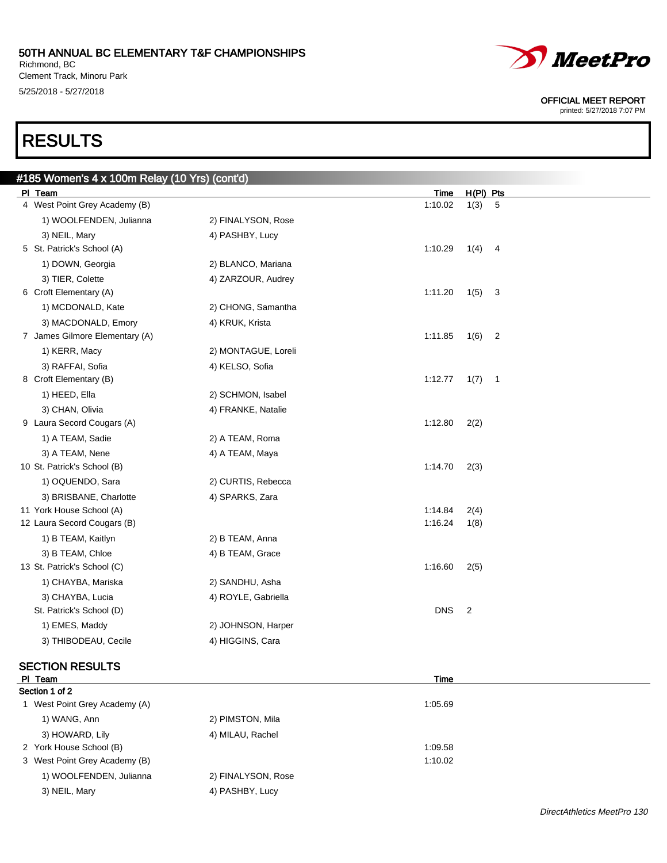Richmond, BC Clement Track, Minoru Park 5/25/2018 - 5/27/2018



OFFICIAL MEET REPORT

DirectAthletics MeetPro 130

printed: 5/27/2018 7:07 PM

# RESULTS

| #185 Women's 4 x 100m Relay (10 Yrs) (cont'd) |                     |                                             |
|-----------------------------------------------|---------------------|---------------------------------------------|
| PI Team                                       |                     | $H(PI)$ Pts<br>Time                         |
| 4 West Point Grey Academy (B)                 |                     | 1:10.02<br>1(3)<br>5                        |
| 1) WOOLFENDEN, Julianna                       | 2) FINALYSON, Rose  |                                             |
| 3) NEIL, Mary                                 | 4) PASHBY, Lucy     |                                             |
| 5 St. Patrick's School (A)                    |                     | 1:10.29<br>1(4)<br>$\overline{4}$           |
| 1) DOWN, Georgia                              | 2) BLANCO, Mariana  |                                             |
| 3) TIER, Colette                              | 4) ZARZOUR, Audrey  |                                             |
| 6 Croft Elementary (A)                        |                     | 1:11.20<br>1(5)<br>$\overline{3}$           |
| 1) MCDONALD, Kate                             | 2) CHONG, Samantha  |                                             |
| 3) MACDONALD, Emory                           | 4) KRUK, Krista     |                                             |
| 7 James Gilmore Elementary (A)                |                     | 1:11.85<br>1(6)<br>$\overline{\phantom{a}}$ |
| 1) KERR, Macy                                 | 2) MONTAGUE, Loreli |                                             |
| 3) RAFFAI, Sofia                              | 4) KELSO, Sofia     |                                             |
| 8 Croft Elementary (B)                        |                     | 1:12.77<br>1(7)<br>$\overline{\phantom{0}}$ |
| 1) HEED, Ella                                 | 2) SCHMON, Isabel   |                                             |
| 3) CHAN, Olivia                               | 4) FRANKE, Natalie  |                                             |
| 9 Laura Secord Cougars (A)                    |                     | 1:12.80<br>2(2)                             |
| 1) A TEAM, Sadie                              | 2) A TEAM, Roma     |                                             |
| 3) A TEAM, Nene                               | 4) A TEAM, Maya     |                                             |
| 10 St. Patrick's School (B)                   |                     | 1:14.70<br>2(3)                             |
| 1) OQUENDO, Sara                              | 2) CURTIS, Rebecca  |                                             |
| 3) BRISBANE, Charlotte                        | 4) SPARKS, Zara     |                                             |
| 11 York House School (A)                      |                     | 1:14.84<br>2(4)                             |
| 12 Laura Secord Cougars (B)                   |                     | 1:16.24<br>1(8)                             |
| 1) B TEAM, Kaitlyn                            | 2) B TEAM, Anna     |                                             |
| 3) B TEAM, Chloe                              | 4) B TEAM, Grace    |                                             |
| 13 St. Patrick's School (C)                   |                     | 1:16.60<br>2(5)                             |
| 1) CHAYBA, Mariska                            | 2) SANDHU, Asha     |                                             |
| 3) CHAYBA, Lucia                              | 4) ROYLE, Gabriella |                                             |
| St. Patrick's School (D)                      |                     | <b>DNS</b><br>$\overline{2}$                |
| 1) EMES, Maddy                                | 2) JOHNSON, Harper  |                                             |
| 3) THIBODEAU, Cecile                          | 4) HIGGINS, Cara    |                                             |
|                                               |                     |                                             |

# SECTION RESULTS

| PI Team                       | Time               |
|-------------------------------|--------------------|
| Section 1 of 2                |                    |
| 1 West Point Grey Academy (A) | 1:05.69            |
| 1) WANG, Ann                  | 2) PIMSTON, Mila   |
| 3) HOWARD, Lily               | 4) MILAU, Rachel   |
| 2 York House School (B)       | 1:09.58            |
| 3 West Point Grey Academy (B) | 1:10.02            |
| 1) WOOLFENDEN, Julianna       | 2) FINALYSON, Rose |
| 3) NEIL, Mary                 | 4) PASHBY, Lucy    |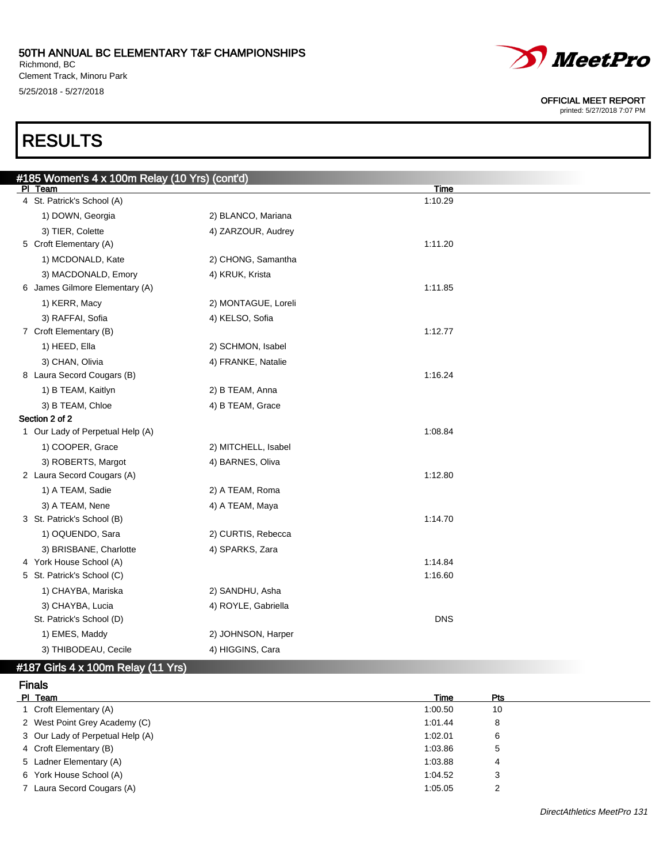#### 50TH ANNUAL BC ELEMENTARY T&F CHAMPIONSHIPS Richmond, BC

Clement Track, Minoru Park 5/25/2018 - 5/27/2018



#### OFFICIAL MEET REPORT

printed: 5/27/2018 7:07 PM

# RESULTS

| #185 Women's 4 x 100m Relay (10 Yrs) (cont'd) |                     |             |
|-----------------------------------------------|---------------------|-------------|
| PI Team                                       |                     | <u>Time</u> |
| 4 St. Patrick's School (A)                    |                     | 1:10.29     |
| 1) DOWN, Georgia                              | 2) BLANCO, Mariana  |             |
| 3) TIER, Colette                              | 4) ZARZOUR, Audrey  |             |
| 5 Croft Elementary (A)                        |                     | 1:11.20     |
| 1) MCDONALD, Kate                             | 2) CHONG, Samantha  |             |
| 3) MACDONALD, Emory                           | 4) KRUK, Krista     |             |
| 6 James Gilmore Elementary (A)                |                     | 1:11.85     |
| 1) KERR, Macy                                 | 2) MONTAGUE, Loreli |             |
| 3) RAFFAI, Sofia                              | 4) KELSO, Sofia     |             |
| 7 Croft Elementary (B)                        |                     | 1:12.77     |
| 1) HEED, Ella                                 | 2) SCHMON, Isabel   |             |
| 3) CHAN, Olivia                               | 4) FRANKE, Natalie  |             |
| 8 Laura Secord Cougars (B)                    |                     | 1:16.24     |
| 1) B TEAM, Kaitlyn                            | 2) B TEAM, Anna     |             |
| 3) B TEAM, Chloe                              | 4) B TEAM, Grace    |             |
| Section 2 of 2                                |                     |             |
| 1 Our Lady of Perpetual Help (A)              |                     | 1:08.84     |
| 1) COOPER, Grace                              | 2) MITCHELL, Isabel |             |
| 3) ROBERTS, Margot                            | 4) BARNES, Oliva    |             |
| 2 Laura Secord Cougars (A)                    |                     | 1:12.80     |
| 1) A TEAM, Sadie                              | 2) A TEAM, Roma     |             |
| 3) A TEAM, Nene                               | 4) A TEAM, Maya     |             |
| 3 St. Patrick's School (B)                    |                     | 1:14.70     |
| 1) OQUENDO, Sara                              | 2) CURTIS, Rebecca  |             |
| 3) BRISBANE, Charlotte                        | 4) SPARKS, Zara     |             |
| 4 York House School (A)                       |                     | 1:14.84     |
| 5 St. Patrick's School (C)                    |                     | 1:16.60     |
| 1) CHAYBA, Mariska                            | 2) SANDHU, Asha     |             |
| 3) CHAYBA, Lucia                              | 4) ROYLE, Gabriella |             |
| St. Patrick's School (D)                      |                     | <b>DNS</b>  |
| 1) EMES, Maddy                                | 2) JOHNSON, Harper  |             |
| 3) THIBODEAU, Cecile                          | 4) HIGGINS, Cara    |             |

### #187 Girls 4 x 100m Relay (11 Yrs)

| <b>Finals</b> |                                  |         |     |  |
|---------------|----------------------------------|---------|-----|--|
| PI Team       |                                  | Time    | Pts |  |
|               | 1 Croft Elementary (A)           | 1:00.50 | 10  |  |
|               | 2 West Point Grey Academy (C)    | 1:01.44 | 8   |  |
|               | 3 Our Lady of Perpetual Help (A) | 1:02.01 | 6   |  |
|               | 4 Croft Elementary (B)           | 1:03.86 | 5   |  |
|               | 5 Ladner Elementary (A)          | 1:03.88 | 4   |  |
|               | 6 York House School (A)          | 1:04.52 | 3   |  |
|               | 7 Laura Secord Cougars (A)       | 1:05.05 | າ   |  |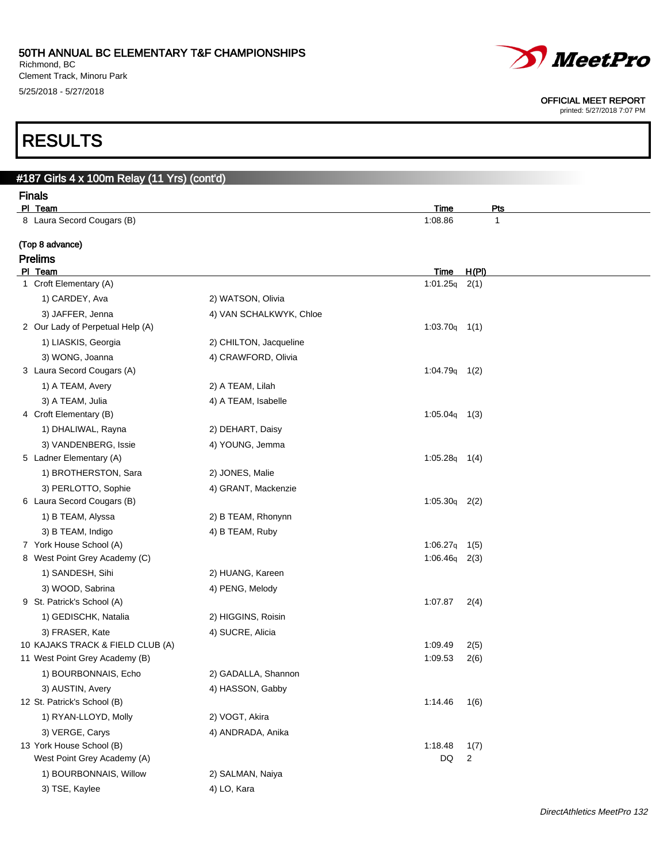Richmond, BC Clement Track, Minoru Park 5/25/2018 - 5/27/2018

# *MeetPro*

#### OFFICIAL MEET REPORT

printed: 5/27/2018 7:07 PM

# RESULTS

| #187 Girls 4 x 100m Relay (11 Yrs) (cont'd)             |                         |                 |              |  |
|---------------------------------------------------------|-------------------------|-----------------|--------------|--|
| <b>Finals</b>                                           |                         |                 |              |  |
| PI Team                                                 |                         | Time            | <u>Pts</u>   |  |
| 8 Laura Secord Cougars (B)                              |                         | 1:08.86         | $\mathbf{1}$ |  |
| (Top 8 advance)                                         |                         |                 |              |  |
| <b>Prelims</b>                                          |                         |                 |              |  |
| PI Team                                                 |                         | Time            | H(PI)        |  |
| 1 Croft Elementary (A)                                  |                         | $1:01.25q$ 2(1) |              |  |
| 1) CARDEY, Ava                                          | 2) WATSON, Olivia       |                 |              |  |
| 3) JAFFER, Jenna                                        | 4) VAN SCHALKWYK, Chloe |                 |              |  |
| 2 Our Lady of Perpetual Help (A)                        |                         | $1:03.70q$ 1(1) |              |  |
| 1) LIASKIS, Georgia                                     | 2) CHILTON, Jacqueline  |                 |              |  |
| 3) WONG, Joanna                                         | 4) CRAWFORD, Olivia     |                 |              |  |
| 3 Laura Secord Cougars (A)                              |                         | $1:04.79q$ 1(2) |              |  |
| 1) A TEAM, Avery                                        | 2) A TEAM, Lilah        |                 |              |  |
| 3) A TEAM, Julia                                        | 4) A TEAM, Isabelle     |                 |              |  |
| 4 Croft Elementary (B)                                  |                         | $1:05.04q$ 1(3) |              |  |
| 1) DHALIWAL, Rayna                                      | 2) DEHART, Daisy        |                 |              |  |
| 3) VANDENBERG, Issie<br>5 Ladner Elementary (A)         | 4) YOUNG, Jemma         | $1:05.28q$ 1(4) |              |  |
|                                                         |                         |                 |              |  |
| 1) BROTHERSTON, Sara<br>3) PERLOTTO, Sophie             | 2) JONES, Malie         |                 |              |  |
| 6 Laura Secord Cougars (B)                              | 4) GRANT, Mackenzie     | $1:05.30q$ 2(2) |              |  |
| 1) B TEAM, Alyssa                                       | 2) B TEAM, Rhonynn      |                 |              |  |
| 3) B TEAM, Indigo                                       | 4) B TEAM, Ruby         |                 |              |  |
| 7 York House School (A)                                 |                         | 1:06.27q        | 1(5)         |  |
| 8 West Point Grey Academy (C)                           |                         | $1:06.46q$ 2(3) |              |  |
| 1) SANDESH, Sihi                                        | 2) HUANG, Kareen        |                 |              |  |
| 3) WOOD, Sabrina                                        | 4) PENG, Melody         |                 |              |  |
| 9 St. Patrick's School (A)                              |                         | 1:07.87         | 2(4)         |  |
| 1) GEDISCHK, Natalia                                    | 2) HIGGINS, Roisin      |                 |              |  |
| 3) FRASER, Kate                                         | 4) SUCRE, Alicia        |                 |              |  |
| 10 KAJAKS TRACK & FIELD CLUB (A)                        |                         | 1:09.49         | 2(5)         |  |
| 11 West Point Grey Academy (B)                          |                         | 1:09.53         | 2(6)         |  |
| 1) BOURBONNAIS, Echo                                    | 2) GADALLA, Shannon     |                 |              |  |
| 3) AUSTIN, Avery                                        | 4) HASSON, Gabby        |                 |              |  |
| 12 St. Patrick's School (B)                             |                         | 1:14.46         | 1(6)         |  |
| 1) RYAN-LLOYD, Molly                                    | 2) VOGT, Akira          |                 |              |  |
| 3) VERGE, Carys                                         | 4) ANDRADA, Anika       |                 |              |  |
| 13 York House School (B)<br>West Point Grey Academy (A) |                         | 1:18.48<br>DQ   | 1(7)<br>2    |  |
| 1) BOURBONNAIS, Willow                                  | 2) SALMAN, Naiya        |                 |              |  |
|                                                         |                         |                 |              |  |
| 3) TSE, Kaylee                                          | 4) LO, Kara             |                 |              |  |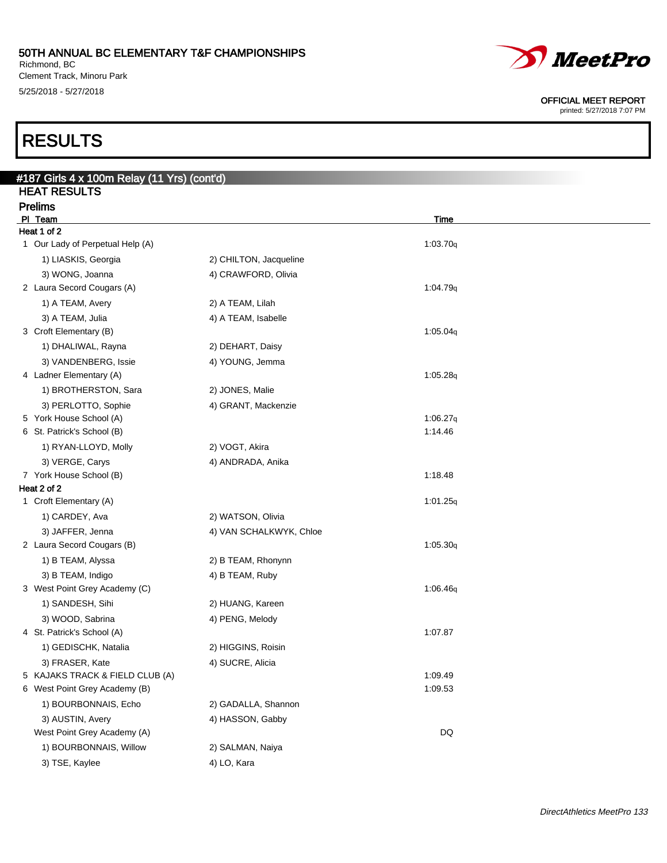Richmond, BC Clement Track, Minoru Park 5/25/2018 - 5/27/2018

# RESULTS

| <b>HEAT RESULTS</b>                             |                         |             |  |
|-------------------------------------------------|-------------------------|-------------|--|
| <b>Prelims</b><br>PI Team                       |                         | <b>Time</b> |  |
| Heat 1 of 2                                     |                         |             |  |
| 1 Our Lady of Perpetual Help (A)                |                         | 1:03.70q    |  |
| 1) LIASKIS, Georgia                             | 2) CHILTON, Jacqueline  |             |  |
| 3) WONG, Joanna                                 | 4) CRAWFORD, Olivia     |             |  |
| 2 Laura Secord Cougars (A)                      |                         | 1:04.79q    |  |
| 1) A TEAM, Avery                                | 2) A TEAM, Lilah        |             |  |
| 3) A TEAM, Julia                                | 4) A TEAM, Isabelle     |             |  |
| 3 Croft Elementary (B)                          |                         | 1:05.04q    |  |
| 1) DHALIWAL, Rayna                              | 2) DEHART, Daisy        |             |  |
| 3) VANDENBERG, Issie                            | 4) YOUNG, Jemma         |             |  |
| 4 Ladner Elementary (A)                         |                         | 1:05.28q    |  |
| 1) BROTHERSTON, Sara                            | 2) JONES, Malie         |             |  |
| 3) PERLOTTO, Sophie                             | 4) GRANT, Mackenzie     |             |  |
| 5 York House School (A)                         |                         | 1:06.27q    |  |
| 6 St. Patrick's School (B)                      |                         | 1:14.46     |  |
| 1) RYAN-LLOYD, Molly                            | 2) VOGT, Akira          |             |  |
| 3) VERGE, Carys                                 | 4) ANDRADA, Anika       |             |  |
| 7 York House School (B)                         |                         | 1:18.48     |  |
| Heat 2 of 2                                     |                         |             |  |
| 1 Croft Elementary (A)                          |                         | 1:01.25q    |  |
| 1) CARDEY, Ava                                  | 2) WATSON, Olivia       |             |  |
| 3) JAFFER, Jenna                                | 4) VAN SCHALKWYK, Chloe |             |  |
| 2 Laura Secord Cougars (B)                      |                         | 1:05.30q    |  |
| 1) B TEAM, Alyssa                               | 2) B TEAM, Rhonynn      |             |  |
| 3) B TEAM, Indigo                               | 4) B TEAM, Ruby         |             |  |
| 3 West Point Grey Academy (C)                   |                         | 1:06.46q    |  |
| 1) SANDESH, Sihi                                | 2) HUANG, Kareen        |             |  |
| 3) WOOD, Sabrina                                | 4) PENG, Melody         |             |  |
| 4 St. Patrick's School (A)                      |                         | 1:07.87     |  |
| 1) GEDISCHK, Natalia                            | 2) HIGGINS, Roisin      |             |  |
| 3) FRASER, Kate                                 | 4) SUCRE, Alicia        |             |  |
| 5 KAJAKS TRACK & FIELD CLUB (A)                 |                         | 1:09.49     |  |
| 6 West Point Grey Academy (B)                   |                         | 1:09.53     |  |
| 1) BOURBONNAIS, Echo                            | 2) GADALLA, Shannon     |             |  |
| 3) AUSTIN, Avery<br>West Point Grey Academy (A) | 4) HASSON, Gabby        |             |  |
|                                                 |                         | DQ          |  |
| 1) BOURBONNAIS, Willow                          | 2) SALMAN, Naiya        |             |  |
| 3) TSE, Kaylee                                  | 4) LO, Kara             |             |  |



#### OFFICIAL MEET REPORT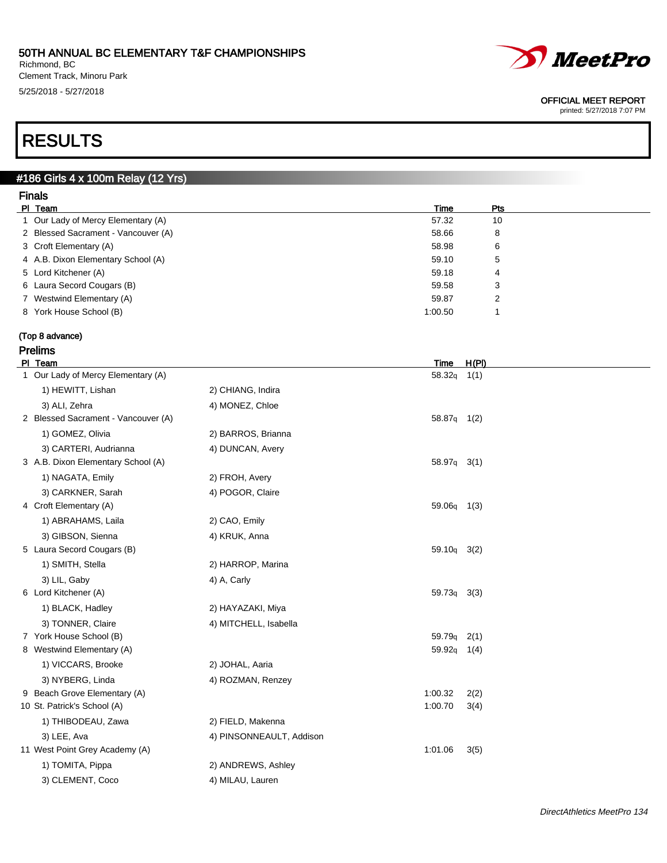Richmond, BC Clement Track, Minoru Park 5/25/2018 - 5/27/2018



#### OFFICIAL MEET REPORT

printed: 5/27/2018 7:07 PM

# RESULTS

### #186 Girls 4 x 100m Relay (12 Yrs)

| <b>Finals</b>                       |         |            |  |
|-------------------------------------|---------|------------|--|
| PI Team                             | Time    | <b>Pts</b> |  |
| 1 Our Lady of Mercy Elementary (A)  | 57.32   | 10         |  |
| 2 Blessed Sacrament - Vancouver (A) | 58.66   | 8          |  |
| 3 Croft Elementary (A)              | 58.98   | 6          |  |
| 4 A.B. Dixon Elementary School (A)  | 59.10   | 5          |  |
| 5 Lord Kitchener (A)                | 59.18   | 4          |  |
| 6 Laura Secord Cougars (B)          | 59.58   | 3          |  |
| 7 Westwind Elementary (A)           | 59.87   | 2          |  |
| 8 York House School (B)             | 1:00.50 |            |  |
|                                     |         |            |  |

#### (Top 8 advance)

| Prelims |
|---------|
|         |

| PI Team                             |                          | <b>Time</b>        | H(PI) |
|-------------------------------------|--------------------------|--------------------|-------|
| 1 Our Lady of Mercy Elementary (A)  |                          | $58.32q$ 1(1)      |       |
| 1) HEWITT, Lishan                   | 2) CHIANG, Indira        |                    |       |
| 3) ALI, Zehra                       | 4) MONEZ, Chloe          |                    |       |
| 2 Blessed Sacrament - Vancouver (A) |                          | 58.87q 1(2)        |       |
| 1) GOMEZ, Olivia                    | 2) BARROS, Brianna       |                    |       |
| 3) CARTERI, Audrianna               | 4) DUNCAN, Avery         |                    |       |
| 3 A.B. Dixon Elementary School (A)  |                          | 58.97q 3(1)        |       |
| 1) NAGATA, Emily                    | 2) FROH, Avery           |                    |       |
| 3) CARKNER, Sarah                   | 4) POGOR, Claire         |                    |       |
| 4 Croft Elementary (A)              |                          | 59.06q             | 1(3)  |
| 1) ABRAHAMS, Laila                  | 2) CAO, Emily            |                    |       |
| 3) GIBSON, Sienna                   | 4) KRUK, Anna            |                    |       |
| 5 Laura Secord Cougars (B)          |                          | 59.10q 3(2)        |       |
| 1) SMITH, Stella                    | 2) HARROP, Marina        |                    |       |
| 3) LIL, Gaby                        | 4) A, Carly              |                    |       |
| 6 Lord Kitchener (A)                |                          | 59.73 <sub>q</sub> | 3(3)  |
| 1) BLACK, Hadley                    | 2) HAYAZAKI, Miya        |                    |       |
| 3) TONNER, Claire                   | 4) MITCHELL, Isabella    |                    |       |
| 7 York House School (B)             |                          | 59.79 <sub>q</sub> | 2(1)  |
| 8 Westwind Elementary (A)           |                          | 59.92 <sub>q</sub> | 1(4)  |
| 1) VICCARS, Brooke                  | 2) JOHAL, Aaria          |                    |       |
| 3) NYBERG, Linda                    | 4) ROZMAN, Renzey        |                    |       |
| 9 Beach Grove Elementary (A)        |                          | 1:00.32            | 2(2)  |
| 10 St. Patrick's School (A)         |                          | 1:00.70            | 3(4)  |
| 1) THIBODEAU, Zawa                  | 2) FIELD, Makenna        |                    |       |
| 3) LEE, Ava                         | 4) PINSONNEAULT, Addison |                    |       |
| 11 West Point Grey Academy (A)      |                          | 1:01.06            | 3(5)  |
| 1) TOMITA, Pippa                    | 2) ANDREWS, Ashley       |                    |       |
| 3) CLEMENT, Coco                    | 4) MILAU, Lauren         |                    |       |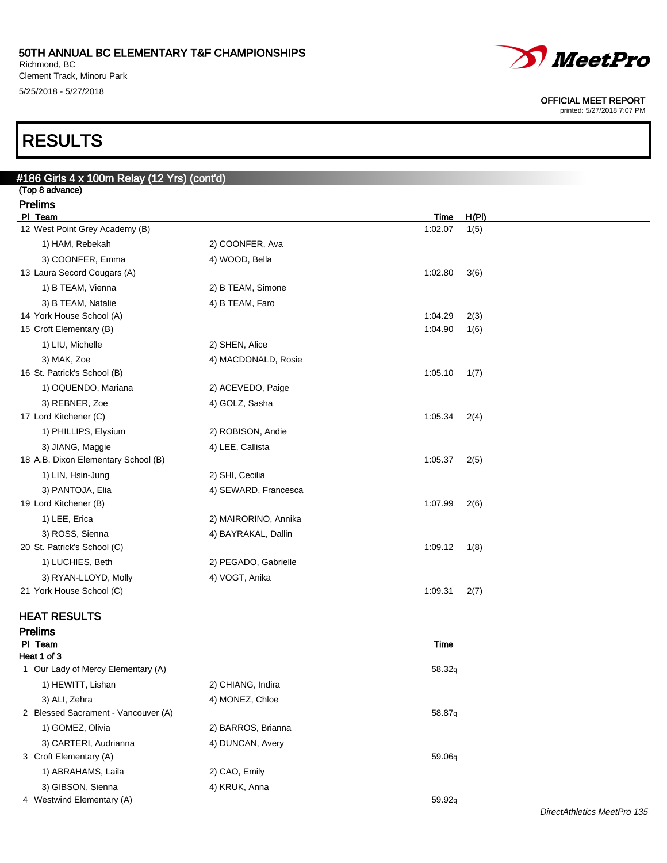Richmond, BC Clement Track, Minoru Park 5/25/2018 - 5/27/2018

# *MeetPro*

OFFICIAL MEET REPORT

printed: 5/27/2018 7:07 PM

# RESULTS

| #186 Girls 4 x 100m Relay (12 Yrs) (cont'd) |                      |                 |               |
|---------------------------------------------|----------------------|-----------------|---------------|
| (Top 8 advance)                             |                      |                 |               |
| <b>Prelims</b>                              |                      |                 |               |
| PI Team<br>12 West Point Grey Academy (B)   |                      | Time<br>1:02.07 | H(PI)<br>1(5) |
| 1) HAM, Rebekah                             | 2) COONFER, Ava      |                 |               |
| 3) COONFER, Emma                            | 4) WOOD, Bella       |                 |               |
| 13 Laura Secord Cougars (A)                 |                      | 1:02.80         | 3(6)          |
| 1) B TEAM, Vienna                           | 2) B TEAM, Simone    |                 |               |
| 3) B TEAM, Natalie                          | 4) B TEAM, Faro      |                 |               |
| 14 York House School (A)                    |                      | 1:04.29         | 2(3)          |
| 15 Croft Elementary (B)                     |                      | 1:04.90         | 1(6)          |
| 1) LIU, Michelle                            | 2) SHEN, Alice       |                 |               |
| 3) MAK, Zoe                                 | 4) MACDONALD, Rosie  |                 |               |
| 16 St. Patrick's School (B)                 |                      | 1:05.10         | 1(7)          |
| 1) OQUENDO, Mariana                         | 2) ACEVEDO, Paige    |                 |               |
| 3) REBNER, Zoe                              | 4) GOLZ, Sasha       |                 |               |
| 17 Lord Kitchener (C)                       |                      | 1:05.34         | 2(4)          |
| 1) PHILLIPS, Elysium                        | 2) ROBISON, Andie    |                 |               |
| 3) JIANG, Maggie                            | 4) LEE, Callista     |                 |               |
| 18 A.B. Dixon Elementary School (B)         |                      | 1:05.37         | 2(5)          |
| 1) LIN, Hsin-Jung                           | 2) SHI, Cecilia      |                 |               |
| 3) PANTOJA, Elia                            | 4) SEWARD, Francesca |                 |               |
| 19 Lord Kitchener (B)                       |                      | 1:07.99         | 2(6)          |
| 1) LEE, Erica                               | 2) MAIRORINO, Annika |                 |               |
| 3) ROSS, Sienna                             | 4) BAYRAKAL, Dallin  |                 |               |
| 20 St. Patrick's School (C)                 |                      | 1:09.12         | 1(8)          |
| 1) LUCHIES, Beth                            | 2) PEGADO, Gabrielle |                 |               |
| 3) RYAN-LLOYD, Molly                        | 4) VOGT, Anika       |                 |               |
| 21 York House School (C)                    |                      | 1:09.31         | 2(7)          |
|                                             |                      |                 |               |

### HEAT RESULTS

#### Prelims

| PI Team                             |                    | <b>Time</b> |  |  |  |  |
|-------------------------------------|--------------------|-------------|--|--|--|--|
| Heat 1 of 3                         |                    |             |  |  |  |  |
| 1 Our Lady of Mercy Elementary (A)  |                    | 58.32q      |  |  |  |  |
| 1) HEWITT, Lishan                   | 2) CHIANG, Indira  |             |  |  |  |  |
| 3) ALI, Zehra                       | 4) MONEZ, Chloe    |             |  |  |  |  |
| 2 Blessed Sacrament - Vancouver (A) |                    | 58.87g      |  |  |  |  |
| 1) GOMEZ, Olivia                    | 2) BARROS, Brianna |             |  |  |  |  |
| 3) CARTERI, Audrianna               | 4) DUNCAN, Avery   |             |  |  |  |  |
| 3 Croft Elementary (A)              |                    | 59.06g      |  |  |  |  |
| 1) ABRAHAMS, Laila                  | 2) CAO, Emily      |             |  |  |  |  |
| 3) GIBSON, Sienna                   | 4) KRUK, Anna      |             |  |  |  |  |
| 4 Westwind Elementary (A)           |                    | 59.92q      |  |  |  |  |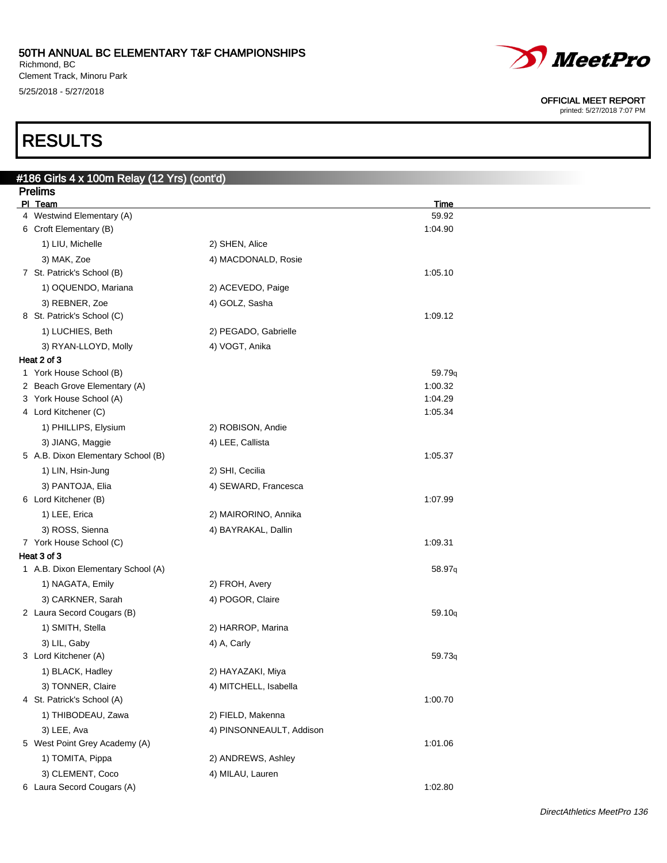$\mathbf{B}_{\text{e}}$ lay (40 $\mathbf{V}_{\text{e}}$ ) (contain

Richmond, BC Clement Track, Minoru Park 5/25/2018 - 5/27/2018



#### OFFICIAL MEET REPORT

printed: 5/27/2018 7:07 PM

# RESULTS

| #186 Girls 4 x 100m Relay (12 Yrs) (cont'd)<br><b>Prelims</b> |                          |             |  |
|---------------------------------------------------------------|--------------------------|-------------|--|
| PI Team                                                       |                          | <u>Time</u> |  |
| 4 Westwind Elementary (A)                                     |                          | 59.92       |  |
| 6 Croft Elementary (B)                                        |                          | 1:04.90     |  |
| 1) LIU, Michelle                                              | 2) SHEN, Alice           |             |  |
| 3) MAK, Zoe                                                   | 4) MACDONALD, Rosie      |             |  |
| 7 St. Patrick's School (B)                                    |                          | 1:05.10     |  |
| 1) OQUENDO, Mariana                                           | 2) ACEVEDO, Paige        |             |  |
| 3) REBNER, Zoe                                                | 4) GOLZ, Sasha           |             |  |
| 8 St. Patrick's School (C)                                    |                          | 1:09.12     |  |
| 1) LUCHIES, Beth                                              | 2) PEGADO, Gabrielle     |             |  |
| 3) RYAN-LLOYD, Molly                                          | 4) VOGT, Anika           |             |  |
| Heat 2 of 3                                                   |                          |             |  |
| 1 York House School (B)                                       |                          | 59.79q      |  |
| 2 Beach Grove Elementary (A)                                  |                          | 1:00.32     |  |
| 3 York House School (A)                                       |                          | 1:04.29     |  |
| 4 Lord Kitchener (C)                                          |                          | 1:05.34     |  |
| 1) PHILLIPS, Elysium                                          | 2) ROBISON, Andie        |             |  |
| 3) JIANG, Maggie                                              | 4) LEE, Callista         |             |  |
| 5 A.B. Dixon Elementary School (B)                            |                          | 1:05.37     |  |
| 1) LIN, Hsin-Jung                                             | 2) SHI, Cecilia          |             |  |
| 3) PANTOJA, Elia                                              | 4) SEWARD, Francesca     |             |  |
| 6 Lord Kitchener (B)                                          |                          | 1:07.99     |  |
| 1) LEE, Erica                                                 | 2) MAIRORINO, Annika     |             |  |
| 3) ROSS, Sienna                                               | 4) BAYRAKAL, Dallin      |             |  |
| 7 York House School (C)                                       |                          | 1:09.31     |  |
| Heat 3 of 3                                                   |                          |             |  |
| 1 A.B. Dixon Elementary School (A)                            |                          | 58.97q      |  |
| 1) NAGATA, Emily                                              | 2) FROH, Avery           |             |  |
| 3) CARKNER, Sarah                                             | 4) POGOR, Claire         |             |  |
| 2 Laura Secord Cougars (B)                                    |                          | 59.10q      |  |
| 1) SMITH, Stella                                              | 2) HARROP, Marina        |             |  |
| 3) LIL, Gaby                                                  | 4) A, Carly              |             |  |
| 3 Lord Kitchener (A)                                          |                          | 59.73q      |  |
| 1) BLACK, Hadley                                              | 2) HAYAZAKI, Miya        |             |  |
| 3) TONNER, Claire                                             | 4) MITCHELL, Isabella    |             |  |
| 4 St. Patrick's School (A)                                    |                          | 1:00.70     |  |
| 1) THIBODEAU, Zawa                                            | 2) FIELD, Makenna        |             |  |
| 3) LEE, Ava                                                   | 4) PINSONNEAULT, Addison |             |  |
| 5 West Point Grey Academy (A)                                 |                          | 1:01.06     |  |
| 1) TOMITA, Pippa                                              | 2) ANDREWS, Ashley       |             |  |
| 3) CLEMENT, Coco                                              | 4) MILAU, Lauren         |             |  |
| 6 Laura Secord Cougars (A)                                    |                          | 1:02.80     |  |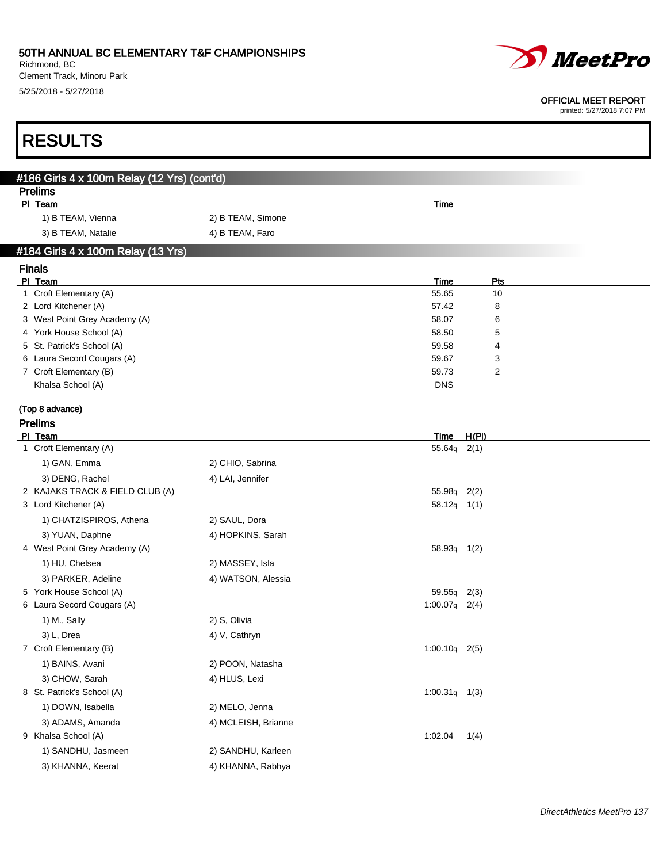Richmond, BC Clement Track, Minoru Park 5/25/2018 - 5/27/2018

RESULTS



#### OFFICIAL MEET REPORT

| #186 Girls 4 x 100m Relay (12 Yrs) (cont'd)          |                     |                 |                     |  |
|------------------------------------------------------|---------------------|-----------------|---------------------|--|
| <b>Prelims</b>                                       |                     |                 |                     |  |
| PI Team                                              |                     | <b>Time</b>     |                     |  |
| 1) B TEAM, Vienna                                    | 2) B TEAM, Simone   |                 |                     |  |
| 3) B TEAM, Natalie                                   | 4) B TEAM, Faro     |                 |                     |  |
| #184 Girls 4 x 100m Relay (13 Yrs)                   |                     |                 |                     |  |
| <b>Finals</b>                                        |                     |                 |                     |  |
| PI Team                                              |                     | Time            | Pts                 |  |
| 1 Croft Elementary (A)                               |                     | 55.65           | 10                  |  |
| 2 Lord Kitchener (A)                                 |                     | 57.42           | 8                   |  |
| 3 West Point Grey Academy (A)                        |                     | 58.07           | 6                   |  |
| 4 York House School (A)                              |                     | 58.50           | 5                   |  |
| 5 St. Patrick's School (A)                           |                     | 59.58           | 4                   |  |
| 6 Laura Secord Cougars (A)<br>7 Croft Elementary (B) |                     | 59.67<br>59.73  | 3<br>$\overline{2}$ |  |
| Khalsa School (A)                                    |                     | <b>DNS</b>      |                     |  |
|                                                      |                     |                 |                     |  |
| (Top 8 advance)                                      |                     |                 |                     |  |
| <b>Prelims</b>                                       |                     |                 |                     |  |
| PI Team                                              |                     | Time            | H(PI)               |  |
| 1 Croft Elementary (A)                               |                     | $55.64q$ 2(1)   |                     |  |
| 1) GAN, Emma                                         | 2) CHIO, Sabrina    |                 |                     |  |
| 3) DENG, Rachel                                      | 4) LAI, Jennifer    |                 |                     |  |
| 2 KAJAKS TRACK & FIELD CLUB (A)                      |                     | 55.98q          | 2(2)                |  |
| 3 Lord Kitchener (A)                                 |                     | $58.12q$ 1(1)   |                     |  |
| 1) CHATZISPIROS, Athena                              | 2) SAUL, Dora       |                 |                     |  |
| 3) YUAN, Daphne                                      | 4) HOPKINS, Sarah   |                 |                     |  |
| 4 West Point Grey Academy (A)                        |                     | $58.93q$ 1(2)   |                     |  |
| 1) HU, Chelsea                                       | 2) MASSEY, Isla     |                 |                     |  |
| 3) PARKER, Adeline                                   | 4) WATSON, Alessia  |                 |                     |  |
| 5 York House School (A)                              |                     | 59.55q          | 2(3)                |  |
| 6 Laura Secord Cougars (A)                           |                     | $1:00.07q$ 2(4) |                     |  |
| 1) M., Sally                                         | 2) S, Olivia        |                 |                     |  |
| 3) L, Drea                                           | 4) V, Cathryn       |                 |                     |  |
| 7 Croft Elementary (B)                               |                     | $1:00.10q$ 2(5) |                     |  |
| 1) BAINS, Avani                                      | 2) POON, Natasha    |                 |                     |  |
| 3) CHOW, Sarah                                       | 4) HLUS, Lexi       |                 |                     |  |
| 8 St. Patrick's School (A)                           |                     | $1:00.31q$ 1(3) |                     |  |
| 1) DOWN, Isabella                                    | 2) MELO, Jenna      |                 |                     |  |
| 3) ADAMS, Amanda                                     | 4) MCLEISH, Brianne |                 |                     |  |
| 9 Khalsa School (A)                                  |                     | 1:02.04         | 1(4)                |  |
| 1) SANDHU, Jasmeen                                   | 2) SANDHU, Karleen  |                 |                     |  |
| 3) KHANNA, Keerat                                    | 4) KHANNA, Rabhya   |                 |                     |  |
|                                                      |                     |                 |                     |  |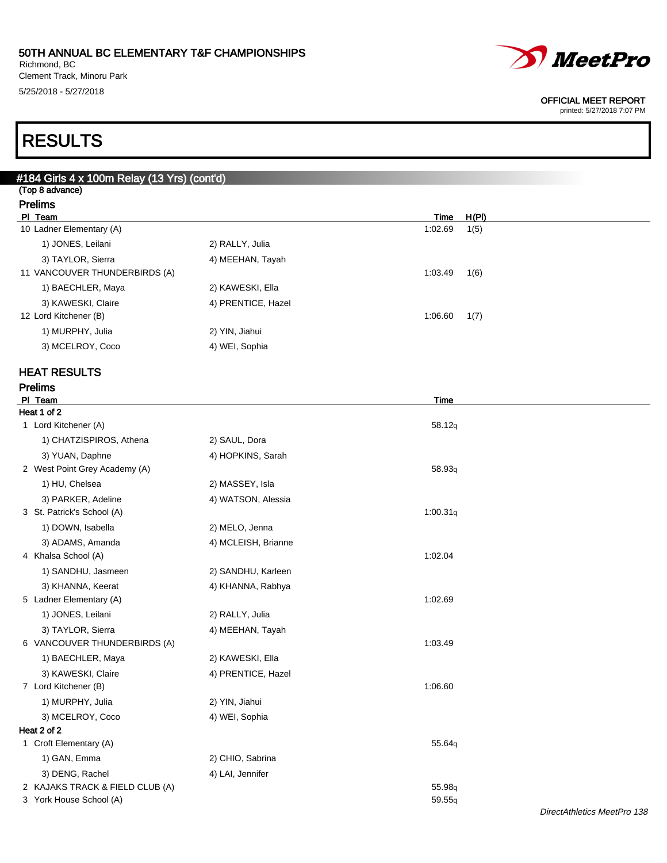Richmond, BC Clement Track, Minoru Park 5/25/2018 - 5/27/2018

# *MeetPro*

#### OFFICIAL MEET REPORT

printed: 5/27/2018 7:07 PM

# RESULTS

| #184 Girls 4 x 100m Relay (13 Yrs) (cont'd) |                     |                 |  |
|---------------------------------------------|---------------------|-----------------|--|
| (Top 8 advance)                             |                     |                 |  |
| <b>Prelims</b><br>PI Team                   |                     | H(PI)<br>Time   |  |
| 10 Ladner Elementary (A)                    |                     | 1(5)<br>1:02.69 |  |
| 1) JONES, Leilani                           | 2) RALLY, Julia     |                 |  |
| 3) TAYLOR, Sierra                           | 4) MEEHAN, Tayah    |                 |  |
| 11 VANCOUVER THUNDERBIRDS (A)               |                     | 1:03.49<br>1(6) |  |
| 1) BAECHLER, Maya                           | 2) KAWESKI, Ella    |                 |  |
| 3) KAWESKI, Claire                          | 4) PRENTICE, Hazel  |                 |  |
| 12 Lord Kitchener (B)                       |                     | 1:06.60<br>1(7) |  |
| 1) MURPHY, Julia                            | 2) YIN, Jiahui      |                 |  |
| 3) MCELROY, Coco                            | 4) WEI, Sophia      |                 |  |
| <b>HEAT RESULTS</b>                         |                     |                 |  |
| <b>Prelims</b>                              |                     |                 |  |
| PI Team                                     |                     | <b>Time</b>     |  |
| Heat 1 of 2                                 |                     |                 |  |
| 1 Lord Kitchener (A)                        |                     | 58.12q          |  |
| 1) CHATZISPIROS, Athena                     | 2) SAUL, Dora       |                 |  |
| 3) YUAN, Daphne                             | 4) HOPKINS, Sarah   |                 |  |
| 2 West Point Grey Academy (A)               |                     | 58.93q          |  |
| 1) HU, Chelsea                              | 2) MASSEY, Isla     |                 |  |
| 3) PARKER, Adeline                          | 4) WATSON, Alessia  |                 |  |
| 3 St. Patrick's School (A)                  |                     | 1:00.31q        |  |
| 1) DOWN, Isabella                           | 2) MELO, Jenna      |                 |  |
| 3) ADAMS, Amanda                            | 4) MCLEISH, Brianne |                 |  |
| 4 Khalsa School (A)                         |                     | 1:02.04         |  |
| 1) SANDHU, Jasmeen                          | 2) SANDHU, Karleen  |                 |  |
| 3) KHANNA, Keerat                           | 4) KHANNA, Rabhya   |                 |  |
| 5 Ladner Elementary (A)                     |                     | 1:02.69         |  |
| 1) JONES, Leilani                           | 2) RALLY, Julia     |                 |  |
| 3) TAYLOR, Sierra                           | 4) MEEHAN, Tayah    |                 |  |
| 6 VANCOUVER THUNDERBIRDS (A)                |                     | 1:03.49         |  |
| 1) BAECHLER, Maya                           | 2) KAWESKI, Ella    |                 |  |
| 3) KAWESKI, Claire                          | 4) PRENTICE, Hazel  |                 |  |
| 7 Lord Kitchener (B)                        |                     | 1:06.60         |  |
| 1) MURPHY, Julia                            | 2) YIN, Jiahui      |                 |  |
| 3) MCELROY, Coco                            | 4) WEI, Sophia      |                 |  |
| Heat 2 of 2                                 |                     |                 |  |
| 1 Croft Elementary (A)                      |                     | 55.64g          |  |
| 1) GAN, Emma                                | 2) CHIO, Sabrina    |                 |  |
| 3) DENG, Rachel                             | 4) LAI, Jennifer    |                 |  |
| 2 KAJAKS TRACK & FIELD CLUB (A)             |                     | 55.98q          |  |
| 3 York House School (A)                     |                     | 59.55q          |  |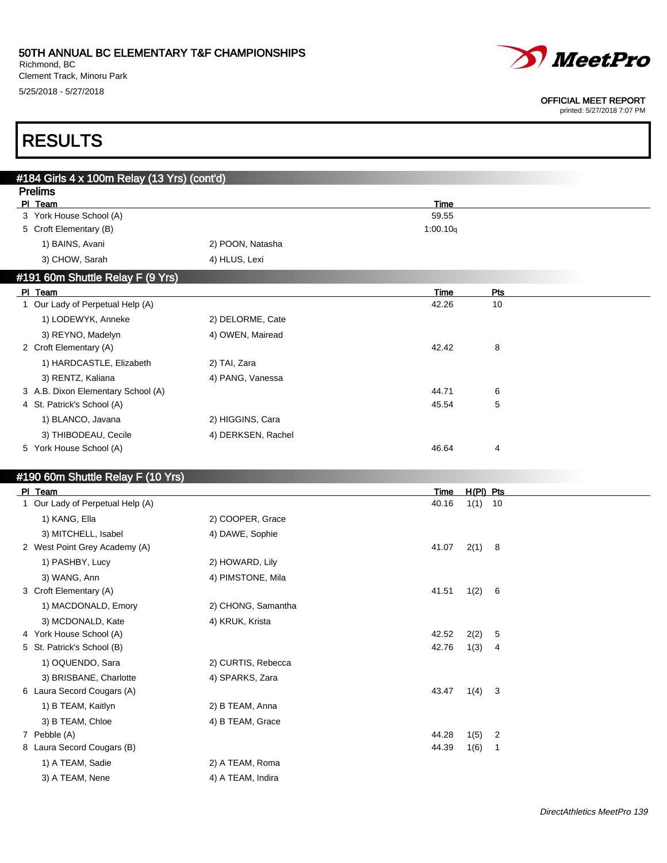Richmond, BC Clement Track, Minoru Park 5/25/2018 - 5/27/2018



#### OFFICIAL MEET REPORT

printed: 5/27/2018 7:07 PM

# RESULTS

| #184 Girls 4 x 100m Relay (13 Yrs) (cont'd) |                    |                                |                                         |
|---------------------------------------------|--------------------|--------------------------------|-----------------------------------------|
| <b>Prelims</b>                              |                    |                                |                                         |
| PI Team<br>3 York House School (A)          |                    | Time<br>59.55                  |                                         |
| 5 Croft Elementary (B)                      |                    | 1:00.10q                       |                                         |
| 1) BAINS, Avani                             | 2) POON, Natasha   |                                |                                         |
| 3) CHOW, Sarah                              | 4) HLUS, Lexi      |                                |                                         |
|                                             |                    |                                |                                         |
| #191 60m Shuttle Relay F (9 Yrs)            |                    |                                |                                         |
| PI Team<br>1 Our Lady of Perpetual Help (A) |                    | Time<br>42.26                  | <b>Pts</b><br>10                        |
| 1) LODEWYK, Anneke                          | 2) DELORME, Cate   |                                |                                         |
|                                             |                    |                                |                                         |
| 3) REYNO, Madelyn<br>2 Croft Elementary (A) | 4) OWEN, Mairead   | 42.42                          | 8                                       |
| 1) HARDCASTLE, Elizabeth                    | 2) TAI, Zara       |                                |                                         |
| 3) RENTZ, Kaliana                           | 4) PANG, Vanessa   |                                |                                         |
| 3 A.B. Dixon Elementary School (A)          |                    | 44.71                          | 6                                       |
| 4 St. Patrick's School (A)                  |                    | 45.54                          | 5                                       |
| 1) BLANCO, Javana                           | 2) HIGGINS, Cara   |                                |                                         |
| 3) THIBODEAU, Cecile                        | 4) DERKSEN, Rachel |                                |                                         |
| 5 York House School (A)                     |                    | 46.64                          | 4                                       |
|                                             |                    |                                |                                         |
| #190 60m Shuttle Relay F (10 Yrs)           |                    |                                |                                         |
| PI Team                                     |                    | Time                           | H(PI) Pts                               |
| 1 Our Lady of Perpetual Help (A)            |                    | 40.16                          | $1(1)$ 10                               |
| 1) KANG, Ella                               | 2) COOPER, Grace   |                                |                                         |
| 3) MITCHELL, Isabel                         | 4) DAWE, Sophie    |                                |                                         |
| 2 West Point Grey Academy (A)               |                    | 41.07                          | $2(1)$ 8                                |
| 1) PASHBY, Lucy                             | 2) HOWARD, Lily    |                                |                                         |
| 3) WANG, Ann                                | 4) PIMSTONE, Mila  |                                |                                         |
| 3 Croft Elementary (A)                      |                    | 41.51<br>1(2)                  | 6                                       |
| 1) MACDONALD, Emory                         | 2) CHONG, Samantha |                                |                                         |
| 3) MCDONALD, Kate                           | 4) KRUK, Krista    |                                |                                         |
| 4 York House School (A)                     |                    | 42.52<br>2(2)                  | 5                                       |
| 5 St. Patrick's School (B)                  |                    | 42.76<br>1(3)                  | 4                                       |
| 1) OQUENDO, Sara                            | 2) CURTIS, Rebecca |                                |                                         |
| 3) BRISBANE, Charlotte                      | 4) SPARKS, Zara    |                                |                                         |
| 6 Laura Secord Cougars (A)                  |                    | 43.47<br>1(4)                  | 3                                       |
| 1) B TEAM, Kaitlyn                          | 2) B TEAM, Anna    |                                |                                         |
| 3) B TEAM, Chloe                            | 4) B TEAM, Grace   |                                |                                         |
| 7 Pebble (A)<br>8 Laura Secord Cougars (B)  |                    | 44.28<br>1(5)<br>44.39<br>1(6) | $\overline{\mathbf{c}}$<br>$\mathbf{1}$ |
| 1) A TEAM, Sadie                            | 2) A TEAM, Roma    |                                |                                         |
|                                             |                    |                                |                                         |
| 3) A TEAM, Nene                             | 4) A TEAM, Indira  |                                |                                         |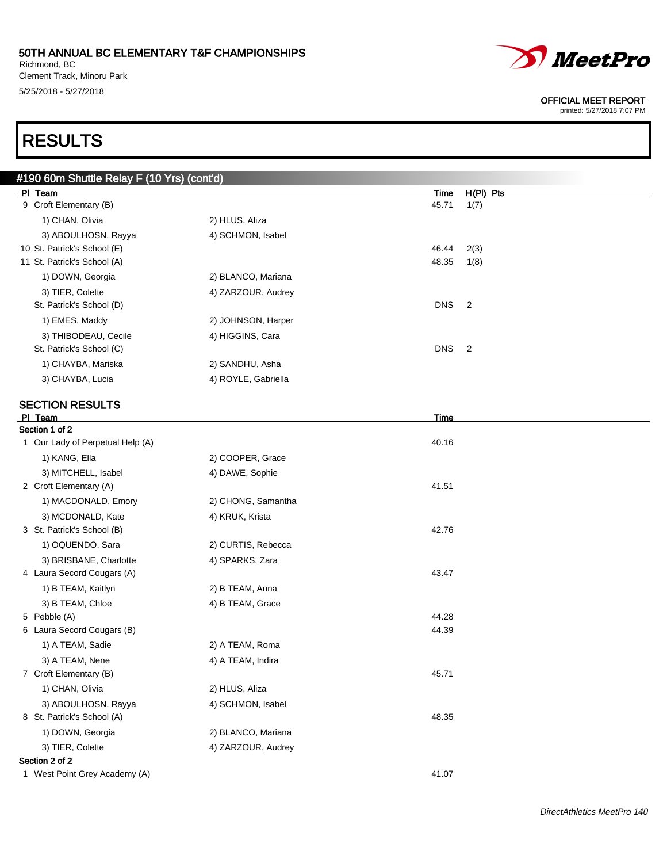Richmond, BC Clement Track, Minoru Park 5/25/2018 - 5/27/2018

# RESULTS

| #190 60m Shuttle Relay F (10 Yrs) (cont'd) |                     |            |                |
|--------------------------------------------|---------------------|------------|----------------|
| PI Team                                    |                     | Time       | $H(PI)$ Pts    |
| 9 Croft Elementary (B)                     |                     | 45.71      | 1(7)           |
| 1) CHAN, Olivia                            | 2) HLUS, Aliza      |            |                |
| 3) ABOULHOSN, Rayya                        | 4) SCHMON, Isabel   |            |                |
| 10 St. Patrick's School (E)                |                     | 46.44      | 2(3)           |
| 11 St. Patrick's School (A)                |                     | 48.35      | 1(8)           |
| 1) DOWN, Georgia                           | 2) BLANCO, Mariana  |            |                |
| 3) TIER, Colette                           | 4) ZARZOUR, Audrey  |            |                |
| St. Patrick's School (D)                   |                     | <b>DNS</b> | $\overline{2}$ |
| 1) EMES, Maddy                             | 2) JOHNSON, Harper  |            |                |
| 3) THIBODEAU, Cecile                       | 4) HIGGINS, Cara    |            |                |
| St. Patrick's School (C)                   |                     | <b>DNS</b> | $\overline{2}$ |
| 1) CHAYBA, Mariska                         | 2) SANDHU, Asha     |            |                |
| 3) CHAYBA, Lucia                           | 4) ROYLE, Gabriella |            |                |
| <b>SECTION RESULTS</b>                     |                     |            |                |
| PI Team                                    |                     | Time       |                |
| Section 1 of 2                             |                     |            |                |

### Section 1 of 2 1 Our Lady of Perpetual Help (A) 40.16 1) KANG, Ella 2) COOPER, Grace 3) MITCHELL, Isabel 4) DAWE, Sophie 2 Croft Elementary (A) 41.51 1) MACDONALD, Emory 2) CHONG, Samantha 3) MCDONALD, Kate 4) KRUK, Krista 3 St. Patrick's School (B) 42.76 1) OQUENDO, Sara 2) CURTIS, Rebecca 3) BRISBANE, Charlotte 4) SPARKS, Zara 4 Laura Secord Cougars (A) 43.47 1) B TEAM, Kaitlyn 2) B TEAM, Anna 3) B TEAM, Chloe 4) B TEAM, Grace 5 Pebble (A) 44.28 6 Laura Secord Cougars (B) 44.39 1) A TEAM, Sadie 2) A TEAM, Roma 3) A TEAM, Nene 4) A TEAM, Indira

7 Croft Elementary (B) 45.71 1) CHAN, Olivia 2) HLUS, Aliza 3) ABOULHOSN, Rayya 4) SCHMON, Isabel 8 St. Patrick's School (A) 48.35 1) DOWN, Georgia 2) BLANCO, Mariana 3) TIER, Colette 4) ZARZOUR, Audrey Section 2 of 2

```
1 West Point Grey Academy (A) 41.07
```
*MeetPro* 

#### OFFICIAL MEET REPORT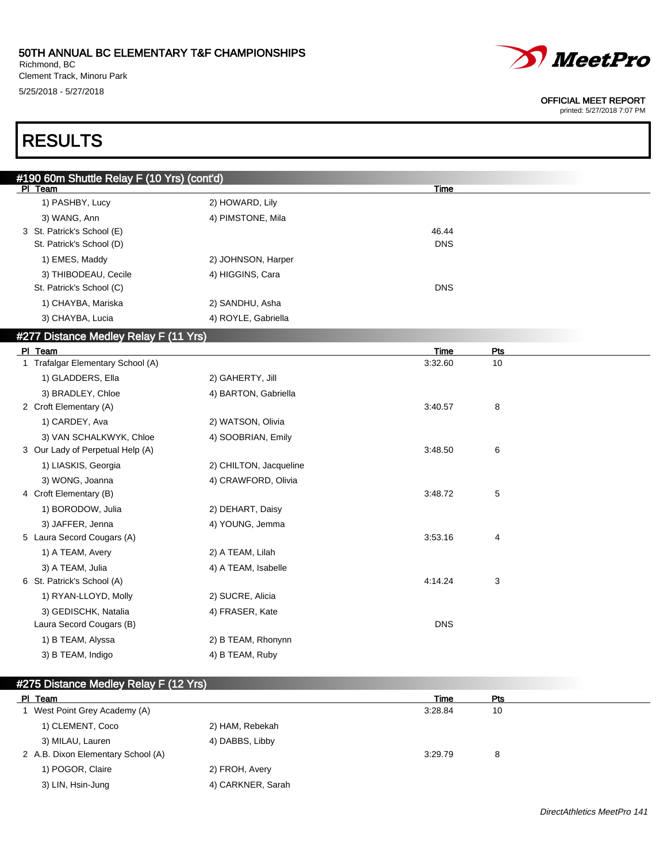Richmond, BC Clement Track, Minoru Park 5/25/2018 - 5/27/2018



#### OFFICIAL MEET REPORT

printed: 5/27/2018 7:07 PM

# RESULTS

| #190 60m Shuttle Relay F (10 Yrs) (cont'd) |                        |            |     |  |
|--------------------------------------------|------------------------|------------|-----|--|
| PI Team                                    |                        | Time       |     |  |
| 1) PASHBY, Lucy                            | 2) HOWARD, Lily        |            |     |  |
| 3) WANG, Ann                               | 4) PIMSTONE, Mila      |            |     |  |
| 3 St. Patrick's School (E)                 |                        | 46.44      |     |  |
| St. Patrick's School (D)                   |                        | <b>DNS</b> |     |  |
| 1) EMES, Maddy                             | 2) JOHNSON, Harper     |            |     |  |
| 3) THIBODEAU, Cecile                       | 4) HIGGINS, Cara       |            |     |  |
| St. Patrick's School (C)                   |                        | <b>DNS</b> |     |  |
| 1) CHAYBA, Mariska                         | 2) SANDHU, Asha        |            |     |  |
| 3) CHAYBA, Lucia                           | 4) ROYLE, Gabriella    |            |     |  |
| #277 Distance Medley Relay F (11 Yrs)      |                        |            |     |  |
| PI Team                                    |                        | Time       | Pts |  |
| 1 Trafalgar Elementary School (A)          |                        | 3:32.60    | 10  |  |
| 1) GLADDERS, Ella                          | 2) GAHERTY, Jill       |            |     |  |
| 3) BRADLEY, Chloe                          | 4) BARTON, Gabriella   |            |     |  |
| 2 Croft Elementary (A)                     |                        | 3:40.57    | 8   |  |
| 1) CARDEY, Ava                             | 2) WATSON, Olivia      |            |     |  |
| 3) VAN SCHALKWYK, Chloe                    | 4) SOOBRIAN, Emily     |            |     |  |
| 3 Our Lady of Perpetual Help (A)           |                        | 3:48.50    | 6   |  |
| 1) LIASKIS, Georgia                        | 2) CHILTON, Jacqueline |            |     |  |
| 3) WONG, Joanna                            | 4) CRAWFORD, Olivia    |            |     |  |
| 4 Croft Elementary (B)                     |                        | 3:48.72    | 5   |  |
| 1) BORODOW, Julia                          | 2) DEHART, Daisy       |            |     |  |
| 3) JAFFER, Jenna                           | 4) YOUNG, Jemma        |            |     |  |
| 5 Laura Secord Cougars (A)                 |                        | 3:53.16    | 4   |  |
| 1) A TEAM, Avery                           | 2) A TEAM, Lilah       |            |     |  |
| 3) A TEAM, Julia                           | 4) A TEAM, Isabelle    |            |     |  |
| 6 St. Patrick's School (A)                 |                        | 4:14.24    | 3   |  |
| 1) RYAN-LLOYD, Molly                       | 2) SUCRE, Alicia       |            |     |  |
| 3) GEDISCHK, Natalia                       | 4) FRASER, Kate        |            |     |  |
| Laura Secord Cougars (B)                   |                        | <b>DNS</b> |     |  |
| 1) B TEAM, Alyssa                          | 2) B TEAM, Rhonynn     |            |     |  |
| 3) B TEAM, Indigo                          | 4) B TEAM, Ruby        |            |     |  |
|                                            |                        |            |     |  |

### #275 Distance Medley Relay F (12 Yrs)

| PI Team                            |                   | Time    | Pts |  |
|------------------------------------|-------------------|---------|-----|--|
| West Point Grey Academy (A)        |                   | 3:28.84 | 10  |  |
| 1) CLEMENT, Coco                   | 2) HAM, Rebekah   |         |     |  |
| 3) MILAU, Lauren                   | 4) DABBS, Libby   |         |     |  |
| 2 A.B. Dixon Elementary School (A) |                   | 3:29.79 | 8   |  |
| 1) POGOR, Claire                   | 2) FROH, Avery    |         |     |  |
| 3) LIN, Hsin-Jung                  | 4) CARKNER, Sarah |         |     |  |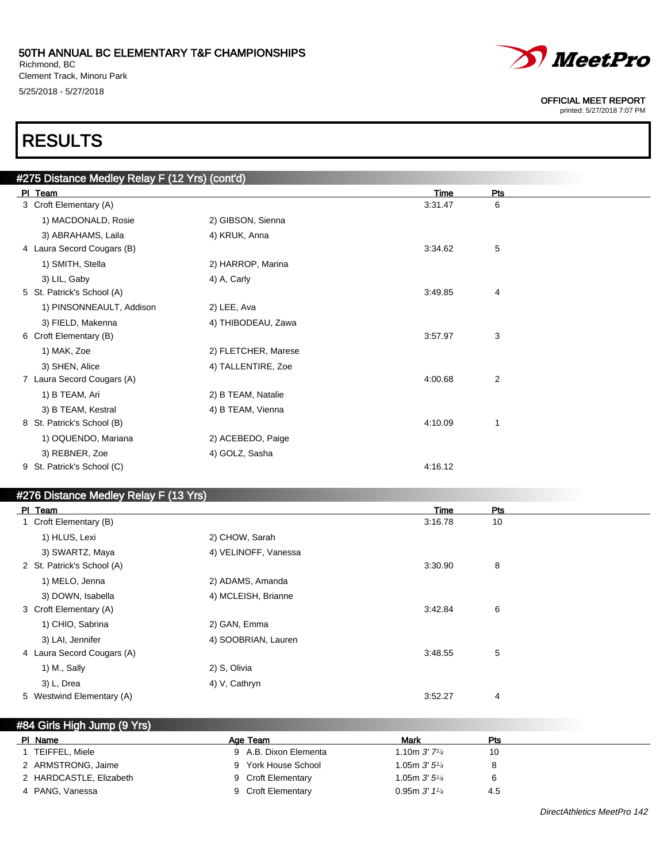Richmond, BC Clement Track, Minoru Park 5/25/2018 - 5/27/2018



OFFICIAL MEET REPORT

printed: 5/27/2018 7:07 PM

# RESULTS

| #275 Distance Medley Relay F (12 Yrs) (cont'd) |                     |         |                |
|------------------------------------------------|---------------------|---------|----------------|
| PI Team                                        |                     | Time    | Pts            |
| 3 Croft Elementary (A)                         |                     | 3.31.47 | 6              |
| 1) MACDONALD, Rosie                            | 2) GIBSON, Sienna   |         |                |
| 3) ABRAHAMS, Laila                             | 4) KRUK, Anna       |         |                |
| 4 Laura Secord Cougars (B)                     |                     | 3:34.62 | 5              |
| 1) SMITH, Stella                               | 2) HARROP, Marina   |         |                |
| 3) LIL, Gaby                                   | 4) A, Carly         |         |                |
| 5 St. Patrick's School (A)                     |                     | 3:49.85 | 4              |
| 1) PINSONNEAULT, Addison                       | 2) LEE, Ava         |         |                |
| 3) FIELD, Makenna                              | 4) THIBODEAU, Zawa  |         |                |
| 6 Croft Elementary (B)                         |                     | 3:57.97 | 3              |
| 1) MAK, Zoe                                    | 2) FLETCHER, Marese |         |                |
| 3) SHEN, Alice                                 | 4) TALLENTIRE, Zoe  |         |                |
| 7 Laura Secord Cougars (A)                     |                     | 4:00.68 | $\overline{2}$ |
| 1) B TEAM, Ari                                 | 2) B TEAM, Natalie  |         |                |
| 3) B TEAM, Kestral                             | 4) B TEAM, Vienna   |         |                |
| 8 St. Patrick's School (B)                     |                     | 4:10.09 | 1              |
| 1) OQUENDO, Mariana                            | 2) ACEBEDO, Paige   |         |                |
| 3) REBNER, Zoe                                 | 4) GOLZ, Sasha      |         |                |
| 9 St. Patrick's School (C)                     |                     | 4:16.12 |                |
|                                                |                     |         |                |

### #276 Distance Medley Relay F (13 Yrs)

| PI Team                    |                      | <b>Time</b> | Pts |  |
|----------------------------|----------------------|-------------|-----|--|
| 1 Croft Elementary (B)     |                      | 3:16.78     | 10  |  |
| 1) HLUS, Lexi              | 2) CHOW, Sarah       |             |     |  |
| 3) SWARTZ, Maya            | 4) VELINOFF, Vanessa |             |     |  |
| 2 St. Patrick's School (A) |                      | 3:30.90     | 8   |  |
| 1) MELO, Jenna             | 2) ADAMS, Amanda     |             |     |  |
| 3) DOWN, Isabella          | 4) MCLEISH, Brianne  |             |     |  |
| 3 Croft Elementary (A)     |                      | 3:42.84     | 6   |  |
| 1) CHIO, Sabrina           | 2) GAN, Emma         |             |     |  |
| 3) LAI, Jennifer           | 4) SOOBRIAN, Lauren  |             |     |  |
| 4 Laura Secord Cougars (A) |                      | 3:48.55     | 5   |  |
| 1) M., Sally               | 2) S, Olivia         |             |     |  |
| 3) L, Drea                 | 4) V, Cathryn        |             |     |  |
| 5 Westwind Elementary (A)  |                      | 3:52.27     | 4   |  |

### #84 Girls High Jump (9 Yrs)

| Name<br>PI.             | Age Team              | Mark                        | Pts |  |
|-------------------------|-----------------------|-----------------------------|-----|--|
| TEIFFEL, Miele          | 9 A.B. Dixon Elementa | 1.10m $3'$ 7 <sup>1/4</sup> | 10  |  |
| 2 ARMSTRONG, Jaime      | York House School     | 1.05m $3'5''$               |     |  |
| 2 HARDCASTLE, Elizabeth | 9 Croft Elementary    | 1.05m $3'5\frac{1}{4}$      | 6   |  |
| 4 PANG, Vanessa         | 9 Croft Elementary    | 0.95m3'1'4                  | 4.5 |  |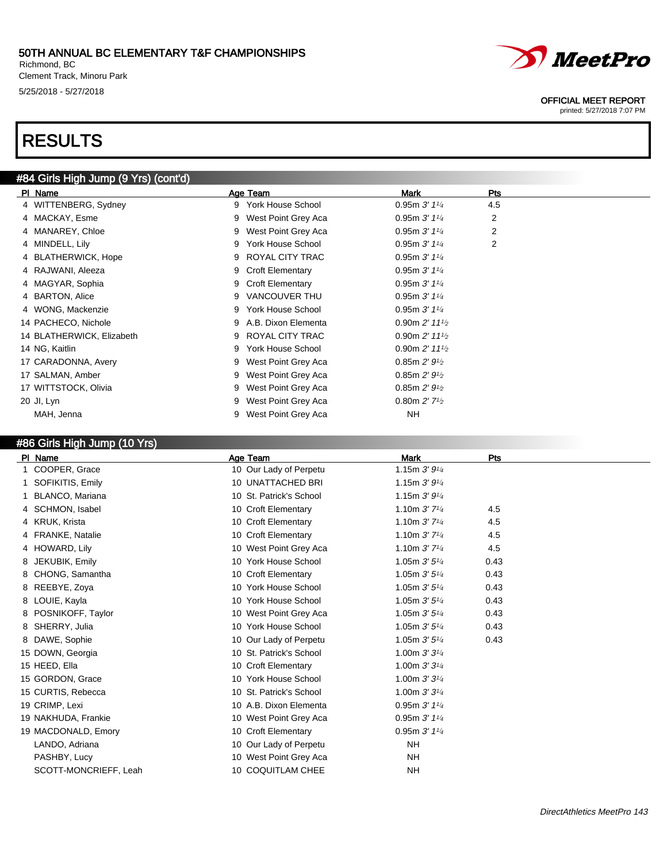Richmond, BC Clement Track, Minoru Park 5/25/2018 - 5/27/2018

# RESULTS

# #84 Girls High Jump (9 Yrs) (cont'd)

| PI Name                   |   | Age Team            | Mark                                     | Pts |
|---------------------------|---|---------------------|------------------------------------------|-----|
| 4 WITTENBERG, Sydney      |   | 9 York House School | 0.95m $3'$ 1 <sup>1/4</sup>              | 4.5 |
| 4 MACKAY, Esme            | 9 | West Point Grey Aca | 0.95m $3'$ 1 <sup>1/4</sup>              | 2   |
| 4 MANAREY, Chloe          | 9 | West Point Grey Aca | 0.95m $3'$ 1 <sup>1/4</sup>              | 2   |
| 4 MINDELL, Lily           | 9 | York House School   | 0.95m $3'$ 1 <sup>1/4</sup>              | 2   |
| 4 BLATHERWICK, Hope       |   | ROYAL CITY TRAC     | 0.95m $3'$ 1 <sup>1/4</sup>              |     |
| 4 RAJWANI, Aleeza         |   | 9 Croft Elementary  | 0.95m $3'$ 1 <sup>1/4</sup>              |     |
| 4 MAGYAR, Sophia          |   | 9 Croft Elementary  | 0.95m $3'$ 1 <sup>1/4</sup>              |     |
| 4 BARTON, Alice           | 9 | VANCOUVER THU       | 0.95m $3'$ 1 <sup>1/4</sup>              |     |
| 4 WONG, Mackenzie         | 9 | York House School   | 0.95m $3'$ 1 <sup>1/4</sup>              |     |
| 14 PACHECO, Nichole       |   | A.B. Dixon Elementa | 0.90m $2'$ 11 $\frac{1}{2}$              |     |
| 14 BLATHERWICK, Elizabeth | 9 | ROYAL CITY TRAC     | 0.90m $2'$ 11 $\frac{1}{2}$              |     |
| 14 NG, Kaitlin            | 9 | York House School   | 0.90m $2'$ 11 $\frac{1}{2}$              |     |
| 17 CARADONNA, Avery       |   | West Point Grey Aca | 0.85m 2' 9' <sub>2</sub>                 |     |
| 17 SALMAN, Amber          |   | West Point Grey Aca | 0.85m 2' 9' <sub>2</sub>                 |     |
| 17 WITTSTOCK, Olivia      |   | West Point Grey Aca | 0.85m 2' 9' <sub>2</sub>                 |     |
| 20 JI, Lyn                |   | West Point Grey Aca | 0.80m $2'$ 7 <sup>1</sup> / <sub>2</sub> |     |
| MAH, Jenna                |   | West Point Grey Aca | NH                                       |     |

### #86 Girls High Jump (10 Yrs)

| PI Name               | Age Team                | <b>Mark</b>                 | Pts  |
|-----------------------|-------------------------|-----------------------------|------|
| COOPER, Grace<br>1.   | 10 Our Lady of Perpetu  | 1.15m 3' 91/4               |      |
| 1 SOFIKITIS, Emily    | 10 UNATTACHED BRI       | 1.15m $3'9'4$               |      |
| BLANCO, Mariana       | 10 St. Patrick's School | 1.15m $3'9'4$               |      |
| 4 SCHMON, Isabel      | 10 Croft Elementary     | 1.10m $3'$ 7 <sup>1/4</sup> | 4.5  |
| 4 KRUK, Krista        | 10 Croft Elementary     | 1.10m $3'$ $7\frac{1}{4}$   | 4.5  |
| 4 FRANKE, Natalie     | 10 Croft Elementary     | 1.10m $3'$ $7\frac{1}{4}$   | 4.5  |
| 4 HOWARD, Lily        | 10 West Point Grey Aca  | 1.10m $3'$ 7 <sup>1/4</sup> | 4.5  |
| 8 JEKUBIK, Emily      | 10 York House School    | 1.05m $3'5'4$               | 0.43 |
| 8 CHONG, Samantha     | 10 Croft Elementary     | 1.05m $3'5'4$               | 0.43 |
| 8 REEBYE, Zoya        | 10 York House School    | 1.05m $3'5'4$               | 0.43 |
| 8 LOUIE, Kayla        | 10 York House School    | 1.05m $3'5''$               | 0.43 |
| 8 POSNIKOFF, Taylor   | 10 West Point Grey Aca  | 1.05m $3'5''$               | 0.43 |
| 8 SHERRY, Julia       | 10 York House School    | 1.05m $3'5'4$               | 0.43 |
| 8 DAWE, Sophie        | 10 Our Lady of Perpetu  | 1.05m $3'5'4$               | 0.43 |
| 15 DOWN, Georgia      | 10 St. Patrick's School | 1.00m $3'3'4$               |      |
| 15 HEED, Ella         | 10 Croft Elementary     | 1.00m $3'3'4$               |      |
| 15 GORDON, Grace      | 10 York House School    | 1.00m $3'3'4$               |      |
| 15 CURTIS, Rebecca    | 10 St. Patrick's School | 1.00m $3'3'4$               |      |
| 19 CRIMP, Lexi        | 10 A.B. Dixon Elementa  | 0.95m $3'$ 1 <sup>1/4</sup> |      |
| 19 NAKHUDA, Frankie   | 10 West Point Grey Aca  | 0.95m $3'$ 1 <sup>1/4</sup> |      |
| 19 MACDONALD, Emory   | 10 Croft Elementary     | 0.95m3'1'4                  |      |
| LANDO, Adriana        | 10 Our Lady of Perpetu  | <b>NH</b>                   |      |
| PASHBY, Lucy          | 10 West Point Grey Aca  | <b>NH</b>                   |      |
| SCOTT-MONCRIEFF, Leah | 10 COQUITLAM CHEE       | NH                          |      |

# *MeetPro*

#### OFFICIAL MEET REPORT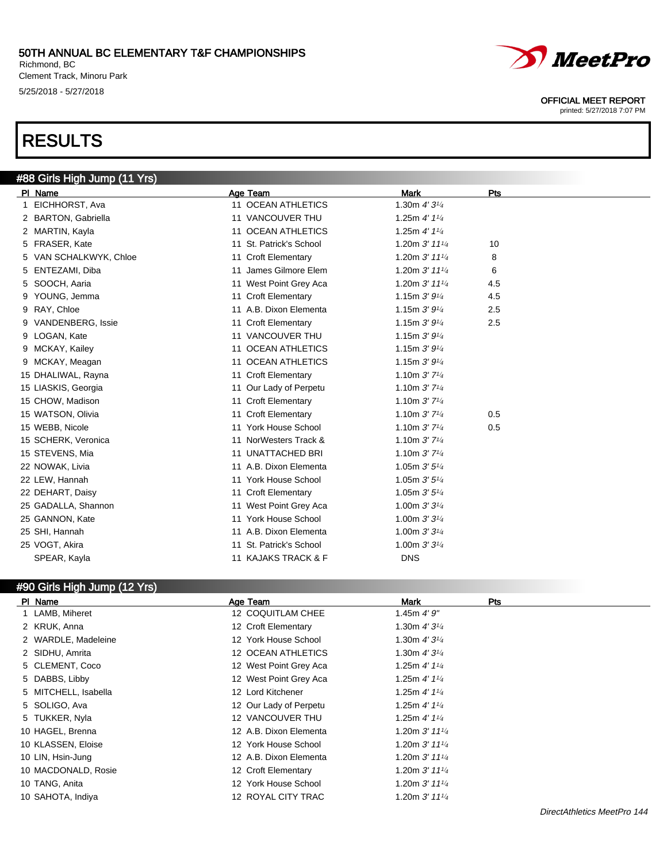Richmond, BC Clement Track, Minoru Park 5/25/2018 - 5/27/2018

# RESULTS



#### OFFICIAL MEET REPORT

printed: 5/27/2018 7:07 PM

| #88 Girls High Jump (11 Yrs) |                               |                             |     |  |
|------------------------------|-------------------------------|-----------------------------|-----|--|
| PI Name                      | Age Team                      | <b>Mark</b>                 | Pts |  |
| EICHHORST, Ava<br>1.         | 11 OCEAN ATHLETICS            | 1.30m $4'3^{1/4}$           |     |  |
| 2 BARTON, Gabriella          | 11 VANCOUVER THU              | 1.25m $4'$ 1 $\frac{1}{4}$  |     |  |
| 2 MARTIN, Kayla              | 11 OCEAN ATHLETICS            | 1.25m $4'$ 1 $\frac{1}{4}$  |     |  |
| 5 FRASER, Kate               | St. Patrick's School<br>11    | 1.20m $3'$ 11 $\frac{1}{4}$ | 10  |  |
| VAN SCHALKWYK, Chloe<br>5.   | 11 Croft Elementary           | 1.20m 3' 111/4              | 8   |  |
| 5 ENTEZAMI, Diba             | James Gilmore Elem<br>11      | 1.20m $3'$ 11 $\frac{1}{4}$ | 6   |  |
| 5 SOOCH, Aaria               | 11 West Point Grey Aca        | 1.20m $3'$ 11 $\frac{1}{4}$ | 4.5 |  |
| 9 YOUNG, Jemma               | 11 Croft Elementary           | 1.15m $3'9'4$               | 4.5 |  |
| 9 RAY, Chloe                 | 11 A.B. Dixon Elementa        | 1.15m $3'9'4$               | 2.5 |  |
| 9 VANDENBERG, Issie          | 11 Croft Elementary           | 1.15m $3'9'4$               | 2.5 |  |
| 9 LOGAN, Kate                | 11 VANCOUVER THU              | 1.15m $3'9'4$               |     |  |
| 9 MCKAY, Kailey              | <b>OCEAN ATHLETICS</b><br>11  | 1.15m $3'9'4$               |     |  |
| 9 MCKAY, Meagan              | 11 OCEAN ATHLETICS            | 1.15m $3'9'4$               |     |  |
| 15 DHALIWAL, Rayna           | 11 Croft Elementary           | 1.10m $3'$ 7 <sup>1/4</sup> |     |  |
| 15 LIASKIS, Georgia          | 11 Our Lady of Perpetu        | 1.10m $3'$ 7 <sup>1/4</sup> |     |  |
| 15 CHOW, Madison             | <b>Croft Elementary</b><br>11 | 1.10m $3'$ 7 <sup>1/4</sup> |     |  |
| 15 WATSON, Olivia            | 11 Croft Elementary           | 1.10m $3'$ 7 <sup>1/4</sup> | 0.5 |  |
| 15 WEBB, Nicole              | 11 York House School          | 1.10m $3'$ 7 <sup>1/4</sup> | 0.5 |  |
| 15 SCHERK, Veronica          | 11 NorWesters Track &         | 1.10m $3'$ 7 <sup>1/4</sup> |     |  |
| 15 STEVENS, Mia              | <b>UNATTACHED BRI</b><br>11   | 1.10m $3'$ 7 <sup>1/4</sup> |     |  |
| 22 NOWAK, Livia              | 11 A.B. Dixon Elementa        | 1.05m $3'5''$               |     |  |
| 22 LEW, Hannah               | 11 York House School          | 1.05m $3'5\frac{1}{4}$      |     |  |
| 22 DEHART, Daisy             | 11 Croft Elementary           | 1.05m $3'5\frac{1}{4}$      |     |  |
| 25 GADALLA, Shannon          | West Point Grey Aca<br>11     | 1.00m $3'3'4$               |     |  |
| 25 GANNON, Kate              | 11 York House School          | 1.00m $3'3'4$               |     |  |
| 25 SHI, Hannah               | 11 A.B. Dixon Elementa        | 1.00m $3'3'4$               |     |  |
| 25 VOGT, Akira               | 11 St. Patrick's School       | 1.00m $3'3'4$               |     |  |
| SPEAR, Kayla                 | 11 KAJAKS TRACK & F           | <b>DNS</b>                  |     |  |

### #90 Girls High Jump (12 Yrs)

| PI Name              | Age Team               | Mark<br>Pts                 |
|----------------------|------------------------|-----------------------------|
| 1 LAMB, Miheret      | 12 COQUITLAM CHEE      | 1.45m $4'9''$               |
| 2 KRUK, Anna         | 12 Croft Elementary    | 1.30m $4'3^{1/4}$           |
| 2 WARDLE, Madeleine  | 12 York House School   | 1.30m $4'3^{1/4}$           |
| 2 SIDHU, Amrita      | 12 OCEAN ATHLETICS     | 1.30m $4'3^{1/4}$           |
| 5 CLEMENT, Coco      | 12 West Point Grey Aca | 1.25m $4'$ 1 $\frac{1}{4}$  |
| 5 DABBS, Libby       | 12 West Point Grey Aca | 1.25m $4'$ 1 $\frac{1}{4}$  |
| 5 MITCHELL, Isabella | 12 Lord Kitchener      | 1.25m $4'$ 1 $\frac{1}{4}$  |
| 5 SOLIGO, Ava        | 12 Our Lady of Perpetu | 1.25m $4'$ 1 $\frac{1}{4}$  |
| 5 TUKKER, Nyla       | 12 VANCOUVER THU       | 1.25m $4'$ 1 $\frac{1}{4}$  |
| 10 HAGEL, Brenna     | 12 A.B. Dixon Elementa | 1.20m $3'$ 11 $\frac{1}{4}$ |
| 10 KLASSEN, Eloise   | 12 York House School   | 1.20m $3'$ 11 $\frac{1}{4}$ |
| 10 LIN, Hsin-Jung    | 12 A.B. Dixon Elementa | 1.20m $3'$ 11 $\frac{1}{4}$ |
| 10 MACDONALD, Rosie  | 12 Croft Elementary    | 1.20m $3'$ 11 $\frac{1}{4}$ |
| 10 TANG, Anita       | 12 York House School   | 1.20m $3'$ 11 $\frac{1}{4}$ |
| 10 SAHOTA, Indiya    | 12 ROYAL CITY TRAC     | 1.20m $3'$ 11 $\frac{1}{4}$ |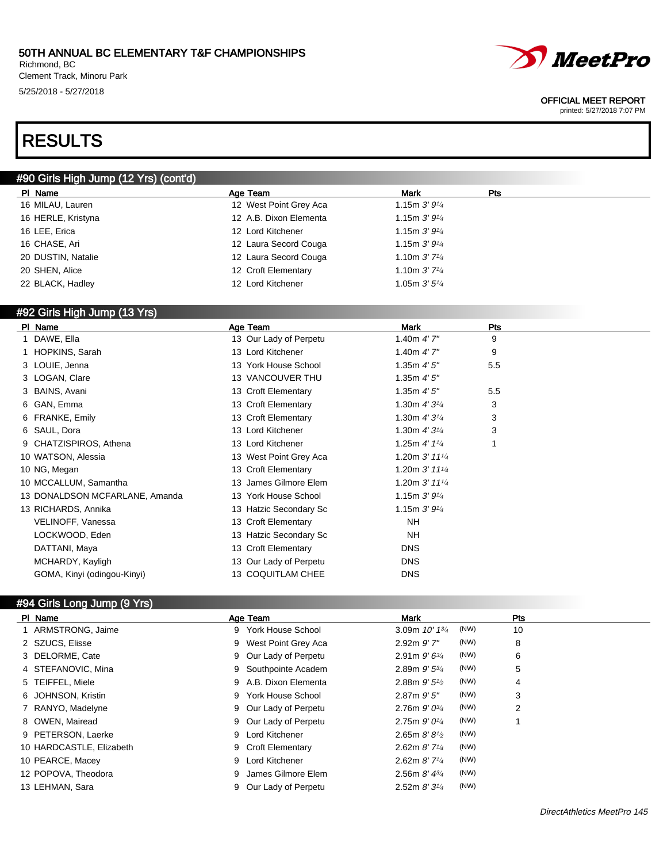Richmond, BC Clement Track, Minoru Park 5/25/2018 - 5/27/2018



#### OFFICIAL MEET REPORT

printed: 5/27/2018 7:07 PM

## RESULTS

## #90 Girls High Jump (12 Yrs) (cont'd)

| PI Name            | Age Team               | <b>Mark</b>               | Pts |
|--------------------|------------------------|---------------------------|-----|
| 16 MILAU, Lauren   | 12 West Point Grey Aca | 1.15m $3'9'4$             |     |
| 16 HERLE, Kristyna | 12 A.B. Dixon Elementa | 1.15m $3'9'4$             |     |
| 16 LEE, Erica      | 12 Lord Kitchener      | 1.15m $3'9'4$             |     |
| 16 CHASE, Ari      | 12 Laura Secord Couga  | 1.15m $3'9'4$             |     |
| 20 DUSTIN, Natalie | 12 Laura Secord Couga  | 1.10m $3'$ $7\frac{1}{4}$ |     |
| 20 SHEN, Alice     | 12 Croft Elementary    | 1.10m $3'$ $7\frac{1}{4}$ |     |
| 22 BLACK, Hadley   | 12 Lord Kitchener      | 1.05m $3'5''$             |     |
|                    |                        |                           |     |

## #92 Girls High Jump (13 Yrs)

| PI Name                        | Age Team               | <b>Mark</b>                 | Pts |
|--------------------------------|------------------------|-----------------------------|-----|
| DAWE, Ella                     | 13 Our Lady of Perpetu | 1.40m $4'$ 7"               | 9   |
| 1 HOPKINS, Sarah               | 13 Lord Kitchener      | 1.40m $4'$ 7"               | 9   |
| 3 LOUIE, Jenna                 | 13 York House School   | 1.35 $m$ 4' 5"              | 5.5 |
| 3 LOGAN, Clare                 | 13 VANCOUVER THU       | 1.35 $m$ 4' 5"              |     |
| 3 BAINS, Avani                 | 13 Croft Elementary    | 1.35 $m$ 4' 5"              | 5.5 |
| 6 GAN, Emma                    | 13 Croft Elementary    | 1.30m $4'3^{1/4}$           | 3   |
| 6 FRANKE, Emily                | 13 Croft Elementary    | 1.30m $4'3\frac{1}{4}$      | 3   |
| 6 SAUL, Dora                   | 13 Lord Kitchener      | 1.30m $4'3\frac{1}{4}$      | 3   |
| 9 CHATZISPIROS, Athena         | 13 Lord Kitchener      | 1.25m $4'$ 1 $\frac{1}{4}$  | 1   |
| 10 WATSON, Alessia             | 13 West Point Grey Aca | 1.20m $3'$ 11 $\frac{1}{4}$ |     |
| 10 NG, Megan                   | 13 Croft Elementary    | 1.20m $3'$ 11 $\frac{1}{4}$ |     |
| 10 MCCALLUM, Samantha          | 13 James Gilmore Elem  | 1.20m $3'$ 11 $\frac{1}{4}$ |     |
| 13 DONALDSON MCFARLANE, Amanda | 13 York House School   | 1.15m $3'9'4$               |     |
| 13 RICHARDS, Annika            | 13 Hatzic Secondary Sc | 1.15m $3'9'4$               |     |
| VELINOFF, Vanessa              | 13 Croft Elementary    | <b>NH</b>                   |     |
| LOCKWOOD, Eden                 | 13 Hatzic Secondary Sc | NΗ                          |     |
| DATTANI, Maya                  | 13 Croft Elementary    | <b>DNS</b>                  |     |
| MCHARDY, Kayligh               | 13 Our Lady of Perpetu | <b>DNS</b>                  |     |
| GOMA, Kinyi (odingou-Kinyi)    | 13 COQUITLAM CHEE      | <b>DNS</b>                  |     |
|                                |                        |                             |     |

## #94 Girls Long Jump (9 Yrs)

| PI Name                  | Age Team              | Mark                                | Pts |
|--------------------------|-----------------------|-------------------------------------|-----|
| 1 ARMSTRONG, Jaime       | 9 York House School   | (NW)<br>3.09m $10'$ $1\frac{3}{4}$  | 10  |
| 2 SZUCS, Elisse          | 9 West Point Grey Aca | (NW)<br>$2.92m$ $9'$ $7"$           | 8   |
| 3 DELORME, Cate          | 9 Our Lady of Perpetu | (NW)<br>2.91m $9'6^{3/4}$           | 6   |
| 4 STEFANOVIC, Mina       | 9 Southpointe Academ  | (NW)<br>2.89m $9'5^{3/4}$           | 5   |
| 5 TEIFFEL, Miele         | 9 A.B. Dixon Elementa | (NW)<br>2.88m $9'5\frac{1}{2}$      | 4   |
| 6 JOHNSON, Kristin       | 9 York House School   | (NW)<br>$2.87m$ $9'5''$             | 3   |
| 7 RANYO, Madelyne        | 9 Our Lady of Perpetu | (NW)<br>2.76m $9'0^{3/4}$           | 2   |
| 8 OWEN, Mairead          | 9 Our Lady of Perpetu | (NW)<br>2.75m $9'0^{1/4}$           |     |
| 9 PETERSON, Laerke       | 9 Lord Kitchener      | (NW)<br>2.65m $8'8'$                |     |
| 10 HARDCASTLE, Elizabeth | 9 Croft Elementary    | (NW)<br>2.62m $8'$ 7 <sup>1/4</sup> |     |
| 10 PEARCE, Macey         | 9 Lord Kitchener      | (NW)<br>2.62m $8'$ 7 <sup>1/4</sup> |     |
| 12 POPOVA, Theodora      | 9 James Gilmore Elem  | (NW)<br>2.56m $8'$ 4 $\frac{3}{4}$  |     |
| 13 LEHMAN, Sara          | 9 Our Lady of Perpetu | (NW)<br>2.52m $8'3\frac{1}{4}$      |     |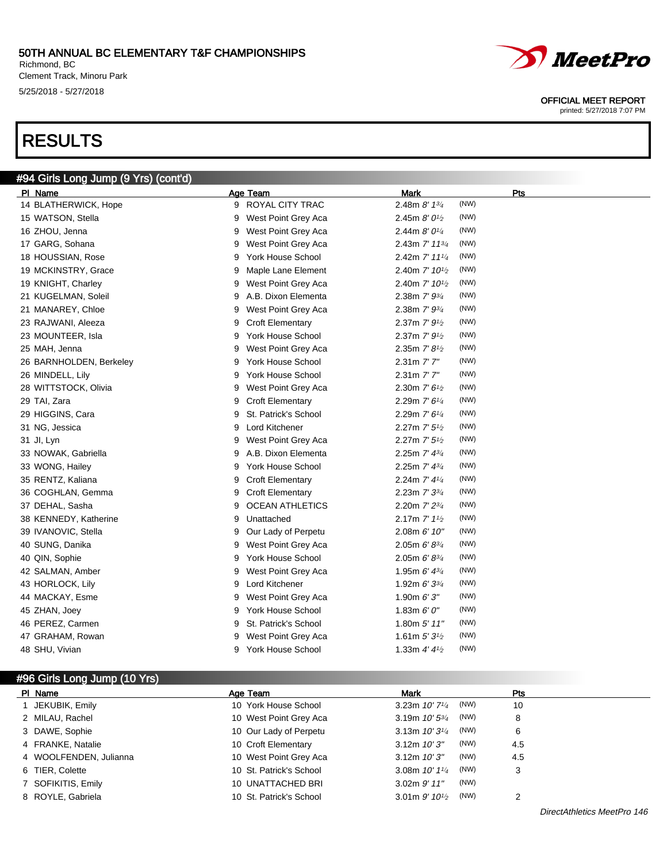Richmond, BC Clement Track, Minoru Park 5/25/2018 - 5/27/2018

# RESULTS



#### OFFICIAL MEET REPORT

printed: 5/27/2018 7:07 PM

| #94 Girls Long Jump (9 Yrs) (cont'd) |                               |                                                  |
|--------------------------------------|-------------------------------|--------------------------------------------------|
| PI Name                              | Age Team                      | Mark<br>Pts                                      |
| 14 BLATHERWICK, Hope                 | 9 ROYAL CITY TRAC             | (NW)<br>2.48m $8'$ 1 $\frac{3}{4}$               |
| 15 WATSON, Stella                    | West Point Grey Aca<br>9      | (NW)<br>2.45m $8'0\frac{1}{2}$                   |
| 16 ZHOU, Jenna                       | West Point Grey Aca<br>9      | (NW)<br>2.44m $8'0\frac{1}{4}$                   |
| 17 GARG, Sohana                      | West Point Grey Aca<br>9      | (NW)<br>2.43m $7'$ 11 $\frac{3}{4}$              |
| 18 HOUSSIAN, Rose                    | York House School<br>9        | (NW)<br>2.42m 7' 111/4                           |
| 19 MCKINSTRY, Grace                  | Maple Lane Element<br>9       | (NW)<br>2.40m 7' 10 <sup>1</sup> / <sub>2</sub>  |
| 19 KNIGHT, Charley                   | West Point Grey Aca<br>9      | (NW)<br>2.40m $7'$ 10 <sup>1/2</sup>             |
| 21 KUGELMAN, Soleil                  | A.B. Dixon Elementa<br>9      | (NW)<br>2.38m $7'$ $9\frac{3}{4}$                |
| 21 MANAREY, Chloe                    | West Point Grey Aca<br>9      | (NW)<br>2.38m $7'$ $9\frac{3}{4}$                |
| 23 RAJWANI, Aleeza                   | <b>Croft Elementary</b><br>9  | (NW)<br>2.37m $7'$ $9\frac{1}{2}$                |
| 23 MOUNTEER, Isla                    | York House School<br>9        | (NW)<br>2.37m $7'$ $9_{1/2}$                     |
| 25 MAH, Jenna                        | West Point Grey Aca<br>9      | (NW)<br>2.35m $7' 8\frac{1}{2}$                  |
| 26 BARNHOLDEN, Berkeley              | York House School<br>9        | (NW)<br>$2.31m$ $7'7''$                          |
| 26 MINDELL, Lily                     | York House School<br>9        | (NW)<br>2.31m 7'7"                               |
| 28 WITTSTOCK, Olivia                 | West Point Grey Aca<br>9      | (NW)<br>2.30m $7'$ 6 <sup>1</sup> / <sub>2</sub> |
| 29 TAI, Zara                         | <b>Croft Elementary</b><br>9  | (NW)<br>2.29m 7' 6 <sup>1/4</sup>                |
| 29 HIGGINS, Cara                     | St. Patrick's School<br>9     | (NW)<br>2.29m $7'$ 6 <sup>1/4</sup>              |
| 31 NG, Jessica                       | Lord Kitchener<br>9           | (NW)<br>2.27m $7'$ 5 <sup>1</sup> / <sub>2</sub> |
| 31 Jl, Lyn                           | West Point Grey Aca<br>9      | (NW)<br>2.27m $7'$ 5 <sup>1</sup> / <sub>2</sub> |
| 33 NOWAK, Gabriella                  | A.B. Dixon Elementa<br>9      | (NW)<br>2.25m $7'$ 4 $\frac{3}{4}$               |
| 33 WONG, Hailey                      | York House School<br>9        | (NW)<br>2.25m $7'$ 4 $\frac{3}{4}$               |
| 35 RENTZ, Kaliana                    | <b>Croft Elementary</b><br>9  | (NW)<br>2.24m $7'$ 4 $\frac{1}{4}$               |
| 36 COGHLAN, Gemma                    | <b>Croft Elementary</b><br>9  | (NW)<br>2.23m $7'$ 3 $\frac{3}{4}$               |
| 37 DEHAL, Sasha                      | <b>OCEAN ATHLETICS</b><br>9   | (NW)<br>2.20m 7' 23/4                            |
| 38 KENNEDY, Katherine                | 9<br>Unattached               | (NW)<br>2.17m $7'$ 1 <sup>1</sup> / <sub>2</sub> |
| 39 IVANOVIC, Stella                  | Our Lady of Perpetu<br>9      | (NW)<br>2.08m 6' 10"                             |
| 40 SUNG, Danika                      | West Point Grey Aca<br>9      | (NW)<br>$2.05m 6' 8^{3/4}$                       |
| 40 QIN, Sophie                       | <b>York House School</b><br>9 | (NW)<br>2.05m $6' 8^{3/4}$                       |
| 42 SALMAN, Amber                     | West Point Grey Aca<br>9      | (NW)<br>1.95m $6'$ 4 $\frac{3}{4}$               |
| 43 HORLOCK, Lily                     | Lord Kitchener<br>9           | (NW)<br>1.92m $6'3^{3/4}$                        |
| 44 MACKAY, Esme                      | West Point Grey Aca<br>9      | (NW)<br>1.90m $6'3''$                            |
| 45 ZHAN, Joey                        | York House School<br>9        | (NW)<br>1.83m $6'0''$                            |
| 46 PEREZ, Carmen                     | St. Patrick's School<br>9     | (NW)<br>1.80m $5'$ 11"                           |
| 47 GRAHAM, Rowan                     | West Point Grey Aca<br>9      | (NW)<br>1.61m $5'3'$                             |
| 48 SHU, Vivian                       | 9<br>York House School        | (NW)<br>1.33m $4'$ $4\frac{1}{2}$                |

## #96 Girls Long Jump (10 Yrs)

| PI Name                | Age Team                | Mark                                  | Pts |
|------------------------|-------------------------|---------------------------------------|-----|
| JEKUBIK, Emily         | 10 York House School    | (NW)<br>3.23m $10'$ 7 $\frac{1}{4}$   | 10  |
| 2 MILAU, Rachel        | 10 West Point Grey Aca  | (NW)<br>3.19m $10'5^{3/4}$            | 8   |
| 3 DAWE, Sophie         | 10 Our Lady of Perpetu  | (NW)<br>3.13m $10'3^{1/4}$            | 6   |
| 4 FRANKE, Natalie      | 10 Croft Elementary     | (NW)<br>$3.12m$ $10'3''$              | 4.5 |
| 4 WOOLFENDEN, Julianna | 10 West Point Grey Aca  | (NW)<br>$3.12m$ $10'3''$              | 4.5 |
| 6 TIER, Colette        | 10 St. Patrick's School | (NW)<br>3.08m $10'$ $1\frac{1}{4}$    | 3   |
| 7 SOFIKITIS, Emily     | 10 UNATTACHED BRI       | (NW)<br>$3.02m$ $9'$ $11''$           |     |
| 8 ROYLE, Gabriela      | 10 St. Patrick's School | (NW)<br>3.01 m $9'$ 10 <sup>1/2</sup> | ◠   |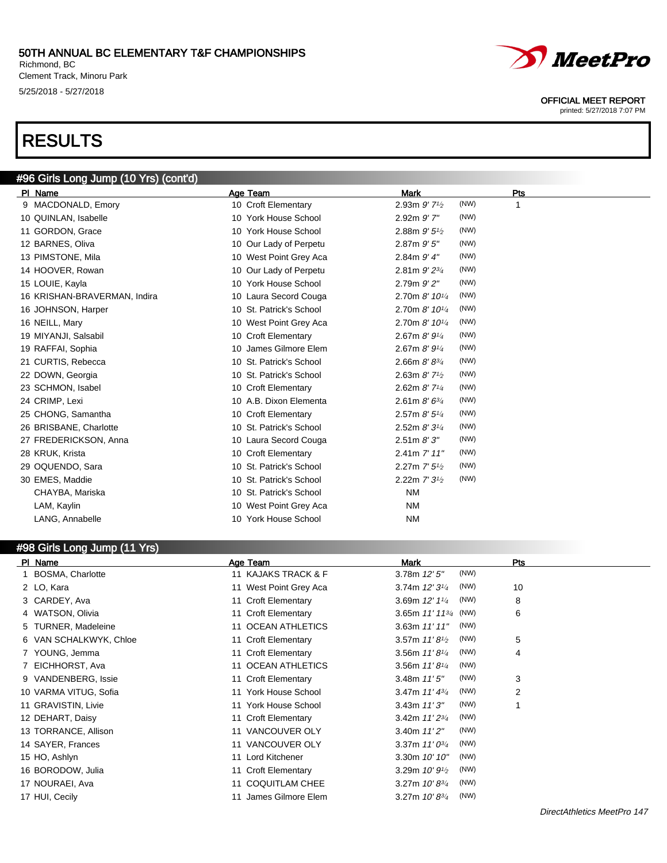Richmond, BC Clement Track, Minoru Park 5/25/2018 - 5/27/2018

## RESULTS



| 9 MACDONALD, Emory           | 10 Croft Elementary     | 2.93m $9'$ 7 <sup>1</sup> / <sub>2</sub> | (NW)<br>1 |
|------------------------------|-------------------------|------------------------------------------|-----------|
| 10 QUINLAN, Isabelle         | 10 York House School    | $2.92m$ $9'$ $7"$                        | (NW)      |
| 11 GORDON, Grace             | 10 York House School    | 2.88m 9' 5 <sup>1</sup> / <sub>2</sub>   | (NW)      |
| 12 BARNES, Oliva             | 10 Our Lady of Perpetu  | $2.87m$ $9'5''$                          | (NW)      |
| 13 PIMSTONE, Mila            | 10 West Point Grey Aca  | $2.84m$ $9'$ $4"$                        | (NW)      |
| 14 HOOVER, Rowan             | 10 Our Lady of Perpetu  | 2.81m $9'$ $2^{3/4}$                     | (NW)      |
| 15 LOUIE, Kayla              | 10 York House School    | 2.79m 9' 2"                              | (NW)      |
| 16 KRISHAN-BRAVERMAN, Indira | 10 Laura Secord Couga   | 2.70m 8' 10 <sup>1/4</sup>               | (NW)      |
| 16 JOHNSON, Harper           | 10 St. Patrick's School | 2.70m $8'$ 10 $\frac{1}{4}$              | (NW)      |
| 16 NEILL, Mary               | 10 West Point Grey Aca  | 2.70m 8' 10 <sup>1/4</sup>               | (NW)      |
| 19 MIYANJI, Salsabil         | 10 Croft Elementary     | 2.67m $8'9'4$                            | (NW)      |
| 19 RAFFAI, Sophia            | 10 James Gilmore Elem   | 2.67m $8'$ $9^{1/4}$                     | (NW)      |
| 21 CURTIS, Rebecca           | 10 St. Patrick's School | 2.66m $8'8^{3/4}$                        | (NW)      |
| 22 DOWN, Georgia             | 10 St. Patrick's School | 2.63m $8'$ 7 <sup>1</sup> / <sub>2</sub> | (NW)      |
| 23 SCHMON, Isabel            | 10 Croft Elementary     | 2.62m $8'$ 7 <sup>1/4</sup>              | (NW)      |
| 24 CRIMP, Lexi               | 10 A.B. Dixon Elementa  | 2.61m $8'$ 6 $\frac{3}{4}$               | (NW)      |
| 25 CHONG, Samantha           | 10 Croft Elementary     | 2.57m $8'5'4$                            | (NW)      |
| 26 BRISBANE, Charlotte       | 10 St. Patrick's School | 2.52m $8'3'4$                            | (NW)      |
| 27 FREDERICKSON, Anna        | 10 Laura Secord Couga   | 2.51m 8'3''                              | (NW)      |
| 28 KRUK, Krista              | 10 Croft Elementary     | $2.41m$ 7' $11"$                         | (NW)      |
| 29 OQUENDO, Sara             | 10 St. Patrick's School | 2.27m $7'$ 5 <sup>1</sup> / <sub>2</sub> | (NW)      |
| 30 EMES, Maddie              | 10 St. Patrick's School | 2.22m $7'3^{1/2}$                        | (NW)      |
| CHAYBA, Mariska              | 10 St. Patrick's School | <b>NM</b>                                |           |
| LAM, Kaylin                  | 10 West Point Grey Aca  | <b>NM</b>                                |           |
| LANG, Annabelle              | 10 York House School    | <b>NM</b>                                |           |
|                              |                         |                                          |           |

### #98 Girls Long Jump (11 Yrs)

| PI Name                | Age Team               | Mark                               | Pts |
|------------------------|------------------------|------------------------------------|-----|
| 1 BOSMA, Charlotte     | 11 KAJAKS TRACK & F    | (NW)<br>$3.78m$ $12'5''$           |     |
| 2 LO, Kara             | 11 West Point Grey Aca | 3.74m $12'3^{1/4}$<br>(NW)         | 10  |
| 3 CARDEY, Ava          | 11 Croft Elementary    | (NW)<br>3.69m $12'$ $1\frac{1}{4}$ | 8   |
| 4 WATSON, Olivia       | 11 Croft Elementary    | 3.65m $11'$ $11^{3/4}$<br>(NW)     | 6   |
| 5 TURNER, Madeleine    | 11 OCEAN ATHLETICS     | (NW)<br>3.63m $11'11''$            |     |
| 6 VAN SCHALKWYK, Chloe | 11 Croft Elementary    | 3.57m $11'8\frac{1}{2}$<br>(NW)    | 5   |
| 7 YOUNG, Jemma         | 11 Croft Elementary    | 3.56m $11'8\frac{1}{4}$<br>(NW)    | 4   |
| 7 EICHHORST, Ava       | 11 OCEAN ATHLETICS     | (NW)<br>3.56m $11'8\frac{1}{4}$    |     |
| 9 VANDENBERG, Issie    | 11 Croft Elementary    | (NW)<br>3.48m $11'5''$             | 3   |
| 10 VARMA VITUG, Sofia  | 11 York House School   | (NW)<br>3.47m $11'$ $43'$          | 2   |
| 11 GRAVISTIN, Livie    | 11 York House School   | (NW)<br>3.43m $11'3''$             |     |
| 12 DEHART, Daisy       | 11 Croft Elementary    | (NW)<br>3.42m $11'2^{3/4}$         |     |
| 13 TORRANCE, Allison   | 11 VANCOUVER OLY       | (NW)<br>3.40m $11'2''$             |     |
| 14 SAYER, Frances      | 11 VANCOUVER OLY       | (NW)<br>3.37m $11'0^{3/4}$         |     |
| 15 HO, Ashlyn          | 11 Lord Kitchener      | (NW)<br>3.30m 10' 10"              |     |
| 16 BORODOW, Julia      | 11 Croft Elementary    | (NW)<br>3.29m $10'9^{1/2}$         |     |
| 17 NOURAEI, Ava        | 11 COQUITLAM CHEE      | (NW)<br>3.27m $10' 8^{3/4}$        |     |
| 17 HUI, Cecily         | James Gilmore Elem     | (NW)<br>3.27m $10' 8^{3/4}$        |     |

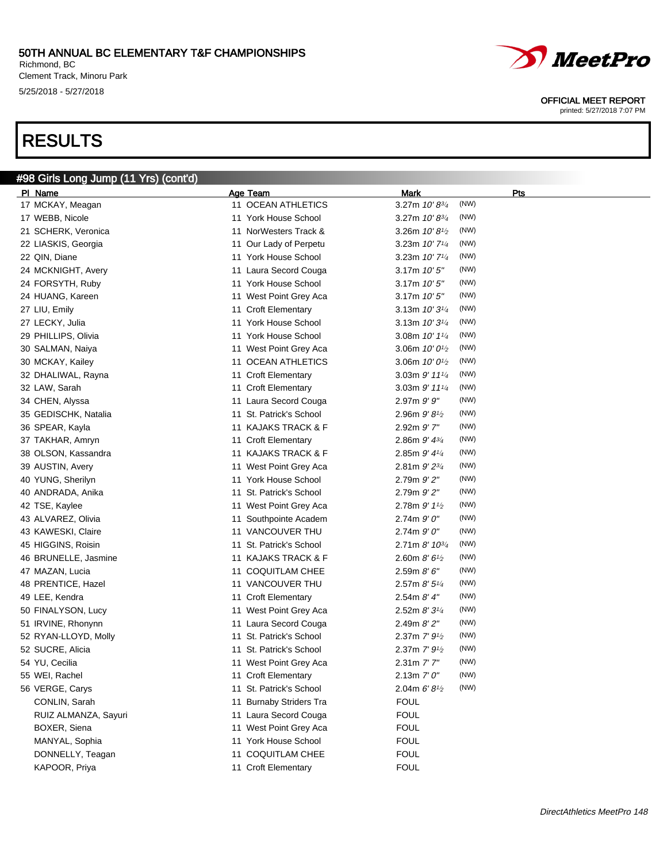Richmond, BC Clement Track, Minoru Park 5/25/2018 - 5/27/2018

# RESULTS



#### OFFICIAL MEET REPORT

printed: 5/27/2018 7:07 PM

| #98 Girls Long Jump (11 Yrs) (cont'd) |                         |                                                   |  |
|---------------------------------------|-------------------------|---------------------------------------------------|--|
| PI Name                               | Age Team                | Mark<br>Pts                                       |  |
| 17 MCKAY, Meagan                      | 11 OCEAN ATHLETICS      | (NW)<br>3.27m 10'83/4                             |  |
| 17 WEBB, Nicole                       | 11 York House School    | (NW)<br>3.27m $10' 8^{3/4}$                       |  |
| 21 SCHERK, Veronica                   | 11 NorWesters Track &   | (NW)<br>3.26m $10'8\frac{1}{2}$                   |  |
| 22 LIASKIS, Georgia                   | 11 Our Lady of Perpetu  | (NW)<br>3.23m $10'$ 7 <sup><math>1/4</math></sup> |  |
| 22 QIN, Diane                         | 11 York House School    | (NW)<br>3.23m $10'$ 7 <sup><math>1/4</math></sup> |  |
| 24 MCKNIGHT, Avery                    | 11 Laura Secord Couga   | (NW)<br>3.17m 10'5''                              |  |
| 24 FORSYTH, Ruby                      | 11 York House School    | (NW)<br>3.17m 10'5''                              |  |
| 24 HUANG, Kareen                      | 11 West Point Grey Aca  | (NW)<br>3.17m 10'5''                              |  |
| 27 LIU, Emily                         | 11 Croft Elementary     | (NW)<br>3.13m $10'3\frac{1}{4}$                   |  |
| 27 LECKY, Julia                       | 11 York House School    | (NW)<br>3.13m $10'3\frac{1}{4}$                   |  |
| 29 PHILLIPS, Olivia                   | 11 York House School    | (NW)<br>3.08m $10'$ $1\frac{1}{4}$                |  |
| 30 SALMAN, Naiya                      | 11 West Point Grey Aca  | (NW)<br>3.06m $10'0^{1/2}$                        |  |
| 30 MCKAY, Kailey                      | 11 OCEAN ATHLETICS      | (NW)<br>3.06m $10'0^{1/2}$                        |  |
| 32 DHALIWAL, Rayna                    | 11 Croft Elementary     | (NW)<br>3.03m $9'$ 11 $\frac{1}{4}$               |  |
| 32 LAW, Sarah                         | 11 Croft Elementary     | (NW)<br>3.03m $9'$ 11 $\frac{1}{4}$               |  |
| 34 CHEN, Alyssa                       | 11 Laura Secord Couga   | (NW)<br>$2.97m$ $9'$ $9''$                        |  |
| 35 GEDISCHK, Natalia                  | 11 St. Patrick's School | (NW)<br>2.96m $9'8\frac{1}{2}$                    |  |
| 36 SPEAR, Kayla                       | 11 KAJAKS TRACK & F     | (NW)<br>2.92m 9'7"                                |  |
| 37 TAKHAR, Amryn                      | 11 Croft Elementary     | (NW)<br>2.86m $9'$ $4^{3/4}$                      |  |
| 38 OLSON, Kassandra                   | 11 KAJAKS TRACK & F     | (NW)<br>2.85m $9'$ 4 $\frac{1}{4}$                |  |
| 39 AUSTIN, Avery                      | 11 West Point Grey Aca  | (NW)<br>2.81m $9'2^{3/4}$                         |  |
| 40 YUNG, Sherilyn                     | 11 York House School    | (NW)<br>$2.79m$ $9'$ $2"$                         |  |
| 40 ANDRADA, Anika                     | 11 St. Patrick's School | (NW)<br>$2.79m$ $9'$ $2"$                         |  |
| 42 TSE, Kaylee                        | 11 West Point Grey Aca  | (NW)<br>2.78m $9'$ 1 <sup>1</sup> / <sub>2</sub>  |  |
| 43 ALVAREZ, Olivia                    | 11 Southpointe Academ   | (NW)<br>$2.74m$ $9'0''$                           |  |
| 43 KAWESKI, Claire                    | 11 VANCOUVER THU        | (NW)<br>$2.74m$ $9'0''$                           |  |
| 45 HIGGINS, Roisin                    | 11 St. Patrick's School | (NW)<br>$2.71m$ 8' $10^{3/4}$                     |  |
| 46 BRUNELLE, Jasmine                  | 11 KAJAKS TRACK & F     | (NW)<br>2.60m $8'6^{1/2}$                         |  |
| 47 MAZAN, Lucia                       | 11 COQUITLAM CHEE       | (NW)<br>2.59m 8' 6''                              |  |
| 48 PRENTICE, Hazel                    | 11 VANCOUVER THU        | (NW)<br>2.57m $8'5\frac{1}{4}$                    |  |
| 49 LEE, Kendra                        | 11 Croft Elementary     | (NW)<br>2.54m 8' 4''                              |  |
| 50 FINALYSON, Lucy                    | 11 West Point Grey Aca  | (NW)<br>2.52m 8'3'4                               |  |
| 51 IRVINE, Rhonynn                    | 11 Laura Secord Couga   | (NW)<br>2.49m 8'2''                               |  |
| 52 RYAN-LLOYD, Molly                  | 11 St. Patrick's School | (NW)<br>2.37m $7'$ $9\frac{1}{2}$                 |  |
| 52 SUCRE, Alicia                      | 11 St. Patrick's School | (NW)<br>2.37m $7'$ $9\frac{1}{2}$                 |  |
| 54 YU, Cecilia                        | 11 West Point Grey Aca  | (NW)<br>2.31m 7'7"                                |  |
| 55 WEI, Rachel                        | 11 Croft Elementary     | (NW)<br>2.13m $7'0''$                             |  |
| 56 VERGE, Carys                       | 11 St. Patrick's School | (NW)<br>2.04m $6'8'$                              |  |
| CONLIN, Sarah                         | 11 Burnaby Striders Tra | <b>FOUL</b>                                       |  |
| RUIZ ALMANZA, Sayuri                  | 11 Laura Secord Couga   | <b>FOUL</b>                                       |  |
| BOXER, Siena                          | 11 West Point Grey Aca  | <b>FOUL</b>                                       |  |
| MANYAL, Sophia                        | 11 York House School    | <b>FOUL</b>                                       |  |
| DONNELLY, Teagan                      | 11 COQUITLAM CHEE       | <b>FOUL</b>                                       |  |
| KAPOOR, Priya                         | 11 Croft Elementary     | <b>FOUL</b>                                       |  |
|                                       |                         |                                                   |  |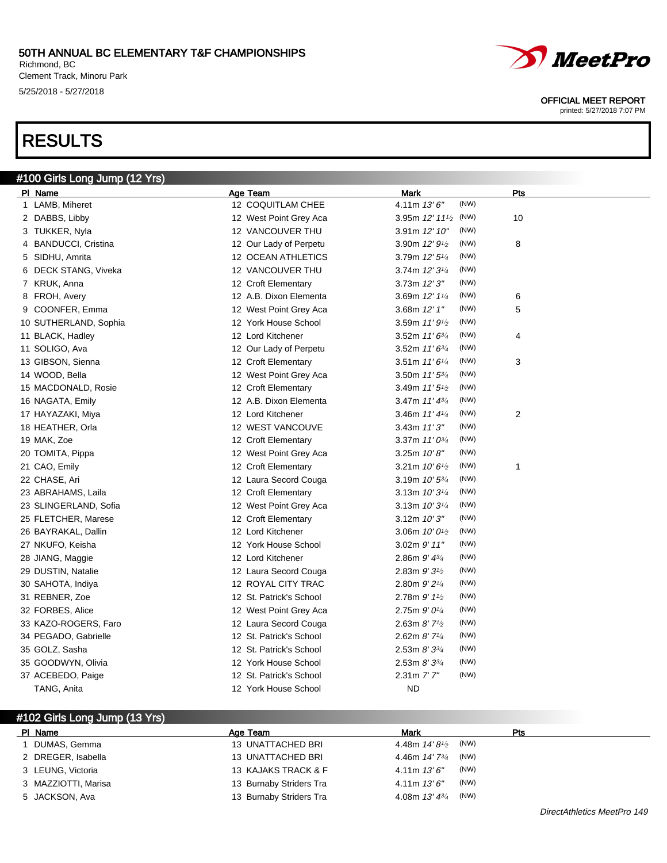Richmond, BC Clement Track, Minoru Park 5/25/2018 - 5/27/2018

# RESULTS



#### OFFICIAL MEET REPORT

printed: 5/27/2018 7:07 PM

| #100 Girls Long Jump (12 Yrs) |                         |                                                  |            |
|-------------------------------|-------------------------|--------------------------------------------------|------------|
| PI Name                       | <b>Age Team</b>         | <b>Mark</b>                                      | <b>Pts</b> |
| 1 LAMB, Miheret               | 12 COQUITLAM CHEE       | (NW)<br>4.11m 13'6"                              |            |
| 2 DABBS, Libby                | 12 West Point Grey Aca  | 3.95m $12'$ $11'$ <sub>2</sub> (NW)              | 10         |
| 3 TUKKER, Nyla                | 12 VANCOUVER THU        | (NW)<br>3.91m 12' 10"                            |            |
| 4 BANDUCCI, Cristina          | 12 Our Lady of Perpetu  | (NW)<br>3.90m $12'9\frac{1}{2}$                  | 8          |
| 5 SIDHU, Amrita               | 12 OCEAN ATHLETICS      | (NW)<br>3.79m $12'5\frac{1}{4}$                  |            |
| 6 DECK STANG, Viveka          | 12 VANCOUVER THU        | (NW)<br>3.74m 12' 31/4                           |            |
| 7 KRUK, Anna                  | 12 Croft Elementary     | (NW)<br>3.73m 12'3''                             |            |
| 8 FROH, Avery                 | 12 A.B. Dixon Elementa  | (NW)<br>3.69m 12' 11/4                           | 6          |
| 9 COONFER, Emma               | 12 West Point Grey Aca  | (NW)<br>3.68m 12' 1"                             | 5          |
| 10 SUTHERLAND, Sophia         | 12 York House School    | (NW)<br>3.59m $11'9_{1/2}$                       |            |
| 11 BLACK, Hadley              | 12 Lord Kitchener       | (NW)<br>3.52m $11'6^{3/4}$                       | 4          |
| 11 SOLIGO, Ava                | 12 Our Lady of Perpetu  | (NW)<br>3.52m $11'6^{3/4}$                       |            |
| 13 GIBSON, Sienna             | 12 Croft Elementary     | (NW)<br>3.51m $11'6\frac{1}{4}$                  | 3          |
| 14 WOOD, Bella                | 12 West Point Grey Aca  | (NW)<br>3.50m $11'5^{3/4}$                       |            |
| 15 MACDONALD, Rosie           | 12 Croft Elementary     | (NW)<br>3.49m $11'5\frac{1}{2}$                  |            |
| 16 NAGATA, Emily              | 12 A.B. Dixon Elementa  | (NW)<br>3.47m $11' 43'$                          |            |
| 17 HAYAZAKI, Miya             | 12 Lord Kitchener       | (NW)<br>3.46m $11'4\frac{1}{4}$                  | 2          |
| 18 HEATHER, Orla              | 12 WEST VANCOUVE        | (NW)<br>3.43m 11'3''                             |            |
| 19 MAK, Zoe                   | 12 Croft Elementary     | (NW)<br>3.37m $11'0^{3/4}$                       |            |
| 20 TOMITA, Pippa              | 12 West Point Grey Aca  | (NW)<br>3.25m 10'8''                             |            |
| 21 CAO, Emily                 | 12 Croft Elementary     | (NW)<br>3.21m $10'6\frac{1}{2}$                  | 1          |
| 22 CHASE, Ari                 | 12 Laura Secord Couga   | (NW)<br>3.19m $10'5^{3/4}$                       |            |
| 23 ABRAHAMS, Laila            | 12 Croft Elementary     | (NW)<br>3.13m $10'3^{1/4}$                       |            |
| 23 SLINGERLAND, Sofia         | 12 West Point Grey Aca  | (NW)<br>3.13m $10'3^{1/4}$                       |            |
| 25 FLETCHER, Marese           | 12 Croft Elementary     | (NW)<br>3.12m 10'3''                             |            |
| 26 BAYRAKAL, Dallin           | 12 Lord Kitchener       | (NW)<br>3.06m $10'0^{1/2}$                       |            |
| 27 NKUFO, Keisha              | 12 York House School    | (NW)<br>$3.02m$ $9'$ $11"$                       |            |
| 28 JIANG, Maggie              | 12 Lord Kitchener       | (NW)<br>2.86m $9'$ 4 $\frac{3}{4}$               |            |
| 29 DUSTIN, Natalie            | 12 Laura Secord Couga   | (NW)<br>2.83m $9'3\frac{1}{2}$                   |            |
| 30 SAHOTA, Indiya             | 12 ROYAL CITY TRAC      | (NW)<br>2.80m $9'2^{1/4}$                        |            |
| 31 REBNER, Zoe                | 12 St. Patrick's School | (NW)<br>2.78m $9'$ 1 <sup>1</sup> / <sub>2</sub> |            |
| 32 FORBES, Alice              | 12 West Point Grey Aca  | (NW)<br>2.75m $9'0\frac{1}{4}$                   |            |
| 33 KAZO-ROGERS, Faro          | 12 Laura Secord Couga   | (NW)<br>2.63m $8'$ 7 <sup>1</sup> / <sub>2</sub> |            |
| 34 PEGADO, Gabrielle          | 12 St. Patrick's School | (NW)<br>2.62m $8'$ 7 <sup>1/4</sup>              |            |
| 35 GOLZ, Sasha                | 12 St. Patrick's School | (NW)<br>$2.53m$ $8'3^{3/4}$                      |            |
| 35 GOODWYN, Olivia            | 12 York House School    | (NW)<br>2.53m $8'3^{3/4}$                        |            |
| 37 ACEBEDO, Paige             | 12 St. Patrick's School | (NW)<br>2.31m 7'7"                               |            |
| TANG, Anita                   | 12 York House School    | <b>ND</b>                                        |            |

#### #102 Girls Long Jump (13 Yrs)

| PI Name             | Age Team                | Mark                          | Pts |  |
|---------------------|-------------------------|-------------------------------|-----|--|
| DUMAS, Gemma        | 13 UNATTACHED BRI       | (NW)<br>4.48m $14'8''$        |     |  |
| 2 DREGER, Isabella  | 13 UNATTACHED BRI       | (NW)<br>4.46m $14'$ $73'_{4}$ |     |  |
| 3 LEUNG, Victoria   | 13 KAJAKS TRACK & F     | (NW)<br>4.11m 13'6''          |     |  |
| 3 MAZZIOTTI, Marisa | 13 Burnaby Striders Tra | (NW)<br>4.11m 13'6''          |     |  |
| 5 JACKSON, Ava      | 13 Burnaby Striders Tra | (NW)<br>4.08m $13' 4^{3/4}$   |     |  |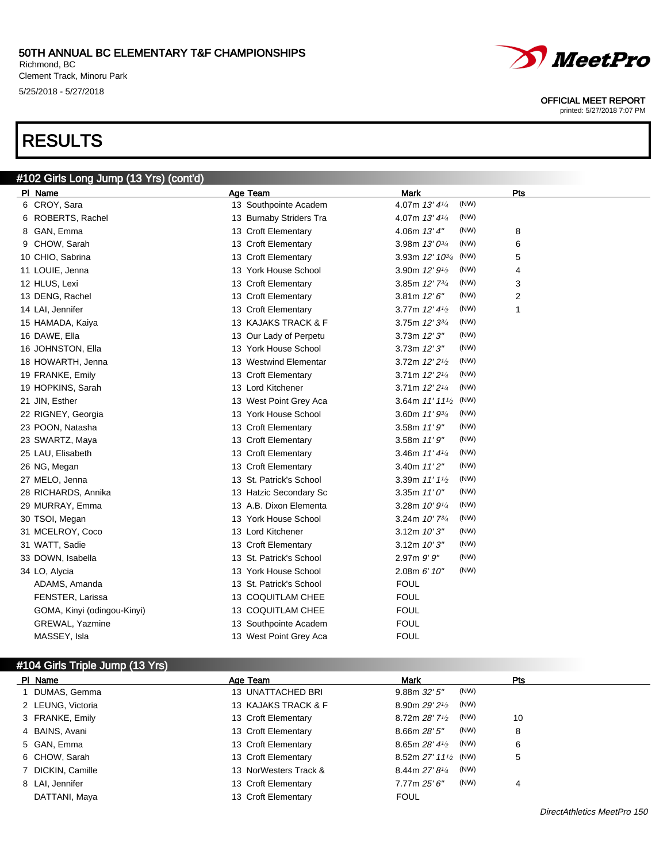Richmond, BC Clement Track, Minoru Park 5/25/2018 - 5/27/2018

## RESULTS



#### OFFICIAL MEET REPORT

printed: 5/27/2018 7:07 PM

| #102 Girls Long Jump (13 Yrs) (cont'd) |                         |                                     |     |
|----------------------------------------|-------------------------|-------------------------------------|-----|
| PI Name                                | <b>Age Team</b>         | Mark                                | Pts |
| 6 CROY, Sara                           | 13 Southpointe Academ   | (NW)<br>4.07m 13' 41/4              |     |
| 6 ROBERTS, Rachel                      | 13 Burnaby Striders Tra | (NW)<br>4.07m $13'4\frac{1}{4}$     |     |
| 8 GAN, Emma                            | 13 Croft Elementary     | (NW)<br>4.06m 13' 4"                | 8   |
| 9 CHOW, Sarah                          | 13 Croft Elementary     | (NW)<br>3.98m $13'0^{3/4}$          | 6   |
| 10 CHIO, Sabrina                       | 13 Croft Elementary     | 3.93m 12' 103/4<br>(NW)             | 5   |
| 11 LOUIE, Jenna                        | 13 York House School    | 3.90m 12' 91/2<br>(NW)              | 4   |
| 12 HLUS, Lexi                          | 13 Croft Elementary     | (NW)<br>3.85m $12'$ $73/4$          | 3   |
| 13 DENG, Rachel                        | 13 Croft Elementary     | 3.81m $12'6''$<br>(NW)              | 2   |
| 14 LAI, Jennifer                       | 13 Croft Elementary     | (NW)<br>3.77m 12' 41/2              | 1   |
| 15 HAMADA, Kaiya                       | 13 KAJAKS TRACK & F     | (NW)<br>3.75m 12' 33/4              |     |
| 16 DAWE, Ella                          | 13 Our Lady of Perpetu  | (NW)<br>3.73m 12'3''                |     |
| 16 JOHNSTON, Ella                      | 13 York House School    | (NW)<br>3.73m 12' 3"                |     |
| 18 HOWARTH, Jenna                      | 13 Westwind Elementar   | (NW)<br>3.72m 12' 2 <sup>1/2</sup>  |     |
| 19 FRANKE, Emily                       | 13 Croft Elementary     | (NW)<br>3.71m 12' 21/4              |     |
| 19 HOPKINS, Sarah                      | 13 Lord Kitchener       | (NW)<br>3.71m 12' 21/4              |     |
| 21 JIN, Esther                         | 13 West Point Grey Aca  | (NW)<br>3.64m $11'11'$              |     |
| 22 RIGNEY, Georgia                     | 13 York House School    | (NW)<br>3.60m 11' 93/4              |     |
| 23 POON, Natasha                       | 13 Croft Elementary     | (NW)<br>3.58m 11'9''                |     |
| 23 SWARTZ, Maya                        | 13 Croft Elementary     | (NW)<br>3.58m 11'9''                |     |
| 25 LAU, Elisabeth                      | 13 Croft Elementary     | (NW)<br>3.46m $11'4\frac{1}{4}$     |     |
| 26 NG, Megan                           | 13 Croft Elementary     | (NW)<br>3.40m $11'2''$              |     |
| 27 MELO, Jenna                         | 13 St. Patrick's School | (NW)<br>3.39m 11' 11/2              |     |
| 28 RICHARDS, Annika                    | 13 Hatzic Secondary Sc  | (NW)<br>3.35m $11'0''$              |     |
| 29 MURRAY, Emma                        | 13 A.B. Dixon Elementa  | (NW)<br>3.28m $10'$ $9\frac{1}{4}$  |     |
| 30 TSOI, Megan                         | 13 York House School    | (NW)<br>3.24m $10'$ 7 $\frac{3}{4}$ |     |
| 31 MCELROY, Coco                       | 13 Lord Kitchener       | (NW)<br>3.12m 10'3''                |     |
| 31 WATT, Sadie                         | 13 Croft Elementary     | (NW)<br>3.12m 10'3''                |     |
| 33 DOWN, Isabella                      | 13 St. Patrick's School | (NW)<br>$2.97m$ $9'$ $9''$          |     |
| 34 LO, Alycia                          | 13 York House School    | (NW)<br>$2.08m$ 6' 10"              |     |
| ADAMS, Amanda                          | 13 St. Patrick's School | <b>FOUL</b>                         |     |
| FENSTER, Larissa                       | 13 COQUITLAM CHEE       | <b>FOUL</b>                         |     |
| GOMA, Kinyi (odingou-Kinyi)            | 13 COQUITLAM CHEE       | <b>FOUL</b>                         |     |
| <b>GREWAL, Yazmine</b>                 | 13 Southpointe Academ   | <b>FOUL</b>                         |     |
| MASSEY, Isla                           | 13 West Point Grey Aca  | <b>FOUL</b>                         |     |

## #104 Girls Triple Jump (13 Yrs)

| PI Name           | Age Team              | <b>Mark</b>                                     | Pts |
|-------------------|-----------------------|-------------------------------------------------|-----|
| DUMAS, Gemma      | 13 UNATTACHED BRI     | (NW)<br>9.88m 32' 5''                           |     |
| 2 LEUNG, Victoria | 13 KAJAKS TRACK & F   | (NW)<br>8.90m 29' 21/2                          |     |
| 3 FRANKE, Emily   | 13 Croft Elementary   | (NW)<br>8.72m $28'$ 7 <sup>1/2</sup>            | 10  |
| 4 BAINS, Avani    | 13 Croft Elementary   | (NW)<br>8.66m 28' 5''                           | 8   |
| 5 GAN, Emma       | 13 Croft Elementary   | (NW)<br>8.65m $28'$ 4 $\frac{1}{2}$             | 6   |
| 6 CHOW, Sarah     | 13 Croft Elementary   | 8.52m $27'$ 11 <sup>1</sup> / <sub>2</sub> (NW) | 5   |
| 7 DICKIN, Camille | 13 NorWesters Track & | (NW)<br>$8.44$ m 27' $8\frac{1}{4}$             |     |
| 8 LAI, Jennifer   | 13 Croft Elementary   | (NW)<br>7.77m 25'6''                            | 4   |
| DATTANI, Maya     | 13 Croft Elementary   | <b>FOUL</b>                                     |     |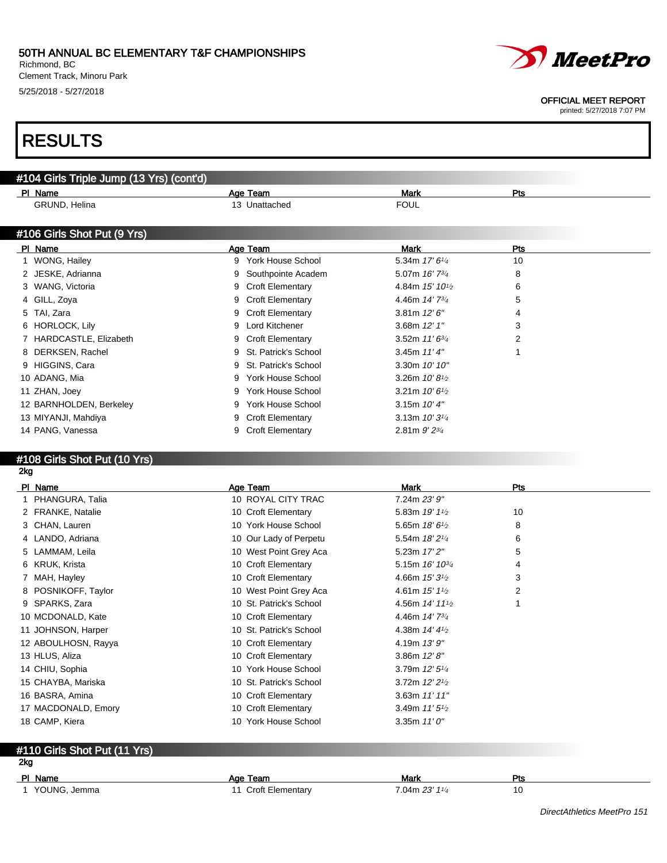Richmond, BC Clement Track, Minoru Park 5/25/2018 - 5/27/2018



#### OFFICIAL MEET REPORT

printed: 5/27/2018 7:07 PM

## RESULTS

| Mark<br>Pts<br>PI Name<br>Age Team<br>GRUND, Helina<br>13 Unattached<br><b>FOUL</b><br><b>Mark</b><br>PI Name<br>Age Team<br><b>Pts</b><br>1 WONG, Hailey<br>York House School<br>5.34m 17' 61/4<br>10<br>9<br>2 JESKE, Adrianna<br>5.07m 16' 734<br>8<br>Southpointe Academ<br>3 WANG, Victoria<br><b>Croft Elementary</b><br>4.84m 15' 10 <sup>1</sup> / <sub>2</sub><br>6<br>9<br><b>Croft Elementary</b><br>4.46m 14' 7 <sup>3/4</sup><br>5<br>4 GILL, Zoya<br>9<br>3.81m $12'6''$<br>5 TAI, Zara<br><b>Croft Elementary</b><br>9<br>4<br>Lord Kitchener<br>3.68m 12' 1"<br>3<br>6 HORLOCK, Lily<br>9<br>7 HARDCASTLE, Elizabeth<br>2<br><b>Croft Elementary</b><br>3.52m $11'6^{3/4}$<br>9<br>3.45m $11'4''$<br>8 DERKSEN, Rachel<br>St. Patrick's School<br>9 HIGGINS, Cara<br>St. Patrick's School<br>3.30m 10' 10"<br>9<br>10 ADANG, Mia<br><b>York House School</b><br>3.26m $10'8\frac{1}{2}$<br>9<br><b>York House School</b><br>3.21m $10'6\frac{1}{2}$<br>11 ZHAN, Joey<br>9<br>3.15m $10'4''$<br>12 BARNHOLDEN, Berkeley<br><b>York House School</b><br>3.13m $10'3^{1/4}$<br>13 MIYANJI, Mahdiya<br><b>Croft Elementary</b><br>9<br>14 PANG, Vanessa<br><b>Croft Elementary</b><br>2.81m $9'$ $2^{3/4}$ | #104 Girls Triple Jump (13 Yrs) (cont'd) |  |  |
|------------------------------------------------------------------------------------------------------------------------------------------------------------------------------------------------------------------------------------------------------------------------------------------------------------------------------------------------------------------------------------------------------------------------------------------------------------------------------------------------------------------------------------------------------------------------------------------------------------------------------------------------------------------------------------------------------------------------------------------------------------------------------------------------------------------------------------------------------------------------------------------------------------------------------------------------------------------------------------------------------------------------------------------------------------------------------------------------------------------------------------------------------------------------------------------------------------------------|------------------------------------------|--|--|
|                                                                                                                                                                                                                                                                                                                                                                                                                                                                                                                                                                                                                                                                                                                                                                                                                                                                                                                                                                                                                                                                                                                                                                                                                        |                                          |  |  |
|                                                                                                                                                                                                                                                                                                                                                                                                                                                                                                                                                                                                                                                                                                                                                                                                                                                                                                                                                                                                                                                                                                                                                                                                                        |                                          |  |  |
|                                                                                                                                                                                                                                                                                                                                                                                                                                                                                                                                                                                                                                                                                                                                                                                                                                                                                                                                                                                                                                                                                                                                                                                                                        |                                          |  |  |
|                                                                                                                                                                                                                                                                                                                                                                                                                                                                                                                                                                                                                                                                                                                                                                                                                                                                                                                                                                                                                                                                                                                                                                                                                        | #106 Girls Shot Put (9 Yrs)              |  |  |
|                                                                                                                                                                                                                                                                                                                                                                                                                                                                                                                                                                                                                                                                                                                                                                                                                                                                                                                                                                                                                                                                                                                                                                                                                        |                                          |  |  |
|                                                                                                                                                                                                                                                                                                                                                                                                                                                                                                                                                                                                                                                                                                                                                                                                                                                                                                                                                                                                                                                                                                                                                                                                                        |                                          |  |  |
|                                                                                                                                                                                                                                                                                                                                                                                                                                                                                                                                                                                                                                                                                                                                                                                                                                                                                                                                                                                                                                                                                                                                                                                                                        |                                          |  |  |
|                                                                                                                                                                                                                                                                                                                                                                                                                                                                                                                                                                                                                                                                                                                                                                                                                                                                                                                                                                                                                                                                                                                                                                                                                        |                                          |  |  |
|                                                                                                                                                                                                                                                                                                                                                                                                                                                                                                                                                                                                                                                                                                                                                                                                                                                                                                                                                                                                                                                                                                                                                                                                                        |                                          |  |  |
|                                                                                                                                                                                                                                                                                                                                                                                                                                                                                                                                                                                                                                                                                                                                                                                                                                                                                                                                                                                                                                                                                                                                                                                                                        |                                          |  |  |
|                                                                                                                                                                                                                                                                                                                                                                                                                                                                                                                                                                                                                                                                                                                                                                                                                                                                                                                                                                                                                                                                                                                                                                                                                        |                                          |  |  |
|                                                                                                                                                                                                                                                                                                                                                                                                                                                                                                                                                                                                                                                                                                                                                                                                                                                                                                                                                                                                                                                                                                                                                                                                                        |                                          |  |  |
|                                                                                                                                                                                                                                                                                                                                                                                                                                                                                                                                                                                                                                                                                                                                                                                                                                                                                                                                                                                                                                                                                                                                                                                                                        |                                          |  |  |
|                                                                                                                                                                                                                                                                                                                                                                                                                                                                                                                                                                                                                                                                                                                                                                                                                                                                                                                                                                                                                                                                                                                                                                                                                        |                                          |  |  |
|                                                                                                                                                                                                                                                                                                                                                                                                                                                                                                                                                                                                                                                                                                                                                                                                                                                                                                                                                                                                                                                                                                                                                                                                                        |                                          |  |  |
|                                                                                                                                                                                                                                                                                                                                                                                                                                                                                                                                                                                                                                                                                                                                                                                                                                                                                                                                                                                                                                                                                                                                                                                                                        |                                          |  |  |
|                                                                                                                                                                                                                                                                                                                                                                                                                                                                                                                                                                                                                                                                                                                                                                                                                                                                                                                                                                                                                                                                                                                                                                                                                        |                                          |  |  |
|                                                                                                                                                                                                                                                                                                                                                                                                                                                                                                                                                                                                                                                                                                                                                                                                                                                                                                                                                                                                                                                                                                                                                                                                                        |                                          |  |  |
|                                                                                                                                                                                                                                                                                                                                                                                                                                                                                                                                                                                                                                                                                                                                                                                                                                                                                                                                                                                                                                                                                                                                                                                                                        |                                          |  |  |

## #108 Girls Shot Put (10 Yrs)

## 2kg

| PI Name            |                     | Age Team                | Mark                                     | Pts |
|--------------------|---------------------|-------------------------|------------------------------------------|-----|
| 1 PHANGURA, Talia  |                     | 10 ROYAL CITY TRAC      | 7.24m 23' 9"                             |     |
| 2 FRANKE, Natalie  |                     | 10 Croft Elementary     | 5.83m 19' 11/2                           | 10  |
| 3 CHAN, Lauren     |                     | 10 York House School    | 5.65m $18'6\frac{1}{2}$                  | 8   |
| 4 LANDO, Adriana   |                     | 10 Our Lady of Perpetu  | 5.54m 18' 21/4                           | 6   |
| 5 LAMMAM, Leila    |                     | 10 West Point Grey Aca  | 5.23m 17' 2"                             | 5   |
| 6 KRUK, Krista     |                     | 10 Croft Elementary     | 5.15m 16' 10 <sup>3/4</sup>              | 4   |
| 7 MAH, Hayley      |                     | 10 Croft Elementary     | 4.66m $15'3\frac{1}{2}$                  | 3   |
|                    | 8 POSNIKOFF, Taylor | 10 West Point Grey Aca  | 4.61m $15'1\%$                           | 2   |
| 9 SPARKS, Zara     |                     | 10 St. Patrick's School | 4.56m 14' 11 <sup>1</sup> / <sub>2</sub> |     |
| 10 MCDONALD, Kate  |                     | 10 Croft Elementary     | 4.46m 14' 7 <sup>3/4</sup>               |     |
| 11 JOHNSON, Harper |                     | 10 St. Patrick's School | 4.38m $14'$ $4\frac{1}{2}$               |     |
|                    | 12 ABOULHOSN, Rayya | 10 Croft Elementary     | 4.19m $13'9''$                           |     |
| 13 HLUS, Aliza     |                     | 10 Croft Elementary     | 3.86m $12'8''$                           |     |
| 14 CHIU, Sophia    |                     | 10 York House School    | 3.79m 12' 51/4                           |     |
| 15 CHAYBA, Mariska |                     | 10 St. Patrick's School | 3.72m $12'21/2$                          |     |
| 16 BASRA, Amina    |                     | 10 Croft Elementary     | 3.63m $11'11''$                          |     |
|                    | 17 MACDONALD, Emory | 10 Croft Elementary     | 3.49m $11'5\frac{1}{2}$                  |     |
| 18 CAMP, Kiera     |                     | 10 York House School    | 3.35m $11'0''$                           |     |

### #110 Girls Shot Put (11 Yrs)

### 2kg

| PI Name      | Age Team                | Mark              | Pts          |
|--------------|-------------------------|-------------------|--------------|
| YOUNG, Jemma | <b>Croft Elementary</b> | $7.04$ m 23' 11/4 | 10<br>$\sim$ |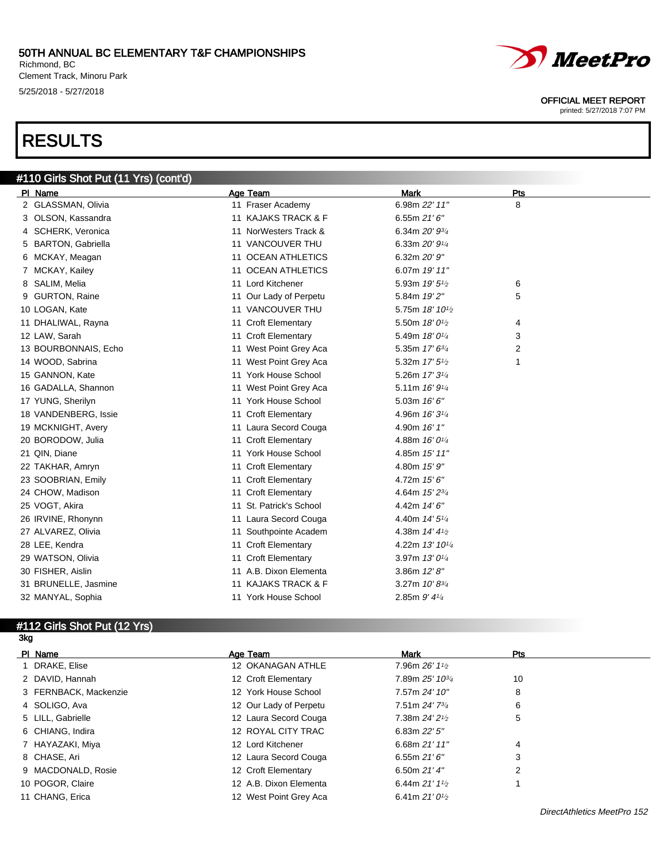Richmond, BC Clement Track, Minoru Park 5/25/2018 - 5/27/2018

# RESULTS



#### OFFICIAL MEET REPORT

printed: 5/27/2018 7:07 PM

| #110 Girls Shot Put (11 Yrs) (cont'd) |                         |                             |     |
|---------------------------------------|-------------------------|-----------------------------|-----|
| PI Name                               | <b>Age Team</b>         | <b>Mark</b>                 | Pts |
| 2 GLASSMAN, Olivia                    | 11 Fraser Academy       | 6.98m 22' 11"               | 8   |
| 3 OLSON, Kassandra                    | 11 KAJAKS TRACK & F     | 6.55m $21'6''$              |     |
| 4 SCHERK, Veronica                    | 11 NorWesters Track &   | 6.34m 20' 93/4              |     |
| 5 BARTON, Gabriella                   | 11 VANCOUVER THU        | 6.33m 20' 91/4              |     |
| 6 MCKAY, Meagan                       | 11 OCEAN ATHLETICS      | 6.32m 20' 9"                |     |
| 7 MCKAY, Kailey                       | 11 OCEAN ATHLETICS      | 6.07m 19' 11"               |     |
| 8 SALIM, Melia                        | 11 Lord Kitchener       | 5.93m 19' 5 <sup>1</sup> /2 | 6   |
| 9 GURTON, Raine                       | 11 Our Lady of Perpetu  | 5.84m 19'2"                 | 5   |
| 10 LOGAN, Kate                        | 11 VANCOUVER THU        | 5.75m 18' 101/2             |     |
| 11 DHALIWAL, Rayna                    | 11 Croft Elementary     | 5.50m 18' 0 <sup>1/2</sup>  | 4   |
| 12 LAW, Sarah                         | 11 Croft Elementary     | 5.49m 18' 01/4              | 3   |
| 13 BOURBONNAIS, Echo                  | 11 West Point Grey Aca  | 5.35m 17' 63/4              | 2   |
| 14 WOOD, Sabrina                      | 11 West Point Grey Aca  | 5.32m 17' 5 <sup>1/2</sup>  | 1   |
| 15 GANNON, Kate                       | 11 York House School    | 5.26m 17' 31/4              |     |
| 16 GADALLA, Shannon                   | 11 West Point Grey Aca  | 5.11m 16' 91/4              |     |
| 17 YUNG, Sherilyn                     | 11 York House School    | 5.03m 16' 6"                |     |
| 18 VANDENBERG, Issie                  | 11 Croft Elementary     | 4.96m 16' 3 <sup>1/4</sup>  |     |
| 19 MCKNIGHT, Avery                    | 11 Laura Secord Couga   | 4.90m 16' 1"                |     |
| 20 BORODOW, Julia                     | 11 Croft Elementary     | 4.88m 16' 01/4              |     |
| 21 QIN, Diane                         | 11 York House School    | 4.85m 15' 11"               |     |
| 22 TAKHAR, Amryn                      | 11 Croft Elementary     | 4.80m 15' 9"                |     |
| 23 SOOBRIAN, Emily                    | 11 Croft Elementary     | 4.72m 15' 6"                |     |
| 24 CHOW, Madison                      | 11 Croft Elementary     | 4.64m 15' 23/4              |     |
| 25 VOGT, Akira                        | 11 St. Patrick's School | 4.42m 14' 6"                |     |
| 26 IRVINE, Rhonynn                    | 11 Laura Secord Couga   | 4.40m 14' 5 <sup>1/4</sup>  |     |
| 27 ALVAREZ, Olivia                    | 11 Southpointe Academ   | 4.38m 14' 41/2              |     |
| 28 LEE, Kendra                        | 11 Croft Elementary     | 4.22m 13' 101/4             |     |
| 29 WATSON, Olivia                     | 11 Croft Elementary     | 3.97m 13' 01/4              |     |
| 30 FISHER, Aislin                     | 11 A.B. Dixon Elementa  | 3.86m $12'8''$              |     |
| 31 BRUNELLE, Jasmine                  | 11 KAJAKS TRACK & F     | 3.27m $10' 8^{3/4}$         |     |
| 32 MANYAL, Sophia                     | 11 York House School    | 2.85m 9' 41/4               |     |

## #112 Girls Shot Put (12 Yrs)

3kg

| PI Name               | Age Team               | Mark                        | Pts |  |
|-----------------------|------------------------|-----------------------------|-----|--|
| 1 DRAKE, Elise        | 12 OKANAGAN ATHLE      | 7.96m 26' 11/2              |     |  |
| 2 DAVID, Hannah       | 12 Croft Elementary    | 7.89m 25' 10 <sup>3/4</sup> | 10  |  |
| 3 FERNBACK, Mackenzie | 12 York House School   | 7.57m 24' 10"               | 8   |  |
| 4 SOLIGO, Ava         | 12 Our Lady of Perpetu | 7.51m 24' 73/4              | 6   |  |
| 5 LILL, Gabrielle     | 12 Laura Secord Couga  | 7.38m 24' 21/2              | 5   |  |
| 6 CHIANG, Indira      | 12 ROYAL CITY TRAC     | 6.83m $22'5''$              |     |  |
| 7 HAYAZAKI, Miya      | 12 Lord Kitchener      | 6.68m 21' 11"               | 4   |  |
| 8 CHASE, Ari          | 12 Laura Secord Couga  | 6.55m $21'6''$              | 3   |  |
| 9 MACDONALD, Rosie    | 12 Croft Elementary    | 6.50m $21'$ 4"              |     |  |
| 10 POGOR, Claire      | 12 A.B. Dixon Elementa | 6.44m $21'1_{2}$            |     |  |
| 11 CHANG, Erica       | 12 West Point Grey Aca | 6.41m $21'0\frac{1}{2}$     |     |  |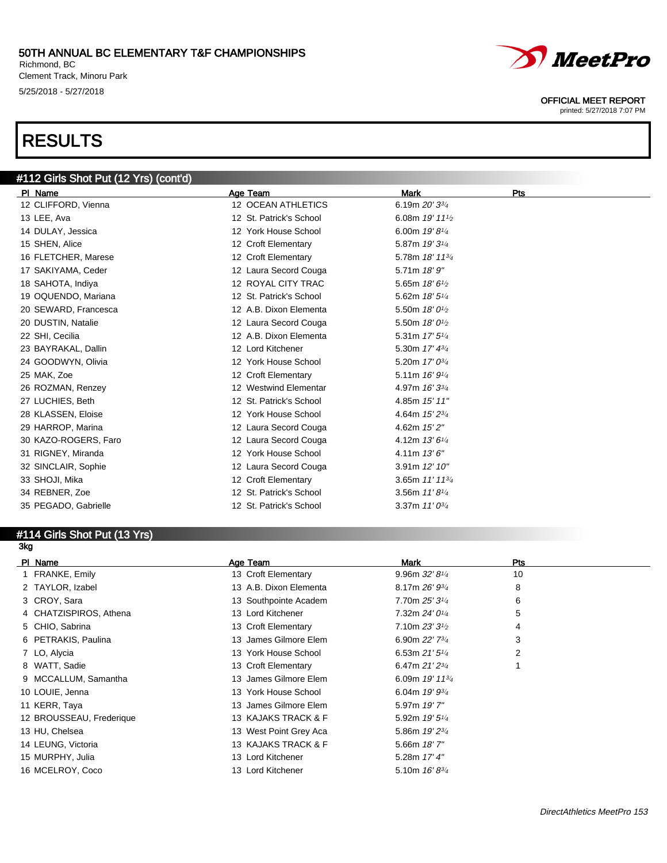Richmond, BC Clement Track, Minoru Park 5/25/2018 - 5/27/2018

# RESULTS



#### OFFICIAL MEET REPORT

printed: 5/27/2018 7:07 PM

| #112 Girls Shot Put (12 Yrs) (cont'd) |                         |                                         |     |
|---------------------------------------|-------------------------|-----------------------------------------|-----|
| PI Name                               | Age Team                | <b>Mark</b>                             | Pts |
| 12 CLIFFORD, Vienna                   | 12 OCEAN ATHLETICS      | 6.19m 20' 33/4                          |     |
| 13 LEE, Ava                           | 12 St. Patrick's School | 6.08m 19' 111/2                         |     |
| 14 DULAY, Jessica                     | 12 York House School    | 6.00m 19' 81/4                          |     |
| 15 SHEN, Alice                        | 12 Croft Elementary     | 5.87m 19' 31/4                          |     |
| 16 FLETCHER, Marese                   | 12 Croft Elementary     | 5.78m 18' 1134                          |     |
| 17 SAKIYAMA, Ceder                    | 12 Laura Secord Couga   | 5.71m 18'9"                             |     |
| 18 SAHOTA, Indiya                     | 12 ROYAL CITY TRAC      | 5.65m 18' 61/2                          |     |
| 19 OQUENDO, Mariana                   | 12 St. Patrick's School | 5.62m 18' 51/4                          |     |
| 20 SEWARD, Francesca                  | 12 A.B. Dixon Elementa  | 5.50m 18' 0 <sup>1</sup> / <sub>2</sub> |     |
| 20 DUSTIN, Natalie                    | 12 Laura Secord Couga   | 5.50m 18' 0 <sup>1</sup> / <sub>2</sub> |     |
| 22 SHI, Cecilia                       | 12 A.B. Dixon Elementa  | 5.31m 17' 51/4                          |     |
| 23 BAYRAKAL, Dallin                   | 12 Lord Kitchener       | 5.30m 17' 43/4                          |     |
| 24 GOODWYN, Olivia                    | 12 York House School    | 5.20m 17' 03/4                          |     |
| 25 MAK, Zoe                           | 12 Croft Elementary     | 5.11m 16' 91/4                          |     |
| 26 ROZMAN, Renzey                     | 12 Westwind Elementar   | 4.97m 16' 33/4                          |     |
| 27 LUCHIES, Beth                      | 12 St. Patrick's School | 4.85m 15' 11"                           |     |
| 28 KLASSEN, Eloise                    | 12 York House School    | 4.64m 15' 23/4                          |     |
| 29 HARROP, Marina                     | 12 Laura Secord Couga   | 4.62m 15' 2"                            |     |
| 30 KAZO-ROGERS, Faro                  | 12 Laura Secord Couga   | 4.12m 13' 61/4                          |     |
| 31 RIGNEY, Miranda                    | 12 York House School    | 4.11m 13'6''                            |     |
| 32 SINCLAIR, Sophie                   | 12 Laura Secord Couga   | 3.91m 12' 10"                           |     |
| 33 SHOJI, Mika                        | 12 Croft Elementary     | 3.65m 11' 11 <sup>3/4</sup>             |     |
| 34 REBNER, Zoe                        | 12 St. Patrick's School | 3.56m $11'8\frac{1}{4}$                 |     |
| 35 PEGADO, Gabrielle                  | 12 St. Patrick's School | 3.37m $11'0^{3/4}$                      |     |

#### #114 Girls Shot Put (13 Yrs) 3kg

| PI Name                  | Age Team               | Mark                       | Pts |  |
|--------------------------|------------------------|----------------------------|-----|--|
| 1 FRANKE, Emily          | 13 Croft Elementary    | 9.96m $32'8'4$             | 10  |  |
| 2 TAYLOR, Izabel         | 13 A.B. Dixon Elementa | 8.17m $26' 9^{3/4}$        | 8   |  |
| 3 CROY, Sara             | 13 Southpointe Academ  | 7.70m 25' 31/4             | 6   |  |
| 4 CHATZISPIROS, Athena   | 13 Lord Kitchener      | 7.32m 24' 01/4             | 5   |  |
| 5 CHIO, Sabrina          | 13 Croft Elementary    | 7.10m 23' 3 <sup>1/2</sup> | 4   |  |
| 6 PETRAKIS, Paulina      | 13 James Gilmore Elem  | 6.90m 22' 73/4             | 3   |  |
| 7 LO, Alycia             | 13 York House School   | 6.53m $21'5''$             | 2   |  |
| 8 WATT, Sadie            | 13 Croft Elementary    | 6.47m $21'2^{3/4}$         |     |  |
| 9 MCCALLUM, Samantha     | 13 James Gilmore Elem  | 6.09m 19' 113/4            |     |  |
| 10 LOUIE, Jenna          | 13 York House School   | 6.04m $19'$ $9\frac{3}{4}$ |     |  |
| 11 KERR, Taya            | 13 James Gilmore Elem  | 5.97m 19'7"                |     |  |
| 12 BROUSSEAU, Frederique | 13 KAJAKS TRACK & F    | 5.92m 19' 51/4             |     |  |
| 13 HU, Chelsea           | 13 West Point Grey Aca | 5.86m 19' 23/4             |     |  |
| 14 LEUNG, Victoria       | 13 KAJAKS TRACK & F    | $5.66m$ 18' $7"$           |     |  |
| 15 MURPHY, Julia         | 13 Lord Kitchener      | 5.28m 17' 4"               |     |  |
| 16 MCELROY, Coco         | 13 Lord Kitchener      | 5.10m 16'83/4              |     |  |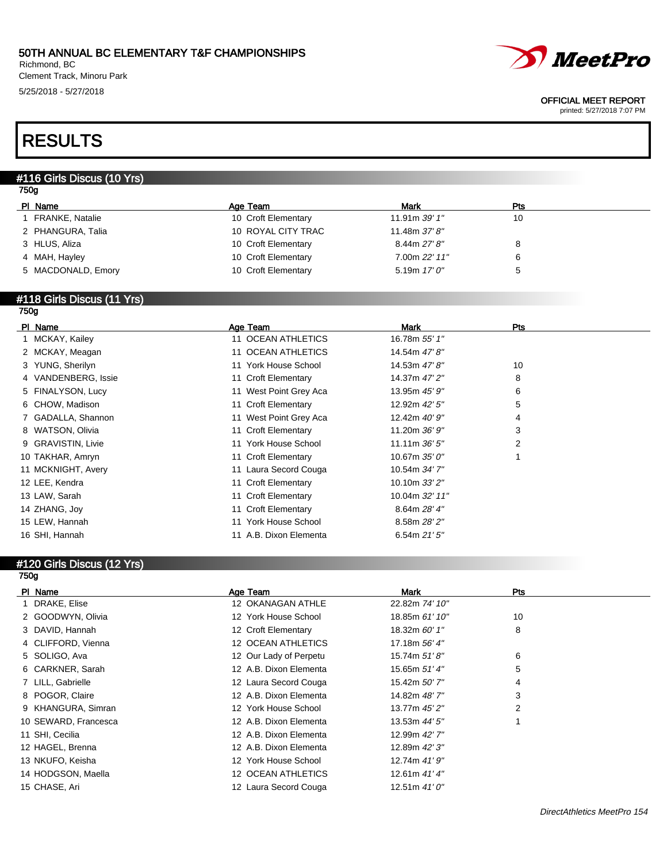Richmond, BC Clement Track, Minoru Park 5/25/2018 - 5/27/2018



#### OFFICIAL MEET REPORT

printed: 5/27/2018 7:07 PM

## RESULTS

## #116 Girls Discus (10 Yrs)

| ۰,<br>× |
|---------|
|---------|

| PI Name                | Age Team            | Mark           | Pts |
|------------------------|---------------------|----------------|-----|
| <b>FRANKE, Natalie</b> | 10 Croft Elementary | 11.91m 39' 1"  | 10  |
| 2 PHANGURA, Talia      | 10 ROYAL CITY TRAC  | 11.48m 37'8"   |     |
| 3 HLUS, Aliza          | 10 Croft Elementary | 8.44m 27' 8''  |     |
| 4 MAH, Hayley          | 10 Croft Elementary | 7.00m 22' 11"  |     |
| 5 MACDONALD, Emory     | 10 Croft Elementary | 5.19m $17'0''$ |     |
|                        |                     |                |     |

#### #118 Girls Discus (11 Yrs) 750g

| PI Name             | Age Team               | Mark            | Pts |
|---------------------|------------------------|-----------------|-----|
| 1 MCKAY, Kailey     | 11 OCEAN ATHLETICS     | 16.78m 55' 1"   |     |
| 2 MCKAY, Meagan     | 11 OCEAN ATHLETICS     | 14.54m 47' 8"   |     |
| 3 YUNG, Sherilyn    | 11 York House School   | 14.53m 47' 8"   | 10  |
| 4 VANDENBERG, Issie | 11 Croft Elementary    | 14.37m 47' 2"   | 8   |
| 5 FINALYSON, Lucy   | 11 West Point Grey Aca | 13.95m 45' 9"   | 6   |
| 6 CHOW, Madison     | 11 Croft Elementary    | 12.92m $42'5''$ | 5   |
| 7 GADALLA, Shannon  | 11 West Point Grey Aca | 12.42m 40' 9"   | 4   |
| 8 WATSON, Olivia    | 11 Croft Elementary    | 11.20m 36' 9"   | 3   |
| 9 GRAVISTIN, Livie  | 11 York House School   | 11.11m $36'5''$ | 2   |
| 10 TAKHAR, Amryn    | 11 Croft Elementary    | 10.67m 35' 0"   |     |
| 11 MCKNIGHT, Avery  | 11 Laura Secord Couga  | 10.54m 34' 7"   |     |
| 12 LEE, Kendra      | 11 Croft Elementary    | 10.10m 33' 2"   |     |
| 13 LAW, Sarah       | 11 Croft Elementary    | 10.04m 32' 11"  |     |
| 14 ZHANG, Joy       | 11 Croft Elementary    | 8.64m 28' 4"    |     |
| 15 LEW, Hannah      | 11 York House School   | 8.58m 28' 2"    |     |
| 16 SHI, Hannah      | 11 A.B. Dixon Elementa | 6.54m $21'5''$  |     |

#### #120 Girls Discus (12 Yrs) 750g

| PI Name              | Age Team               | Mark            | Pts |
|----------------------|------------------------|-----------------|-----|
| 1 DRAKE, Elise       | 12 OKANAGAN ATHLE      | 22.82m 74' 10"  |     |
| 2 GOODWYN, Olivia    | 12 York House School   | 18.85m 61' 10"  | 10  |
| 3 DAVID, Hannah      | 12 Croft Elementary    | 18.32m $60'1''$ | 8   |
| 4 CLIFFORD, Vienna   | 12 OCEAN ATHLETICS     | 17.18m 56' 4"   |     |
| 5 SOLIGO, Ava        | 12 Our Lady of Perpetu | 15.74m 51'8"    | 6   |
| 6 CARKNER, Sarah     | 12 A.B. Dixon Elementa | 15.65m 51'4"    | 5   |
| 7 LILL, Gabrielle    | 12 Laura Secord Couga  | 15.42m 50' 7"   | 4   |
| 8 POGOR, Claire      | 12 A.B. Dixon Elementa | 14.82m 48' 7"   | 3   |
| 9 KHANGURA, Simran   | 12 York House School   | 13.77m 45' 2"   | 2   |
| 10 SEWARD, Francesca | 12 A.B. Dixon Elementa | 13.53m 44' 5"   |     |
| 11 SHI, Cecilia      | 12 A.B. Dixon Elementa | 12.99m 42' 7"   |     |
| 12 HAGEL, Brenna     | 12 A.B. Dixon Elementa | 12.89m 42' 3"   |     |
| 13 NKUFO, Keisha     | 12 York House School   | 12.74m 41' 9"   |     |
| 14 HODGSON, Maella   | 12 OCEAN ATHLETICS     | 12.61m $41'4''$ |     |
| 15 CHASE, Ari        | 12 Laura Secord Couga  | 12.51m $41'0''$ |     |